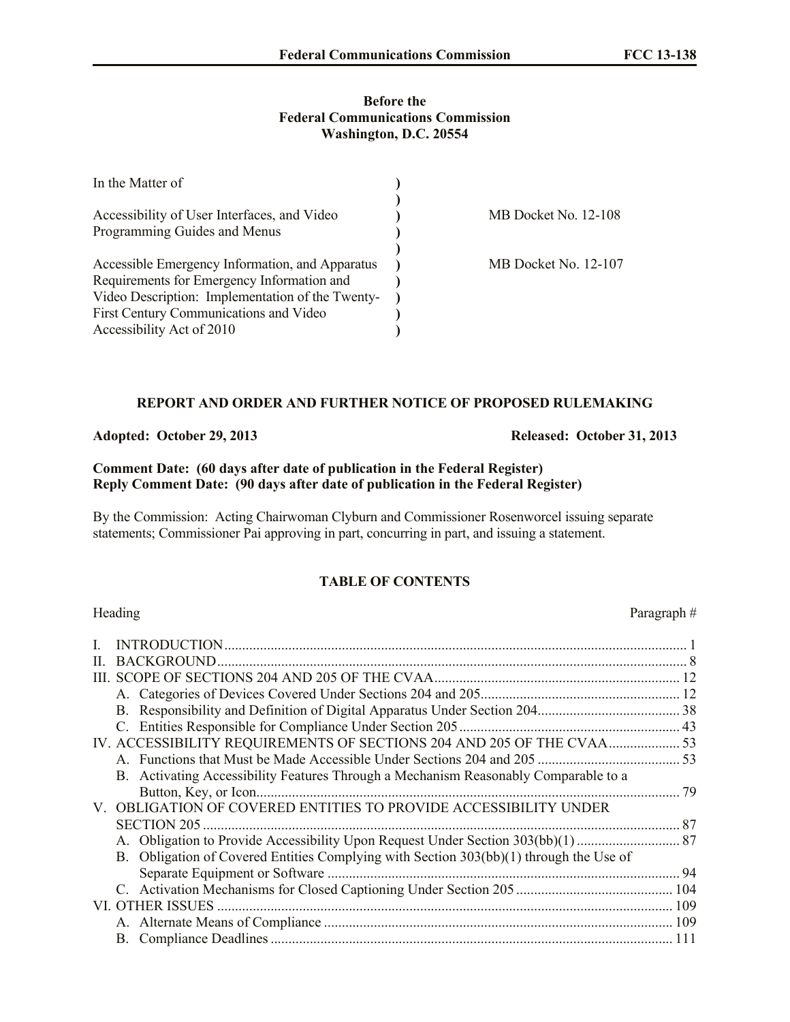#### **Before the Federal Communications Commission Washington, D.C. 20554**

| In the Matter of                                 |                      |
|--------------------------------------------------|----------------------|
|                                                  |                      |
| Accessibility of User Interfaces, and Video      | MB Docket No. 12-108 |
| Programming Guides and Menus                     |                      |
|                                                  |                      |
| Accessible Emergency Information, and Apparatus  | MB Docket No. 12-107 |
| Requirements for Emergency Information and       |                      |
| Video Description: Implementation of the Twenty- |                      |
| First Century Communications and Video           |                      |
| Accessibility Act of 2010                        |                      |

### **REPORT AND ORDER AND FURTHER NOTICE OF PROPOSED RULEMAKING**

**Adopted: October 29, 2013 Released: October 31, 2013**

**Comment Date: (60 days after date of publication in the Federal Register) Reply Comment Date: (90 days after date of publication in the Federal Register)**

By the Commission: Acting Chairwoman Clyburn and Commissioner Rosenworcel issuing separate statements; Commissioner Pai approving in part, concurring in part, and issuing a statement.

# **TABLE OF CONTENTS**

## Heading Paragraph  $#$ [I](#page-1-0). INTRODUCTION.................................................................................................................................. 1 II. [BACKGROUND....................................................................................................................................](#page-5-0) 8 III. [SCOPE OF SECTIONS 204 AND 205 OF THE CVAA.....................................................................](#page-7-0) 12 A. [Categories of Devices Covered Under Sections 204 and 205........................................................](#page-33-0) 12 B. [Responsibility and Definition of Digital Apparatus Under Section 204........................................](#page-33-0) 38 C. [Entities Responsible for Compliance Under Section 205..............................................................](#page-33-0) 43 IV. [ACCESSIBILITY REQUIREMENTS OF SECTIONS 204 AND 205 OF THE CVAA....................](#page-33-1) 53 A. Functions [that Must be Made Accessible](#page-33-2) Under Sections 204 and 205 ........................................ 5[3](#page-50-0) B. Activating Accessibility Features Through a Mechanism Reasonably Comparable to a Button, Key, or Icon....................................................................................................................... 7[9](#page-55-0) V. OBLIGATION OF COVERED ENTITIES TO PROVIDE ACCESSIBILITY UNDER SECTION 205 ...................................................................................................................................... 87 A. [Obligation to Provide Accessibility Upon Request](#page-55-1) Under Section 303(bb)(1)............................. 8[7](#page-59-0) B. Obligation of Covered Entities Complying with Section 303(bb)(1) through the Use of Separate Equipment or Software ................................................................................................... 94 C. [Activation Mechanisms for Closed Captioning Under Section 205](#page-33-0) ............................................ 104 VI. OTHER ISSUES [................................................................................................................................](#page-33-1) 109 A. Alternate Means of Compliance [..................................................................................................](#page-55-2) 109 B. [Compliance Deadlines.................................................................................................................](#page-55-2) 111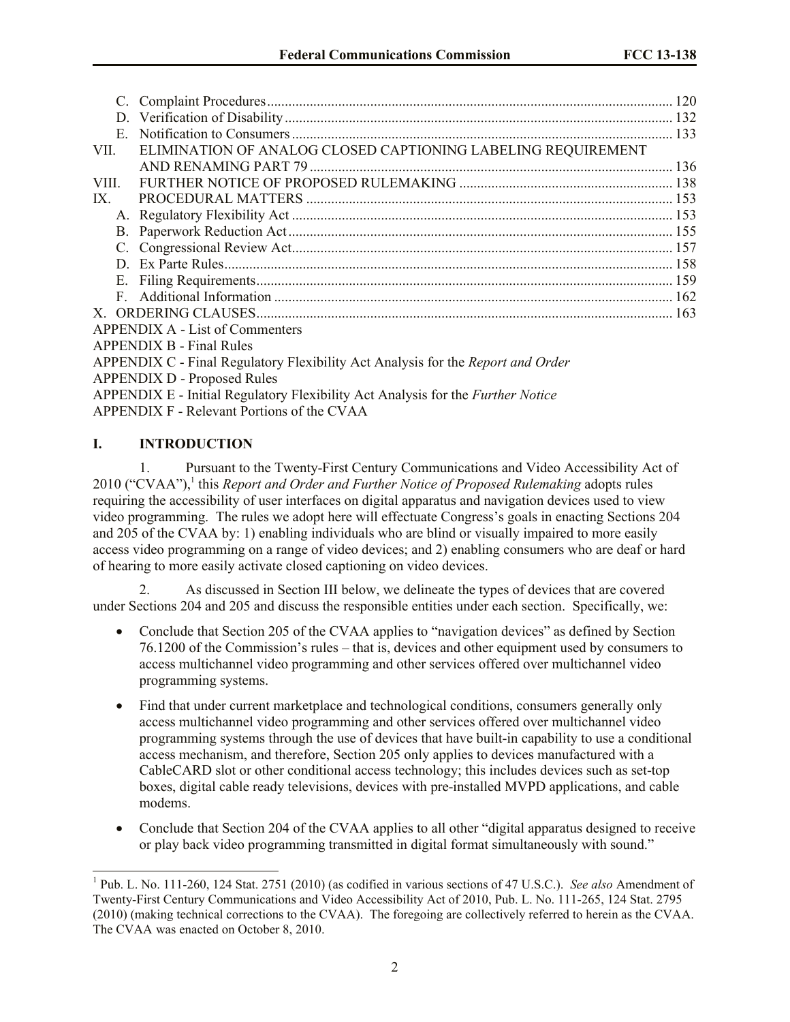|                                                                                        | 120                                                                                                |
|----------------------------------------------------------------------------------------|----------------------------------------------------------------------------------------------------|
| D.                                                                                     |                                                                                                    |
|                                                                                        |                                                                                                    |
|                                                                                        |                                                                                                    |
|                                                                                        |                                                                                                    |
|                                                                                        |                                                                                                    |
|                                                                                        |                                                                                                    |
|                                                                                        |                                                                                                    |
|                                                                                        |                                                                                                    |
|                                                                                        |                                                                                                    |
|                                                                                        |                                                                                                    |
|                                                                                        |                                                                                                    |
|                                                                                        |                                                                                                    |
|                                                                                        |                                                                                                    |
| <b>APPENDIX A - List of Commenters</b>                                                 |                                                                                                    |
| <b>APPENDIX B - Final Rules</b>                                                        |                                                                                                    |
| APPENDIX C - Final Regulatory Flexibility Act Analysis for the <i>Report and Order</i> |                                                                                                    |
|                                                                                        |                                                                                                    |
| APPENDIX E - Initial Regulatory Flexibility Act Analysis for the <i>Further Notice</i> |                                                                                                    |
| APPENDIX F - Relevant Portions of the CVAA                                             |                                                                                                    |
|                                                                                        | ELIMINATION OF ANALOG CLOSED CAPTIONING LABELING REQUIREMENT<br><b>APPENDIX D - Proposed Rules</b> |

### <span id="page-1-0"></span>**I. INTRODUCTION**

 $\overline{a}$ 

1. Pursuant to the Twenty-First Century Communications and Video Accessibility Act of 2010 ("CVAA"),<sup>1</sup> this *Report and Order and Further Notice of Proposed Rulemaking* adopts rules requiring the accessibility of user interfaces on digital apparatus and navigation devices used to view video programming. The rules we adopt here will effectuate Congress's goals in enacting Sections 204 and 205 of the CVAA by: 1) enabling individuals who are blind or visually impaired to more easily access video programming on a range of video devices; and 2) enabling consumers who are deaf or hard of hearing to more easily activate closed captioning on video devices.

As discussed in Section III below, we delineate the types of devices that are covered under Sections 204 and 205 and discuss the responsible entities under each section. Specifically, we:

- Conclude that Section 205 of the CVAA applies to "navigation devices" as defined by Section 76.1200 of the Commission's rules – that is, devices and other equipment used by consumers to access multichannel video programming and other services offered over multichannel video programming systems.
- Find that under current marketplace and technological conditions, consumers generally only access multichannel video programming and other services offered over multichannel video programming systems through the use of devices that have built-in capability to use a conditional access mechanism, and therefore, Section 205 only applies to devices manufactured with a CableCARD slot or other conditional access technology; this includes devices such as set-top boxes, digital cable ready televisions, devices with pre-installed MVPD applications, and cable modems.
- Conclude that Section 204 of the CVAA applies to all other "digital apparatus designed to receive or play back video programming transmitted in digital format simultaneously with sound."

<sup>&</sup>lt;sup>1</sup> Pub. L. No. 111-260, 124 Stat. 2751 (2010) (as codified in various sections of 47 U.S.C.). *See also* Amendment of Twenty-First Century Communications and Video Accessibility Act of 2010, Pub. L. No. 111-265, 124 Stat. 2795 (2010) (making technical corrections to the CVAA). The foregoing are collectively referred to herein as the CVAA. The CVAA was enacted on October 8, 2010.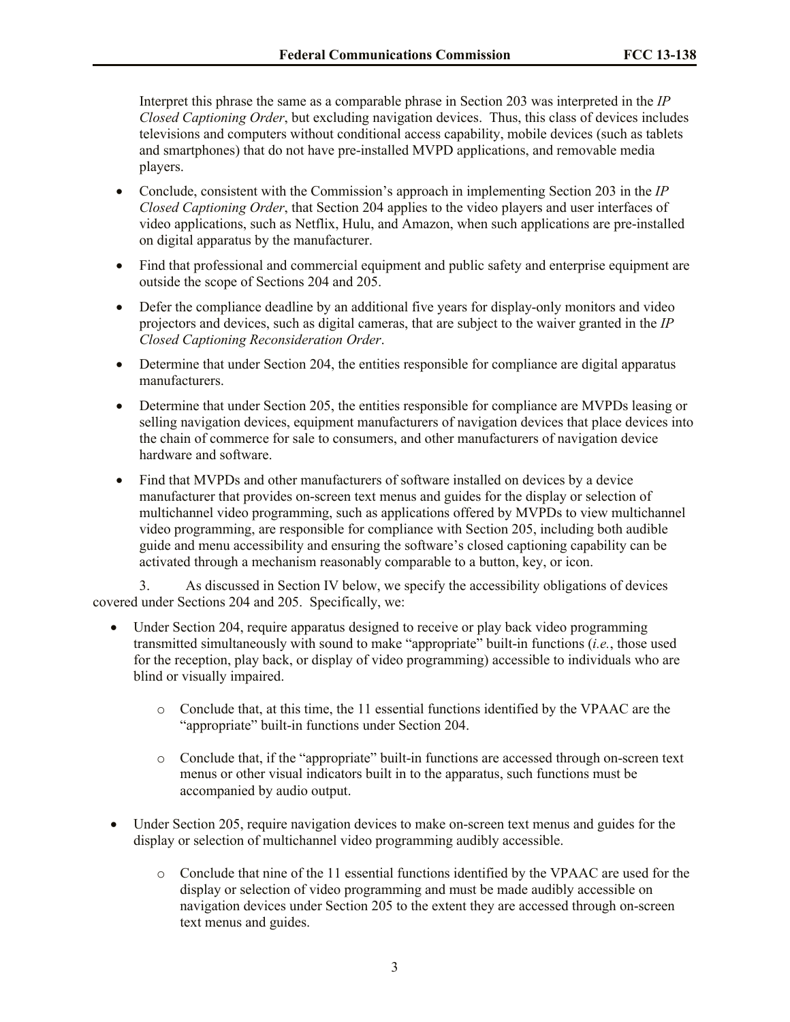Interpret this phrase the same as a comparable phrase in Section 203 was interpreted in the *IP Closed Captioning Order*, but excluding navigation devices. Thus, this class of devices includes televisions and computers without conditional access capability, mobile devices (such as tablets and smartphones) that do not have pre-installed MVPD applications, and removable media players.

- Conclude, consistent with the Commission's approach in implementing Section 203 in the *IP Closed Captioning Order*, that Section 204 applies to the video players and user interfaces of video applications, such as Netflix, Hulu, and Amazon, when such applications are pre-installed on digital apparatus by the manufacturer.
- Find that professional and commercial equipment and public safety and enterprise equipment are outside the scope of Sections 204 and 205.
- Defer the compliance deadline by an additional five years for display-only monitors and video projectors and devices, such as digital cameras, that are subject to the waiver granted in the *IP Closed Captioning Reconsideration Order*.
- Determine that under Section 204, the entities responsible for compliance are digital apparatus manufacturers.
- Determine that under Section 205, the entities responsible for compliance are MVPDs leasing or selling navigation devices, equipment manufacturers of navigation devices that place devices into the chain of commerce for sale to consumers, and other manufacturers of navigation device hardware and software.
- Find that MVPDs and other manufacturers of software installed on devices by a device manufacturer that provides on-screen text menus and guides for the display or selection of multichannel video programming, such as applications offered by MVPDs to view multichannel video programming, are responsible for compliance with Section 205, including both audible guide and menu accessibility and ensuring the software's closed captioning capability can be activated through a mechanism reasonably comparable to a button, key, or icon.

3. As discussed in Section IV below, we specify the accessibility obligations of devices covered under Sections 204 and 205. Specifically, we:

- Under Section 204, require apparatus designed to receive or play back video programming transmitted simultaneously with sound to make "appropriate" built-in functions (*i.e.*, those used for the reception, play back, or display of video programming) accessible to individuals who are blind or visually impaired.
	- o Conclude that, at this time, the 11 essential functions identified by the VPAAC are the "appropriate" built-in functions under Section 204.
	- o Conclude that, if the "appropriate" built-in functions are accessed through on-screen text menus or other visual indicators built in to the apparatus, such functions must be accompanied by audio output.
- Under Section 205, require navigation devices to make on-screen text menus and guides for the display or selection of multichannel video programming audibly accessible.
	- o Conclude that nine of the 11 essential functions identified by the VPAAC are used for the display or selection of video programming and must be made audibly accessible on navigation devices under Section 205 to the extent they are accessed through on-screen text menus and guides.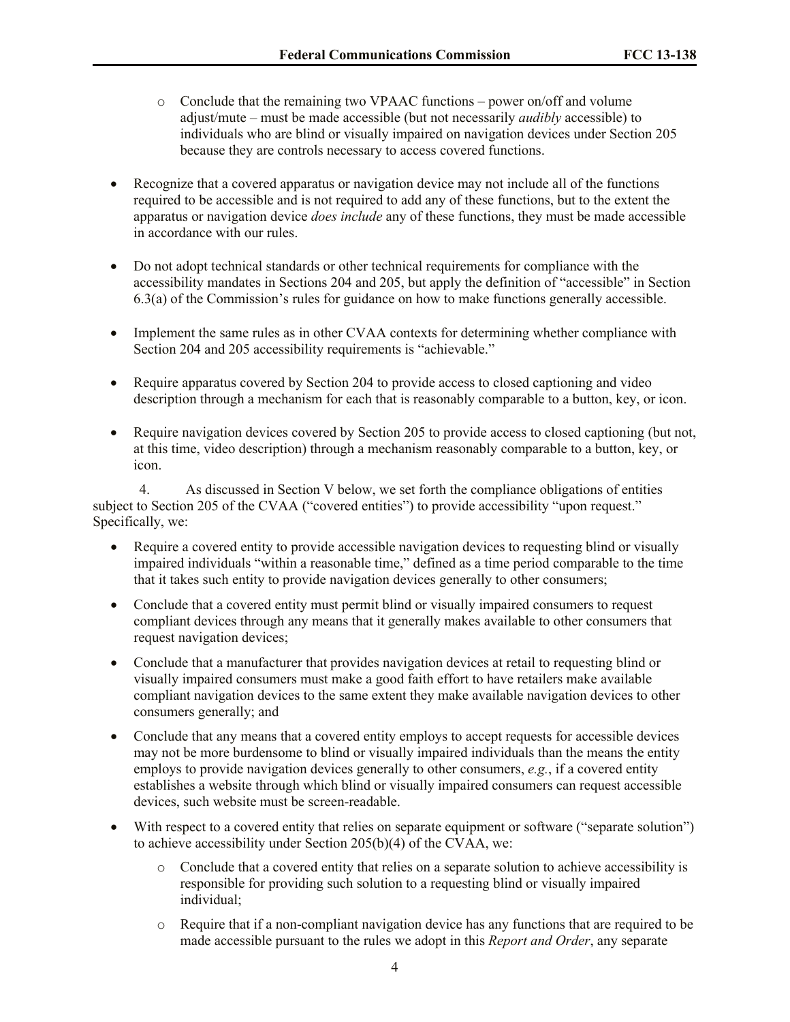- o Conclude that the remaining two VPAAC functions power on/off and volume adjust/mute – must be made accessible (but not necessarily *audibly* accessible) to individuals who are blind or visually impaired on navigation devices under Section 205 because they are controls necessary to access covered functions.
- Recognize that a covered apparatus or navigation device may not include all of the functions required to be accessible and is not required to add any of these functions, but to the extent the apparatus or navigation device *does include* any of these functions, they must be made accessible in accordance with our rules.
- Do not adopt technical standards or other technical requirements for compliance with the accessibility mandates in Sections 204 and 205, but apply the definition of "accessible" in Section 6.3(a) of the Commission's rules for guidance on how to make functions generally accessible.
- Implement the same rules as in other CVAA contexts for determining whether compliance with Section 204 and 205 accessibility requirements is "achievable."
- Require apparatus covered by Section 204 to provide access to closed captioning and video description through a mechanism for each that is reasonably comparable to a button, key, or icon.
- Require navigation devices covered by Section 205 to provide access to closed captioning (but not, at this time, video description) through a mechanism reasonably comparable to a button, key, or icon.

4. As discussed in Section V below, we set forth the compliance obligations of entities subject to Section 205 of the CVAA ("covered entities") to provide accessibility "upon request." Specifically, we:

- Require a covered entity to provide accessible navigation devices to requesting blind or visually impaired individuals "within a reasonable time," defined as a time period comparable to the time that it takes such entity to provide navigation devices generally to other consumers;
- Conclude that a covered entity must permit blind or visually impaired consumers to request compliant devices through any means that it generally makes available to other consumers that request navigation devices;
- Conclude that a manufacturer that provides navigation devices at retail to requesting blind or visually impaired consumers must make a good faith effort to have retailers make available compliant navigation devices to the same extent they make available navigation devices to other consumers generally; and
- Conclude that any means that a covered entity employs to accept requests for accessible devices may not be more burdensome to blind or visually impaired individuals than the means the entity employs to provide navigation devices generally to other consumers, *e.g.*, if a covered entity establishes a website through which blind or visually impaired consumers can request accessible devices, such website must be screen-readable.
- With respect to a covered entity that relies on separate equipment or software ("separate solution") to achieve accessibility under Section 205(b)(4) of the CVAA, we:
	- o Conclude that a covered entity that relies on a separate solution to achieve accessibility is responsible for providing such solution to a requesting blind or visually impaired individual;
	- $\circ$  Require that if a non-compliant navigation device has any functions that are required to be made accessible pursuant to the rules we adopt in this *Report and Order*, any separate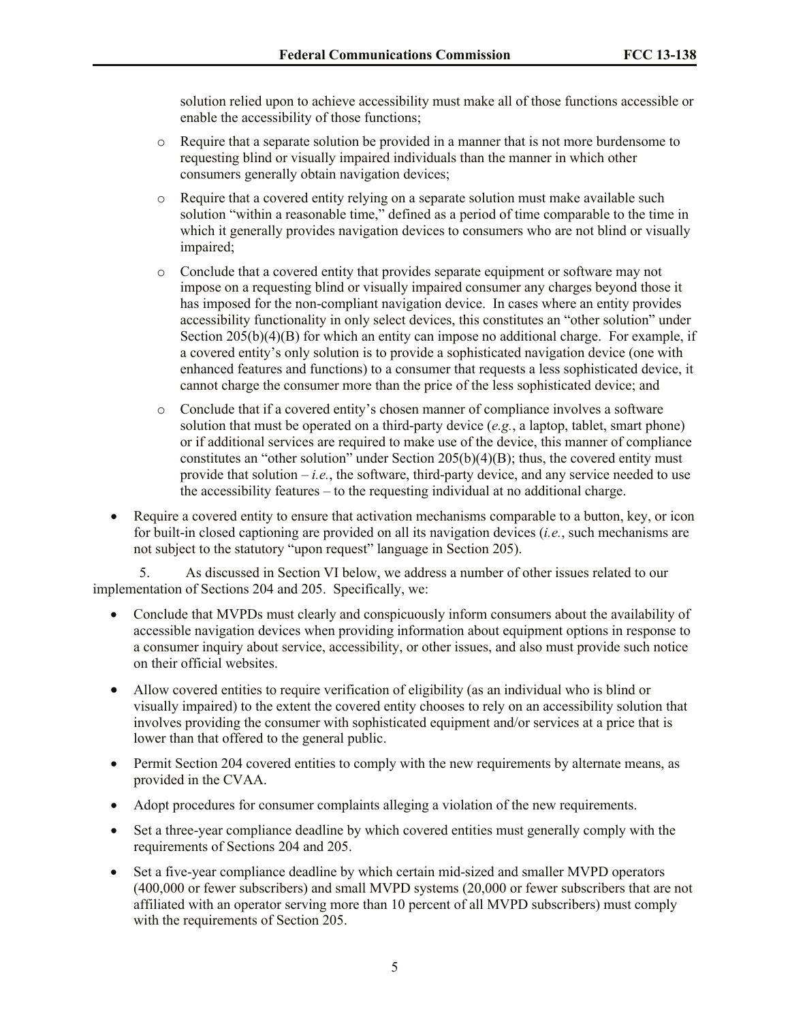solution relied upon to achieve accessibility must make all of those functions accessible or enable the accessibility of those functions;

- o Require that a separate solution be provided in a manner that is not more burdensome to requesting blind or visually impaired individuals than the manner in which other consumers generally obtain navigation devices;
- o Require that a covered entity relying on a separate solution must make available such solution "within a reasonable time," defined as a period of time comparable to the time in which it generally provides navigation devices to consumers who are not blind or visually impaired;
- o Conclude that a covered entity that provides separate equipment or software may not impose on a requesting blind or visually impaired consumer any charges beyond those it has imposed for the non-compliant navigation device. In cases where an entity provides accessibility functionality in only select devices, this constitutes an "other solution" under Section 205(b)(4)(B) for which an entity can impose no additional charge. For example, if a covered entity's only solution is to provide a sophisticated navigation device (one with enhanced features and functions) to a consumer that requests a less sophisticated device, it cannot charge the consumer more than the price of the less sophisticated device; and
- o Conclude that if a covered entity's chosen manner of compliance involves a software solution that must be operated on a third-party device (*e.g.*, a laptop, tablet, smart phone) or if additional services are required to make use of the device, this manner of compliance constitutes an "other solution" under Section  $205(b)(4)(B)$ ; thus, the covered entity must provide that solution  $-i.e.,$  the software, third-party device, and any service needed to use the accessibility features – to the requesting individual at no additional charge.
- Require a covered entity to ensure that activation mechanisms comparable to a button, key, or icon for built-in closed captioning are provided on all its navigation devices (*i.e.*, such mechanisms are not subject to the statutory "upon request" language in Section 205).

5. As discussed in Section VI below, we address a number of other issues related to our implementation of Sections 204 and 205. Specifically, we:

- Conclude that MVPDs must clearly and conspicuously inform consumers about the availability of accessible navigation devices when providing information about equipment options in response to a consumer inquiry about service, accessibility, or other issues, and also must provide such notice on their official websites.
- Allow covered entities to require verification of eligibility (as an individual who is blind or visually impaired) to the extent the covered entity chooses to rely on an accessibility solution that involves providing the consumer with sophisticated equipment and/or services at a price that is lower than that offered to the general public.
- Permit Section 204 covered entities to comply with the new requirements by alternate means, as provided in the CVAA.
- Adopt procedures for consumer complaints alleging a violation of the new requirements.
- Set a three-year compliance deadline by which covered entities must generally comply with the requirements of Sections 204 and 205.
- Set a five-year compliance deadline by which certain mid-sized and smaller MVPD operators (400,000 or fewer subscribers) and small MVPD systems (20,000 or fewer subscribers that are not affiliated with an operator serving more than 10 percent of all MVPD subscribers) must comply with the requirements of Section 205.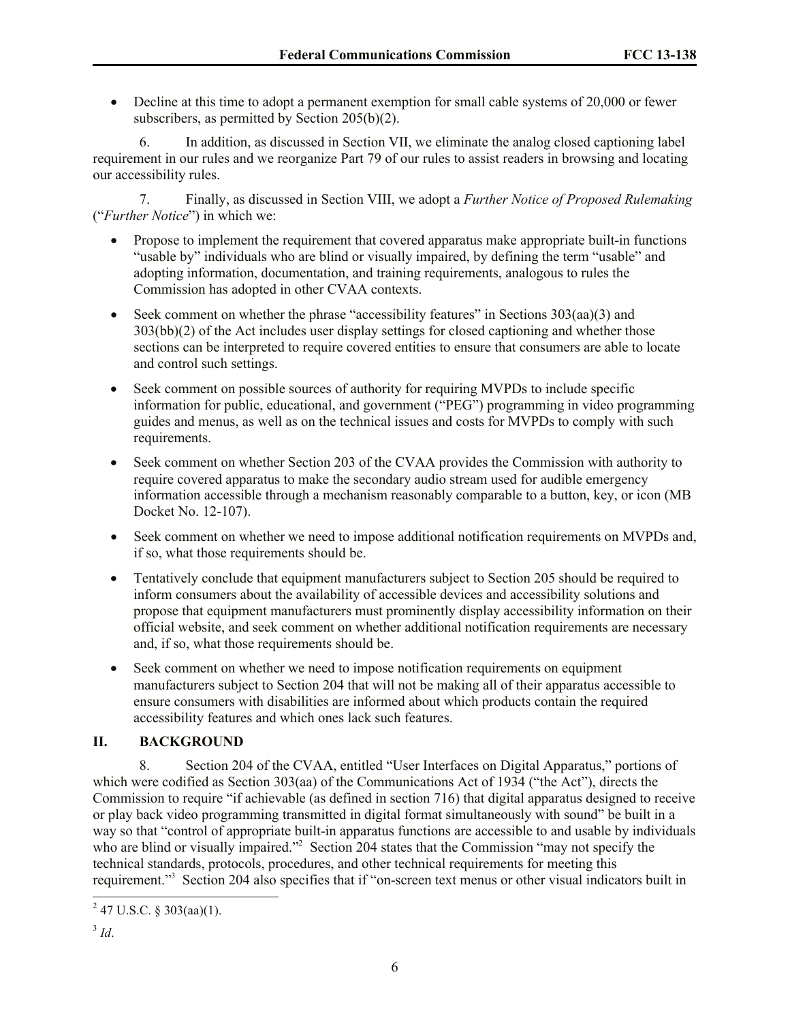Decline at this time to adopt a permanent exemption for small cable systems of 20,000 or fewer subscribers, as permitted by Section 205(b)(2).

6. In addition, as discussed in Section VII, we eliminate the analog closed captioning label requirement in our rules and we reorganize Part 79 of our rules to assist readers in browsing and locating our accessibility rules.

7. Finally, as discussed in Section VIII, we adopt a *Further Notice of Proposed Rulemaking* ("*Further Notice*") in which we:

- Propose to implement the requirement that covered apparatus make appropriate built-in functions "usable by" individuals who are blind or visually impaired, by defining the term "usable" and adopting information, documentation, and training requirements, analogous to rules the Commission has adopted in other CVAA contexts.
- Seek comment on whether the phrase "accessibility features" in Sections  $303(aa)(3)$  and 303(bb)(2) of the Act includes user display settings for closed captioning and whether those sections can be interpreted to require covered entities to ensure that consumers are able to locate and control such settings.
- Seek comment on possible sources of authority for requiring MVPDs to include specific information for public, educational, and government ("PEG") programming in video programming guides and menus, as well as on the technical issues and costs for MVPDs to comply with such requirements.
- <span id="page-5-0"></span> Seek comment on whether Section 203 of the CVAA provides the Commission with authority to require covered apparatus to make the secondary audio stream used for audible emergency information accessible through a mechanism reasonably comparable to a button, key, or icon (MB Docket No. 12-107).
- Seek comment on whether we need to impose additional notification requirements on MVPDs and, if so, what those requirements should be.
- Tentatively conclude that equipment manufacturers subject to Section 205 should be required to inform consumers about the availability of accessible devices and accessibility solutions and propose that equipment manufacturers must prominently display accessibility information on their official website, and seek comment on whether additional notification requirements are necessary and, if so, what those requirements should be.
- Seek comment on whether we need to impose notification requirements on equipment manufacturers subject to Section 204 that will not be making all of their apparatus accessible to ensure consumers with disabilities are informed about which products contain the required accessibility features and which ones lack such features.

# **II. BACKGROUND**

8. Section 204 of the CVAA, entitled "User Interfaces on Digital Apparatus," portions of which were codified as Section 303(aa) of the Communications Act of 1934 ("the Act"), directs the Commission to require "if achievable (as defined in section 716) that digital apparatus designed to receive or play back video programming transmitted in digital format simultaneously with sound" be built in a way so that "control of appropriate built-in apparatus functions are accessible to and usable by individuals who are blind or visually impaired."<sup>2</sup> Section 204 states that the Commission "may not specify the technical standards, protocols, procedures, and other technical requirements for meeting this requirement."<sup>3</sup> Section 204 also specifies that if "on-screen text menus or other visual indicators built in

 $\overline{a}$  $2$  47 U.S.C. § 303(aa)(1).

<sup>3</sup> *Id*.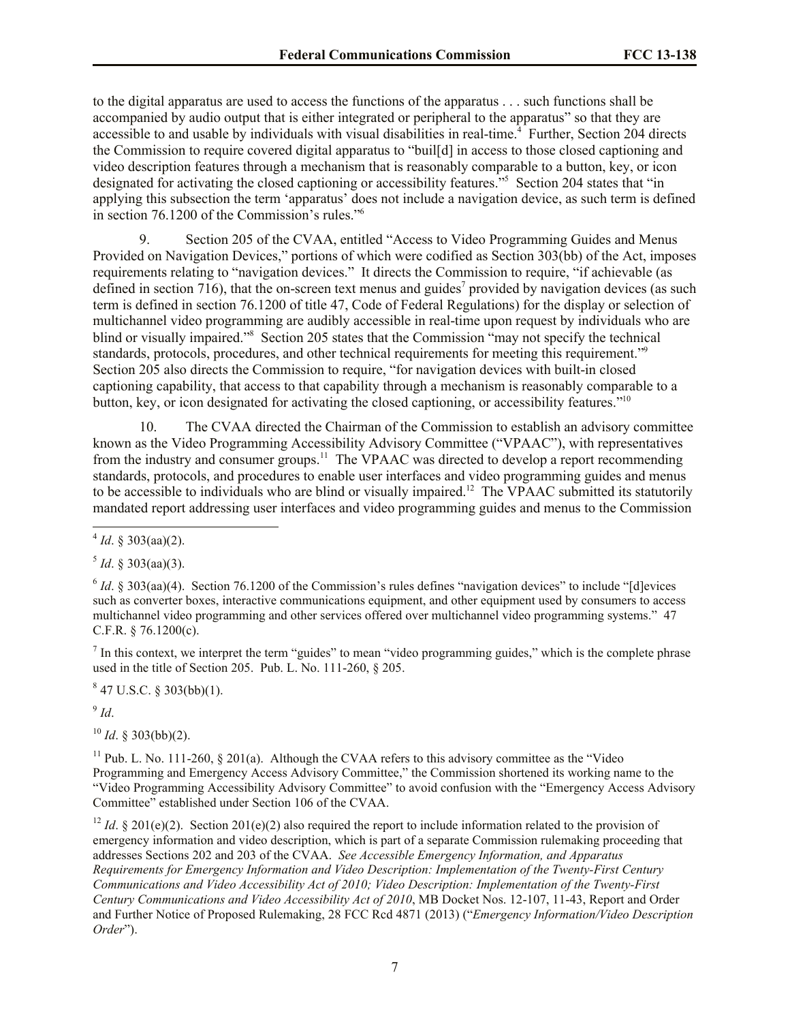to the digital apparatus are used to access the functions of the apparatus . . . such functions shall be accompanied by audio output that is either integrated or peripheral to the apparatus" so that they are accessible to and usable by individuals with visual disabilities in real-time.<sup>4</sup> Further, Section 204 directs the Commission to require covered digital apparatus to "buil[d] in access to those closed captioning and video description features through a mechanism that is reasonably comparable to a button, key, or icon designated for activating the closed captioning or accessibility features."<sup>5</sup> Section 204 states that "in applying this subsection the term 'apparatus' does not include a navigation device, as such term is defined in section 76.1200 of the Commission's rules." 6

9. Section 205 of the CVAA, entitled "Access to Video Programming Guides and Menus Provided on Navigation Devices," portions of which were codified as Section 303(bb) of the Act, imposes requirements relating to "navigation devices." It directs the Commission to require, "if achievable (as defined in section 716), that the on-screen text menus and guides<sup>7</sup> provided by navigation devices (as such term is defined in section 76.1200 of title 47, Code of Federal Regulations) for the display or selection of multichannel video programming are audibly accessible in real-time upon request by individuals who are blind or visually impaired."<sup>8</sup> Section 205 states that the Commission "may not specify the technical standards, protocols, procedures, and other technical requirements for meeting this requirement."<sup>9</sup> Section 205 also directs the Commission to require, "for navigation devices with built-in closed captioning capability, that access to that capability through a mechanism is reasonably comparable to a button, key, or icon designated for activating the closed captioning, or accessibility features."<sup>10</sup>

10. The CVAA directed the Chairman of the Commission to establish an advisory committee known as the Video Programming Accessibility Advisory Committee ("VPAAC"), with representatives from the industry and consumer groups.<sup>11</sup> The VPAAC was directed to develop a report recommending standards, protocols, and procedures to enable user interfaces and video programming guides and menus to be accessible to individuals who are blind or visually impaired.<sup>12</sup> The VPAAC submitted its statutorily mandated report addressing user interfaces and video programming guides and menus to the Commission

 $<sup>5</sup>$  *Id*. § 303(aa)(3).</sup>

 $<sup>7</sup>$  In this context, we interpret the term "guides" to mean "video programming guides," which is the complete phrase</sup> used in the title of Section 205. Pub. L. No. 111-260, § 205.

 $847$  U.S.C. § 303(bb)(1).

9 *Id*.

 $10$  *Id.* § 303(bb)(2).

 $11$  Pub. L. No. 111-260, § 201(a). Although the CVAA refers to this advisory committee as the "Video" Programming and Emergency Access Advisory Committee," the Commission shortened its working name to the "Video Programming Accessibility Advisory Committee" to avoid confusion with the "Emergency Access Advisory Committee" established under Section 106 of the CVAA.

<sup>12</sup> *Id.* § 201(e)(2). Section 201(e)(2) also required the report to include information related to the provision of emergency information and video description, which is part of a separate Commission rulemaking proceeding that addresses Sections 202 and 203 of the CVAA. *See Accessible Emergency Information, and Apparatus Requirements for Emergency Information and Video Description: Implementation of the Twenty-First Century Communications and Video Accessibility Act of 2010; Video Description: Implementation of the Twenty-First Century Communications and Video Accessibility Act of 2010*, MB Docket Nos. 12-107, 11-43, Report and Order and Further Notice of Proposed Rulemaking, 28 FCC Rcd 4871 (2013) ("*Emergency Information/Video Description Order*").

 4 *Id*. § 303(aa)(2).

 $6$  *Id.* § 303(aa)(4). Section 76.1200 of the Commission's rules defines "navigation devices" to include "[d]evices such as converter boxes, interactive communications equipment, and other equipment used by consumers to access multichannel video programming and other services offered over multichannel video programming systems." 47 C.F.R. § 76.1200(c).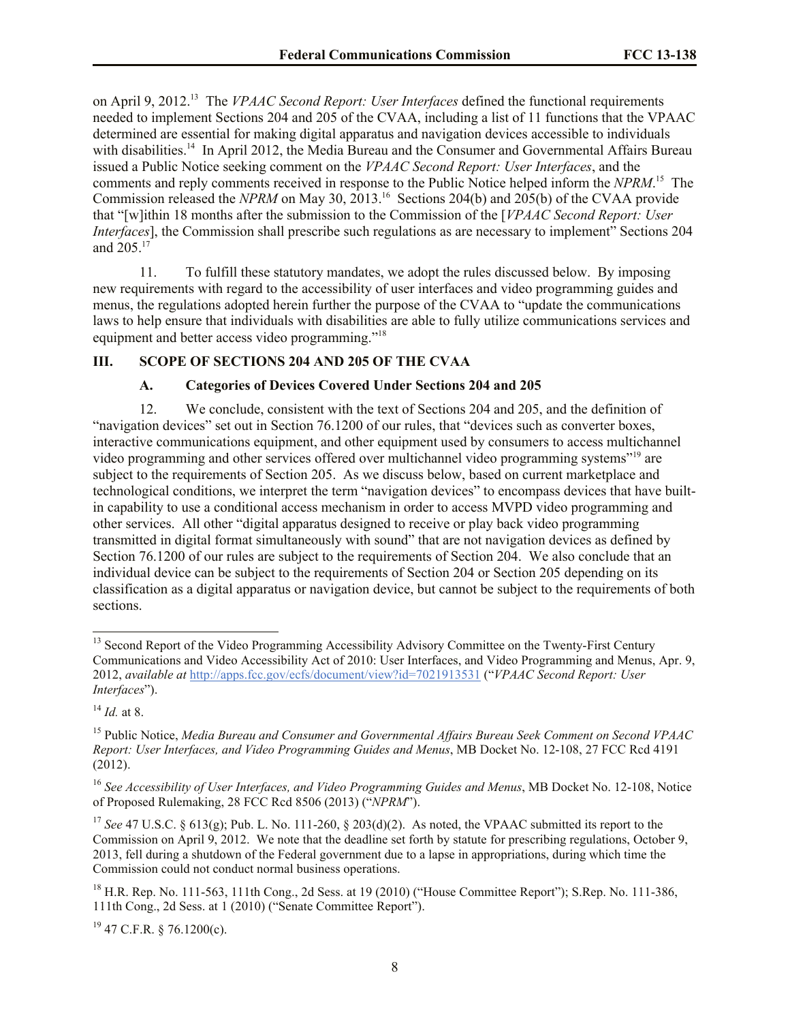on April 9, 2012.<sup>13</sup> The *VPAAC Second Report: User Interfaces* defined the functional requirements needed to implement Sections 204 and 205 of the CVAA, including a list of 11 functions that the VPAAC determined are essential for making digital apparatus and navigation devices accessible to individuals with disabilities.<sup>14</sup> In April 2012, the Media Bureau and the Consumer and Governmental Affairs Bureau issued a Public Notice seeking comment on the *VPAAC Second Report: User Interfaces*, and the comments and reply comments received in response to the Public Notice helped inform the *NPRM*. 15 The Commission released the *NPRM* on May 30, 2013.<sup>16</sup> Sections 204(b) and 205(b) of the CVAA provide that "[w]ithin 18 months after the submission to the Commission of the [*VPAAC Second Report: User Interfaces*], the Commission shall prescribe such regulations as are necessary to implement" Sections 204 and 205. 17

11. To fulfill these statutory mandates, we adopt the rules discussed below. By imposing new requirements with regard to the accessibility of user interfaces and video programming guides and menus, the regulations adopted herein further the purpose of the CVAA to "update the communications laws to help ensure that individuals with disabilities are able to fully utilize communications services and equipment and better access video programming."<sup>18</sup>

### **III. SCOPE OF SECTIONS 204 AND 205 OF THE CVAA**

#### **A. Categories of Devices Covered Under Sections 204 and 205**

12. We conclude, consistent with the text of Sections 204 and 205, and the definition of "navigation devices" set out in Section 76.1200 of our rules, that "devices such as converter boxes, interactive communications equipment, and other equipment used by consumers to access multichannel video programming and other services offered over multichannel video programming systems"<sup>19</sup> are subject to the requirements of Section 205. As we discuss below, based on current marketplace and technological conditions, we interpret the term "navigation devices" to encompass devices that have builtin capability to use a conditional access mechanism in order to access MVPD video programming and other services. All other "digital apparatus designed to receive or play back video programming transmitted in digital format simultaneously with sound" that are not navigation devices as defined by Section 76.1200 of our rules are subject to the requirements of Section 204. We also conclude that an individual device can be subject to the requirements of Section 204 or Section 205 depending on its classification as a digital apparatus or navigation device, but cannot be subject to the requirements of both sections.

l

 $19$  47 C.F.R. § 76.1200(c).

<sup>&</sup>lt;sup>13</sup> Second Report of the Video Programming Accessibility Advisory Committee on the Twenty-First Century Communications and Video Accessibility Act of 2010: User Interfaces, and Video Programming and Menus, Apr. 9, 2012, *available at* http://apps.fcc.gov/ecfs/document/view?id=7021913531 ("*VPAAC Second Report: User Interfaces*").

<span id="page-7-0"></span><sup>14</sup> *Id.* at 8.

<sup>15</sup> Public Notice, *Media Bureau and Consumer and Governmental Affairs Bureau Seek Comment on Second VPAAC Report: User Interfaces, and Video Programming Guides and Menus*, MB Docket No. 12-108, 27 FCC Rcd 4191 (2012).

<sup>16</sup> *See Accessibility of User Interfaces, and Video Programming Guides and Menus*, MB Docket No. 12-108, Notice of Proposed Rulemaking, 28 FCC Rcd 8506 (2013) ("*NPRM*").

<sup>&</sup>lt;sup>17</sup> *See* 47 U.S.C. § 613(g); Pub. L. No. 111-260, § 203(d)(2). As noted, the VPAAC submitted its report to the Commission on April 9, 2012. We note that the deadline set forth by statute for prescribing regulations, October 9, 2013, fell during a shutdown of the Federal government due to a lapse in appropriations, during which time the Commission could not conduct normal business operations.

 $^{18}$  H.R. Rep. No. 111-563, 111th Cong., 2d Sess. at 19 (2010) ("House Committee Report"); S.Rep. No. 111-386, 111th Cong., 2d Sess. at 1 (2010) ("Senate Committee Report").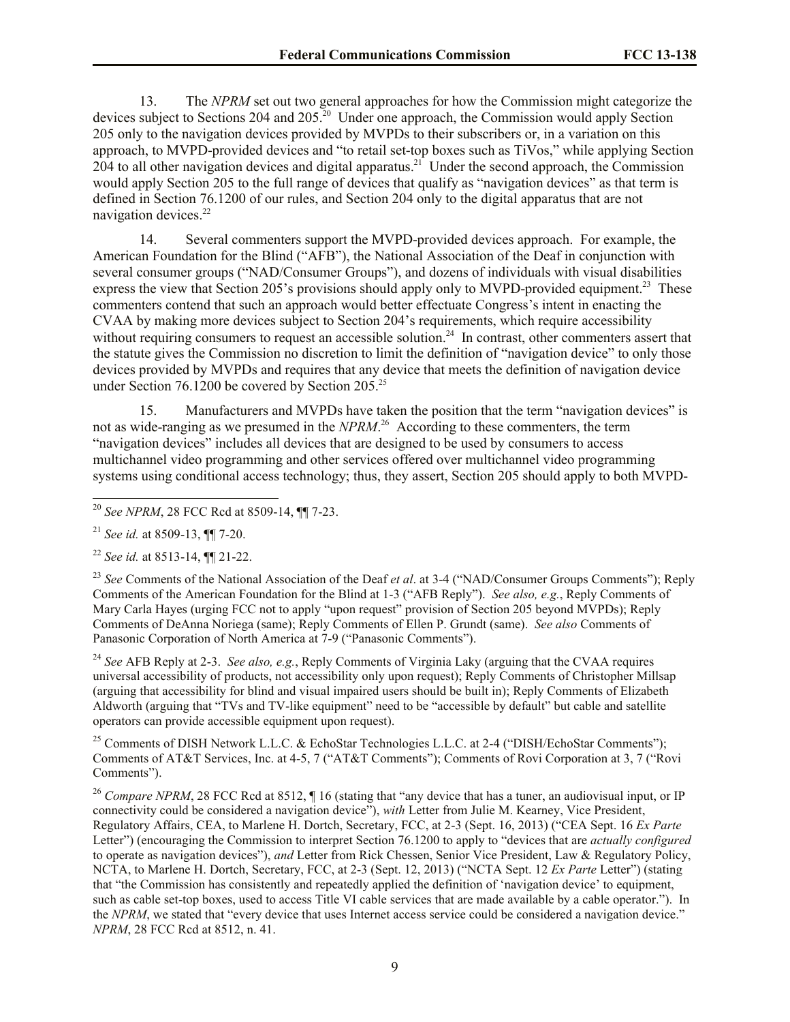13. The *NPRM* set out two general approaches for how the Commission might categorize the devices subject to Sections 204 and 205.<sup>20</sup> Under one approach, the Commission would apply Section 205 only to the navigation devices provided by MVPDs to their subscribers or, in a variation on this approach, to MVPD-provided devices and "to retail set-top boxes such as TiVos," while applying Section 204 to all other navigation devices and digital apparatus.<sup>21</sup> Under the second approach, the Commission would apply Section 205 to the full range of devices that qualify as "navigation devices" as that term is defined in Section 76.1200 of our rules, and Section 204 only to the digital apparatus that are not navigation devices.<sup>22</sup>

14. Several commenters support the MVPD-provided devices approach. For example, the American Foundation for the Blind ("AFB"), the National Association of the Deaf in conjunction with several consumer groups ("NAD/Consumer Groups"), and dozens of individuals with visual disabilities express the view that Section 205's provisions should apply only to MVPD-provided equipment.<sup>23</sup> These commenters contend that such an approach would better effectuate Congress's intent in enacting the CVAA by making more devices subject to Section 204's requirements, which require accessibility without requiring consumers to request an accessible solution.<sup>24</sup> In contrast, other commenters assert that the statute gives the Commission no discretion to limit the definition of "navigation device" to only those devices provided by MVPDs and requires that any device that meets the definition of navigation device under Section 76.1200 be covered by Section  $205.^{25}$ 

15. Manufacturers and MVPDs have taken the position that the term "navigation devices" is not as wide-ranging as we presumed in the *NPRM*. <sup>26</sup> According to these commenters, the term "navigation devices" includes all devices that are designed to be used by consumers to access multichannel video programming and other services offered over multichannel video programming systems using conditional access technology; thus, they assert, Section 205 should apply to both MVPD-

 $\overline{a}$ 

<sup>23</sup> *See* Comments of the National Association of the Deaf *et al*. at 3-4 ("NAD/Consumer Groups Comments"); Reply Comments of the American Foundation for the Blind at 1-3 ("AFB Reply"). *See also, e.g.*, Reply Comments of Mary Carla Hayes (urging FCC not to apply "upon request" provision of Section 205 beyond MVPDs); Reply Comments of DeAnna Noriega (same); Reply Comments of Ellen P. Grundt (same). *See also* Comments of Panasonic Corporation of North America at 7-9 ("Panasonic Comments").

<sup>24</sup> *See* AFB Reply at 2-3. *See also, e.g.*, Reply Comments of Virginia Laky (arguing that the CVAA requires universal accessibility of products, not accessibility only upon request); Reply Comments of Christopher Millsap (arguing that accessibility for blind and visual impaired users should be built in); Reply Comments of Elizabeth Aldworth (arguing that "TVs and TV-like equipment" need to be "accessible by default" but cable and satellite operators can provide accessible equipment upon request).

<sup>25</sup> Comments of DISH Network L.L.C. & EchoStar Technologies L.L.C. at 2-4 ("DISH/EchoStar Comments"); Comments of AT&T Services, Inc. at 4-5, 7 ("AT&T Comments"); Comments of Rovi Corporation at 3, 7 ("Rovi Comments").

<sup>26</sup> *Compare NPRM*, 28 FCC Rcd at 8512,  $\P$  16 (stating that "any device that has a tuner, an audiovisual input, or IP connectivity could be considered a navigation device"), *with* Letter from Julie M. Kearney, Vice President, Regulatory Affairs, CEA, to Marlene H. Dortch, Secretary, FCC, at 2-3 (Sept. 16, 2013) ("CEA Sept. 16 *Ex Parte* Letter") (encouraging the Commission to interpret Section 76.1200 to apply to "devices that are *actually configured* to operate as navigation devices"), *and* Letter from Rick Chessen, Senior Vice President, Law & Regulatory Policy, NCTA, to Marlene H. Dortch, Secretary, FCC, at 2-3 (Sept. 12, 2013) ("NCTA Sept. 12 *Ex Parte* Letter") (stating that "the Commission has consistently and repeatedly applied the definition of 'navigation device' to equipment, such as cable set-top boxes, used to access Title VI cable services that are made available by a cable operator."). In the *NPRM*, we stated that "every device that uses Internet access service could be considered a navigation device." *NPRM*, 28 FCC Rcd at 8512, n. 41.

<sup>20</sup> *See NPRM*, 28 FCC Rcd at 8509-14, ¶¶ 7-23.

<sup>21</sup> *See id.* at 8509-13, ¶¶ 7-20.

<sup>22</sup> *See id.* at 8513-14, ¶¶ 21-22.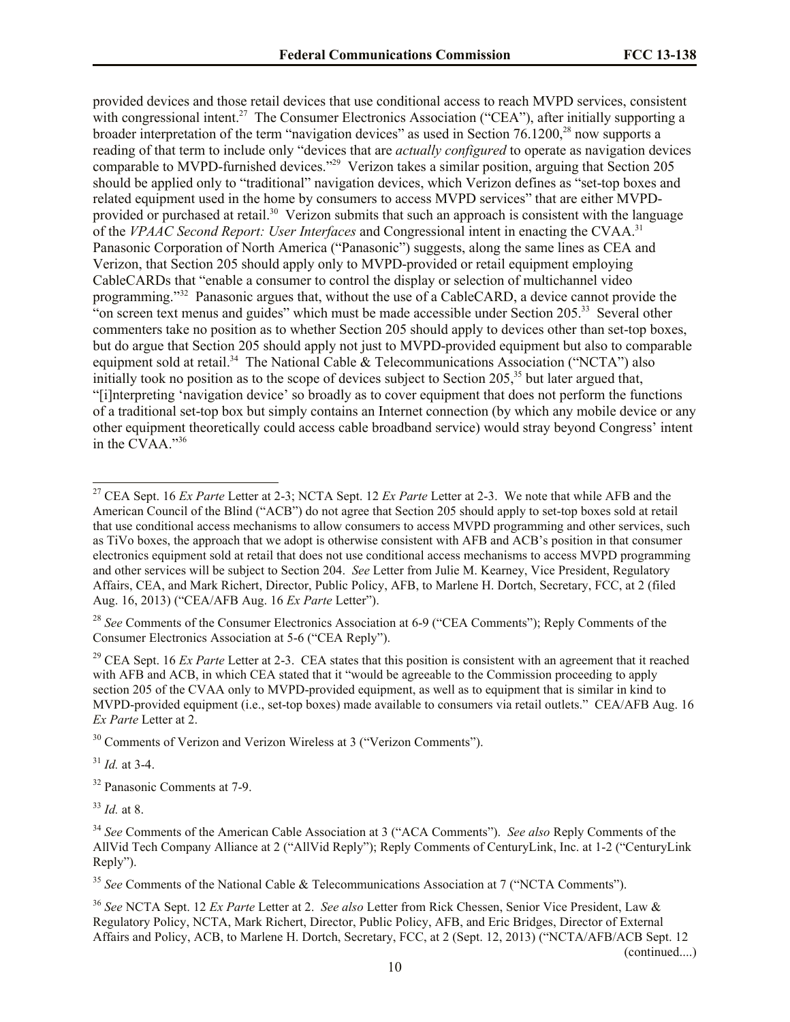provided devices and those retail devices that use conditional access to reach MVPD services, consistent with congressional intent.<sup>27</sup> The Consumer Electronics Association ("CEA"), after initially supporting a broader interpretation of the term "navigation devices" as used in Section 76.1200,<sup>28</sup> now supports a reading of that term to include only "devices that are *actually configured* to operate as navigation devices comparable to MVPD-furnished devices."<sup>29</sup> Verizon takes a similar position, arguing that Section 205 should be applied only to "traditional" navigation devices, which Verizon defines as "set-top boxes and related equipment used in the home by consumers to access MVPD services" that are either MVPDprovided or purchased at retail.<sup>30</sup> Verizon submits that such an approach is consistent with the language of the *VPAAC Second Report: User Interfaces* and Congressional intent in enacting the CVAA.<sup>31</sup> Panasonic Corporation of North America ("Panasonic") suggests, along the same lines as CEA and Verizon, that Section 205 should apply only to MVPD-provided or retail equipment employing CableCARDs that "enable a consumer to control the display or selection of multichannel video programming."<sup>32</sup> Panasonic argues that, without the use of a CableCARD, a device cannot provide the "on screen text menus and guides" which must be made accessible under Section 205.<sup>33</sup> Several other commenters take no position as to whether Section 205 should apply to devices other than set-top boxes, but do argue that Section 205 should apply not just to MVPD-provided equipment but also to comparable equipment sold at retail.<sup>34</sup> The National Cable & Telecommunications Association ("NCTA") also initially took no position as to the scope of devices subject to Section 205,<sup>35</sup> but later argued that, "[i]nterpreting 'navigation device' so broadly as to cover equipment that does not perform the functions of a traditional set-top box but simply contains an Internet connection (by which any mobile device or any other equipment theoretically could access cable broadband service) would stray beyond Congress' intent in the CVAA."<sup>36</sup>

<sup>29</sup> CEA Sept. 16 *Ex Parte* Letter at 2-3. CEA states that this position is consistent with an agreement that it reached with AFB and ACB, in which CEA stated that it "would be agreeable to the Commission proceeding to apply section 205 of the CVAA only to MVPD-provided equipment, as well as to equipment that is similar in kind to MVPD-provided equipment (i.e., set-top boxes) made available to consumers via retail outlets." CEA/AFB Aug. 16 *Ex Parte* Letter at 2.

<sup>30</sup> Comments of Verizon and Verizon Wireless at 3 ("Verizon Comments").

<sup>31</sup> *Id.* at 3-4.

 $\overline{a}$ 

<sup>32</sup> Panasonic Comments at 7-9.

<sup>33</sup> *Id.* at 8.

<sup>36</sup> *See* NCTA Sept. 12 *Ex Parte* Letter at 2. *See also* Letter from Rick Chessen, Senior Vice President, Law & Regulatory Policy, NCTA, Mark Richert, Director, Public Policy, AFB, and Eric Bridges, Director of External Affairs and Policy, ACB, to Marlene H. Dortch, Secretary, FCC, at 2 (Sept. 12, 2013) ("NCTA/AFB/ACB Sept. 12

(continued....)

<sup>27</sup> CEA Sept. 16 *Ex Parte* Letter at 2-3; NCTA Sept. 12 *Ex Parte* Letter at 2-3. We note that while AFB and the American Council of the Blind ("ACB") do not agree that Section 205 should apply to set-top boxes sold at retail that use conditional access mechanisms to allow consumers to access MVPD programming and other services, such as TiVo boxes, the approach that we adopt is otherwise consistent with AFB and ACB's position in that consumer electronics equipment sold at retail that does not use conditional access mechanisms to access MVPD programming and other services will be subject to Section 204. *See* Letter from Julie M. Kearney, Vice President, Regulatory Affairs, CEA, and Mark Richert, Director, Public Policy, AFB, to Marlene H. Dortch, Secretary, FCC, at 2 (filed Aug. 16, 2013) ("CEA/AFB Aug. 16 *Ex Parte* Letter").

<sup>28</sup> *See* Comments of the Consumer Electronics Association at 6-9 ("CEA Comments"); Reply Comments of the Consumer Electronics Association at 5-6 ("CEA Reply").

<sup>34</sup> *See* Comments of the American Cable Association at 3 ("ACA Comments"). *See also* Reply Comments of the AllVid Tech Company Alliance at 2 ("AllVid Reply"); Reply Comments of CenturyLink, Inc. at 1-2 ("CenturyLink Reply").

<sup>35</sup> *See* Comments of the National Cable & Telecommunications Association at 7 ("NCTA Comments").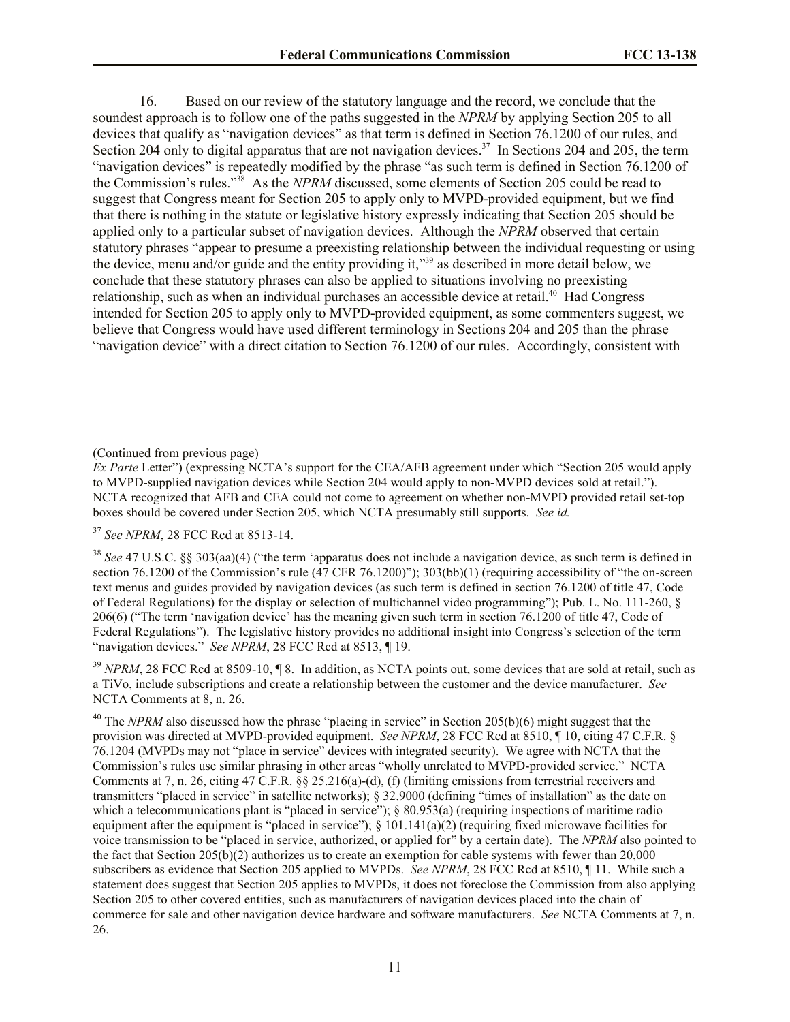16. Based on our review of the statutory language and the record, we conclude that the soundest approach is to follow one of the paths suggested in the *NPRM* by applying Section 205 to all devices that qualify as "navigation devices" as that term is defined in Section 76.1200 of our rules, and Section 204 only to digital apparatus that are not navigation devices.<sup>37</sup> In Sections 204 and 205, the term "navigation devices" is repeatedly modified by the phrase "as such term is defined in Section 76.1200 of the Commission's rules." <sup>38</sup> As the *NPRM* discussed, some elements of Section 205 could be read to suggest that Congress meant for Section 205 to apply only to MVPD-provided equipment, but we find that there is nothing in the statute or legislative history expressly indicating that Section 205 should be applied only to a particular subset of navigation devices. Although the *NPRM* observed that certain statutory phrases "appear to presume a preexisting relationship between the individual requesting or using the device, menu and/or guide and the entity providing it,"<sup>39</sup> as described in more detail below, we conclude that these statutory phrases can also be applied to situations involving no preexisting relationship, such as when an individual purchases an accessible device at retail.<sup>40</sup> Had Congress intended for Section 205 to apply only to MVPD-provided equipment, as some commenters suggest, we believe that Congress would have used different terminology in Sections 204 and 205 than the phrase "navigation device" with a direct citation to Section 76.1200 of our rules. Accordingly, consistent with

*Ex Parte* Letter") (expressing NCTA's support for the CEA/AFB agreement under which "Section 205 would apply to MVPD-supplied navigation devices while Section 204 would apply to non-MVPD devices sold at retail."). NCTA recognized that AFB and CEA could not come to agreement on whether non-MVPD provided retail set-top boxes should be covered under Section 205, which NCTA presumably still supports. *See id.*

<sup>37</sup> *See NPRM*, 28 FCC Rcd at 8513-14.

<sup>38</sup> *See* 47 U.S.C. §§ 303(aa)(4) ("the term 'apparatus does not include a navigation device, as such term is defined in section 76.1200 of the Commission's rule (47 CFR 76.1200)"); 303(bb)(1) (requiring accessibility of "the on-screen text menus and guides provided by navigation devices (as such term is defined in section 76.1200 of title 47, Code of Federal Regulations) for the display or selection of multichannel video programming"); Pub. L. No. 111-260, § 206(6) ("The term 'navigation device' has the meaning given such term in section 76.1200 of title 47, Code of Federal Regulations"). The legislative history provides no additional insight into Congress's selection of the term "navigation devices." *See NPRM*, 28 FCC Rcd at 8513, 19.

<sup>39</sup> *NPRM*, 28 FCC Rcd at 8509-10, 18. In addition, as NCTA points out, some devices that are sold at retail, such as a TiVo, include subscriptions and create a relationship between the customer and the device manufacturer. *See*  NCTA Comments at 8, n. 26.

<sup>40</sup> The *NPRM* also discussed how the phrase "placing in service" in Section 205(b)(6) might suggest that the provision was directed at MVPD-provided equipment. *See NPRM*, 28 FCC Rcd at 8510, ¶ 10, citing 47 C.F.R. § 76.1204 (MVPDs may not "place in service" devices with integrated security). We agree with NCTA that the Commission's rules use similar phrasing in other areas "wholly unrelated to MVPD-provided service." NCTA Comments at 7, n. 26, citing 47 C.F.R. §§ 25.216(a)-(d), (f) (limiting emissions from terrestrial receivers and transmitters "placed in service" in satellite networks); § 32.9000 (defining "times of installation" as the date on which a telecommunications plant is "placed in service"); § 80.953(a) (requiring inspections of maritime radio equipment after the equipment is "placed in service");  $\S$  101.141(a)(2) (requiring fixed microwave facilities for voice transmission to be "placed in service, authorized, or applied for" by a certain date). The *NPRM* also pointed to the fact that Section 205(b)(2) authorizes us to create an exemption for cable systems with fewer than 20,000 subscribers as evidence that Section 205 applied to MVPDs. *See NPRM*, 28 FCC Rcd at 8510, ¶ 11. While such a statement does suggest that Section 205 applies to MVPDs, it does not foreclose the Commission from also applying Section 205 to other covered entities, such as manufacturers of navigation devices placed into the chain of commerce for sale and other navigation device hardware and software manufacturers. *See* NCTA Comments at 7, n. 26.

<sup>(</sup>Continued from previous page)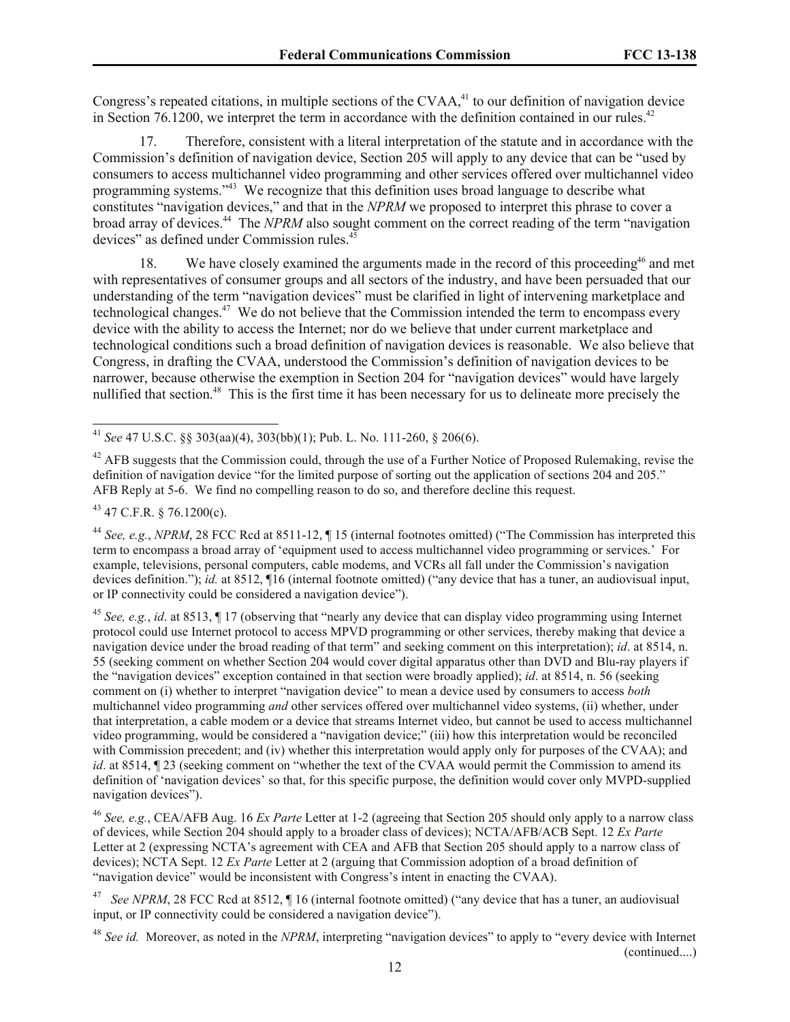Congress's repeated citations, in multiple sections of the CVAA,<sup>41</sup> to our definition of navigation device in Section 76.1200, we interpret the term in accordance with the definition contained in our rules. $42$ 

17. Therefore, consistent with a literal interpretation of the statute and in accordance with the Commission's definition of navigation device, Section 205 will apply to any device that can be "used by consumers to access multichannel video programming and other services offered over multichannel video programming systems."<sup>43</sup> We recognize that this definition uses broad language to describe what constitutes "navigation devices," and that in the *NPRM* we proposed to interpret this phrase to cover a broad array of devices. <sup>44</sup> The *NPRM* also sought comment on the correct reading of the term "navigation devices" as defined under Commission rules.<sup>45</sup>

18. We have closely examined the arguments made in the record of this proceeding<sup>46</sup> and met with representatives of consumer groups and all sectors of the industry, and have been persuaded that our understanding of the term "navigation devices" must be clarified in light of intervening marketplace and technological changes.<sup>47</sup> We do not believe that the Commission intended the term to encompass every device with the ability to access the Internet; nor do we believe that under current marketplace and technological conditions such a broad definition of navigation devices is reasonable. We also believe that Congress, in drafting the CVAA, understood the Commission's definition of navigation devices to be narrower, because otherwise the exemption in Section 204 for "navigation devices" would have largely nullified that section.<sup>48</sup> This is the first time it has been necessary for us to delineate more precisely the

<sup>43</sup> 47 C.F.R. § 76.1200(c).

<sup>44</sup> *See, e.g.*, *NPRM*, 28 FCC Rcd at 8511-12, ¶ 15 (internal footnotes omitted) ("The Commission has interpreted this term to encompass a broad array of 'equipment used to access multichannel video programming or services.' For example, televisions, personal computers, cable modems, and VCRs all fall under the Commission's navigation devices definition."); *id.* at 8512, ¶16 (internal footnote omitted) ("any device that has a tuner, an audiovisual input, or IP connectivity could be considered a navigation device").

<sup>45</sup> *See, e.g.*, *id*. at 8513, ¶ 17 (observing that "nearly any device that can display video programming using Internet protocol could use Internet protocol to access MPVD programming or other services, thereby making that device a navigation device under the broad reading of that term" and seeking comment on this interpretation); *id*. at 8514, n. 55 (seeking comment on whether Section 204 would cover digital apparatus other than DVD and Blu-ray players if the "navigation devices" exception contained in that section were broadly applied); *id*. at 8514, n. 56 (seeking comment on (i) whether to interpret "navigation device" to mean a device used by consumers to access *both* multichannel video programming *and* other services offered over multichannel video systems, (ii) whether, under that interpretation, a cable modem or a device that streams Internet video, but cannot be used to access multichannel video programming, would be considered a "navigation device;" (iii) how this interpretation would be reconciled with Commission precedent; and (iv) whether this interpretation would apply only for purposes of the CVAA); and *id*. at 8514,  $\P$  23 (seeking comment on "whether the text of the CVAA would permit the Commission to amend its definition of 'navigation devices' so that, for this specific purpose, the definition would cover only MVPD-supplied navigation devices").

<sup>46</sup> *See, e.g.*, CEA/AFB Aug. 16 *Ex Parte* Letter at 1-2 (agreeing that Section 205 should only apply to a narrow class of devices, while Section 204 should apply to a broader class of devices); NCTA/AFB/ACB Sept. 12 *Ex Parte* Letter at 2 (expressing NCTA's agreement with CEA and AFB that Section 205 should apply to a narrow class of devices); NCTA Sept. 12 *Ex Parte* Letter at 2 (arguing that Commission adoption of a broad definition of "navigation device" would be inconsistent with Congress's intent in enacting the CVAA).

<sup>47</sup> *See NPRM*, 28 FCC Rcd at 8512, 116 (internal footnote omitted) ("any device that has a tuner, an audiovisual input, or IP connectivity could be considered a navigation device").

<sup>48</sup> *See id.* Moreover, as noted in the *NPRM*, interpreting "navigation devices" to apply to "every device with Internet (continued....)

 $\overline{a}$ <sup>41</sup> *See* 47 U.S.C. §§ 303(aa)(4), 303(bb)(1); Pub. L. No. 111-260, § 206(6).

 $42$  AFB suggests that the Commission could, through the use of a Further Notice of Proposed Rulemaking, revise the definition of navigation device "for the limited purpose of sorting out the application of sections 204 and 205." AFB Reply at 5-6. We find no compelling reason to do so, and therefore decline this request.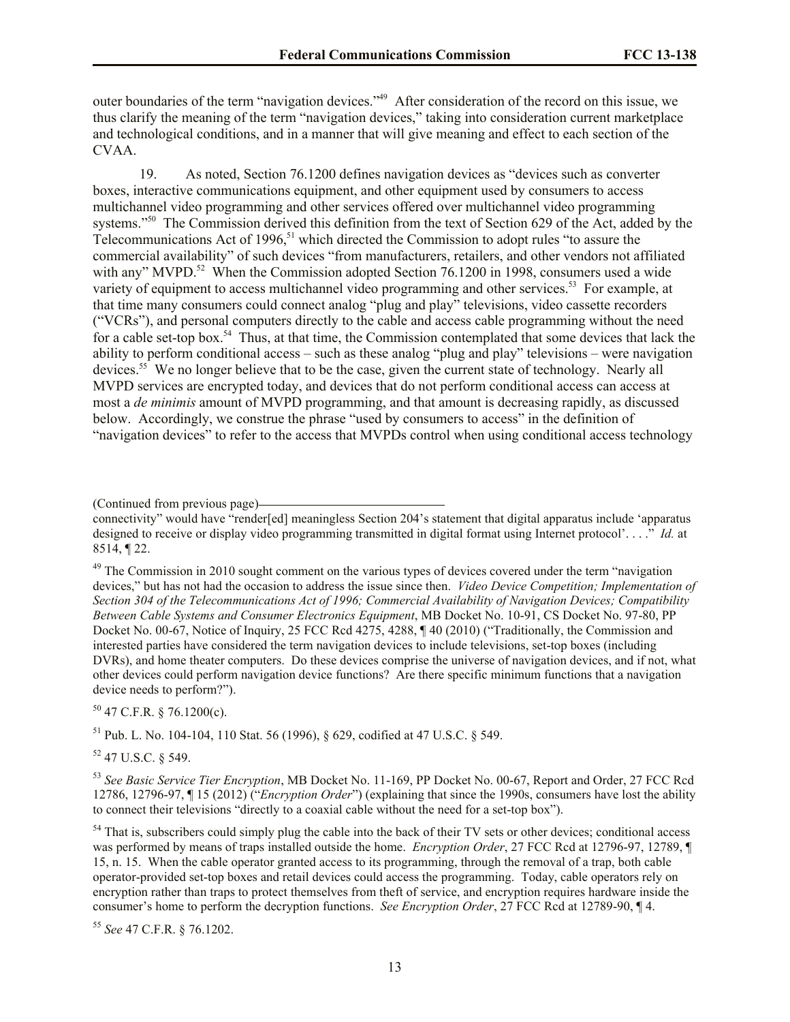outer boundaries of the term "navigation devices."<sup>49</sup> After consideration of the record on this issue, we thus clarify the meaning of the term "navigation devices," taking into consideration current marketplace and technological conditions, and in a manner that will give meaning and effect to each section of the CVAA.

19. As noted, Section 76.1200 defines navigation devices as "devices such as converter boxes, interactive communications equipment, and other equipment used by consumers to access multichannel video programming and other services offered over multichannel video programming systems."<sup>50</sup> The Commission derived this definition from the text of Section 629 of the Act, added by the Telecommunications Act of 1996,<sup>51</sup> which directed the Commission to adopt rules "to assure the commercial availability" of such devices "from manufacturers, retailers, and other vendors not affiliated with any" MVPD.<sup>52</sup> When the Commission adopted Section 76.1200 in 1998, consumers used a wide variety of equipment to access multichannel video programming and other services.<sup>53</sup> For example, at that time many consumers could connect analog "plug and play" televisions, video cassette recorders ("VCRs"), and personal computers directly to the cable and access cable programming without the need for a cable set-top box.<sup>54</sup> Thus, at that time, the Commission contemplated that some devices that lack the ability to perform conditional access – such as these analog "plug and play" televisions – were navigation devices.<sup>55</sup> We no longer believe that to be the case, given the current state of technology. Nearly all MVPD services are encrypted today, and devices that do not perform conditional access can access at most a *de minimis* amount of MVPD programming, and that amount is decreasing rapidly, as discussed below. Accordingly, we construe the phrase "used by consumers to access" in the definition of "navigation devices" to refer to the access that MVPDs control when using conditional access technology

(Continued from previous page)

<sup>49</sup> The Commission in 2010 sought comment on the various types of devices covered under the term "navigation" devices," but has not had the occasion to address the issue since then. *Video Device Competition; Implementation of Section 304 of the Telecommunications Act of 1996; Commercial Availability of Navigation Devices; Compatibility Between Cable Systems and Consumer Electronics Equipment*, MB Docket No. 10-91, CS Docket No. 97-80, PP Docket No. 00-67, Notice of Inquiry, 25 FCC Rcd 4275, 4288, ¶ 40 (2010) ("Traditionally, the Commission and interested parties have considered the term navigation devices to include televisions, set-top boxes (including DVRs), and home theater computers. Do these devices comprise the universe of navigation devices, and if not, what other devices could perform navigation device functions? Are there specific minimum functions that a navigation device needs to perform?").

 $50$  47 C.F.R. § 76.1200(c).

<sup>51</sup> Pub. L. No. 104-104, 110 Stat. 56 (1996), § 629, codified at 47 U.S.C. § 549.

<sup>52</sup> 47 U.S.C. § 549.

<sup>53</sup> *See Basic Service Tier Encryption*, MB Docket No. 11-169, PP Docket No. 00-67, Report and Order, 27 FCC Rcd 12786, 12796-97, ¶ 15 (2012) ("*Encryption Order*") (explaining that since the 1990s, consumers have lost the ability to connect their televisions "directly to a coaxial cable without the need for a set-top box").

<sup>54</sup> That is, subscribers could simply plug the cable into the back of their TV sets or other devices; conditional access was performed by means of traps installed outside the home. *Encryption Order*, 27 FCC Rcd at 12796-97, 12789, ¶ 15, n. 15. When the cable operator granted access to its programming, through the removal of a trap, both cable operator-provided set-top boxes and retail devices could access the programming. Today, cable operators rely on encryption rather than traps to protect themselves from theft of service, and encryption requires hardware inside the consumer's home to perform the decryption functions. *See Encryption Order*, 27 FCC Rcd at 12789-90, ¶ 4.

<sup>55</sup> *See* 47 C.F.R. § 76.1202.

connectivity" would have "render[ed] meaningless Section 204's statement that digital apparatus include 'apparatus designed to receive or display video programming transmitted in digital format using Internet protocol'. . . ." *Id.* at 8514, ¶ 22.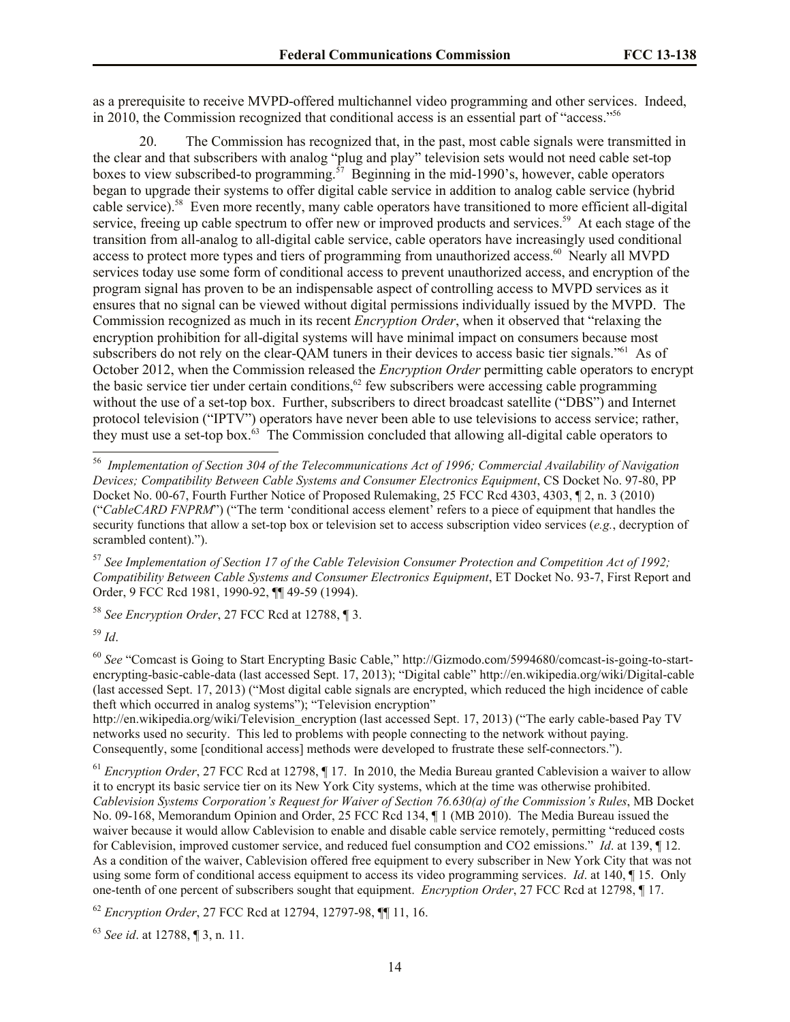as a prerequisite to receive MVPD-offered multichannel video programming and other services. Indeed, in 2010, the Commission recognized that conditional access is an essential part of "access."<sup>56</sup>

20. The Commission has recognized that, in the past, most cable signals were transmitted in the clear and that subscribers with analog "plug and play" television sets would not need cable set-top boxes to view subscribed-to programming.<sup>57</sup> Beginning in the mid-1990's, however, cable operators began to upgrade their systems to offer digital cable service in addition to analog cable service (hybrid cable service).<sup>58</sup> Even more recently, many cable operators have transitioned to more efficient all-digital service, freeing up cable spectrum to offer new or improved products and services.<sup>59</sup> At each stage of the transition from all-analog to all-digital cable service, cable operators have increasingly used conditional access to protect more types and tiers of programming from unauthorized access.<sup>60</sup> Nearly all MVPD services today use some form of conditional access to prevent unauthorized access, and encryption of the program signal has proven to be an indispensable aspect of controlling access to MVPD services as it ensures that no signal can be viewed without digital permissions individually issued by the MVPD. The Commission recognized as much in its recent *Encryption Order*, when it observed that "relaxing the encryption prohibition for all-digital systems will have minimal impact on consumers because most subscribers do not rely on the clear-QAM tuners in their devices to access basic tier signals."<sup>61</sup> As of October 2012, when the Commission released the *Encryption Order* permitting cable operators to encrypt the basic service tier under certain conditions,<sup>62</sup> few subscribers were accessing cable programming without the use of a set-top box. Further, subscribers to direct broadcast satellite ("DBS") and Internet protocol television ("IPTV") operators have never been able to use televisions to access service; rather, they must use a set-top box.<sup>63</sup> The Commission concluded that allowing all-digital cable operators to

<sup>57</sup> *See Implementation of Section 17 of the Cable Television Consumer Protection and Competition Act of 1992; Compatibility Between Cable Systems and Consumer Electronics Equipment*, ET Docket No. 93-7, First Report and Order, 9 FCC Rcd 1981, 1990-92, ¶¶ 49-59 (1994).

<sup>58</sup> *See Encryption Order*, 27 FCC Rcd at 12788, ¶ 3.

<sup>59</sup> *Id*.

<sup>60</sup> *See* "Comcast is Going to Start Encrypting Basic Cable," http://Gizmodo.com/5994680/comcast-is-going-to-startencrypting-basic-cable-data (last accessed Sept. 17, 2013); "Digital cable" http://en.wikipedia.org/wiki/Digital-cable (last accessed Sept. 17, 2013) ("Most digital cable signals are encrypted, which reduced the high incidence of cable theft which occurred in analog systems"); "Television encryption"

http://en.wikipedia.org/wiki/Television\_encryption (last accessed Sept. 17, 2013) ("The early cable-based Pay TV networks used no security. This led to problems with people connecting to the network without paying. Consequently, some [conditional access] methods were developed to frustrate these self-connectors.").

<sup>61</sup> *Encryption Order*, 27 FCC Rcd at 12798,  $\P$  17. In 2010, the Media Bureau granted Cablevision a waiver to allow it to encrypt its basic service tier on its New York City systems, which at the time was otherwise prohibited. *Cablevision Systems Corporation's Request for Waiver of Section 76.630(a) of the Commission's Rules*, MB Docket No. 09-168, Memorandum Opinion and Order, 25 FCC Rcd 134, ¶ 1 (MB 2010). The Media Bureau issued the waiver because it would allow Cablevision to enable and disable cable service remotely, permitting "reduced costs for Cablevision, improved customer service, and reduced fuel consumption and CO2 emissions." *Id*. at 139, ¶ 12. As a condition of the waiver, Cablevision offered free equipment to every subscriber in New York City that was not using some form of conditional access equipment to access its video programming services. *Id*. at 140, ¶ 15. Only one-tenth of one percent of subscribers sought that equipment. *Encryption Order*, 27 FCC Rcd at 12798, ¶ 17.

<sup>62</sup> *Encryption Order*, 27 FCC Rcd at 12794, 12797-98, ¶¶ 11, 16.

<sup>63</sup> *See id*. at 12788, ¶ 3, n. 11.

 56 *Implementation of Section 304 of the Telecommunications Act of 1996; Commercial Availability of Navigation Devices; Compatibility Between Cable Systems and Consumer Electronics Equipment*, CS Docket No. 97-80, PP Docket No. 00-67, Fourth Further Notice of Proposed Rulemaking, 25 FCC Rcd 4303, 4303, ¶ 2, n. 3 (2010) ("*CableCARD FNPRM*") ("The term 'conditional access element' refers to a piece of equipment that handles the security functions that allow a set-top box or television set to access subscription video services (*e.g.*, decryption of scrambled content).").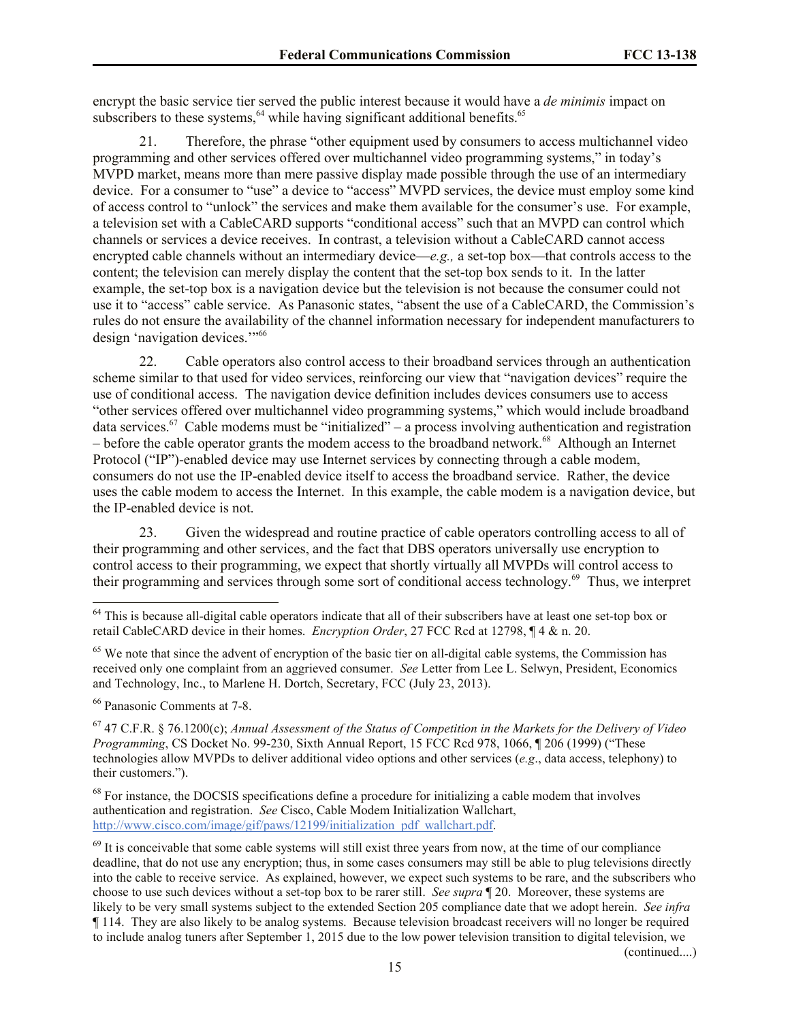encrypt the basic service tier served the public interest because it would have a *de minimis* impact on subscribers to these systems,  $64$  while having significant additional benefits.  $65$ 

21. Therefore, the phrase "other equipment used by consumers to access multichannel video programming and other services offered over multichannel video programming systems," in today's MVPD market, means more than mere passive display made possible through the use of an intermediary device. For a consumer to "use" a device to "access" MVPD services, the device must employ some kind of access control to "unlock" the services and make them available for the consumer's use. For example, a television set with a CableCARD supports "conditional access" such that an MVPD can control which channels or services a device receives. In contrast, a television without a CableCARD cannot access encrypted cable channels without an intermediary device—*e.g.*, a set-top box—that controls access to the content; the television can merely display the content that the set-top box sends to it. In the latter example, the set-top box is a navigation device but the television is not because the consumer could not use it to "access" cable service. As Panasonic states, "absent the use of a CableCARD, the Commission's rules do not ensure the availability of the channel information necessary for independent manufacturers to design 'navigation devices.'" 66

22. Cable operators also control access to their broadband services through an authentication scheme similar to that used for video services, reinforcing our view that "navigation devices" require the use of conditional access. The navigation device definition includes devices consumers use to access "other services offered over multichannel video programming systems," which would include broadband data services.<sup>67</sup> Cable modems must be "initialized" – a process involving authentication and registration – before the cable operator grants the modem access to the broadband network.<sup>68</sup> Although an Internet Protocol ("IP")-enabled device may use Internet services by connecting through a cable modem, consumers do not use the IP-enabled device itself to access the broadband service. Rather, the device uses the cable modem to access the Internet. In this example, the cable modem is a navigation device, but the IP-enabled device is not.

23. Given the widespread and routine practice of cable operators controlling access to all of their programming and other services, and the fact that DBS operators universally use encryption to control access to their programming, we expect that shortly virtually all MVPDs will control access to their programming and services through some sort of conditional access technology. 69 Thus, we interpret

 $\overline{a}$ 

(continued....)

 $64$  This is because all-digital cable operators indicate that all of their subscribers have at least one set-top box or retail CableCARD device in their homes. *Encryption Order*, 27 FCC Rcd at 12798, ¶ 4 & n. 20.

 $65$  We note that since the advent of encryption of the basic tier on all-digital cable systems, the Commission has received only one complaint from an aggrieved consumer. *See* Letter from Lee L. Selwyn, President, Economics and Technology, Inc., to Marlene H. Dortch, Secretary, FCC (July 23, 2013).

<sup>66</sup> Panasonic Comments at 7-8.

<sup>67</sup> 47 C.F.R. § 76.1200(c); *Annual Assessment of the Status of Competition in the Markets for the Delivery of Video Programming*, CS Docket No. 99-230, Sixth Annual Report, 15 FCC Rcd 978, 1066, ¶ 206 (1999) ("These technologies allow MVPDs to deliver additional video options and other services (*e.g*., data access, telephony) to their customers.").

<sup>&</sup>lt;sup>68</sup> For instance, the DOCSIS specifications define a procedure for initializing a cable modem that involves authentication and registration. *See* Cisco, Cable Modem Initialization Wallchart, http://www.cisco.com/image/gif/paws/12199/initialization\_pdf\_wallchart.pdf.

 $69$  It is conceivable that some cable systems will still exist three years from now, at the time of our compliance deadline, that do not use any encryption; thus, in some cases consumers may still be able to plug televisions directly into the cable to receive service. As explained, however, we expect such systems to be rare, and the subscribers who choose to use such devices without a set-top box to be rarer still. *See supra* ¶ 20. Moreover, these systems are likely to be very small systems subject to the extended Section 205 compliance date that we adopt herein. *See infra*  ¶ 114. They are also likely to be analog systems. Because television broadcast receivers will no longer be required to include analog tuners after September 1, 2015 due to the low power television transition to digital television, we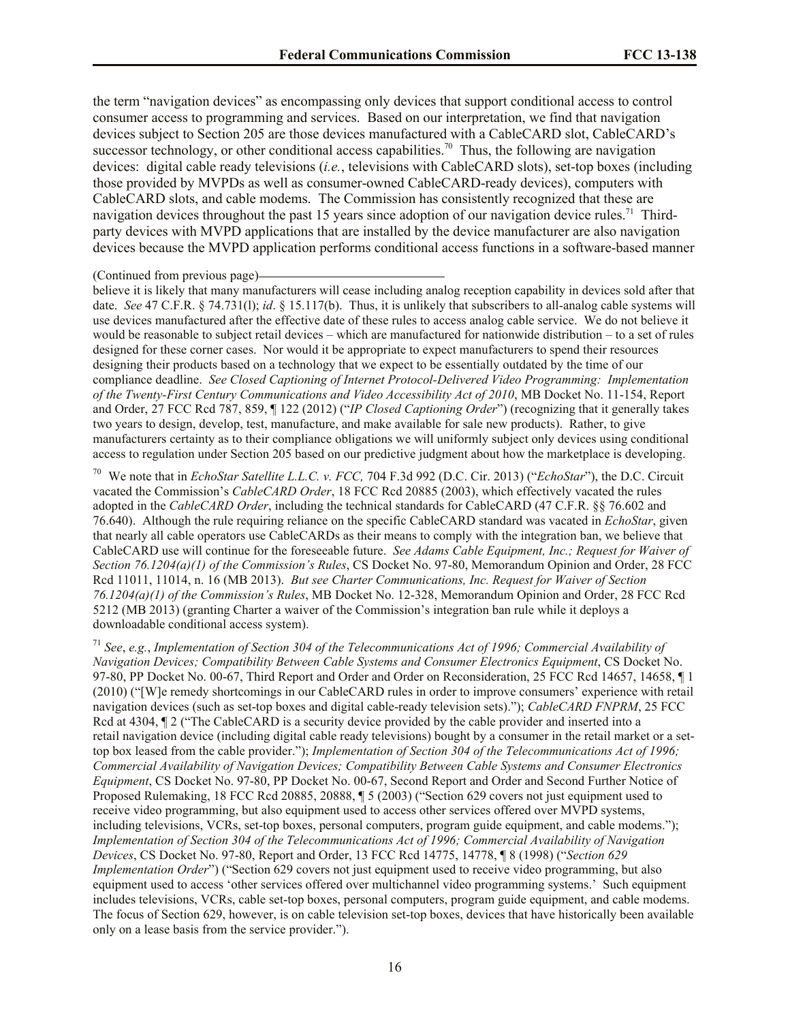the term "navigation devices" as encompassing only devices that support conditional access to control consumer access to programming and services. Based on our interpretation, we find that navigation devices subject to Section 205 are those devices manufactured with a CableCARD slot, CableCARD's successor technology, or other conditional access capabilities.<sup>70</sup> Thus, the following are navigation devices: digital cable ready televisions (*i.e.*, televisions with CableCARD slots), set-top boxes (including those provided by MVPDs as well as consumer-owned CableCARD-ready devices), computers with CableCARD slots, and cable modems. The Commission has consistently recognized that these are navigation devices throughout the past 15 years since adoption of our navigation device rules.<sup>71</sup> Thirdparty devices with MVPD applications that are installed by the device manufacturer are also navigation devices because the MVPD application performs conditional access functions in a software-based manner

#### (Continued from previous page)

believe it is likely that many manufacturers will cease including analog reception capability in devices sold after that date. *See* 47 C.F.R. § 74.731(l); *id*. § 15.117(b). Thus, it is unlikely that subscribers to all-analog cable systems will use devices manufactured after the effective date of these rules to access analog cable service. We do not believe it would be reasonable to subject retail devices – which are manufactured for nationwide distribution – to a set of rules designed for these corner cases. Nor would it be appropriate to expect manufacturers to spend their resources designing their products based on a technology that we expect to be essentially outdated by the time of our compliance deadline. *See Closed Captioning of Internet Protocol-Delivered Video Programming: Implementation of the Twenty-First Century Communications and Video Accessibility Act of 2010*, MB Docket No. 11-154, Report and Order, 27 FCC Rcd 787, 859, ¶ 122 (2012) ("*IP Closed Captioning Order*") (recognizing that it generally takes two years to design, develop, test, manufacture, and make available for sale new products). Rather, to give manufacturers certainty as to their compliance obligations we will uniformly subject only devices using conditional access to regulation under Section 205 based on our predictive judgment about how the marketplace is developing.

70 We note that in *EchoStar Satellite L.L.C. v. FCC,* 704 F.3d 992 (D.C. Cir. 2013) ("*EchoStar*"), the D.C. Circuit vacated the Commission's *CableCARD Order*, 18 FCC Rcd 20885 (2003), which effectively vacated the rules adopted in the *CableCARD Order*, including the technical standards for CableCARD (47 C.F.R. §§ 76.602 and 76.640). Although the rule requiring reliance on the specific CableCARD standard was vacated in *EchoStar*, given that nearly all cable operators use CableCARDs as their means to comply with the integration ban, we believe that CableCARD use will continue for the foreseeable future. *See Adams Cable Equipment, Inc.; Request for Waiver of Section 76.1204(a)(1) of the Commission's Rules*, CS Docket No. 97-80, Memorandum Opinion and Order, 28 FCC Rcd 11011, 11014, n. 16 (MB 2013). *But see Charter Communications, Inc. Request for Waiver of Section 76.1204(a)(1) of the Commission's Rules*, MB Docket No. 12-328, Memorandum Opinion and Order, 28 FCC Rcd 5212 (MB 2013) (granting Charter a waiver of the Commission's integration ban rule while it deploys a downloadable conditional access system).

<sup>71</sup> *See*, *e.g.*, *Implementation of Section 304 of the Telecommunications Act of 1996; Commercial Availability of Navigation Devices; Compatibility Between Cable Systems and Consumer Electronics Equipment*, CS Docket No. 97-80, PP Docket No. 00-67, Third Report and Order and Order on Reconsideration, 25 FCC Rcd 14657, 14658, ¶ 1 (2010) ("[W]e remedy shortcomings in our CableCARD rules in order to improve consumers' experience with retail navigation devices (such as set-top boxes and digital cable-ready television sets)."); *CableCARD FNPRM*, 25 FCC Rcd at 4304,  $\P$  2 ("The CableCARD is a security device provided by the cable provider and inserted into a retail navigation device (including digital cable ready televisions) bought by a consumer in the retail market or a settop box leased from the cable provider."); *Implementation of Section 304 of the Telecommunications Act of 1996; Commercial Availability of Navigation Devices; Compatibility Between Cable Systems and Consumer Electronics Equipment*, CS Docket No. 97-80, PP Docket No. 00-67, Second Report and Order and Second Further Notice of Proposed Rulemaking, 18 FCC Rcd 20885, 20888, ¶ 5 (2003) ("Section 629 covers not just equipment used to receive video programming, but also equipment used to access other services offered over MVPD systems, including televisions, VCRs, set-top boxes, personal computers, program guide equipment, and cable modems."); *Implementation of Section 304 of the Telecommunications Act of 1996; Commercial Availability of Navigation Devices*, CS Docket No. 97-80, Report and Order, 13 FCC Rcd 14775, 14778, ¶ 8 (1998) ("*Section 629 Implementation Order*") ("Section 629 covers not just equipment used to receive video programming, but also equipment used to access 'other services offered over multichannel video programming systems.' Such equipment includes televisions, VCRs, cable set-top boxes, personal computers, program guide equipment, and cable modems. The focus of Section 629, however, is on cable television set-top boxes, devices that have historically been available only on a lease basis from the service provider.").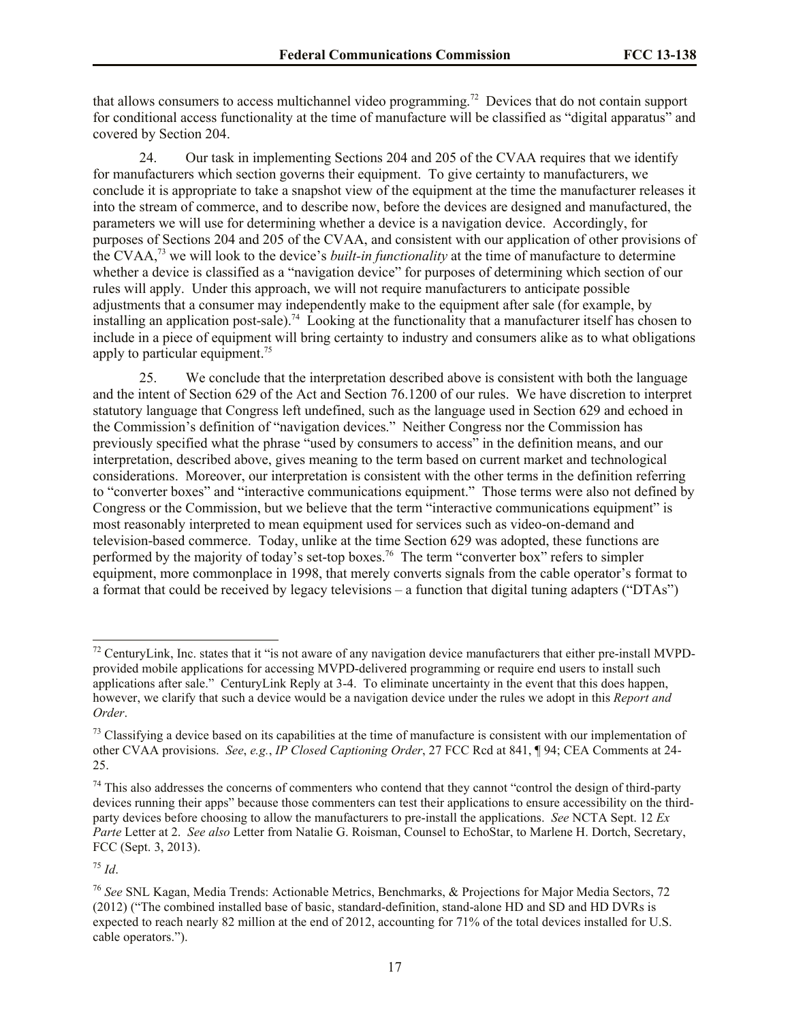that allows consumers to access multichannel video programming.<sup>72</sup> Devices that do not contain support for conditional access functionality at the time of manufacture will be classified as "digital apparatus" and covered by Section 204.

24. Our task in implementing Sections 204 and 205 of the CVAA requires that we identify for manufacturers which section governs their equipment. To give certainty to manufacturers, we conclude it is appropriate to take a snapshot view of the equipment at the time the manufacturer releases it into the stream of commerce, and to describe now, before the devices are designed and manufactured, the parameters we will use for determining whether a device is a navigation device. Accordingly, for purposes of Sections 204 and 205 of the CVAA, and consistent with our application of other provisions of the CVAA,<sup>73</sup> we will look to the device's *built-in functionality* at the time of manufacture to determine whether a device is classified as a "navigation device" for purposes of determining which section of our rules will apply.Under this approach, we will not require manufacturers to anticipate possible adjustments that a consumer may independently make to the equipment after sale (for example, by installing an application post-sale).<sup>74</sup> Looking at the functionality that a manufacturer itself has chosen to include in a piece of equipment will bring certainty to industry and consumers alike as to what obligations apply to particular equipment.<sup>75</sup>

25. We conclude that the interpretation described above is consistent with both the language and the intent of Section 629 of the Act and Section 76.1200 of our rules. We have discretion to interpret statutory language that Congress left undefined, such as the language used in Section 629 and echoed in the Commission's definition of "navigation devices." Neither Congress nor the Commission has previously specified what the phrase "used by consumers to access" in the definition means, and our interpretation, described above, gives meaning to the term based on current market and technological considerations. Moreover, our interpretation is consistent with the other terms in the definition referring to "converter boxes" and "interactive communications equipment." Those terms were also not defined by Congress or the Commission, but we believe that the term "interactive communications equipment" is most reasonably interpreted to mean equipment used for services such as video-on-demand and television-based commerce. Today, unlike at the time Section 629 was adopted, these functions are performed by the majority of today's set-top boxes.<sup>76</sup> The term "converter box" refers to simpler equipment, more commonplace in 1998, that merely converts signals from the cable operator's format to a format that could be received by legacy televisions – a function that digital tuning adapters ("DTAs")

<sup>75</sup> *Id*.

 $\overline{a}$ 

 $72$  CenturyLink, Inc. states that it "is not aware of any navigation device manufacturers that either pre-install MVPDprovided mobile applications for accessing MVPD-delivered programming or require end users to install such applications after sale." CenturyLink Reply at 3-4. To eliminate uncertainty in the event that this does happen, however, we clarify that such a device would be a navigation device under the rules we adopt in this *Report and Order*.

 $<sup>73</sup>$  Classifying a device based on its capabilities at the time of manufacture is consistent with our implementation of</sup> other CVAA provisions. *See*, *e.g.*, *IP Closed Captioning Order*, 27 FCC Rcd at 841, ¶ 94; CEA Comments at 24- 25.

 $74$  This also addresses the concerns of commenters who contend that they cannot "control the design of third-party devices running their apps" because those commenters can test their applications to ensure accessibility on the thirdparty devices before choosing to allow the manufacturers to pre-install the applications. *See* NCTA Sept. 12 *Ex Parte* Letter at 2. *See also* Letter from Natalie G. Roisman, Counsel to EchoStar, to Marlene H. Dortch, Secretary, FCC (Sept. 3, 2013).

<sup>76</sup> *See* SNL Kagan, Media Trends: Actionable Metrics, Benchmarks, & Projections for Major Media Sectors, 72 (2012) ("The combined installed base of basic, standard-definition, stand-alone HD and SD and HD DVRs is expected to reach nearly 82 million at the end of 2012, accounting for 71% of the total devices installed for U.S. cable operators.").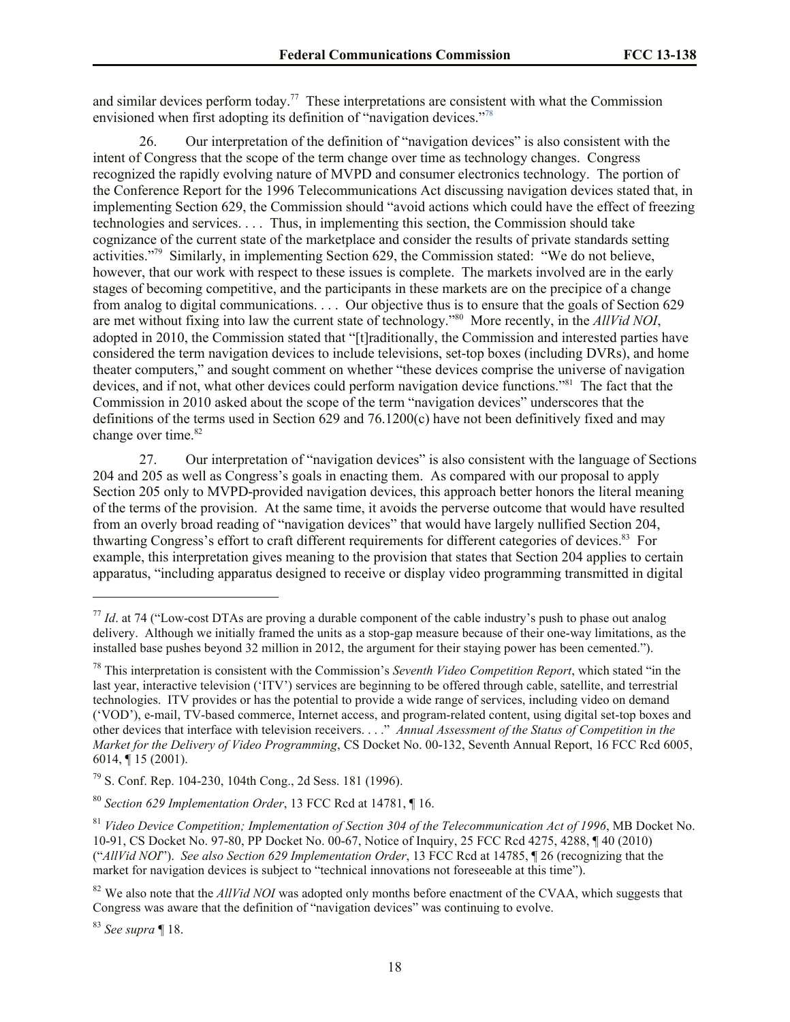and similar devices perform today.<sup>77</sup> These interpretations are consistent with what the Commission envisioned when first adopting its definition of "navigation devices."<sup>78</sup>

26. Our interpretation of the definition of "navigation devices" is also consistent with the intent of Congress that the scope of the term change over time as technology changes. Congress recognized the rapidly evolving nature of MVPD and consumer electronics technology. The portion of the Conference Report for the 1996 Telecommunications Act discussing navigation devices stated that, in implementing Section 629, the Commission should "avoid actions which could have the effect of freezing technologies and services. . . . Thus, in implementing this section, the Commission should take cognizance of the current state of the marketplace and consider the results of private standards setting activities."<sup>79</sup> Similarly, in implementing Section 629, the Commission stated: "We do not believe, however, that our work with respect to these issues is complete. The markets involved are in the early stages of becoming competitive, and the participants in these markets are on the precipice of a change from analog to digital communications. . . . Our objective thus is to ensure that the goals of Section 629 are met without fixing into law the current state of technology."<sup>80</sup> More recently, in the *AllVid NOI*, adopted in 2010, the Commission stated that "[t]raditionally, the Commission and interested parties have considered the term navigation devices to include televisions, set-top boxes (including DVRs), and home theater computers," and sought comment on whether "these devices comprise the universe of navigation devices, and if not, what other devices could perform navigation device functions."<sup>81</sup> The fact that the Commission in 2010 asked about the scope of the term "navigation devices" underscores that the definitions of the terms used in Section 629 and 76.1200(c) have not been definitively fixed and may change over time.<sup>82</sup>

27. Our interpretation of "navigation devices" is also consistent with the language of Sections 204 and 205 as well as Congress's goals in enacting them. As compared with our proposal to apply Section 205 only to MVPD-provided navigation devices, this approach better honors the literal meaning of the terms of the provision. At the same time, it avoids the perverse outcome that would have resulted from an overly broad reading of "navigation devices" that would have largely nullified Section 204, thwarting Congress's effort to craft different requirements for different categories of devices.<sup>83</sup> For example, this interpretation gives meaning to the provision that states that Section 204 applies to certain apparatus, "including apparatus designed to receive or display video programming transmitted in digital

l

 $^{77}$  *Id.* at 74 ("Low-cost DTAs are proving a durable component of the cable industry's push to phase out analog delivery. Although we initially framed the units as a stop-gap measure because of their one-way limitations, as the installed base pushes beyond 32 million in 2012, the argument for their staying power has been cemented.").

<sup>78</sup> This interpretation is consistent with the Commission's *Seventh Video Competition Report*, which stated "in the last year, interactive television ('ITV') services are beginning to be offered through cable, satellite, and terrestrial technologies. ITV provides or has the potential to provide a wide range of services, including video on demand ('VOD'), e-mail, TV-based commerce, Internet access, and program-related content, using digital set-top boxes and other devices that interface with television receivers. . . ." *Annual Assessment of the Status of Competition in the Market for the Delivery of Video Programming*, CS Docket No. 00-132, Seventh Annual Report, 16 FCC Rcd 6005, 6014, ¶ 15 (2001).

<sup>79</sup> S. Conf. Rep. 104-230, 104th Cong., 2d Sess. 181 (1996).

<sup>80</sup> *Section 629 Implementation Order*, 13 FCC Rcd at 14781, ¶ 16.

<sup>81</sup> *Video Device Competition; Implementation of Section 304 of the Telecommunication Act of 1996*, MB Docket No. 10-91, CS Docket No. 97-80, PP Docket No. 00-67, Notice of Inquiry, 25 FCC Rcd 4275, 4288, ¶ 40 (2010) ("*AllVid NOI*"). *See also Section 629 Implementation Order*, 13 FCC Rcd at 14785, ¶ 26 (recognizing that the market for navigation devices is subject to "technical innovations not foreseeable at this time").

<sup>&</sup>lt;sup>82</sup> We also note that the *AllVid NOI* was adopted only months before enactment of the CVAA, which suggests that Congress was aware that the definition of "navigation devices" was continuing to evolve.

<sup>83</sup> *See supra* ¶ 18.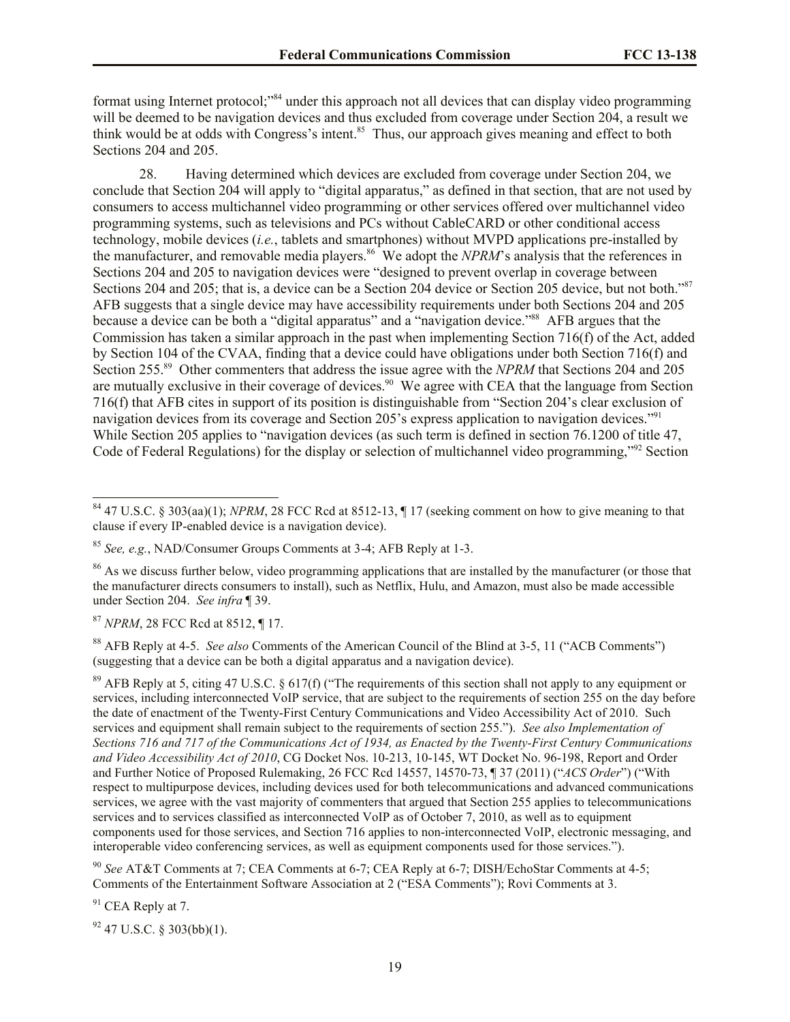format using Internet protocol;<sup>384</sup> under this approach not all devices that can display video programming will be deemed to be navigation devices and thus excluded from coverage under Section 204, a result we think would be at odds with Congress's intent.<sup>85</sup> Thus, our approach gives meaning and effect to both Sections 204 and 205.

28. Having determined which devices are excluded from coverage under Section 204, we conclude that Section 204 will apply to "digital apparatus," as defined in that section, that are not used by consumers to access multichannel video programming or other services offered over multichannel video programming systems, such as televisions and PCs without CableCARD or other conditional access technology, mobile devices (*i.e.*, tablets and smartphones) without MVPD applications pre-installed by the manufacturer, and removable media players. <sup>86</sup> We adopt the *NPRM*'s analysis that the references in Sections 204 and 205 to navigation devices were "designed to prevent overlap in coverage between Sections 204 and 205; that is, a device can be a Section 204 device or Section 205 device, but not both."<sup>87</sup> AFB suggests that a single device may have accessibility requirements under both Sections 204 and 205 because a device can be both a "digital apparatus" and a "navigation device."<sup>88</sup> AFB argues that the Commission has taken a similar approach in the past when implementing Section 716(f) of the Act, added by Section 104 of the CVAA, finding that a device could have obligations under both Section 716(f) and Section 255.<sup>89</sup> Other commenters that address the issue agree with the *NPRM* that Sections 204 and 205 are mutually exclusive in their coverage of devices.<sup>90</sup> We agree with CEA that the language from Section 716(f) that AFB cites in support of its position is distinguishable from "Section 204's clear exclusion of navigation devices from its coverage and Section 205's express application to navigation devices."<sup>91</sup> While Section 205 applies to "navigation devices (as such term is defined in section 76.1200 of title 47, Code of Federal Regulations) for the display or selection of multichannel video programming,"<sup>92</sup> Section

<sup>87</sup> *NPRM*, 28 FCC Rcd at 8512, ¶ 17.

 $\overline{a}$ 

<sup>88</sup> AFB Reply at 4-5. *See also* Comments of the American Council of the Blind at 3-5, 11 ("ACB Comments") (suggesting that a device can be both a digital apparatus and a navigation device).

<sup>89</sup> AFB Reply at 5, citing 47 U.S.C. § 617(f) ("The requirements of this section shall not apply to any equipment or services, including interconnected VoIP service, that are subject to the requirements of section 255 on the day before the date of enactment of the Twenty-First Century Communications and Video Accessibility Act of 2010. Such services and equipment shall remain subject to the requirements of section 255."). *See also Implementation of Sections 716 and 717 of the Communications Act of 1934, as Enacted by the Twenty-First Century Communications and Video Accessibility Act of 2010*, CG Docket Nos. 10-213, 10-145, WT Docket No. 96-198, Report and Order and Further Notice of Proposed Rulemaking, 26 FCC Rcd 14557, 14570-73, ¶ 37 (2011) ("*ACS Order*") ("With respect to multipurpose devices, including devices used for both telecommunications and advanced communications services, we agree with the vast majority of commenters that argued that Section 255 applies to telecommunications services and to services classified as interconnected VoIP as of October 7, 2010, as well as to equipment components used for those services, and Section 716 applies to non-interconnected VoIP, electronic messaging, and interoperable video conferencing services, as well as equipment components used for those services.").

<sup>90</sup> *See* AT&T Comments at 7; CEA Comments at 6-7; CEA Reply at 6-7; DISH/EchoStar Comments at 4-5; Comments of the Entertainment Software Association at 2 ("ESA Comments"); Rovi Comments at 3.

<sup>91</sup> CEA Reply at 7.

 $92$  47 U.S.C. § 303(bb)(1).

<sup>84</sup> 47 U.S.C. § 303(aa)(1); *NPRM*, 28 FCC Rcd at 8512-13, ¶ 17 (seeking comment on how to give meaning to that clause if every IP-enabled device is a navigation device).

<sup>85</sup> *See, e.g.*, NAD/Consumer Groups Comments at 3-4; AFB Reply at 1-3.

<sup>&</sup>lt;sup>86</sup> As we discuss further below, video programming applications that are installed by the manufacturer (or those that the manufacturer directs consumers to install), such as Netflix, Hulu, and Amazon, must also be made accessible under Section 204. *See infra* ¶ 39.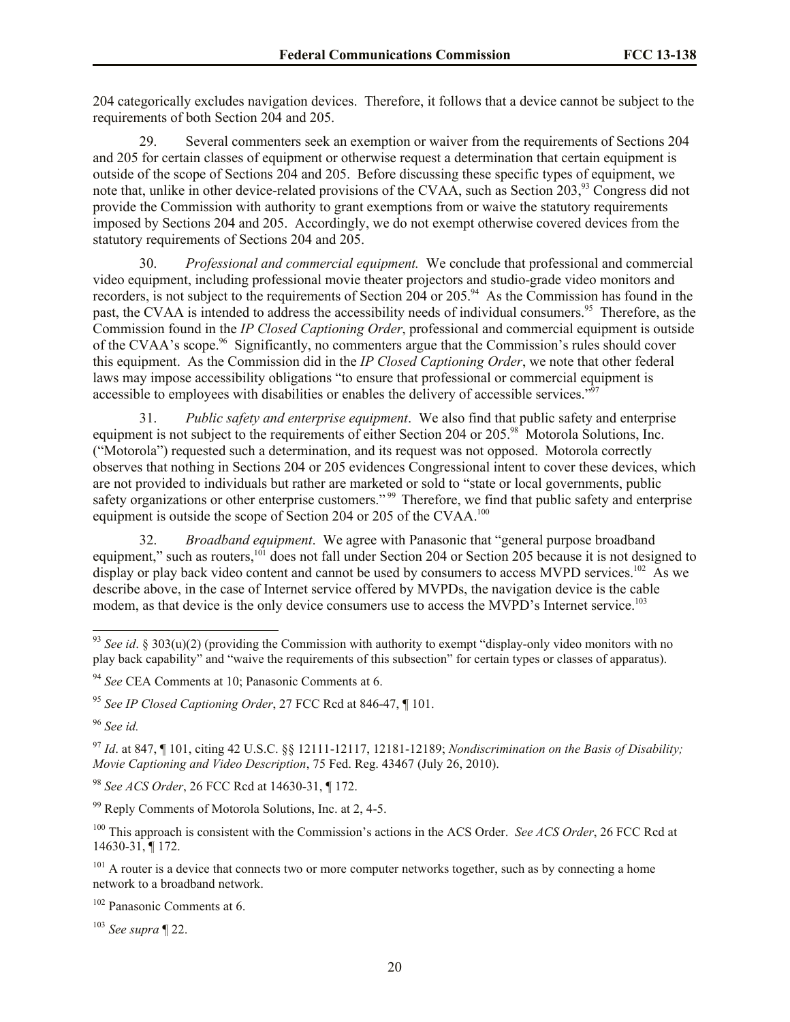204 categorically excludes navigation devices. Therefore, it follows that a device cannot be subject to the requirements of both Section 204 and 205.

29. Several commenters seek an exemption or waiver from the requirements of Sections 204 and 205 for certain classes of equipment or otherwise request a determination that certain equipment is outside of the scope of Sections 204 and 205. Before discussing these specific types of equipment, we note that, unlike in other device-related provisions of the CVAA, such as Section 203,<sup>93</sup> Congress did not provide the Commission with authority to grant exemptions from or waive the statutory requirements imposed by Sections 204 and 205. Accordingly, we do not exempt otherwise covered devices from the statutory requirements of Sections 204 and 205.

30. *Professional and commercial equipment.* We conclude that professional and commercial video equipment, including professional movie theater projectors and studio-grade video monitors and recorders, is not subject to the requirements of Section 204 or 205.<sup>94</sup> As the Commission has found in the past, the CVAA is intended to address the accessibility needs of individual consumers.<sup>95</sup> Therefore, as the Commission found in the *IP Closed Captioning Order*, professional and commercial equipment is outside of the CVAA's scope.<sup>96</sup> Significantly, no commenters argue that the Commission's rules should cover this equipment. As the Commission did in the *IP Closed Captioning Order*, we note that other federal laws may impose accessibility obligations "to ensure that professional or commercial equipment is accessible to employees with disabilities or enables the delivery of accessible services."<sup>97</sup>

31. *Public safety and enterprise equipment*. We also find that public safety and enterprise equipment is not subject to the requirements of either Section 204 or 205.<sup>98</sup> Motorola Solutions, Inc. ("Motorola") requested such a determination, and its request was not opposed. Motorola correctly observes that nothing in Sections 204 or 205 evidences Congressional intent to cover these devices, which are not provided to individuals but rather are marketed or sold to "state or local governments, public safety organizations or other enterprise customers."<sup>99</sup> Therefore, we find that public safety and enterprise equipment is outside the scope of Section 204 or 205 of the CVAA.<sup>100</sup>

32. *Broadband equipment*. We agree with Panasonic that "general purpose broadband equipment," such as routers,<sup>101</sup> does not fall under Section 204 or Section 205 because it is not designed to display or play back video content and cannot be used by consumers to access MVPD services.<sup>102</sup> As we describe above, in the case of Internet service offered by MVPDs, the navigation device is the cable modem, as that device is the only device consumers use to access the MVPD's Internet service.<sup>103</sup>

 $\overline{a}$ 

<sup>98</sup> *See ACS Order*, 26 FCC Rcd at 14630-31, ¶ 172.

<sup>99</sup> Reply Comments of Motorola Solutions, Inc. at 2, 4-5.

<sup>100</sup> This approach is consistent with the Commission's actions in the ACS Order. *See ACS Order*, 26 FCC Rcd at 14630-31, ¶ 172.

<sup>101</sup> A router is a device that connects two or more computer networks together, such as by connecting a home network to a broadband network.

<sup>102</sup> Panasonic Comments at 6.

<sup>103</sup> *See supra* ¶ 22.

<sup>&</sup>lt;sup>93</sup> *See id.* § 303(u)(2) (providing the Commission with authority to exempt "display-only video monitors with no play back capability" and "waive the requirements of this subsection" for certain types or classes of apparatus).

<sup>94</sup> *See* CEA Comments at 10; Panasonic Comments at 6.

<sup>95</sup> *See IP Closed Captioning Order*, 27 FCC Rcd at 846-47, ¶ 101.

<sup>96</sup> *See id.*

<sup>97</sup> *Id*. at 847, ¶ 101, citing 42 U.S.C. §§ 12111-12117, 12181-12189; *Nondiscrimination on the Basis of Disability; Movie Captioning and Video Description*, 75 Fed. Reg. 43467 (July 26, 2010).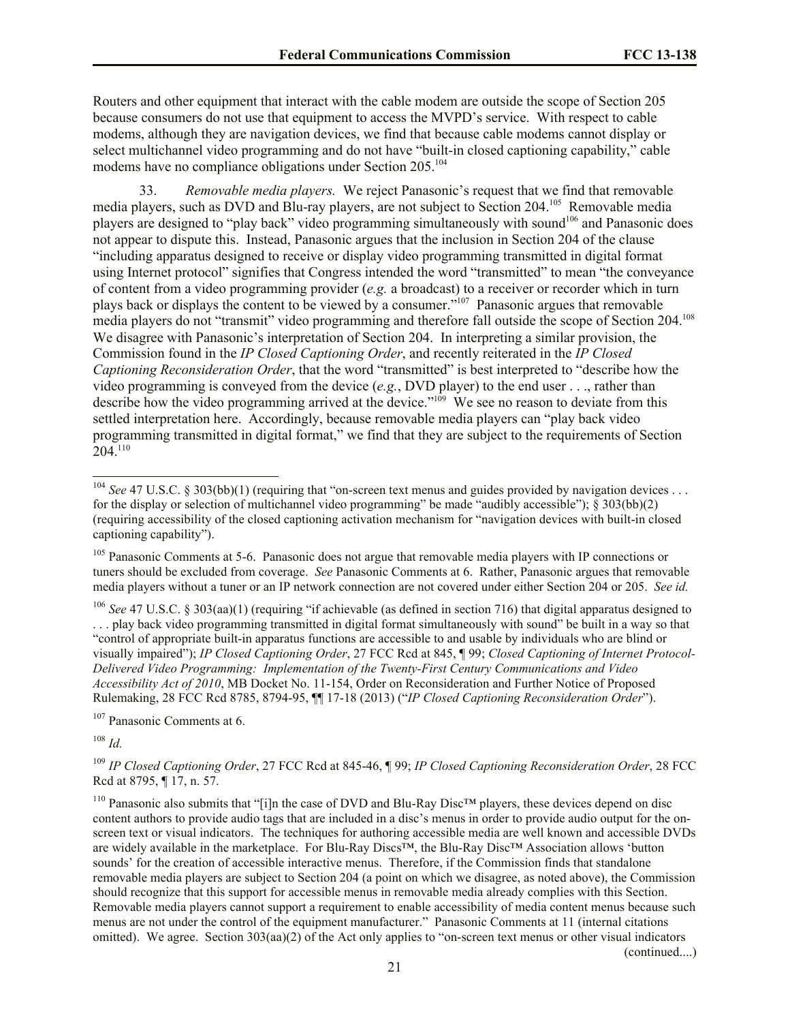Routers and other equipment that interact with the cable modem are outside the scope of Section 205 because consumers do not use that equipment to access the MVPD's service. With respect to cable modems, although they are navigation devices, we find that because cable modems cannot display or select multichannel video programming and do not have "built-in closed captioning capability," cable modems have no compliance obligations under Section 205.<sup>104</sup>

33. *Removable media players.* We reject Panasonic's request that we find that removable media players, such as DVD and Blu-ray players, are not subject to Section 204.<sup>105</sup> Removable media players are designed to "play back" video programming simultaneously with sound<sup>106</sup> and Panasonic does not appear to dispute this. Instead, Panasonic argues that the inclusion in Section 204 of the clause "including apparatus designed to receive or display video programming transmitted in digital format using Internet protocol" signifies that Congress intended the word "transmitted" to mean "the conveyance of content from a video programming provider (*e.g.* a broadcast) to a receiver or recorder which in turn plays back or displays the content to be viewed by a consumer."<sup>107</sup> Panasonic argues that removable media players do not "transmit" video programming and therefore fall outside the scope of Section 204.<sup>108</sup> We disagree with Panasonic's interpretation of Section 204. In interpreting a similar provision, the Commission found in the *IP Closed Captioning Order*, and recently reiterated in the *IP Closed Captioning Reconsideration Order*, that the word "transmitted" is best interpreted to "describe how the video programming is conveyed from the device (*e.g.*, DVD player) to the end user . . ., rather than describe how the video programming arrived at the device."<sup>109</sup> We see no reason to deviate from this settled interpretation here. Accordingly, because removable media players can "play back video programming transmitted in digital format," we find that they are subject to the requirements of Section 204.<sup>110</sup>

<sup>106</sup> *See* 47 U.S.C. § 303(aa)(1) (requiring "if achievable (as defined in section 716) that digital apparatus designed to . . . play back video programming transmitted in digital format simultaneously with sound" be built in a way so that "control of appropriate built-in apparatus functions are accessible to and usable by individuals who are blind or visually impaired"); *IP Closed Captioning Order*, 27 FCC Rcd at 845, ¶ 99; *Closed Captioning of Internet Protocol-Delivered Video Programming: Implementation of the Twenty-First Century Communications and Video Accessibility Act of 2010*, MB Docket No. 11-154, Order on Reconsideration and Further Notice of Proposed Rulemaking, 28 FCC Rcd 8785, 8794-95, ¶¶ 17-18 (2013) ("*IP Closed Captioning Reconsideration Order*").

<sup>107</sup> Panasonic Comments at 6.

<sup>108</sup> *Id.*

 $\overline{a}$ 

<sup>109</sup> *IP Closed Captioning Order*, 27 FCC Rcd at 845-46, ¶ 99; *IP Closed Captioning Reconsideration Order*, 28 FCC Rcd at 8795, ¶ 17, n. 57.

<sup>110</sup> Panasonic also submits that "[i]n the case of DVD and Blu-Ray Disc™ players, these devices depend on disc content authors to provide audio tags that are included in a disc's menus in order to provide audio output for the onscreen text or visual indicators. The techniques for authoring accessible media are well known and accessible DVDs are widely available in the marketplace. For Blu-Ray Discs™, the Blu-Ray Disc™ Association allows 'button sounds' for the creation of accessible interactive menus. Therefore, if the Commission finds that standalone removable media players are subject to Section 204 (a point on which we disagree, as noted above), the Commission should recognize that this support for accessible menus in removable media already complies with this Section. Removable media players cannot support a requirement to enable accessibility of media content menus because such menus are not under the control of the equipment manufacturer." Panasonic Comments at 11 (internal citations omitted). We agree. Section 303(aa)(2) of the Act only applies to "on-screen text menus or other visual indicators

(continued....)

<sup>&</sup>lt;sup>104</sup> *See* 47 U.S.C. § 303(bb)(1) (requiring that "on-screen text menus and guides provided by navigation devices . . . for the display or selection of multichannel video programming" be made "audibly accessible");  $\S$  303(bb)(2) (requiring accessibility of the closed captioning activation mechanism for "navigation devices with built-in closed captioning capability").

<sup>&</sup>lt;sup>105</sup> Panasonic Comments at 5-6. Panasonic does not argue that removable media players with IP connections or tuners should be excluded from coverage. *See* Panasonic Comments at 6. Rather, Panasonic argues that removable media players without a tuner or an IP network connection are not covered under either Section 204 or 205. *See id.*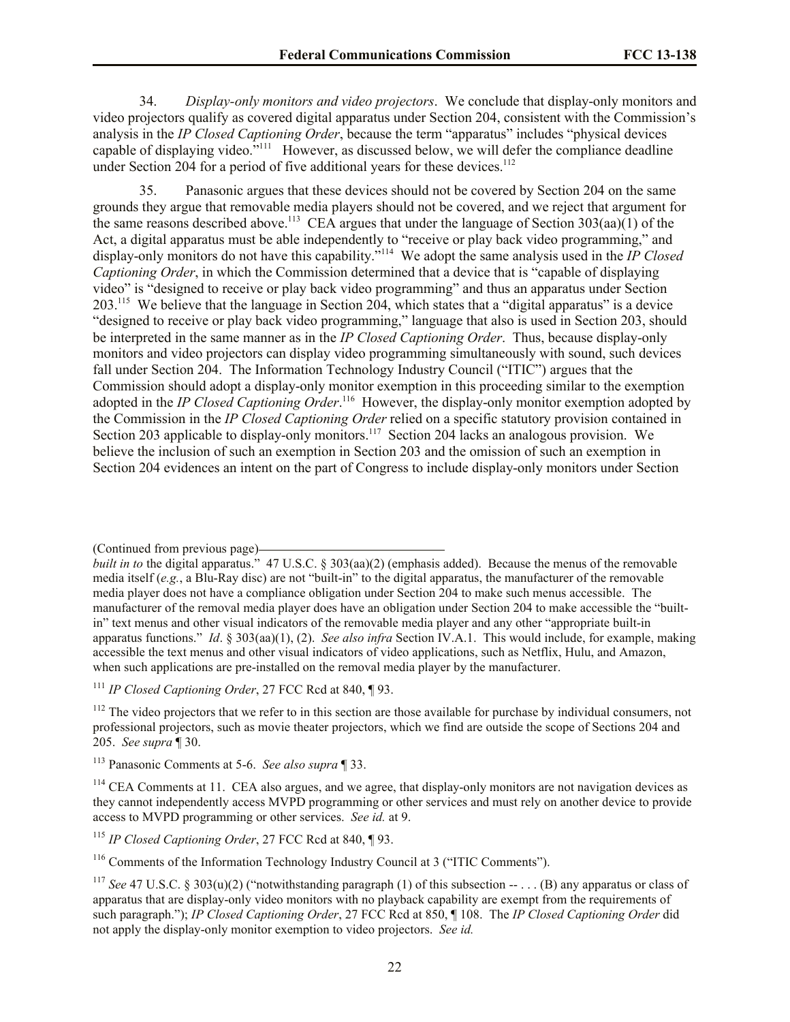34. *Display-only monitors and video projectors*. We conclude that display-only monitors and video projectors qualify as covered digital apparatus under Section 204, consistent with the Commission's analysis in the *IP Closed Captioning Order*, because the term "apparatus" includes "physical devices capable of displaying video."<sup>111</sup> However, as discussed below, we will defer the compliance deadline under Section 204 for a period of five additional years for these devices.<sup>112</sup>

35. Panasonic argues that these devices should not be covered by Section 204 on the same grounds they argue that removable media players should not be covered, and we reject that argument for the same reasons described above.<sup>113</sup> CEA argues that under the language of Section  $303(aa)(1)$  of the Act, a digital apparatus must be able independently to "receive or play back video programming," and display-only monitors do not have this capability." 114 We adopt the same analysis used in the *IP Closed Captioning Order*, in which the Commission determined that a device that is "capable of displaying video" is "designed to receive or play back video programming" and thus an apparatus under Section 203.<sup>115</sup> We believe that the language in Section 204, which states that a "digital apparatus" is a device "designed to receive or play back video programming," language that also is used in Section 203, should be interpreted in the same manner as in the *IP Closed Captioning Order*. Thus, because display-only monitors and video projectors can display video programming simultaneously with sound, such devices fall under Section 204. The Information Technology Industry Council ("ITIC") argues that the Commission should adopt a display-only monitor exemption in this proceeding similar to the exemption adopted in the *IP Closed Captioning Order*.<sup>116</sup> However, the display-only monitor exemption adopted by the Commission in the *IP Closed Captioning Order* relied on a specific statutory provision contained in Section 203 applicable to display-only monitors.<sup>117</sup> Section 204 lacks an analogous provision. We believe the inclusion of such an exemption in Section 203 and the omission of such an exemption in Section 204 evidences an intent on the part of Congress to include display-only monitors under Section

<sup>(</sup>Continued from previous page)

*built in to* the digital apparatus." 47 U.S.C. § 303(aa)(2) (emphasis added). Because the menus of the removable media itself (*e.g.*, a Blu-Ray disc) are not "built-in" to the digital apparatus, the manufacturer of the removable media player does not have a compliance obligation under Section 204 to make such menus accessible. The manufacturer of the removal media player does have an obligation under Section 204 to make accessible the "builtin" text menus and other visual indicators of the removable media player and any other "appropriate built-in apparatus functions." *Id*. § 303(aa)(1), (2). *See also infra* Section IV.A.1. This would include, for example, making accessible the text menus and other visual indicators of video applications, such as Netflix, Hulu, and Amazon, when such applications are pre-installed on the removal media player by the manufacturer.

<sup>111</sup> *IP Closed Captioning Order*, 27 FCC Rcd at 840, ¶ 93.

 $112$  The video projectors that we refer to in this section are those available for purchase by individual consumers, not professional projectors, such as movie theater projectors, which we find are outside the scope of Sections 204 and 205. *See supra* ¶ 30.

<sup>113</sup> Panasonic Comments at 5-6. *See also supra* ¶ 33.

<sup>&</sup>lt;sup>114</sup> CEA Comments at 11. CEA also argues, and we agree, that display-only monitors are not navigation devices as they cannot independently access MVPD programming or other services and must rely on another device to provide access to MVPD programming or other services. *See id.* at 9.

<sup>115</sup> *IP Closed Captioning Order*, 27 FCC Rcd at 840, ¶ 93.

<sup>116</sup> Comments of the Information Technology Industry Council at 3 ("ITIC Comments").

<sup>&</sup>lt;sup>117</sup> *See* 47 U.S.C. § 303(u)(2) ("notwithstanding paragraph (1) of this subsection  $-$ , ... (B) any apparatus or class of apparatus that are display-only video monitors with no playback capability are exempt from the requirements of such paragraph."); *IP Closed Captioning Order*, 27 FCC Rcd at 850, ¶ 108. The *IP Closed Captioning Order* did not apply the display-only monitor exemption to video projectors. *See id.*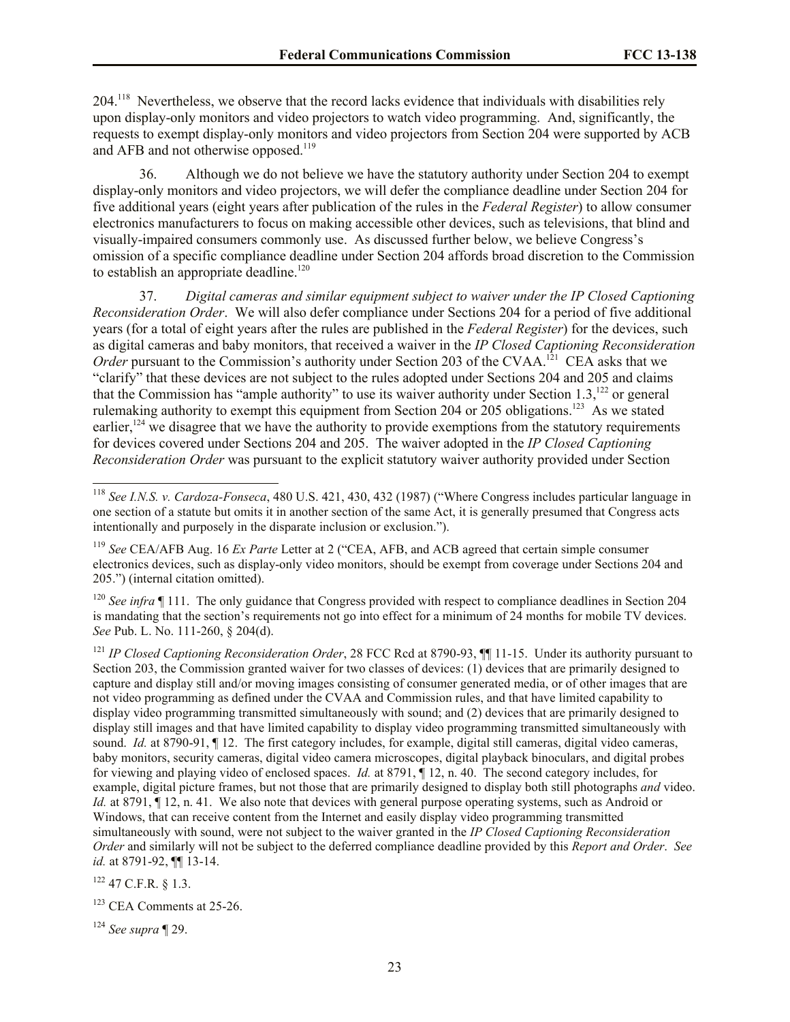204.<sup>118</sup> Nevertheless, we observe that the record lacks evidence that individuals with disabilities rely upon display-only monitors and video projectors to watch video programming. And, significantly, the requests to exempt display-only monitors and video projectors from Section 204 were supported by ACB and AFB and not otherwise opposed.<sup>119</sup>

36. Although we do not believe we have the statutory authority under Section 204 to exempt display-only monitors and video projectors, we will defer the compliance deadline under Section 204 for five additional years (eight years after publication of the rules in the *Federal Register*) to allow consumer electronics manufacturers to focus on making accessible other devices, such as televisions, that blind and visually-impaired consumers commonly use. As discussed further below, we believe Congress's omission of a specific compliance deadline under Section 204 affords broad discretion to the Commission to establish an appropriate deadline.<sup>120</sup>

37. *Digital cameras and similar equipment subject to waiver under the IP Closed Captioning Reconsideration Order*. We will also defer compliance under Sections 204 for a period of five additional years (for a total of eight years after the rules are published in the *Federal Register*) for the devices, such as digital cameras and baby monitors, that received a waiver in the *IP Closed Captioning Reconsideration*  Order pursuant to the Commission's authority under Section 203 of the CVAA.<sup>121</sup> CEA asks that we "clarify" that these devices are not subject to the rules adopted under Sections 204 and 205 and claims that the Commission has "ample authority" to use its waiver authority under Section 1.3,<sup>122</sup> or general rulemaking authority to exempt this equipment from Section 204 or 205 obligations.<sup>123</sup> As we stated earlier, $124$  we disagree that we have the authority to provide exemptions from the statutory requirements for devices covered under Sections 204 and 205. The waiver adopted in the *IP Closed Captioning Reconsideration Order* was pursuant to the explicit statutory waiver authority provided under Section

<sup>120</sup> *See infra* ¶ 111. The only guidance that Congress provided with respect to compliance deadlines in Section 204 is mandating that the section's requirements not go into effect for a minimum of 24 months for mobile TV devices. *See* Pub. L. No. 111-260, § 204(d).

<sup>121</sup> *IP Closed Captioning Reconsideration Order*, 28 FCC Rcd at 8790-93, **[1]** 11-15. Under its authority pursuant to Section 203, the Commission granted waiver for two classes of devices: (1) devices that are primarily designed to capture and display still and/or moving images consisting of consumer generated media, or of other images that are not video programming as defined under the CVAA and Commission rules, and that have limited capability to display video programming transmitted simultaneously with sound; and (2) devices that are primarily designed to display still images and that have limited capability to display video programming transmitted simultaneously with sound. *Id.* at 8790-91, ¶ 12. The first category includes, for example, digital still cameras, digital video cameras, baby monitors, security cameras, digital video camera microscopes, digital playback binoculars, and digital probes for viewing and playing video of enclosed spaces. *Id.* at 8791, ¶ 12, n. 40. The second category includes, for example, digital picture frames, but not those that are primarily designed to display both still photographs *and* video. *Id.* at 8791,  $\P$  12, n. 41. We also note that devices with general purpose operating systems, such as Android or Windows, that can receive content from the Internet and easily display video programming transmitted simultaneously with sound, were not subject to the waiver granted in the *IP Closed Captioning Reconsideration Order* and similarly will not be subject to the deferred compliance deadline provided by this *Report and Order*. *See id.* at 8791-92, ¶¶ 13-14.

 $122$  47 C.F.R. § 1.3.

 $\overline{a}$ 

<sup>123</sup> CEA Comments at 25-26.

<sup>124</sup> *See supra* ¶ 29.

<sup>118</sup> *See I.N.S. v. Cardoza-Fonseca*, 480 U.S. 421, 430, 432 (1987) ("Where Congress includes particular language in one section of a statute but omits it in another section of the same Act, it is generally presumed that Congress acts intentionally and purposely in the disparate inclusion or exclusion.").

<sup>119</sup> *See* CEA/AFB Aug. 16 *Ex Parte* Letter at 2 ("CEA, AFB, and ACB agreed that certain simple consumer electronics devices, such as display-only video monitors, should be exempt from coverage under Sections 204 and 205.") (internal citation omitted).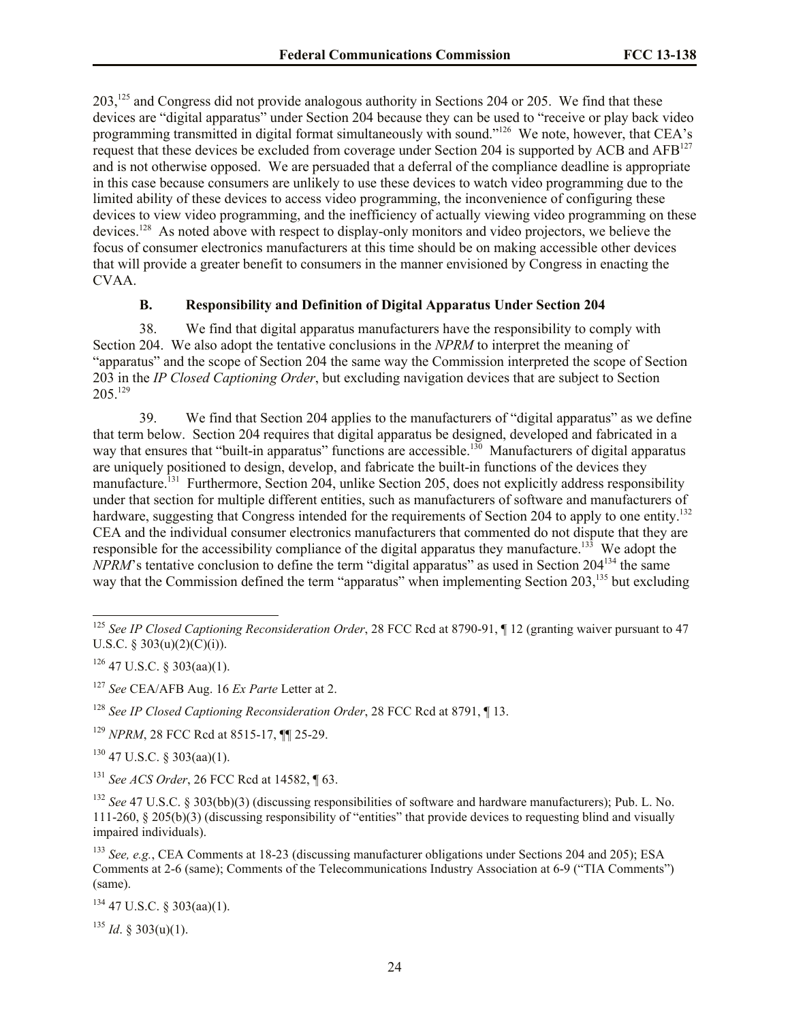203,<sup>125</sup> and Congress did not provide analogous authority in Sections 204 or 205. We find that these devices are "digital apparatus" under Section 204 because they can be used to "receive or play back video programming transmitted in digital format simultaneously with sound."<sup>126</sup> We note, however, that CEA's request that these devices be excluded from coverage under Section 204 is supported by ACB and AFB<sup>127</sup> and is not otherwise opposed. We are persuaded that a deferral of the compliance deadline is appropriate in this case because consumers are unlikely to use these devices to watch video programming due to the limited ability of these devices to access video programming, the inconvenience of configuring these devices to view video programming, and the inefficiency of actually viewing video programming on these devices.<sup>128</sup> As noted above with respect to display-only monitors and video projectors, we believe the focus of consumer electronics manufacturers at this time should be on making accessible other devices that will provide a greater benefit to consumers in the manner envisioned by Congress in enacting the CVAA.

#### **B. Responsibility and Definition of Digital Apparatus Under Section 204**

38. We find that digital apparatus manufacturers have the responsibility to comply with Section 204. We also adopt the tentative conclusions in the *NPRM* to interpret the meaning of "apparatus" and the scope of Section 204 the same way the Commission interpreted the scope of Section 203 in the *IP Closed Captioning Order*, but excluding navigation devices that are subject to Section 205<sup>129</sup>

39. We find that Section 204 applies to the manufacturers of "digital apparatus" as we define that term below. Section 204 requires that digital apparatus be designed, developed and fabricated in a way that ensures that "built-in apparatus" functions are accessible.<sup>130</sup> Manufacturers of digital apparatus are uniquely positioned to design, develop, and fabricate the built-in functions of the devices they manufacture.<sup>131</sup> Furthermore, Section 204, unlike Section 205, does not explicitly address responsibility under that section for multiple different entities, such as manufacturers of software and manufacturers of hardware, suggesting that Congress intended for the requirements of Section 204 to apply to one entity.<sup>132</sup> CEA and the individual consumer electronics manufacturers that commented do not dispute that they are responsible for the accessibility compliance of the digital apparatus they manufacture.<sup>133</sup> We adopt the *NPRM*'s tentative conclusion to define the term "digital apparatus" as used in Section 204<sup>134</sup> the same way that the Commission defined the term "apparatus" when implementing Section 203,<sup>135</sup> but excluding

 $\overline{a}$ 

<sup>130</sup> 47 U.S.C. § 303(aa)(1).

<sup>131</sup> *See ACS Order*, 26 FCC Rcd at 14582, ¶ 63.

 $134$  47 U.S.C. § 303(aa)(1).

 $^{135}$  *Id.* § 303(u)(1).

<sup>125</sup> *See IP Closed Captioning Reconsideration Order*, 28 FCC Rcd at 8790-91, ¶ 12 (granting waiver pursuant to 47 U.S.C. § 303(u)(2)(C)(i)).

 $126$  47 U.S.C. § 303(aa)(1).

<sup>127</sup> *See* CEA/AFB Aug. 16 *Ex Parte* Letter at 2.

<sup>128</sup> *See IP Closed Captioning Reconsideration Order*, 28 FCC Rcd at 8791, ¶ 13.

<sup>129</sup> *NPRM*, 28 FCC Rcd at 8515-17, ¶¶ 25-29.

<sup>132</sup> *See* 47 U.S.C. § 303(bb)(3) (discussing responsibilities of software and hardware manufacturers); Pub. L. No. 111-260, § 205(b)(3) (discussing responsibility of "entities" that provide devices to requesting blind and visually impaired individuals).

<sup>133</sup> *See, e.g.*, CEA Comments at 18-23 (discussing manufacturer obligations under Sections 204 and 205); ESA Comments at 2-6 (same); Comments of the Telecommunications Industry Association at 6-9 ("TIA Comments") (same).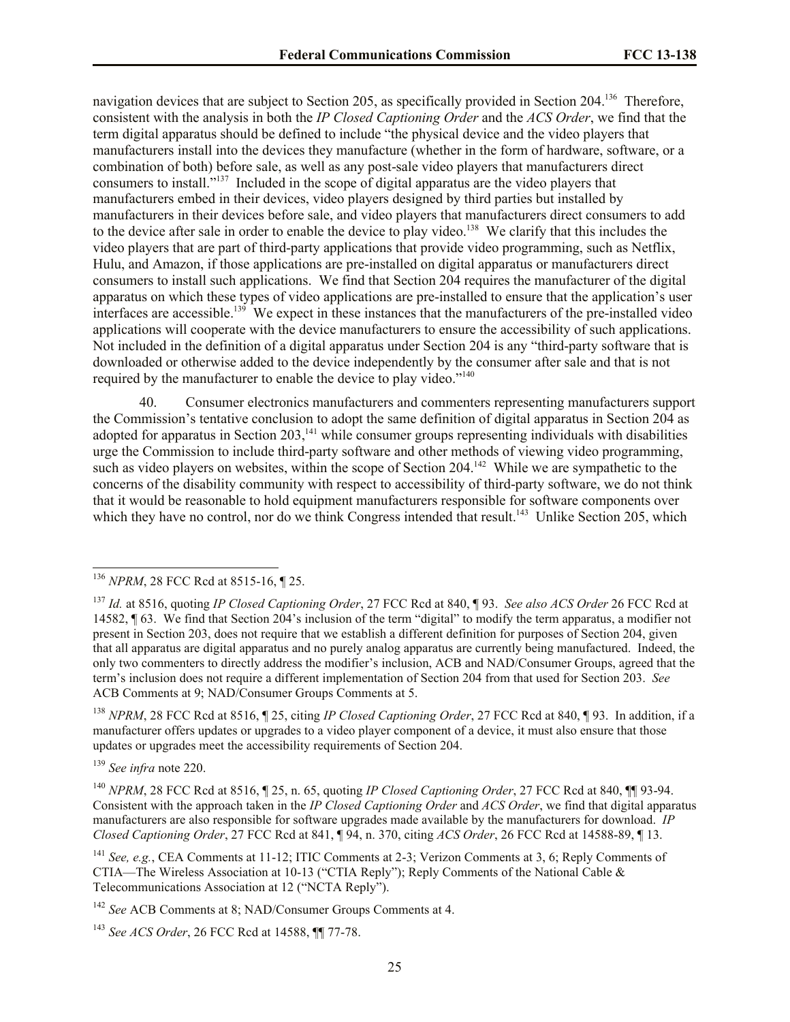navigation devices that are subject to Section 205, as specifically provided in Section 204.<sup>136</sup> Therefore, consistent with the analysis in both the *IP Closed Captioning Order* and the *ACS Order*, we find that the term digital apparatus should be defined to include "the physical device and the video players that manufacturers install into the devices they manufacture (whether in the form of hardware, software, or a combination of both) before sale, as well as any post-sale video players that manufacturers direct consumers to install."<sup>137</sup> Included in the scope of digital apparatus are the video players that manufacturers embed in their devices, video players designed by third parties but installed by manufacturers in their devices before sale, and video players that manufacturers direct consumers to add to the device after sale in order to enable the device to play video.<sup>138</sup> We clarify that this includes the video players that are part of third-party applications that provide video programming, such as Netflix, Hulu, and Amazon, if those applications are pre-installed on digital apparatus or manufacturers direct consumers to install such applications. We find that Section 204 requires the manufacturer of the digital apparatus on which these types of video applications are pre-installed to ensure that the application's user interfaces are accessible.<sup>139</sup> We expect in these instances that the manufacturers of the pre-installed video applications will cooperate with the device manufacturers to ensure the accessibility of such applications. Not included in the definition of a digital apparatus under Section 204 is any "third-party software that is downloaded or otherwise added to the device independently by the consumer after sale and that is not required by the manufacturer to enable the device to play video."<sup>140</sup>

40. Consumer electronics manufacturers and commenters representing manufacturers support the Commission's tentative conclusion to adopt the same definition of digital apparatus in Section 204 as adopted for apparatus in Section  $203$ ,<sup>141</sup> while consumer groups representing individuals with disabilities urge the Commission to include third-party software and other methods of viewing video programming, such as video players on websites, within the scope of Section  $204$ <sup>142</sup> While we are sympathetic to the concerns of the disability community with respect to accessibility of third-party software, we do not think that it would be reasonable to hold equipment manufacturers responsible for software components over which they have no control, nor do we think Congress intended that result.<sup>143</sup> Unlike Section 205, which

<sup>138</sup> *NPRM*, 28 FCC Rcd at 8516, ¶ 25, citing *IP Closed Captioning Order*, 27 FCC Rcd at 840, ¶ 93. In addition, if a manufacturer offers updates or upgrades to a video player component of a device, it must also ensure that those updates or upgrades meet the accessibility requirements of Section 204.

<sup>139</sup> *See infra* note 220.

 $\overline{a}$ 

<sup>140</sup> *NPRM*, 28 FCC Rcd at 8516, ¶ 25, n. 65, quoting *IP Closed Captioning Order*, 27 FCC Rcd at 840, ¶¶ 93-94. Consistent with the approach taken in the *IP Closed Captioning Order* and *ACS Order*, we find that digital apparatus manufacturers are also responsible for software upgrades made available by the manufacturers for download. *IP Closed Captioning Order*, 27 FCC Rcd at 841, ¶ 94, n. 370, citing *ACS Order*, 26 FCC Rcd at 14588-89, ¶ 13.

<sup>141</sup> *See, e.g.*, CEA Comments at 11-12; ITIC Comments at 2-3; Verizon Comments at 3, 6; Reply Comments of CTIA—The Wireless Association at 10-13 ("CTIA Reply"); Reply Comments of the National Cable & Telecommunications Association at 12 ("NCTA Reply").

<sup>142</sup> *See* ACB Comments at 8; NAD/Consumer Groups Comments at 4.

<sup>143</sup> *See ACS Order*, 26 FCC Rcd at 14588, ¶¶ 77-78.

<sup>136</sup> *NPRM*, 28 FCC Rcd at 8515-16, ¶ 25.

<sup>137</sup> *Id.* at 8516, quoting *IP Closed Captioning Order*, 27 FCC Rcd at 840, ¶ 93. *See also ACS Order* 26 FCC Rcd at 14582, ¶ 63. We find that Section 204's inclusion of the term "digital" to modify the term apparatus, a modifier not present in Section 203, does not require that we establish a different definition for purposes of Section 204, given that all apparatus are digital apparatus and no purely analog apparatus are currently being manufactured. Indeed, the only two commenters to directly address the modifier's inclusion, ACB and NAD/Consumer Groups, agreed that the term's inclusion does not require a different implementation of Section 204 from that used for Section 203. *See*  ACB Comments at 9; NAD/Consumer Groups Comments at 5.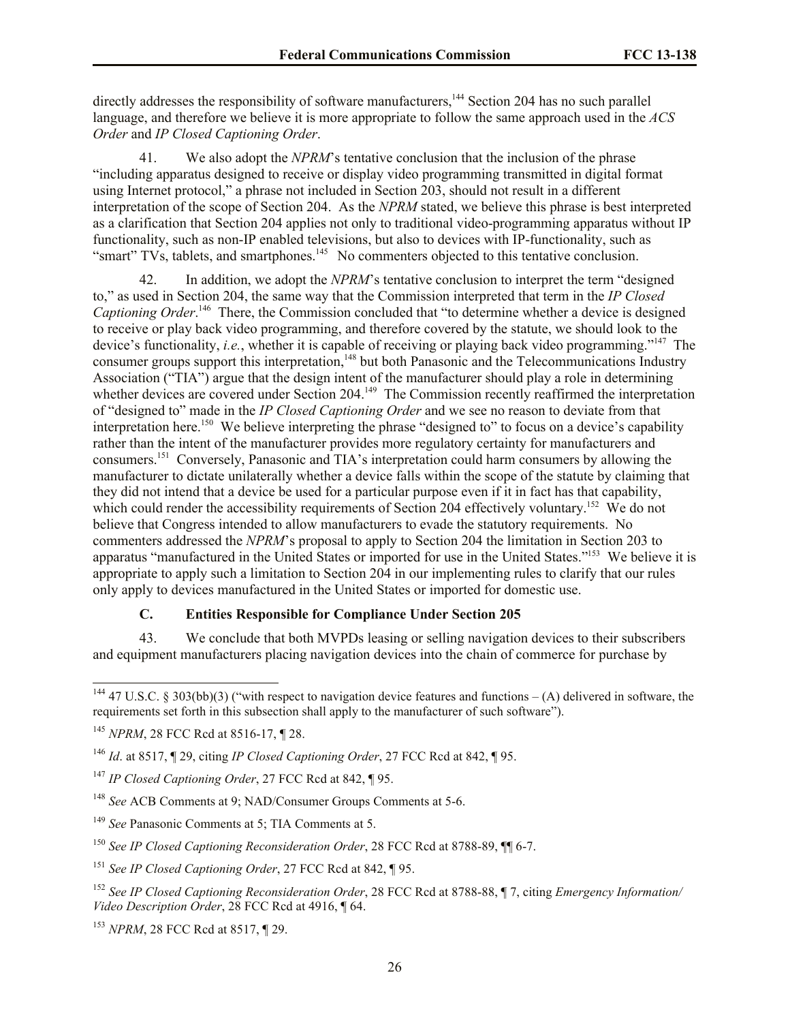directly addresses the responsibility of software manufacturers,<sup>144</sup> Section 204 has no such parallel language, and therefore we believe it is more appropriate to follow the same approach used in the *ACS Order* and *IP Closed Captioning Order*.

41. We also adopt the *NPRM*'s tentative conclusion that the inclusion of the phrase "including apparatus designed to receive or display video programming transmitted in digital format using Internet protocol," a phrase not included in Section 203, should not result in a different interpretation of the scope of Section 204. As the *NPRM* stated, we believe this phrase is best interpreted as a clarification that Section 204 applies not only to traditional video-programming apparatus without IP functionality, such as non-IP enabled televisions, but also to devices with IP-functionality, such as "smart" TVs, tablets, and smartphones.<sup>145</sup> No commenters objected to this tentative conclusion.

42. In addition, we adopt the *NPRM*'s tentative conclusion to interpret the term "designed to," as used in Section 204, the same way that the Commission interpreted that term in the *IP Closed*  Captioning Order.<sup>146</sup> There, the Commission concluded that "to determine whether a device is designed to receive or play back video programming, and therefore covered by the statute, we should look to the device's functionality, *i.e.*, whether it is capable of receiving or playing back video programming."<sup>147</sup> The consumer groups support this interpretation,<sup>148</sup> but both Panasonic and the Telecommunications Industry Association ("TIA") argue that the design intent of the manufacturer should play a role in determining whether devices are covered under Section 204.<sup>149</sup> The Commission recently reaffirmed the interpretation of "designed to" made in the *IP Closed Captioning Order* and we see no reason to deviate from that interpretation here.<sup>150</sup> We believe interpreting the phrase "designed to" to focus on a device's capability rather than the intent of the manufacturer provides more regulatory certainty for manufacturers and consumers.<sup>151</sup> Conversely, Panasonic and TIA's interpretation could harm consumers by allowing the manufacturer to dictate unilaterally whether a device falls within the scope of the statute by claiming that they did not intend that a device be used for a particular purpose even if it in fact has that capability, which could render the accessibility requirements of Section 204 effectively voluntary.<sup>152</sup> We do not believe that Congress intended to allow manufacturers to evade the statutory requirements. No commenters addressed the *NPRM*'s proposal to apply to Section 204 the limitation in Section 203 to apparatus "manufactured in the United States or imported for use in the United States."<sup>153</sup> We believe it is appropriate to apply such a limitation to Section 204 in our implementing rules to clarify that our rules only apply to devices manufactured in the United States or imported for domestic use.

## **C. Entities Responsible for Compliance Under Section 205**

43. We conclude that both MVPDs leasing or selling navigation devices to their subscribers and equipment manufacturers placing navigation devices into the chain of commerce for purchase by

 $\overline{a}$ 

<sup>&</sup>lt;sup>144</sup> 47 U.S.C. § 303(bb)(3) ("with respect to navigation device features and functions – (A) delivered in software, the requirements set forth in this subsection shall apply to the manufacturer of such software").

<sup>145</sup> *NPRM*, 28 FCC Rcd at 8516-17, ¶ 28.

<sup>146</sup> *Id*. at 8517, ¶ 29, citing *IP Closed Captioning Order*, 27 FCC Rcd at 842, ¶ 95.

<sup>147</sup> *IP Closed Captioning Order*, 27 FCC Rcd at 842, ¶ 95.

<sup>148</sup> *See* ACB Comments at 9; NAD/Consumer Groups Comments at 5-6.

<sup>149</sup> *See* Panasonic Comments at 5; TIA Comments at 5.

<sup>150</sup> *See IP Closed Captioning Reconsideration Order*, 28 FCC Rcd at 8788-89, ¶¶ 6-7.

<sup>151</sup> *See IP Closed Captioning Order*, 27 FCC Rcd at 842, ¶ 95.

<sup>152</sup> *See IP Closed Captioning Reconsideration Order*, 28 FCC Rcd at 8788-88, ¶ 7, citing *Emergency Information/ Video Description Order*, 28 FCC Rcd at 4916, ¶ 64.

<sup>153</sup> *NPRM*, 28 FCC Rcd at 8517, ¶ 29.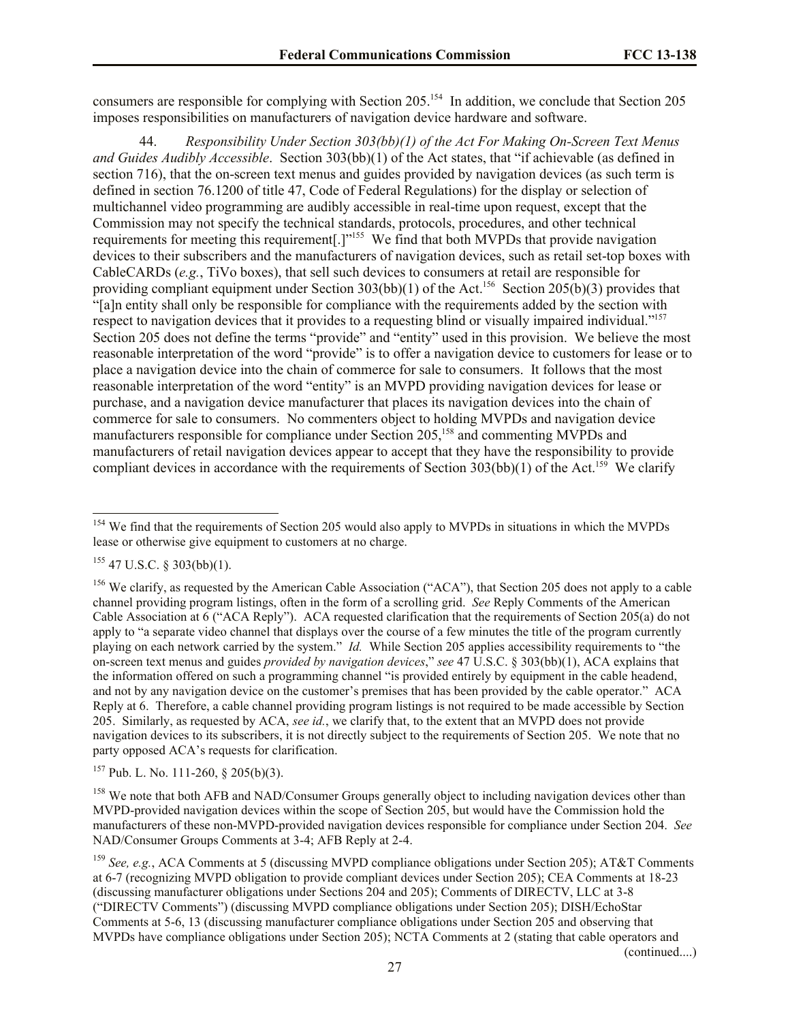consumers are responsible for complying with Section 205.<sup>154</sup> In addition, we conclude that Section 205 imposes responsibilities on manufacturers of navigation device hardware and software.

44. *Responsibility Under Section 303(bb)(1) of the Act For Making On-Screen Text Menus and Guides Audibly Accessible*. Section 303(bb)(1) of the Act states, that "if achievable (as defined in section 716), that the on-screen text menus and guides provided by navigation devices (as such term is defined in section 76.1200 of title 47, Code of Federal Regulations) for the display or selection of multichannel video programming are audibly accessible in real-time upon request, except that the Commission may not specify the technical standards, protocols, procedures, and other technical requirements for meeting this requirement[.]"<sup>155</sup> We find that both MVPDs that provide navigation devices to their subscribers and the manufacturers of navigation devices, such as retail set-top boxes with CableCARDs (*e.g.*, TiVo boxes), that sell such devices to consumers at retail are responsible for providing compliant equipment under Section 303(bb)(1) of the Act.<sup>156</sup> Section 205(b)(3) provides that "[a]n entity shall only be responsible for compliance with the requirements added by the section with respect to navigation devices that it provides to a requesting blind or visually impaired individual."<sup>157</sup> Section 205 does not define the terms "provide" and "entity" used in this provision. We believe the most reasonable interpretation of the word "provide" is to offer a navigation device to customers for lease or to place a navigation device into the chain of commerce for sale to consumers. It follows that the most reasonable interpretation of the word "entity" is an MVPD providing navigation devices for lease or purchase, and a navigation device manufacturer that places its navigation devices into the chain of commerce for sale to consumers. No commenters object to holding MVPDs and navigation device manufacturers responsible for compliance under Section 205, <sup>158</sup> and commenting MVPDs and manufacturers of retail navigation devices appear to accept that they have the responsibility to provide compliant devices in accordance with the requirements of Section  $303(bb)(1)$  of the Act.<sup>159</sup> We clarify

 $\overline{a}$ 

(continued....)

<sup>&</sup>lt;sup>154</sup> We find that the requirements of Section 205 would also apply to MVPDs in situations in which the MVPDs lease or otherwise give equipment to customers at no charge.

 $155$  47 U.S.C. § 303(bb)(1).

<sup>&</sup>lt;sup>156</sup> We clarify, as requested by the American Cable Association ("ACA"), that Section 205 does not apply to a cable channel providing program listings, often in the form of a scrolling grid. *See* Reply Comments of the American Cable Association at 6 ("ACA Reply"). ACA requested clarification that the requirements of Section 205(a) do not apply to "a separate video channel that displays over the course of a few minutes the title of the program currently playing on each network carried by the system." *Id.* While Section 205 applies accessibility requirements to "the on-screen text menus and guides *provided by navigation devices*," *see* 47 U.S.C. § 303(bb)(1), ACA explains that the information offered on such a programming channel "is provided entirely by equipment in the cable headend, and not by any navigation device on the customer's premises that has been provided by the cable operator." ACA Reply at 6. Therefore, a cable channel providing program listings is not required to be made accessible by Section 205. Similarly, as requested by ACA, *see id.*, we clarify that, to the extent that an MVPD does not provide navigation devices to its subscribers, it is not directly subject to the requirements of Section 205. We note that no party opposed ACA's requests for clarification.

 $157$  Pub. L. No. 111-260, § 205(b)(3).

<sup>&</sup>lt;sup>158</sup> We note that both AFB and NAD/Consumer Groups generally object to including navigation devices other than MVPD-provided navigation devices within the scope of Section 205, but would have the Commission hold the manufacturers of these non-MVPD-provided navigation devices responsible for compliance under Section 204. *See*  NAD/Consumer Groups Comments at 3-4; AFB Reply at 2-4.

<sup>159</sup> *See, e.g.*, ACA Comments at 5 (discussing MVPD compliance obligations under Section 205); AT&T Comments at 6-7 (recognizing MVPD obligation to provide compliant devices under Section 205); CEA Comments at 18-23 (discussing manufacturer obligations under Sections 204 and 205); Comments of DIRECTV, LLC at 3-8 ("DIRECTV Comments") (discussing MVPD compliance obligations under Section 205); DISH/EchoStar Comments at 5-6, 13 (discussing manufacturer compliance obligations under Section 205 and observing that MVPDs have compliance obligations under Section 205); NCTA Comments at 2 (stating that cable operators and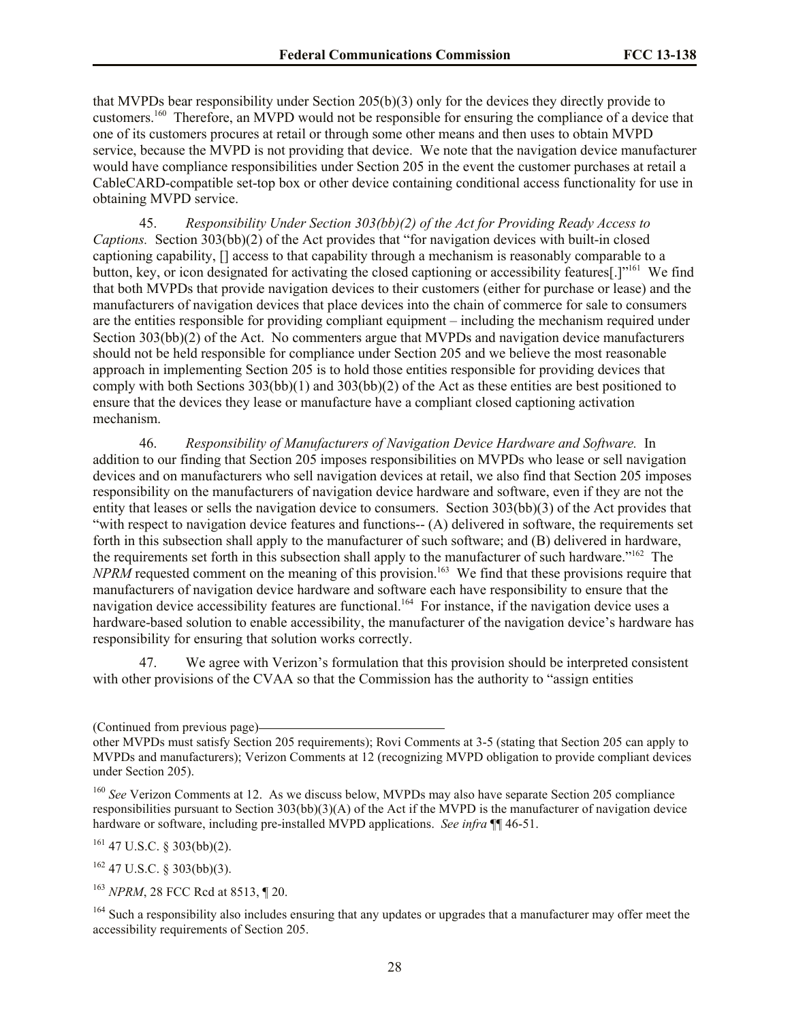that MVPDs bear responsibility under Section 205(b)(3) only for the devices they directly provide to customers.<sup>160</sup> Therefore, an MVPD would not be responsible for ensuring the compliance of a device that one of its customers procures at retail or through some other means and then uses to obtain MVPD service, because the MVPD is not providing that device. We note that the navigation device manufacturer would have compliance responsibilities under Section 205 in the event the customer purchases at retail a CableCARD-compatible set-top box or other device containing conditional access functionality for use in obtaining MVPD service.

45. *Responsibility Under Section 303(bb)(2) of the Act for Providing Ready Access to Captions.* Section 303(bb)(2) of the Act provides that "for navigation devices with built-in closed captioning capability, [] access to that capability through a mechanism is reasonably comparable to a button, key, or icon designated for activating the closed captioning or accessibility features[.]"<sup>161</sup> We find that both MVPDs that provide navigation devices to their customers (either for purchase or lease) and the manufacturers of navigation devices that place devices into the chain of commerce for sale to consumers are the entities responsible for providing compliant equipment – including the mechanism required under Section 303(bb)(2) of the Act. No commenters argue that MVPDs and navigation device manufacturers should not be held responsible for compliance under Section 205 and we believe the most reasonable approach in implementing Section 205 is to hold those entities responsible for providing devices that comply with both Sections 303(bb)(1) and 303(bb)(2) of the Act as these entities are best positioned to ensure that the devices they lease or manufacture have a compliant closed captioning activation mechanism.

46. *Responsibility of Manufacturers of Navigation Device Hardware and Software.* In addition to our finding that Section 205 imposes responsibilities on MVPDs who lease or sell navigation devices and on manufacturers who sell navigation devices at retail, we also find that Section 205 imposes responsibility on the manufacturers of navigation device hardware and software, even if they are not the entity that leases or sells the navigation device to consumers. Section 303(bb)(3) of the Act provides that "with respect to navigation device features and functions-- (A) delivered in software, the requirements set forth in this subsection shall apply to the manufacturer of such software; and (B) delivered in hardware, the requirements set forth in this subsection shall apply to the manufacturer of such hardware."<sup>162</sup> The *NPRM* requested comment on the meaning of this provision.<sup>163</sup> We find that these provisions require that manufacturers of navigation device hardware and software each have responsibility to ensure that the navigation device accessibility features are functional.<sup>164</sup> For instance, if the navigation device uses a hardware-based solution to enable accessibility, the manufacturer of the navigation device's hardware has responsibility for ensuring that solution works correctly.

47. We agree with Verizon's formulation that this provision should be interpreted consistent with other provisions of the CVAA so that the Commission has the authority to "assign entities"

 $161$  47 U.S.C. § 303(bb)(2).

 $162$  47 U.S.C. § 303(bb)(3).

<sup>163</sup> *NPRM*, 28 FCC Rcd at 8513, ¶ 20.

<sup>(</sup>Continued from previous page)

other MVPDs must satisfy Section 205 requirements); Rovi Comments at 3-5 (stating that Section 205 can apply to MVPDs and manufacturers); Verizon Comments at 12 (recognizing MVPD obligation to provide compliant devices under Section 205).

<sup>160</sup> *See* Verizon Comments at 12. As we discuss below, MVPDs may also have separate Section 205 compliance responsibilities pursuant to Section 303(bb)(3)(A) of the Act if the MVPD is the manufacturer of navigation device hardware or software, including pre-installed MVPD applications. *See infra* ¶¶ 46-51.

<sup>&</sup>lt;sup>164</sup> Such a responsibility also includes ensuring that any updates or upgrades that a manufacturer may offer meet the accessibility requirements of Section 205.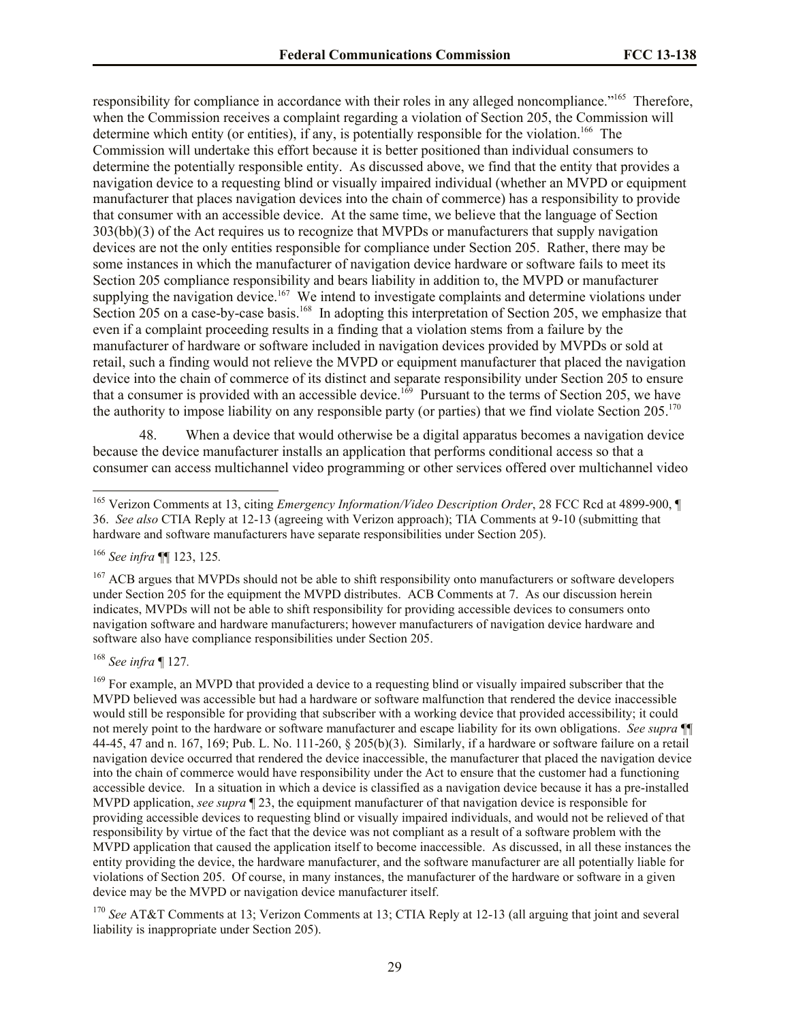responsibility for compliance in accordance with their roles in any alleged noncompliance."<sup>165</sup> Therefore, when the Commission receives a complaint regarding a violation of Section 205, the Commission will determine which entity (or entities), if any, is potentially responsible for the violation.<sup>166</sup> The Commission will undertake this effort because it is better positioned than individual consumers to determine the potentially responsible entity. As discussed above, we find that the entity that provides a navigation device to a requesting blind or visually impaired individual (whether an MVPD or equipment manufacturer that places navigation devices into the chain of commerce) has a responsibility to provide that consumer with an accessible device. At the same time, we believe that the language of Section 303(bb)(3) of the Act requires us to recognize that MVPDs or manufacturers that supply navigation devices are not the only entities responsible for compliance under Section 205. Rather, there may be some instances in which the manufacturer of navigation device hardware or software fails to meet its Section 205 compliance responsibility and bears liability in addition to, the MVPD or manufacturer supplying the navigation device.<sup>167</sup> We intend to investigate complaints and determine violations under Section 205 on a case-by-case basis.<sup>168</sup> In adopting this interpretation of Section 205, we emphasize that even if a complaint proceeding results in a finding that a violation stems from a failure by the manufacturer of hardware or software included in navigation devices provided by MVPDs or sold at retail, such a finding would not relieve the MVPD or equipment manufacturer that placed the navigation device into the chain of commerce of its distinct and separate responsibility under Section 205 to ensure that a consumer is provided with an accessible device.<sup>169</sup> Pursuant to the terms of Section 205, we have the authority to impose liability on any responsible party (or parties) that we find violate Section 205.<sup>170</sup>

48. When a device that would otherwise be a digital apparatus becomes a navigation device because the device manufacturer installs an application that performs conditional access so that a consumer can access multichannel video programming or other services offered over multichannel video

<sup>166</sup> *See infra* ¶¶ 123, 125*.*

 $\overline{a}$ 

<sup>168</sup> *See infra* ¶ 127*.*

<sup>170</sup> *See* AT&T Comments at 13; Verizon Comments at 13; CTIA Reply at 12-13 (all arguing that joint and several liability is inappropriate under Section 205).

<sup>165</sup> Verizon Comments at 13, citing *Emergency Information/Video Description Order*, 28 FCC Rcd at 4899-900, ¶ 36. *See also* CTIA Reply at 12-13 (agreeing with Verizon approach); TIA Comments at 9-10 (submitting that hardware and software manufacturers have separate responsibilities under Section 205).

<sup>&</sup>lt;sup>167</sup> ACB argues that MVPDs should not be able to shift responsibility onto manufacturers or software developers under Section 205 for the equipment the MVPD distributes. ACB Comments at 7. As our discussion herein indicates, MVPDs will not be able to shift responsibility for providing accessible devices to consumers onto navigation software and hardware manufacturers; however manufacturers of navigation device hardware and software also have compliance responsibilities under Section 205.

<sup>&</sup>lt;sup>169</sup> For example, an MVPD that provided a device to a requesting blind or visually impaired subscriber that the MVPD believed was accessible but had a hardware or software malfunction that rendered the device inaccessible would still be responsible for providing that subscriber with a working device that provided accessibility; it could not merely point to the hardware or software manufacturer and escape liability for its own obligations. *See supra* ¶¶ 44-45, 47 and n. 167, 169; Pub. L. No. 111-260, § 205(b)(3). Similarly, if a hardware or software failure on a retail navigation device occurred that rendered the device inaccessible, the manufacturer that placed the navigation device into the chain of commerce would have responsibility under the Act to ensure that the customer had a functioning accessible device. In a situation in which a device is classified as a navigation device because it has a pre-installed MVPD application, *see supra* ¶ 23, the equipment manufacturer of that navigation device is responsible for providing accessible devices to requesting blind or visually impaired individuals, and would not be relieved of that responsibility by virtue of the fact that the device was not compliant as a result of a software problem with the MVPD application that caused the application itself to become inaccessible. As discussed, in all these instances the entity providing the device, the hardware manufacturer, and the software manufacturer are all potentially liable for violations of Section 205. Of course, in many instances, the manufacturer of the hardware or software in a given device may be the MVPD or navigation device manufacturer itself.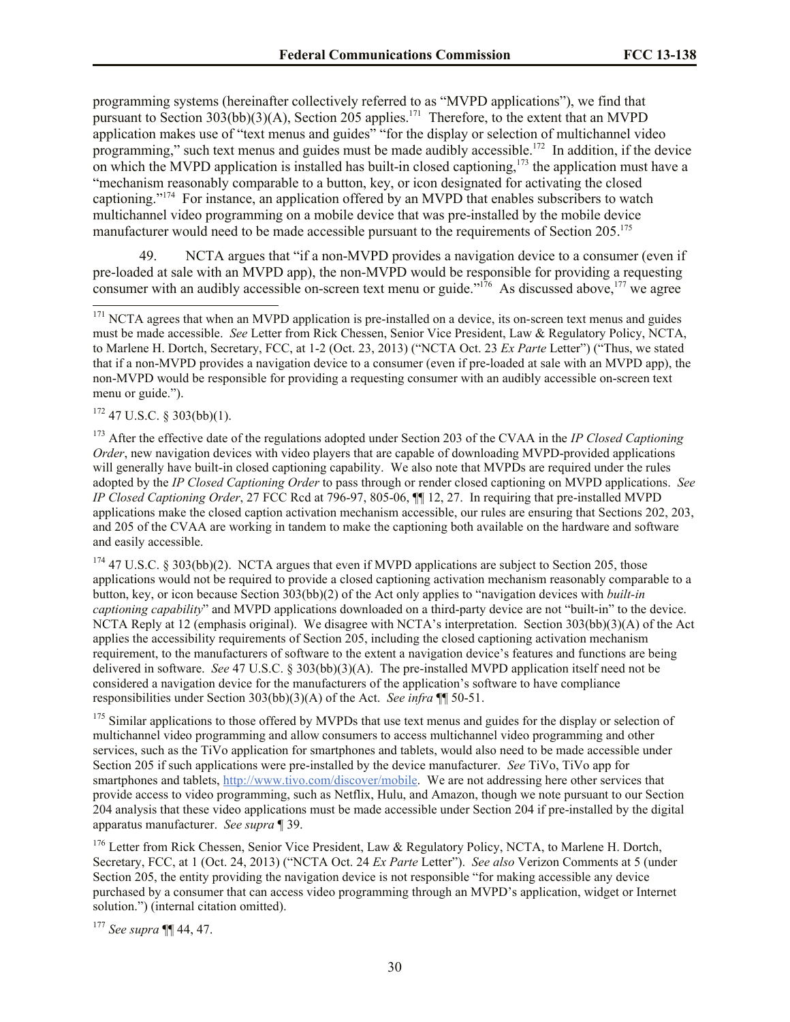programming systems (hereinafter collectively referred to as "MVPD applications"), we find that pursuant to Section  $303(bb)(3)(A)$ , Section 205 applies.<sup>171</sup> Therefore, to the extent that an MVPD application makes use of "text menus and guides" "for the display or selection of multichannel video programming," such text menus and guides must be made audibly accessible.<sup>172</sup> In addition, if the device on which the MVPD application is installed has built-in closed captioning,<sup>173</sup> the application must have a "mechanism reasonably comparable to a button, key, or icon designated for activating the closed captioning."<sup>174</sup> For instance, an application offered by an MVPD that enables subscribers to watch multichannel video programming on a mobile device that was pre-installed by the mobile device manufacturer would need to be made accessible pursuant to the requirements of Section 205.<sup>175</sup>

49. NCTA argues that "if a non-MVPD provides a navigation device to a consumer (even if pre-loaded at sale with an MVPD app), the non-MVPD would be responsible for providing a requesting consumer with an audibly accessible on-screen text menu or guide."<sup>176</sup> As discussed above,<sup>177</sup> we agree

 $172$  47 U.S.C. § 303(bb)(1).

 $\overline{a}$ 

<sup>173</sup> After the effective date of the regulations adopted under Section 203 of the CVAA in the *IP Closed Captioning Order*, new navigation devices with video players that are capable of downloading MVPD-provided applications will generally have built-in closed captioning capability. We also note that MVPDs are required under the rules adopted by the *IP Closed Captioning Order* to pass through or render closed captioning on MVPD applications. *See IP Closed Captioning Order*, 27 FCC Rcd at 796-97, 805-06, ¶¶ 12, 27. In requiring that pre-installed MVPD applications make the closed caption activation mechanism accessible, our rules are ensuring that Sections 202, 203, and 205 of the CVAA are working in tandem to make the captioning both available on the hardware and software and easily accessible.

 $174$  47 U.S.C. § 303(bb)(2). NCTA argues that even if MVPD applications are subject to Section 205, those applications would not be required to provide a closed captioning activation mechanism reasonably comparable to a button, key, or icon because Section 303(bb)(2) of the Act only applies to "navigation devices with *built-in captioning capability*" and MVPD applications downloaded on a third-party device are not "built-in" to the device. NCTA Reply at 12 (emphasis original). We disagree with NCTA's interpretation. Section 303(bb)(3)(A) of the Act applies the accessibility requirements of Section 205, including the closed captioning activation mechanism requirement, to the manufacturers of software to the extent a navigation device's features and functions are being delivered in software. *See* 47 U.S.C. § 303(bb)(3)(A). The pre-installed MVPD application itself need not be considered a navigation device for the manufacturers of the application's software to have compliance responsibilities under Section 303(bb)(3)(A) of the Act. *See infra* ¶¶ 50-51.

<sup>175</sup> Similar applications to those offered by MVPDs that use text menus and guides for the display or selection of multichannel video programming and allow consumers to access multichannel video programming and other services, such as the TiVo application for smartphones and tablets, would also need to be made accessible under Section 205 if such applications were pre-installed by the device manufacturer. *See* TiVo, TiVo app for smartphones and tablets, http://www.tivo.com/discover/mobile. We are not addressing here other services that provide access to video programming, such as Netflix, Hulu, and Amazon, though we note pursuant to our Section 204 analysis that these video applications must be made accessible under Section 204 if pre-installed by the digital apparatus manufacturer. *See supra* ¶ 39.

<sup>176</sup> Letter from Rick Chessen, Senior Vice President, Law & Regulatory Policy, NCTA, to Marlene H. Dortch, Secretary, FCC, at 1 (Oct. 24, 2013) ("NCTA Oct. 24 *Ex Parte* Letter"). *See also* Verizon Comments at 5 (under Section 205, the entity providing the navigation device is not responsible "for making accessible any device purchased by a consumer that can access video programming through an MVPD's application, widget or Internet solution.") (internal citation omitted).

<sup>177</sup> *See supra* ¶¶ 44, 47.

<sup>&</sup>lt;sup>171</sup> NCTA agrees that when an MVPD application is pre-installed on a device, its on-screen text menus and guides must be made accessible. *See* Letter from Rick Chessen, Senior Vice President, Law & Regulatory Policy, NCTA, to Marlene H. Dortch, Secretary, FCC, at 1-2 (Oct. 23, 2013) ("NCTA Oct. 23 *Ex Parte* Letter") ("Thus, we stated that if a non-MVPD provides a navigation device to a consumer (even if pre-loaded at sale with an MVPD app), the non-MVPD would be responsible for providing a requesting consumer with an audibly accessible on-screen text menu or guide.").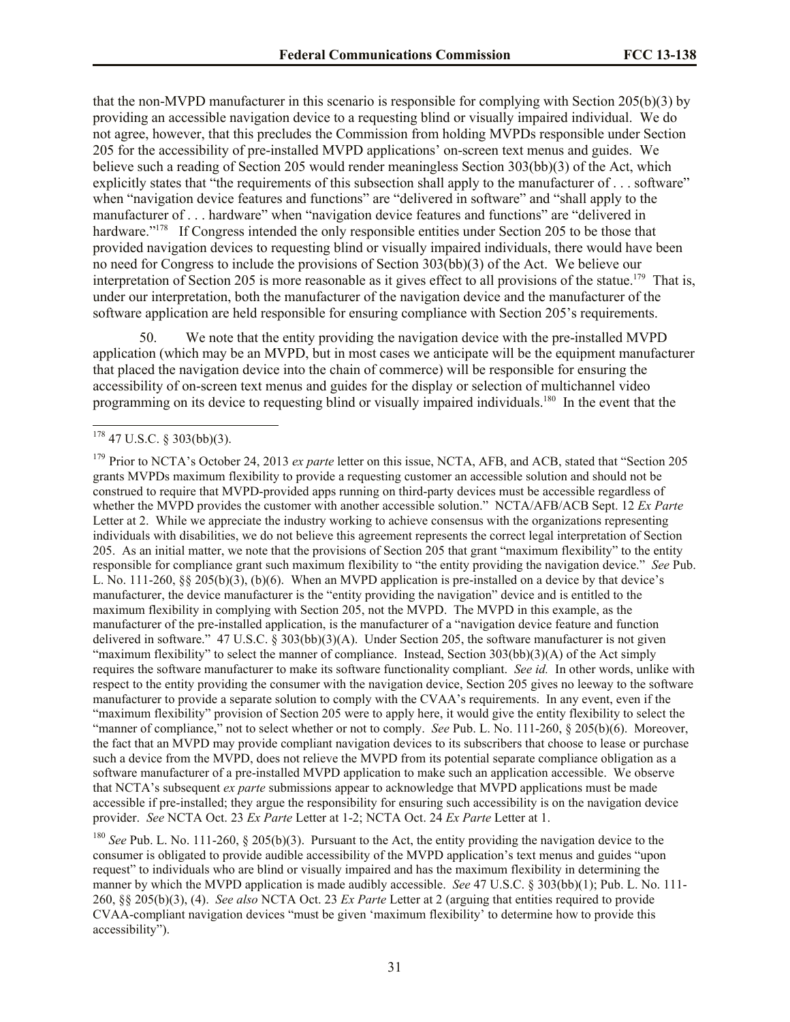that the non-MVPD manufacturer in this scenario is responsible for complying with Section 205(b)(3) by providing an accessible navigation device to a requesting blind or visually impaired individual. We do not agree, however, that this precludes the Commission from holding MVPDs responsible under Section 205 for the accessibility of pre-installed MVPD applications' on-screen text menus and guides. We believe such a reading of Section 205 would render meaningless Section 303(bb)(3) of the Act, which explicitly states that "the requirements of this subsection shall apply to the manufacturer of . . . software" when "navigation device features and functions" are "delivered in software" and "shall apply to the manufacturer of . . . hardware" when "navigation device features and functions" are "delivered in hardware."<sup>178</sup> If Congress intended the only responsible entities under Section 205 to be those that provided navigation devices to requesting blind or visually impaired individuals, there would have been no need for Congress to include the provisions of Section 303(bb)(3) of the Act. We believe our interpretation of Section 205 is more reasonable as it gives effect to all provisions of the statue.<sup>179</sup> That is, under our interpretation, both the manufacturer of the navigation device and the manufacturer of the software application are held responsible for ensuring compliance with Section 205's requirements.

50. We note that the entity providing the navigation device with the pre-installed MVPD application (which may be an MVPD, but in most cases we anticipate will be the equipment manufacturer that placed the navigation device into the chain of commerce) will be responsible for ensuring the accessibility of on-screen text menus and guides for the display or selection of multichannel video programming on its device to requesting blind or visually impaired individuals.<sup>180</sup> In the event that the

 $\overline{a}$ 

<sup>180</sup> *See Pub. L. No.* 111-260, § 205(b)(3). Pursuant to the Act, the entity providing the navigation device to the consumer is obligated to provide audible accessibility of the MVPD application's text menus and guides "upon request" to individuals who are blind or visually impaired and has the maximum flexibility in determining the manner by which the MVPD application is made audibly accessible. *See* 47 U.S.C. § 303(bb)(1); Pub. L. No. 111- 260, §§ 205(b)(3), (4). *See also* NCTA Oct. 23 *Ex Parte* Letter at 2 (arguing that entities required to provide CVAA-compliant navigation devices "must be given 'maximum flexibility' to determine how to provide this accessibility").

 $178$  47 U.S.C. § 303(bb)(3).

<sup>179</sup> Prior to NCTA's October 24, 2013 *ex parte* letter on this issue, NCTA, AFB, and ACB, stated that "Section 205 grants MVPDs maximum flexibility to provide a requesting customer an accessible solution and should not be construed to require that MVPD-provided apps running on third-party devices must be accessible regardless of whether the MVPD provides the customer with another accessible solution." NCTA/AFB/ACB Sept. 12 *Ex Parte* Letter at 2. While we appreciate the industry working to achieve consensus with the organizations representing individuals with disabilities, we do not believe this agreement represents the correct legal interpretation of Section 205. As an initial matter, we note that the provisions of Section 205 that grant "maximum flexibility" to the entity responsible for compliance grant such maximum flexibility to "the entity providing the navigation device." *See* Pub. L. No. 111-260, §§ 205(b)(3), (b)(6). When an MVPD application is pre-installed on a device by that device's manufacturer, the device manufacturer is the "entity providing the navigation" device and is entitled to the maximum flexibility in complying with Section 205, not the MVPD. The MVPD in this example, as the manufacturer of the pre-installed application, is the manufacturer of a "navigation device feature and function delivered in software." 47 U.S.C. § 303(bb)(3)(A). Under Section 205, the software manufacturer is not given "maximum flexibility" to select the manner of compliance. Instead, Section 303(bb)(3)(A) of the Act simply requires the software manufacturer to make its software functionality compliant. *See id.* In other words, unlike with respect to the entity providing the consumer with the navigation device, Section 205 gives no leeway to the software manufacturer to provide a separate solution to comply with the CVAA's requirements. In any event, even if the "maximum flexibility" provision of Section 205 were to apply here, it would give the entity flexibility to select the "manner of compliance," not to select whether or not to comply. *See* Pub. L. No. 111-260, § 205(b)(6). Moreover, the fact that an MVPD may provide compliant navigation devices to its subscribers that choose to lease or purchase such a device from the MVPD, does not relieve the MVPD from its potential separate compliance obligation as a software manufacturer of a pre-installed MVPD application to make such an application accessible. We observe that NCTA's subsequent *ex parte* submissions appear to acknowledge that MVPD applications must be made accessible if pre-installed; they argue the responsibility for ensuring such accessibility is on the navigation device provider. *See* NCTA Oct. 23 *Ex Parte* Letter at 1-2; NCTA Oct. 24 *Ex Parte* Letter at 1.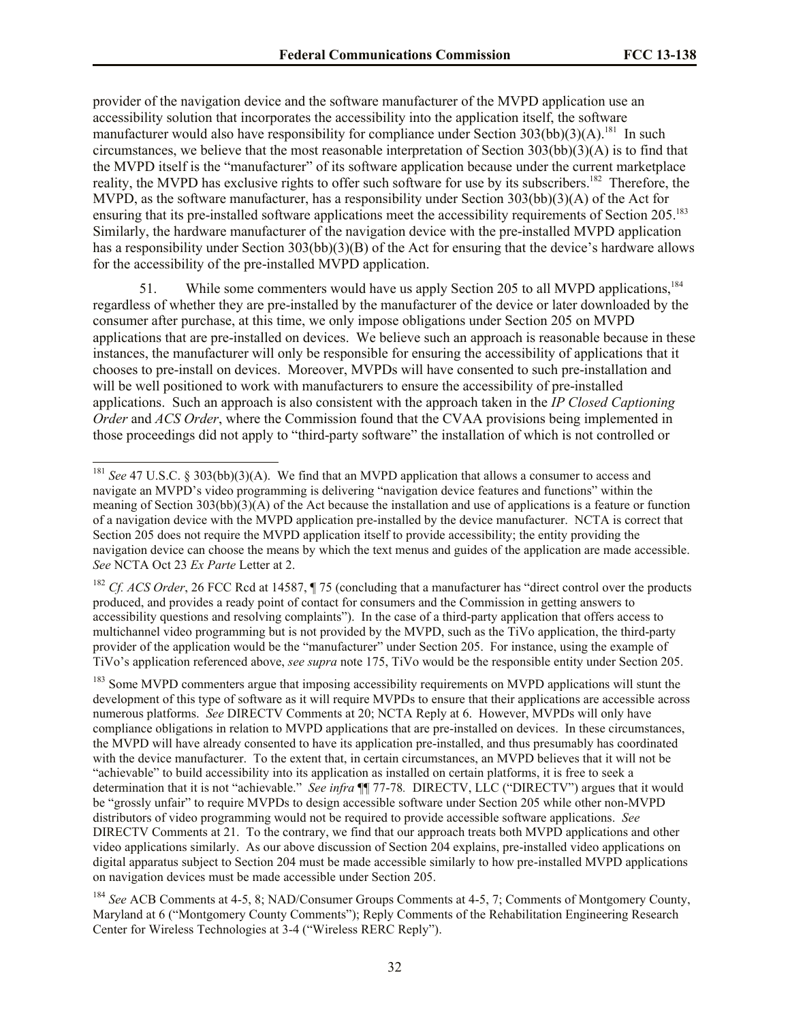provider of the navigation device and the software manufacturer of the MVPD application use an accessibility solution that incorporates the accessibility into the application itself, the software manufacturer would also have responsibility for compliance under Section  $303(bb)(3)(A)$ .<sup>181</sup> In such circumstances, we believe that the most reasonable interpretation of Section  $303(bb)(3)(A)$  is to find that the MVPD itself is the "manufacturer" of its software application because under the current marketplace reality, the MVPD has exclusive rights to offer such software for use by its subscribers.<sup>182</sup> Therefore, the MVPD, as the software manufacturer, has a responsibility under Section 303(bb)(3)(A) of the Act for ensuring that its pre-installed software applications meet the accessibility requirements of Section 205.<sup>183</sup> Similarly, the hardware manufacturer of the navigation device with the pre-installed MVPD application has a responsibility under Section 303(bb)(3)(B) of the Act for ensuring that the device's hardware allows for the accessibility of the pre-installed MVPD application.

51. While some commenters would have us apply Section 205 to all MVPD applications,<sup>184</sup> regardless of whether they are pre-installed by the manufacturer of the device or later downloaded by the consumer after purchase, at this time, we only impose obligations under Section 205 on MVPD applications that are pre-installed on devices. We believe such an approach is reasonable because in these instances, the manufacturer will only be responsible for ensuring the accessibility of applications that it chooses to pre-install on devices. Moreover, MVPDs will have consented to such pre-installation and will be well positioned to work with manufacturers to ensure the accessibility of pre-installed applications. Such an approach is also consistent with the approach taken in the *IP Closed Captioning Order* and *ACS Order*, where the Commission found that the CVAA provisions being implemented in those proceedings did not apply to "third-party software" the installation of which is not controlled or

 $\overline{a}$ 

<sup>&</sup>lt;sup>181</sup> *See* 47 U.S.C. § 303(bb)(3)(A). We find that an MVPD application that allows a consumer to access and navigate an MVPD's video programming is delivering "navigation device features and functions" within the meaning of Section 303(bb)(3)(A) of the Act because the installation and use of applications is a feature or function of a navigation device with the MVPD application pre-installed by the device manufacturer. NCTA is correct that Section 205 does not require the MVPD application itself to provide accessibility; the entity providing the navigation device can choose the means by which the text menus and guides of the application are made accessible. *See* NCTA Oct 23 *Ex Parte* Letter at 2.

<sup>&</sup>lt;sup>182</sup> *Cf. ACS Order*, 26 FCC Rcd at 14587, ¶ 75 (concluding that a manufacturer has "direct control over the products produced, and provides a ready point of contact for consumers and the Commission in getting answers to accessibility questions and resolving complaints").In the case of a third-party application that offers access to multichannel video programming but is not provided by the MVPD, such as the TiVo application, the third-party provider of the application would be the "manufacturer" under Section 205. For instance, using the example of TiVo's application referenced above, *see supra* note 175, TiVo would be the responsible entity under Section 205.

<sup>&</sup>lt;sup>183</sup> Some MVPD commenters argue that imposing accessibility requirements on MVPD applications will stunt the development of this type of software as it will require MVPDs to ensure that their applications are accessible across numerous platforms. *See* DIRECTV Comments at 20; NCTA Reply at 6. However, MVPDs will only have compliance obligations in relation to MVPD applications that are pre-installed on devices. In these circumstances, the MVPD will have already consented to have its application pre-installed, and thus presumably has coordinated with the device manufacturer. To the extent that, in certain circumstances, an MVPD believes that it will not be "achievable" to build accessibility into its application as installed on certain platforms, it is free to seek a determination that it is not "achievable." *See infra* ¶¶ 77-78*.* DIRECTV, LLC ("DIRECTV") argues that it would be "grossly unfair" to require MVPDs to design accessible software under Section 205 while other non-MVPD distributors of video programming would not be required to provide accessible software applications. *See*  DIRECTV Comments at 21. To the contrary, we find that our approach treats both MVPD applications and other video applications similarly. As our above discussion of Section 204 explains, pre-installed video applications on digital apparatus subject to Section 204 must be made accessible similarly to how pre-installed MVPD applications on navigation devices must be made accessible under Section 205.

<sup>184</sup> *See* ACB Comments at 4-5, 8; NAD/Consumer Groups Comments at 4-5, 7; Comments of Montgomery County, Maryland at 6 ("Montgomery County Comments"); Reply Comments of the Rehabilitation Engineering Research Center for Wireless Technologies at 3-4 ("Wireless RERC Reply").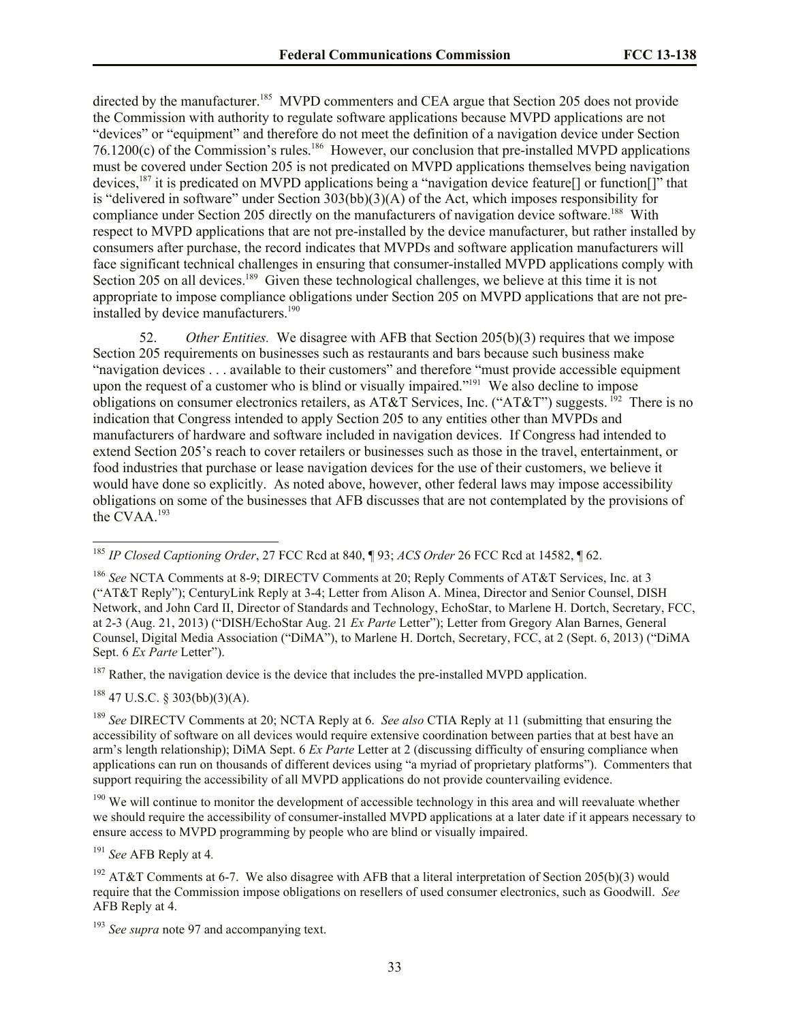directed by the manufacturer.<sup>185</sup> MVPD commenters and CEA argue that Section 205 does not provide the Commission with authority to regulate software applications because MVPD applications are not "devices" or "equipment" and therefore do not meet the definition of a navigation device under Section  $76.1200(c)$  of the Commission's rules.<sup>186</sup> However, our conclusion that pre-installed MVPD applications must be covered under Section 205 is not predicated on MVPD applications themselves being navigation devices,<sup>187</sup> it is predicated on MVPD applications being a "navigation device feature[] or function[]" that is "delivered in software" under Section 303(bb)(3)(A) of the Act, which imposes responsibility for compliance under Section 205 directly on the manufacturers of navigation device software.<sup>188</sup> With respect to MVPD applications that are not pre-installed by the device manufacturer, but rather installed by consumers after purchase, the record indicates that MVPDs and software application manufacturers will face significant technical challenges in ensuring that consumer-installed MVPD applications comply with Section 205 on all devices.<sup>189</sup> Given these technological challenges, we believe at this time it is not appropriate to impose compliance obligations under Section 205 on MVPD applications that are not preinstalled by device manufacturers.<sup>190</sup>

52. *Other Entities.* We disagree with AFB that Section 205(b)(3) requires that we impose Section 205 requirements on businesses such as restaurants and bars because such business make "navigation devices . . . available to their customers" and therefore "must provide accessible equipment upon the request of a customer who is blind or visually impaired."<sup>191</sup> We also decline to impose obligations on consumer electronics retailers, as AT&T Services, Inc. ("AT&T") suggests. <sup>192</sup> There is no indication that Congress intended to apply Section 205 to any entities other than MVPDs and manufacturers of hardware and software included in navigation devices. If Congress had intended to extend Section 205's reach to cover retailers or businesses such as those in the travel, entertainment, or food industries that purchase or lease navigation devices for the use of their customers, we believe it would have done so explicitly. As noted above, however, other federal laws may impose accessibility obligations on some of the businesses that AFB discusses that are not contemplated by the provisions of the CVAA.<sup>193</sup>

 $187$  Rather, the navigation device is the device that includes the pre-installed MVPD application.

 $188$  47 U.S.C. § 303(bb)(3)(A).

 $\overline{a}$ 

<sup>189</sup> *See* DIRECTV Comments at 20; NCTA Reply at 6. *See also* CTIA Reply at 11 (submitting that ensuring the accessibility of software on all devices would require extensive coordination between parties that at best have an arm's length relationship); DiMA Sept. 6 *Ex Parte* Letter at 2 (discussing difficulty of ensuring compliance when applications can run on thousands of different devices using "a myriad of proprietary platforms"). Commenters that support requiring the accessibility of all MVPD applications do not provide countervailing evidence.

<sup>190</sup> We will continue to monitor the development of accessible technology in this area and will reevaluate whether we should require the accessibility of consumer-installed MVPD applications at a later date if it appears necessary to ensure access to MVPD programming by people who are blind or visually impaired.

<sup>191</sup> *See* AFB Reply at 4*.*

<sup>185</sup> *IP Closed Captioning Order*, 27 FCC Rcd at 840, ¶ 93; *ACS Order* 26 FCC Rcd at 14582, ¶ 62.

<sup>186</sup> *See* NCTA Comments at 8-9; DIRECTV Comments at 20; Reply Comments of AT&T Services, Inc. at 3 ("AT&T Reply"); CenturyLink Reply at 3-4; Letter from Alison A. Minea, Director and Senior Counsel, DISH Network, and John Card II, Director of Standards and Technology, EchoStar, to Marlene H. Dortch, Secretary, FCC, at 2-3 (Aug. 21, 2013) ("DISH/EchoStar Aug. 21 *Ex Parte* Letter"); Letter from Gregory Alan Barnes, General Counsel, Digital Media Association ("DiMA"), to Marlene H. Dortch, Secretary, FCC, at 2 (Sept. 6, 2013) ("DiMA Sept. 6 *Ex Parte* Letter").

<sup>&</sup>lt;sup>192</sup> AT&T Comments at 6-7. We also disagree with AFB that a literal interpretation of Section 205(b)(3) would require that the Commission impose obligations on resellers of used consumer electronics, such as Goodwill. *See*  AFB Reply at 4.

<sup>&</sup>lt;sup>193</sup> *See supra* note 97 and accompanying text.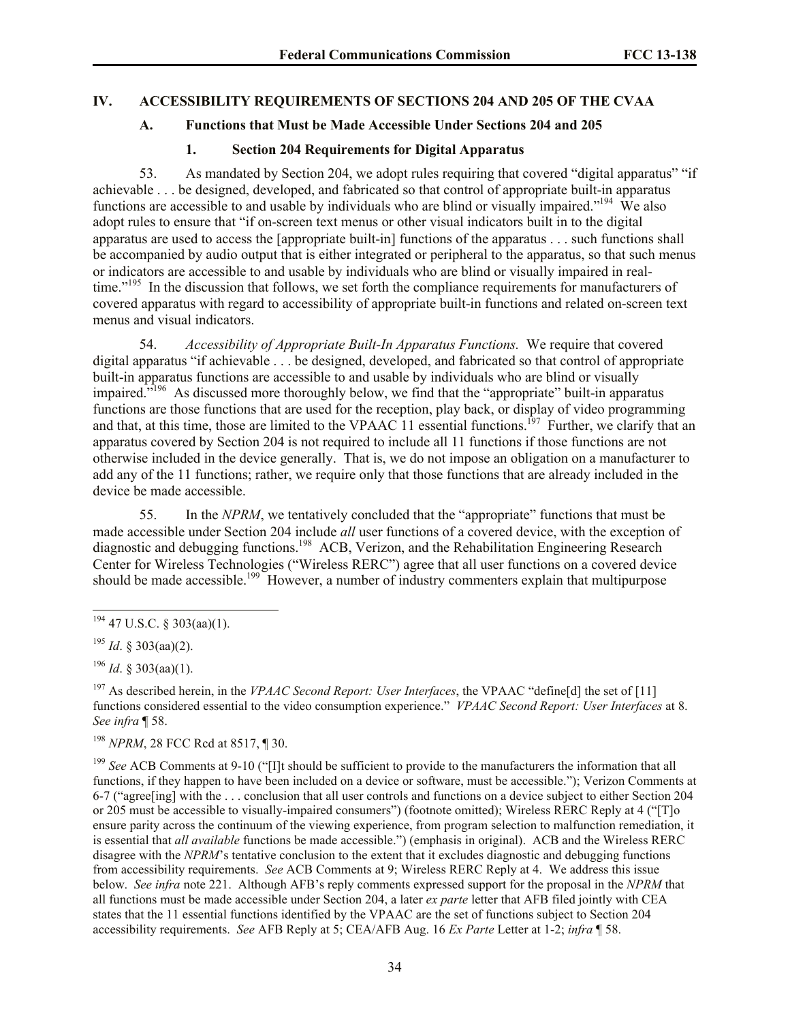#### **IV. ACCESSIBILITY REQUIREMENTS OF SECTIONS 204 AND 205 OF THE CVAA**

### **A. Functions that Must be Made Accessible Under Sections 204 and 205**

#### <span id="page-33-2"></span><span id="page-33-1"></span><span id="page-33-0"></span>**1. Section 204 Requirements for Digital Apparatus**

53. As mandated by Section 204, we adopt rules requiring that covered "digital apparatus" "if achievable . . . be designed, developed, and fabricated so that control of appropriate built-in apparatus functions are accessible to and usable by individuals who are blind or visually impaired."<sup>194</sup> We also adopt rules to ensure that "if on-screen text menus or other visual indicators built in to the digital apparatus are used to access the [appropriate built-in] functions of the apparatus . . . such functions shall be accompanied by audio output that is either integrated or peripheral to the apparatus, so that such menus or indicators are accessible to and usable by individuals who are blind or visually impaired in realtime."<sup>195</sup> In the discussion that follows, we set forth the compliance requirements for manufacturers of covered apparatus with regard to accessibility of appropriate built-in functions and related on-screen text menus and visual indicators.

54. *Accessibility of Appropriate Built-In Apparatus Functions.* We require that covered digital apparatus "if achievable . . . be designed, developed, and fabricated so that control of appropriate built-in apparatus functions are accessible to and usable by individuals who are blind or visually impaired.<sup>7196</sup> As discussed more thoroughly below, we find that the "appropriate" built-in apparatus functions are those functions that are used for the reception, play back, or display of video programming and that, at this time, those are limited to the VPAAC  $11$  essential functions.<sup>197</sup> Further, we clarify that an apparatus covered by Section 204 is not required to include all 11 functions if those functions are not otherwise included in the device generally. That is, we do not impose an obligation on a manufacturer to add any of the 11 functions; rather, we require only that those functions that are already included in the device be made accessible.

55. In the *NPRM*, we tentatively concluded that the "appropriate" functions that must be made accessible under Section 204 include *all* user functions of a covered device, with the exception of diagnostic and debugging functions.<sup>198</sup> ACB, Verizon, and the Rehabilitation Engineering Research Center for Wireless Technologies ("Wireless RERC") agree that all user functions on a covered device should be made accessible.<sup>199</sup> However, a number of industry commenters explain that multipurpose

 $\overline{a}$ 

<sup>198</sup> *NPRM*, 28 FCC Rcd at 8517, ¶ 30.

<sup>199</sup> *See* ACB Comments at 9-10 ("[I]t should be sufficient to provide to the manufacturers the information that all functions, if they happen to have been included on a device or software, must be accessible."); Verizon Comments at 6-7 ("agree[ing] with the . . . conclusion that all user controls and functions on a device subject to either Section 204 or 205 must be accessible to visually-impaired consumers") (footnote omitted); Wireless RERC Reply at 4 ("[T]o ensure parity across the continuum of the viewing experience, from program selection to malfunction remediation, it is essential that *all available* functions be made accessible.") (emphasis in original). ACB and the Wireless RERC disagree with the *NPRM*'s tentative conclusion to the extent that it excludes diagnostic and debugging functions from accessibility requirements. *See* ACB Comments at 9; Wireless RERC Reply at 4. We address this issue below. *See infra* note 221. Although AFB's reply comments expressed support for the proposal in the *NPRM* that all functions must be made accessible under Section 204, a later *ex parte* letter that AFB filed jointly with CEA states that the 11 essential functions identified by the VPAAC are the set of functions subject to Section 204 accessibility requirements. *See* AFB Reply at 5; CEA/AFB Aug. 16 *Ex Parte* Letter at 1-2; *infra* ¶ 58.

 $194$  47 U.S.C. § 303(aa)(1).

<sup>195</sup> *Id*. § 303(aa)(2).

<sup>196</sup> *Id*. § 303(aa)(1).

<sup>197</sup> As described herein, in the *VPAAC Second Report: User Interfaces*, the VPAAC "define[d] the set of [11] functions considered essential to the video consumption experience." *VPAAC Second Report: User Interfaces* at 8. *See infra* ¶ 58.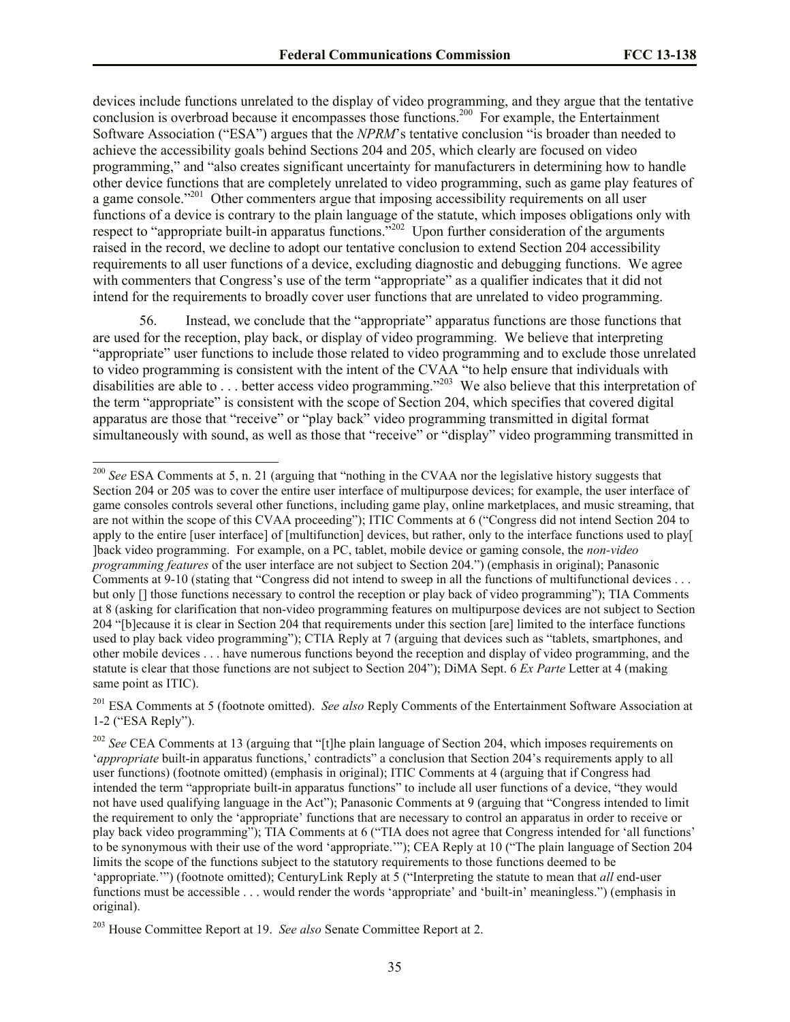devices include functions unrelated to the display of video programming, and they argue that the tentative conclusion is overbroad because it encompasses those functions.<sup>200</sup> For example, the Entertainment Software Association ("ESA") argues that the *NPRM*'s tentative conclusion "is broader than needed to achieve the accessibility goals behind Sections 204 and 205, which clearly are focused on video programming," and "also creates significant uncertainty for manufacturers in determining how to handle other device functions that are completely unrelated to video programming, such as game play features of a game console."<sup>201</sup> Other commenters argue that imposing accessibility requirements on all user functions of a device is contrary to the plain language of the statute, which imposes obligations only with respect to "appropriate built-in apparatus functions."<sup>202</sup> Upon further consideration of the arguments raised in the record, we decline to adopt our tentative conclusion to extend Section 204 accessibility requirements to all user functions of a device, excluding diagnostic and debugging functions. We agree with commenters that Congress's use of the term "appropriate" as a qualifier indicates that it did not intend for the requirements to broadly cover user functions that are unrelated to video programming.

56. Instead, we conclude that the "appropriate" apparatus functions are those functions that are used for the reception, play back, or display of video programming. We believe that interpreting "appropriate" user functions to include those related to video programming and to exclude those unrelated to video programming is consistent with the intent of the CVAA "to help ensure that individuals with disabilities are able to ... better access video programming."<sup>203</sup> We also believe that this interpretation of the term "appropriate" is consistent with the scope of Section 204, which specifies that covered digital apparatus are those that "receive" or "play back" video programming transmitted in digital format simultaneously with sound, as well as those that "receive" or "display" video programming transmitted in

<sup>201</sup> ESA Comments at 5 (footnote omitted). *See also* Reply Comments of the Entertainment Software Association at 1-2 ("ESA Reply").

 $\overline{a}$ 

<sup>&</sup>lt;sup>200</sup> *See* ESA Comments at 5, n. 21 (arguing that "nothing in the CVAA nor the legislative history suggests that Section 204 or 205 was to cover the entire user interface of multipurpose devices; for example, the user interface of game consoles controls several other functions, including game play, online marketplaces, and music streaming, that are not within the scope of this CVAA proceeding"); ITIC Comments at 6 ("Congress did not intend Section 204 to apply to the entire [user interface] of [multifunction] devices, but rather, only to the interface functions used to play[ ]back video programming. For example, on a PC, tablet, mobile device or gaming console, the *non-video programming features* of the user interface are not subject to Section 204.") (emphasis in original); Panasonic Comments at 9-10 (stating that "Congress did not intend to sweep in all the functions of multifunctional devices . . . but only [] those functions necessary to control the reception or play back of video programming"); TIA Comments at 8 (asking for clarification that non-video programming features on multipurpose devices are not subject to Section 204 "[b]ecause it is clear in Section 204 that requirements under this section [are] limited to the interface functions used to play back video programming"); CTIA Reply at 7 (arguing that devices such as "tablets, smartphones, and other mobile devices . . . have numerous functions beyond the reception and display of video programming, and the statute is clear that those functions are not subject to Section 204"); DiMA Sept. 6 *Ex Parte* Letter at 4 (making same point as ITIC).

<sup>&</sup>lt;sup>202</sup> *See* CEA Comments at 13 (arguing that "[t]he plain language of Section 204, which imposes requirements on '*appropriate* built-in apparatus functions,' contradicts" a conclusion that Section 204's requirements apply to all user functions) (footnote omitted) (emphasis in original); ITIC Comments at 4 (arguing that if Congress had intended the term "appropriate built-in apparatus functions" to include all user functions of a device, "they would not have used qualifying language in the Act"); Panasonic Comments at 9 (arguing that "Congress intended to limit the requirement to only the 'appropriate' functions that are necessary to control an apparatus in order to receive or play back video programming"); TIA Comments at 6 ("TIA does not agree that Congress intended for 'all functions' to be synonymous with their use of the word 'appropriate.'"); CEA Reply at 10 ("The plain language of Section 204 limits the scope of the functions subject to the statutory requirements to those functions deemed to be 'appropriate.'") (footnote omitted); CenturyLink Reply at 5 ("Interpreting the statute to mean that *all* end-user functions must be accessible . . . would render the words 'appropriate' and 'built-in' meaningless.") (emphasis in original).

<sup>203</sup> House Committee Report at 19. *See also* Senate Committee Report at 2.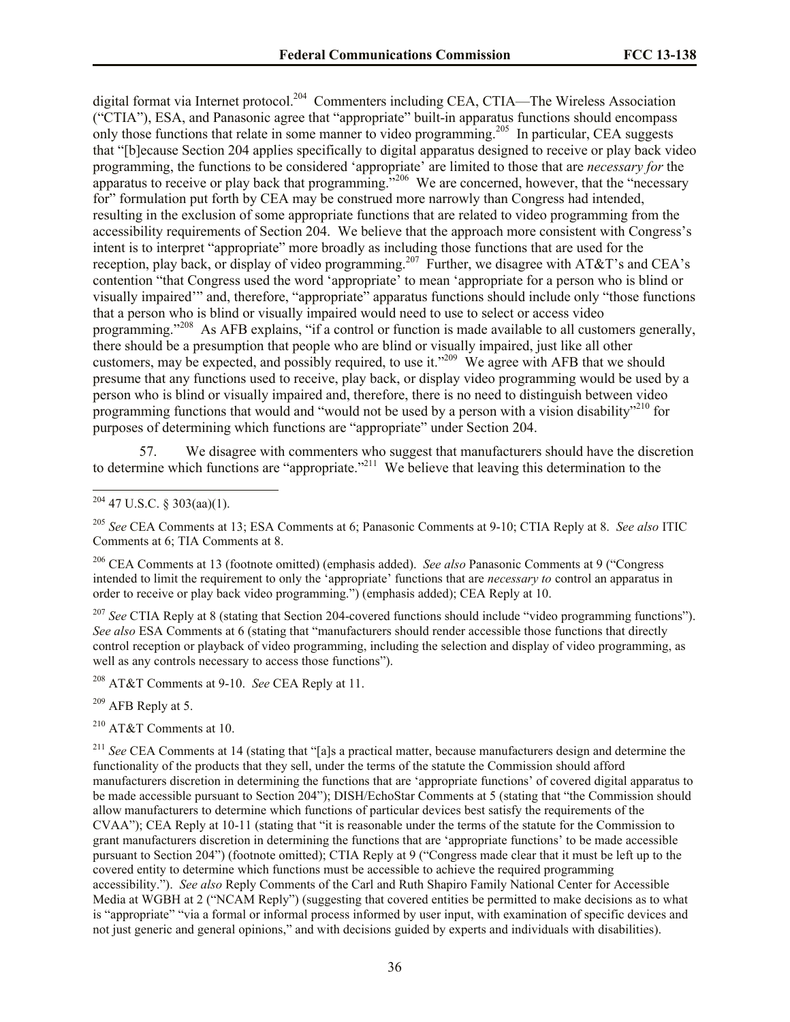digital format via Internet protocol.<sup>204</sup> Commenters including CEA, CTIA—The Wireless Association ("CTIA"), ESA, and Panasonic agree that "appropriate" built-in apparatus functions should encompass only those functions that relate in some manner to video programming.<sup>205</sup> In particular, CEA suggests that "[b]ecause Section 204 applies specifically to digital apparatus designed to receive or play back video programming, the functions to be considered 'appropriate' are limited to those that are *necessary for* the apparatus to receive or play back that programming.<sup>3206</sup> We are concerned, however, that the "necessary for" formulation put forth by CEA may be construed more narrowly than Congress had intended, resulting in the exclusion of some appropriate functions that are related to video programming from the accessibility requirements of Section 204. We believe that the approach more consistent with Congress's intent is to interpret "appropriate" more broadly as including those functions that are used for the reception, play back, or display of video programming.<sup>207</sup> Further, we disagree with AT&T's and CEA's contention "that Congress used the word 'appropriate' to mean 'appropriate for a person who is blind or visually impaired'" and, therefore, "appropriate" apparatus functions should include only "those functions that a person who is blind or visually impaired would need to use to select or access video programming."<sup>208</sup> As AFB explains, "if a control or function is made available to all customers generally, there should be a presumption that people who are blind or visually impaired, just like all other customers, may be expected, and possibly required, to use it."<sup>209</sup> We agree with AFB that we should presume that any functions used to receive, play back, or display video programming would be used by a person who is blind or visually impaired and, therefore, there is no need to distinguish between video programming functions that would and "would not be used by a person with a vision disability"<sup>210</sup> for purposes of determining which functions are "appropriate" under Section 204.

57. We disagree with commenters who suggest that manufacturers should have the discretion to determine which functions are "appropriate."<sup>211</sup> We believe that leaving this determination to the

 $\overline{a}$ 

<sup>205</sup> *See* CEA Comments at 13; ESA Comments at 6; Panasonic Comments at 9-10; CTIA Reply at 8. *See also* ITIC Comments at 6; TIA Comments at 8.

<sup>206</sup> CEA Comments at 13 (footnote omitted) (emphasis added). *See also* Panasonic Comments at 9 ("Congress intended to limit the requirement to only the 'appropriate' functions that are *necessary to* control an apparatus in order to receive or play back video programming.") (emphasis added); CEA Reply at 10.

<sup>207</sup> *See* CTIA Reply at 8 (stating that Section 204-covered functions should include "video programming functions"). *See also* ESA Comments at 6 (stating that "manufacturers should render accessible those functions that directly control reception or playback of video programming, including the selection and display of video programming, as well as any controls necessary to access those functions").

<sup>208</sup> AT&T Comments at 9-10. *See* CEA Reply at 11.

 $209$  AFB Reply at 5.

<sup>210</sup> AT&T Comments at 10.

<sup>211</sup> *See* CEA Comments at 14 (stating that "[a]s a practical matter, because manufacturers design and determine the functionality of the products that they sell, under the terms of the statute the Commission should afford manufacturers discretion in determining the functions that are 'appropriate functions' of covered digital apparatus to be made accessible pursuant to Section 204"); DISH/EchoStar Comments at 5 (stating that "the Commission should allow manufacturers to determine which functions of particular devices best satisfy the requirements of the CVAA"); CEA Reply at 10-11 (stating that "it is reasonable under the terms of the statute for the Commission to grant manufacturers discretion in determining the functions that are 'appropriate functions' to be made accessible pursuant to Section 204") (footnote omitted); CTIA Reply at 9 ("Congress made clear that it must be left up to the covered entity to determine which functions must be accessible to achieve the required programming accessibility."). *See also* Reply Comments of the Carl and Ruth Shapiro Family National Center for Accessible Media at WGBH at 2 ("NCAM Reply") (suggesting that covered entities be permitted to make decisions as to what is "appropriate" "via a formal or informal process informed by user input, with examination of specific devices and not just generic and general opinions," and with decisions guided by experts and individuals with disabilities).

 $204$  47 U.S.C. § 303(aa)(1).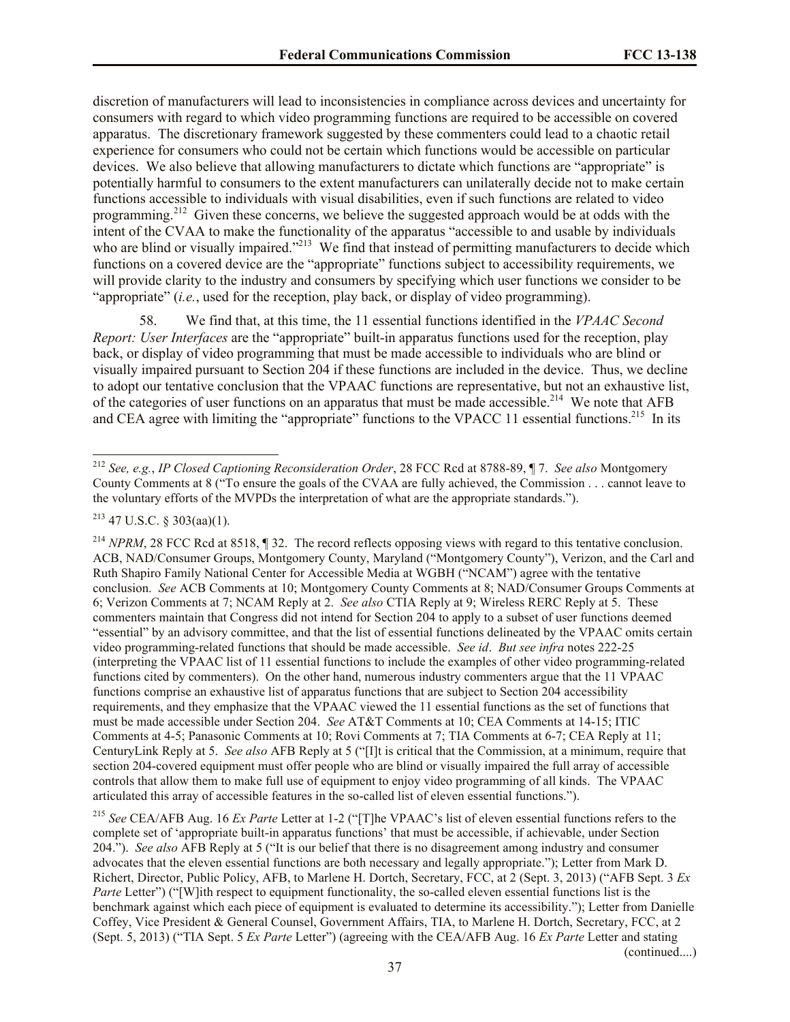discretion of manufacturers will lead to inconsistencies in compliance across devices and uncertainty for consumers with regard to which video programming functions are required to be accessible on covered apparatus. The discretionary framework suggested by these commenters could lead to a chaotic retail experience for consumers who could not be certain which functions would be accessible on particular devices. We also believe that allowing manufacturers to dictate which functions are "appropriate" is potentially harmful to consumers to the extent manufacturers can unilaterally decide not to make certain functions accessible to individuals with visual disabilities, even if such functions are related to video programming.<sup>212</sup> Given these concerns, we believe the suggested approach would be at odds with the intent of the CVAA to make the functionality of the apparatus "accessible to and usable by individuals who are blind or visually impaired."<sup>213</sup> We find that instead of permitting manufacturers to decide which functions on a covered device are the "appropriate" functions subject to accessibility requirements, we will provide clarity to the industry and consumers by specifying which user functions we consider to be "appropriate" (*i.e.*, used for the reception, play back, or display of video programming).

58. We find that, at this time, the 11 essential functions identified in the *VPAAC Second Report: User Interfaces* are the "appropriate" built-in apparatus functions used for the reception, play back, or display of video programming that must be made accessible to individuals who are blind or visually impaired pursuant to Section 204 if these functions are included in the device. Thus, we decline to adopt our tentative conclusion that the VPAAC functions are representative, but not an exhaustive list, of the categories of user functions on an apparatus that must be made accessible.<sup>214</sup> We note that AFB and CEA agree with limiting the "appropriate" functions to the VPACC 11 essential functions.<sup>215</sup> In its

 $\overline{a}$ 

<sup>214</sup> *NPRM*, 28 FCC Rcd at 8518, 1 32. The record reflects opposing views with regard to this tentative conclusion. ACB, NAD/Consumer Groups, Montgomery County, Maryland ("Montgomery County"), Verizon, and the Carl and Ruth Shapiro Family National Center for Accessible Media at WGBH ("NCAM") agree with the tentative conclusion. *See* ACB Comments at 10; Montgomery County Comments at 8; NAD/Consumer Groups Comments at 6; Verizon Comments at 7; NCAM Reply at 2. *See also* CTIA Reply at 9; Wireless RERC Reply at 5. These commenters maintain that Congress did not intend for Section 204 to apply to a subset of user functions deemed "essential" by an advisory committee, and that the list of essential functions delineated by the VPAAC omits certain video programming-related functions that should be made accessible. *See id*. *But see infra* notes 222-25 (interpreting the VPAAC list of 11 essential functions to include the examples of other video programming-related functions cited by commenters). On the other hand, numerous industry commenters argue that the 11 VPAAC functions comprise an exhaustive list of apparatus functions that are subject to Section 204 accessibility requirements, and they emphasize that the VPAAC viewed the 11 essential functions as the set of functions that must be made accessible under Section 204. *See* AT&T Comments at 10; CEA Comments at 14-15; ITIC Comments at 4-5; Panasonic Comments at 10; Rovi Comments at 7; TIA Comments at 6-7; CEA Reply at 11; CenturyLink Reply at 5. *See also* AFB Reply at 5 ("[I]t is critical that the Commission, at a minimum, require that section 204-covered equipment must offer people who are blind or visually impaired the full array of accessible controls that allow them to make full use of equipment to enjoy video programming of all kinds. The VPAAC articulated this array of accessible features in the so-called list of eleven essential functions.").

<sup>215</sup> *See* CEA/AFB Aug. 16 *Ex Parte* Letter at 1-2 ("[T]he VPAAC's list of eleven essential functions refers to the complete set of 'appropriate built-in apparatus functions' that must be accessible, if achievable, under Section 204."). *See also* AFB Reply at 5 ("It is our belief that there is no disagreement among industry and consumer advocates that the eleven essential functions are both necessary and legally appropriate."); Letter from Mark D. Richert, Director, Public Policy, AFB, to Marlene H. Dortch, Secretary, FCC, at 2 (Sept. 3, 2013) ("AFB Sept. 3 *Ex Parte* Letter") ("[W]ith respect to equipment functionality, the so-called eleven essential functions list is the benchmark against which each piece of equipment is evaluated to determine its accessibility."); Letter from Danielle Coffey, Vice President & General Counsel, Government Affairs, TIA, to Marlene H. Dortch, Secretary, FCC, at 2 (Sept. 5, 2013) ("TIA Sept. 5 *Ex Parte* Letter") (agreeing with the CEA/AFB Aug. 16 *Ex Parte* Letter and stating

(continued....)

<sup>212</sup> *See, e.g.*, *IP Closed Captioning Reconsideration Order*, 28 FCC Rcd at 8788-89, ¶ 7. *See also* Montgomery County Comments at 8 ("To ensure the goals of the CVAA are fully achieved, the Commission . . . cannot leave to the voluntary efforts of the MVPDs the interpretation of what are the appropriate standards.").

<sup>213</sup> 47 U.S.C. § 303(aa)(1).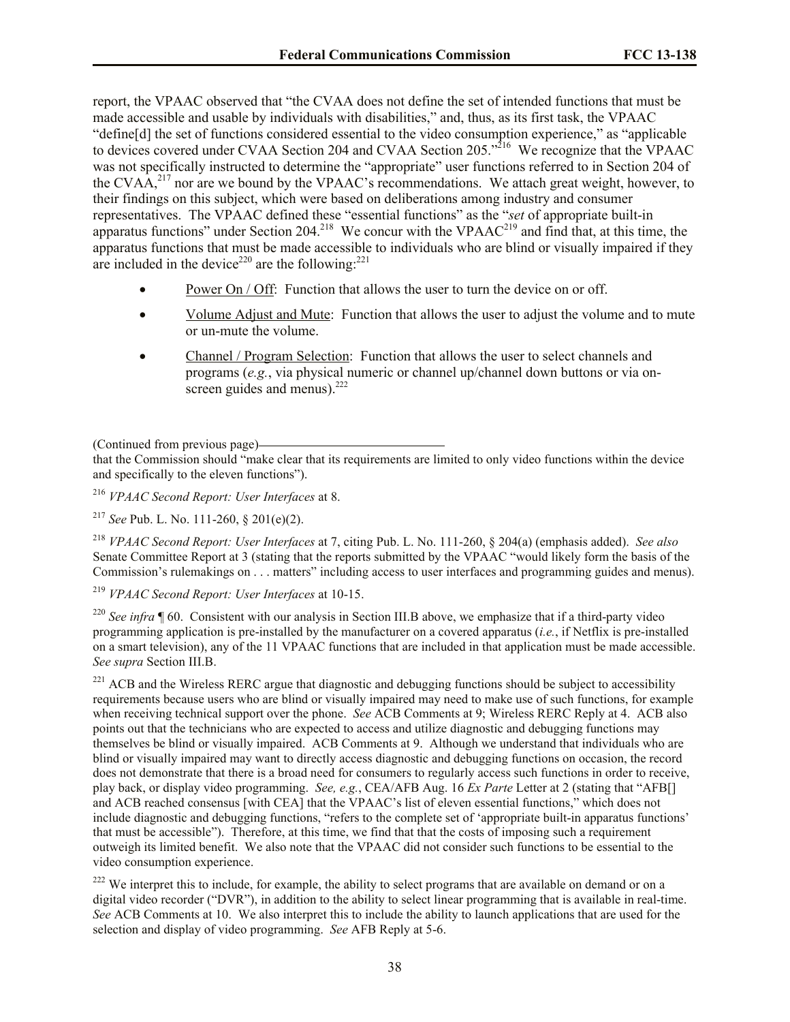report, the VPAAC observed that "the CVAA does not define the set of intended functions that must be made accessible and usable by individuals with disabilities," and, thus, as its first task, the VPAAC "define[d] the set of functions considered essential to the video consumption experience," as "applicable to devices covered under CVAA Section 204 and CVAA Section 205.<sup>316</sup> We recognize that the VPAAC was not specifically instructed to determine the "appropriate" user functions referred to in Section 204 of the CVAA,<sup>217</sup> nor are we bound by the VPAAC's recommendations. We attach great weight, however, to their findings on this subject, which were based on deliberations among industry and consumer representatives. The VPAAC defined these "essential functions" as the "*set* of appropriate built-in apparatus functions" under Section 204.<sup>218</sup> We concur with the VPAAC<sup>219</sup> and find that, at this time, the apparatus functions that must be made accessible to individuals who are blind or visually impaired if they are included in the device<sup>220</sup> are the following:<sup>221</sup>

- Power On / Off: Function that allows the user to turn the device on or off.
- Volume Adjust and Mute: Function that allows the user to adjust the volume and to mute or un-mute the volume.
- Channel / Program Selection: Function that allows the user to select channels and programs (*e.g.*, via physical numeric or channel up/channel down buttons or via onscreen guides and menus). $222$

(Continued from previous page)

that the Commission should "make clear that its requirements are limited to only video functions within the device and specifically to the eleven functions").

<sup>216</sup> *VPAAC Second Report: User Interfaces* at 8.

<sup>217</sup> *See* Pub. L. No. 111-260, § 201(e)(2).

<sup>218</sup> *VPAAC Second Report: User Interfaces* at 7, citing Pub. L. No. 111-260, § 204(a) (emphasis added). *See also* Senate Committee Report at 3 (stating that the reports submitted by the VPAAC "would likely form the basis of the Commission's rulemakings on . . . matters" including access to user interfaces and programming guides and menus).

<sup>219</sup> *VPAAC Second Report: User Interfaces* at 10-15.

<sup>220</sup> *See infra* ¶ 60. Consistent with our analysis in Section III.B above, we emphasize that if a third-party video programming application is pre-installed by the manufacturer on a covered apparatus (*i.e.*, if Netflix is pre-installed on a smart television), any of the 11 VPAAC functions that are included in that application must be made accessible. *See supra* Section III.B.

<sup>221</sup> ACB and the Wireless RERC argue that diagnostic and debugging functions should be subject to accessibility requirements because users who are blind or visually impaired may need to make use of such functions, for example when receiving technical support over the phone. *See* ACB Comments at 9; Wireless RERC Reply at 4. ACB also points out that the technicians who are expected to access and utilize diagnostic and debugging functions may themselves be blind or visually impaired. ACB Comments at 9. Although we understand that individuals who are blind or visually impaired may want to directly access diagnostic and debugging functions on occasion, the record does not demonstrate that there is a broad need for consumers to regularly access such functions in order to receive, play back, or display video programming. *See, e.g.*, CEA/AFB Aug. 16 *Ex Parte* Letter at 2 (stating that "AFB[] and ACB reached consensus [with CEA] that the VPAAC's list of eleven essential functions," which does not include diagnostic and debugging functions, "refers to the complete set of 'appropriate built-in apparatus functions' that must be accessible"). Therefore, at this time, we find that that the costs of imposing such a requirement outweigh its limited benefit. We also note that the VPAAC did not consider such functions to be essential to the video consumption experience.

<sup>222</sup> We interpret this to include, for example, the ability to select programs that are available on demand or on a digital video recorder ("DVR"), in addition to the ability to select linear programming that is available in real-time. *See* ACB Comments at 10. We also interpret this to include the ability to launch applications that are used for the selection and display of video programming. *See* AFB Reply at 5-6.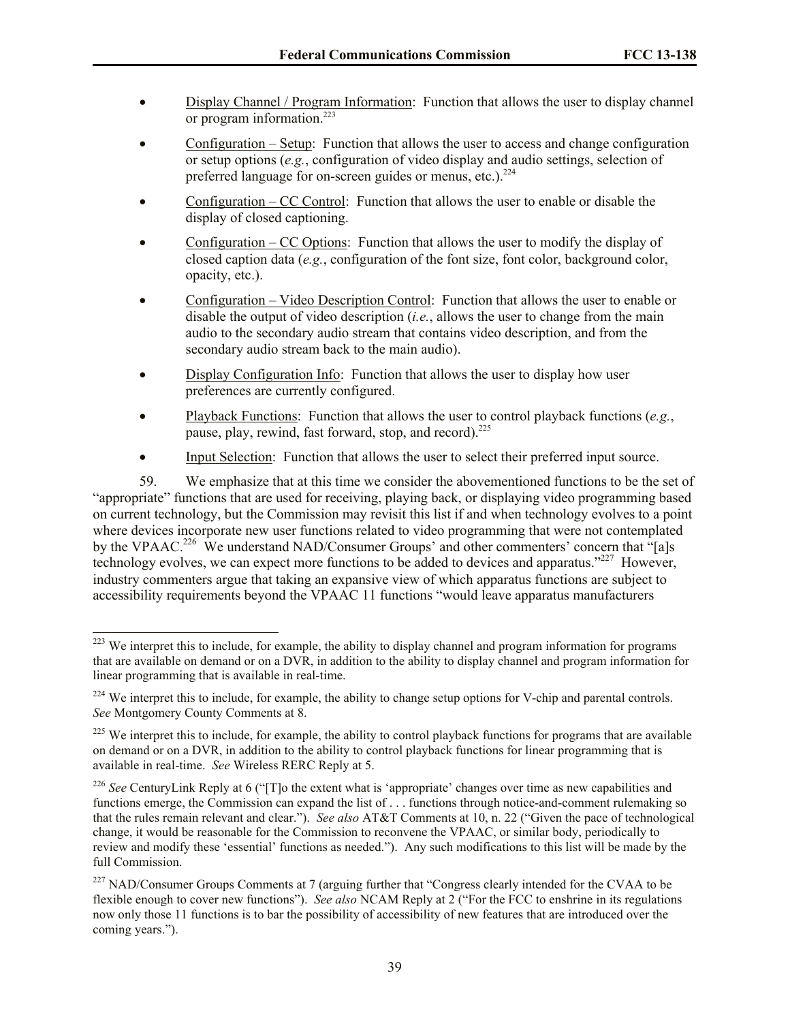- Display Channel / Program Information: Function that allows the user to display channel or program information.<sup>223</sup>
- Configuration Setup: Function that allows the user to access and change configuration or setup options (*e.g.*, configuration of video display and audio settings, selection of preferred language for on-screen guides or menus, etc.).<sup>224</sup>
- Configuration CC Control: Function that allows the user to enable or disable the display of closed captioning.
- Configuration CC Options: Function that allows the user to modify the display of closed caption data (*e.g.*, configuration of the font size, font color, background color, opacity, etc.).
- Configuration Video Description Control: Function that allows the user to enable or disable the output of video description (*i.e.*, allows the user to change from the main audio to the secondary audio stream that contains video description, and from the secondary audio stream back to the main audio).
- Display Configuration Info: Function that allows the user to display how user preferences are currently configured.
- Playback Functions: Function that allows the user to control playback functions (*e.g.*, pause, play, rewind, fast forward, stop, and record).<sup>225</sup>
- Input Selection: Function that allows the user to select their preferred input source.

59. We emphasize that at this time we consider the abovementioned functions to be the set of "appropriate" functions that are used for receiving, playing back, or displaying video programming based on current technology, but the Commission may revisit this list if and when technology evolves to a point where devices incorporate new user functions related to video programming that were not contemplated by the VPAAC.<sup>226</sup> We understand NAD/Consumer Groups' and other commenters' concern that "[a]s technology evolves, we can expect more functions to be added to devices and apparatus."<sup>227</sup> However, industry commenters argue that taking an expansive view of which apparatus functions are subject to accessibility requirements beyond the VPAAC 11 functions "would leave apparatus manufacturers

 $\overline{a}$ <sup>223</sup> We interpret this to include, for example, the ability to display channel and program information for programs that are available on demand or on a DVR, in addition to the ability to display channel and program information for linear programming that is available in real-time.

<sup>&</sup>lt;sup>224</sup> We interpret this to include, for example, the ability to change setup options for V-chip and parental controls. *See* Montgomery County Comments at 8.

 $225$  We interpret this to include, for example, the ability to control playback functions for programs that are available on demand or on a DVR, in addition to the ability to control playback functions for linear programming that is available in real-time. *See* Wireless RERC Reply at 5.

<sup>&</sup>lt;sup>226</sup> See CenturyLink Reply at 6 ("[T]o the extent what is 'appropriate' changes over time as new capabilities and functions emerge, the Commission can expand the list of . . . functions through notice-and-comment rulemaking so that the rules remain relevant and clear."). *See also* AT&T Comments at 10, n. 22 ("Given the pace of technological change, it would be reasonable for the Commission to reconvene the VPAAC, or similar body, periodically to review and modify these 'essential' functions as needed."). Any such modifications to this list will be made by the full Commission.

<sup>&</sup>lt;sup>227</sup> NAD/Consumer Groups Comments at 7 (arguing further that "Congress clearly intended for the CVAA to be flexible enough to cover new functions"). *See also* NCAM Reply at 2 ("For the FCC to enshrine in its regulations now only those 11 functions is to bar the possibility of accessibility of new features that are introduced over the coming years.").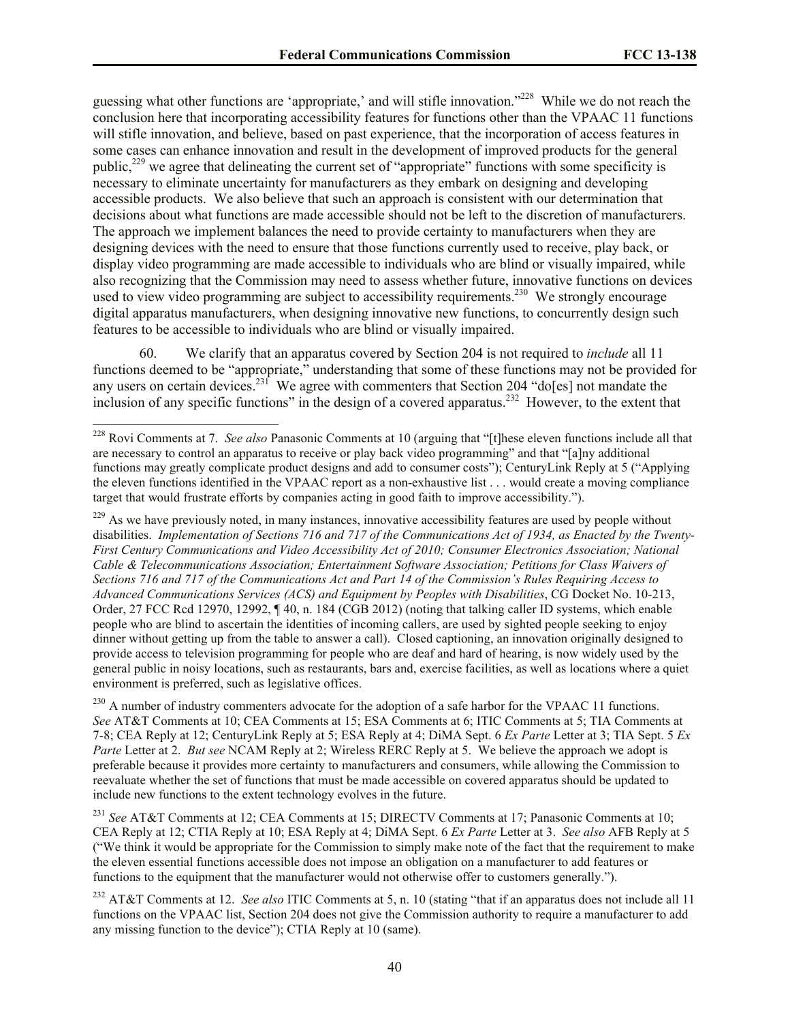guessing what other functions are 'appropriate,' and will stifle innovation."<sup>228</sup> While we do not reach the conclusion here that incorporating accessibility features for functions other than the VPAAC 11 functions will stifle innovation, and believe, based on past experience, that the incorporation of access features in some cases can enhance innovation and result in the development of improved products for the general public,<sup>229</sup> we agree that delineating the current set of "appropriate" functions with some specificity is necessary to eliminate uncertainty for manufacturers as they embark on designing and developing accessible products. We also believe that such an approach is consistent with our determination that decisions about what functions are made accessible should not be left to the discretion of manufacturers. The approach we implement balances the need to provide certainty to manufacturers when they are designing devices with the need to ensure that those functions currently used to receive, play back, or display video programming are made accessible to individuals who are blind or visually impaired, while also recognizing that the Commission may need to assess whether future, innovative functions on devices used to view video programming are subject to accessibility requirements.<sup>230</sup> We strongly encourage digital apparatus manufacturers, when designing innovative new functions, to concurrently design such features to be accessible to individuals who are blind or visually impaired.

60. We clarify that an apparatus covered by Section 204 is not required to *include* all 11 functions deemed to be "appropriate," understanding that some of these functions may not be provided for any users on certain devices.<sup>231</sup> We agree with commenters that Section 204 "do[es] not mandate the inclusion of any specific functions" in the design of a covered apparatus.<sup>232</sup> However, to the extent that

<sup>228</sup> Rovi Comments at 7. *See also* Panasonic Comments at 10 (arguing that "[t]hese eleven functions include all that are necessary to control an apparatus to receive or play back video programming" and that "[a]ny additional functions may greatly complicate product designs and add to consumer costs"); CenturyLink Reply at 5 ("Applying the eleven functions identified in the VPAAC report as a non-exhaustive list . . . would create a moving compliance target that would frustrate efforts by companies acting in good faith to improve accessibility.").

 $^{229}$  As we have previously noted, in many instances, innovative accessibility features are used by people without disabilities. *Implementation of Sections 716 and 717 of the Communications Act of 1934, as Enacted by the Twenty-First Century Communications and Video Accessibility Act of 2010; Consumer Electronics Association; National Cable & Telecommunications Association; Entertainment Software Association; Petitions for Class Waivers of Sections 716 and 717 of the Communications Act and Part 14 of the Commission's Rules Requiring Access to Advanced Communications Services (ACS) and Equipment by Peoples with Disabilities*, CG Docket No. 10-213, Order, 27 FCC Rcd 12970, 12992, ¶ 40, n. 184 (CGB 2012) (noting that talking caller ID systems, which enable people who are blind to ascertain the identities of incoming callers, are used by sighted people seeking to enjoy dinner without getting up from the table to answer a call). Closed captioning, an innovation originally designed to provide access to television programming for people who are deaf and hard of hearing, is now widely used by the general public in noisy locations, such as restaurants, bars and, exercise facilities, as well as locations where a quiet environment is preferred, such as legislative offices.

 $^{230}$  A number of industry commenters advocate for the adoption of a safe harbor for the VPAAC 11 functions. *See* AT&T Comments at 10; CEA Comments at 15; ESA Comments at 6; ITIC Comments at 5; TIA Comments at 7-8; CEA Reply at 12; CenturyLink Reply at 5; ESA Reply at 4; DiMA Sept. 6 *Ex Parte* Letter at 3; TIA Sept. 5 *Ex Parte* Letter at 2. *But see* NCAM Reply at 2; Wireless RERC Reply at 5. We believe the approach we adopt is preferable because it provides more certainty to manufacturers and consumers, while allowing the Commission to reevaluate whether the set of functions that must be made accessible on covered apparatus should be updated to include new functions to the extent technology evolves in the future.

<sup>231</sup> *See* AT&T Comments at 12; CEA Comments at 15; DIRECTV Comments at 17; Panasonic Comments at 10; CEA Reply at 12; CTIA Reply at 10; ESA Reply at 4; DiMA Sept. 6 *Ex Parte* Letter at 3. *See also* AFB Reply at 5 ("We think it would be appropriate for the Commission to simply make note of the fact that the requirement to make the eleven essential functions accessible does not impose an obligation on a manufacturer to add features or functions to the equipment that the manufacturer would not otherwise offer to customers generally.").

<sup>232</sup> AT&T Comments at 12. *See also* ITIC Comments at 5, n. 10 (stating "that if an apparatus does not include all 11 functions on the VPAAC list, Section 204 does not give the Commission authority to require a manufacturer to add any missing function to the device"); CTIA Reply at 10 (same).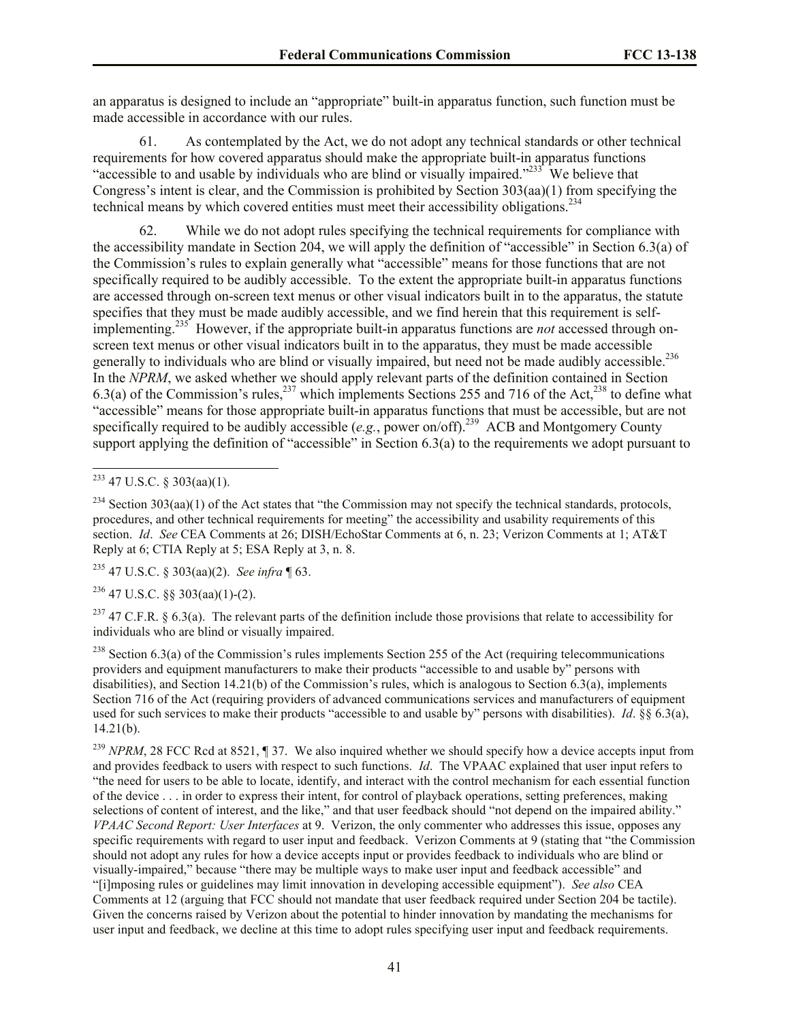an apparatus is designed to include an "appropriate" built-in apparatus function, such function must be made accessible in accordance with our rules.

61. As contemplated by the Act, we do not adopt any technical standards or other technical requirements for how covered apparatus should make the appropriate built-in apparatus functions "accessible to and usable by individuals who are blind or visually impaired."<sup>233</sup> We believe that Congress's intent is clear, and the Commission is prohibited by Section 303(aa)(1) from specifying the technical means by which covered entities must meet their accessibility obligations.<sup>234</sup>

62. While we do not adopt rules specifying the technical requirements for compliance with the accessibility mandate in Section 204, we will apply the definition of "accessible" in Section 6.3(a) of the Commission's rules to explain generally what "accessible" means for those functions that are not specifically required to be audibly accessible. To the extent the appropriate built-in apparatus functions are accessed through on-screen text menus or other visual indicators built in to the apparatus, the statute specifies that they must be made audibly accessible, and we find herein that this requirement is selfimplementing.<sup>235</sup> However, if the appropriate built-in apparatus functions are *not* accessed through onscreen text menus or other visual indicators built in to the apparatus, they must be made accessible generally to individuals who are blind or visually impaired, but need not be made audibly accessible.<sup>236</sup> In the *NPRM*, we asked whether we should apply relevant parts of the definition contained in Section 6.3(a) of the Commission's rules,<sup>237</sup> which implements Sections 255 and 716 of the Act,<sup>238</sup> to define what "accessible" means for those appropriate built-in apparatus functions that must be accessible, but are not specifically required to be audibly accessible  $(e.g.,$  power on/off).<sup>239</sup> ACB and Montgomery County support applying the definition of "accessible" in Section 6.3(a) to the requirements we adopt pursuant to

<sup>235</sup> 47 U.S.C. § 303(aa)(2). *See infra* ¶ 63.

 $236$  47 U.S.C. §§ 303(aa)(1)-(2).

<sup>237</sup> 47 C.F.R. § 6.3(a). The relevant parts of the definition include those provisions that relate to accessibility for individuals who are blind or visually impaired.

 $^{238}$  Section 6.3(a) of the Commission's rules implements Section 255 of the Act (requiring telecommunications providers and equipment manufacturers to make their products "accessible to and usable by" persons with disabilities), and Section 14.21(b) of the Commission's rules, which is analogous to Section 6.3(a), implements Section 716 of the Act (requiring providers of advanced communications services and manufacturers of equipment used for such services to make their products "accessible to and usable by" persons with disabilities). *Id*. §§ 6.3(a),  $14.21(b)$ .

<sup>239</sup> *NPRM*, 28 FCC Rcd at 8521, ¶ 37. We also inquired whether we should specify how a device accepts input from and provides feedback to users with respect to such functions. *Id*. The VPAAC explained that user input refers to "the need for users to be able to locate, identify, and interact with the control mechanism for each essential function of the device . . . in order to express their intent, for control of playback operations, setting preferences, making selections of content of interest, and the like," and that user feedback should "not depend on the impaired ability." *VPAAC Second Report: User Interfaces* at 9. Verizon, the only commenter who addresses this issue, opposes any specific requirements with regard to user input and feedback. Verizon Comments at 9 (stating that "the Commission should not adopt any rules for how a device accepts input or provides feedback to individuals who are blind or visually-impaired," because "there may be multiple ways to make user input and feedback accessible" and "[i]mposing rules or guidelines may limit innovation in developing accessible equipment"). *See also* CEA Comments at 12 (arguing that FCC should not mandate that user feedback required under Section 204 be tactile). Given the concerns raised by Verizon about the potential to hinder innovation by mandating the mechanisms for user input and feedback, we decline at this time to adopt rules specifying user input and feedback requirements.

 $\overline{a}$  $^{233}$  47 U.S.C. § 303(aa)(1).

 $234$  Section 303(aa)(1) of the Act states that "the Commission may not specify the technical standards, protocols, procedures, and other technical requirements for meeting" the accessibility and usability requirements of this section. *Id*. *See* CEA Comments at 26; DISH/EchoStar Comments at 6, n. 23; Verizon Comments at 1; AT&T Reply at 6; CTIA Reply at 5; ESA Reply at 3, n. 8.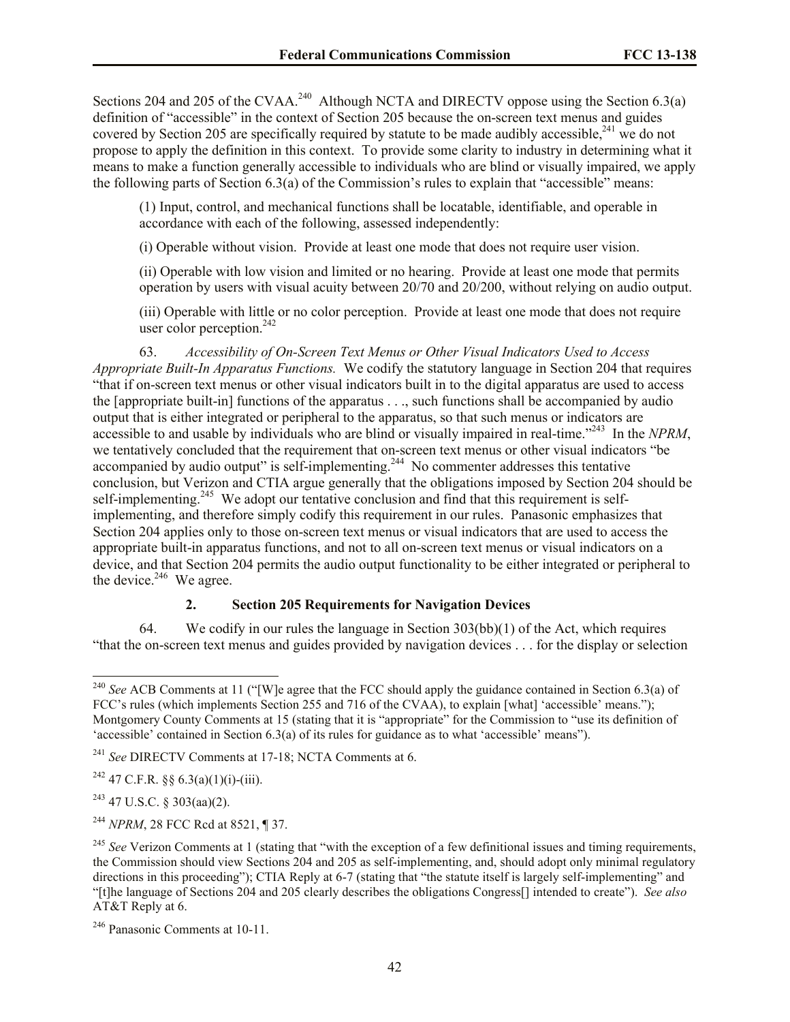Sections 204 and 205 of the CVAA.<sup>240</sup> Although NCTA and DIRECTV oppose using the Section 6.3(a) definition of "accessible" in the context of Section 205 because the on-screen text menus and guides covered by Section 205 are specifically required by statute to be made audibly accessible,<sup>241</sup> we do not propose to apply the definition in this context. To provide some clarity to industry in determining what it means to make a function generally accessible to individuals who are blind or visually impaired, we apply the following parts of Section  $6.3(a)$  of the Commission's rules to explain that "accessible" means:

(1) Input, control, and mechanical functions shall be locatable, identifiable, and operable in accordance with each of the following, assessed independently:

(i) Operable without vision. Provide at least one mode that does not require user vision.

(ii) Operable with low vision and limited or no hearing. Provide at least one mode that permits operation by users with visual acuity between 20/70 and 20/200, without relying on audio output.

(iii) Operable with little or no color perception. Provide at least one mode that does not require user color perception.<sup>242</sup>

63. *Accessibility of On-Screen Text Menus or Other Visual Indicators Used to Access Appropriate Built-In Apparatus Functions.* We codify the statutory language in Section 204 that requires "that if on-screen text menus or other visual indicators built in to the digital apparatus are used to access the [appropriate built-in] functions of the apparatus . . ., such functions shall be accompanied by audio output that is either integrated or peripheral to the apparatus, so that such menus or indicators are accessible to and usable by individuals who are blind or visually impaired in real-time."<sup>243</sup> In the *NPRM*, we tentatively concluded that the requirement that on-screen text menus or other visual indicators "be accompanied by audio output" is self-implementing.<sup>244</sup> No commenter addresses this tentative conclusion, but Verizon and CTIA argue generally that the obligations imposed by Section 204 should be self-implementing.<sup>245</sup> We adopt our tentative conclusion and find that this requirement is selfimplementing, and therefore simply codify this requirement in our rules. Panasonic emphasizes that Section 204 applies only to those on-screen text menus or visual indicators that are used to access the appropriate built-in apparatus functions, and not to all on-screen text menus or visual indicators on a device, and that Section 204 permits the audio output functionality to be either integrated or peripheral to the device. $246$  We agree.

#### **2. Section 205 Requirements for Navigation Devices**

64. We codify in our rules the language in Section  $303(bb)(1)$  of the Act, which requires "that the on-screen text menus and guides provided by navigation devices . . . for the display or selection

<sup>242</sup> 47 C.F.R. §§ 6.3(a)(1)(i)-(iii).

 $243$  47 U.S.C. § 303(aa)(2).

 $\overline{a}$ 

<sup>244</sup> *NPRM*, 28 FCC Rcd at 8521, ¶ 37.

<sup>&</sup>lt;sup>240</sup> See ACB Comments at 11 ("[W]e agree that the FCC should apply the guidance contained in Section 6.3(a) of FCC's rules (which implements Section 255 and 716 of the CVAA), to explain [what] 'accessible' means."); Montgomery County Comments at 15 (stating that it is "appropriate" for the Commission to "use its definition of 'accessible' contained in Section 6.3(a) of its rules for guidance as to what 'accessible' means").

<sup>241</sup> *See* DIRECTV Comments at 17-18; NCTA Comments at 6.

<sup>&</sup>lt;sup>245</sup> See Verizon Comments at 1 (stating that "with the exception of a few definitional issues and timing requirements, the Commission should view Sections 204 and 205 as self-implementing, and, should adopt only minimal regulatory directions in this proceeding"); CTIA Reply at 6-7 (stating that "the statute itself is largely self-implementing" and "[t]he language of Sections 204 and 205 clearly describes the obligations Congress[] intended to create"). *See also* AT&T Reply at 6.

<sup>246</sup> Panasonic Comments at 10-11.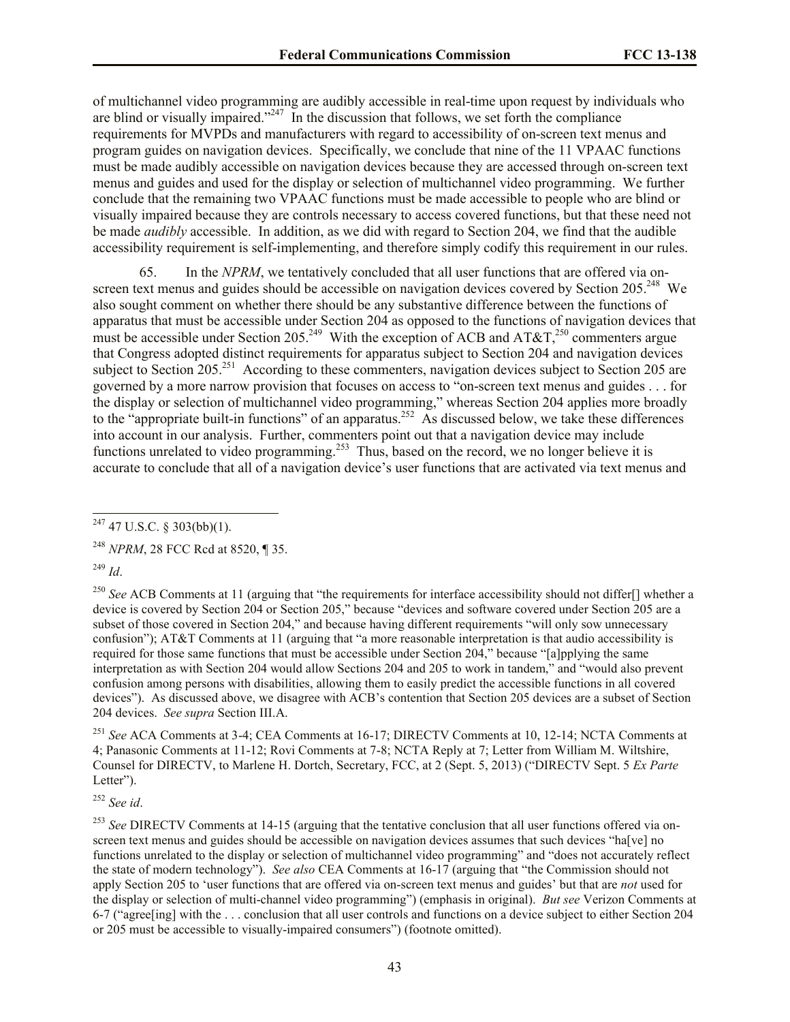of multichannel video programming are audibly accessible in real-time upon request by individuals who are blind or visually impaired."<sup>247</sup> In the discussion that follows, we set forth the compliance requirements for MVPDs and manufacturers with regard to accessibility of on-screen text menus and program guides on navigation devices. Specifically, we conclude that nine of the 11 VPAAC functions must be made audibly accessible on navigation devices because they are accessed through on-screen text menus and guides and used for the display or selection of multichannel video programming. We further conclude that the remaining two VPAAC functions must be made accessible to people who are blind or visually impaired because they are controls necessary to access covered functions, but that these need not be made *audibly* accessible. In addition, as we did with regard to Section 204, we find that the audible accessibility requirement is self-implementing, and therefore simply codify this requirement in our rules.

65. In the *NPRM*, we tentatively concluded that all user functions that are offered via onscreen text menus and guides should be accessible on navigation devices covered by Section 205.<sup>248</sup> We also sought comment on whether there should be any substantive difference between the functions of apparatus that must be accessible under Section 204 as opposed to the functions of navigation devices that must be accessible under Section 205.<sup>249</sup> With the exception of ACB and AT&T,<sup>250</sup> commenters argue that Congress adopted distinct requirements for apparatus subject to Section 204 and navigation devices subject to Section 205.<sup>251</sup> According to these commenters, navigation devices subject to Section 205 are governed by a more narrow provision that focuses on access to "on-screen text menus and guides . . . for the display or selection of multichannel video programming," whereas Section 204 applies more broadly to the "appropriate built-in functions" of an apparatus.<sup>252</sup> As discussed below, we take these differences into account in our analysis. Further, commenters point out that a navigation device may include functions unrelated to video programming.<sup>253</sup> Thus, based on the record, we no longer believe it is accurate to conclude that all of a navigation device's user functions that are activated via text menus and

<sup>248</sup> *NPRM*, 28 FCC Rcd at 8520, ¶ 35.

<sup>249</sup> *Id*.

<sup>250</sup> See ACB Comments at 11 (arguing that "the requirements for interface accessibility should not differ<sup>[]</sup> whether a device is covered by Section 204 or Section 205," because "devices and software covered under Section 205 are a subset of those covered in Section 204," and because having different requirements "will only sow unnecessary confusion"); AT&T Comments at 11 (arguing that "a more reasonable interpretation is that audio accessibility is required for those same functions that must be accessible under Section 204," because "[a]pplying the same interpretation as with Section 204 would allow Sections 204 and 205 to work in tandem," and "would also prevent confusion among persons with disabilities, allowing them to easily predict the accessible functions in all covered devices"). As discussed above, we disagree with ACB's contention that Section 205 devices are a subset of Section 204 devices. *See supra* Section III.A.

<sup>251</sup> *See* ACA Comments at 3-4; CEA Comments at 16-17; DIRECTV Comments at 10, 12-14; NCTA Comments at 4; Panasonic Comments at 11-12; Rovi Comments at 7-8; NCTA Reply at 7; Letter from William M. Wiltshire, Counsel for DIRECTV, to Marlene H. Dortch, Secretary, FCC, at 2 (Sept. 5, 2013) ("DIRECTV Sept. 5 *Ex Parte* Letter").

<sup>252</sup> *See id*.

<sup>253</sup> See DIRECTV Comments at 14-15 (arguing that the tentative conclusion that all user functions offered via onscreen text menus and guides should be accessible on navigation devices assumes that such devices "ha[ve] no functions unrelated to the display or selection of multichannel video programming" and "does not accurately reflect the state of modern technology"). *See also* CEA Comments at 16-17 (arguing that "the Commission should not apply Section 205 to 'user functions that are offered via on-screen text menus and guides' but that are *not* used for the display or selection of multi-channel video programming") (emphasis in original). *But see* Verizon Comments at 6-7 ("agree[ing] with the . . . conclusion that all user controls and functions on a device subject to either Section 204 or 205 must be accessible to visually-impaired consumers") (footnote omitted).

 $\overline{a}$  $^{247}$  47 U.S.C. § 303(bb)(1).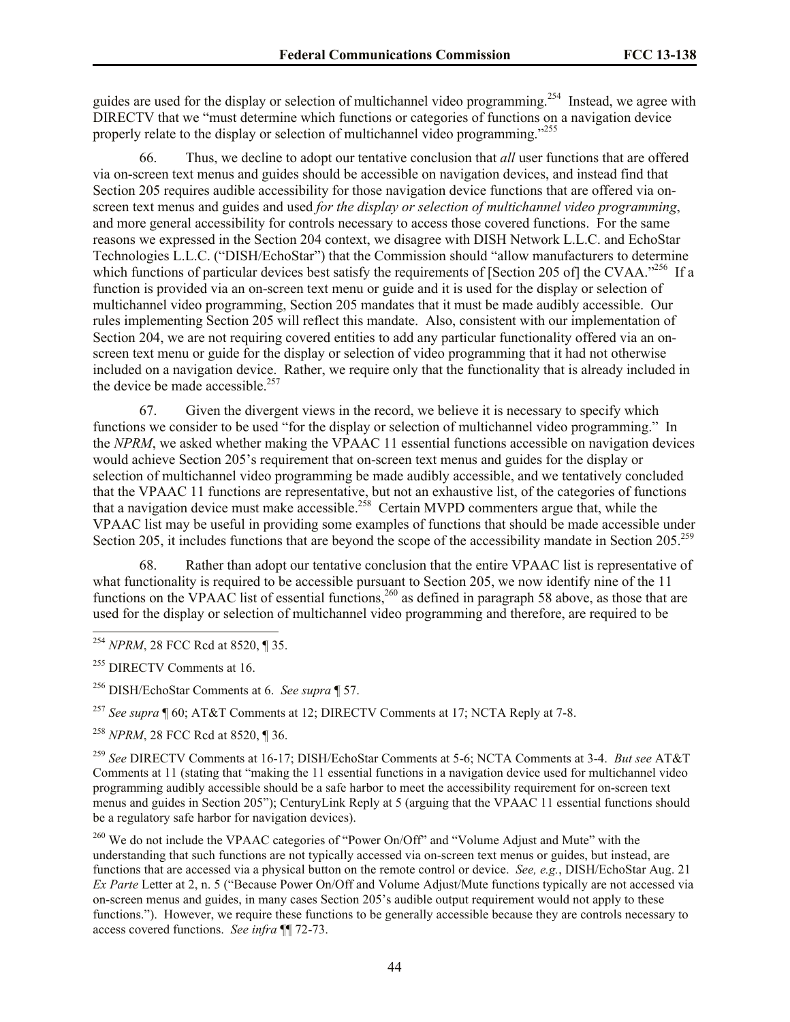guides are used for the display or selection of multichannel video programming.<sup>254</sup> Instead, we agree with DIRECTV that we "must determine which functions or categories of functions on a navigation device properly relate to the display or selection of multichannel video programming."<sup>255</sup>

66. Thus, we decline to adopt our tentative conclusion that *all* user functions that are offered via on-screen text menus and guides should be accessible on navigation devices, and instead find that Section 205 requires audible accessibility for those navigation device functions that are offered via onscreen text menus and guides and used *for the display or selection of multichannel video programming*, and more general accessibility for controls necessary to access those covered functions. For the same reasons we expressed in the Section 204 context, we disagree with DISH Network L.L.C. and EchoStar Technologies L.L.C. ("DISH/EchoStar") that the Commission should "allow manufacturers to determine which functions of particular devices best satisfy the requirements of [Section 205 of] the CVAA.<sup>5256</sup> If a function is provided via an on-screen text menu or guide and it is used for the display or selection of multichannel video programming, Section 205 mandates that it must be made audibly accessible. Our rules implementing Section 205 will reflect this mandate. Also, consistent with our implementation of Section 204, we are not requiring covered entities to add any particular functionality offered via an onscreen text menu or guide for the display or selection of video programming that it had not otherwise included on a navigation device. Rather, we require only that the functionality that is already included in the device be made accessible.<sup>257</sup>

67. Given the divergent views in the record, we believe it is necessary to specify which functions we consider to be used "for the display or selection of multichannel video programming." In the *NPRM*, we asked whether making the VPAAC 11 essential functions accessible on navigation devices would achieve Section 205's requirement that on-screen text menus and guides for the display or selection of multichannel video programming be made audibly accessible, and we tentatively concluded that the VPAAC 11 functions are representative, but not an exhaustive list, of the categories of functions that a navigation device must make accessible.<sup>258</sup> Certain MVPD commenters argue that, while the VPAAC list may be useful in providing some examples of functions that should be made accessible under Section 205, it includes functions that are beyond the scope of the accessibility mandate in Section 205.<sup>259</sup>

68. Rather than adopt our tentative conclusion that the entire VPAAC list is representative of what functionality is required to be accessible pursuant to Section 205, we now identify nine of the 11 functions on the VPAAC list of essential functions,<sup>260</sup> as defined in paragraph 58 above, as those that are used for the display or selection of multichannel video programming and therefore, are required to be

l

<sup>257</sup> *See supra* ¶ 60; AT&T Comments at 12; DIRECTV Comments at 17; NCTA Reply at 7-8.

<sup>258</sup> *NPRM*, 28 FCC Rcd at 8520, ¶ 36.

<sup>259</sup> *See* DIRECTV Comments at 16-17; DISH/EchoStar Comments at 5-6; NCTA Comments at 3-4. *But see* AT&T Comments at 11 (stating that "making the 11 essential functions in a navigation device used for multichannel video programming audibly accessible should be a safe harbor to meet the accessibility requirement for on-screen text menus and guides in Section 205"); CenturyLink Reply at 5 (arguing that the VPAAC 11 essential functions should be a regulatory safe harbor for navigation devices).

<sup>260</sup> We do not include the VPAAC categories of "Power On/Off" and "Volume Adjust and Mute" with the understanding that such functions are not typically accessed via on-screen text menus or guides, but instead, are functions that are accessed via a physical button on the remote control or device. *See, e.g.*, DISH/EchoStar Aug. 21 *Ex Parte* Letter at 2, n. 5 ("Because Power On/Off and Volume Adjust/Mute functions typically are not accessed via on-screen menus and guides, in many cases Section 205's audible output requirement would not apply to these functions."). However, we require these functions to be generally accessible because they are controls necessary to access covered functions. *See infra* ¶¶ 72-73.

<sup>254</sup> *NPRM*, 28 FCC Rcd at 8520, ¶ 35.

<sup>&</sup>lt;sup>255</sup> DIRECTV Comments at 16.

<sup>256</sup> DISH/EchoStar Comments at 6. *See supra* ¶ 57.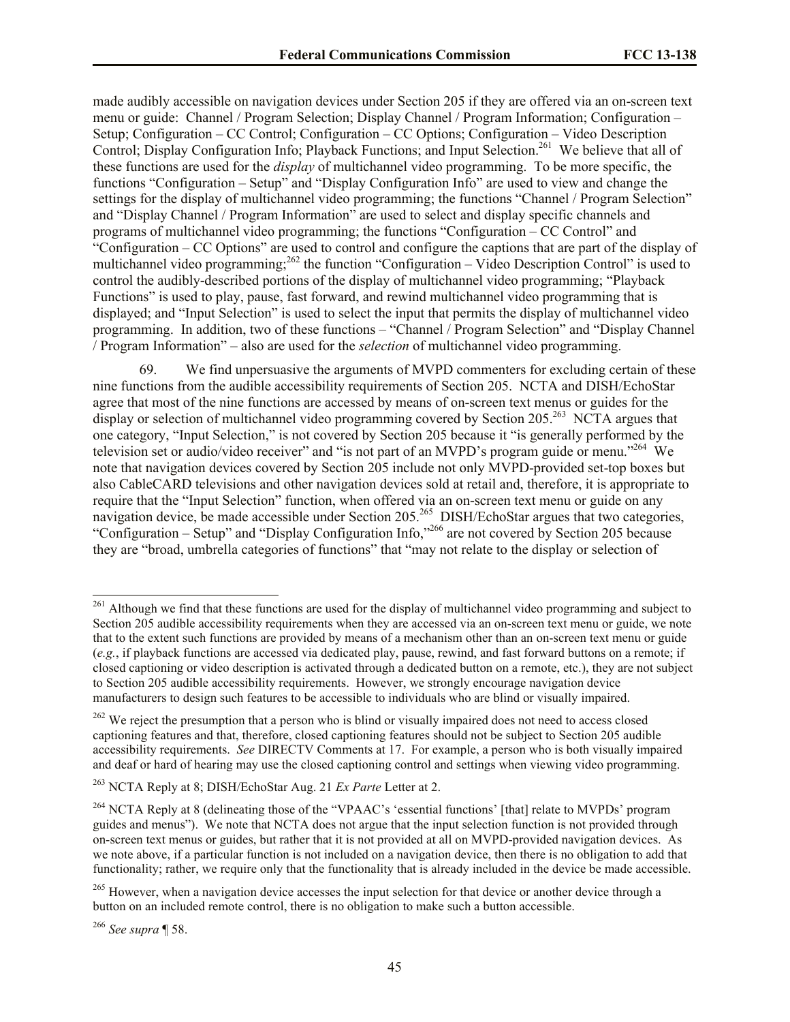made audibly accessible on navigation devices under Section 205 if they are offered via an on-screen text menu or guide: Channel / Program Selection; Display Channel / Program Information; Configuration – Setup; Configuration – CC Control; Configuration – CC Options; Configuration – Video Description Control; Display Configuration Info; Playback Functions; and Input Selection.<sup>261</sup> We believe that all of these functions are used for the *display* of multichannel video programming. To be more specific, the functions "Configuration – Setup" and "Display Configuration Info" are used to view and change the settings for the display of multichannel video programming; the functions "Channel / Program Selection" and "Display Channel / Program Information" are used to select and display specific channels and programs of multichannel video programming; the functions "Configuration – CC Control" and "Configuration – CC Options" are used to control and configure the captions that are part of the display of multichannel video programming;<sup>262</sup> the function "Configuration – Video Description Control" is used to control the audibly-described portions of the display of multichannel video programming; "Playback Functions" is used to play, pause, fast forward, and rewind multichannel video programming that is displayed; and "Input Selection" is used to select the input that permits the display of multichannel video programming. In addition, two of these functions – "Channel / Program Selection" and "Display Channel / Program Information" – also are used for the *selection* of multichannel video programming.

69. We find unpersuasive the arguments of MVPD commenters for excluding certain of these nine functions from the audible accessibility requirements of Section 205. NCTA and DISH/EchoStar agree that most of the nine functions are accessed by means of on-screen text menus or guides for the display or selection of multichannel video programming covered by Section 205.<sup>263</sup> NCTA argues that one category, "Input Selection," is not covered by Section 205 because it "is generally performed by the television set or audio/video receiver" and "is not part of an MVPD's program guide or menu."<sup>264</sup> We note that navigation devices covered by Section 205 include not only MVPD-provided set-top boxes but also CableCARD televisions and other navigation devices sold at retail and, therefore, it is appropriate to require that the "Input Selection" function, when offered via an on-screen text menu or guide on any navigation device, be made accessible under Section 205.<sup>265</sup> DISH/EchoStar argues that two categories, "Configuration – Setup" and "Display Configuration Info,"<sup>266</sup> are not covered by Section 205 because they are "broad, umbrella categories of functions" that "may not relate to the display or selection of

<sup>266</sup> *See supra* ¶ 58.

<sup>&</sup>lt;sup>261</sup> Although we find that these functions are used for the display of multichannel video programming and subject to Section 205 audible accessibility requirements when they are accessed via an on-screen text menu or guide, we note that to the extent such functions are provided by means of a mechanism other than an on-screen text menu or guide (*e.g.*, if playback functions are accessed via dedicated play, pause, rewind, and fast forward buttons on a remote; if closed captioning or video description is activated through a dedicated button on a remote, etc.), they are not subject to Section 205 audible accessibility requirements. However, we strongly encourage navigation device manufacturers to design such features to be accessible to individuals who are blind or visually impaired.

<sup>&</sup>lt;sup>262</sup> We reject the presumption that a person who is blind or visually impaired does not need to access closed captioning features and that, therefore, closed captioning features should not be subject to Section 205 audible accessibility requirements. *See* DIRECTV Comments at 17. For example, a person who is both visually impaired and deaf or hard of hearing may use the closed captioning control and settings when viewing video programming.

<sup>263</sup> NCTA Reply at 8; DISH/EchoStar Aug. 21 *Ex Parte* Letter at 2.

<sup>&</sup>lt;sup>264</sup> NCTA Reply at 8 (delineating those of the "VPAAC's 'essential functions' [that] relate to MVPDs' program guides and menus"). We note that NCTA does not argue that the input selection function is not provided through on-screen text menus or guides, but rather that it is not provided at all on MVPD-provided navigation devices. As we note above, if a particular function is not included on a navigation device, then there is no obligation to add that functionality; rather, we require only that the functionality that is already included in the device be made accessible.

<sup>&</sup>lt;sup>265</sup> However, when a navigation device accesses the input selection for that device or another device through a button on an included remote control, there is no obligation to make such a button accessible.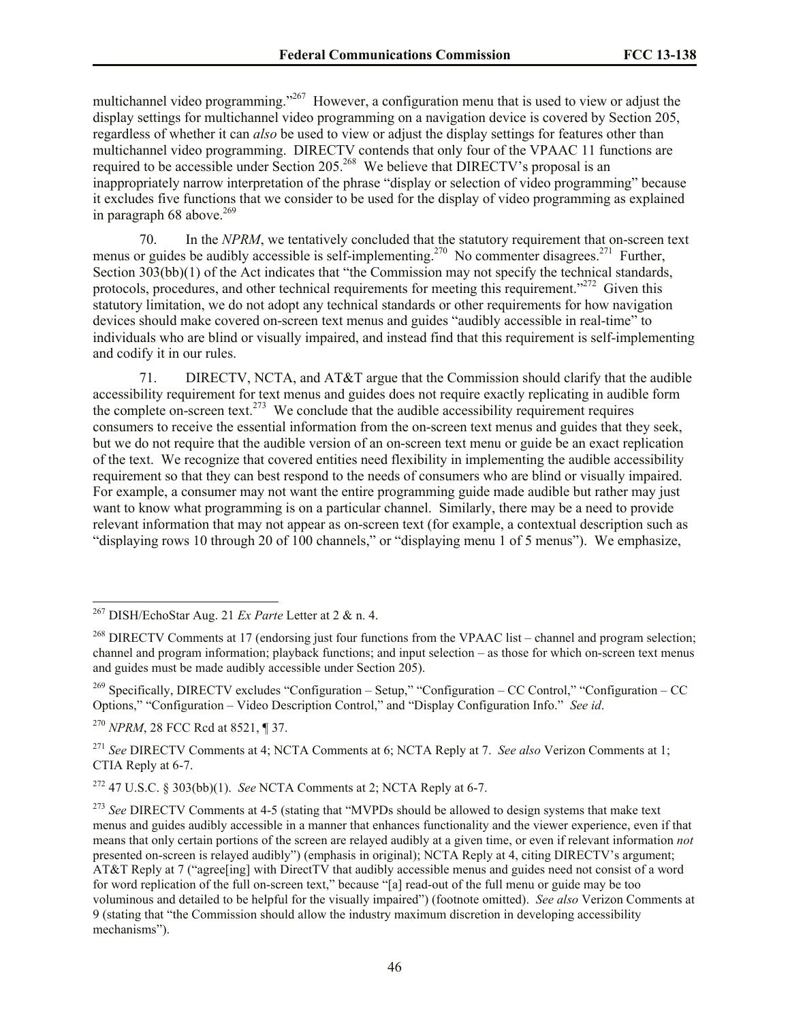multichannel video programming.<sup>2267</sup> However, a configuration menu that is used to view or adjust the display settings for multichannel video programming on a navigation device is covered by Section 205, regardless of whether it can *also* be used to view or adjust the display settings for features other than multichannel video programming. DIRECTV contends that only four of the VPAAC 11 functions are required to be accessible under Section 205.<sup>268</sup> We believe that DIRECTV's proposal is an inappropriately narrow interpretation of the phrase "display or selection of video programming" because it excludes five functions that we consider to be used for the display of video programming as explained in paragraph 68 above. $269$ 

70. In the *NPRM*, we tentatively concluded that the statutory requirement that on-screen text menus or guides be audibly accessible is self-implementing.<sup>270</sup> No commenter disagrees.<sup>271</sup> Further, Section 303(bb)(1) of the Act indicates that "the Commission may not specify the technical standards, protocols, procedures, and other technical requirements for meeting this requirement."<sup>272</sup> Given this statutory limitation, we do not adopt any technical standards or other requirements for how navigation devices should make covered on-screen text menus and guides "audibly accessible in real-time" to individuals who are blind or visually impaired, and instead find that this requirement is self-implementing and codify it in our rules.

71. DIRECTV, NCTA, and AT&T argue that the Commission should clarify that the audible accessibility requirement for text menus and guides does not require exactly replicating in audible form the complete on-screen text.<sup>273</sup> We conclude that the audible accessibility requirement requires consumers to receive the essential information from the on-screen text menus and guides that they seek, but we do not require that the audible version of an on-screen text menu or guide be an exact replication of the text. We recognize that covered entities need flexibility in implementing the audible accessibility requirement so that they can best respond to the needs of consumers who are blind or visually impaired. For example, a consumer may not want the entire programming guide made audible but rather may just want to know what programming is on a particular channel. Similarly, there may be a need to provide relevant information that may not appear as on-screen text (for example, a contextual description such as "displaying rows 10 through 20 of 100 channels," or "displaying menu 1 of 5 menus"). We emphasize,

<sup>269</sup> Specifically, DIRECTV excludes "Configuration – Setup," "Configuration – CC Control," "Configuration – CC Options," "Configuration – Video Description Control," and "Display Configuration Info." *See id*.

<sup>270</sup> *NPRM*, 28 FCC Rcd at 8521, ¶ 37.

 $\overline{a}$ 

<sup>271</sup> *See* DIRECTV Comments at 4; NCTA Comments at 6; NCTA Reply at 7. *See also* Verizon Comments at 1; CTIA Reply at 6-7.

<sup>272</sup> 47 U.S.C. § 303(bb)(1). *See* NCTA Comments at 2; NCTA Reply at 6-7.

<sup>267</sup> DISH/EchoStar Aug. 21 *Ex Parte* Letter at 2 & n. 4.

<sup>&</sup>lt;sup>268</sup> DIRECTV Comments at 17 (endorsing just four functions from the VPAAC list – channel and program selection; channel and program information; playback functions; and input selection – as those for which on-screen text menus and guides must be made audibly accessible under Section 205).

<sup>&</sup>lt;sup>273</sup> See DIRECTV Comments at 4-5 (stating that "MVPDs should be allowed to design systems that make text menus and guides audibly accessible in a manner that enhances functionality and the viewer experience, even if that means that only certain portions of the screen are relayed audibly at a given time, or even if relevant information *not* presented on-screen is relayed audibly") (emphasis in original); NCTA Reply at 4, citing DIRECTV's argument; AT&T Reply at 7 ("agree[ing] with DirectTV that audibly accessible menus and guides need not consist of a word for word replication of the full on-screen text," because "[a] read-out of the full menu or guide may be too voluminous and detailed to be helpful for the visually impaired") (footnote omitted). *See also* Verizon Comments at 9 (stating that "the Commission should allow the industry maximum discretion in developing accessibility mechanisms").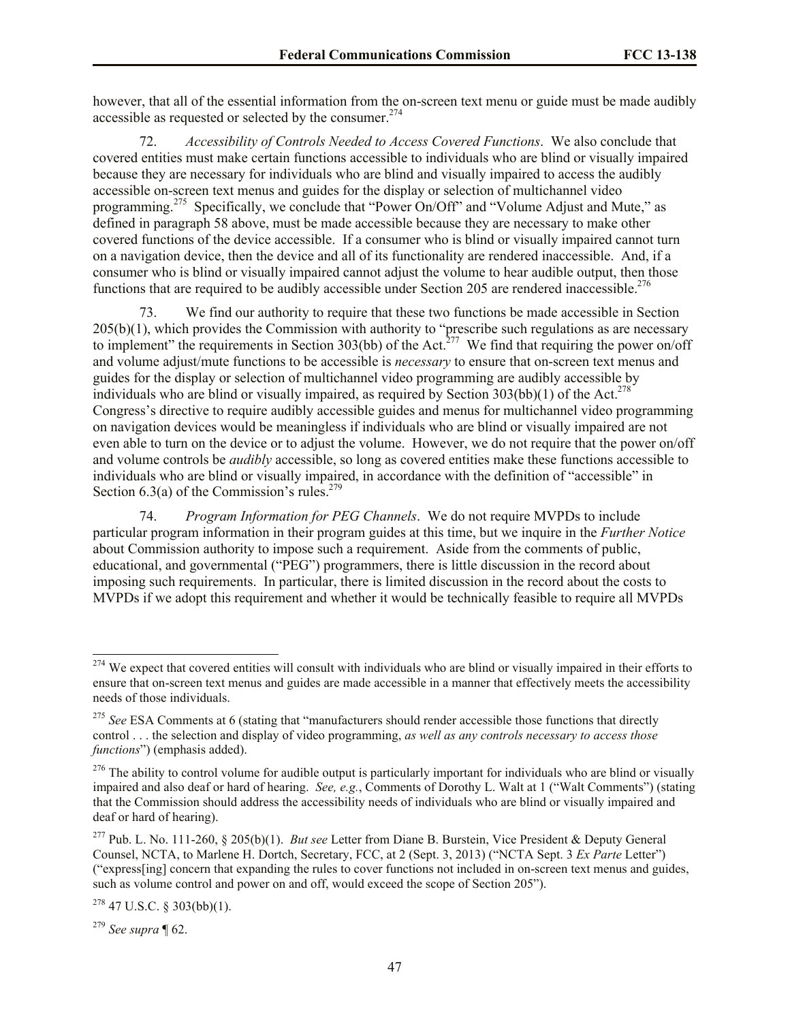however, that all of the essential information from the on-screen text menu or guide must be made audibly accessible as requested or selected by the consumer.<sup>274</sup>

72. *Accessibility of Controls Needed to Access Covered Functions*. We also conclude that covered entities must make certain functions accessible to individuals who are blind or visually impaired because they are necessary for individuals who are blind and visually impaired to access the audibly accessible on-screen text menus and guides for the display or selection of multichannel video programming.<sup>275</sup> Specifically, we conclude that "Power On/Off" and "Volume Adjust and Mute," as defined in paragraph 58 above, must be made accessible because they are necessary to make other covered functions of the device accessible. If a consumer who is blind or visually impaired cannot turn on a navigation device, then the device and all of its functionality are rendered inaccessible. And, if a consumer who is blind or visually impaired cannot adjust the volume to hear audible output, then those functions that are required to be audibly accessible under Section 205 are rendered inaccessible.<sup>276</sup>

73. We find our authority to require that these two functions be made accessible in Section 205(b)(1), which provides the Commission with authority to "prescribe such regulations as are necessary to implement" the requirements in Section 303(bb) of the Act.<sup>277</sup> We find that requiring the power on/off and volume adjust/mute functions to be accessible is *necessary* to ensure that on-screen text menus and guides for the display or selection of multichannel video programming are audibly accessible by individuals who are blind or visually impaired, as required by Section  $303(bb)(1)$  of the Act.<sup>278</sup> Congress's directive to require audibly accessible guides and menus for multichannel video programming on navigation devices would be meaningless if individuals who are blind or visually impaired are not even able to turn on the device or to adjust the volume. However, we do not require that the power on/off and volume controls be *audibly* accessible, so long as covered entities make these functions accessible to individuals who are blind or visually impaired, in accordance with the definition of "accessible" in Section 6.3(a) of the Commission's rules.<sup>279</sup>

74. *Program Information for PEG Channels*. We do not require MVPDs to include particular program information in their program guides at this time, but we inquire in the *Further Notice* about Commission authority to impose such a requirement. Aside from the comments of public, educational, and governmental ("PEG") programmers, there is little discussion in the record about imposing such requirements. In particular, there is limited discussion in the record about the costs to MVPDs if we adopt this requirement and whether it would be technically feasible to require all MVPDs

<sup>279</sup> *See supra* ¶ 62.

<sup>&</sup>lt;sup>274</sup> We expect that covered entities will consult with individuals who are blind or visually impaired in their efforts to ensure that on-screen text menus and guides are made accessible in a manner that effectively meets the accessibility needs of those individuals.

<sup>&</sup>lt;sup>275</sup> See ESA Comments at 6 (stating that "manufacturers should render accessible those functions that directly control . . . the selection and display of video programming, *as well as any controls necessary to access those functions*") (emphasis added).

 $276$  The ability to control volume for audible output is particularly important for individuals who are blind or visually impaired and also deaf or hard of hearing. *See, e.g.*, Comments of Dorothy L. Walt at 1 ("Walt Comments") (stating that the Commission should address the accessibility needs of individuals who are blind or visually impaired and deaf or hard of hearing).

<sup>277</sup> Pub. L. No. 111-260, § 205(b)(1). *But see* Letter from Diane B. Burstein, Vice President & Deputy General Counsel, NCTA, to Marlene H. Dortch, Secretary, FCC, at 2 (Sept. 3, 2013) ("NCTA Sept. 3 *Ex Parte* Letter") ("express[ing] concern that expanding the rules to cover functions not included in on-screen text menus and guides, such as volume control and power on and off, would exceed the scope of Section 205").

<sup>278</sup> 47 U.S.C. § 303(bb)(1).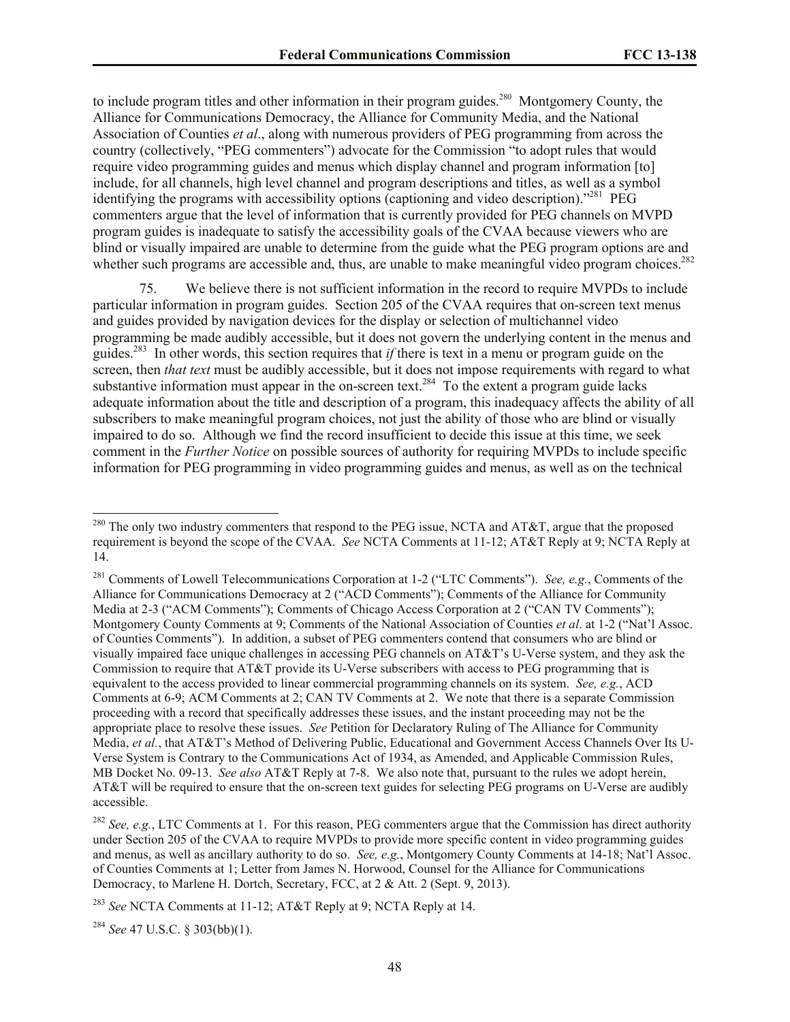to include program titles and other information in their program guides.<sup>280</sup> Montgomery County, the Alliance for Communications Democracy, the Alliance for Community Media, and the National Association of Counties *et al*., along with numerous providers of PEG programming from across the country (collectively, "PEG commenters") advocate for the Commission "to adopt rules that would require video programming guides and menus which display channel and program information [to] include, for all channels, high level channel and program descriptions and titles, as well as a symbol identifying the programs with accessibility options (captioning and video description)."<sup>281</sup> PEG commenters argue that the level of information that is currently provided for PEG channels on MVPD program guides is inadequate to satisfy the accessibility goals of the CVAA because viewers who are blind or visually impaired are unable to determine from the guide what the PEG program options are and whether such programs are accessible and, thus, are unable to make meaningful video program choices.<sup>282</sup>

75. We believe there is not sufficient information in the record to require MVPDs to include particular information in program guides. Section 205 of the CVAA requires that on-screen text menus and guides provided by navigation devices for the display or selection of multichannel video programming be made audibly accessible, but it does not govern the underlying content in the menus and guides.<sup>283</sup> In other words, this section requires that *if* there is text in a menu or program guide on the screen, then *that text* must be audibly accessible, but it does not impose requirements with regard to what substantive information must appear in the on-screen text.<sup>284</sup> To the extent a program guide lacks adequate information about the title and description of a program, this inadequacy affects the ability of all subscribers to make meaningful program choices, not just the ability of those who are blind or visually impaired to do so. Although we find the record insufficient to decide this issue at this time, we seek comment in the *Further Notice* on possible sources of authority for requiring MVPDs to include specific information for PEG programming in video programming guides and menus, as well as on the technical

<sup>284</sup> *See* 47 U.S.C. § 303(bb)(1).

 $^{280}$  The only two industry commenters that respond to the PEG issue, NCTA and AT&T, argue that the proposed requirement is beyond the scope of the CVAA. *See* NCTA Comments at 11-12; AT&T Reply at 9; NCTA Reply at 14.

<sup>281</sup> Comments of Lowell Telecommunications Corporation at 1-2 ("LTC Comments"). *See, e.g.*, Comments of the Alliance for Communications Democracy at 2 ("ACD Comments"); Comments of the Alliance for Community Media at 2-3 ("ACM Comments"); Comments of Chicago Access Corporation at 2 ("CAN TV Comments"); Montgomery County Comments at 9; Comments of the National Association of Counties *et al*. at 1-2 ("Nat'l Assoc. of Counties Comments"). In addition, a subset of PEG commenters contend that consumers who are blind or visually impaired face unique challenges in accessing PEG channels on AT&T's U-Verse system, and they ask the Commission to require that AT&T provide its U-Verse subscribers with access to PEG programming that is equivalent to the access provided to linear commercial programming channels on its system. *See, e.g.*, ACD Comments at 6-9; ACM Comments at 2; CAN TV Comments at 2. We note that there is a separate Commission proceeding with a record that specifically addresses these issues, and the instant proceeding may not be the appropriate place to resolve these issues. *See* Petition for Declaratory Ruling of The Alliance for Community Media, *et al.*, that AT&T's Method of Delivering Public, Educational and Government Access Channels Over Its U-Verse System is Contrary to the Communications Act of 1934, as Amended, and Applicable Commission Rules, MB Docket No. 09-13. *See also* AT&T Reply at 7-8. We also note that, pursuant to the rules we adopt herein, AT&T will be required to ensure that the on-screen text guides for selecting PEG programs on U-Verse are audibly accessible.

<sup>282</sup> *See, e.g.*, LTC Comments at 1. For this reason, PEG commenters argue that the Commission has direct authority under Section 205 of the CVAA to require MVPDs to provide more specific content in video programming guides and menus, as well as ancillary authority to do so. *See, e.g.*, Montgomery County Comments at 14-18; Nat'l Assoc. of Counties Comments at 1; Letter from James N. Horwood, Counsel for the Alliance for Communications Democracy, to Marlene H. Dortch, Secretary, FCC, at 2 & Att. 2 (Sept. 9, 2013).

<sup>283</sup> *See* NCTA Comments at 11-12; AT&T Reply at 9; NCTA Reply at 14.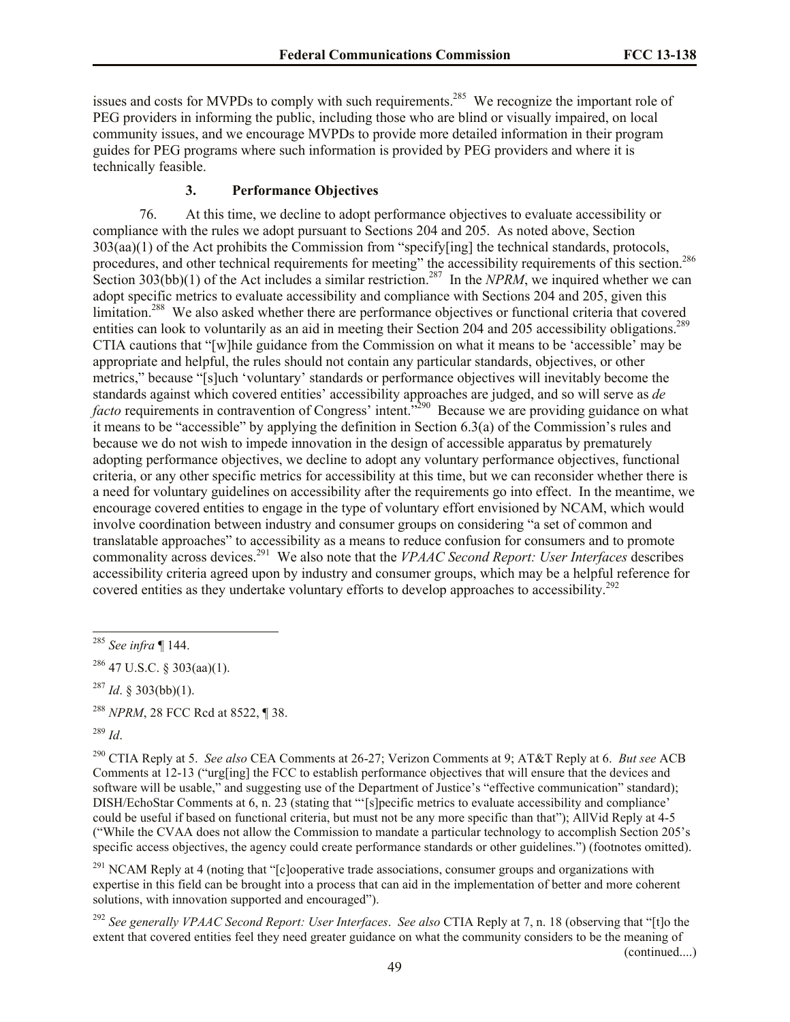issues and costs for MVPDs to comply with such requirements.<sup>285</sup> We recognize the important role of PEG providers in informing the public, including those who are blind or visually impaired, on local community issues, and we encourage MVPDs to provide more detailed information in their program guides for PEG programs where such information is provided by PEG providers and where it is technically feasible.

#### **3. Performance Objectives**

76. At this time, we decline to adopt performance objectives to evaluate accessibility or compliance with the rules we adopt pursuant to Sections 204 and 205. As noted above, Section 303(aa)(1) of the Act prohibits the Commission from "specify[ing] the technical standards, protocols, procedures, and other technical requirements for meeting" the accessibility requirements of this section.<sup>286</sup> Section 303(bb)(1) of the Act includes a similar restriction.<sup>287</sup> In the *NPRM*, we inquired whether we can adopt specific metrics to evaluate accessibility and compliance with Sections 204 and 205, given this limitation.<sup>288</sup> We also asked whether there are performance objectives or functional criteria that covered entities can look to voluntarily as an aid in meeting their Section 204 and 205 accessibility obligations.<sup>289</sup> CTIA cautions that "[w]hile guidance from the Commission on what it means to be 'accessible' may be appropriate and helpful, the rules should not contain any particular standards, objectives, or other metrics," because "[s]uch 'voluntary' standards or performance objectives will inevitably become the standards against which covered entities' accessibility approaches are judged, and so will serve as *de facto* requirements in contravention of Congress' intent.<sup>5290</sup> Because we are providing guidance on what it means to be "accessible" by applying the definition in Section 6.3(a) of the Commission's rules and because we do not wish to impede innovation in the design of accessible apparatus by prematurely adopting performance objectives, we decline to adopt any voluntary performance objectives, functional criteria, or any other specific metrics for accessibility at this time, but we can reconsider whether there is a need for voluntary guidelines on accessibility after the requirements go into effect. In the meantime, we encourage covered entities to engage in the type of voluntary effort envisioned by NCAM, which would involve coordination between industry and consumer groups on considering "a set of common and translatable approaches" to accessibility as a means to reduce confusion for consumers and to promote commonality across devices.<sup>291</sup> We also note that the *VPAAC Second Report: User Interfaces* describes accessibility criteria agreed upon by industry and consumer groups, which may be a helpful reference for covered entities as they undertake voluntary efforts to develop approaches to accessibility.<sup>292</sup>

<sup>288</sup> *NPRM*, 28 FCC Rcd at 8522, ¶ 38.

<sup>289</sup> *Id*.

l

<sup>291</sup> NCAM Reply at 4 (noting that "[c]ooperative trade associations, consumer groups and organizations with expertise in this field can be brought into a process that can aid in the implementation of better and more coherent solutions, with innovation supported and encouraged").

(continued....)

<sup>285</sup> *See infra* ¶ 144.

 $286$  47 U.S.C. § 303(aa)(1).

 $^{287}$  *Id.* § 303(bb)(1).

<sup>290</sup> CTIA Reply at 5. *See also* CEA Comments at 26-27; Verizon Comments at 9; AT&T Reply at 6. *But see* ACB Comments at 12-13 ("urg[ing] the FCC to establish performance objectives that will ensure that the devices and software will be usable," and suggesting use of the Department of Justice's "effective communication" standard); DISH/EchoStar Comments at 6, n. 23 (stating that "'[s]pecific metrics to evaluate accessibility and compliance' could be useful if based on functional criteria, but must not be any more specific than that"); AllVid Reply at 4-5 ("While the CVAA does not allow the Commission to mandate a particular technology to accomplish Section 205's specific access objectives, the agency could create performance standards or other guidelines.") (footnotes omitted).

<sup>292</sup> *See generally VPAAC Second Report: User Interfaces*. *See also* CTIA Reply at 7, n. 18 (observing that "[t]o the extent that covered entities feel they need greater guidance on what the community considers to be the meaning of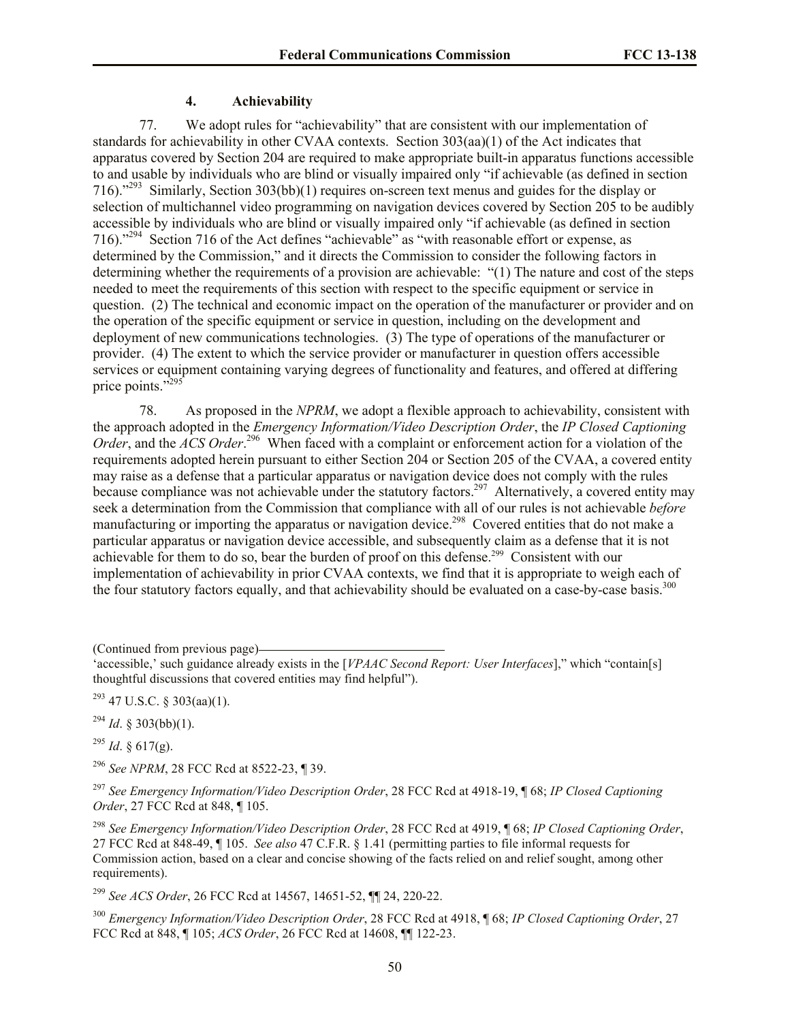#### **4. Achievability**

77. We adopt rules for "achievability" that are consistent with our implementation of standards for achievability in other CVAA contexts. Section 303(aa)(1) of the Act indicates that apparatus covered by Section 204 are required to make appropriate built-in apparatus functions accessible to and usable by individuals who are blind or visually impaired only "if achievable (as defined in section 716)."<sup>293</sup> Similarly, Section 303(bb)(1) requires on-screen text menus and guides for the display or selection of multichannel video programming on navigation devices covered by Section 205 to be audibly accessible by individuals who are blind or visually impaired only "if achievable (as defined in section 716)."<sup>294</sup> Section 716 of the Act defines "achievable" as "with reasonable effort or expense, as determined by the Commission," and it directs the Commission to consider the following factors in determining whether the requirements of a provision are achievable: "(1) The nature and cost of the steps needed to meet the requirements of this section with respect to the specific equipment or service in question. (2) The technical and economic impact on the operation of the manufacturer or provider and on the operation of the specific equipment or service in question, including on the development and deployment of new communications technologies. (3) The type of operations of the manufacturer or provider. (4) The extent to which the service provider or manufacturer in question offers accessible services or equipment containing varying degrees of functionality and features, and offered at differing price points."<sup>295</sup>

78. As proposed in the *NPRM*, we adopt a flexible approach to achievability, consistent with the approach adopted in the *Emergency Information/Video Description Order*, the *IP Closed Captioning*  Order, and the *ACS Order*.<sup>296</sup> When faced with a complaint or enforcement action for a violation of the requirements adopted herein pursuant to either Section 204 or Section 205 of the CVAA, a covered entity may raise as a defense that a particular apparatus or navigation device does not comply with the rules because compliance was not achievable under the statutory factors.<sup>297</sup> Alternatively, a covered entity may seek a determination from the Commission that compliance with all of our rules is not achievable *before* manufacturing or importing the apparatus or navigation device.<sup>298</sup> Covered entities that do not make a particular apparatus or navigation device accessible, and subsequently claim as a defense that it is not achievable for them to do so, bear the burden of proof on this defense.<sup>299</sup> Consistent with our implementation of achievability in prior CVAA contexts, we find that it is appropriate to weigh each of the four statutory factors equally, and that achievability should be evaluated on a case-by-case basis.<sup>300</sup>

(Continued from previous page)

 $^{293}$  47 U.S.C. § 303(aa)(1).

 $^{294}$  *Id.* § 303(bb)(1).

 $^{295}$  *Id.* § 617(g).

<sup>296</sup> *See NPRM*, 28 FCC Rcd at 8522-23, ¶ 39.

<sup>297</sup> *See Emergency Information/Video Description Order*, 28 FCC Rcd at 4918-19, ¶ 68; *IP Closed Captioning Order*, 27 FCC Rcd at 848, ¶ 105.

<sup>298</sup> *See Emergency Information/Video Description Order*, 28 FCC Rcd at 4919, ¶ 68; *IP Closed Captioning Order*, 27 FCC Rcd at 848-49, ¶ 105. *See also* 47 C.F.R. § 1.41 (permitting parties to file informal requests for Commission action, based on a clear and concise showing of the facts relied on and relief sought, among other requirements).

<sup>299</sup> *See ACS Order*, 26 FCC Rcd at 14567, 14651-52, ¶¶ 24, 220-22.

<sup>300</sup> *Emergency Information/Video Description Order*, 28 FCC Rcd at 4918, ¶ 68; *IP Closed Captioning Order*, 27 FCC Rcd at 848, ¶ 105; *ACS Order*, 26 FCC Rcd at 14608, ¶¶ 122-23.

<sup>&#</sup>x27;accessible,' such guidance already exists in the [*VPAAC Second Report: User Interfaces*]," which "contain[s] thoughtful discussions that covered entities may find helpful").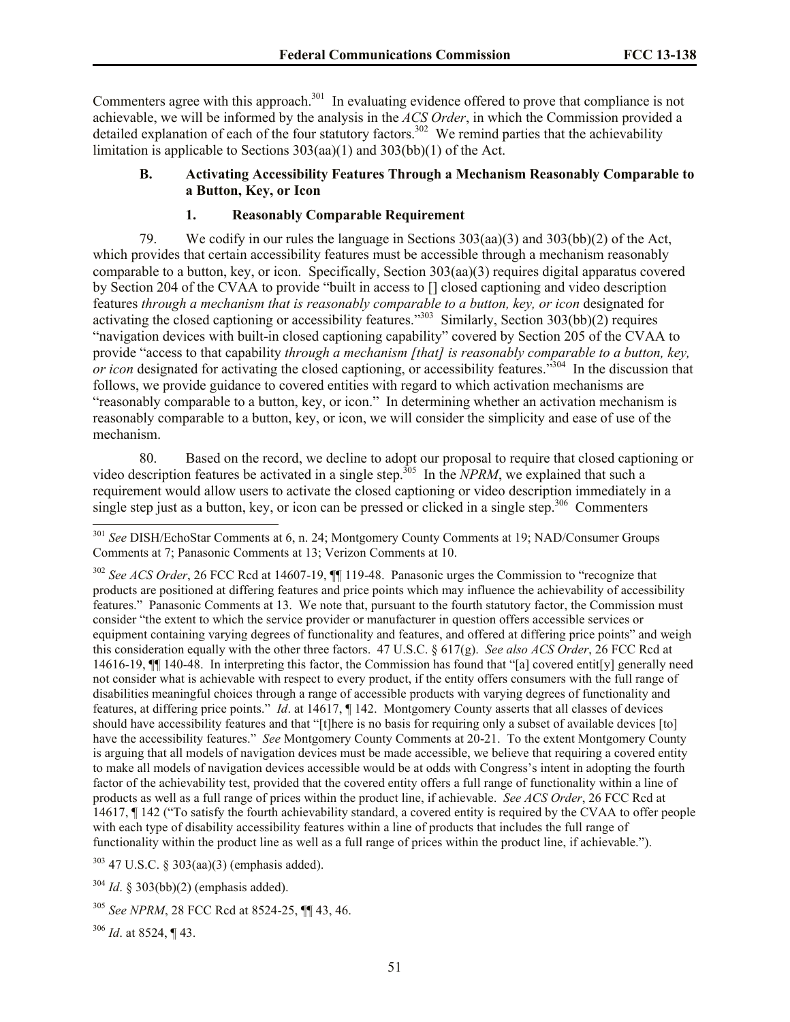Commenters agree with this approach.<sup>301</sup> In evaluating evidence offered to prove that compliance is not achievable, we will be informed by the analysis in the *ACS Order*, in which the Commission provided a detailed explanation of each of the four statutory factors.<sup>302</sup> We remind parties that the achievability limitation is applicable to Sections 303(aa)(1) and 303(bb)(1) of the Act.

### **B. Activating Accessibility Features Through a Mechanism Reasonably Comparable to a Button, Key, or Icon**

### **1. Reasonably Comparable Requirement**

79. We codify in our rules the language in Sections 303(aa)(3) and 303(bb)(2) of the Act, which provides that certain accessibility features must be accessible through a mechanism reasonably comparable to a button, key, or icon. Specifically, Section 303(aa)(3) requires digital apparatus covered by Section 204 of the CVAA to provide "built in access to [] closed captioning and video description features *through a mechanism that is reasonably comparable to a button, key, or icon* designated for activating the closed captioning or accessibility features."<sup>303</sup> Similarly, Section 303(bb)(2) requires "navigation devices with built-in closed captioning capability" covered by Section 205 of the CVAA to provide "access to that capability *through a mechanism [that] is reasonably comparable to a button, key,*  or icon designated for activating the closed captioning, or accessibility features."<sup>304</sup> In the discussion that follows, we provide guidance to covered entities with regard to which activation mechanisms are "reasonably comparable to a button, key, or icon." In determining whether an activation mechanism is reasonably comparable to a button, key, or icon, we will consider the simplicity and ease of use of the mechanism.

80. Based on the record, we decline to adopt our proposal to require that closed captioning or video description features be activated in a single step.<sup>305</sup> In the *NPRM*, we explained that such a requirement would allow users to activate the closed captioning or video description immediately in a single step just as a button, key, or icon can be pressed or clicked in a single step.<sup>306</sup> Commenters l

<sup>303</sup> 47 U.S.C. § 303(aa)(3) (emphasis added).

<sup>304</sup> *Id*. § 303(bb)(2) (emphasis added).

<sup>306</sup> *Id*. at 8524, ¶ 43.

<sup>301</sup> *See* DISH/EchoStar Comments at 6, n. 24; Montgomery County Comments at 19; NAD/Consumer Groups Comments at 7; Panasonic Comments at 13; Verizon Comments at 10.

<sup>302</sup> *See ACS Order*, 26 FCC Rcd at 14607-19, ¶¶ 119-48. Panasonic urges the Commission to "recognize that products are positioned at differing features and price points which may influence the achievability of accessibility features." Panasonic Comments at 13. We note that, pursuant to the fourth statutory factor, the Commission must consider "the extent to which the service provider or manufacturer in question offers accessible services or equipment containing varying degrees of functionality and features, and offered at differing price points" and weigh this consideration equally with the other three factors. 47 U.S.C. § 617(g). *See also ACS Order*, 26 FCC Rcd at 14616-19, ¶¶ 140-48. In interpreting this factor, the Commission has found that "[a] covered entit[y] generally need not consider what is achievable with respect to every product, if the entity offers consumers with the full range of disabilities meaningful choices through a range of accessible products with varying degrees of functionality and features, at differing price points." *Id*. at 14617, ¶ 142. Montgomery County asserts that all classes of devices should have accessibility features and that "[t]here is no basis for requiring only a subset of available devices [to] have the accessibility features." *See* Montgomery County Comments at 20-21. To the extent Montgomery County is arguing that all models of navigation devices must be made accessible, we believe that requiring a covered entity to make all models of navigation devices accessible would be at odds with Congress's intent in adopting the fourth factor of the achievability test, provided that the covered entity offers a full range of functionality within a line of products as well as a full range of prices within the product line, if achievable. *See ACS Order*, 26 FCC Rcd at 14617, ¶ 142 ("To satisfy the fourth achievability standard, a covered entity is required by the CVAA to offer people with each type of disability accessibility features within a line of products that includes the full range of functionality within the product line as well as a full range of prices within the product line, if achievable.").

<sup>305</sup> *See NPRM*, 28 FCC Rcd at 8524-25, ¶¶ 43, 46.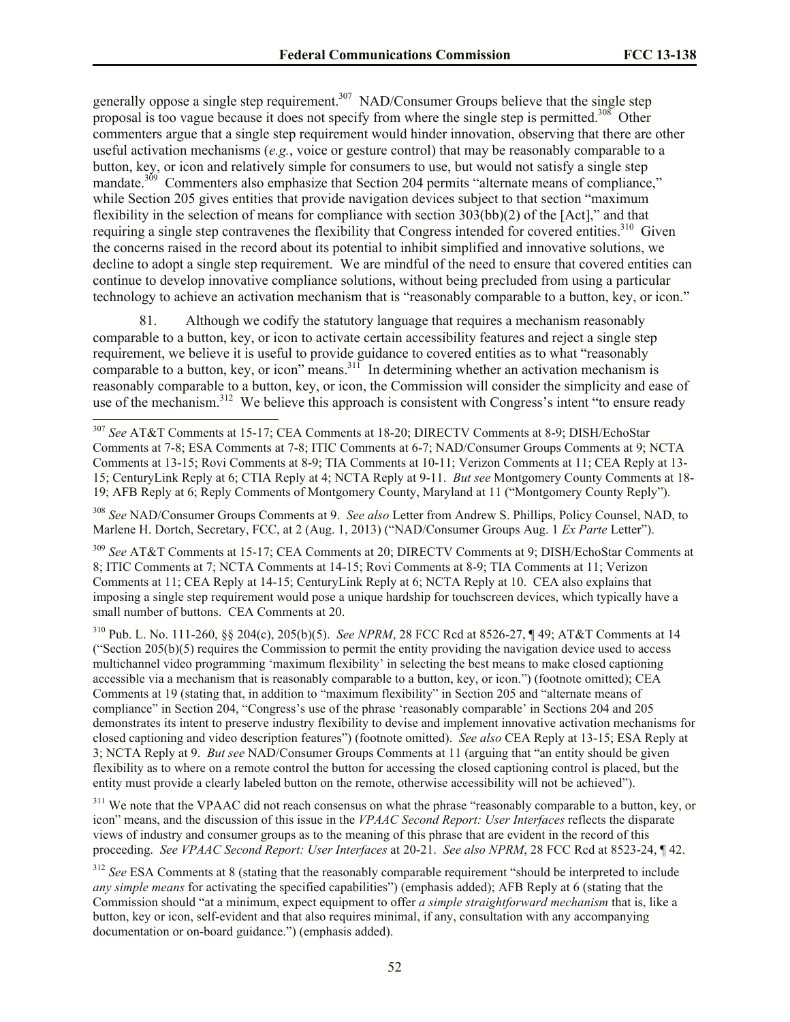generally oppose a single step requirement.<sup>307</sup> NAD/Consumer Groups believe that the single step proposal is too vague because it does not specify from where the single step is permitted.<sup>308</sup> Other commenters argue that a single step requirement would hinder innovation, observing that there are other useful activation mechanisms (*e.g.*, voice or gesture control) that may be reasonably comparable to a button, key, or icon and relatively simple for consumers to use, but would not satisfy a single step mandate.<sup>309</sup> Commenters also emphasize that Section 204 permits "alternate means of compliance," while Section 205 gives entities that provide navigation devices subject to that section "maximum flexibility in the selection of means for compliance with section 303(bb)(2) of the [Act]," and that requiring a single step contravenes the flexibility that Congress intended for covered entities.<sup>310</sup> Given the concerns raised in the record about its potential to inhibit simplified and innovative solutions, we decline to adopt a single step requirement. We are mindful of the need to ensure that covered entities can continue to develop innovative compliance solutions, without being precluded from using a particular technology to achieve an activation mechanism that is "reasonably comparable to a button, key, or icon."

Although we codify the statutory language that requires a mechanism reasonably comparable to a button, key, or icon to activate certain accessibility features and reject a single step requirement, we believe it is useful to provide guidance to covered entities as to what "reasonably comparable to a button, key, or icon" means. $311$  In determining whether an activation mechanism is reasonably comparable to a button, key, or icon, the Commission will consider the simplicity and ease of use of the mechanism.<sup>312</sup> We believe this approach is consistent with Congress's intent "to ensure ready"

 $\overline{a}$ 

<sup>308</sup> *See* NAD/Consumer Groups Comments at 9. *See also* Letter from Andrew S. Phillips, Policy Counsel, NAD, to Marlene H. Dortch, Secretary, FCC, at 2 (Aug. 1, 2013) ("NAD/Consumer Groups Aug. 1 *Ex Parte* Letter").

<sup>309</sup> *See* AT&T Comments at 15-17; CEA Comments at 20; DIRECTV Comments at 9; DISH/EchoStar Comments at 8; ITIC Comments at 7; NCTA Comments at 14-15; Rovi Comments at 8-9; TIA Comments at 11; Verizon Comments at 11; CEA Reply at 14-15; CenturyLink Reply at 6; NCTA Reply at 10. CEA also explains that imposing a single step requirement would pose a unique hardship for touchscreen devices, which typically have a small number of buttons. CEA Comments at 20.

<sup>310</sup> Pub. L. No. 111-260, §§ 204(c), 205(b)(5). *See NPRM*, 28 FCC Rcd at 8526-27, ¶ 49; AT&T Comments at 14 ("Section 205(b)(5) requires the Commission to permit the entity providing the navigation device used to access multichannel video programming 'maximum flexibility' in selecting the best means to make closed captioning accessible via a mechanism that is reasonably comparable to a button, key, or icon.") (footnote omitted); CEA Comments at 19 (stating that, in addition to "maximum flexibility" in Section 205 and "alternate means of compliance" in Section 204, "Congress's use of the phrase 'reasonably comparable' in Sections 204 and 205 demonstrates its intent to preserve industry flexibility to devise and implement innovative activation mechanisms for closed captioning and video description features") (footnote omitted). *See also* CEA Reply at 13-15; ESA Reply at 3; NCTA Reply at 9. *But see* NAD/Consumer Groups Comments at 11 (arguing that "an entity should be given flexibility as to where on a remote control the button for accessing the closed captioning control is placed, but the entity must provide a clearly labeled button on the remote, otherwise accessibility will not be achieved").

<sup>311</sup> We note that the VPAAC did not reach consensus on what the phrase "reasonably comparable to a button, key, or icon" means, and the discussion of this issue in the *VPAAC Second Report: User Interfaces* reflects the disparate views of industry and consumer groups as to the meaning of this phrase that are evident in the record of this proceeding. *See VPAAC Second Report: User Interfaces* at 20-21. *See also NPRM*, 28 FCC Rcd at 8523-24, ¶ 42.

<sup>312</sup> *See* ESA Comments at 8 (stating that the reasonably comparable requirement "should be interpreted to include *any simple means* for activating the specified capabilities") (emphasis added); AFB Reply at 6 (stating that the Commission should "at a minimum, expect equipment to offer *a simple straightforward mechanism* that is, like a button, key or icon, self-evident and that also requires minimal, if any, consultation with any accompanying documentation or on-board guidance.") (emphasis added).

<sup>307</sup> *See* AT&T Comments at 15-17; CEA Comments at 18-20; DIRECTV Comments at 8-9; DISH/EchoStar Comments at 7-8; ESA Comments at 7-8; ITIC Comments at 6-7; NAD/Consumer Groups Comments at 9; NCTA Comments at 13-15; Rovi Comments at 8-9; TIA Comments at 10-11; Verizon Comments at 11; CEA Reply at 13- 15; CenturyLink Reply at 6; CTIA Reply at 4; NCTA Reply at 9-11. *But see* Montgomery County Comments at 18- 19; AFB Reply at 6; Reply Comments of Montgomery County, Maryland at 11 ("Montgomery County Reply").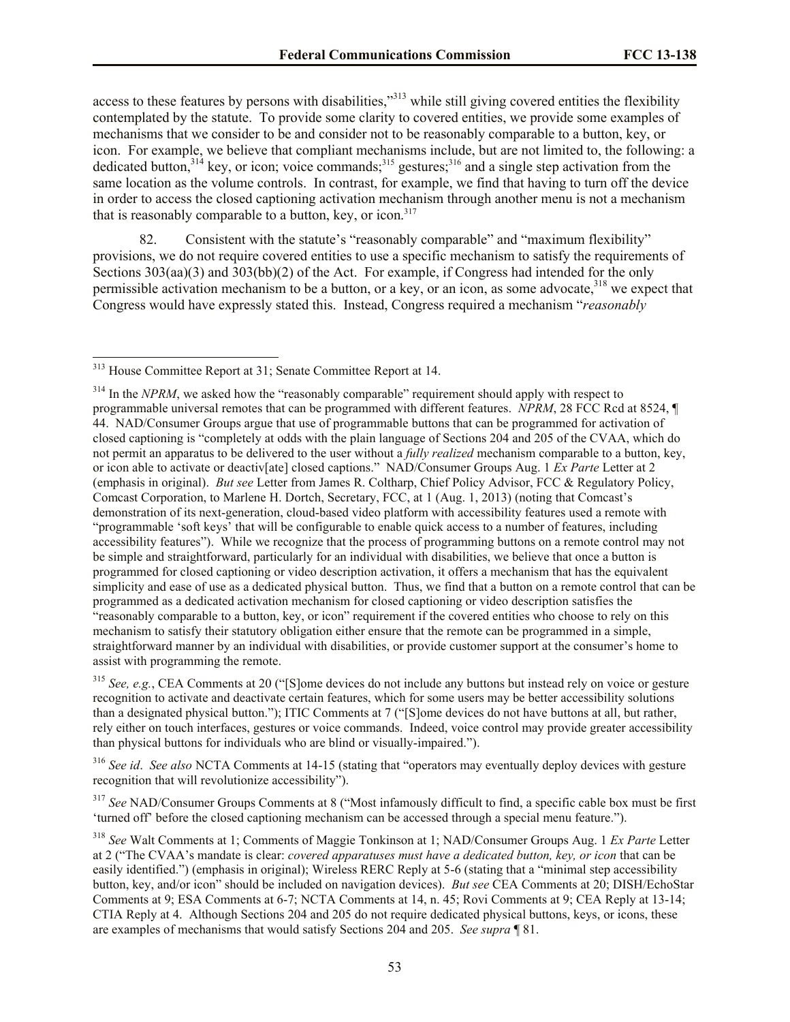access to these features by persons with disabilities,"<sup>313</sup> while still giving covered entities the flexibility contemplated by the statute. To provide some clarity to covered entities, we provide some examples of mechanisms that we consider to be and consider not to be reasonably comparable to a button, key, or icon. For example, we believe that compliant mechanisms include, but are not limited to, the following: a dedicated button,  $3^{314}$  key, or icon; voice commands;  $3^{315}$  gestures;  $3^{316}$  and a single step activation from the same location as the volume controls. In contrast, for example, we find that having to turn off the device in order to access the closed captioning activation mechanism through another menu is not a mechanism that is reasonably comparable to a button, key, or icon. 317

82. Consistent with the statute's "reasonably comparable" and "maximum flexibility" provisions, we do not require covered entities to use a specific mechanism to satisfy the requirements of Sections 303(aa)(3) and 303(bb)(2) of the Act. For example, if Congress had intended for the only permissible activation mechanism to be a button, or a key, or an icon, as some advocate, $318$  we expect that Congress would have expressly stated this. Instead, Congress required a mechanism "*reasonably* 

 $\overline{a}$ 

<sup>315</sup> *See, e.g.*, CEA Comments at 20 ("[S]ome devices do not include any buttons but instead rely on voice or gesture recognition to activate and deactivate certain features, which for some users may be better accessibility solutions than a designated physical button."); ITIC Comments at 7 ("[S]ome devices do not have buttons at all, but rather, rely either on touch interfaces, gestures or voice commands. Indeed, voice control may provide greater accessibility than physical buttons for individuals who are blind or visually-impaired.").

<sup>316</sup> *See id*. *See also* NCTA Comments at 14-15 (stating that "operators may eventually deploy devices with gesture recognition that will revolutionize accessibility").

<sup>317</sup> See NAD/Consumer Groups Comments at 8 ("Most infamously difficult to find, a specific cable box must be first 'turned off' before the closed captioning mechanism can be accessed through a special menu feature.").

<sup>&</sup>lt;sup>313</sup> House Committee Report at 31; Senate Committee Report at 14.

<sup>&</sup>lt;sup>314</sup> In the *NPRM*, we asked how the "reasonably comparable" requirement should apply with respect to programmable universal remotes that can be programmed with different features. *NPRM*, 28 FCC Rcd at 8524, ¶ 44. NAD/Consumer Groups argue that use of programmable buttons that can be programmed for activation of closed captioning is "completely at odds with the plain language of Sections 204 and 205 of the CVAA, which do not permit an apparatus to be delivered to the user without a *fully realized* mechanism comparable to a button, key, or icon able to activate or deactiv[ate] closed captions." NAD/Consumer Groups Aug. 1 *Ex Parte* Letter at 2 (emphasis in original). *But see* Letter from James R. Coltharp, Chief Policy Advisor, FCC & Regulatory Policy, Comcast Corporation, to Marlene H. Dortch, Secretary, FCC, at 1 (Aug. 1, 2013) (noting that Comcast's demonstration of its next-generation, cloud-based video platform with accessibility features used a remote with "programmable 'soft keys' that will be configurable to enable quick access to a number of features, including accessibility features"). While we recognize that the process of programming buttons on a remote control may not be simple and straightforward, particularly for an individual with disabilities, we believe that once a button is programmed for closed captioning or video description activation, it offers a mechanism that has the equivalent simplicity and ease of use as a dedicated physical button. Thus, we find that a button on a remote control that can be programmed as a dedicated activation mechanism for closed captioning or video description satisfies the "reasonably comparable to a button, key, or icon" requirement if the covered entities who choose to rely on this mechanism to satisfy their statutory obligation either ensure that the remote can be programmed in a simple, straightforward manner by an individual with disabilities, or provide customer support at the consumer's home to assist with programming the remote.

<sup>318</sup> *See* Walt Comments at 1; Comments of Maggie Tonkinson at 1; NAD/Consumer Groups Aug. 1 *Ex Parte* Letter at 2 ("The CVAA's mandate is clear: *covered apparatuses must have a dedicated button, key, or icon* that can be easily identified.") (emphasis in original); Wireless RERC Reply at 5-6 (stating that a "minimal step accessibility button, key, and/or icon" should be included on navigation devices). *But see* CEA Comments at 20; DISH/EchoStar Comments at 9; ESA Comments at 6-7; NCTA Comments at 14, n. 45; Rovi Comments at 9; CEA Reply at 13-14; CTIA Reply at 4. Although Sections 204 and 205 do not require dedicated physical buttons, keys, or icons, these are examples of mechanisms that would satisfy Sections 204 and 205. *See supra* ¶ 81.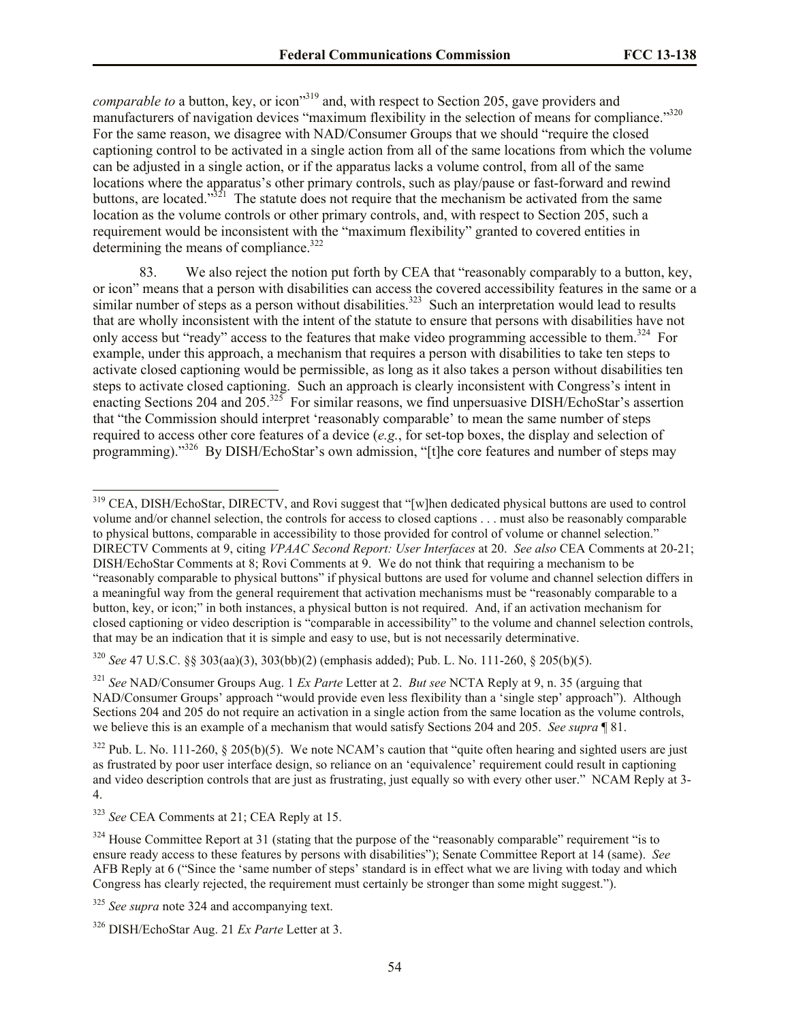*comparable to* a button, key, or icon<sup>319</sup> and, with respect to Section 205, gave providers and manufacturers of navigation devices "maximum flexibility in the selection of means for compliance."<sup>320</sup> For the same reason, we disagree with NAD/Consumer Groups that we should "require the closed captioning control to be activated in a single action from all of the same locations from which the volume can be adjusted in a single action, or if the apparatus lacks a volume control, from all of the same locations where the apparatus's other primary controls, such as play/pause or fast-forward and rewind buttons, are located."<sup>321</sup> The statute does not require that the mechanism be activated from the same location as the volume controls or other primary controls, and, with respect to Section 205, such a requirement would be inconsistent with the "maximum flexibility" granted to covered entities in determining the means of compliance. $322$ 

83. We also reject the notion put forth by CEA that "reasonably comparably to a button, key, or icon" means that a person with disabilities can access the covered accessibility features in the same or a similar number of steps as a person without disabilities.<sup>323</sup> Such an interpretation would lead to results that are wholly inconsistent with the intent of the statute to ensure that persons with disabilities have not only access but "ready" access to the features that make video programming accessible to them.<sup>324</sup> For example, under this approach, a mechanism that requires a person with disabilities to take ten steps to activate closed captioning would be permissible, as long as it also takes a person without disabilities ten steps to activate closed captioning. Such an approach is clearly inconsistent with Congress's intent in enacting Sections 204 and  $205$ .<sup>325</sup> For similar reasons, we find unpersuasive DISH/EchoStar's assertion that "the Commission should interpret 'reasonably comparable' to mean the same number of steps required to access other core features of a device (*e.g.*, for set-top boxes, the display and selection of programming)."<sup>326</sup> By DISH/EchoStar's own admission, "[t]he core features and number of steps may

<sup>320</sup> *See* 47 U.S.C. §§ 303(aa)(3), 303(bb)(2) (emphasis added); Pub. L. No. 111-260, § 205(b)(5).

<sup>321</sup> *See* NAD/Consumer Groups Aug. 1 *Ex Parte* Letter at 2. *But see* NCTA Reply at 9, n. 35 (arguing that NAD/Consumer Groups' approach "would provide even less flexibility than a 'single step' approach"). Although Sections 204 and 205 do not require an activation in a single action from the same location as the volume controls, we believe this is an example of a mechanism that would satisfy Sections 204 and 205. *See supra* ¶ 81.

 $322$  Pub. L. No. 111-260, § 205(b)(5). We note NCAM's caution that "quite often hearing and sighted users are just as frustrated by poor user interface design, so reliance on an 'equivalence' requirement could result in captioning and video description controls that are just as frustrating, just equally so with every other user." NCAM Reply at 3- 4.

<sup>&</sup>lt;sup>319</sup> CEA, DISH/EchoStar, DIRECTV, and Rovi suggest that "[w]hen dedicated physical buttons are used to control volume and/or channel selection, the controls for access to closed captions . . . must also be reasonably comparable to physical buttons, comparable in accessibility to those provided for control of volume or channel selection." DIRECTV Comments at 9, citing *VPAAC Second Report: User Interfaces* at 20. *See also* CEA Comments at 20-21; DISH/EchoStar Comments at 8; Rovi Comments at 9. We do not think that requiring a mechanism to be "reasonably comparable to physical buttons" if physical buttons are used for volume and channel selection differs in a meaningful way from the general requirement that activation mechanisms must be "reasonably comparable to a button, key, or icon;" in both instances, a physical button is not required. And, if an activation mechanism for closed captioning or video description is "comparable in accessibility" to the volume and channel selection controls, that may be an indication that it is simple and easy to use, but is not necessarily determinative.

<sup>323</sup> *See* CEA Comments at 21; CEA Reply at 15.

<sup>&</sup>lt;sup>324</sup> House Committee Report at 31 (stating that the purpose of the "reasonably comparable" requirement "is to ensure ready access to these features by persons with disabilities"); Senate Committee Report at 14 (same). *See* AFB Reply at 6 ("Since the 'same number of steps' standard is in effect what we are living with today and which Congress has clearly rejected, the requirement must certainly be stronger than some might suggest.").

<sup>&</sup>lt;sup>325</sup> *See supra* note 324 and accompanying text.

<sup>326</sup> DISH/EchoStar Aug. 21 *Ex Parte* Letter at 3.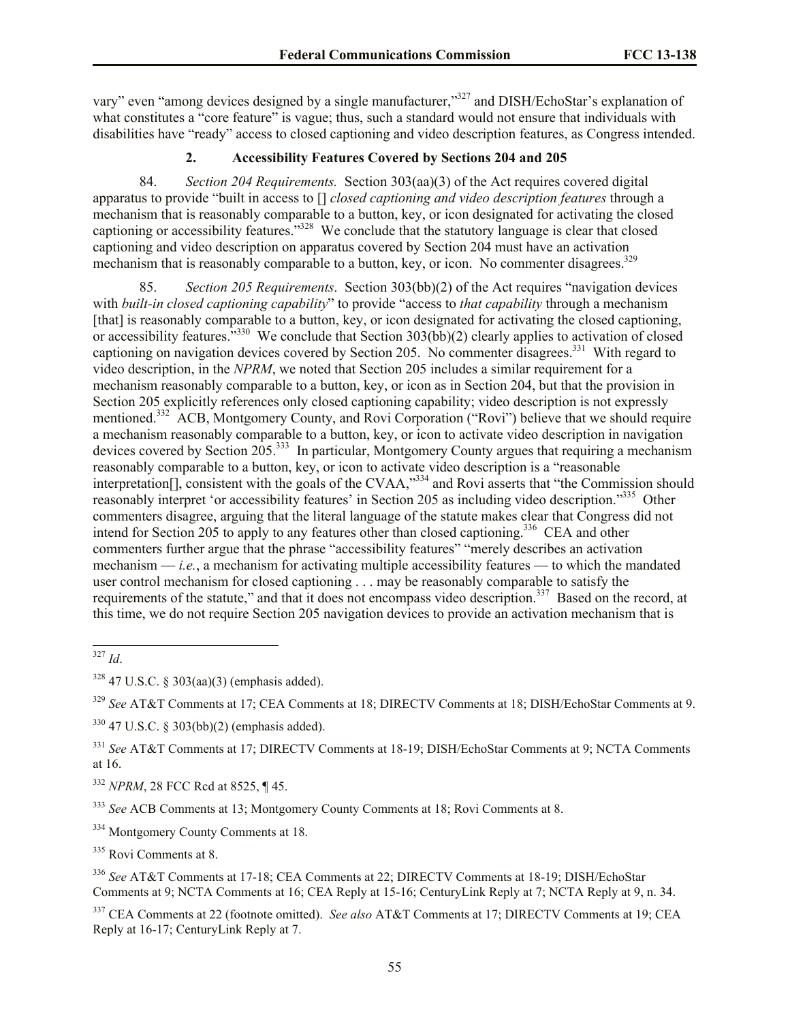vary" even "among devices designed by a single manufacturer,"<sup>327</sup> and DISH/EchoStar's explanation of what constitutes a "core feature" is vague; thus, such a standard would not ensure that individuals with disabilities have "ready" access to closed captioning and video description features, as Congress intended.

# **2. Accessibility Features Covered by Sections 204 and 205**

84. *Section 204 Requirements.* Section 303(aa)(3) of the Act requires covered digital apparatus to provide "built in access to [] *closed captioning and video description features* through a mechanism that is reasonably comparable to a button, key, or icon designated for activating the closed captioning or accessibility features."<sup>328</sup> We conclude that the statutory language is clear that closed captioning and video description on apparatus covered by Section 204 must have an activation mechanism that is reasonably comparable to a button, key, or icon. No commenter disagrees.<sup>329</sup>

85. *Section 205 Requirements*. Section 303(bb)(2) of the Act requires "navigation devices with *built-in closed captioning capability*" to provide "access to *that capability* through a mechanism [that] is reasonably comparable to a button, key, or icon designated for activating the closed captioning, or accessibility features.<sup>3330</sup> We conclude that Section 303(bb)(2) clearly applies to activation of closed captioning on navigation devices covered by Section 205. No commenter disagrees.<sup>331</sup> With regard to video description, in the *NPRM*, we noted that Section 205 includes a similar requirement for a mechanism reasonably comparable to a button, key, or icon as in Section 204, but that the provision in Section 205 explicitly references only closed captioning capability; video description is not expressly mentioned.<sup>332</sup> ACB, Montgomery County, and Rovi Corporation ("Rovi") believe that we should require a mechanism reasonably comparable to a button, key, or icon to activate video description in navigation devices covered by Section 205.<sup>333</sup> In particular, Montgomery County argues that requiring a mechanism reasonably comparable to a button, key, or icon to activate video description is a "reasonable interpretation[], consistent with the goals of the CVAA,"334 and Rovi asserts that "the Commission should reasonably interpret 'or accessibility features' in Section 205 as including video description."<sup>335</sup> Other commenters disagree, arguing that the literal language of the statute makes clear that Congress did not intend for Section 205 to apply to any features other than closed captioning.<sup>336</sup> CEA and other commenters further argue that the phrase "accessibility features" "merely describes an activation mechanism  $-i.e.,$  a mechanism for activating multiple accessibility features — to which the mandated user control mechanism for closed captioning . . . may be reasonably comparable to satisfy the requirements of the statute," and that it does not encompass video description.<sup>337</sup> Based on the record, at this time, we do not require Section 205 navigation devices to provide an activation mechanism that is

<sup>329</sup> *See* AT&T Comments at 17; CEA Comments at 18; DIRECTV Comments at 18; DISH/EchoStar Comments at 9.

<sup>332</sup> *NPRM*, 28 FCC Rcd at 8525, ¶ 45.

<sup>333</sup> *See* ACB Comments at 13; Montgomery County Comments at 18; Rovi Comments at 8.

<sup>334</sup> Montgomery County Comments at 18.

<sup>335</sup> Rovi Comments at 8.

<sup>336</sup> *See* AT&T Comments at 17-18; CEA Comments at 22; DIRECTV Comments at 18-19; DISH/EchoStar Comments at 9; NCTA Comments at 16; CEA Reply at 15-16; CenturyLink Reply at 7; NCTA Reply at 9, n. 34.

<sup>337</sup> CEA Comments at 22 (footnote omitted). *See also* AT&T Comments at 17; DIRECTV Comments at 19; CEA Reply at 16-17; CenturyLink Reply at 7.

 $\overline{a}$ <sup>327</sup> *Id*.

 $328$  47 U.S.C. § 303(aa)(3) (emphasis added).

<sup>330</sup> 47 U.S.C. § 303(bb)(2) (emphasis added).

<sup>331</sup> *See* AT&T Comments at 17; DIRECTV Comments at 18-19; DISH/EchoStar Comments at 9; NCTA Comments at 16.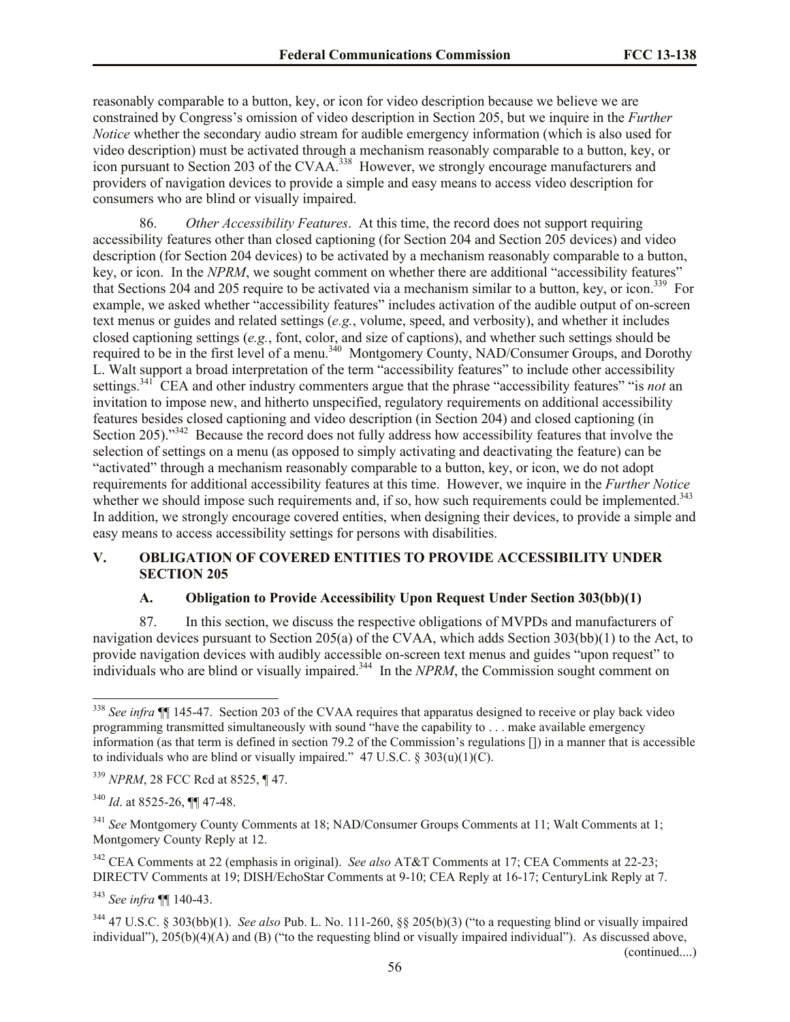reasonably comparable to a button, key, or icon for video description because we believe we are constrained by Congress's omission of video description in Section 205, but we inquire in the *Further Notice* whether the secondary audio stream for audible emergency information (which is also used for video description) must be activated through a mechanism reasonably comparable to a button, key, or icon pursuant to Section 203 of the CVAA.<sup>338</sup> However, we strongly encourage manufacturers and providers of navigation devices to provide a simple and easy means to access video description for consumers who are blind or visually impaired.

86. *Other Accessibility Features*.At this time, the record does not support requiring accessibility features other than closed captioning (for Section 204 and Section 205 devices) and video description (for Section 204 devices) to be activated by a mechanism reasonably comparable to a button, key, or icon. In the *NPRM*, we sought comment on whether there are additional "accessibility features" that Sections 204 and 205 require to be activated via a mechanism similar to a button, key, or icon.<sup>339</sup> For example, we asked whether "accessibility features" includes activation of the audible output of on-screen text menus or guides and related settings (*e.g.*, volume, speed, and verbosity), and whether it includes closed captioning settings (*e.g.*, font, color, and size of captions), and whether such settings should be required to be in the first level of a menu.<sup>340</sup> Montgomery County, NAD/Consumer Groups, and Dorothy L. Walt support a broad interpretation of the term "accessibility features" to include other accessibility settings.<sup>341</sup> CEA and other industry commenters argue that the phrase "accessibility features" "is *not* an invitation to impose new, and hitherto unspecified, regulatory requirements on additional accessibility features besides closed captioning and video description (in Section 204) and closed captioning (in Section 205)."<sup>342</sup> Because the record does not fully address how accessibility features that involve the selection of settings on a menu (as opposed to simply activating and deactivating the feature) can be "activated" through a mechanism reasonably comparable to a button, key, or icon, we do not adopt requirements for additional accessibility features at this time. However, we inquire in the *Further Notice*  whether we should impose such requirements and, if so, how such requirements could be implemented.<sup>343</sup> In addition, we strongly encourage covered entities, when designing their devices, to provide a simple and easy means to access accessibility settings for persons with disabilities.

# **V. OBLIGATION OF COVERED ENTITIES TO PROVIDE ACCESSIBILITY UNDER SECTION 205**

#### **A. Obligation to Provide Accessibility Upon Request Under Section 303(bb)(1)**

87. In this section, we discuss the respective obligations of MVPDs and manufacturers of navigation devices pursuant to Section 205(a) of the CVAA, which adds Section 303(bb)(1) to the Act, to provide navigation devices with audibly accessible on-screen text menus and guides "upon request" to individuals who are blind or visually impaired.<sup>344</sup> In the *NPRM*, the Commission sought comment on

 $\overline{a}$ 

(continued....)

<sup>&</sup>lt;sup>338</sup> See infra ¶ 145-47. Section 203 of the CVAA requires that apparatus designed to receive or play back video programming transmitted simultaneously with sound "have the capability to . . . make available emergency information (as that term is defined in section 79.2 of the Commission's regulations []) in a manner that is accessible to individuals who are blind or visually impaired."  $47 \text{ U.S.C.} \$   $303(u)(1)(C)$ .

<sup>339</sup> *NPRM*, 28 FCC Rcd at 8525, ¶ 47.

<sup>340</sup> *Id*. at 8525-26, ¶¶ 47-48.

<sup>341</sup> *See* Montgomery County Comments at 18; NAD/Consumer Groups Comments at 11; Walt Comments at 1; Montgomery County Reply at 12.

<sup>342</sup> CEA Comments at 22 (emphasis in original). *See also* AT&T Comments at 17; CEA Comments at 22-23; DIRECTV Comments at 19; DISH/EchoStar Comments at 9-10; CEA Reply at 16-17; CenturyLink Reply at 7.

<sup>343</sup> *See infra* ¶¶ 140-43.

<sup>344</sup> 47 U.S.C. § 303(bb)(1). *See also* Pub. L. No. 111-260, §§ 205(b)(3) ("to a requesting blind or visually impaired individual"), 205(b)(4)(A) and (B) ("to the requesting blind or visually impaired individual"). As discussed above,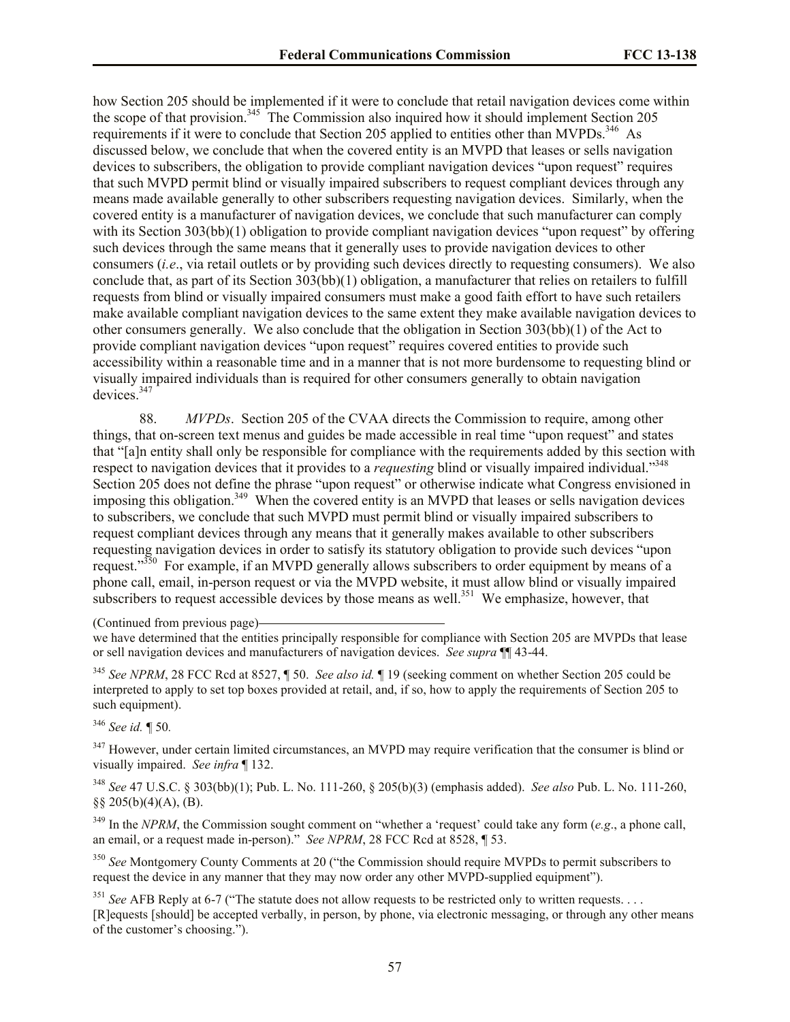how Section 205 should be implemented if it were to conclude that retail navigation devices come within the scope of that provision.<sup>345</sup> The Commission also inquired how it should implement Section 205 requirements if it were to conclude that Section 205 applied to entities other than MVPDs.<sup>346</sup> As discussed below, we conclude that when the covered entity is an MVPD that leases or sells navigation devices to subscribers, the obligation to provide compliant navigation devices "upon request" requires that such MVPD permit blind or visually impaired subscribers to request compliant devices through any means made available generally to other subscribers requesting navigation devices. Similarly, when the covered entity is a manufacturer of navigation devices, we conclude that such manufacturer can comply with its Section 303(bb)(1) obligation to provide compliant navigation devices "upon request" by offering such devices through the same means that it generally uses to provide navigation devices to other consumers (*i.e*., via retail outlets or by providing such devices directly to requesting consumers). We also conclude that, as part of its Section 303(bb)(1) obligation, a manufacturer that relies on retailers to fulfill requests from blind or visually impaired consumers must make a good faith effort to have such retailers make available compliant navigation devices to the same extent they make available navigation devices to other consumers generally. We also conclude that the obligation in Section 303(bb)(1) of the Act to provide compliant navigation devices "upon request" requires covered entities to provide such accessibility within a reasonable time and in a manner that is not more burdensome to requesting blind or visually impaired individuals than is required for other consumers generally to obtain navigation devices.<sup>347</sup>

88. *MVPDs*. Section 205 of the CVAA directs the Commission to require, among other things, that on-screen text menus and guides be made accessible in real time "upon request" and states that "[a]n entity shall only be responsible for compliance with the requirements added by this section with respect to navigation devices that it provides to a *requesting* blind or visually impaired individual."<sup>348</sup> Section 205 does not define the phrase "upon request" or otherwise indicate what Congress envisioned in imposing this obligation.<sup>349</sup> When the covered entity is an MVPD that leases or sells navigation devices to subscribers, we conclude that such MVPD must permit blind or visually impaired subscribers to request compliant devices through any means that it generally makes available to other subscribers requesting navigation devices in order to satisfy its statutory obligation to provide such devices "upon request."<sup>350</sup> For example, if an MVPD generally allows subscribers to order equipment by means of a phone call, email, in-person request or via the MVPD website, it must allow blind or visually impaired subscribers to request accessible devices by those means as well.<sup>351</sup> We emphasize, however, that

(Continued from previous page)

<sup>345</sup> *See NPRM*, 28 FCC Rcd at 8527, ¶ 50. *See also id.* ¶ 19 (seeking comment on whether Section 205 could be interpreted to apply to set top boxes provided at retail, and, if so, how to apply the requirements of Section 205 to such equipment).

<sup>346</sup> *See id.* ¶ 50*.* 

 $347$  However, under certain limited circumstances, an MVPD may require verification that the consumer is blind or visually impaired. *See infra* ¶ 132.

<sup>348</sup> *See* 47 U.S.C. § 303(bb)(1); Pub. L. No. 111-260, § 205(b)(3) (emphasis added). *See also* Pub. L. No. 111-260, §§ 205(b)(4)(A), (B).

<sup>349</sup> In the *NPRM*, the Commission sought comment on "whether a 'request' could take any form (*e.g.*, a phone call, an email, or a request made in-person)." *See NPRM*, 28 FCC Rcd at 8528, ¶ 53.

<sup>350</sup> See Montgomery County Comments at 20 ("the Commission should require MVPDs to permit subscribers to request the device in any manner that they may now order any other MVPD-supplied equipment").

<sup>351</sup> See AFB Reply at 6-7 ("The statute does not allow requests to be restricted only to written requests. . . .

[R]equests [should] be accepted verbally, in person, by phone, via electronic messaging, or through any other means of the customer's choosing.").

we have determined that the entities principally responsible for compliance with Section 205 are MVPDs that lease or sell navigation devices and manufacturers of navigation devices. *See supra* ¶¶ 43-44.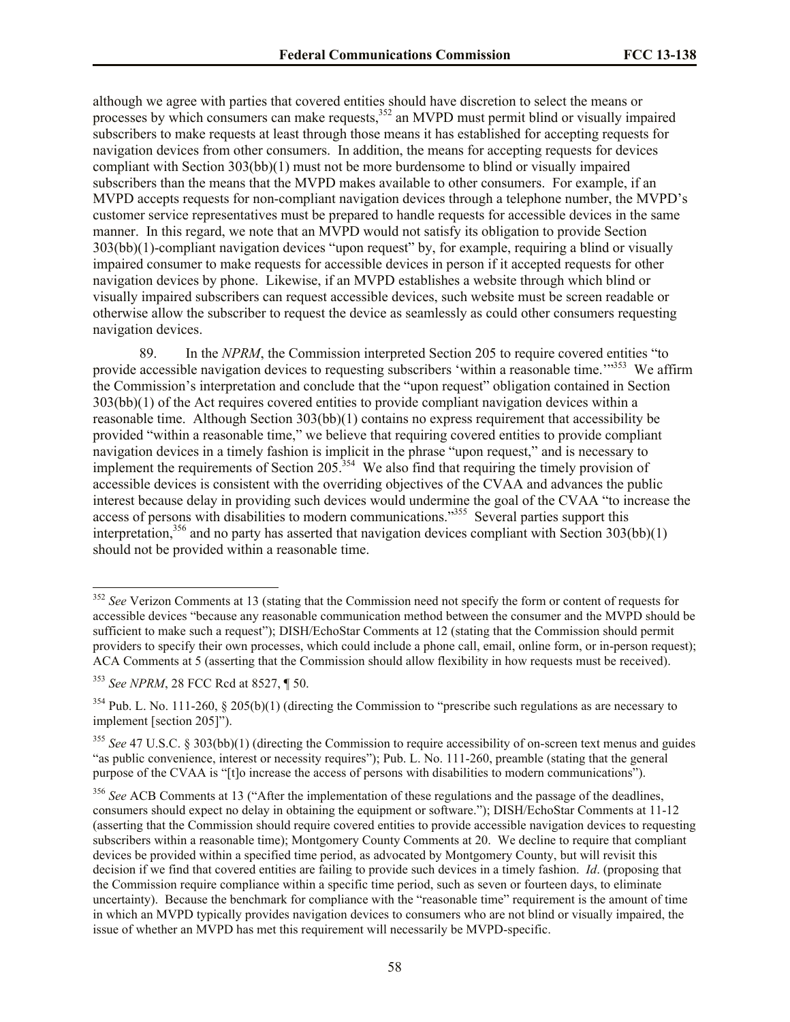although we agree with parties that covered entities should have discretion to select the means or processes by which consumers can make requests,<sup>352</sup> an MVPD must permit blind or visually impaired subscribers to make requests at least through those means it has established for accepting requests for navigation devices from other consumers. In addition, the means for accepting requests for devices compliant with Section 303(bb)(1) must not be more burdensome to blind or visually impaired subscribers than the means that the MVPD makes available to other consumers. For example, if an MVPD accepts requests for non-compliant navigation devices through a telephone number, the MVPD's customer service representatives must be prepared to handle requests for accessible devices in the same manner. In this regard, we note that an MVPD would not satisfy its obligation to provide Section 303(bb)(1)-compliant navigation devices "upon request" by, for example, requiring a blind or visually impaired consumer to make requests for accessible devices in person if it accepted requests for other navigation devices by phone. Likewise, if an MVPD establishes a website through which blind or visually impaired subscribers can request accessible devices, such website must be screen readable or otherwise allow the subscriber to request the device as seamlessly as could other consumers requesting navigation devices.

89. In the *NPRM*, the Commission interpreted Section 205 to require covered entities "to provide accessible navigation devices to requesting subscribers 'within a reasonable time.'"<sup>353</sup> We affirm the Commission's interpretation and conclude that the "upon request" obligation contained in Section 303(bb)(1) of the Act requires covered entities to provide compliant navigation devices within a reasonable time. Although Section 303(bb)(1) contains no express requirement that accessibility be provided "within a reasonable time," we believe that requiring covered entities to provide compliant navigation devices in a timely fashion is implicit in the phrase "upon request," and is necessary to implement the requirements of Section  $205^{354}$  We also find that requiring the timely provision of accessible devices is consistent with the overriding objectives of the CVAA and advances the public interest because delay in providing such devices would undermine the goal of the CVAA "to increase the access of persons with disabilities to modern communications.<sup>355</sup> Several parties support this interpretation,<sup>356</sup> and no party has asserted that navigation devices compliant with Section 303(bb)(1) should not be provided within a reasonable time.

<sup>&</sup>lt;sup>352</sup> See Verizon Comments at 13 (stating that the Commission need not specify the form or content of requests for accessible devices "because any reasonable communication method between the consumer and the MVPD should be sufficient to make such a request"); DISH/EchoStar Comments at 12 (stating that the Commission should permit providers to specify their own processes, which could include a phone call, email, online form, or in-person request); ACA Comments at 5 (asserting that the Commission should allow flexibility in how requests must be received).

<sup>353</sup> *See NPRM*, 28 FCC Rcd at 8527, ¶ 50.

<sup>&</sup>lt;sup>354</sup> Pub. L. No. 111-260, § 205(b)(1) (directing the Commission to "prescribe such regulations as are necessary to implement [section 205]").

<sup>355</sup> *See* 47 U.S.C. § 303(bb)(1) (directing the Commission to require accessibility of on-screen text menus and guides "as public convenience, interest or necessity requires"); Pub. L. No. 111-260, preamble (stating that the general purpose of the CVAA is "[t]o increase the access of persons with disabilities to modern communications").

<sup>&</sup>lt;sup>356</sup> See ACB Comments at 13 ("After the implementation of these regulations and the passage of the deadlines, consumers should expect no delay in obtaining the equipment or software."); DISH/EchoStar Comments at 11-12 (asserting that the Commission should require covered entities to provide accessible navigation devices to requesting subscribers within a reasonable time); Montgomery County Comments at 20. We decline to require that compliant devices be provided within a specified time period, as advocated by Montgomery County, but will revisit this decision if we find that covered entities are failing to provide such devices in a timely fashion. *Id*. (proposing that the Commission require compliance within a specific time period, such as seven or fourteen days, to eliminate uncertainty). Because the benchmark for compliance with the "reasonable time" requirement is the amount of time in which an MVPD typically provides navigation devices to consumers who are not blind or visually impaired, the issue of whether an MVPD has met this requirement will necessarily be MVPD-specific.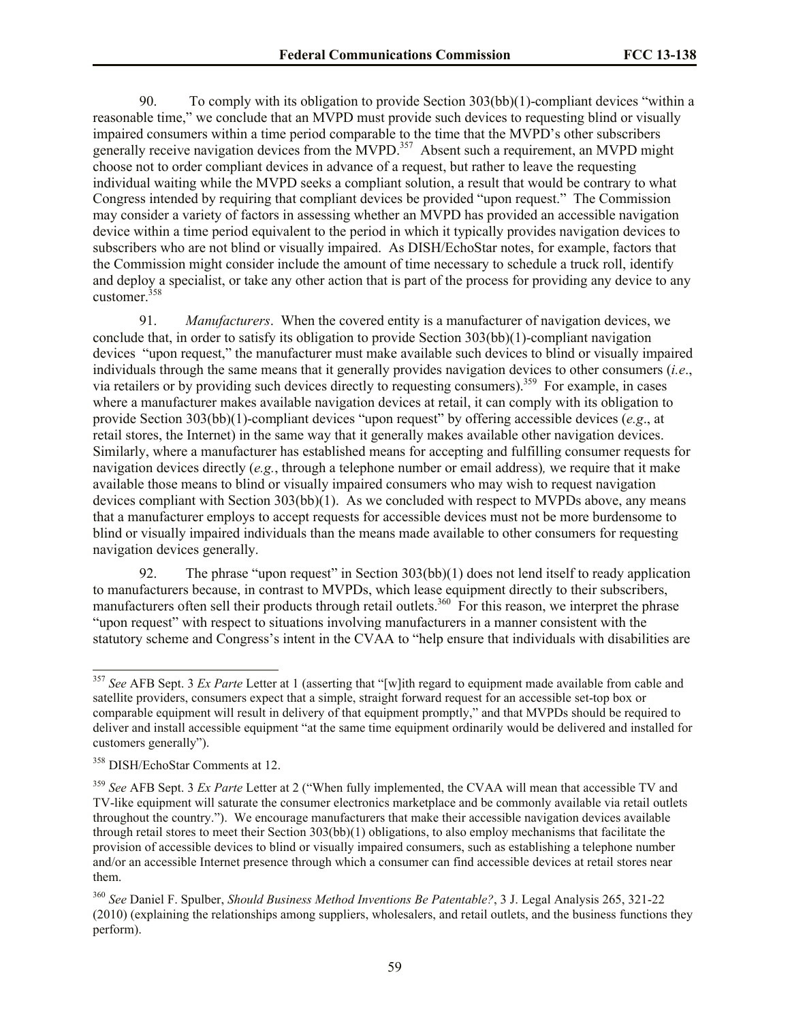90. To comply with its obligation to provide Section 303(bb)(1)-compliant devices "within a reasonable time," we conclude that an MVPD must provide such devices to requesting blind or visually impaired consumers within a time period comparable to the time that the MVPD's other subscribers generally receive navigation devices from the MVPD.<sup>357</sup> Absent such a requirement, an MVPD might choose not to order compliant devices in advance of a request, but rather to leave the requesting individual waiting while the MVPD seeks a compliant solution, a result that would be contrary to what Congress intended by requiring that compliant devices be provided "upon request." The Commission may consider a variety of factors in assessing whether an MVPD has provided an accessible navigation device within a time period equivalent to the period in which it typically provides navigation devices to subscribers who are not blind or visually impaired. As DISH/EchoStar notes, for example, factors that the Commission might consider include the amount of time necessary to schedule a truck roll, identify and deploy a specialist, or take any other action that is part of the process for providing any device to any customer. $358$ 

91. *Manufacturers*. When the covered entity is a manufacturer of navigation devices, we conclude that, in order to satisfy its obligation to provide Section 303(bb)(1)-compliant navigation devices "upon request," the manufacturer must make available such devices to blind or visually impaired individuals through the same means that it generally provides navigation devices to other consumers (*i.e*., via retailers or by providing such devices directly to requesting consumers).<sup>359</sup> For example, in cases where a manufacturer makes available navigation devices at retail, it can comply with its obligation to provide Section 303(bb)(1)-compliant devices "upon request" by offering accessible devices (*e.g*., at retail stores, the Internet) in the same way that it generally makes available other navigation devices. Similarly, where a manufacturer has established means for accepting and fulfilling consumer requests for navigation devices directly (*e.g.*, through a telephone number or email address)*,* we require that it make available those means to blind or visually impaired consumers who may wish to request navigation devices compliant with Section 303(bb)(1). As we concluded with respect to MVPDs above, any means that a manufacturer employs to accept requests for accessible devices must not be more burdensome to blind or visually impaired individuals than the means made available to other consumers for requesting navigation devices generally.

92. The phrase "upon request" in Section 303(bb)(1) does not lend itself to ready application to manufacturers because, in contrast to MVPDs, which lease equipment directly to their subscribers, manufacturers often sell their products through retail outlets.<sup>360</sup> For this reason, we interpret the phrase "upon request" with respect to situations involving manufacturers in a manner consistent with the statutory scheme and Congress's intent in the CVAA to "help ensure that individuals with disabilities are

<sup>357</sup> *See* AFB Sept. 3 *Ex Parte* Letter at 1 (asserting that "[w]ith regard to equipment made available from cable and satellite providers, consumers expect that a simple, straight forward request for an accessible set-top box or comparable equipment will result in delivery of that equipment promptly," and that MVPDs should be required to deliver and install accessible equipment "at the same time equipment ordinarily would be delivered and installed for customers generally").

<sup>358</sup> DISH/EchoStar Comments at 12.

<sup>359</sup> *See* AFB Sept. 3 *Ex Parte* Letter at 2 ("When fully implemented, the CVAA will mean that accessible TV and TV-like equipment will saturate the consumer electronics marketplace and be commonly available via retail outlets throughout the country."). We encourage manufacturers that make their accessible navigation devices available through retail stores to meet their Section 303(bb)(1) obligations, to also employ mechanisms that facilitate the provision of accessible devices to blind or visually impaired consumers, such as establishing a telephone number and/or an accessible Internet presence through which a consumer can find accessible devices at retail stores near them.

<sup>360</sup> *See* Daniel F. Spulber, *Should Business Method Inventions Be Patentable?*, 3 J. Legal Analysis 265, 321-22 (2010) (explaining the relationships among suppliers, wholesalers, and retail outlets, and the business functions they perform).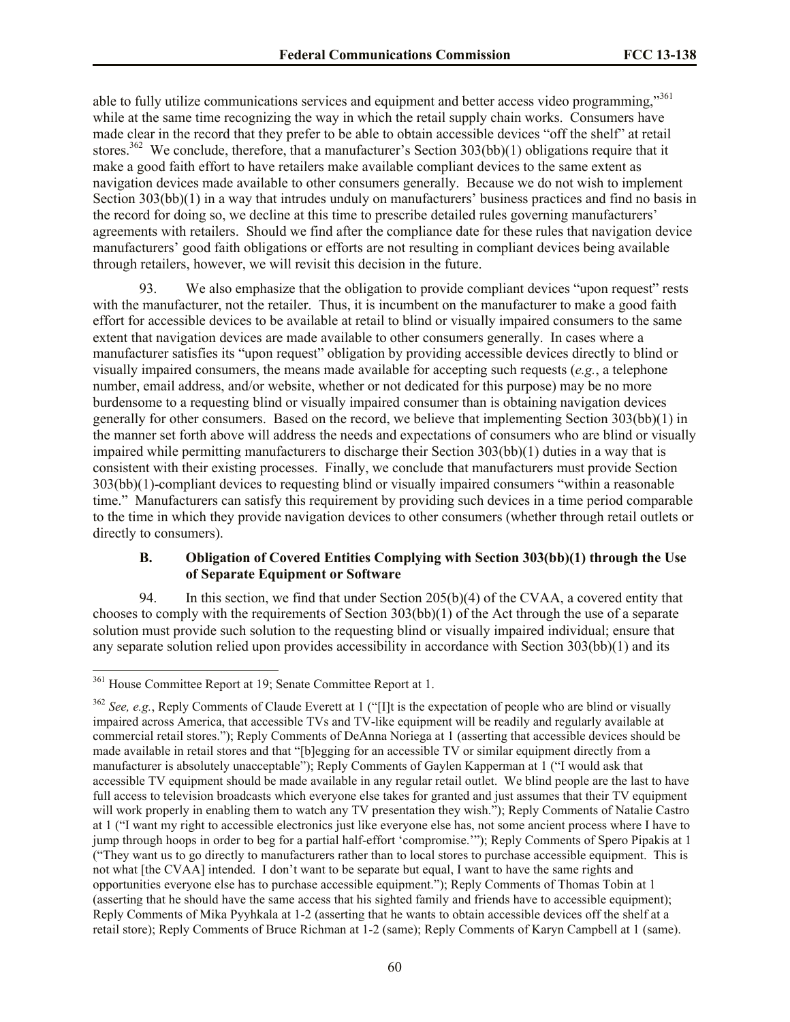able to fully utilize communications services and equipment and better access video programming,"<sup>361</sup> while at the same time recognizing the way in which the retail supply chain works. Consumers have made clear in the record that they prefer to be able to obtain accessible devices "off the shelf" at retail stores.<sup>362</sup> We conclude, therefore, that a manufacturer's Section 303(bb)(1) obligations require that it make a good faith effort to have retailers make available compliant devices to the same extent as navigation devices made available to other consumers generally. Because we do not wish to implement Section 303(bb)(1) in a way that intrudes unduly on manufacturers' business practices and find no basis in the record for doing so, we decline at this time to prescribe detailed rules governing manufacturers' agreements with retailers. Should we find after the compliance date for these rules that navigation device manufacturers' good faith obligations or efforts are not resulting in compliant devices being available through retailers, however, we will revisit this decision in the future.

93. We also emphasize that the obligation to provide compliant devices "upon request" rests with the manufacturer, not the retailer. Thus, it is incumbent on the manufacturer to make a good faith effort for accessible devices to be available at retail to blind or visually impaired consumers to the same extent that navigation devices are made available to other consumers generally. In cases where a manufacturer satisfies its "upon request" obligation by providing accessible devices directly to blind or visually impaired consumers, the means made available for accepting such requests (*e.g.*, a telephone number, email address, and/or website, whether or not dedicated for this purpose) may be no more burdensome to a requesting blind or visually impaired consumer than is obtaining navigation devices generally for other consumers. Based on the record, we believe that implementing Section 303(bb)(1) in the manner set forth above will address the needs and expectations of consumers who are blind or visually impaired while permitting manufacturers to discharge their Section 303(bb)(1) duties in a way that is consistent with their existing processes. Finally, we conclude that manufacturers must provide Section 303(bb)(1)-compliant devices to requesting blind or visually impaired consumers "within a reasonable time." Manufacturers can satisfy this requirement by providing such devices in a time period comparable to the time in which they provide navigation devices to other consumers (whether through retail outlets or directly to consumers).

#### **B. Obligation of Covered Entities Complying with Section 303(bb)(1) through the Use of Separate Equipment or Software**

94. In this section, we find that under Section 205(b)(4) of the CVAA, a covered entity that chooses to comply with the requirements of Section 303(bb)(1) of the Act through the use of a separate solution must provide such solution to the requesting blind or visually impaired individual; ensure that any separate solution relied upon provides accessibility in accordance with Section 303(bb)(1) and its

l

<sup>&</sup>lt;sup>361</sup> House Committee Report at 19; Senate Committee Report at 1.

<sup>362</sup> *See, e.g.*, Reply Comments of Claude Everett at 1 ("[I]t is the expectation of people who are blind or visually impaired across America, that accessible TVs and TV-like equipment will be readily and regularly available at commercial retail stores."); Reply Comments of DeAnna Noriega at 1 (asserting that accessible devices should be made available in retail stores and that "[b]egging for an accessible TV or similar equipment directly from a manufacturer is absolutely unacceptable"); Reply Comments of Gaylen Kapperman at 1 ("I would ask that accessible TV equipment should be made available in any regular retail outlet. We blind people are the last to have full access to television broadcasts which everyone else takes for granted and just assumes that their TV equipment will work properly in enabling them to watch any TV presentation they wish."); Reply Comments of Natalie Castro at 1 ("I want my right to accessible electronics just like everyone else has, not some ancient process where I have to jump through hoops in order to beg for a partial half-effort 'compromise.'"); Reply Comments of Spero Pipakis at 1 ("They want us to go directly to manufacturers rather than to local stores to purchase accessible equipment. This is not what [the CVAA] intended. I don't want to be separate but equal, I want to have the same rights and opportunities everyone else has to purchase accessible equipment."); Reply Comments of Thomas Tobin at 1 (asserting that he should have the same access that his sighted family and friends have to accessible equipment); Reply Comments of Mika Pyyhkala at 1-2 (asserting that he wants to obtain accessible devices off the shelf at a retail store); Reply Comments of Bruce Richman at 1-2 (same); Reply Comments of Karyn Campbell at 1 (same).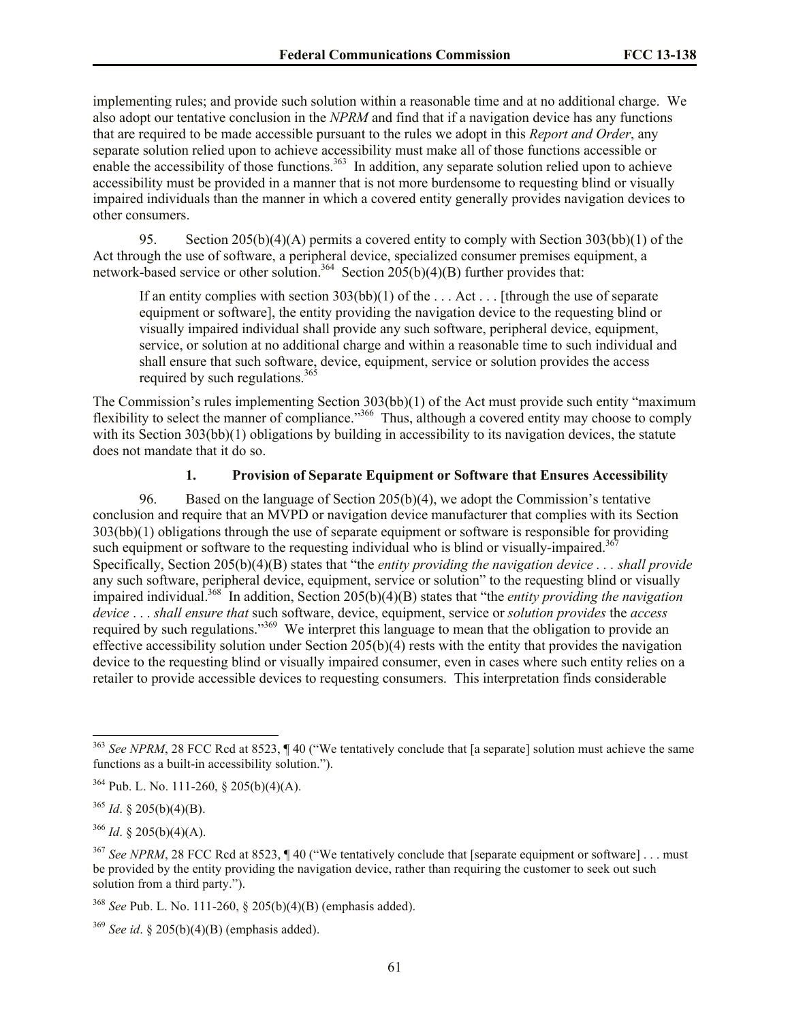implementing rules; and provide such solution within a reasonable time and at no additional charge. We also adopt our tentative conclusion in the *NPRM* and find that if a navigation device has any functions that are required to be made accessible pursuant to the rules we adopt in this *Report and Order*, any separate solution relied upon to achieve accessibility must make all of those functions accessible or enable the accessibility of those functions.<sup>363</sup> In addition, any separate solution relied upon to achieve accessibility must be provided in a manner that is not more burdensome to requesting blind or visually impaired individuals than the manner in which a covered entity generally provides navigation devices to other consumers.

95. Section 205(b)(4)(A) permits a covered entity to comply with Section 303(bb)(1) of the Act through the use of software, a peripheral device, specialized consumer premises equipment, a network-based service or other solution.<sup>364</sup> Section  $205(b)(4)(B)$  further provides that:

If an entity complies with section 303(bb)(1) of the ... Act ... [through the use of separate equipment or software], the entity providing the navigation device to the requesting blind or visually impaired individual shall provide any such software, peripheral device, equipment, service, or solution at no additional charge and within a reasonable time to such individual and shall ensure that such software, device, equipment, service or solution provides the access required by such regulations.<sup>365</sup>

The Commission's rules implementing Section 303(bb)(1) of the Act must provide such entity "maximum flexibility to select the manner of compliance.<sup>366</sup> Thus, although a covered entity may choose to comply with its Section 303(bb)(1) obligations by building in accessibility to its navigation devices, the statute does not mandate that it do so.

# **1. Provision of Separate Equipment or Software that Ensures Accessibility**

96. Based on the language of Section 205(b)(4), we adopt the Commission's tentative conclusion and require that an MVPD or navigation device manufacturer that complies with its Section 303(bb)(1) obligations through the use of separate equipment or software is responsible for providing such equipment or software to the requesting individual who is blind or visually-impaired.<sup>36</sup> Specifically, Section 205(b)(4)(B) states that "the *entity providing the navigation device . . . shall provide* any such software, peripheral device, equipment, service or solution" to the requesting blind or visually impaired individual.<sup>368</sup> In addition, Section 205(b)(4)(B) states that "the *entity providing the navigation device* . . . *shall ensure that* such software, device, equipment, service or *solution provides* the *access* required by such regulations."<sup>369</sup> We interpret this language to mean that the obligation to provide an effective accessibility solution under Section 205(b)(4) rests with the entity that provides the navigation device to the requesting blind or visually impaired consumer, even in cases where such entity relies on a retailer to provide accessible devices to requesting consumers. This interpretation finds considerable

 $\overline{a}$ 

<sup>366</sup> *Id*. § 205(b)(4)(A).

<sup>363</sup> *See NPRM*, 28 FCC Rcd at 8523, ¶ 40 ("We tentatively conclude that [a separate] solution must achieve the same functions as a built-in accessibility solution.").

 $364$  Pub. L. No. 111-260, § 205(b)(4)(A).

 $365$  *Id.* § 205(b)(4)(B).

<sup>&</sup>lt;sup>367</sup> See NPRM, 28 FCC Rcd at 8523, ¶ 40 ("We tentatively conclude that [separate equipment or software] . . . must be provided by the entity providing the navigation device, rather than requiring the customer to seek out such solution from a third party.").

<sup>368</sup> *See* Pub. L. No. 111-260, § 205(b)(4)(B) (emphasis added).

<sup>&</sup>lt;sup>369</sup> *See id.* § 205(b)(4)(B) (emphasis added).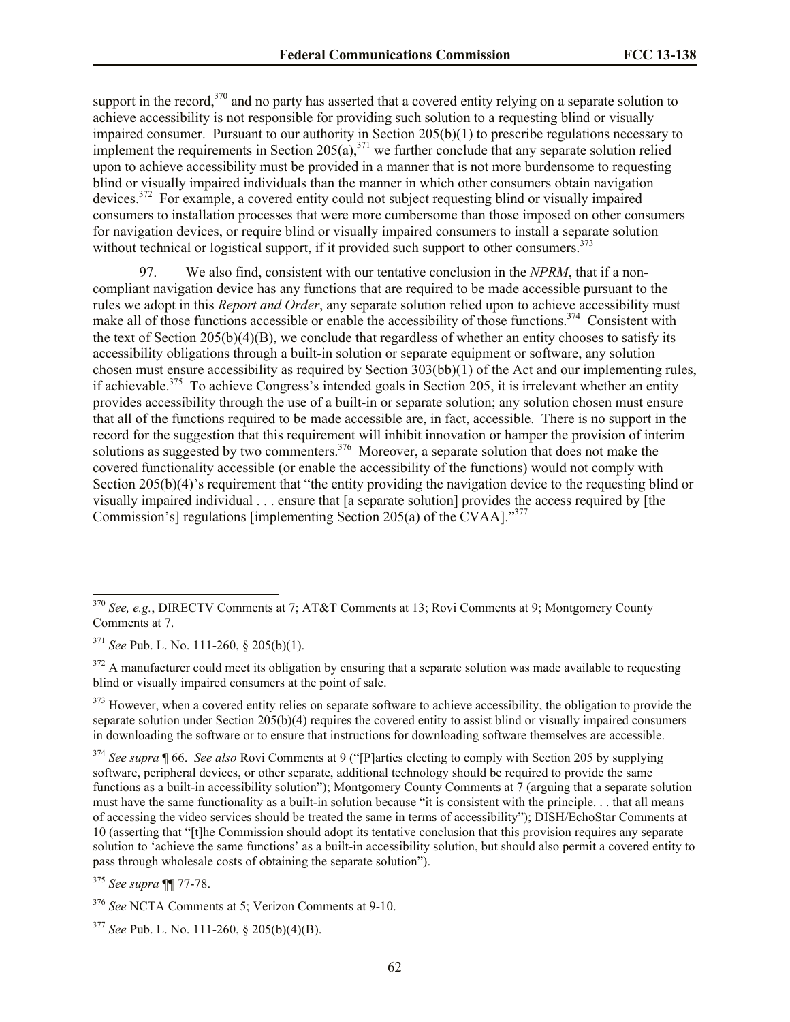support in the record, $370$  and no party has asserted that a covered entity relying on a separate solution to achieve accessibility is not responsible for providing such solution to a requesting blind or visually impaired consumer. Pursuant to our authority in Section 205(b)(1) to prescribe regulations necessary to implement the requirements in Section  $205(a)$ ,  $371$  we further conclude that any separate solution relied upon to achieve accessibility must be provided in a manner that is not more burdensome to requesting blind or visually impaired individuals than the manner in which other consumers obtain navigation devices.<sup>372</sup> For example, a covered entity could not subject requesting blind or visually impaired consumers to installation processes that were more cumbersome than those imposed on other consumers for navigation devices, or require blind or visually impaired consumers to install a separate solution without technical or logistical support, if it provided such support to other consumers.<sup>373</sup>

97. We also find, consistent with our tentative conclusion in the *NPRM*, that if a noncompliant navigation device has any functions that are required to be made accessible pursuant to the rules we adopt in this *Report and Order*, any separate solution relied upon to achieve accessibility must make all of those functions accessible or enable the accessibility of those functions.<sup>374</sup> Consistent with the text of Section 205(b)(4)(B), we conclude that regardless of whether an entity chooses to satisfy its accessibility obligations through a built*-*in solution or separate equipment or software, any solution chosen must ensure accessibility as required by Section  $303(bb)(1)$  of the Act and our implementing rules, if achievable.<sup>375</sup> To achieve Congress's intended goals in Section 205, it is irrelevant whether an entity provides accessibility through the use of a built-in or separate solution; any solution chosen must ensure that all of the functions required to be made accessible are, in fact, accessible. There is no support in the record for the suggestion that this requirement will inhibit innovation or hamper the provision of interim solutions as suggested by two commenters.<sup>376</sup> Moreover, a separate solution that does not make the covered functionality accessible (or enable the accessibility of the functions) would not comply with Section 205(b)(4)'s requirement that "the entity providing the navigation device to the requesting blind or visually impaired individual . . . ensure that [a separate solution] provides the access required by [the Commission's] regulations [implementing Section 205(a) of the CVAA]."<sup>377</sup>

 $372$  A manufacturer could meet its obligation by ensuring that a separate solution was made available to requesting blind or visually impaired consumers at the point of sale.

 $373$  However, when a covered entity relies on separate software to achieve accessibility, the obligation to provide the separate solution under Section 205(b)(4) requires the covered entity to assist blind or visually impaired consumers in downloading the software or to ensure that instructions for downloading software themselves are accessible.

<sup>374</sup> *See supra* ¶ 66. *See also* Rovi Comments at 9 ("[P]arties electing to comply with Section 205 by supplying software, peripheral devices, or other separate, additional technology should be required to provide the same functions as a built-in accessibility solution"); Montgomery County Comments at 7 (arguing that a separate solution must have the same functionality as a built-in solution because "it is consistent with the principle. . . that all means of accessing the video services should be treated the same in terms of accessibility"); DISH/EchoStar Comments at 10 (asserting that "[t]he Commission should adopt its tentative conclusion that this provision requires any separate solution to 'achieve the same functions' as a built-in accessibility solution, but should also permit a covered entity to pass through wholesale costs of obtaining the separate solution").

<sup>370</sup> *See, e.g.*, DIRECTV Comments at 7; AT&T Comments at 13; Rovi Comments at 9; Montgomery County Comments at 7.

<sup>371</sup> *See* Pub. L. No. 111-260, § 205(b)(1).

<sup>375</sup> *See supra* ¶¶ 77-78.

<sup>376</sup> *See* NCTA Comments at 5; Verizon Comments at 9-10.

<sup>377</sup> *See* Pub. L. No. 111-260, § 205(b)(4)(B).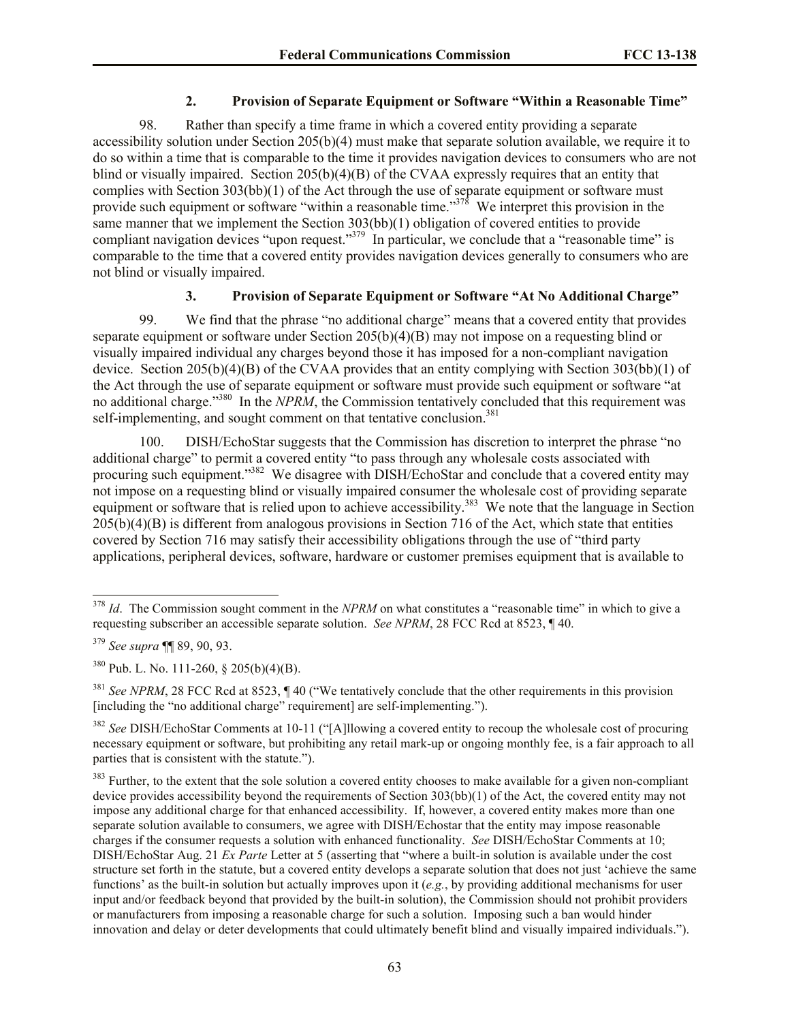### **2. Provision of Separate Equipment or Software "Within a Reasonable Time"**

98. Rather than specify a time frame in which a covered entity providing a separate accessibility solution under Section 205(b)(4) must make that separate solution available, we require it to do so within a time that is comparable to the time it provides navigation devices to consumers who are not blind or visually impaired. Section 205(b)(4)(B) of the CVAA expressly requires that an entity that complies with Section 303(bb)(1) of the Act through the use of separate equipment or software must provide such equipment or software "within a reasonable time."<sup>378</sup> We interpret this provision in the same manner that we implement the Section 303(bb)(1) obligation of covered entities to provide compliant navigation devices "upon request."<sup>379</sup> In particular, we conclude that a "reasonable time" is comparable to the time that a covered entity provides navigation devices generally to consumers who are not blind or visually impaired.

### **3. Provision of Separate Equipment or Software "At No Additional Charge"**

99. We find that the phrase "no additional charge" means that a covered entity that provides separate equipment or software under Section 205(b)(4)(B) may not impose on a requesting blind or visually impaired individual any charges beyond those it has imposed for a non-compliant navigation device. Section 205(b)(4)(B) of the CVAA provides that an entity complying with Section 303(bb)(1) of the Act through the use of separate equipment or software must provide such equipment or software "at no additional charge."<sup>380</sup> In the *NPRM*, the Commission tentatively concluded that this requirement was self-implementing, and sought comment on that tentative conclusion.<sup>381</sup>

100. DISH/EchoStar suggests that the Commission has discretion to interpret the phrase "no additional charge" to permit a covered entity "to pass through any wholesale costs associated with procuring such equipment."<sup>382</sup> We disagree with DISH/EchoStar and conclude that a covered entity may not impose on a requesting blind or visually impaired consumer the wholesale cost of providing separate equipment or software that is relied upon to achieve accessibility.<sup>383</sup> We note that the language in Section 205(b)(4)(B) is different from analogous provisions in Section 716 of the Act, which state that entities covered by Section 716 may satisfy their accessibility obligations through the use of "third party applications, peripheral devices, software, hardware or customer premises equipment that is available to

<sup>&</sup>lt;sup>378</sup> *Id*. The Commission sought comment in the *NPRM* on what constitutes a "reasonable time" in which to give a requesting subscriber an accessible separate solution. *See NPRM*, 28 FCC Rcd at 8523, ¶ 40.

<sup>379</sup> *See supra* ¶¶ 89, 90, 93.

<sup>380</sup> Pub. L. No. 111-260, § 205(b)(4)(B).

<sup>&</sup>lt;sup>381</sup> *See NPRM*, 28 FCC Rcd at 8523, ¶ 40 ("We tentatively conclude that the other requirements in this provision [including the "no additional charge" requirement] are self-implementing.").

<sup>382</sup> *See* DISH/EchoStar Comments at 10-11 ("[A]llowing a covered entity to recoup the wholesale cost of procuring necessary equipment or software, but prohibiting any retail mark-up or ongoing monthly fee, is a fair approach to all parties that is consistent with the statute.").

<sup>&</sup>lt;sup>383</sup> Further, to the extent that the sole solution a covered entity chooses to make available for a given non-compliant device provides accessibility beyond the requirements of Section 303(bb)(1) of the Act, the covered entity may not impose any additional charge for that enhanced accessibility. If, however, a covered entity makes more than one separate solution available to consumers, we agree with DISH/Echostar that the entity may impose reasonable charges if the consumer requests a solution with enhanced functionality. *See* DISH/EchoStar Comments at 10; DISH/EchoStar Aug. 21 *Ex Parte* Letter at 5 (asserting that "where a built-in solution is available under the cost structure set forth in the statute, but a covered entity develops a separate solution that does not just 'achieve the same functions' as the built-in solution but actually improves upon it (*e.g.*, by providing additional mechanisms for user input and/or feedback beyond that provided by the built-in solution), the Commission should not prohibit providers or manufacturers from imposing a reasonable charge for such a solution. Imposing such a ban would hinder innovation and delay or deter developments that could ultimately benefit blind and visually impaired individuals.").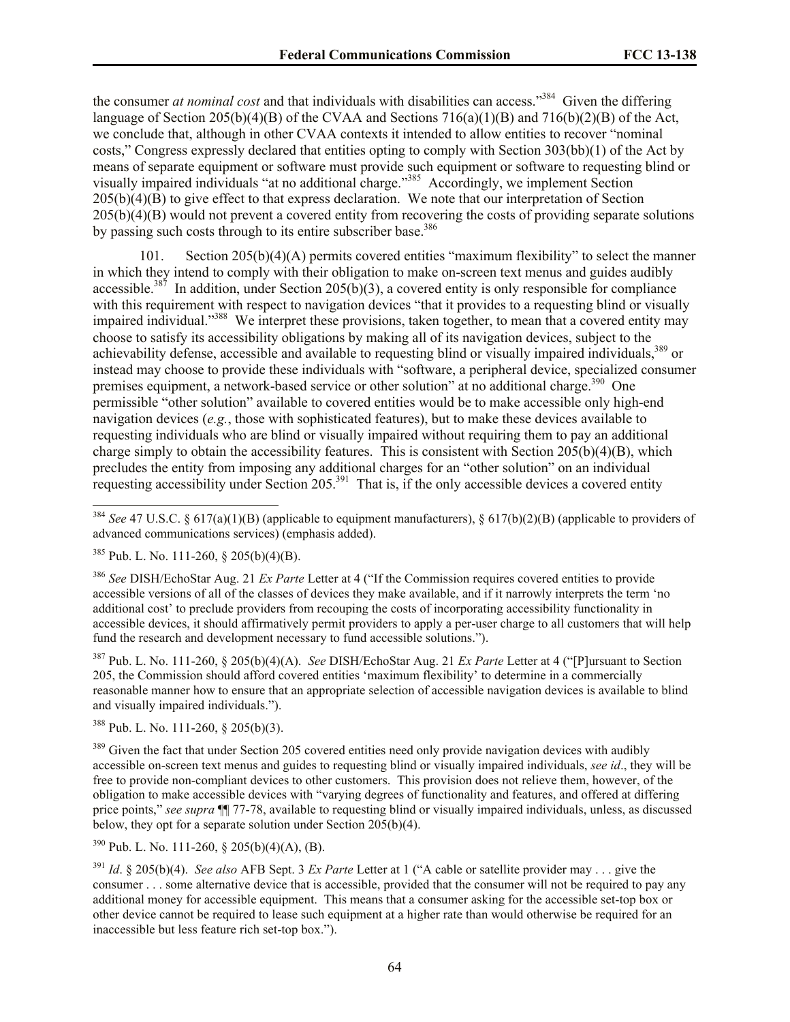the consumer *at nominal cost* and that individuals with disabilities can access."<sup>384</sup> Given the differing language of Section 205(b)(4)(B) of the CVAA and Sections 716(a)(1)(B) and 716(b)(2)(B) of the Act, we conclude that, although in other CVAA contexts it intended to allow entities to recover "nominal costs," Congress expressly declared that entities opting to comply with Section 303(bb)(1) of the Act by means of separate equipment or software must provide such equipment or software to requesting blind or visually impaired individuals "at no additional charge."<sup>385</sup> Accordingly, we implement Section 205(b)(4)(B) to give effect to that express declaration. We note that our interpretation of Section 205(b)(4)(B) would not prevent a covered entity from recovering the costs of providing separate solutions by passing such costs through to its entire subscriber base.<sup>386</sup>

101. Section 205(b)(4)(A) permits covered entities "maximum flexibility" to select the manner in which they intend to comply with their obligation to make on-screen text menus and guides audibly accessible.<sup>387</sup> In addition, under Section 205(b)(3), a covered entity is only responsible for compliance with this requirement with respect to navigation devices "that it provides to a requesting blind or visually impaired individual."<sup>388</sup> We interpret these provisions, taken together, to mean that a covered entity may choose to satisfy its accessibility obligations by making all of its navigation devices, subject to the achievability defense, accessible and available to requesting blind or visually impaired individuals,<sup>389</sup> or instead may choose to provide these individuals with "software, a peripheral device, specialized consumer premises equipment, a network-based service or other solution" at no additional charge.<sup>390</sup> One permissible "other solution" available to covered entities would be to make accessible only high-end navigation devices (*e.g.*, those with sophisticated features), but to make these devices available to requesting individuals who are blind or visually impaired without requiring them to pay an additional charge simply to obtain the accessibility features. This is consistent with Section  $205(b)(4)(B)$ , which precludes the entity from imposing any additional charges for an "other solution" on an individual requesting accessibility under Section 205.<sup>391</sup> That is, if the only accessible devices a covered entity

 $\overline{a}$ 

<sup>387</sup> Pub. L. No. 111-260, § 205(b)(4)(A). *See* DISH/EchoStar Aug. 21 *Ex Parte* Letter at 4 ("[P]ursuant to Section 205, the Commission should afford covered entities 'maximum flexibility' to determine in a commercially reasonable manner how to ensure that an appropriate selection of accessible navigation devices is available to blind and visually impaired individuals.").

<sup>388</sup> Pub. L. No. 111-260, § 205(b)(3).

<sup>389</sup> Given the fact that under Section 205 covered entities need only provide navigation devices with audibly accessible on-screen text menus and guides to requesting blind or visually impaired individuals, *see id*., they will be free to provide non-compliant devices to other customers. This provision does not relieve them, however, of the obligation to make accessible devices with "varying degrees of functionality and features, and offered at differing price points," *see supra* ¶¶ 77-78, available to requesting blind or visually impaired individuals, unless, as discussed below, they opt for a separate solution under Section 205(b)(4).

 $390$  Pub. L. No. 111-260, § 205(b)(4)(A), (B).

<sup>391</sup> *Id*. § 205(b)(4). *See also* AFB Sept. 3 *Ex Parte* Letter at 1 ("A cable or satellite provider may . . . give the consumer . . . some alternative device that is accessible, provided that the consumer will not be required to pay any additional money for accessible equipment. This means that a consumer asking for the accessible set-top box or other device cannot be required to lease such equipment at a higher rate than would otherwise be required for an inaccessible but less feature rich set-top box.").

<sup>384</sup> *See* 47 U.S.C. § 617(a)(1)(B) (applicable to equipment manufacturers), § 617(b)(2)(B) (applicable to providers of advanced communications services) (emphasis added).

<sup>385</sup> Pub. L. No. 111-260, § 205(b)(4)(B).

<sup>386</sup> *See* DISH/EchoStar Aug. 21 *Ex Parte* Letter at 4 ("If the Commission requires covered entities to provide accessible versions of all of the classes of devices they make available, and if it narrowly interprets the term 'no additional cost' to preclude providers from recouping the costs of incorporating accessibility functionality in accessible devices, it should affirmatively permit providers to apply a per-user charge to all customers that will help fund the research and development necessary to fund accessible solutions.").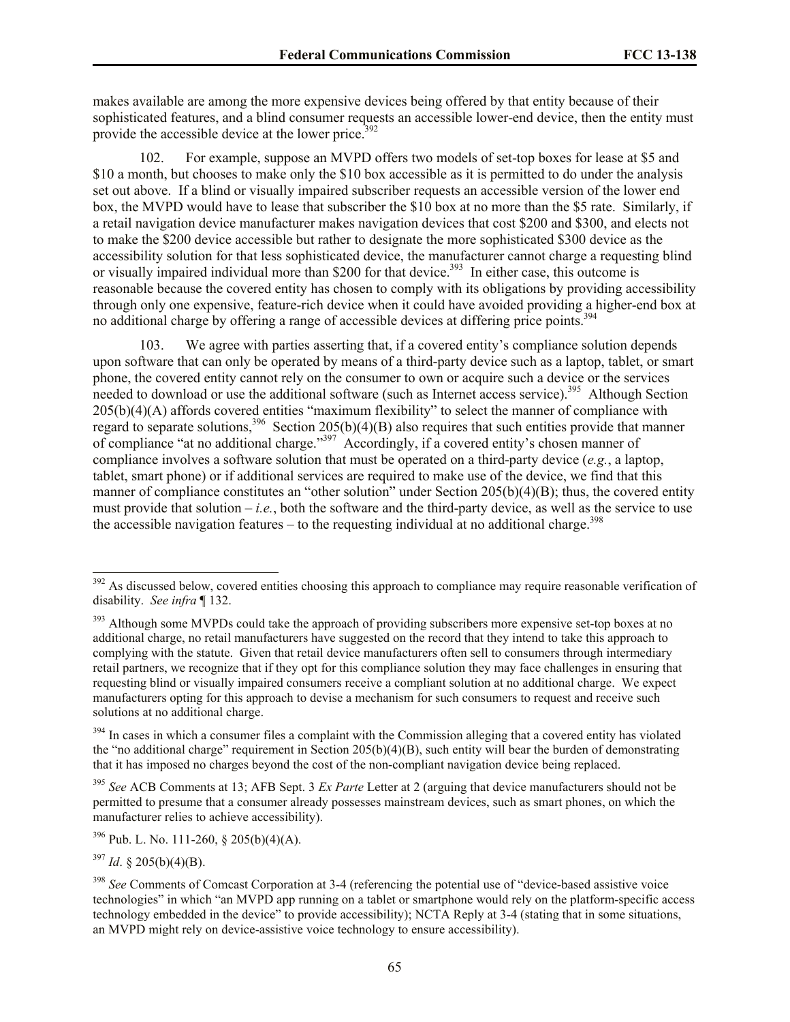makes available are among the more expensive devices being offered by that entity because of their sophisticated features, and a blind consumer requests an accessible lower-end device, then the entity must provide the accessible device at the lower price.<sup>392</sup>

102. For example, suppose an MVPD offers two models of set-top boxes for lease at \$5 and \$10 a month, but chooses to make only the \$10 box accessible as it is permitted to do under the analysis set out above. If a blind or visually impaired subscriber requests an accessible version of the lower end box, the MVPD would have to lease that subscriber the \$10 box at no more than the \$5 rate. Similarly, if a retail navigation device manufacturer makes navigation devices that cost \$200 and \$300, and elects not to make the \$200 device accessible but rather to designate the more sophisticated \$300 device as the accessibility solution for that less sophisticated device, the manufacturer cannot charge a requesting blind or visually impaired individual more than \$200 for that device.<sup>393</sup> In either case, this outcome is reasonable because the covered entity has chosen to comply with its obligations by providing accessibility through only one expensive, feature-rich device when it could have avoided providing a higher-end box at no additional charge by offering a range of accessible devices at differing price points.<sup>394</sup>

103. We agree with parties asserting that, if a covered entity's compliance solution depends upon software that can only be operated by means of a third-party device such as a laptop, tablet, or smart phone, the covered entity cannot rely on the consumer to own or acquire such a device or the services needed to download or use the additional software (such as Internet access service).<sup>395</sup> Although Section 205(b)(4)(A) affords covered entities "maximum flexibility" to select the manner of compliance with regard to separate solutions,<sup>396</sup> Section 205(b)(4)(B) also requires that such entities provide that manner of compliance "at no additional charge."<sup>397</sup> Accordingly, if a covered entity's chosen manner of compliance involves a software solution that must be operated on a third-party device (*e.g.*, a laptop, tablet, smart phone) or if additional services are required to make use of the device, we find that this manner of compliance constitutes an "other solution" under Section 205(b)(4)(B); thus, the covered entity must provide that solution  $-i.e.,$  both the software and the third-party device, as well as the service to use the accessible navigation features – to the requesting individual at no additional charge.<sup>398</sup>

 $392$  As discussed below, covered entities choosing this approach to compliance may require reasonable verification of disability. *See infra* ¶ 132.

<sup>&</sup>lt;sup>393</sup> Although some MVPDs could take the approach of providing subscribers more expensive set-top boxes at no additional charge, no retail manufacturers have suggested on the record that they intend to take this approach to complying with the statute. Given that retail device manufacturers often sell to consumers through intermediary retail partners, we recognize that if they opt for this compliance solution they may face challenges in ensuring that requesting blind or visually impaired consumers receive a compliant solution at no additional charge. We expect manufacturers opting for this approach to devise a mechanism for such consumers to request and receive such solutions at no additional charge.

<sup>&</sup>lt;sup>394</sup> In cases in which a consumer files a complaint with the Commission alleging that a covered entity has violated the "no additional charge" requirement in Section  $205(b)(4)(B)$ , such entity will bear the burden of demonstrating that it has imposed no charges beyond the cost of the non-compliant navigation device being replaced.

<sup>395</sup> *See* ACB Comments at 13; AFB Sept. 3 *Ex Parte* Letter at 2 (arguing that device manufacturers should not be permitted to presume that a consumer already possesses mainstream devices, such as smart phones, on which the manufacturer relies to achieve accessibility).

 $396$  Pub. L. No. 111-260, § 205(b)(4)(A).

 $397$  *Id.* § 205(b)(4)(B).

<sup>&</sup>lt;sup>398</sup> See Comments of Comcast Corporation at 3-4 (referencing the potential use of "device-based assistive voice" technologies" in which "an MVPD app running on a tablet or smartphone would rely on the platform-specific access technology embedded in the device" to provide accessibility); NCTA Reply at 3-4 (stating that in some situations, an MVPD might rely on device-assistive voice technology to ensure accessibility).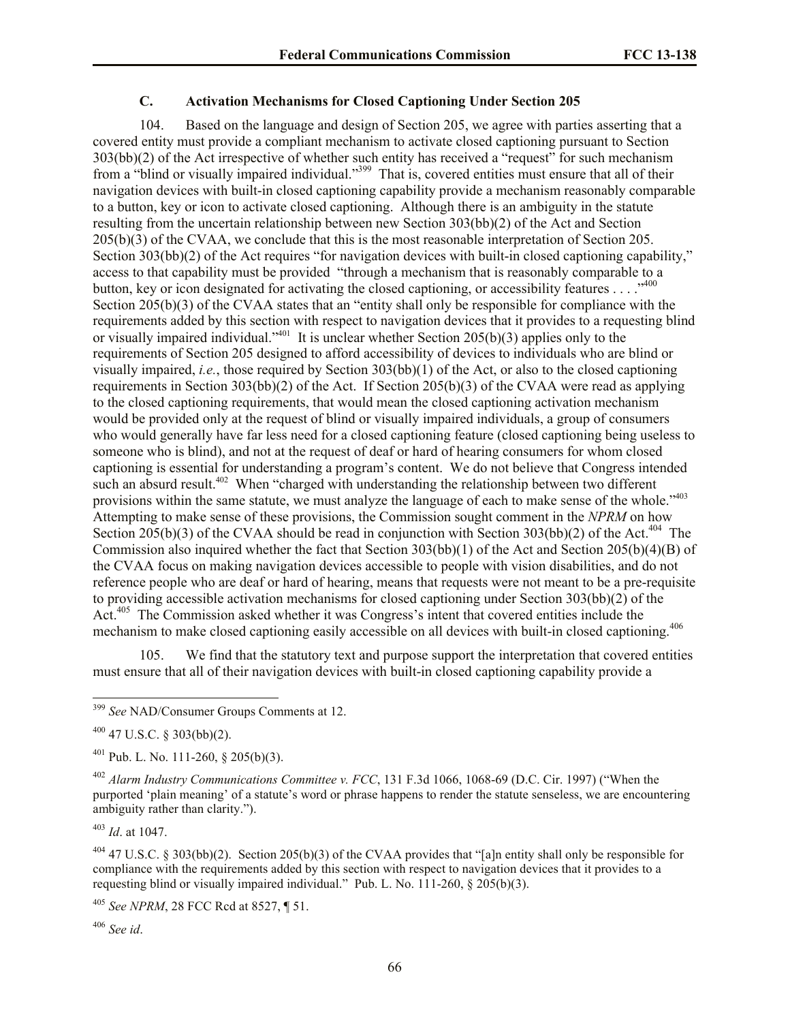# **C. Activation Mechanisms for Closed Captioning Under Section 205**

104. Based on the language and design of Section 205, we agree with parties asserting that a covered entity must provide a compliant mechanism to activate closed captioning pursuant to Section 303(bb)(2) of the Act irrespective of whether such entity has received a "request" for such mechanism from a "blind or visually impaired individual."<sup>399</sup> That is, covered entities must ensure that all of their navigation devices with built-in closed captioning capability provide a mechanism reasonably comparable to a button, key or icon to activate closed captioning. Although there is an ambiguity in the statute resulting from the uncertain relationship between new Section 303(bb)(2) of the Act and Section 205(b)(3) of the CVAA, we conclude that this is the most reasonable interpretation of Section 205. Section 303(bb)(2) of the Act requires "for navigation devices with built-in closed captioning capability," access to that capability must be provided "through a mechanism that is reasonably comparable to a button, key or icon designated for activating the closed captioning, or accessibility features . . . .<sup>400</sup> Section 205(b)(3) of the CVAA states that an "entity shall only be responsible for compliance with the requirements added by this section with respect to navigation devices that it provides to a requesting blind or visually impaired individual."<sup>401</sup> It is unclear whether Section  $205(b)(3)$  applies only to the requirements of Section 205 designed to afford accessibility of devices to individuals who are blind or visually impaired, *i.e.*, those required by Section 303(bb)(1) of the Act, or also to the closed captioning requirements in Section 303(bb)(2) of the Act. If Section 205(b)(3) of the CVAA were read as applying to the closed captioning requirements, that would mean the closed captioning activation mechanism would be provided only at the request of blind or visually impaired individuals, a group of consumers who would generally have far less need for a closed captioning feature (closed captioning being useless to someone who is blind), and not at the request of deaf or hard of hearing consumers for whom closed captioning is essential for understanding a program's content. We do not believe that Congress intended such an absurd result.<sup>402</sup> When "charged with understanding the relationship between two different provisions within the same statute, we must analyze the language of each to make sense of the whole."<sup>403</sup> Attempting to make sense of these provisions, the Commission sought comment in the *NPRM* on how Section 205(b)(3) of the CVAA should be read in conjunction with Section 303(bb)(2) of the Act.<sup>404</sup> The Commission also inquired whether the fact that Section  $303(b)(1)$  of the Act and Section  $205(b)(4)(B)$  of the CVAA focus on making navigation devices accessible to people with vision disabilities, and do not reference people who are deaf or hard of hearing, means that requests were not meant to be a pre-requisite to providing accessible activation mechanisms for closed captioning under Section 303(bb)(2) of the Act.<sup>405</sup> The Commission asked whether it was Congress's intent that covered entities include the mechanism to make closed captioning easily accessible on all devices with built-in closed captioning.<sup>406</sup>

105. We find that the statutory text and purpose support the interpretation that covered entities must ensure that all of their navigation devices with built-in closed captioning capability provide a

<sup>403</sup> *Id*. at 1047.

 $\overline{a}$ 

<sup>404</sup> 47 U.S.C. § 303(bb)(2). Section 205(b)(3) of the CVAA provides that "[a]n entity shall only be responsible for compliance with the requirements added by this section with respect to navigation devices that it provides to a requesting blind or visually impaired individual." Pub. L. No. 111-260, § 205(b)(3).

<sup>405</sup> *See NPRM*, 28 FCC Rcd at 8527, ¶ 51.

<sup>406</sup> *See id*.

<sup>399</sup> *See* NAD/Consumer Groups Comments at 12.

 $400$  47 U.S.C. § 303(bb)(2).

 $^{401}$  Pub. L. No. 111-260, § 205(b)(3).

<sup>402</sup> *Alarm Industry Communications Committee v. FCC*, 131 F.3d 1066, 1068-69 (D.C. Cir. 1997) ("When the purported 'plain meaning' of a statute's word or phrase happens to render the statute senseless, we are encountering ambiguity rather than clarity.").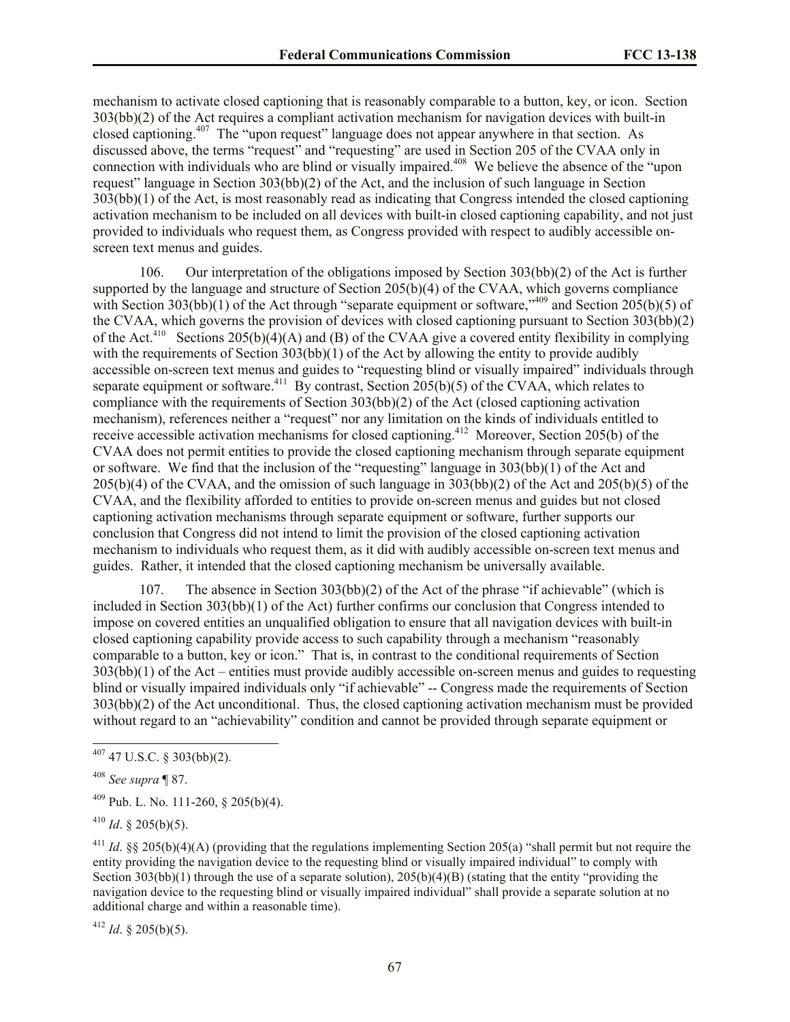mechanism to activate closed captioning that is reasonably comparable to a button, key, or icon. Section 303(bb)(2) of the Act requires a compliant activation mechanism for navigation devices with built-in closed captioning.<sup>407</sup> The "upon request" language does not appear anywhere in that section. As discussed above, the terms "request" and "requesting" are used in Section 205 of the CVAA only in connection with individuals who are blind or visually impaired.<sup>408</sup> We believe the absence of the "upon request" language in Section 303(bb)(2) of the Act, and the inclusion of such language in Section 303(bb)(1) of the Act, is most reasonably read as indicating that Congress intended the closed captioning activation mechanism to be included on all devices with built-in closed captioning capability, and not just provided to individuals who request them, as Congress provided with respect to audibly accessible onscreen text menus and guides.

106. Our interpretation of the obligations imposed by Section 303(bb)(2) of the Act is further supported by the language and structure of Section 205(b)(4) of the CVAA, which governs compliance with Section 303(bb)(1) of the Act through "separate equipment or software," 409 and Section 205(b)(5) of the CVAA, which governs the provision of devices with closed captioning pursuant to Section 303(bb)(2) of the Act.<sup>410</sup> Sections 205(b)(4)(A) and (B) of the CVAA give a covered entity flexibility in complying with the requirements of Section 303(bb)(1) of the Act by allowing the entity to provide audibly accessible on-screen text menus and guides to "requesting blind or visually impaired" individuals through separate equipment or software.<sup>411</sup> By contrast, Section 205(b)(5) of the CVAA, which relates to compliance with the requirements of Section 303(bb)(2) of the Act (closed captioning activation mechanism), references neither a "request" nor any limitation on the kinds of individuals entitled to receive accessible activation mechanisms for closed captioning.<sup>412</sup> Moreover, Section 205(b) of the CVAA does not permit entities to provide the closed captioning mechanism through separate equipment or software. We find that the inclusion of the "requesting" language in 303(bb)(1) of the Act and 205(b)(4) of the CVAA, and the omission of such language in 303(bb)(2) of the Act and 205(b)(5) of the CVAA, and the flexibility afforded to entities to provide on-screen menus and guides but not closed captioning activation mechanisms through separate equipment or software, further supports our conclusion that Congress did not intend to limit the provision of the closed captioning activation mechanism to individuals who request them, as it did with audibly accessible on-screen text menus and guides. Rather, it intended that the closed captioning mechanism be universally available.

107. The absence in Section 303(bb)(2) of the Act of the phrase "if achievable" (which is included in Section 303(bb)(1) of the Act) further confirms our conclusion that Congress intended to impose on covered entities an unqualified obligation to ensure that all navigation devices with built-in closed captioning capability provide access to such capability through a mechanism "reasonably comparable to a button, key or icon." That is, in contrast to the conditional requirements of Section 303(bb)(1) of the Act – entities must provide audibly accessible on-screen menus and guides to requesting blind or visually impaired individuals only "if achievable" -- Congress made the requirements of Section 303(bb)(2) of the Act unconditional. Thus, the closed captioning activation mechanism must be provided without regard to an "achievability" condition and cannot be provided through separate equipment or

 $\overline{a}$ 

 $412$  *Id.* § 205(b)(5).

 $407$  47 U.S.C. § 303(bb)(2).

<sup>408</sup> *See supra* ¶ 87.

 $^{409}$  Pub. L. No. 111-260, § 205(b)(4).

 $^{410}$  *Id.* § 205(b)(5).

<sup>&</sup>lt;sup>411</sup> *Id.* §§ 205(b)(4)(A) (providing that the regulations implementing Section 205(a) "shall permit but not require the entity providing the navigation device to the requesting blind or visually impaired individual" to comply with Section 303(bb)(1) through the use of a separate solution), 205(b)(4)(B) (stating that the entity "providing the navigation device to the requesting blind or visually impaired individual" shall provide a separate solution at no additional charge and within a reasonable time).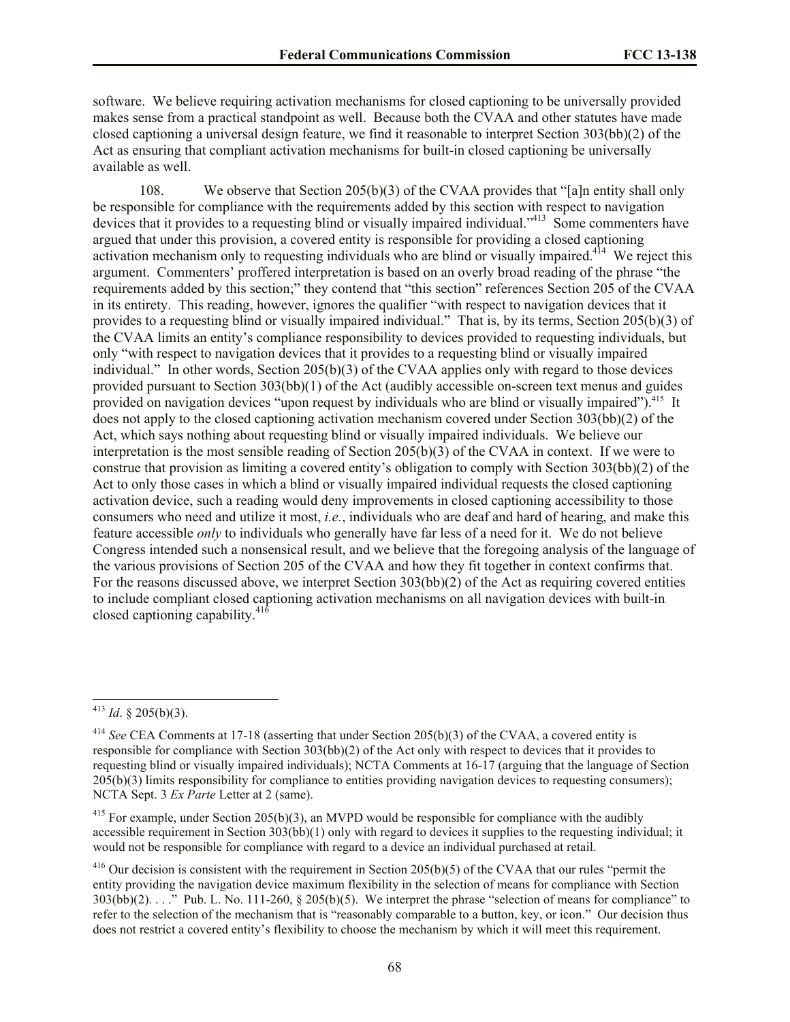software. We believe requiring activation mechanisms for closed captioning to be universally provided makes sense from a practical standpoint as well. Because both the CVAA and other statutes have made closed captioning a universal design feature, we find it reasonable to interpret Section 303(bb)(2) of the Act as ensuring that compliant activation mechanisms for built-in closed captioning be universally available as well.

108. We observe that Section 205(b)(3) of the CVAA provides that "[a]n entity shall only be responsible for compliance with the requirements added by this section with respect to navigation devices that it provides to a requesting blind or visually impaired individual."<sup>413</sup> Some commenters have argued that under this provision, a covered entity is responsible for providing a closed captioning activation mechanism only to requesting individuals who are blind or visually impaired.<sup>414</sup> We reject this argument. Commenters' proffered interpretation is based on an overly broad reading of the phrase "the requirements added by this section;" they contend that "this section" references Section 205 of the CVAA in its entirety. This reading, however, ignores the qualifier "with respect to navigation devices that it provides to a requesting blind or visually impaired individual." That is, by its terms, Section 205(b)(3) of the CVAA limits an entity's compliance responsibility to devices provided to requesting individuals, but only "with respect to navigation devices that it provides to a requesting blind or visually impaired individual." In other words, Section 205(b)(3) of the CVAA applies only with regard to those devices provided pursuant to Section 303(bb)(1) of the Act (audibly accessible on-screen text menus and guides provided on navigation devices "upon request by individuals who are blind or visually impaired"). <sup>415</sup> It does not apply to the closed captioning activation mechanism covered under Section 303(bb)(2) of the Act, which says nothing about requesting blind or visually impaired individuals. We believe our interpretation is the most sensible reading of Section 205(b)(3) of the CVAA in context. If we were to construe that provision as limiting a covered entity's obligation to comply with Section 303(bb)(2) of the Act to only those cases in which a blind or visually impaired individual requests the closed captioning activation device, such a reading would deny improvements in closed captioning accessibility to those consumers who need and utilize it most, *i.e.*, individuals who are deaf and hard of hearing, and make this feature accessible *only* to individuals who generally have far less of a need for it. We do not believe Congress intended such a nonsensical result, and we believe that the foregoing analysis of the language of the various provisions of Section 205 of the CVAA and how they fit together in context confirms that. For the reasons discussed above, we interpret Section 303(bb)(2) of the Act as requiring covered entities to include compliant closed captioning activation mechanisms on all navigation devices with built-in closed captioning capability. $41\overline{6}$ 

 $413$  *Id.* § 205(b)(3).

<sup>414</sup> *See* CEA Comments at 17-18 (asserting that under Section 205(b)(3) of the CVAA, a covered entity is responsible for compliance with Section 303(bb)(2) of the Act only with respect to devices that it provides to requesting blind or visually impaired individuals); NCTA Comments at 16-17 (arguing that the language of Section 205(b)(3) limits responsibility for compliance to entities providing navigation devices to requesting consumers); NCTA Sept. 3 *Ex Parte* Letter at 2 (same).

<sup>&</sup>lt;sup>415</sup> For example, under Section 205(b)(3), an MVPD would be responsible for compliance with the audibly accessible requirement in Section 303(bb)(1) only with regard to devices it supplies to the requesting individual; it would not be responsible for compliance with regard to a device an individual purchased at retail.

 $^{416}$  Our decision is consistent with the requirement in Section 205(b)(5) of the CVAA that our rules "permit the entity providing the navigation device maximum flexibility in the selection of means for compliance with Section  $303(bb)(2)$ ...." Pub. L. No. 111-260, § 205(b)(5). We interpret the phrase "selection of means for compliance" to refer to the selection of the mechanism that is "reasonably comparable to a button, key, or icon." Our decision thus does not restrict a covered entity's flexibility to choose the mechanism by which it will meet this requirement.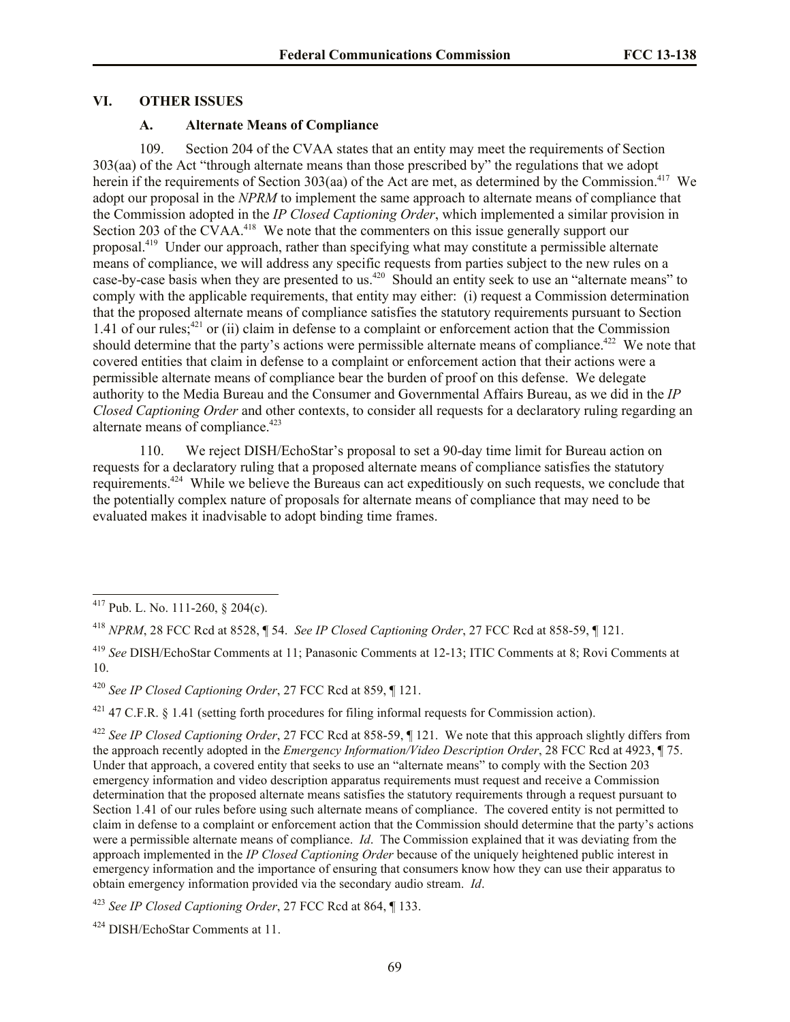#### **VI. OTHER ISSUES**

## **A. Alternate Means of Compliance**

109. Section 204 of the CVAA states that an entity may meet the requirements of Section 303(aa) of the Act "through alternate means than those prescribed by" the regulations that we adopt herein if the requirements of Section 303(aa) of the Act are met, as determined by the Commission.<sup>417</sup> We adopt our proposal in the *NPRM* to implement the same approach to alternate means of compliance that the Commission adopted in the *IP Closed Captioning Order*, which implemented a similar provision in Section 203 of the CVAA.<sup>418</sup> We note that the commenters on this issue generally support our proposal.<sup>419</sup> Under our approach, rather than specifying what may constitute a permissible alternate means of compliance, we will address any specific requests from parties subject to the new rules on a case-by-case basis when they are presented to us.<sup>420</sup> Should an entity seek to use an "alternate means" to comply with the applicable requirements, that entity may either: (i) request a Commission determination that the proposed alternate means of compliance satisfies the statutory requirements pursuant to Section 1.41 of our rules;<sup>421</sup> or (ii) claim in defense to a complaint or enforcement action that the Commission should determine that the party's actions were permissible alternate means of compliance.<sup> $422$ </sup> We note that covered entities that claim in defense to a complaint or enforcement action that their actions were a permissible alternate means of compliance bear the burden of proof on this defense. We delegate authority to the Media Bureau and the Consumer and Governmental Affairs Bureau, as we did in the *IP Closed Captioning Order* and other contexts, to consider all requests for a declaratory ruling regarding an alternate means of compliance.<sup>423</sup>

110. We reject DISH/EchoStar's proposal to set a 90-day time limit for Bureau action on requests for a declaratory ruling that a proposed alternate means of compliance satisfies the statutory requirements.<sup>424</sup> While we believe the Bureaus can act expeditiously on such requests, we conclude that the potentially complex nature of proposals for alternate means of compliance that may need to be evaluated makes it inadvisable to adopt binding time frames.

 $\overline{a}$ 

<sup>420</sup> *See IP Closed Captioning Order*, 27 FCC Rcd at 859, ¶ 121.

 $421$  47 C.F.R. § 1.41 (setting forth procedures for filing informal requests for Commission action).

<sup>422</sup> *See IP Closed Captioning Order*, 27 FCC Rcd at 858-59, ¶ 121. We note that this approach slightly differs from the approach recently adopted in the *Emergency Information/Video Description Order*, 28 FCC Rcd at 4923, ¶ 75. Under that approach, a covered entity that seeks to use an "alternate means" to comply with the Section 203 emergency information and video description apparatus requirements must request and receive a Commission determination that the proposed alternate means satisfies the statutory requirements through a request pursuant to Section 1.41 of our rules before using such alternate means of compliance. The covered entity is not permitted to claim in defense to a complaint or enforcement action that the Commission should determine that the party's actions were a permissible alternate means of compliance. *Id*. The Commission explained that it was deviating from the approach implemented in the *IP Closed Captioning Order* because of the uniquely heightened public interest in emergency information and the importance of ensuring that consumers know how they can use their apparatus to obtain emergency information provided via the secondary audio stream. *Id*.

<sup>423</sup> *See IP Closed Captioning Order*, 27 FCC Rcd at 864, ¶ 133.

<sup>424</sup> DISH/EchoStar Comments at 11.

 $417$  Pub. L. No. 111-260, § 204(c).

<sup>418</sup> *NPRM*, 28 FCC Rcd at 8528, ¶ 54. *See IP Closed Captioning Order*, 27 FCC Rcd at 858-59, ¶ 121.

<sup>419</sup> *See* DISH/EchoStar Comments at 11; Panasonic Comments at 12-13; ITIC Comments at 8; Rovi Comments at 10.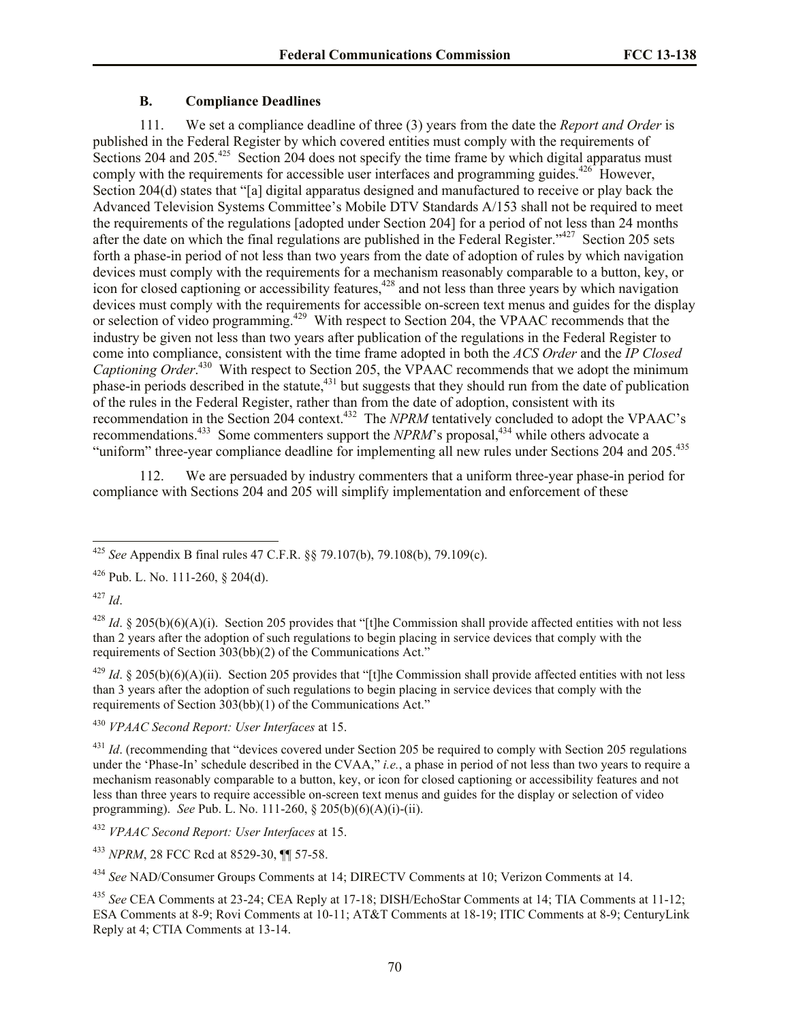# **B. Compliance Deadlines**

111. We set a compliance deadline of three (3) years from the date the *Report and Order* is published in the Federal Register by which covered entities must comply with the requirements of Sections 204 and 205<sup>125</sup> Section 204 does not specify the time frame by which digital apparatus must comply with the requirements for accessible user interfaces and programming guides.  $426$  However, Section 204(d) states that "[a] digital apparatus designed and manufactured to receive or play back the Advanced Television Systems Committee's Mobile DTV Standards A/153 shall not be required to meet the requirements of the regulations [adopted under Section 204] for a period of not less than 24 months after the date on which the final regulations are published in the Federal Register."<sup>427</sup> Section 205 sets forth a phase-in period of not less than two years from the date of adoption of rules by which navigation devices must comply with the requirements for a mechanism reasonably comparable to a button, key, or  $\frac{1}{28}$  icon for closed captioning or accessibility features,  $\frac{428}{2}$  and not less than three years by which navigation devices must comply with the requirements for accessible on-screen text menus and guides for the display or selection of video programming.<sup>429</sup> With respect to Section 204, the VPAAC recommends that the industry be given not less than two years after publication of the regulations in the Federal Register to come into compliance, consistent with the time frame adopted in both the *ACS Order* and the *IP Closed*  Captioning Order.<sup>430</sup> With respect to Section 205, the VPAAC recommends that we adopt the minimum phase-in periods described in the statute,<sup>431</sup> but suggests that they should run from the date of publication of the rules in the Federal Register, rather than from the date of adoption, consistent with its recommendation in the Section 204 context.<sup>432</sup> The *NPRM* tentatively concluded to adopt the VPAAC's recommendations.<sup>433</sup> Some commenters support the *NPRM*'s proposal,<sup>434</sup> while others advocate a "uniform" three-year compliance deadline for implementing all new rules under Sections 204 and 205.<sup>435</sup>

112. We are persuaded by industry commenters that a uniform three-year phase-in period for compliance with Sections 204 and 205 will simplify implementation and enforcement of these

<sup>429</sup> *Id.* § 205(b)(6)(A)(ii). Section 205 provides that "[t]he Commission shall provide affected entities with not less than 3 years after the adoption of such regulations to begin placing in service devices that comply with the requirements of Section 303(bb)(1) of the Communications Act."

<sup>430</sup> *VPAAC Second Report: User Interfaces* at 15.

<sup>431</sup> *Id.* (recommending that "devices covered under Section 205 be required to comply with Section 205 regulations under the 'Phase-In' schedule described in the CVAA," *i.e.*, a phase in period of not less than two years to require a mechanism reasonably comparable to a button, key, or icon for closed captioning or accessibility features and not less than three years to require accessible on-screen text menus and guides for the display or selection of video programming). *See* Pub. L. No. 111-260, § 205(b)(6)(A)(i)-(ii).

<sup>432</sup> *VPAAC Second Report: User Interfaces* at 15.

<sup>433</sup> *NPRM*, 28 FCC Rcd at 8529-30, ¶¶ 57-58.

<sup>434</sup> *See* NAD/Consumer Groups Comments at 14; DIRECTV Comments at 10; Verizon Comments at 14.

<sup>435</sup> *See* CEA Comments at 23-24; CEA Reply at 17-18; DISH/EchoStar Comments at 14; TIA Comments at 11-12; ESA Comments at 8-9; Rovi Comments at 10-11; AT&T Comments at 18-19; ITIC Comments at 8-9; CenturyLink Reply at 4; CTIA Comments at 13-14.

 $\overline{a}$ <sup>425</sup> *See* Appendix B final rules 47 C.F.R. §§ 79.107(b), 79.108(b), 79.109(c).

<sup>426</sup> Pub. L. No. 111-260, § 204(d).

<sup>427</sup> *Id*.

<sup>&</sup>lt;sup>428</sup> *Id.* § 205(b)(6)(A)(i). Section 205 provides that "[t]he Commission shall provide affected entities with not less than 2 years after the adoption of such regulations to begin placing in service devices that comply with the requirements of Section 303(bb)(2) of the Communications Act."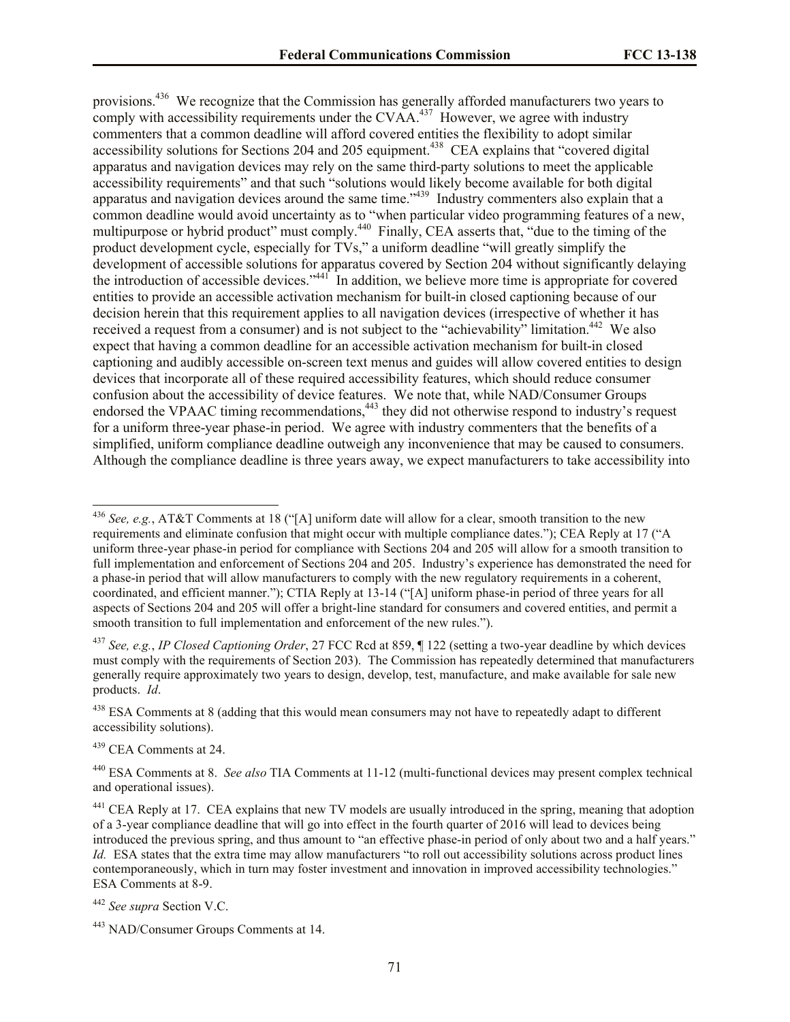provisions.<sup>436</sup> We recognize that the Commission has generally afforded manufacturers two years to comply with accessibility requirements under the CVAA. $437$  However, we agree with industry commenters that a common deadline will afford covered entities the flexibility to adopt similar accessibility solutions for Sections 204 and 205 equipment.<sup>438</sup> CEA explains that "covered digital apparatus and navigation devices may rely on the same third-party solutions to meet the applicable accessibility requirements" and that such "solutions would likely become available for both digital apparatus and navigation devices around the same time."<sup>439</sup> Industry commenters also explain that a common deadline would avoid uncertainty as to "when particular video programming features of a new, multipurpose or hybrid product" must comply.<sup>440</sup> Finally, CEA asserts that, "due to the timing of the product development cycle, especially for TVs," a uniform deadline "will greatly simplify the development of accessible solutions for apparatus covered by Section 204 without significantly delaying the introduction of accessible devices."<sup>441</sup> In addition, we believe more time is appropriate for covered entities to provide an accessible activation mechanism for built-in closed captioning because of our decision herein that this requirement applies to all navigation devices (irrespective of whether it has received a request from a consumer) and is not subject to the "achievability" limitation.<sup>442</sup> We also expect that having a common deadline for an accessible activation mechanism for built-in closed captioning and audibly accessible on-screen text menus and guides will allow covered entities to design devices that incorporate all of these required accessibility features, which should reduce consumer confusion about the accessibility of device features. We note that, while NAD/Consumer Groups endorsed the VPAAC timing recommendations,<sup>443</sup> they did not otherwise respond to industry's request for a uniform three-year phase-in period. We agree with industry commenters that the benefits of a simplified, uniform compliance deadline outweigh any inconvenience that may be caused to consumers. Although the compliance deadline is three years away, we expect manufacturers to take accessibility into

<sup>438</sup> ESA Comments at 8 (adding that this would mean consumers may not have to repeatedly adapt to different accessibility solutions).

<sup>439</sup> CEA Comments at 24.

 $\overline{a}$ 

<sup>440</sup> ESA Comments at 8. *See also* TIA Comments at 11-12 (multi-functional devices may present complex technical and operational issues).

<sup>442</sup> *See supra* Section V.C.

<sup>436</sup> *See, e.g.*, AT&T Comments at 18 ("[A] uniform date will allow for a clear, smooth transition to the new requirements and eliminate confusion that might occur with multiple compliance dates."); CEA Reply at 17 ("A uniform three-year phase-in period for compliance with Sections 204 and 205 will allow for a smooth transition to full implementation and enforcement of Sections 204 and 205. Industry's experience has demonstrated the need for a phase-in period that will allow manufacturers to comply with the new regulatory requirements in a coherent, coordinated, and efficient manner."); CTIA Reply at 13-14 ("[A] uniform phase-in period of three years for all aspects of Sections 204 and 205 will offer a bright-line standard for consumers and covered entities, and permit a smooth transition to full implementation and enforcement of the new rules.").

<sup>437</sup> *See, e.g.*, *IP Closed Captioning Order*, 27 FCC Rcd at 859, ¶ 122 (setting a two-year deadline by which devices must comply with the requirements of Section 203). The Commission has repeatedly determined that manufacturers generally require approximately two years to design, develop, test, manufacture, and make available for sale new products. *Id*.

<sup>&</sup>lt;sup>441</sup> CEA Reply at 17. CEA explains that new TV models are usually introduced in the spring, meaning that adoption of a 3-year compliance deadline that will go into effect in the fourth quarter of 2016 will lead to devices being introduced the previous spring, and thus amount to "an effective phase-in period of only about two and a half years." *Id.* ESA states that the extra time may allow manufacturers "to roll out accessibility solutions across product lines contemporaneously, which in turn may foster investment and innovation in improved accessibility technologies." ESA Comments at 8-9.

<sup>443</sup> NAD/Consumer Groups Comments at 14.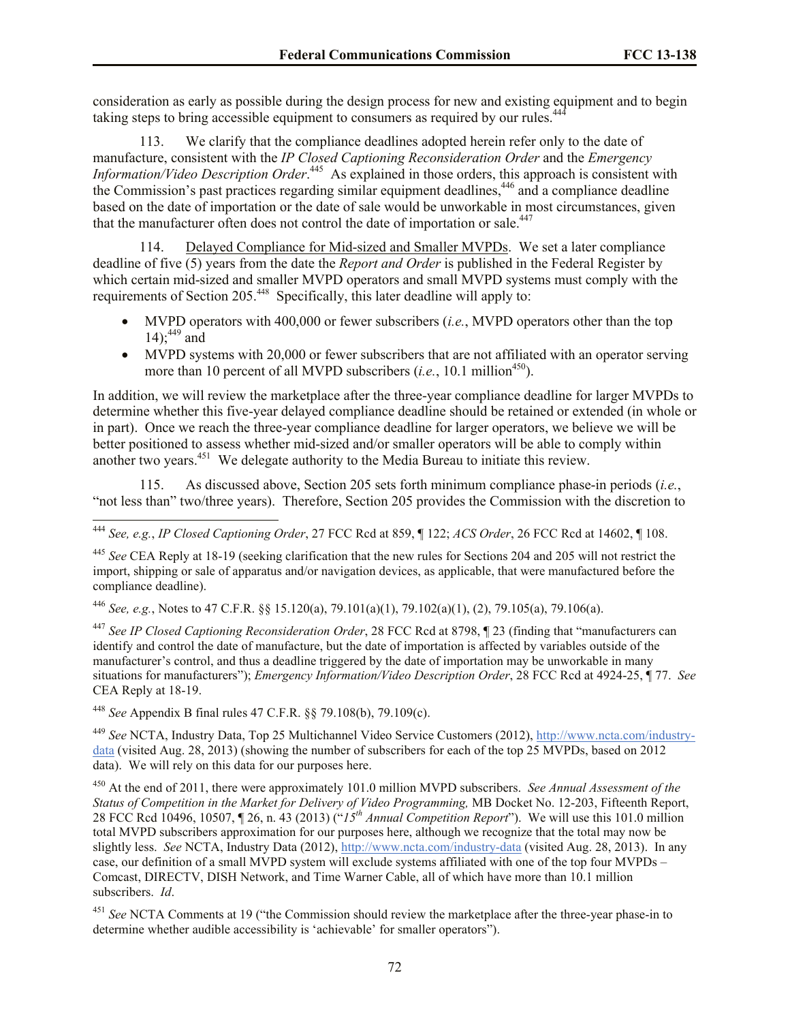consideration as early as possible during the design process for new and existing equipment and to begin taking steps to bring accessible equipment to consumers as required by our rules.<sup>44</sup>

113. We clarify that the compliance deadlines adopted herein refer only to the date of manufacture, consistent with the *IP Closed Captioning Reconsideration Order* and the *Emergency Information/Video Description Order.*<sup>445</sup> As explained in those orders, this approach is consistent with the Commission's past practices regarding similar equipment deadlines,<sup>446</sup> and a compliance deadline based on the date of importation or the date of sale would be unworkable in most circumstances, given that the manufacturer often does not control the date of importation or sale.<sup>447</sup>

114. Delayed Compliance for Mid-sized and Smaller MVPDs. We set a later compliance deadline of five (5) years from the date the *Report and Order* is published in the Federal Register by which certain mid-sized and smaller MVPD operators and small MVPD systems must comply with the requirements of Section 205.<sup>448</sup> Specifically, this later deadline will apply to:

- MVPD operators with 400,000 or fewer subscribers (*i.e.*, MVPD operators other than the top 14);<sup>449</sup> and
- MVPD systems with 20,000 or fewer subscribers that are not affiliated with an operator serving more than 10 percent of all MVPD subscribers  $(i.e., 10.1$  million<sup>450</sup>).

In addition, we will review the marketplace after the three-year compliance deadline for larger MVPDs to determine whether this five-year delayed compliance deadline should be retained or extended (in whole or in part). Once we reach the three-year compliance deadline for larger operators, we believe we will be better positioned to assess whether mid-sized and/or smaller operators will be able to comply within another two years.<sup>451</sup> We delegate authority to the Media Bureau to initiate this review.

115. As discussed above, Section 205 sets forth minimum compliance phase-in periods (*i.e.*, "not less than" two/three years). Therefore, Section 205 provides the Commission with the discretion to

<sup>446</sup> *See, e.g.*, Notes to 47 C.F.R. §§ 15.120(a), 79.101(a)(1), 79.102(a)(1), (2), 79.105(a), 79.106(a).

<sup>447</sup> *See IP Closed Captioning Reconsideration Order*, 28 FCC Rcd at 8798, ¶ 23 (finding that "manufacturers can identify and control the date of manufacture, but the date of importation is affected by variables outside of the manufacturer's control, and thus a deadline triggered by the date of importation may be unworkable in many situations for manufacturers"); *Emergency Information/Video Description Order*, 28 FCC Rcd at 4924-25, ¶ 77. *See* CEA Reply at 18-19.

<sup>448</sup> *See* Appendix B final rules 47 C.F.R. §§ 79.108(b), 79.109(c).

 $\overline{a}$ 

<sup>449</sup> *See* NCTA, Industry Data, Top 25 Multichannel Video Service Customers (2012), http://www.ncta.com/industrydata (visited Aug. 28, 2013) (showing the number of subscribers for each of the top 25 MVPDs, based on 2012 data). We will rely on this data for our purposes here.

<sup>450</sup> At the end of 2011, there were approximately 101.0 million MVPD subscribers. *See Annual Assessment of the Status of Competition in the Market for Delivery of Video Programming,* MB Docket No. 12-203, Fifteenth Report, 28 FCC Rcd 10496, 10507, ¶ 26, n. 43 (2013) ("*15th Annual Competition Report*"). We will use this 101.0 million total MVPD subscribers approximation for our purposes here, although we recognize that the total may now be slightly less. *See* NCTA, Industry Data (2012), http://www.ncta.com/industry-data (visited Aug. 28, 2013). In any case, our definition of a small MVPD system will exclude systems affiliated with one of the top four MVPDs – Comcast, DIRECTV, DISH Network, and Time Warner Cable, all of which have more than 10.1 million subscribers. *Id*.

<sup>451</sup> *See* NCTA Comments at 19 ("the Commission should review the marketplace after the three-year phase-in to determine whether audible accessibility is 'achievable' for smaller operators").

<sup>444</sup> *See, e.g.*, *IP Closed Captioning Order*, 27 FCC Rcd at 859, ¶ 122; *ACS Order*, 26 FCC Rcd at 14602, ¶ 108.

<sup>445</sup> *See* CEA Reply at 18-19 (seeking clarification that the new rules for Sections 204 and 205 will not restrict the import, shipping or sale of apparatus and/or navigation devices, as applicable, that were manufactured before the compliance deadline).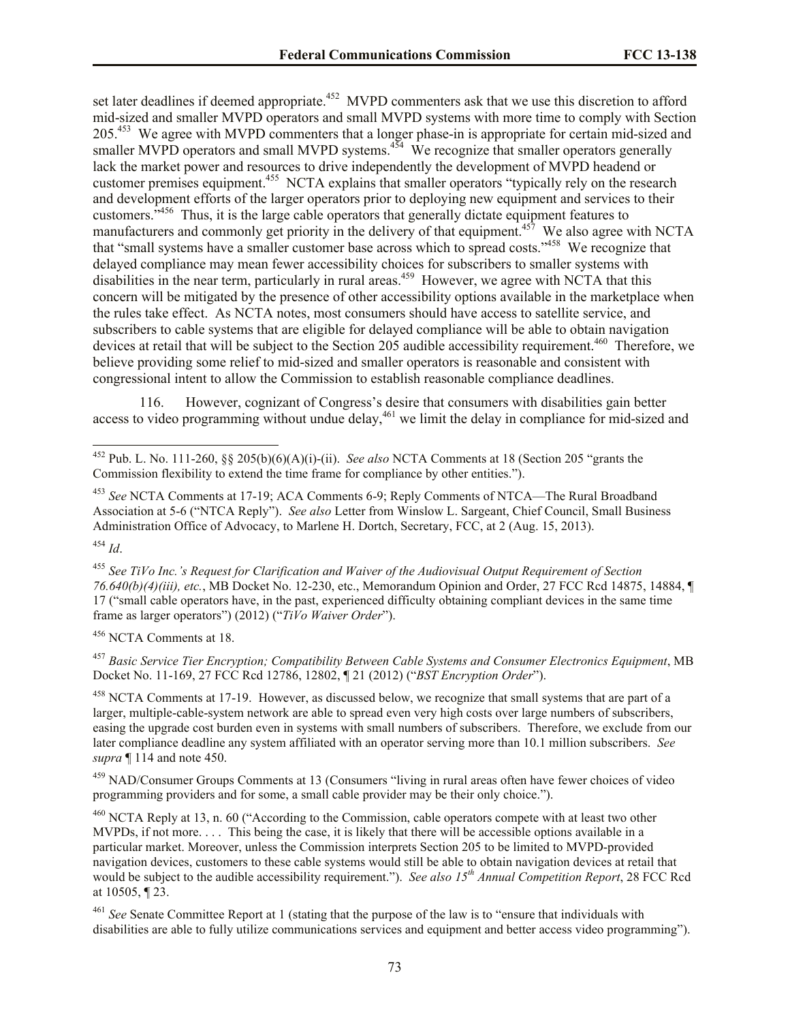set later deadlines if deemed appropriate.<sup>452</sup> MVPD commenters ask that we use this discretion to afford mid-sized and smaller MVPD operators and small MVPD systems with more time to comply with Section 205.<sup>453</sup> We agree with MVPD commenters that a longer phase-in is appropriate for certain mid-sized and smaller MVPD operators and small MVPD systems. $454$  We recognize that smaller operators generally lack the market power and resources to drive independently the development of MVPD headend or customer premises equipment.<sup>455</sup> NCTA explains that smaller operators "typically rely on the research and development efforts of the larger operators prior to deploying new equipment and services to their customers.<sup>3456</sup> Thus, it is the large cable operators that generally dictate equipment features to manufacturers and commonly get priority in the delivery of that equipment.<sup>457</sup> We also agree with NCTA that "small systems have a smaller customer base across which to spread costs."<sup>458</sup> We recognize that delayed compliance may mean fewer accessibility choices for subscribers to smaller systems with disabilities in the near term, particularly in rural areas.<sup>459</sup> However, we agree with NCTA that this concern will be mitigated by the presence of other accessibility options available in the marketplace when the rules take effect. As NCTA notes, most consumers should have access to satellite service, and subscribers to cable systems that are eligible for delayed compliance will be able to obtain navigation devices at retail that will be subject to the Section 205 audible accessibility requirement.<sup>460</sup> Therefore, we believe providing some relief to mid-sized and smaller operators is reasonable and consistent with congressional intent to allow the Commission to establish reasonable compliance deadlines.

116. However, cognizant of Congress's desire that consumers with disabilities gain better access to video programming without undue delay,<sup>461</sup> we limit the delay in compliance for mid-sized and

<sup>456</sup> NCTA Comments at 18.

 $\overline{a}$ 

<sup>457</sup> *Basic Service Tier Encryption; Compatibility Between Cable Systems and Consumer Electronics Equipment*, MB Docket No. 11-169, 27 FCC Rcd 12786, 12802, ¶ 21 (2012) ("*BST Encryption Order*").

<sup>458</sup> NCTA Comments at 17-19. However, as discussed below, we recognize that small systems that are part of a larger, multiple-cable-system network are able to spread even very high costs over large numbers of subscribers, easing the upgrade cost burden even in systems with small numbers of subscribers. Therefore, we exclude from our later compliance deadline any system affiliated with an operator serving more than 10.1 million subscribers. *See supra* ¶ 114 and note 450.

<sup>459</sup> NAD/Consumer Groups Comments at 13 (Consumers "living in rural areas often have fewer choices of video programming providers and for some, a small cable provider may be their only choice.").

<sup>460</sup> NCTA Reply at 13, n. 60 ("According to the Commission, cable operators compete with at least two other MVPDs, if not more. . . . This being the case, it is likely that there will be accessible options available in a particular market. Moreover, unless the Commission interprets Section 205 to be limited to MVPD-provided navigation devices, customers to these cable systems would still be able to obtain navigation devices at retail that would be subject to the audible accessibility requirement."). *See also 15th Annual Competition Report*, 28 FCC Rcd at 10505, ¶ 23.

<sup>461</sup> *See* Senate Committee Report at 1 (stating that the purpose of the law is to "ensure that individuals with disabilities are able to fully utilize communications services and equipment and better access video programming").

<sup>452</sup> Pub. L. No. 111-260, §§ 205(b)(6)(A)(i)-(ii). *See also* NCTA Comments at 18 (Section 205 "grants the Commission flexibility to extend the time frame for compliance by other entities.").

<sup>453</sup> *See* NCTA Comments at 17-19; ACA Comments 6-9; Reply Comments of NTCA—The Rural Broadband Association at 5-6 ("NTCA Reply"). *See also* Letter from Winslow L. Sargeant, Chief Council, Small Business Administration Office of Advocacy, to Marlene H. Dortch, Secretary, FCC, at 2 (Aug. 15, 2013). <sup>454</sup> *Id*.

<sup>455</sup> *See TiVo Inc.'s Request for Clarification and Waiver of the Audiovisual Output Requirement of Section 76.640(b)(4)(iii), etc.*, MB Docket No. 12-230, etc., Memorandum Opinion and Order, 27 FCC Rcd 14875, 14884, ¶ 17 ("small cable operators have, in the past, experienced difficulty obtaining compliant devices in the same time frame as larger operators") (2012) ("*TiVo Waiver Order*").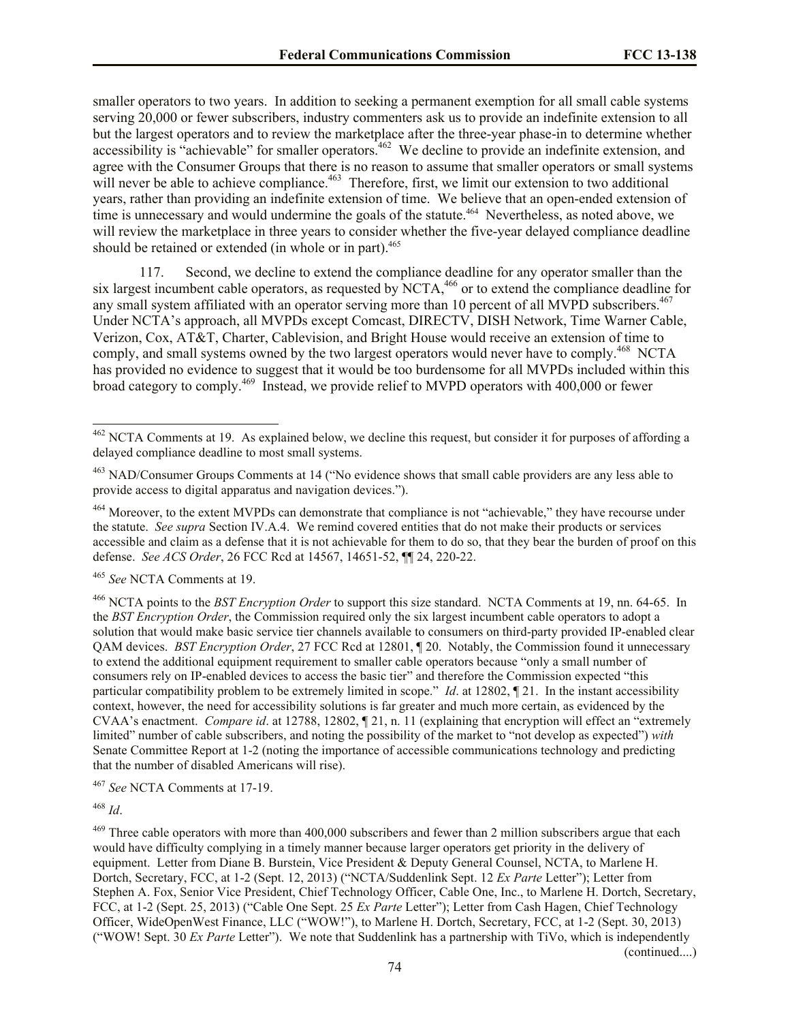smaller operators to two years. In addition to seeking a permanent exemption for all small cable systems serving 20,000 or fewer subscribers, industry commenters ask us to provide an indefinite extension to all but the largest operators and to review the marketplace after the three-year phase-in to determine whether accessibility is "achievable" for smaller operators.<sup>462</sup> We decline to provide an indefinite extension, and agree with the Consumer Groups that there is no reason to assume that smaller operators or small systems will never be able to achieve compliance.<sup>463</sup> Therefore, first, we limit our extension to two additional years, rather than providing an indefinite extension of time. We believe that an open-ended extension of time is unnecessary and would undermine the goals of the statute.<sup>464</sup> Nevertheless, as noted above, we will review the marketplace in three years to consider whether the five-year delayed compliance deadline should be retained or extended (in whole or in part).<sup>465</sup>

117. Second, we decline to extend the compliance deadline for any operator smaller than the six largest incumbent cable operators, as requested by  $NCTA<sub>1</sub><sup>466</sup>$  or to extend the compliance deadline for any small system affiliated with an operator serving more than 10 percent of all MVPD subscribers.<sup>467</sup> Under NCTA's approach, all MVPDs except Comcast, DIRECTV, DISH Network, Time Warner Cable, Verizon, Cox, AT&T, Charter, Cablevision, and Bright House would receive an extension of time to comply, and small systems owned by the two largest operators would never have to comply.<sup>468</sup> NCTA has provided no evidence to suggest that it would be too burdensome for all MVPDs included within this broad category to comply.<sup>469</sup> Instead, we provide relief to MVPD operators with 400,000 or fewer

<sup>465</sup> *See* NCTA Comments at 19.

<sup>466</sup> NCTA points to the *BST Encryption Order* to support this size standard. NCTA Comments at 19, nn. 64-65. In the *BST Encryption Order*, the Commission required only the six largest incumbent cable operators to adopt a solution that would make basic service tier channels available to consumers on third-party provided IP-enabled clear QAM devices. *BST Encryption Order*, 27 FCC Rcd at 12801, ¶ 20. Notably, the Commission found it unnecessary to extend the additional equipment requirement to smaller cable operators because "only a small number of consumers rely on IP-enabled devices to access the basic tier" and therefore the Commission expected "this particular compatibility problem to be extremely limited in scope." *Id*. at 12802, ¶ 21. In the instant accessibility context, however, the need for accessibility solutions is far greater and much more certain, as evidenced by the CVAA's enactment. *Compare id*. at 12788, 12802, ¶ 21, n. 11 (explaining that encryption will effect an "extremely limited" number of cable subscribers, and noting the possibility of the market to "not develop as expected") *with* Senate Committee Report at 1-2 (noting the importance of accessible communications technology and predicting that the number of disabled Americans will rise).

<sup>467</sup> *See* NCTA Comments at 17-19.

<sup>468</sup> *Id*.

 $462$  NCTA Comments at 19. As explained below, we decline this request, but consider it for purposes of affording a delayed compliance deadline to most small systems.

<sup>463</sup> NAD/Consumer Groups Comments at 14 ("No evidence shows that small cable providers are any less able to provide access to digital apparatus and navigation devices.").

<sup>&</sup>lt;sup>464</sup> Moreover, to the extent MVPDs can demonstrate that compliance is not "achievable," they have recourse under the statute. *See supra* Section IV.A.4. We remind covered entities that do not make their products or services accessible and claim as a defense that it is not achievable for them to do so, that they bear the burden of proof on this defense. *See ACS Order*, 26 FCC Rcd at 14567, 14651-52, ¶¶ 24, 220-22.

<sup>&</sup>lt;sup>469</sup> Three cable operators with more than 400,000 subscribers and fewer than 2 million subscribers argue that each would have difficulty complying in a timely manner because larger operators get priority in the delivery of equipment. Letter from Diane B. Burstein, Vice President & Deputy General Counsel, NCTA, to Marlene H. Dortch, Secretary, FCC, at 1-2 (Sept. 12, 2013) ("NCTA/Suddenlink Sept. 12 *Ex Parte* Letter"); Letter from Stephen A. Fox, Senior Vice President, Chief Technology Officer, Cable One, Inc., to Marlene H. Dortch, Secretary, FCC, at 1-2 (Sept. 25, 2013) ("Cable One Sept. 25 *Ex Parte* Letter"); Letter from Cash Hagen, Chief Technology Officer, WideOpenWest Finance, LLC ("WOW!"), to Marlene H. Dortch, Secretary, FCC, at 1-2 (Sept. 30, 2013) ("WOW! Sept. 30 *Ex Parte* Letter"). We note that Suddenlink has a partnership with TiVo, which is independently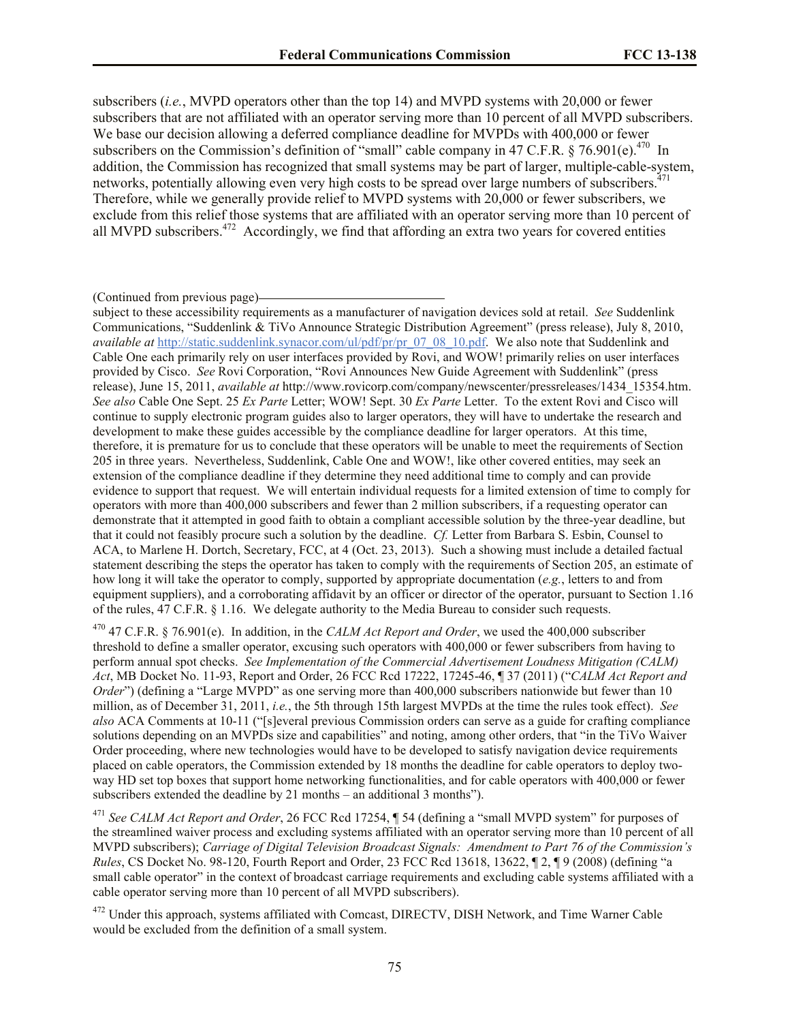subscribers (*i.e.*, MVPD operators other than the top 14) and MVPD systems with 20,000 or fewer subscribers that are not affiliated with an operator serving more than 10 percent of all MVPD subscribers. We base our decision allowing a deferred compliance deadline for MVPDs with 400,000 or fewer subscribers on the Commission's definition of "small" cable company in 47 C.F.R. § 76.901(e).<sup>470</sup> In addition, the Commission has recognized that small systems may be part of larger, multiple-cable-system, networks, potentially allowing even very high costs to be spread over large numbers of subscribers.<sup>471</sup> Therefore, while we generally provide relief to MVPD systems with 20,000 or fewer subscribers, we exclude from this relief those systems that are affiliated with an operator serving more than 10 percent of all MVPD subscribers.<sup>472</sup> Accordingly, we find that affording an extra two years for covered entities

#### (Continued from previous page)

subject to these accessibility requirements as a manufacturer of navigation devices sold at retail. *See* Suddenlink Communications, "Suddenlink & TiVo Announce Strategic Distribution Agreement" (press release), July 8, 2010, *available at* http://static.suddenlink.synacor.com/ul/pdf/pr/pr\_07\_08\_10.pdf. We also note that Suddenlink and Cable One each primarily rely on user interfaces provided by Rovi, and WOW! primarily relies on user interfaces provided by Cisco. *See* Rovi Corporation, "Rovi Announces New Guide Agreement with Suddenlink" (press release), June 15, 2011, *available at* http://www.rovicorp.com/company/newscenter/pressreleases/1434\_15354.htm. *See also* Cable One Sept. 25 *Ex Parte* Letter; WOW! Sept. 30 *Ex Parte* Letter. To the extent Rovi and Cisco will continue to supply electronic program guides also to larger operators, they will have to undertake the research and development to make these guides accessible by the compliance deadline for larger operators. At this time, therefore, it is premature for us to conclude that these operators will be unable to meet the requirements of Section 205 in three years. Nevertheless, Suddenlink, Cable One and WOW!, like other covered entities, may seek an extension of the compliance deadline if they determine they need additional time to comply and can provide evidence to support that request. We will entertain individual requests for a limited extension of time to comply for operators with more than 400,000 subscribers and fewer than 2 million subscribers, if a requesting operator can demonstrate that it attempted in good faith to obtain a compliant accessible solution by the three-year deadline, but that it could not feasibly procure such a solution by the deadline. *Cf.* Letter from Barbara S. Esbin, Counsel to ACA, to Marlene H. Dortch, Secretary, FCC, at 4 (Oct. 23, 2013). Such a showing must include a detailed factual statement describing the steps the operator has taken to comply with the requirements of Section 205, an estimate of how long it will take the operator to comply, supported by appropriate documentation (*e.g.*, letters to and from equipment suppliers), and a corroborating affidavit by an officer or director of the operator, pursuant to Section 1.16 of the rules, 47 C.F.R. § 1.16. We delegate authority to the Media Bureau to consider such requests.

<sup>470</sup> 47 C.F.R. § 76.901(e). In addition, in the *CALM Act Report and Order*, we used the 400,000 subscriber threshold to define a smaller operator, excusing such operators with 400,000 or fewer subscribers from having to perform annual spot checks. *See Implementation of the Commercial Advertisement Loudness Mitigation (CALM) Act*, MB Docket No. 11-93, Report and Order, 26 FCC Rcd 17222, 17245-46, ¶ 37 (2011) ("*CALM Act Report and Order*") (defining a "Large MVPD" as one serving more than 400,000 subscribers nationwide but fewer than 10 million, as of December 31, 2011, *i.e.*, the 5th through 15th largest MVPDs at the time the rules took effect). *See also* ACA Comments at 10-11 ("[s]everal previous Commission orders can serve as a guide for crafting compliance solutions depending on an MVPDs size and capabilities" and noting, among other orders, that "in the TiVo Waiver Order proceeding, where new technologies would have to be developed to satisfy navigation device requirements placed on cable operators, the Commission extended by 18 months the deadline for cable operators to deploy twoway HD set top boxes that support home networking functionalities, and for cable operators with 400,000 or fewer subscribers extended the deadline by 21 months – an additional 3 months").

<sup>471</sup> *See CALM Act Report and Order*, 26 FCC Rcd 17254, ¶ 54 (defining a "small MVPD system" for purposes of the streamlined waiver process and excluding systems affiliated with an operator serving more than 10 percent of all MVPD subscribers); *Carriage of Digital Television Broadcast Signals: Amendment to Part 76 of the Commission's Rules*, CS Docket No. 98-120, Fourth Report and Order, 23 FCC Rcd 13618, 13622, ¶ 2, ¶ 9 (2008) (defining "a small cable operator" in the context of broadcast carriage requirements and excluding cable systems affiliated with a cable operator serving more than 10 percent of all MVPD subscribers).

<sup>472</sup> Under this approach, systems affiliated with Comcast, DIRECTV, DISH Network, and Time Warner Cable would be excluded from the definition of a small system.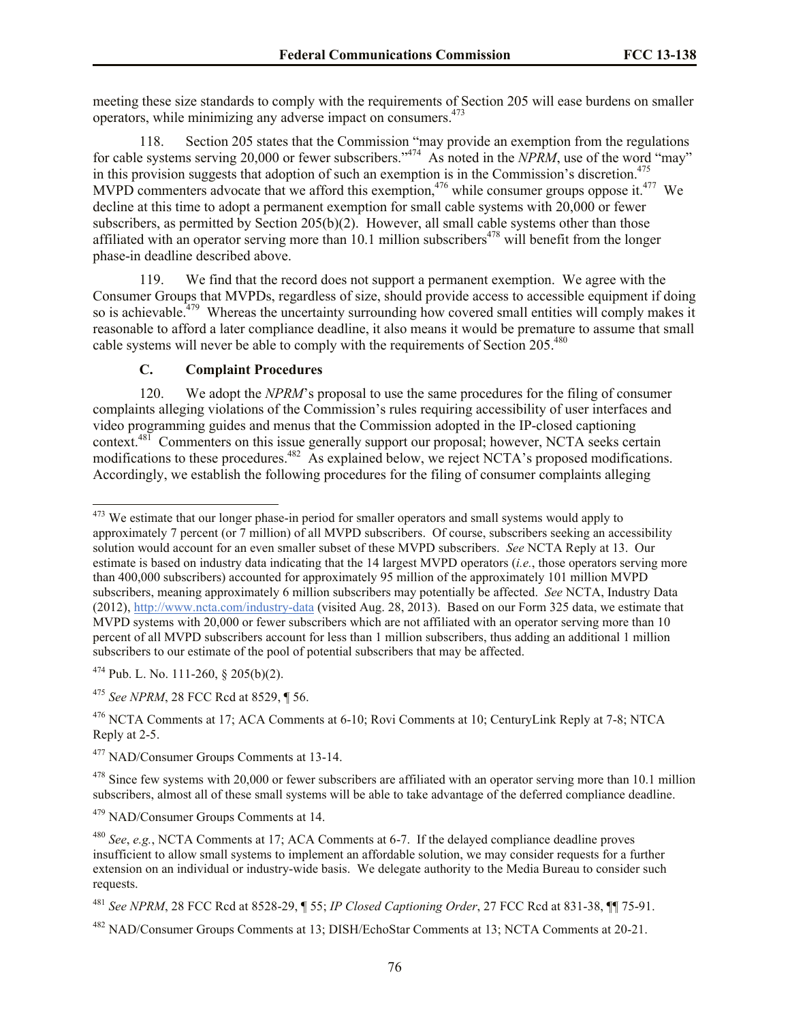meeting these size standards to comply with the requirements of Section 205 will ease burdens on smaller operators, while minimizing any adverse impact on consumers.<sup>473</sup>

118. Section 205 states that the Commission "may provide an exemption from the regulations for cable systems serving 20,000 or fewer subscribers."<sup>474</sup> As noted in the *NPRM*, use of the word "may" in this provision suggests that adoption of such an exemption is in the Commission's discretion.<sup>475</sup> MVPD commenters advocate that we afford this exemption,<sup>476</sup> while consumer groups oppose it.<sup>477</sup> We decline at this time to adopt a permanent exemption for small cable systems with 20,000 or fewer subscribers, as permitted by Section 205(b)(2). However, all small cable systems other than those affiliated with an operator serving more than  $10.1$  million subscribers<sup> $478$ </sup> will benefit from the longer phase-in deadline described above.

119. We find that the record does not support a permanent exemption. We agree with the Consumer Groups that MVPDs, regardless of size, should provide access to accessible equipment if doing so is achievable.<sup>479</sup> Whereas the uncertainty surrounding how covered small entities will comply makes it reasonable to afford a later compliance deadline, it also means it would be premature to assume that small cable systems will never be able to comply with the requirements of Section 205.<sup>480</sup>

# **C. Complaint Procedures**

120. We adopt the *NPRM*'s proposal to use the same procedures for the filing of consumer complaints alleging violations of the Commission's rules requiring accessibility of user interfaces and video programming guides and menus that the Commission adopted in the IP-closed captioning context.<sup>481</sup> Commenters on this issue generally support our proposal; however, NCTA seeks certain modifications to these procedures.<sup>482</sup> As explained below, we reject NCTA's proposed modifications. Accordingly, we establish the following procedures for the filing of consumer complaints alleging

 $\overline{\phantom{a}}$  $473$  We estimate that our longer phase-in period for smaller operators and small systems would apply to approximately 7 percent (or 7 million) of all MVPD subscribers. Of course, subscribers seeking an accessibility solution would account for an even smaller subset of these MVPD subscribers. *See* NCTA Reply at 13. Our estimate is based on industry data indicating that the 14 largest MVPD operators (*i.e.*, those operators serving more than 400,000 subscribers) accounted for approximately 95 million of the approximately 101 million MVPD subscribers, meaning approximately 6 million subscribers may potentially be affected. *See* NCTA, Industry Data (2012), http://www.ncta.com/industry-data (visited Aug. 28, 2013). Based on our Form 325 data, we estimate that MVPD systems with 20,000 or fewer subscribers which are not affiliated with an operator serving more than 10 percent of all MVPD subscribers account for less than 1 million subscribers, thus adding an additional 1 million subscribers to our estimate of the pool of potential subscribers that may be affected.

 $474$  Pub. L. No. 111-260, § 205(b)(2).

<sup>475</sup> *See NPRM*, 28 FCC Rcd at 8529, ¶ 56.

<sup>&</sup>lt;sup>476</sup> NCTA Comments at 17: ACA Comments at 6-10; Rovi Comments at 10; CenturyLink Reply at 7-8; NTCA Reply at 2-5.

<sup>477</sup> NAD/Consumer Groups Comments at 13-14.

 $478$  Since few systems with 20,000 or fewer subscribers are affiliated with an operator serving more than 10.1 million subscribers, almost all of these small systems will be able to take advantage of the deferred compliance deadline.

<sup>479</sup> NAD/Consumer Groups Comments at 14.

<sup>480</sup> *See*, *e.g.*, NCTA Comments at 17; ACA Comments at 6-7. If the delayed compliance deadline proves insufficient to allow small systems to implement an affordable solution, we may consider requests for a further extension on an individual or industry-wide basis. We delegate authority to the Media Bureau to consider such requests.

<sup>481</sup> *See NPRM*, 28 FCC Rcd at 8528-29, ¶ 55; *IP Closed Captioning Order*, 27 FCC Rcd at 831-38, ¶¶ 75-91.

<sup>482</sup> NAD/Consumer Groups Comments at 13; DISH/EchoStar Comments at 13; NCTA Comments at 20-21.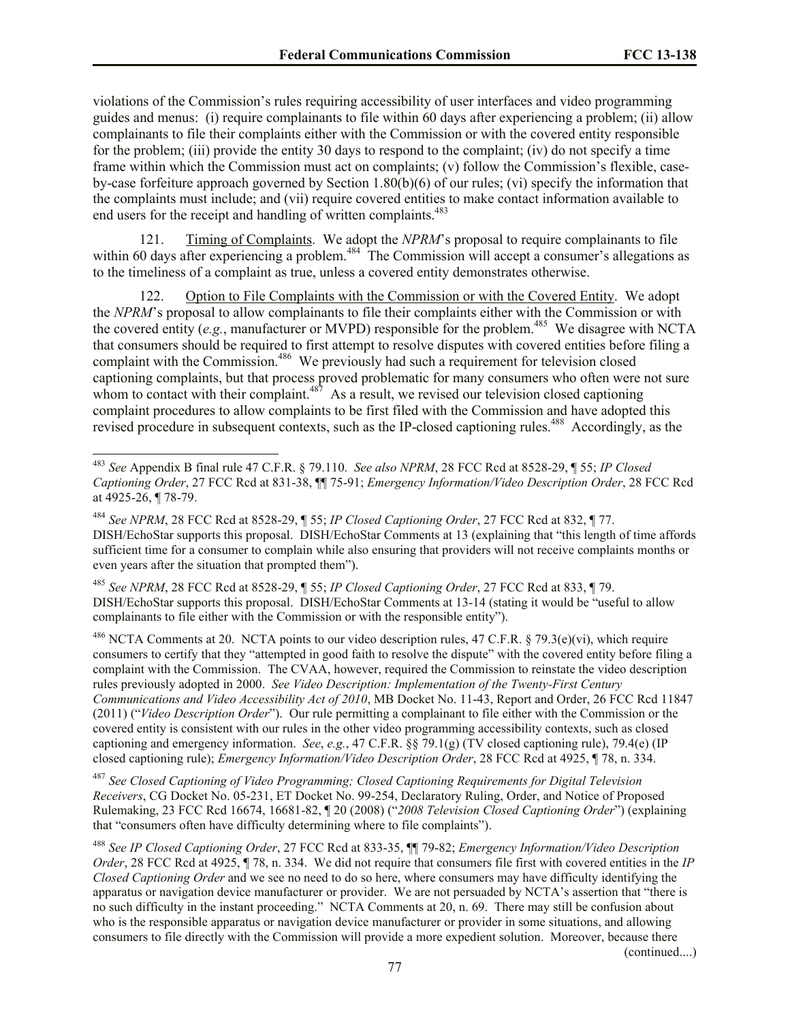violations of the Commission's rules requiring accessibility of user interfaces and video programming guides and menus: (i) require complainants to file within 60 days after experiencing a problem; (ii) allow complainants to file their complaints either with the Commission or with the covered entity responsible for the problem; (iii) provide the entity 30 days to respond to the complaint; (iv) do not specify a time frame within which the Commission must act on complaints; (v) follow the Commission's flexible, caseby-case forfeiture approach governed by Section 1.80(b)(6) of our rules; (vi) specify the information that the complaints must include; and (vii) require covered entities to make contact information available to end users for the receipt and handling of written complaints.<sup>483</sup>

121. Timing of Complaints. We adopt the *NPRM*'s proposal to require complainants to file within 60 days after experiencing a problem.<sup>484</sup> The Commission will accept a consumer's allegations as to the timeliness of a complaint as true, unless a covered entity demonstrates otherwise.

122. Option to File Complaints with the Commission or with the Covered Entity. We adopt the *NPRM*'s proposal to allow complainants to file their complaints either with the Commission or with the covered entity (e.g., manufacturer or MVPD) responsible for the problem.<sup>485</sup> We disagree with NCTA that consumers should be required to first attempt to resolve disputes with covered entities before filing a complaint with the Commission.<sup>486</sup> We previously had such a requirement for television closed captioning complaints, but that process proved problematic for many consumers who often were not sure whom to contact with their complaint.<sup>487</sup> As a result, we revised our television closed captioning complaint procedures to allow complaints to be first filed with the Commission and have adopted this revised procedure in subsequent contexts, such as the IP-closed captioning rules.<sup>488</sup> Accordingly, as the

 $\overline{\phantom{a}}$ 

<sup>485</sup> *See NPRM*, 28 FCC Rcd at 8528-29, ¶ 55; *IP Closed Captioning Order*, 27 FCC Rcd at 833, ¶ 79. DISH/EchoStar supports this proposal. DISH/EchoStar Comments at 13-14 (stating it would be "useful to allow complainants to file either with the Commission or with the responsible entity").

<sup>486</sup> NCTA Comments at 20. NCTA points to our video description rules, 47 C.F.R. § 79.3(e)(vi), which require consumers to certify that they "attempted in good faith to resolve the dispute" with the covered entity before filing a complaint with the Commission. The CVAA, however, required the Commission to reinstate the video description rules previously adopted in 2000. *See Video Description: Implementation of the Twenty-First Century Communications and Video Accessibility Act of 2010*, MB Docket No. 11-43, Report and Order, 26 FCC Rcd 11847 (2011) ("*Video Description Order*"). Our rule permitting a complainant to file either with the Commission or the covered entity is consistent with our rules in the other video programming accessibility contexts, such as closed captioning and emergency information. *See*, *e.g.*, 47 C.F.R. §§ 79.1(g) (TV closed captioning rule), 79.4(e) (IP closed captioning rule); *Emergency Information/Video Description Order*, 28 FCC Rcd at 4925, ¶ 78, n. 334.

<sup>487</sup> *See Closed Captioning of Video Programming; Closed Captioning Requirements for Digital Television Receivers*, CG Docket No. 05-231, ET Docket No. 99-254, Declaratory Ruling, Order, and Notice of Proposed Rulemaking, 23 FCC Rcd 16674, 16681-82, ¶ 20 (2008) ("*2008 Television Closed Captioning Order*") (explaining that "consumers often have difficulty determining where to file complaints").

<sup>488</sup> *See IP Closed Captioning Order*, 27 FCC Rcd at 833-35, ¶¶ 79-82; *Emergency Information/Video Description Order*, 28 FCC Rcd at 4925, ¶ 78, n. 334. We did not require that consumers file first with covered entities in the *IP Closed Captioning Order* and we see no need to do so here, where consumers may have difficulty identifying the apparatus or navigation device manufacturer or provider. We are not persuaded by NCTA's assertion that "there is no such difficulty in the instant proceeding." NCTA Comments at 20, n. 69. There may still be confusion about who is the responsible apparatus or navigation device manufacturer or provider in some situations, and allowing consumers to file directly with the Commission will provide a more expedient solution. Moreover, because there

(continued....)

<sup>483</sup> *See* Appendix B final rule 47 C.F.R. § 79.110. *See also NPRM*, 28 FCC Rcd at 8528-29, ¶ 55; *IP Closed Captioning Order*, 27 FCC Rcd at 831-38, ¶¶ 75-91; *Emergency Information/Video Description Order*, 28 FCC Rcd at 4925-26, ¶ 78-79.

<sup>484</sup> *See NPRM*, 28 FCC Rcd at 8528-29, ¶ 55; *IP Closed Captioning Order*, 27 FCC Rcd at 832, ¶ 77. DISH/EchoStar supports this proposal. DISH/EchoStar Comments at 13 (explaining that "this length of time affords sufficient time for a consumer to complain while also ensuring that providers will not receive complaints months or even years after the situation that prompted them").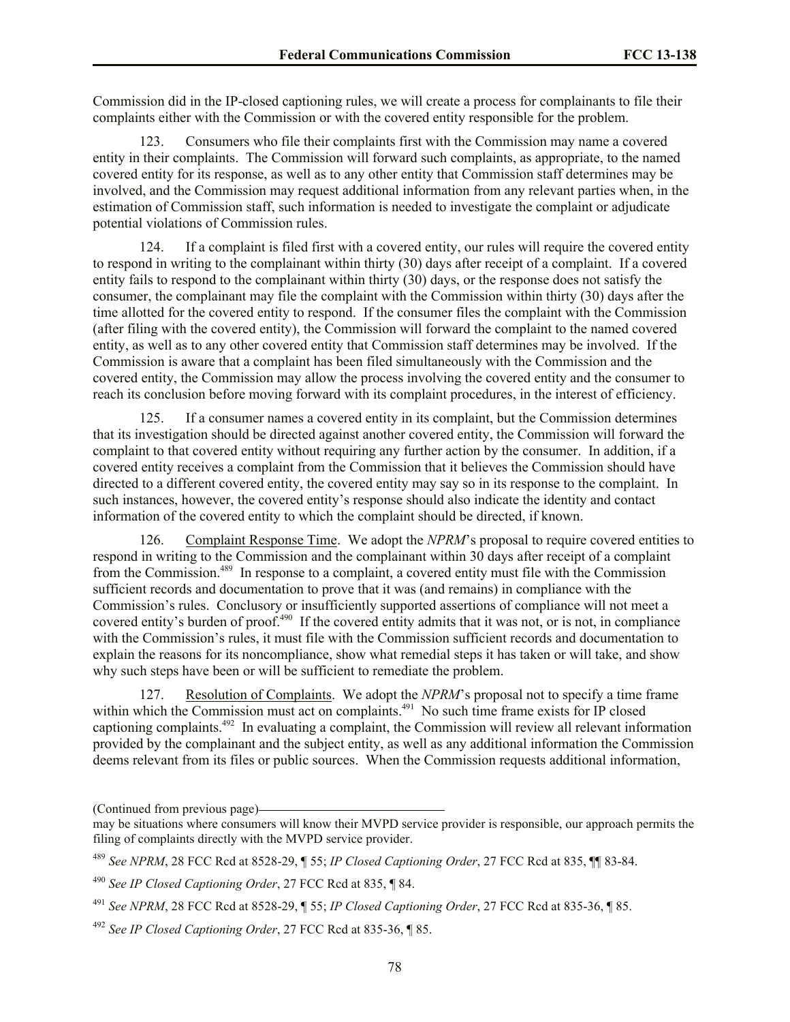Commission did in the IP-closed captioning rules, we will create a process for complainants to file their complaints either with the Commission or with the covered entity responsible for the problem.

123. Consumers who file their complaints first with the Commission may name a covered entity in their complaints. The Commission will forward such complaints, as appropriate, to the named covered entity for its response, as well as to any other entity that Commission staff determines may be involved, and the Commission may request additional information from any relevant parties when, in the estimation of Commission staff, such information is needed to investigate the complaint or adjudicate potential violations of Commission rules.

124. If a complaint is filed first with a covered entity, our rules will require the covered entity to respond in writing to the complainant within thirty (30) days after receipt of a complaint. If a covered entity fails to respond to the complainant within thirty (30) days, or the response does not satisfy the consumer, the complainant may file the complaint with the Commission within thirty (30) days after the time allotted for the covered entity to respond. If the consumer files the complaint with the Commission (after filing with the covered entity), the Commission will forward the complaint to the named covered entity, as well as to any other covered entity that Commission staff determines may be involved. If the Commission is aware that a complaint has been filed simultaneously with the Commission and the covered entity, the Commission may allow the process involving the covered entity and the consumer to reach its conclusion before moving forward with its complaint procedures, in the interest of efficiency.

125. If a consumer names a covered entity in its complaint, but the Commission determines that its investigation should be directed against another covered entity, the Commission will forward the complaint to that covered entity without requiring any further action by the consumer. In addition, if a covered entity receives a complaint from the Commission that it believes the Commission should have directed to a different covered entity, the covered entity may say so in its response to the complaint. In such instances, however, the covered entity's response should also indicate the identity and contact information of the covered entity to which the complaint should be directed, if known.

126. Complaint Response Time. We adopt the *NPRM*'s proposal to require covered entities to respond in writing to the Commission and the complainant within 30 days after receipt of a complaint from the Commission.<sup>489</sup> In response to a complaint, a covered entity must file with the Commission sufficient records and documentation to prove that it was (and remains) in compliance with the Commission's rules. Conclusory or insufficiently supported assertions of compliance will not meet a covered entity's burden of proof.<sup>490</sup> If the covered entity admits that it was not, or is not, in compliance with the Commission's rules, it must file with the Commission sufficient records and documentation to explain the reasons for its noncompliance, show what remedial steps it has taken or will take, and show why such steps have been or will be sufficient to remediate the problem.

127. Resolution of Complaints. We adopt the *NPRM*'s proposal not to specify a time frame within which the Commission must act on complaints.<sup>491</sup> No such time frame exists for IP closed captioning complaints.<sup>492</sup> In evaluating a complaint, the Commission will review all relevant information provided by the complainant and the subject entity, as well as any additional information the Commission deems relevant from its files or public sources. When the Commission requests additional information,

<sup>(</sup>Continued from previous page)

may be situations where consumers will know their MVPD service provider is responsible, our approach permits the filing of complaints directly with the MVPD service provider.

<sup>489</sup> *See NPRM*, 28 FCC Rcd at 8528-29, ¶ 55; *IP Closed Captioning Order*, 27 FCC Rcd at 835, ¶¶ 83-84.

<sup>490</sup> *See IP Closed Captioning Order*, 27 FCC Rcd at 835, ¶ 84.

<sup>491</sup> *See NPRM*, 28 FCC Rcd at 8528-29, ¶ 55; *IP Closed Captioning Order*, 27 FCC Rcd at 835-36, ¶ 85.

<sup>492</sup> *See IP Closed Captioning Order*, 27 FCC Rcd at 835-36, ¶ 85.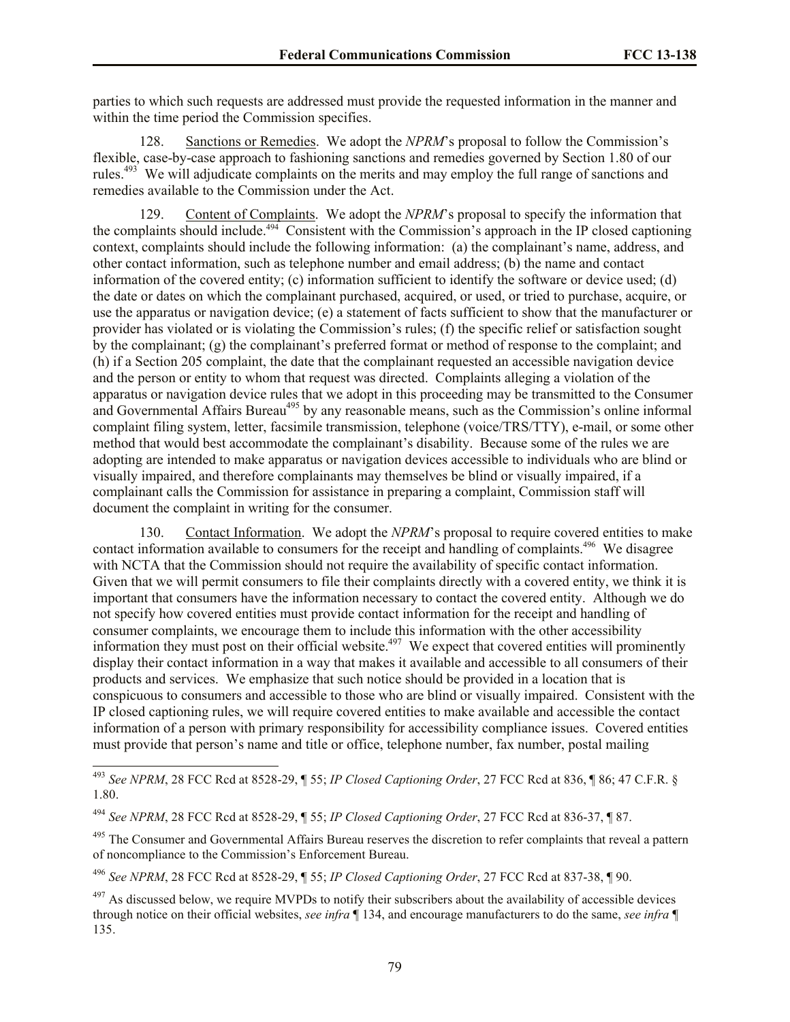parties to which such requests are addressed must provide the requested information in the manner and within the time period the Commission specifies.

128. Sanctions or Remedies. We adopt the *NPRM*'s proposal to follow the Commission's flexible, case-by-case approach to fashioning sanctions and remedies governed by Section 1.80 of our rules.<sup>493</sup> We will adjudicate complaints on the merits and may employ the full range of sanctions and remedies available to the Commission under the Act.

129. Content of Complaints. We adopt the *NPRM*'s proposal to specify the information that the complaints should include.<sup>494</sup> Consistent with the Commission's approach in the IP closed captioning context, complaints should include the following information: (a) the complainant's name, address, and other contact information, such as telephone number and email address; (b) the name and contact information of the covered entity; (c) information sufficient to identify the software or device used; (d) the date or dates on which the complainant purchased, acquired, or used, or tried to purchase, acquire, or use the apparatus or navigation device; (e) a statement of facts sufficient to show that the manufacturer or provider has violated or is violating the Commission's rules; (f) the specific relief or satisfaction sought by the complainant; (g) the complainant's preferred format or method of response to the complaint; and (h) if a Section 205 complaint, the date that the complainant requested an accessible navigation device and the person or entity to whom that request was directed. Complaints alleging a violation of the apparatus or navigation device rules that we adopt in this proceeding may be transmitted to the Consumer and Governmental Affairs Bureau<sup>495</sup> by any reasonable means, such as the Commission's online informal complaint filing system, letter, facsimile transmission, telephone (voice/TRS/TTY), e-mail, or some other method that would best accommodate the complainant's disability. Because some of the rules we are adopting are intended to make apparatus or navigation devices accessible to individuals who are blind or visually impaired, and therefore complainants may themselves be blind or visually impaired, if a complainant calls the Commission for assistance in preparing a complaint, Commission staff will document the complaint in writing for the consumer.

130. Contact Information. We adopt the *NPRM*'s proposal to require covered entities to make contact information available to consumers for the receipt and handling of complaints.<sup>496</sup> We disagree with NCTA that the Commission should not require the availability of specific contact information. Given that we will permit consumers to file their complaints directly with a covered entity, we think it is important that consumers have the information necessary to contact the covered entity. Although we do not specify how covered entities must provide contact information for the receipt and handling of consumer complaints, we encourage them to include this information with the other accessibility information they must post on their official website.<sup>497</sup> We expect that covered entities will prominently display their contact information in a way that makes it available and accessible to all consumers of their products and services. We emphasize that such notice should be provided in a location that is conspicuous to consumers and accessible to those who are blind or visually impaired. Consistent with the IP closed captioning rules, we will require covered entities to make available and accessible the contact information of a person with primary responsibility for accessibility compliance issues. Covered entities must provide that person's name and title or office, telephone number, fax number, postal mailing

<sup>493</sup> *See NPRM*, 28 FCC Rcd at 8528-29, ¶ 55; *IP Closed Captioning Order*, 27 FCC Rcd at 836, ¶ 86; 47 C.F.R. § 1.80.

<sup>494</sup> *See NPRM*, 28 FCC Rcd at 8528-29, ¶ 55; *IP Closed Captioning Order*, 27 FCC Rcd at 836-37, ¶ 87.

<sup>&</sup>lt;sup>495</sup> The Consumer and Governmental Affairs Bureau reserves the discretion to refer complaints that reveal a pattern of noncompliance to the Commission's Enforcement Bureau.

<sup>496</sup> *See NPRM*, 28 FCC Rcd at 8528-29, ¶ 55; *IP Closed Captioning Order*, 27 FCC Rcd at 837-38, ¶ 90.

 $497$  As discussed below, we require MVPDs to notify their subscribers about the availability of accessible devices through notice on their official websites, *see infra* ¶ 134, and encourage manufacturers to do the same, *see infra* ¶ 135.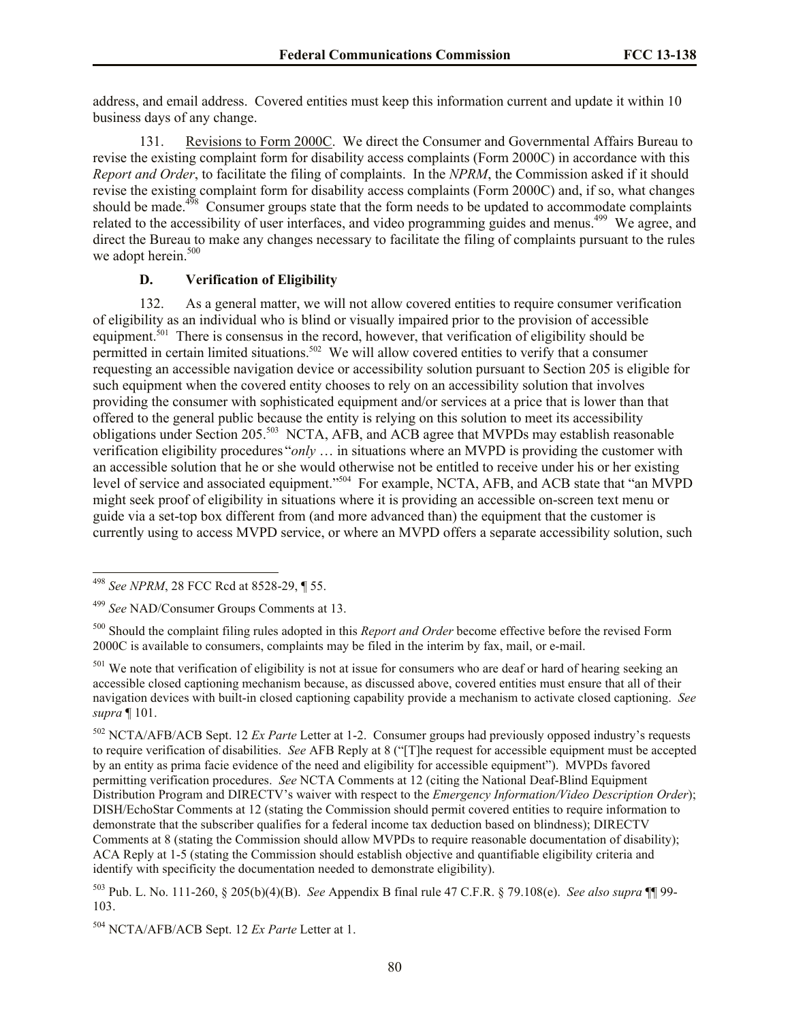address, and email address. Covered entities must keep this information current and update it within 10 business days of any change.

131. Revisions to Form 2000C. We direct the Consumer and Governmental Affairs Bureau to revise the existing complaint form for disability access complaints (Form 2000C) in accordance with this *Report and Order*, to facilitate the filing of complaints. In the *NPRM*, the Commission asked if it should revise the existing complaint form for disability access complaints (Form 2000C) and, if so, what changes should be made. $4\frac{498}{8}$  Consumer groups state that the form needs to be updated to accommodate complaints related to the accessibility of user interfaces, and video programming guides and menus.<sup>499</sup> We agree, and direct the Bureau to make any changes necessary to facilitate the filing of complaints pursuant to the rules we adopt herein.<sup>500</sup>

### **D. Verification of Eligibility**

132. As a general matter, we will not allow covered entities to require consumer verification of eligibility as an individual who is blind or visually impaired prior to the provision of accessible equipment.<sup>501</sup> There is consensus in the record, however, that verification of eligibility should be permitted in certain limited situations.<sup>502</sup> We will allow covered entities to verify that a consumer requesting an accessible navigation device or accessibility solution pursuant to Section 205 is eligible for such equipment when the covered entity chooses to rely on an accessibility solution that involves providing the consumer with sophisticated equipment and/or services at a price that is lower than that offered to the general public because the entity is relying on this solution to meet its accessibility obligations under Section 205.<sup>503</sup> NCTA, AFB, and ACB agree that MVPDs may establish reasonable verification eligibility procedures "*only* … in situations where an MVPD is providing the customer with an accessible solution that he or she would otherwise not be entitled to receive under his or her existing level of service and associated equipment."<sup>504</sup> For example, NCTA, AFB, and ACB state that "an MVPD might seek proof of eligibility in situations where it is providing an accessible on-screen text menu or guide via a set-top box different from (and more advanced than) the equipment that the customer is currently using to access MVPD service, or where an MVPD offers a separate accessibility solution, such

<sup>498</sup> *See NPRM*, 28 FCC Rcd at 8528-29, ¶ 55.

<sup>499</sup> *See* NAD/Consumer Groups Comments at 13.

<sup>500</sup> Should the complaint filing rules adopted in this *Report and Order* become effective before the revised Form 2000C is available to consumers, complaints may be filed in the interim by fax, mail, or e-mail.

<sup>&</sup>lt;sup>501</sup> We note that verification of eligibility is not at issue for consumers who are deaf or hard of hearing seeking an accessible closed captioning mechanism because, as discussed above, covered entities must ensure that all of their navigation devices with built-in closed captioning capability provide a mechanism to activate closed captioning. *See supra* ¶ 101.

<sup>502</sup> NCTA/AFB/ACB Sept. 12 *Ex Parte* Letter at 1-2. Consumer groups had previously opposed industry's requests to require verification of disabilities. *See* AFB Reply at 8 ("[T]he request for accessible equipment must be accepted by an entity as prima facie evidence of the need and eligibility for accessible equipment"). MVPDs favored permitting verification procedures. *See* NCTA Comments at 12 (citing the National Deaf-Blind Equipment Distribution Program and DIRECTV's waiver with respect to the *Emergency Information/Video Description Order*); DISH/EchoStar Comments at 12 (stating the Commission should permit covered entities to require information to demonstrate that the subscriber qualifies for a federal income tax deduction based on blindness); DIRECTV Comments at 8 (stating the Commission should allow MVPDs to require reasonable documentation of disability); ACA Reply at 1-5 (stating the Commission should establish objective and quantifiable eligibility criteria and identify with specificity the documentation needed to demonstrate eligibility).

<sup>503</sup> Pub. L. No. 111-260, § 205(b)(4)(B). *See* Appendix B final rule 47 C.F.R. § 79.108(e). *See also supra* ¶¶ 99- 103.

<sup>504</sup> NCTA/AFB/ACB Sept. 12 *Ex Parte* Letter at 1.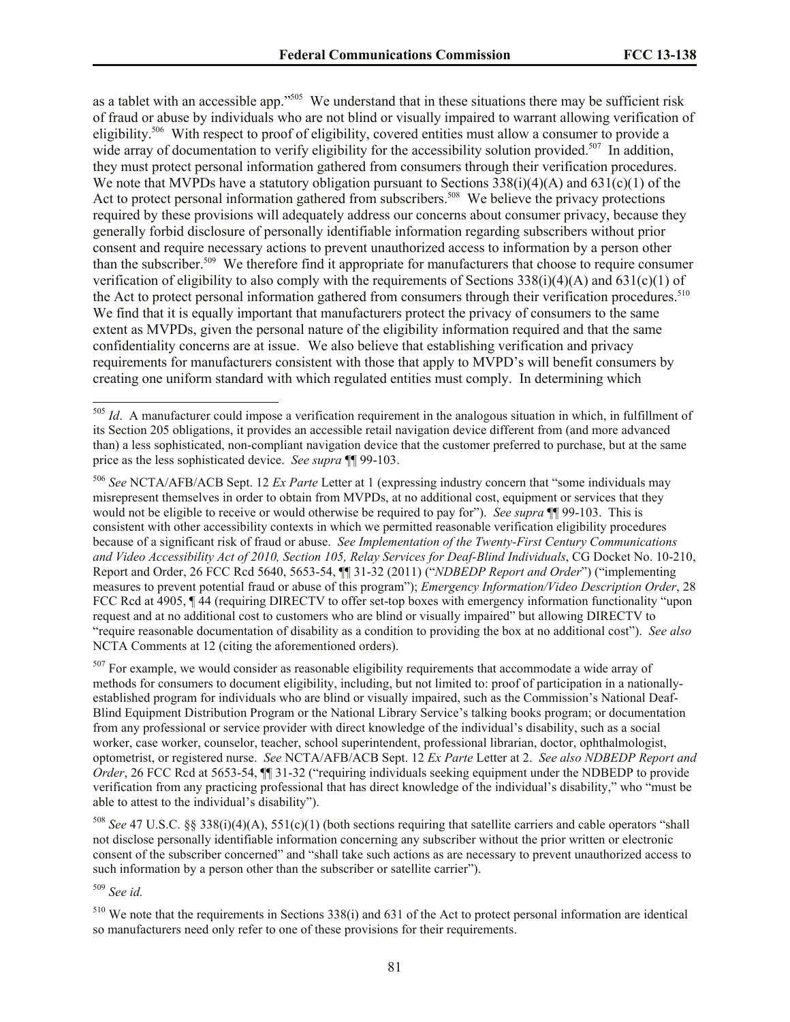as a tablet with an accessible app."<sup>505</sup> We understand that in these situations there may be sufficient risk of fraud or abuse by individuals who are not blind or visually impaired to warrant allowing verification of eligibility.<sup>506</sup> With respect to proof of eligibility, covered entities must allow a consumer to provide a wide array of documentation to verify eligibility for the accessibility solution provided.<sup>507</sup> In addition, they must protect personal information gathered from consumers through their verification procedures. We note that MVPDs have a statutory obligation pursuant to Sections  $338(i)(4)(A)$  and  $631(c)(1)$  of the Act to protect personal information gathered from subscribers.<sup>508</sup> We believe the privacy protections required by these provisions will adequately address our concerns about consumer privacy, because they generally forbid disclosure of personally identifiable information regarding subscribers without prior consent and require necessary actions to prevent unauthorized access to information by a person other than the subscriber.<sup>509</sup> We therefore find it appropriate for manufacturers that choose to require consumer verification of eligibility to also comply with the requirements of Sections  $338(i)(4)(A)$  and  $631(c)(1)$  of the Act to protect personal information gathered from consumers through their verification procedures.<sup>510</sup> We find that it is equally important that manufacturers protect the privacy of consumers to the same extent as MVPDs, given the personal nature of the eligibility information required and that the same confidentiality concerns are at issue. We also believe that establishing verification and privacy requirements for manufacturers consistent with those that apply to MVPD's will benefit consumers by creating one uniform standard with which regulated entities must comply. In determining which

<sup>507</sup> For example, we would consider as reasonable eligibility requirements that accommodate a wide array of methods for consumers to document eligibility, including, but not limited to: proof of participation in a nationallyestablished program for individuals who are blind or visually impaired, such as the Commission's National Deaf-Blind Equipment Distribution Program or the National Library Service's talking books program; or documentation from any professional or service provider with direct knowledge of the individual's disability, such as a social worker, case worker, counselor, teacher, school superintendent, professional librarian, doctor, ophthalmologist, optometrist, or registered nurse. *See* NCTA/AFB/ACB Sept. 12 *Ex Parte* Letter at 2. *See also NDBEDP Report and Order*, 26 FCC Rcd at 5653-54,  $\P$  31-32 ("requiring individuals seeking equipment under the NDBEDP to provide verification from any practicing professional that has direct knowledge of the individual's disability," who "must be able to attest to the individual's disability").

<sup>508</sup> *See* 47 U.S.C. §§ 338(i)(4)(A), 551(c)(1) (both sections requiring that satellite carriers and cable operators "shall not disclose personally identifiable information concerning any subscriber without the prior written or electronic consent of the subscriber concerned" and "shall take such actions as are necessary to prevent unauthorized access to such information by a person other than the subscriber or satellite carrier").

<sup>509</sup> *See id.*

<sup>505</sup> *Id*. A manufacturer could impose a verification requirement in the analogous situation in which, in fulfillment of its Section 205 obligations, it provides an accessible retail navigation device different from (and more advanced than) a less sophisticated, non-compliant navigation device that the customer preferred to purchase, but at the same price as the less sophisticated device. *See supra* ¶¶ 99-103.

<sup>506</sup> *See* NCTA/AFB/ACB Sept. 12 *Ex Parte* Letter at 1 (expressing industry concern that "some individuals may misrepresent themselves in order to obtain from MVPDs, at no additional cost, equipment or services that they would not be eligible to receive or would otherwise be required to pay for"). *See supra* ¶¶ 99-103. This is consistent with other accessibility contexts in which we permitted reasonable verification eligibility procedures because of a significant risk of fraud or abuse. *See Implementation of the Twenty-First Century Communications and Video Accessibility Act of 2010, Section 105, Relay Services for Deaf-Blind Individuals*, CG Docket No. 10-210, Report and Order, 26 FCC Rcd 5640, 5653-54, ¶¶ 31-32 (2011) ("*NDBEDP Report and Order*") ("implementing measures to prevent potential fraud or abuse of this program"); *Emergency Information/Video Description Order*, 28 FCC Rcd at 4905, ¶ 44 (requiring DIRECTV to offer set-top boxes with emergency information functionality "upon request and at no additional cost to customers who are blind or visually impaired" but allowing DIRECTV to "require reasonable documentation of disability as a condition to providing the box at no additional cost"). *See also* NCTA Comments at 12 (citing the aforementioned orders).

 $510$  We note that the requirements in Sections 338(i) and 631 of the Act to protect personal information are identical so manufacturers need only refer to one of these provisions for their requirements.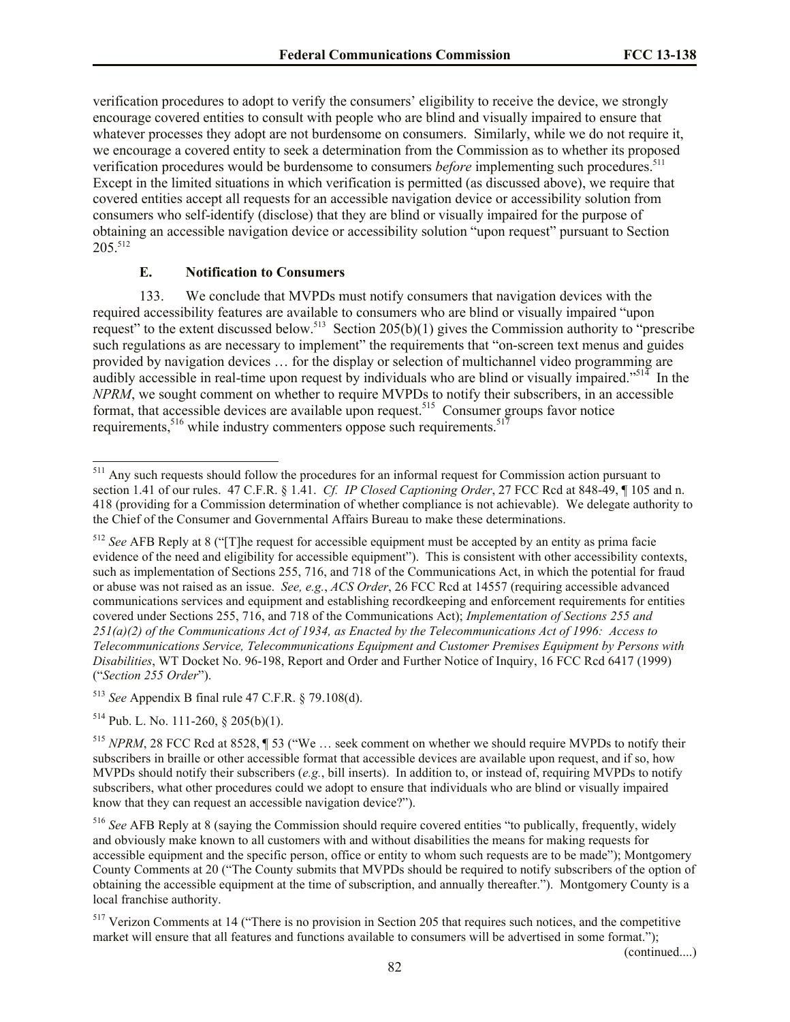verification procedures to adopt to verify the consumers' eligibility to receive the device, we strongly encourage covered entities to consult with people who are blind and visually impaired to ensure that whatever processes they adopt are not burdensome on consumers. Similarly, while we do not require it, we encourage a covered entity to seek a determination from the Commission as to whether its proposed verification procedures would be burdensome to consumers *before* implementing such procedures. 511 Except in the limited situations in which verification is permitted (as discussed above), we require that covered entities accept all requests for an accessible navigation device or accessibility solution from consumers who self-identify (disclose) that they are blind or visually impaired for the purpose of obtaining an accessible navigation device or accessibility solution "upon request" pursuant to Section 205.<sup>512</sup>

## **E. Notification to Consumers**

133. We conclude that MVPDs must notify consumers that navigation devices with the required accessibility features are available to consumers who are blind or visually impaired "upon request" to the extent discussed below.<sup>513</sup> Section 205(b)(1) gives the Commission authority to "prescribe" such regulations as are necessary to implement" the requirements that "on-screen text menus and guides provided by navigation devices … for the display or selection of multichannel video programming are audibly accessible in real-time upon request by individuals who are blind or visually impaired."<sup>514</sup> In the *NPRM*, we sought comment on whether to require MVPDs to notify their subscribers, in an accessible format, that accessible devices are available upon request.<sup>515</sup> Consumer groups favor notice requirements,  $516$  while industry commenters oppose such requirements.  $517$ 

<sup>513</sup> *See* Appendix B final rule 47 C.F.R. § 79.108(d).

 $514$  Pub. L. No. 111-260, § 205(b)(1).

l

(continued....)

<sup>&</sup>lt;sup>511</sup> Any such requests should follow the procedures for an informal request for Commission action pursuant to section 1.41 of our rules. 47 C.F.R. § 1.41. *Cf. IP Closed Captioning Order*, 27 FCC Rcd at 848-49, ¶ 105 and n. 418 (providing for a Commission determination of whether compliance is not achievable). We delegate authority to the Chief of the Consumer and Governmental Affairs Bureau to make these determinations.

<sup>&</sup>lt;sup>512</sup> *See* AFB Reply at 8 ("The request for accessible equipment must be accepted by an entity as prima facie evidence of the need and eligibility for accessible equipment"). This is consistent with other accessibility contexts, such as implementation of Sections 255, 716, and 718 of the Communications Act, in which the potential for fraud or abuse was not raised as an issue. *See, e.g.*, *ACS Order*, 26 FCC Rcd at 14557 (requiring accessible advanced communications services and equipment and establishing recordkeeping and enforcement requirements for entities covered under Sections 255, 716, and 718 of the Communications Act); *Implementation of Sections 255 and 251(a)(2) of the Communications Act of 1934, as Enacted by the Telecommunications Act of 1996: Access to Telecommunications Service, Telecommunications Equipment and Customer Premises Equipment by Persons with Disabilities*, WT Docket No. 96-198, Report and Order and Further Notice of Inquiry, 16 FCC Rcd 6417 (1999) ("*Section 255 Order*").

<sup>515</sup> *NPRM*, 28 FCC Rcd at 8528, ¶ 53 ("We … seek comment on whether we should require MVPDs to notify their subscribers in braille or other accessible format that accessible devices are available upon request, and if so, how MVPDs should notify their subscribers (*e.g.*, bill inserts). In addition to, or instead of, requiring MVPDs to notify subscribers, what other procedures could we adopt to ensure that individuals who are blind or visually impaired know that they can request an accessible navigation device?").

<sup>516</sup> *See* AFB Reply at 8 (saying the Commission should require covered entities "to publically, frequently, widely and obviously make known to all customers with and without disabilities the means for making requests for accessible equipment and the specific person, office or entity to whom such requests are to be made"); Montgomery County Comments at 20 ("The County submits that MVPDs should be required to notify subscribers of the option of obtaining the accessible equipment at the time of subscription, and annually thereafter."). Montgomery County is a local franchise authority.

<sup>&</sup>lt;sup>517</sup> Verizon Comments at 14 ("There is no provision in Section 205 that requires such notices, and the competitive market will ensure that all features and functions available to consumers will be advertised in some format.");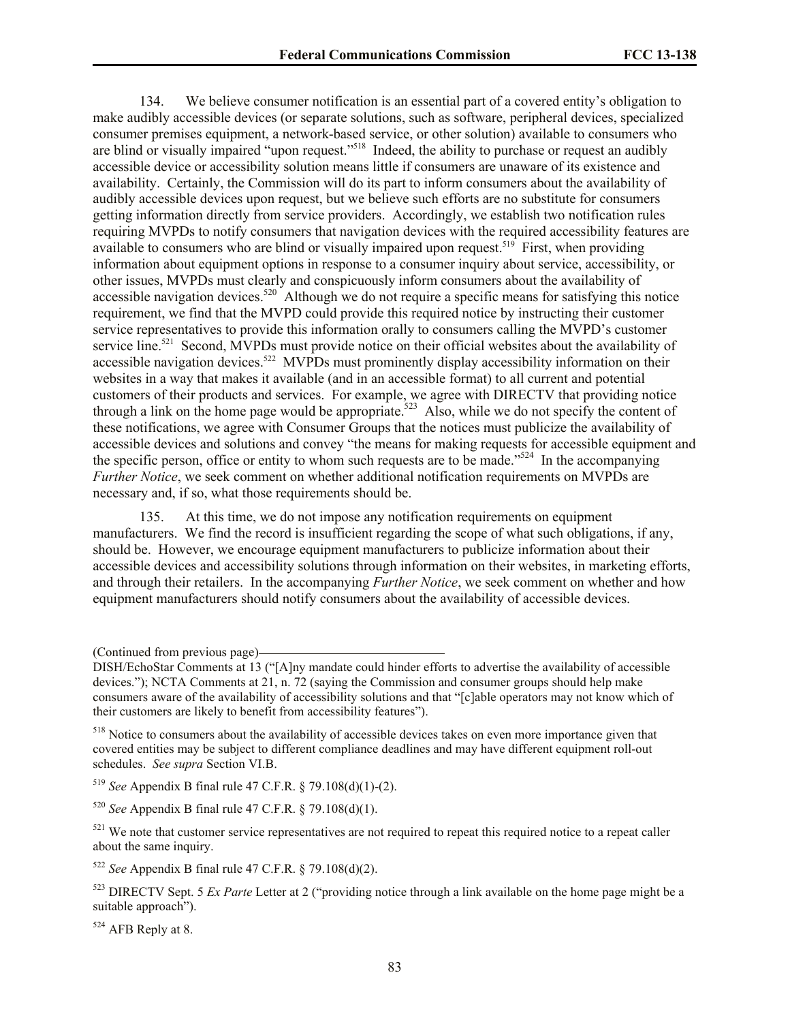134. We believe consumer notification is an essential part of a covered entity's obligation to make audibly accessible devices (or separate solutions, such as software, peripheral devices, specialized consumer premises equipment, a network-based service, or other solution) available to consumers who are blind or visually impaired "upon request."<sup>518</sup> Indeed, the ability to purchase or request an audibly accessible device or accessibility solution means little if consumers are unaware of its existence and availability. Certainly, the Commission will do its part to inform consumers about the availability of audibly accessible devices upon request, but we believe such efforts are no substitute for consumers getting information directly from service providers. Accordingly, we establish two notification rules requiring MVPDs to notify consumers that navigation devices with the required accessibility features are available to consumers who are blind or visually impaired upon request.<sup>519</sup> First, when providing information about equipment options in response to a consumer inquiry about service, accessibility, or other issues, MVPDs must clearly and conspicuously inform consumers about the availability of accessible navigation devices.<sup>520</sup> Although we do not require a specific means for satisfying this notice requirement, we find that the MVPD could provide this required notice by instructing their customer service representatives to provide this information orally to consumers calling the MVPD's customer service line.<sup>521</sup> Second, MVPDs must provide notice on their official websites about the availability of accessible navigation devices.<sup>522</sup> MVPDs must prominently display accessibility information on their websites in a way that makes it available (and in an accessible format) to all current and potential customers of their products and services. For example, we agree with DIRECTV that providing notice through a link on the home page would be appropriate.<sup>523</sup> Also, while we do not specify the content of these notifications, we agree with Consumer Groups that the notices must publicize the availability of accessible devices and solutions and convey "the means for making requests for accessible equipment and the specific person, office or entity to whom such requests are to be made."<sup>524</sup> In the accompanying *Further Notice*, we seek comment on whether additional notification requirements on MVPDs are necessary and, if so, what those requirements should be.

135. At this time, we do not impose any notification requirements on equipment manufacturers. We find the record is insufficient regarding the scope of what such obligations, if any, should be. However, we encourage equipment manufacturers to publicize information about their accessible devices and accessibility solutions through information on their websites, in marketing efforts, and through their retailers. In the accompanying *Further Notice*, we seek comment on whether and how equipment manufacturers should notify consumers about the availability of accessible devices.

<sup>519</sup> *See* Appendix B final rule 47 C.F.R. § 79.108(d)(1)-(2).

<sup>520</sup> *See* Appendix B final rule 47 C.F.R. § 79.108(d)(1).

 $521$  We note that customer service representatives are not required to repeat this required notice to a repeat caller about the same inquiry.

<sup>522</sup> *See* Appendix B final rule 47 C.F.R. § 79.108(d)(2).

<sup>523</sup> DIRECTV Sept. 5 *Ex Parte* Letter at 2 ("providing notice through a link available on the home page might be a suitable approach").

<sup>524</sup> AFB Reply at 8.

<sup>(</sup>Continued from previous page)

DISH/EchoStar Comments at 13 ("[A]ny mandate could hinder efforts to advertise the availability of accessible devices."); NCTA Comments at 21, n. 72 (saying the Commission and consumer groups should help make consumers aware of the availability of accessibility solutions and that "[c]able operators may not know which of their customers are likely to benefit from accessibility features").

<sup>518</sup> Notice to consumers about the availability of accessible devices takes on even more importance given that covered entities may be subject to different compliance deadlines and may have different equipment roll-out schedules. *See supra* Section VI.B.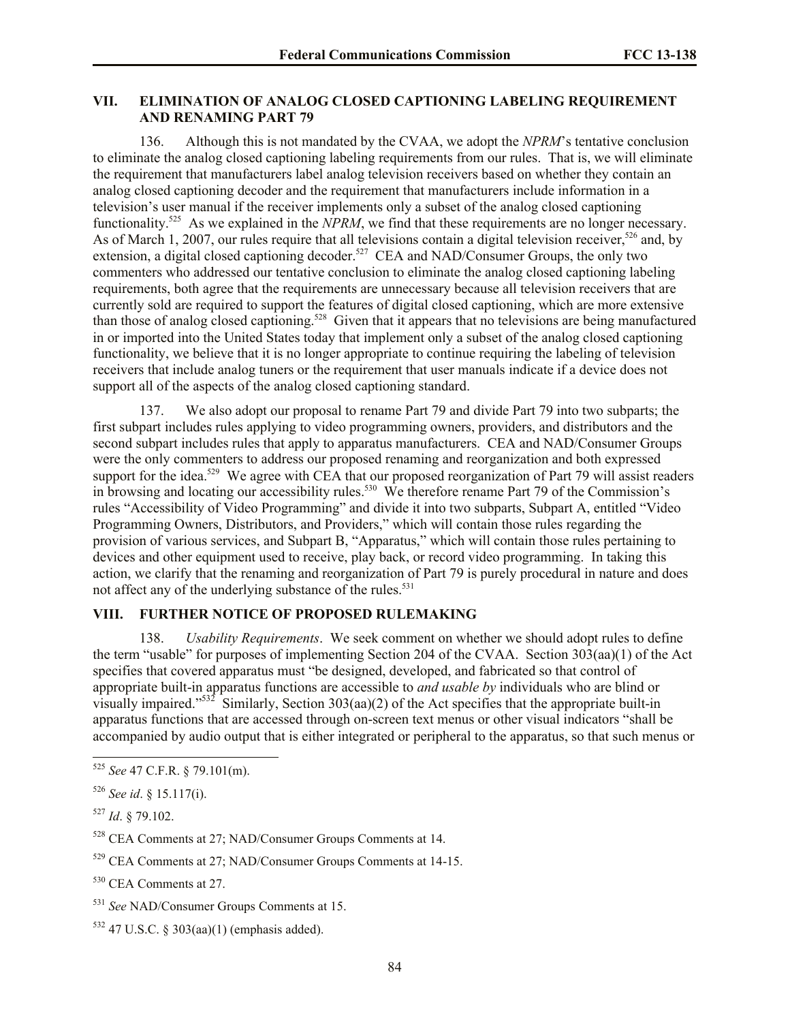#### **VII. ELIMINATION OF ANALOG CLOSED CAPTIONING LABELING REQUIREMENT AND RENAMING PART 79**

136. Although this is not mandated by the CVAA, we adopt the *NPRM*'s tentative conclusion to eliminate the analog closed captioning labeling requirements from our rules. That is, we will eliminate the requirement that manufacturers label analog television receivers based on whether they contain an analog closed captioning decoder and the requirement that manufacturers include information in a television's user manual if the receiver implements only a subset of the analog closed captioning functionality.<sup>525</sup> As we explained in the *NPRM*, we find that these requirements are no longer necessary. As of March 1, 2007, our rules require that all televisions contain a digital television receiver,<sup>526</sup> and, by extension, a digital closed captioning decoder.<sup>527</sup> CEA and NAD/Consumer Groups, the only two commenters who addressed our tentative conclusion to eliminate the analog closed captioning labeling requirements, both agree that the requirements are unnecessary because all television receivers that are currently sold are required to support the features of digital closed captioning, which are more extensive than those of analog closed captioning.<sup>528</sup> Given that it appears that no televisions are being manufactured in or imported into the United States today that implement only a subset of the analog closed captioning functionality, we believe that it is no longer appropriate to continue requiring the labeling of television receivers that include analog tuners or the requirement that user manuals indicate if a device does not support all of the aspects of the analog closed captioning standard.

137. We also adopt our proposal to rename Part 79 and divide Part 79 into two subparts; the first subpart includes rules applying to video programming owners, providers, and distributors and the second subpart includes rules that apply to apparatus manufacturers. CEA and NAD/Consumer Groups were the only commenters to address our proposed renaming and reorganization and both expressed support for the idea.<sup>529</sup> We agree with CEA that our proposed reorganization of Part 79 will assist readers in browsing and locating our accessibility rules.<sup>530</sup> We therefore rename Part 79 of the Commission's rules "Accessibility of Video Programming" and divide it into two subparts, Subpart A, entitled "Video Programming Owners, Distributors, and Providers," which will contain those rules regarding the provision of various services, and Subpart B, "Apparatus," which will contain those rules pertaining to devices and other equipment used to receive, play back, or record video programming. In taking this action, we clarify that the renaming and reorganization of Part 79 is purely procedural in nature and does not affect any of the underlying substance of the rules.<sup>531</sup>

# **VIII. FURTHER NOTICE OF PROPOSED RULEMAKING**

138. *Usability Requirements*. We seek comment on whether we should adopt rules to define the term "usable" for purposes of implementing Section 204 of the CVAA. Section 303(aa)(1) of the Act specifies that covered apparatus must "be designed, developed, and fabricated so that control of appropriate built-in apparatus functions are accessible to *and usable by* individuals who are blind or visually impaired."<sup>532</sup> Similarly, Section 303(aa)(2) of the Act specifies that the appropriate built-in apparatus functions that are accessed through on-screen text menus or other visual indicators "shall be accompanied by audio output that is either integrated or peripheral to the apparatus, so that such menus or

 $\overline{a}$ 

<sup>525</sup> *See* 47 C.F.R. § 79.101(m).

<sup>526</sup> *See id*. § 15.117(i).

<sup>527</sup> *Id*. § 79.102.

<sup>528</sup> CEA Comments at 27; NAD/Consumer Groups Comments at 14.

<sup>529</sup> CEA Comments at 27; NAD/Consumer Groups Comments at 14-15.

<sup>&</sup>lt;sup>530</sup> CEA Comments at 27.

<sup>531</sup> *See* NAD/Consumer Groups Comments at 15.

 $532$  47 U.S.C. § 303(aa)(1) (emphasis added).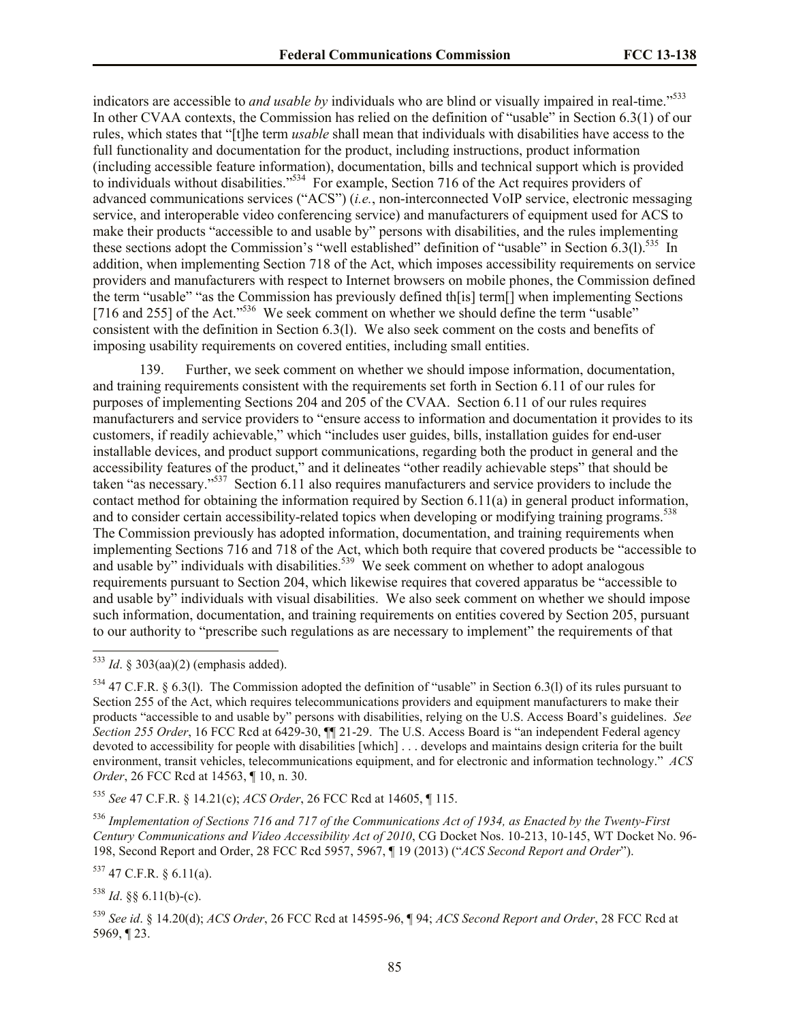indicators are accessible to *and usable by* individuals who are blind or visually impaired in real-time."<sup>533</sup> In other CVAA contexts, the Commission has relied on the definition of "usable" in Section 6.3(1) of our rules, which states that "[t]he term *usable* shall mean that individuals with disabilities have access to the full functionality and documentation for the product, including instructions, product information (including accessible feature information), documentation, bills and technical support which is provided to individuals without disabilities."<sup>534</sup> For example, Section 716 of the Act requires providers of advanced communications services ("ACS") (*i.e.*, non-interconnected VoIP service, electronic messaging service, and interoperable video conferencing service) and manufacturers of equipment used for ACS to make their products "accessible to and usable by" persons with disabilities, and the rules implementing these sections adopt the Commission's "well established" definition of "usable" in Section  $6.3(1).$ <sup>535</sup> In addition, when implementing Section 718 of the Act, which imposes accessibility requirements on service providers and manufacturers with respect to Internet browsers on mobile phones, the Commission defined the term "usable" "as the Commission has previously defined th[is] term[] when implementing Sections [716 and 255] of the Act."<sup>536</sup> We seek comment on whether we should define the term "usable" consistent with the definition in Section 6.3(l). We also seek comment on the costs and benefits of imposing usability requirements on covered entities, including small entities.

139. Further, we seek comment on whether we should impose information, documentation, and training requirements consistent with the requirements set forth in Section 6.11 of our rules for purposes of implementing Sections 204 and 205 of the CVAA. Section 6.11 of our rules requires manufacturers and service providers to "ensure access to information and documentation it provides to its customers, if readily achievable," which "includes user guides, bills, installation guides for end-user installable devices, and product support communications, regarding both the product in general and the accessibility features of the product," and it delineates "other readily achievable steps" that should be taken "as necessary."<sup>537</sup> Section 6.11 also requires manufacturers and service providers to include the contact method for obtaining the information required by Section 6.11(a) in general product information, and to consider certain accessibility-related topics when developing or modifying training programs.<sup>538</sup> The Commission previously has adopted information, documentation, and training requirements when implementing Sections 716 and 718 of the Act, which both require that covered products be "accessible to and usable by" individuals with disabilities.<sup>539</sup> We seek comment on whether to adopt analogous requirements pursuant to Section 204, which likewise requires that covered apparatus be "accessible to and usable by" individuals with visual disabilities. We also seek comment on whether we should impose such information, documentation, and training requirements on entities covered by Section 205, pursuant to our authority to "prescribe such regulations as are necessary to implement" the requirements of that

 $\overline{\phantom{a}}$ 

<sup>535</sup> *See* 47 C.F.R. § 14.21(c); *ACS Order*, 26 FCC Rcd at 14605, ¶ 115.

<sup>536</sup> *Implementation of Sections 716 and 717 of the Communications Act of 1934, as Enacted by the Twenty-First Century Communications and Video Accessibility Act of 2010*, CG Docket Nos. 10-213, 10-145, WT Docket No. 96- 198, Second Report and Order, 28 FCC Rcd 5957, 5967, ¶ 19 (2013) ("*ACS Second Report and Order*").

<sup>537</sup> 47 C.F.R. § 6.11(a).

 $538$  *Id.* §§ 6.11(b)-(c).

<sup>539</sup> *See id*. § 14.20(d); *ACS Order*, 26 FCC Rcd at 14595-96, ¶ 94; *ACS Second Report and Order*, 28 FCC Rcd at 5969, ¶ 23.

 $533$  *Id.* § 303(aa)(2) (emphasis added).

 $534$  47 C.F.R. § 6.3(1). The Commission adopted the definition of "usable" in Section 6.3(1) of its rules pursuant to Section 255 of the Act, which requires telecommunications providers and equipment manufacturers to make their products "accessible to and usable by" persons with disabilities, relying on the U.S. Access Board's guidelines. *See Section 255 Order*, 16 FCC Rcd at 6429-30, ¶¶ 21-29. The U.S. Access Board is "an independent Federal agency devoted to accessibility for people with disabilities [which] . . . develops and maintains design criteria for the built environment, transit vehicles, telecommunications equipment, and for electronic and information technology." *ACS Order*, 26 FCC Rcd at 14563, ¶ 10, n. 30.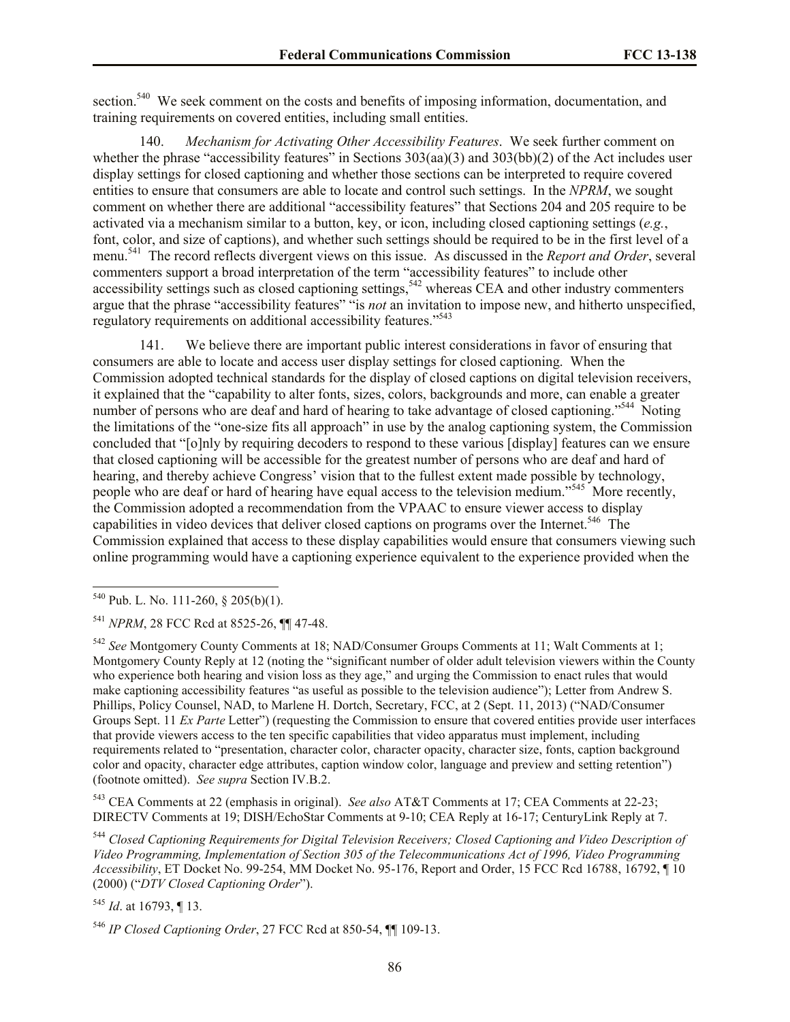section.<sup>540</sup> We seek comment on the costs and benefits of imposing information, documentation, and training requirements on covered entities, including small entities.

140. *Mechanism for Activating Other Accessibility Features*. We seek further comment on whether the phrase "accessibility features" in Sections  $303(aa)(3)$  and  $303(bb)(2)$  of the Act includes user display settings for closed captioning and whether those sections can be interpreted to require covered entities to ensure that consumers are able to locate and control such settings. In the *NPRM*, we sought comment on whether there are additional "accessibility features" that Sections 204 and 205 require to be activated via a mechanism similar to a button, key, or icon, including closed captioning settings (*e.g.*, font, color, and size of captions), and whether such settings should be required to be in the first level of a menu.<sup>541</sup> The record reflects divergent views on this issue. As discussed in the *Report and Order*, several commenters support a broad interpretation of the term "accessibility features" to include other accessibility settings such as closed captioning settings,<sup>542</sup> whereas CEA and other industry commenters argue that the phrase "accessibility features" "is *not* an invitation to impose new, and hitherto unspecified, regulatory requirements on additional accessibility features."<sup>543</sup>

141. We believe there are important public interest considerations in favor of ensuring that consumers are able to locate and access user display settings for closed captioning. When the Commission adopted technical standards for the display of closed captions on digital television receivers, it explained that the "capability to alter fonts, sizes, colors, backgrounds and more, can enable a greater number of persons who are deaf and hard of hearing to take advantage of closed captioning."<sup>544</sup> Noting the limitations of the "one-size fits all approach" in use by the analog captioning system, the Commission concluded that "[o]nly by requiring decoders to respond to these various [display] features can we ensure that closed captioning will be accessible for the greatest number of persons who are deaf and hard of hearing, and thereby achieve Congress' vision that to the fullest extent made possible by technology, people who are deaf or hard of hearing have equal access to the television medium."<sup>545</sup> More recently, the Commission adopted a recommendation from the VPAAC to ensure viewer access to display capabilities in video devices that deliver closed captions on programs over the Internet.<sup>546</sup> The Commission explained that access to these display capabilities would ensure that consumers viewing such online programming would have a captioning experience equivalent to the experience provided when the

 $\overline{a}$ 

<sup>543</sup> CEA Comments at 22 (emphasis in original). *See also* AT&T Comments at 17; CEA Comments at 22-23; DIRECTV Comments at 19; DISH/EchoStar Comments at 9-10; CEA Reply at 16-17; CenturyLink Reply at 7.

<sup>544</sup> *Closed Captioning Requirements for Digital Television Receivers; Closed Captioning and Video Description of Video Programming, Implementation of Section 305 of the Telecommunications Act of 1996, Video Programming Accessibility*, ET Docket No. 99-254, MM Docket No. 95-176, Report and Order, 15 FCC Rcd 16788, 16792, ¶ 10 (2000) ("*DTV Closed Captioning Order*").

<sup>545</sup> *Id*. at 16793, ¶ 13.

 $540$  Pub. L. No. 111-260, § 205(b)(1).

<sup>541</sup> *NPRM*, 28 FCC Rcd at 8525-26, ¶¶ 47-48.

<sup>542</sup> *See* Montgomery County Comments at 18; NAD/Consumer Groups Comments at 11; Walt Comments at 1; Montgomery County Reply at 12 (noting the "significant number of older adult television viewers within the County who experience both hearing and vision loss as they age," and urging the Commission to enact rules that would make captioning accessibility features "as useful as possible to the television audience"); Letter from Andrew S. Phillips, Policy Counsel, NAD, to Marlene H. Dortch, Secretary, FCC, at 2 (Sept. 11, 2013) ("NAD/Consumer Groups Sept. 11 *Ex Parte* Letter") (requesting the Commission to ensure that covered entities provide user interfaces that provide viewers access to the ten specific capabilities that video apparatus must implement, including requirements related to "presentation, character color, character opacity, character size, fonts, caption background color and opacity, character edge attributes, caption window color, language and preview and setting retention") (footnote omitted). *See supra* Section IV.B.2.

<sup>546</sup> *IP Closed Captioning Order*, 27 FCC Rcd at 850-54, ¶¶ 109-13.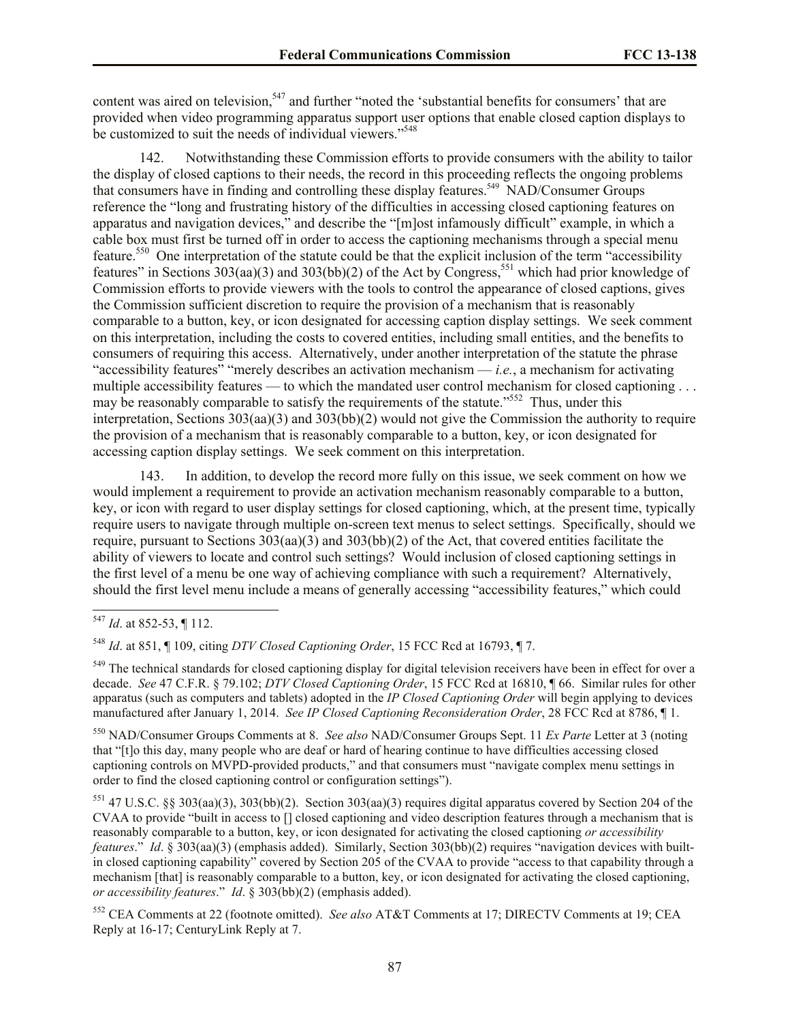content was aired on television,<sup>547</sup> and further "noted the 'substantial benefits for consumers' that are provided when video programming apparatus support user options that enable closed caption displays to be customized to suit the needs of individual viewers."<sup>548</sup>

142. Notwithstanding these Commission efforts to provide consumers with the ability to tailor the display of closed captions to their needs, the record in this proceeding reflects the ongoing problems that consumers have in finding and controlling these display features.<sup>549</sup> NAD/Consumer Groups reference the "long and frustrating history of the difficulties in accessing closed captioning features on apparatus and navigation devices," and describe the "[m]ost infamously difficult" example, in which a cable box must first be turned off in order to access the captioning mechanisms through a special menu feature.<sup>550</sup> One interpretation of the statute could be that the explicit inclusion of the term "accessibility features" in Sections  $303(aa)(3)$  and  $303(bb)(2)$  of the Act by Congress,<sup>551</sup> which had prior knowledge of Commission efforts to provide viewers with the tools to control the appearance of closed captions, gives the Commission sufficient discretion to require the provision of a mechanism that is reasonably comparable to a button, key, or icon designated for accessing caption display settings. We seek comment on this interpretation, including the costs to covered entities, including small entities, and the benefits to consumers of requiring this access. Alternatively, under another interpretation of the statute the phrase "accessibility features" "merely describes an activation mechanism — *i.e.*, a mechanism for activating multiple accessibility features — to which the mandated user control mechanism for closed captioning . . . may be reasonably comparable to satisfy the requirements of the statute."<sup>552</sup> Thus, under this interpretation, Sections 303(aa)(3) and 303(bb)(2) would not give the Commission the authority to require the provision of a mechanism that is reasonably comparable to a button, key, or icon designated for accessing caption display settings. We seek comment on this interpretation.

143. In addition, to develop the record more fully on this issue, we seek comment on how we would implement a requirement to provide an activation mechanism reasonably comparable to a button, key, or icon with regard to user display settings for closed captioning, which, at the present time, typically require users to navigate through multiple on-screen text menus to select settings. Specifically, should we require, pursuant to Sections 303(aa)(3) and 303(bb)(2) of the Act, that covered entities facilitate the ability of viewers to locate and control such settings? Would inclusion of closed captioning settings in the first level of a menu be one way of achieving compliance with such a requirement? Alternatively, should the first level menu include a means of generally accessing "accessibility features," which could

 $\overline{\phantom{a}}$ 

<sup>550</sup> NAD/Consumer Groups Comments at 8. *See also* NAD/Consumer Groups Sept. 11 *Ex Parte* Letter at 3 (noting that "[t]o this day, many people who are deaf or hard of hearing continue to have difficulties accessing closed captioning controls on MVPD-provided products," and that consumers must "navigate complex menu settings in order to find the closed captioning control or configuration settings").

<sup>551</sup> 47 U.S.C. §§ 303(aa)(3), 303(bb)(2). Section 303(aa)(3) requires digital apparatus covered by Section 204 of the CVAA to provide "built in access to [] closed captioning and video description features through a mechanism that is reasonably comparable to a button, key, or icon designated for activating the closed captioning *or accessibility features*." *Id.* § 303(aa)(3) (emphasis added). Similarly, Section 303(bb)(2) requires "navigation devices with builtin closed captioning capability" covered by Section 205 of the CVAA to provide "access to that capability through a mechanism [that] is reasonably comparable to a button, key, or icon designated for activating the closed captioning, *or accessibility features*." *Id*. § 303(bb)(2) (emphasis added).

<sup>552</sup> CEA Comments at 22 (footnote omitted). *See also* AT&T Comments at 17; DIRECTV Comments at 19; CEA Reply at 16-17; CenturyLink Reply at 7.

<sup>547</sup> *Id*. at 852-53, ¶ 112.

<sup>548</sup> *Id*. at 851, ¶ 109, citing *DTV Closed Captioning Order*, 15 FCC Rcd at 16793, ¶ 7.

<sup>&</sup>lt;sup>549</sup> The technical standards for closed captioning display for digital television receivers have been in effect for over a decade. *See* 47 C.F.R. § 79.102; *DTV Closed Captioning Order*, 15 FCC Rcd at 16810, ¶ 66. Similar rules for other apparatus (such as computers and tablets) adopted in the *IP Closed Captioning Order* will begin applying to devices manufactured after January 1, 2014. *See IP Closed Captioning Reconsideration Order*, 28 FCC Rcd at 8786, ¶ 1.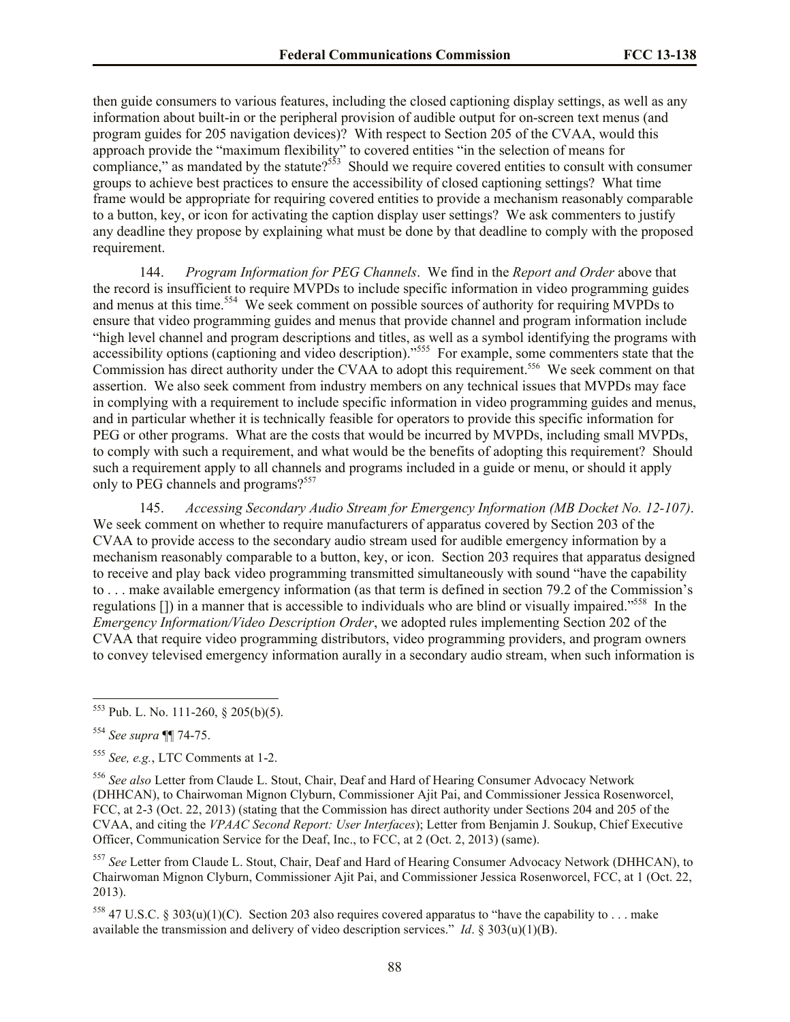then guide consumers to various features, including the closed captioning display settings, as well as any information about built-in or the peripheral provision of audible output for on-screen text menus (and program guides for 205 navigation devices)? With respect to Section 205 of the CVAA, would this approach provide the "maximum flexibility" to covered entities "in the selection of means for compliance," as mandated by the statute?<sup>553</sup> Should we require covered entities to consult with consumer groups to achieve best practices to ensure the accessibility of closed captioning settings? What time frame would be appropriate for requiring covered entities to provide a mechanism reasonably comparable to a button, key, or icon for activating the caption display user settings? We ask commenters to justify any deadline they propose by explaining what must be done by that deadline to comply with the proposed requirement.

144. *Program Information for PEG Channels*. We find in the *Report and Order* above that the record is insufficient to require MVPDs to include specific information in video programming guides and menus at this time. 554 We seek comment on possible sources of authority for requiring MVPDs to ensure that video programming guides and menus that provide channel and program information include "high level channel and program descriptions and titles, as well as a symbol identifying the programs with accessibility options (captioning and video description)."<sup>555</sup> For example, some commenters state that the Commission has direct authority under the CVAA to adopt this requirement.<sup>556</sup> We seek comment on that assertion. We also seek comment from industry members on any technical issues that MVPDs may face in complying with a requirement to include specific information in video programming guides and menus, and in particular whether it is technically feasible for operators to provide this specific information for PEG or other programs. What are the costs that would be incurred by MVPDs, including small MVPDs, to comply with such a requirement, and what would be the benefits of adopting this requirement? Should such a requirement apply to all channels and programs included in a guide or menu, or should it apply only to PEG channels and programs?<sup>557</sup>

145. *Accessing Secondary Audio Stream for Emergency Information (MB Docket No. 12-107)*. We seek comment on whether to require manufacturers of apparatus covered by Section 203 of the CVAA to provide access to the secondary audio stream used for audible emergency information by a mechanism reasonably comparable to a button, key, or icon. Section 203 requires that apparatus designed to receive and play back video programming transmitted simultaneously with sound "have the capability to . . . make available emergency information (as that term is defined in section 79.2 of the Commission's regulations []) in a manner that is accessible to individuals who are blind or visually impaired."<sup>558</sup> In the *Emergency Information/Video Description Order*, we adopted rules implementing Section 202 of the CVAA that require video programming distributors, video programming providers, and program owners to convey televised emergency information aurally in a secondary audio stream, when such information is

 $553$  Pub. L. No. 111-260, § 205(b)(5).

<sup>554</sup> *See supra* ¶¶ 74-75.

<sup>555</sup> *See, e.g.*, LTC Comments at 1-2.

<sup>556</sup> *See also* Letter from Claude L. Stout, Chair, Deaf and Hard of Hearing Consumer Advocacy Network (DHHCAN), to Chairwoman Mignon Clyburn, Commissioner Ajit Pai, and Commissioner Jessica Rosenworcel, FCC, at 2-3 (Oct. 22, 2013) (stating that the Commission has direct authority under Sections 204 and 205 of the CVAA, and citing the *VPAAC Second Report: User Interfaces*); Letter from Benjamin J. Soukup, Chief Executive Officer, Communication Service for the Deaf, Inc., to FCC, at 2 (Oct. 2, 2013) (same).

<sup>557</sup> *See* Letter from Claude L. Stout, Chair, Deaf and Hard of Hearing Consumer Advocacy Network (DHHCAN), to Chairwoman Mignon Clyburn, Commissioner Ajit Pai, and Commissioner Jessica Rosenworcel, FCC, at 1 (Oct. 22, 2013).

<sup>&</sup>lt;sup>558</sup> 47 U.S.C. § 303(u)(1)(C). Section 203 also requires covered apparatus to "have the capability to . . . make available the transmission and delivery of video description services." *Id.*  $\frac{303(u)(1)(B)}{2}$ .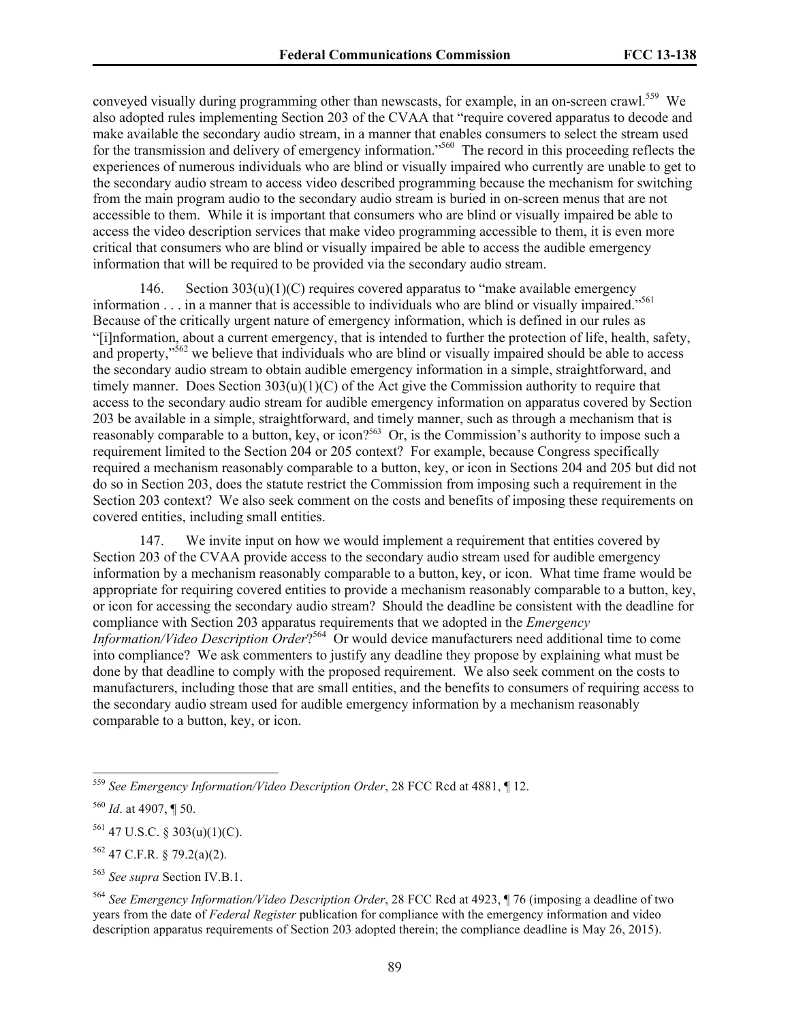conveyed visually during programming other than newscasts, for example, in an on-screen crawl.<sup>559</sup> We also adopted rules implementing Section 203 of the CVAA that "require covered apparatus to decode and make available the secondary audio stream, in a manner that enables consumers to select the stream used for the transmission and delivery of emergency information."<sup>560</sup> The record in this proceeding reflects the experiences of numerous individuals who are blind or visually impaired who currently are unable to get to the secondary audio stream to access video described programming because the mechanism for switching from the main program audio to the secondary audio stream is buried in on-screen menus that are not accessible to them. While it is important that consumers who are blind or visually impaired be able to access the video description services that make video programming accessible to them, it is even more critical that consumers who are blind or visually impaired be able to access the audible emergency information that will be required to be provided via the secondary audio stream.

146. Section  $303(u)(1)(C)$  requires covered apparatus to "make available emergency" information . . . in a manner that is accessible to individuals who are blind or visually impaired."<sup>561</sup> Because of the critically urgent nature of emergency information, which is defined in our rules as "[i]nformation, about a current emergency, that is intended to further the protection of life, health, safety, and property,"<sup>562</sup> we believe that individuals who are blind or visually impaired should be able to access the secondary audio stream to obtain audible emergency information in a simple, straightforward, and timely manner. Does Section  $303(u)(1)(C)$  of the Act give the Commission authority to require that access to the secondary audio stream for audible emergency information on apparatus covered by Section 203 be available in a simple, straightforward, and timely manner, such as through a mechanism that is reasonably comparable to a button, key, or icon?<sup>563</sup> Or, is the Commission's authority to impose such a requirement limited to the Section 204 or 205 context? For example, because Congress specifically required a mechanism reasonably comparable to a button, key, or icon in Sections 204 and 205 but did not do so in Section 203, does the statute restrict the Commission from imposing such a requirement in the Section 203 context? We also seek comment on the costs and benefits of imposing these requirements on covered entities, including small entities.

147. We invite input on how we would implement a requirement that entities covered by Section 203 of the CVAA provide access to the secondary audio stream used for audible emergency information by a mechanism reasonably comparable to a button, key, or icon. What time frame would be appropriate for requiring covered entities to provide a mechanism reasonably comparable to a button, key, or icon for accessing the secondary audio stream? Should the deadline be consistent with the deadline for compliance with Section 203 apparatus requirements that we adopted in the *Emergency Information/Video Description Order*? 564 Or would device manufacturers need additional time to come into compliance? We ask commenters to justify any deadline they propose by explaining what must be done by that deadline to comply with the proposed requirement. We also seek comment on the costs to manufacturers, including those that are small entities, and the benefits to consumers of requiring access to the secondary audio stream used for audible emergency information by a mechanism reasonably comparable to a button, key, or icon.

 $\overline{a}$ 

 $561$  47 U.S.C. § 303(u)(1)(C).

 $562$  47 C.F.R. § 79.2(a)(2).

<sup>559</sup> *See Emergency Information/Video Description Order*, 28 FCC Rcd at 4881, ¶ 12.

<sup>560</sup> *Id*. at 4907, ¶ 50.

<sup>563</sup> *See supra* Section IV.B.1.

<sup>564</sup> *See Emergency Information/Video Description Order*, 28 FCC Rcd at 4923, ¶ 76 (imposing a deadline of two years from the date of *Federal Register* publication for compliance with the emergency information and video description apparatus requirements of Section 203 adopted therein; the compliance deadline is May 26, 2015).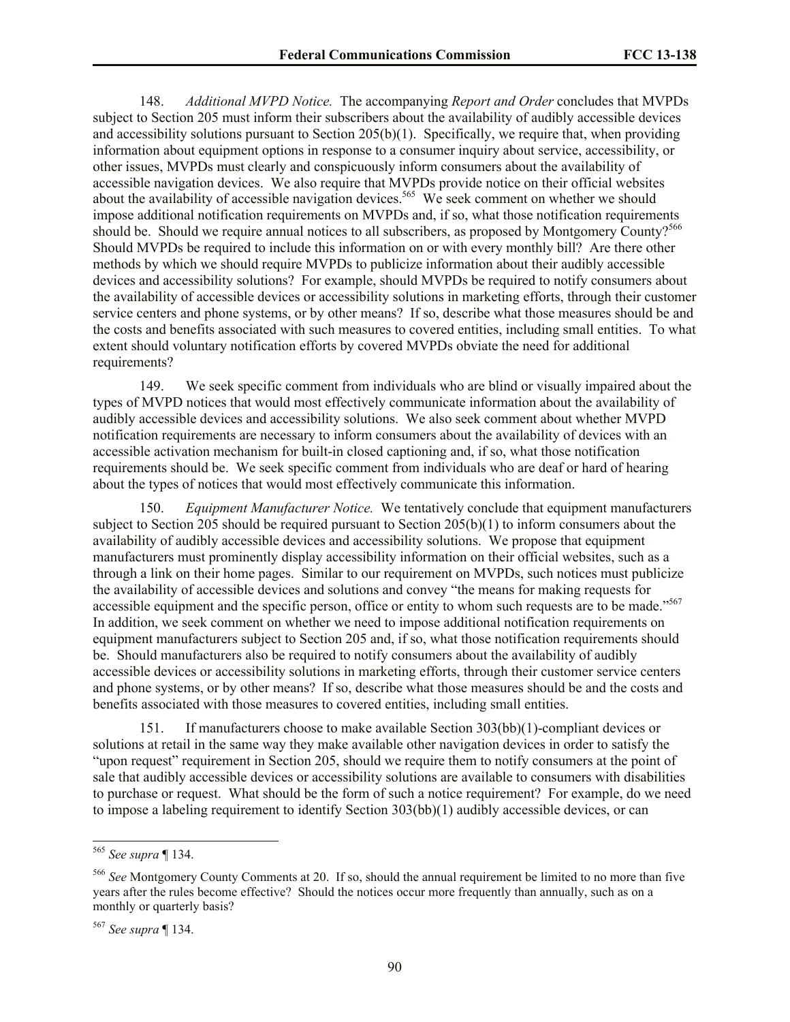148. *Additional MVPD Notice.* The accompanying *Report and Order* concludes that MVPDs subject to Section 205 must inform their subscribers about the availability of audibly accessible devices and accessibility solutions pursuant to Section 205(b)(1). Specifically, we require that, when providing information about equipment options in response to a consumer inquiry about service, accessibility, or other issues, MVPDs must clearly and conspicuously inform consumers about the availability of accessible navigation devices. We also require that MVPDs provide notice on their official websites about the availability of accessible navigation devices.<sup>565</sup> We seek comment on whether we should impose additional notification requirements on MVPDs and, if so, what those notification requirements should be. Should we require annual notices to all subscribers, as proposed by Montgomery County?<sup>566</sup> Should MVPDs be required to include this information on or with every monthly bill? Are there other methods by which we should require MVPDs to publicize information about their audibly accessible devices and accessibility solutions? For example, should MVPDs be required to notify consumers about the availability of accessible devices or accessibility solutions in marketing efforts, through their customer service centers and phone systems, or by other means? If so, describe what those measures should be and the costs and benefits associated with such measures to covered entities, including small entities. To what extent should voluntary notification efforts by covered MVPDs obviate the need for additional requirements?

149. We seek specific comment from individuals who are blind or visually impaired about the types of MVPD notices that would most effectively communicate information about the availability of audibly accessible devices and accessibility solutions. We also seek comment about whether MVPD notification requirements are necessary to inform consumers about the availability of devices with an accessible activation mechanism for built-in closed captioning and, if so, what those notification requirements should be. We seek specific comment from individuals who are deaf or hard of hearing about the types of notices that would most effectively communicate this information.

150. *Equipment Manufacturer Notice.* We tentatively conclude that equipment manufacturers subject to Section 205 should be required pursuant to Section 205(b)(1) to inform consumers about the availability of audibly accessible devices and accessibility solutions. We propose that equipment manufacturers must prominently display accessibility information on their official websites, such as a through a link on their home pages. Similar to our requirement on MVPDs, such notices must publicize the availability of accessible devices and solutions and convey "the means for making requests for accessible equipment and the specific person, office or entity to whom such requests are to be made."<sup>567</sup> In addition, we seek comment on whether we need to impose additional notification requirements on equipment manufacturers subject to Section 205 and, if so, what those notification requirements should be. Should manufacturers also be required to notify consumers about the availability of audibly accessible devices or accessibility solutions in marketing efforts, through their customer service centers and phone systems, or by other means? If so, describe what those measures should be and the costs and benefits associated with those measures to covered entities, including small entities.

151. If manufacturers choose to make available Section 303(bb)(1)-compliant devices or solutions at retail in the same way they make available other navigation devices in order to satisfy the "upon request" requirement in Section 205, should we require them to notify consumers at the point of sale that audibly accessible devices or accessibility solutions are available to consumers with disabilities to purchase or request. What should be the form of such a notice requirement? For example, do we need to impose a labeling requirement to identify Section 303(bb)(1) audibly accessible devices, or can

l

<sup>565</sup> *See supra* ¶ 134.

<sup>566</sup> *See* Montgomery County Comments at 20. If so, should the annual requirement be limited to no more than five years after the rules become effective? Should the notices occur more frequently than annually, such as on a monthly or quarterly basis?

<sup>567</sup> *See supra* ¶ 134.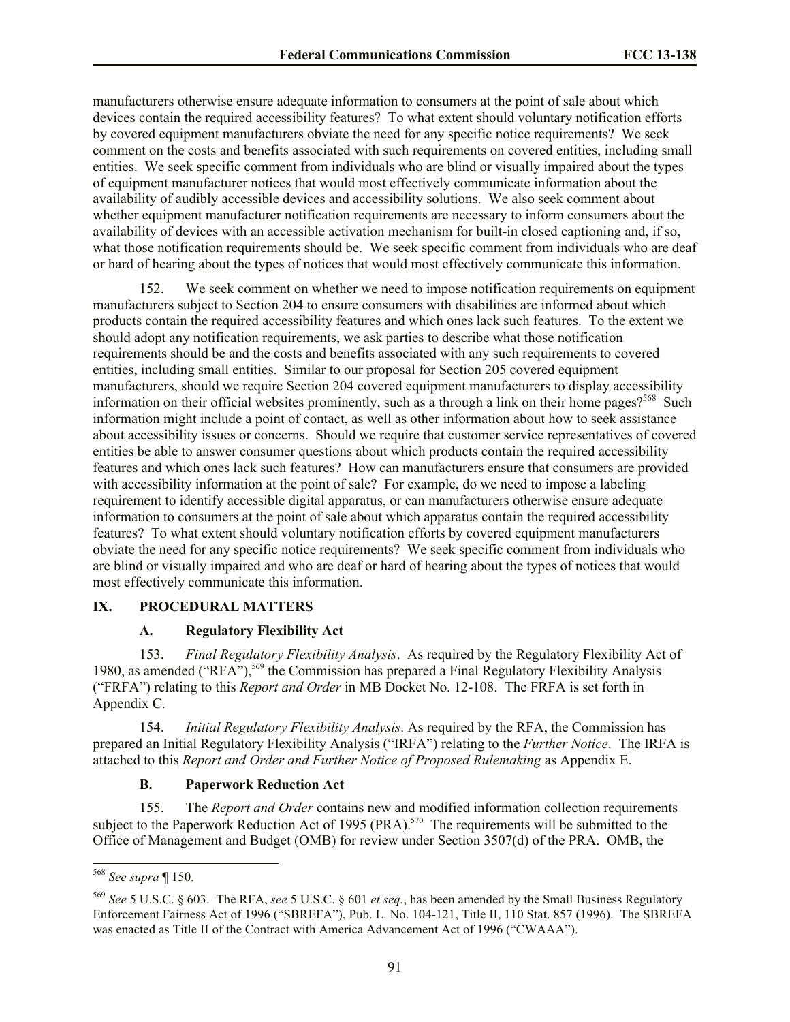manufacturers otherwise ensure adequate information to consumers at the point of sale about which devices contain the required accessibility features? To what extent should voluntary notification efforts by covered equipment manufacturers obviate the need for any specific notice requirements? We seek comment on the costs and benefits associated with such requirements on covered entities, including small entities. We seek specific comment from individuals who are blind or visually impaired about the types of equipment manufacturer notices that would most effectively communicate information about the availability of audibly accessible devices and accessibility solutions. We also seek comment about whether equipment manufacturer notification requirements are necessary to inform consumers about the availability of devices with an accessible activation mechanism for built-in closed captioning and, if so, what those notification requirements should be. We seek specific comment from individuals who are deaf or hard of hearing about the types of notices that would most effectively communicate this information.

152. We seek comment on whether we need to impose notification requirements on equipment manufacturers subject to Section 204 to ensure consumers with disabilities are informed about which products contain the required accessibility features and which ones lack such features. To the extent we should adopt any notification requirements, we ask parties to describe what those notification requirements should be and the costs and benefits associated with any such requirements to covered entities, including small entities. Similar to our proposal for Section 205 covered equipment manufacturers, should we require Section 204 covered equipment manufacturers to display accessibility information on their official websites prominently, such as a through a link on their home pages?<sup>568</sup> Such information might include a point of contact, as well as other information about how to seek assistance about accessibility issues or concerns. Should we require that customer service representatives of covered entities be able to answer consumer questions about which products contain the required accessibility features and which ones lack such features? How can manufacturers ensure that consumers are provided with accessibility information at the point of sale? For example, do we need to impose a labeling requirement to identify accessible digital apparatus, or can manufacturers otherwise ensure adequate information to consumers at the point of sale about which apparatus contain the required accessibility features? To what extent should voluntary notification efforts by covered equipment manufacturers obviate the need for any specific notice requirements? We seek specific comment from individuals who are blind or visually impaired and who are deaf or hard of hearing about the types of notices that would most effectively communicate this information.

#### **IX. PROCEDURAL MATTERS**

#### **A. Regulatory Flexibility Act**

153. *Final Regulatory Flexibility Analysis*. As required by the Regulatory Flexibility Act of 1980, as amended ("RFA"),<sup>569</sup> the Commission has prepared a Final Regulatory Flexibility Analysis ("FRFA") relating to this *Report and Order* in MB Docket No. 12-108. The FRFA is set forth in Appendix C.

154. *Initial Regulatory Flexibility Analysis*. As required by the RFA, the Commission has prepared an Initial Regulatory Flexibility Analysis ("IRFA") relating to the *Further Notice*. The IRFA is attached to this *Report and Order and Further Notice of Proposed Rulemaking* as Appendix E.

#### **B. Paperwork Reduction Act**

155. The *Report and Order* contains new and modified information collection requirements subject to the Paperwork Reduction Act of 1995 (PRA).<sup>570</sup> The requirements will be submitted to the Office of Management and Budget (OMB) for review under Section 3507(d) of the PRA. OMB, the

 $\overline{a}$ <sup>568</sup> *See supra* ¶ 150.

<sup>569</sup> *See* 5 U.S.C. § 603. The RFA, *see* 5 U.S.C. § 601 *et seq.*, has been amended by the Small Business Regulatory Enforcement Fairness Act of 1996 ("SBREFA"), Pub. L. No. 104-121, Title II, 110 Stat. 857 (1996). The SBREFA was enacted as Title II of the Contract with America Advancement Act of 1996 ("CWAAA").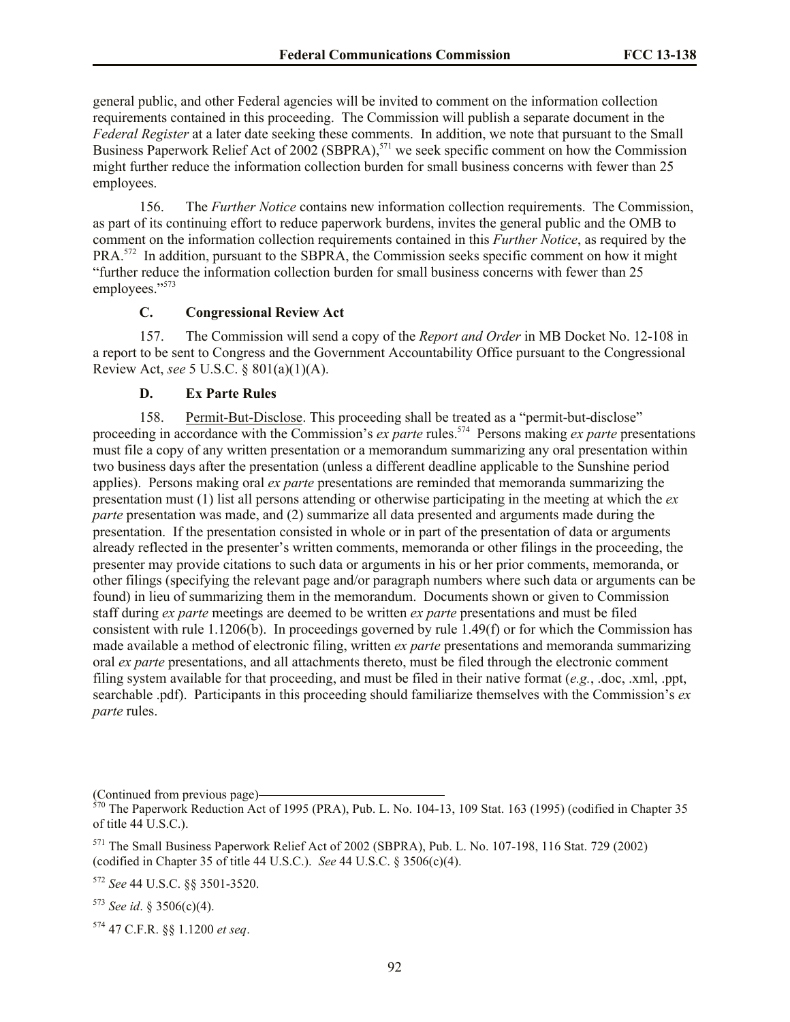general public, and other Federal agencies will be invited to comment on the information collection requirements contained in this proceeding. The Commission will publish a separate document in the *Federal Register* at a later date seeking these comments. In addition, we note that pursuant to the Small Business Paperwork Relief Act of 2002 (SBPRA),<sup>571</sup> we seek specific comment on how the Commission might further reduce the information collection burden for small business concerns with fewer than 25 employees.

156. The *Further Notice* contains new information collection requirements. The Commission, as part of its continuing effort to reduce paperwork burdens, invites the general public and the OMB to comment on the information collection requirements contained in this *Further Notice*, as required by the PRA.<sup>572</sup> In addition, pursuant to the SBPRA, the Commission seeks specific comment on how it might "further reduce the information collection burden for small business concerns with fewer than 25 employees."<sup>573</sup>

# **C. Congressional Review Act**

157. The Commission will send a copy of the *Report and Order* in MB Docket No. 12-108 in a report to be sent to Congress and the Government Accountability Office pursuant to the Congressional Review Act, *see* 5 U.S.C. § 801(a)(1)(A).

#### **D. Ex Parte Rules**

158. Permit-But-Disclose. This proceeding shall be treated as a "permit-but-disclose" proceeding in accordance with the Commission's *ex parte* rules.<sup>574</sup> Persons making *ex parte* presentations must file a copy of any written presentation or a memorandum summarizing any oral presentation within two business days after the presentation (unless a different deadline applicable to the Sunshine period applies). Persons making oral *ex parte* presentations are reminded that memoranda summarizing the presentation must (1) list all persons attending or otherwise participating in the meeting at which the *ex parte* presentation was made, and (2) summarize all data presented and arguments made during the presentation. If the presentation consisted in whole or in part of the presentation of data or arguments already reflected in the presenter's written comments, memoranda or other filings in the proceeding, the presenter may provide citations to such data or arguments in his or her prior comments, memoranda, or other filings (specifying the relevant page and/or paragraph numbers where such data or arguments can be found) in lieu of summarizing them in the memorandum. Documents shown or given to Commission staff during *ex parte* meetings are deemed to be written *ex parte* presentations and must be filed consistent with rule 1.1206(b). In proceedings governed by rule 1.49(f) or for which the Commission has made available a method of electronic filing, written *ex parte* presentations and memoranda summarizing oral *ex parte* presentations, and all attachments thereto, must be filed through the electronic comment filing system available for that proceeding, and must be filed in their native format (*e.g.*, .doc, .xml, .ppt, searchable .pdf). Participants in this proceeding should familiarize themselves with the Commission's *ex parte* rules.

<sup>(</sup>Continued from previous page)

 $570$  The Paperwork Reduction Act of 1995 (PRA), Pub. L. No. 104-13, 109 Stat. 163 (1995) (codified in Chapter 35 of title 44 U.S.C.).

<sup>571</sup> The Small Business Paperwork Relief Act of 2002 (SBPRA), Pub. L. No. 107-198, 116 Stat. 729 (2002) (codified in Chapter 35 of title 44 U.S.C.). *See* 44 U.S.C. § 3506(c)(4).

<sup>572</sup> *See* 44 U.S.C. §§ 3501-3520.

 $573$  *See id.* § 3506(c)(4).

<sup>574</sup> 47 C.F.R. §§ 1.1200 *et seq*.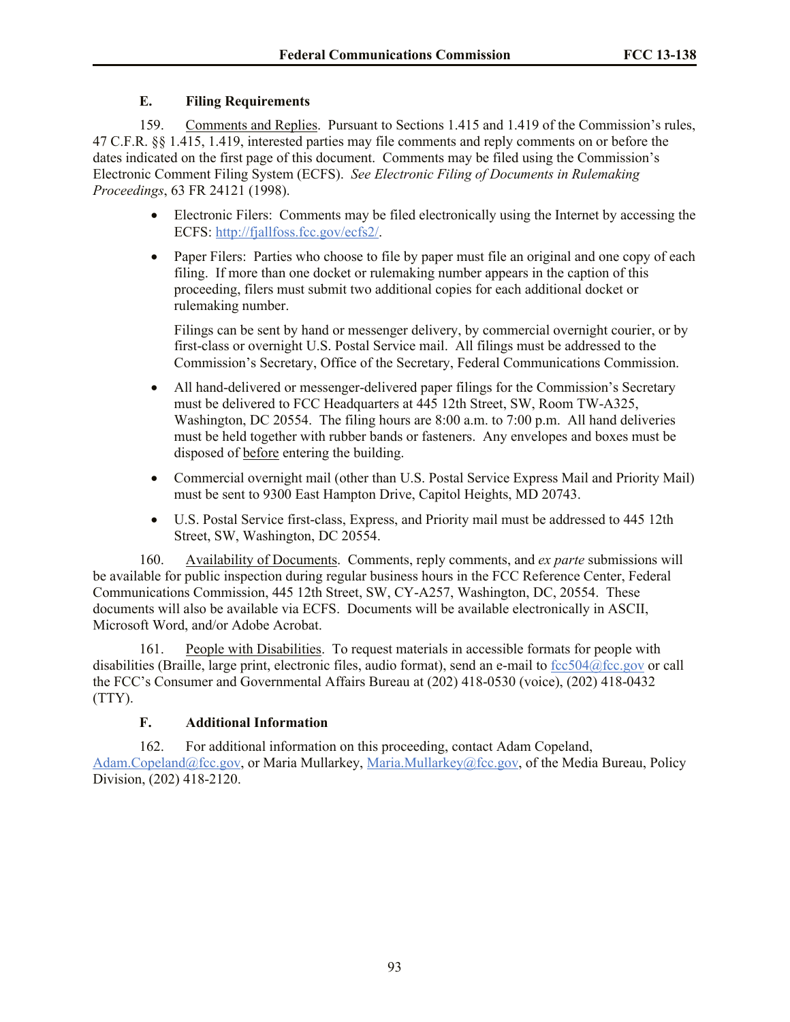# **E. Filing Requirements**

159. Comments and Replies. Pursuant to Sections 1.415 and 1.419 of the Commission's rules, 47 C.F.R. §§ 1.415, 1.419, interested parties may file comments and reply comments on or before the dates indicated on the first page of this document. Comments may be filed using the Commission's Electronic Comment Filing System (ECFS). *See Electronic Filing of Documents in Rulemaking Proceedings*, 63 FR 24121 (1998).

- Electronic Filers: Comments may be filed electronically using the Internet by accessing the ECFS: [http://fjallfoss.fcc.gov/ecfs2/.](http://fjallfoss.fcc.gov/ecfs2/)
- Paper Filers: Parties who choose to file by paper must file an original and one copy of each filing. If more than one docket or rulemaking number appears in the caption of this proceeding, filers must submit two additional copies for each additional docket or rulemaking number.

Filings can be sent by hand or messenger delivery, by commercial overnight courier, or by first-class or overnight U.S. Postal Service mail. All filings must be addressed to the Commission's Secretary, Office of the Secretary, Federal Communications Commission.

- All hand-delivered or messenger-delivered paper filings for the Commission's Secretary must be delivered to FCC Headquarters at 445 12th Street, SW, Room TW-A325, Washington, DC 20554. The filing hours are 8:00 a.m. to 7:00 p.m. All hand deliveries must be held together with rubber bands or fasteners. Any envelopes and boxes must be disposed of before entering the building.
- Commercial overnight mail (other than U.S. Postal Service Express Mail and Priority Mail) must be sent to 9300 East Hampton Drive, Capitol Heights, MD 20743.
- U.S. Postal Service first-class, Express, and Priority mail must be addressed to 445 12th Street, SW, Washington, DC 20554.

160. Availability of Documents. Comments, reply comments, and *ex parte* submissions will be available for public inspection during regular business hours in the FCC Reference Center, Federal Communications Commission, 445 12th Street, SW, CY-A257, Washington, DC, 20554. These documents will also be available via ECFS. Documents will be available electronically in ASCII, Microsoft Word, and/or Adobe Acrobat.

161. People with Disabilities. To request materials in accessible formats for people with disabilities (Braille, large print, electronic files, audio format), send an e-mail to [fcc504@fcc.gov](mailto:fcc504@fcc.gov) or call the FCC's Consumer and Governmental Affairs Bureau at (202) 418-0530 (voice), (202) 418-0432 (TTY).

# **F. Additional Information**

162. For additional information on this proceeding, contact Adam Copeland, [Adam.Copeland@fcc.gov,](mailto:Adam.Copeland@fcc.gov) or Maria Mullarkey, [Maria.Mullarkey@fcc.gov,](mailto:Maria.Mullarkey@fcc.gov) of the Media Bureau, Policy Division, (202) 418-2120.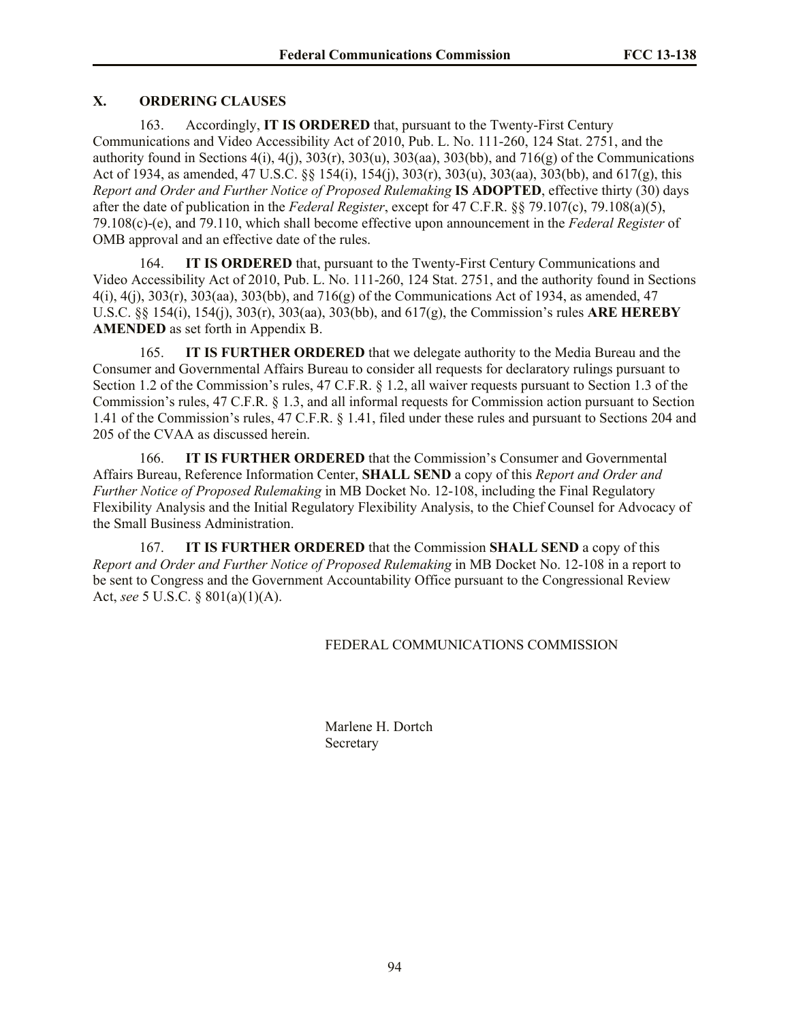# **X. ORDERING CLAUSES**

163. Accordingly, **IT IS ORDERED** that, pursuant to the Twenty-First Century Communications and Video Accessibility Act of 2010, Pub. L. No. 111-260, 124 Stat. 2751, and the authority found in Sections  $4(i)$ ,  $4(j)$ ,  $303(j)$ ,  $303(k)$ ,  $303(k)$ ,  $303(k)$ , and  $716(g)$  of the Communications Act of 1934, as amended, 47 U.S.C. §§ 154(i), 154(j), 303(r), 303(u), 303(aa), 303(bb), and 617(g), this *Report and Order and Further Notice of Proposed Rulemaking* **IS ADOPTED**, effective thirty (30) days after the date of publication in the *Federal Register*, except for 47 C.F.R. §§ 79.107(c), 79.108(a)(5), 79.108(c)-(e), and 79.110, which shall become effective upon announcement in the *Federal Register* of OMB approval and an effective date of the rules.

164. **IT IS ORDERED** that, pursuant to the Twenty-First Century Communications and Video Accessibility Act of 2010, Pub. L. No. 111-260, 124 Stat. 2751, and the authority found in Sections 4(i), 4(j), 303(r), 303(aa), 303(bb), and 716(g) of the Communications Act of 1934, as amended, 47 U.S.C. §§ 154(i), 154(j), 303(r), 303(aa), 303(bb), and 617(g), the Commission's rules **ARE HEREBY AMENDED** as set forth in Appendix B.

165. **IT IS FURTHER ORDERED** that we delegate authority to the Media Bureau and the Consumer and Governmental Affairs Bureau to consider all requests for declaratory rulings pursuant to Section 1.2 of the Commission's rules, 47 C.F.R. § 1.2, all waiver requests pursuant to Section 1.3 of the Commission's rules, 47 C.F.R. § 1.3, and all informal requests for Commission action pursuant to Section 1.41 of the Commission's rules, 47 C.F.R. § 1.41, filed under these rules and pursuant to Sections 204 and 205 of the CVAA as discussed herein.

166. **IT IS FURTHER ORDERED** that the Commission's Consumer and Governmental Affairs Bureau, Reference Information Center, **SHALL SEND** a copy of this *Report and Order and Further Notice of Proposed Rulemaking* in MB Docket No. 12-108, including the Final Regulatory Flexibility Analysis and the Initial Regulatory Flexibility Analysis, to the Chief Counsel for Advocacy of the Small Business Administration.

167. **IT IS FURTHER ORDERED** that the Commission **SHALL SEND** a copy of this *Report and Order and Further Notice of Proposed Rulemaking* in MB Docket No. 12-108 in a report to be sent to Congress and the Government Accountability Office pursuant to the Congressional Review Act, *see* 5 U.S.C. § 801(a)(1)(A).

# FEDERAL COMMUNICATIONS COMMISSION

Marlene H. Dortch **Secretary**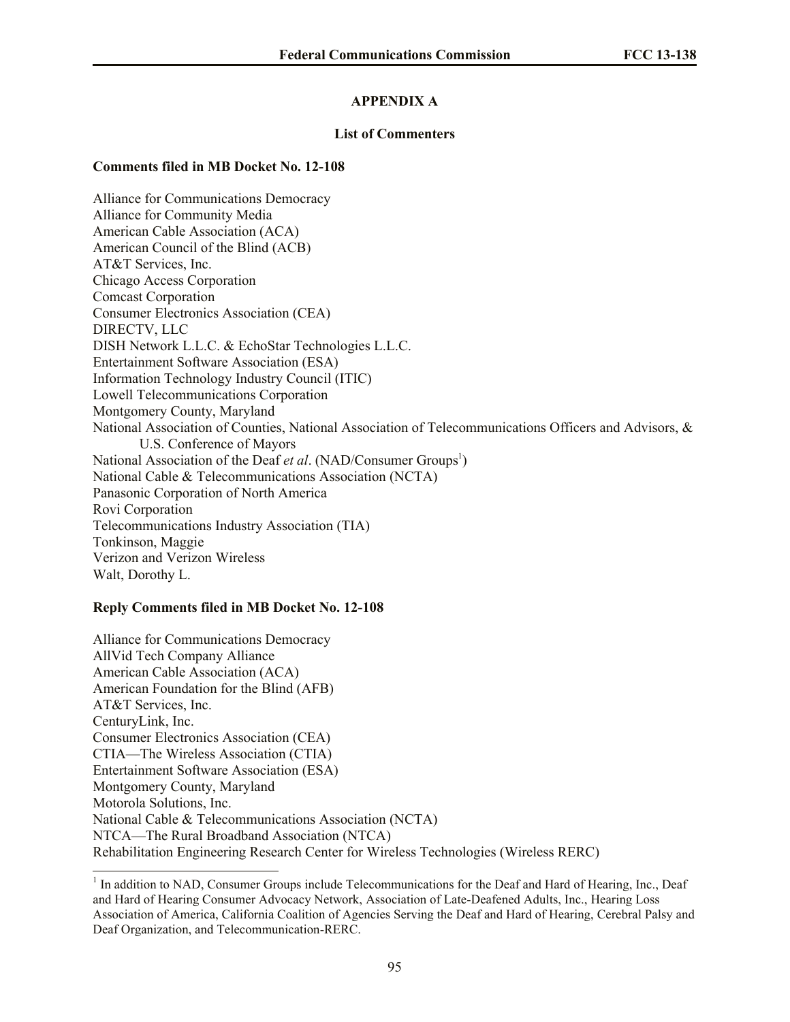# **APPENDIX A**

## **List of Commenters**

### **Comments filed in MB Docket No. 12-108**

Alliance for Communications Democracy Alliance for Community Media American Cable Association (ACA) American Council of the Blind (ACB) AT&T Services, Inc. Chicago Access Corporation Comcast Corporation Consumer Electronics Association (CEA) DIRECTV, LLC DISH Network L.L.C. & EchoStar Technologies L.L.C. Entertainment Software Association (ESA) Information Technology Industry Council (ITIC) Lowell Telecommunications Corporation Montgomery County, Maryland National Association of Counties, National Association of Telecommunications Officers and Advisors, & U.S. Conference of Mayors National Association of the Deaf *et al.* (NAD/Consumer Groups<sup>1</sup>) National Cable & Telecommunications Association (NCTA) Panasonic Corporation of North America Rovi Corporation Telecommunications Industry Association (TIA) Tonkinson, Maggie Verizon and Verizon Wireless Walt, Dorothy L.

# **Reply Comments filed in MB Docket No. 12-108**

 $\overline{a}$ 

Alliance for Communications Democracy AllVid Tech Company Alliance American Cable Association (ACA) American Foundation for the Blind (AFB) AT&T Services, Inc. CenturyLink, Inc. Consumer Electronics Association (CEA) CTIA—The Wireless Association (CTIA) Entertainment Software Association (ESA) Montgomery County, Maryland Motorola Solutions, Inc. National Cable & Telecommunications Association (NCTA) NTCA—The Rural Broadband Association (NTCA) Rehabilitation Engineering Research Center for Wireless Technologies (Wireless RERC)

<sup>&</sup>lt;sup>1</sup> In addition to NAD, Consumer Groups include Telecommunications for the Deaf and Hard of Hearing, Inc., Deaf and Hard of Hearing Consumer Advocacy Network, Association of Late-Deafened Adults, Inc., Hearing Loss Association of America, California Coalition of Agencies Serving the Deaf and Hard of Hearing, Cerebral Palsy and Deaf Organization, and Telecommunication-RERC.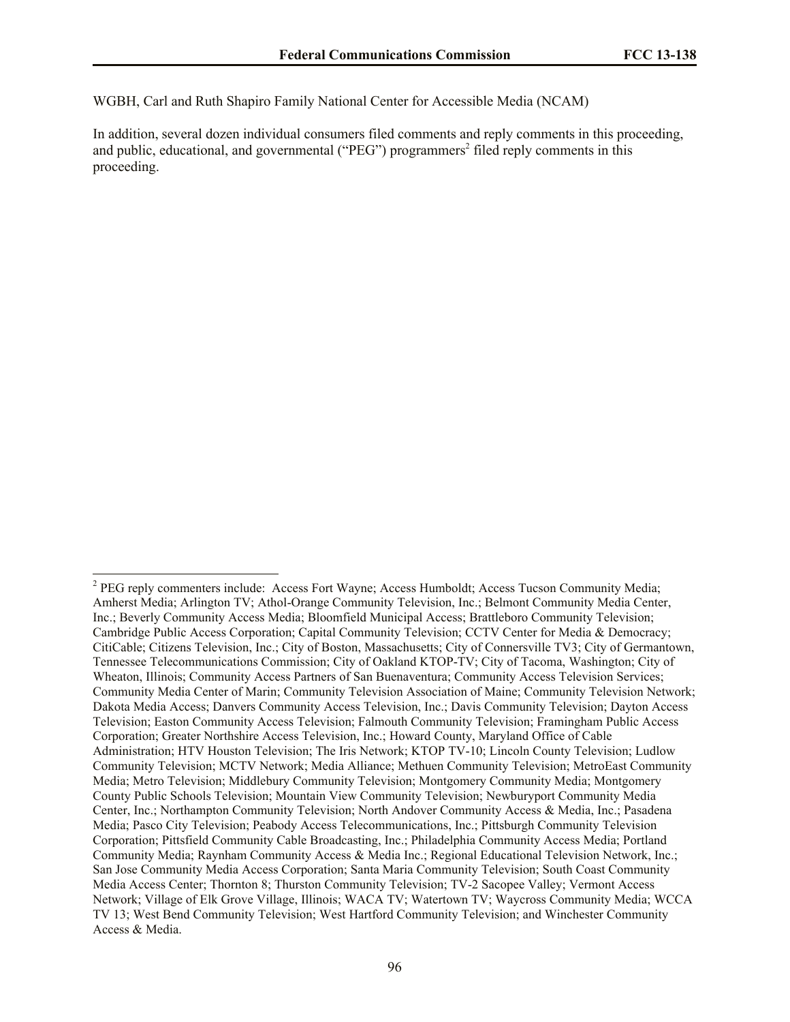WGBH, Carl and Ruth Shapiro Family National Center for Accessible Media (NCAM)

In addition, several dozen individual consumers filed comments and reply comments in this proceeding, and public, educational, and governmental ("PEG") programmers<sup>2</sup> filed reply comments in this proceeding.

<sup>&</sup>lt;sup>2</sup> PEG reply commenters include: Access Fort Wayne; Access Humboldt; Access Tucson Community Media; Amherst Media; Arlington TV; Athol-Orange Community Television, Inc.; Belmont Community Media Center, Inc.; Beverly Community Access Media; Bloomfield Municipal Access; Brattleboro Community Television; Cambridge Public Access Corporation; Capital Community Television; CCTV Center for Media & Democracy; CitiCable; Citizens Television, Inc.; City of Boston, Massachusetts; City of Connersville TV3; City of Germantown, Tennessee Telecommunications Commission; City of Oakland KTOP-TV; City of Tacoma, Washington; City of Wheaton, Illinois; Community Access Partners of San Buenaventura; Community Access Television Services; Community Media Center of Marin; Community Television Association of Maine; Community Television Network; Dakota Media Access; Danvers Community Access Television, Inc.; Davis Community Television; Dayton Access Television; Easton Community Access Television; Falmouth Community Television; Framingham Public Access Corporation; Greater Northshire Access Television, Inc.; Howard County, Maryland Office of Cable Administration; HTV Houston Television; The Iris Network; KTOP TV-10; Lincoln County Television; Ludlow Community Television; MCTV Network; Media Alliance; Methuen Community Television; MetroEast Community Media; Metro Television; Middlebury Community Television; Montgomery Community Media; Montgomery County Public Schools Television; Mountain View Community Television; Newburyport Community Media Center, Inc.; Northampton Community Television; North Andover Community Access & Media, Inc.; Pasadena Media; Pasco City Television; Peabody Access Telecommunications, Inc.; Pittsburgh Community Television Corporation; Pittsfield Community Cable Broadcasting, Inc.; Philadelphia Community Access Media; Portland Community Media; Raynham Community Access & Media Inc.; Regional Educational Television Network, Inc.; San Jose Community Media Access Corporation; Santa Maria Community Television; South Coast Community Media Access Center; Thornton 8; Thurston Community Television; TV-2 Sacopee Valley; Vermont Access Network; Village of Elk Grove Village, Illinois; WACA TV; Watertown TV; Waycross Community Media; WCCA TV 13; West Bend Community Television; West Hartford Community Television; and Winchester Community Access & Media.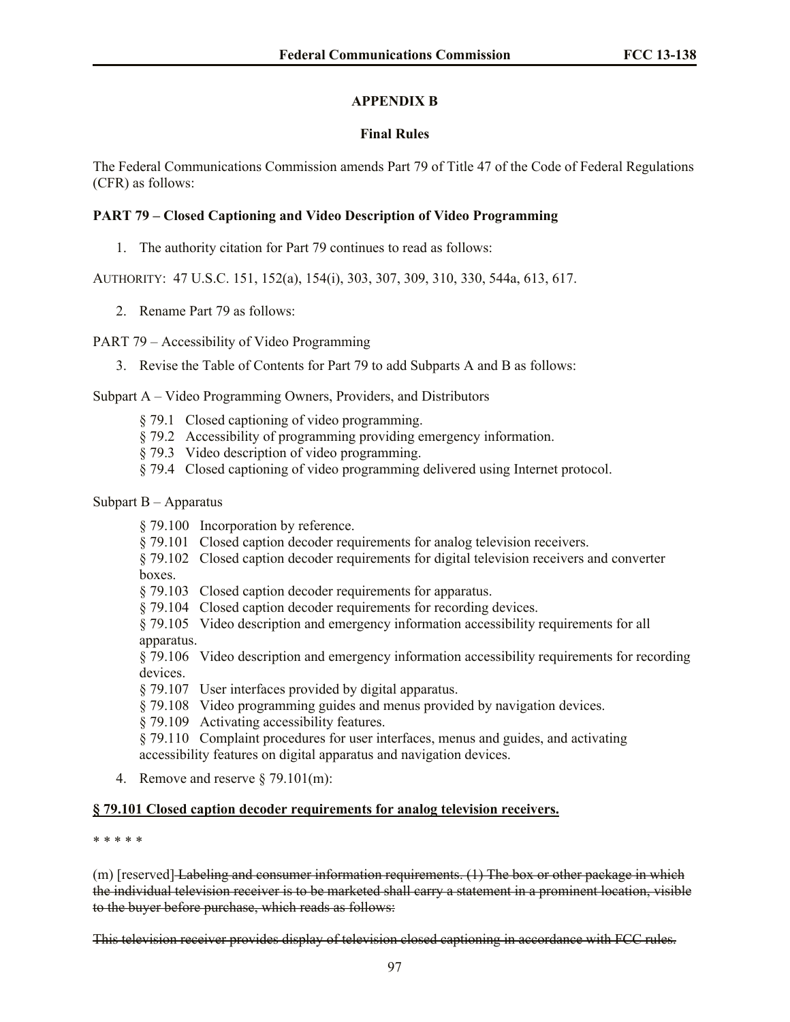# **APPENDIX B**

## **Final Rules**

The Federal Communications Commission amends Part 79 of Title 47 of the Code of Federal Regulations (CFR) as follows:

# **PART 79 – Closed Captioning and Video Description of Video Programming**

1. The authority citation for Part 79 continues to read as follows:

AUTHORITY: 47 U.S.C. 151, 152(a), 154(i), 303, 307, 309, 310, 330, 544a, 613, 617.

2. Rename Part 79 as follows:

### PART 79 – Accessibility of Video Programming

3. Revise the Table of Contents for Part 79 to add Subparts A and B as follows:

# Subpart A – Video Programming Owners, Providers, and Distributors

- § 79.1 Closed captioning of video programming.
- § 79.2 Accessibility of programming providing emergency information.
- § 79.3 Video description of video programming.
- § 79.4 Closed captioning of video programming delivered using Internet protocol.

# Subpart B – Apparatus

- § 79.100 Incorporation by reference.
- § 79.101 Closed caption decoder requirements for analog television receivers.
- § 79.102 Closed caption decoder requirements for digital television receivers and converter boxes.
- § 79.103 Closed caption decoder requirements for apparatus.
- § 79.104 Closed caption decoder requirements for recording devices.

§ 79.105 Video description and emergency information accessibility requirements for all apparatus.

§ 79.106 Video description and emergency information accessibility requirements for recording devices.

- § 79.107 User interfaces provided by digital apparatus.
- § 79.108 Video programming guides and menus provided by navigation devices.
- § 79.109 Activating accessibility features.

§ 79.110 Complaint procedures for user interfaces, menus and guides, and activating accessibility features on digital apparatus and navigation devices.

4. Remove and reserve § 79.101(m):

### **§ 79.101 Closed caption decoder requirements for analog television receivers.**

\* \* \* \* \*

(m) [reserved] Labeling and consumer information requirements. (1) The box or other package in which the individual television receiver is to be marketed shall carry a statement in a prominent location, visible to the buyer before purchase, which reads as follows:

This television receiver provides display of television closed captioning in accordance with FCC rules.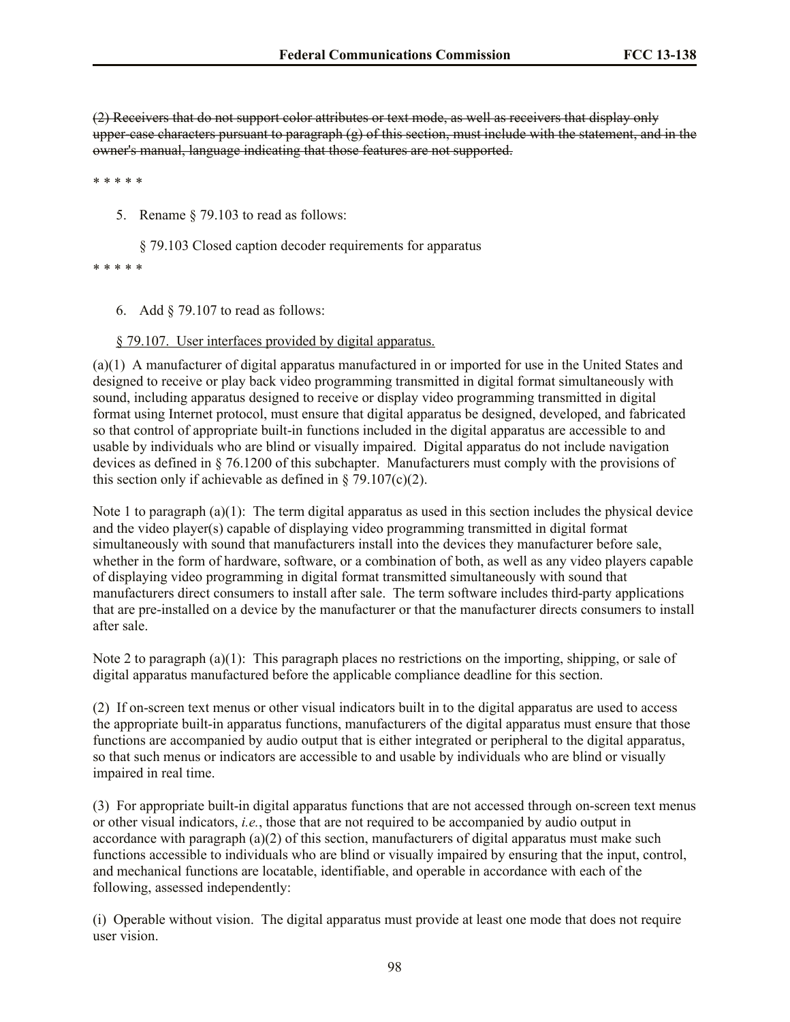(2) Receivers that do not support color attributes or text mode, as well as receivers that display only upper-case characters pursuant to paragraph  $(g)$  of this section, must include with the statement, and in the owner's manual, language indicating that those features are not supported.

\* \* \* \* \*

5. Rename § 79.103 to read as follows:

§ 79.103 Closed caption decoder requirements for apparatus

\* \* \* \* \*

6. Add § 79.107 to read as follows:

§ 79.107. User interfaces provided by digital apparatus.

(a)(1) A manufacturer of digital apparatus manufactured in or imported for use in the United States and designed to receive or play back video programming transmitted in digital format simultaneously with sound, including apparatus designed to receive or display video programming transmitted in digital format using Internet protocol, must ensure that digital apparatus be designed, developed, and fabricated so that control of appropriate built-in functions included in the digital apparatus are accessible to and usable by individuals who are blind or visually impaired. Digital apparatus do not include navigation devices as defined in § 76.1200 of this subchapter. Manufacturers must comply with the provisions of this section only if achievable as defined in  $\S$  79.107(c)(2).

Note 1 to paragraph  $(a)(1)$ : The term digital apparatus as used in this section includes the physical device and the video player(s) capable of displaying video programming transmitted in digital format simultaneously with sound that manufacturers install into the devices they manufacturer before sale, whether in the form of hardware, software, or a combination of both, as well as any video players capable of displaying video programming in digital format transmitted simultaneously with sound that manufacturers direct consumers to install after sale. The term software includes third-party applications that are pre-installed on a device by the manufacturer or that the manufacturer directs consumers to install after sale.

Note 2 to paragraph (a)(1): This paragraph places no restrictions on the importing, shipping, or sale of digital apparatus manufactured before the applicable compliance deadline for this section.

(2) If on-screen text menus or other visual indicators built in to the digital apparatus are used to access the appropriate built-in apparatus functions, manufacturers of the digital apparatus must ensure that those functions are accompanied by audio output that is either integrated or peripheral to the digital apparatus, so that such menus or indicators are accessible to and usable by individuals who are blind or visually impaired in real time.

(3) For appropriate built-in digital apparatus functions that are not accessed through on-screen text menus or other visual indicators, *i.e.*, those that are not required to be accompanied by audio output in accordance with paragraph  $(a)(2)$  of this section, manufacturers of digital apparatus must make such functions accessible to individuals who are blind or visually impaired by ensuring that the input, control, and mechanical functions are locatable, identifiable, and operable in accordance with each of the following, assessed independently:

(i) Operable without vision. The digital apparatus must provide at least one mode that does not require user vision.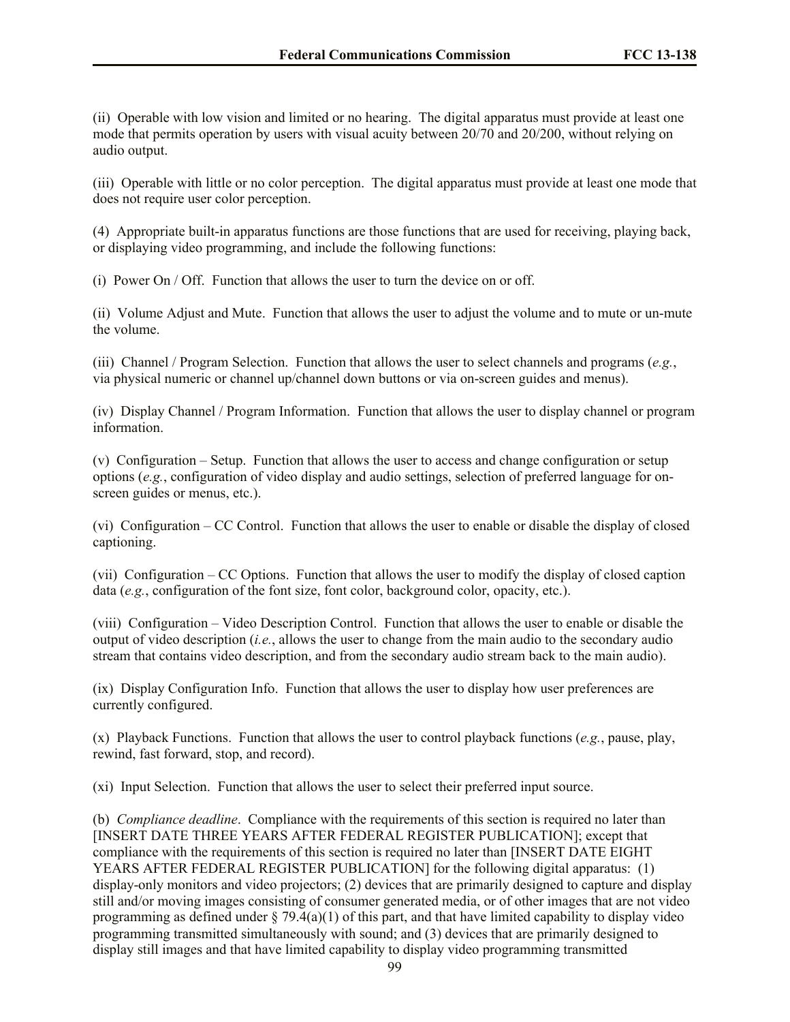(ii) Operable with low vision and limited or no hearing. The digital apparatus must provide at least one mode that permits operation by users with visual acuity between 20/70 and 20/200, without relying on audio output.

(iii) Operable with little or no color perception. The digital apparatus must provide at least one mode that does not require user color perception.

(4) Appropriate built-in apparatus functions are those functions that are used for receiving, playing back, or displaying video programming, and include the following functions:

(i) Power On / Off. Function that allows the user to turn the device on or off.

(ii) Volume Adjust and Mute. Function that allows the user to adjust the volume and to mute or un-mute the volume.

(iii) Channel / Program Selection. Function that allows the user to select channels and programs (*e.g.*, via physical numeric or channel up/channel down buttons or via on-screen guides and menus).

(iv) Display Channel / Program Information. Function that allows the user to display channel or program information.

(v) Configuration – Setup. Function that allows the user to access and change configuration or setup options (*e.g.*, configuration of video display and audio settings, selection of preferred language for onscreen guides or menus, etc.).

(vi) Configuration – CC Control. Function that allows the user to enable or disable the display of closed captioning.

(vii) Configuration – CC Options. Function that allows the user to modify the display of closed caption data (*e.g.*, configuration of the font size, font color, background color, opacity, etc.).

(viii) Configuration – Video Description Control. Function that allows the user to enable or disable the output of video description (*i.e.*, allows the user to change from the main audio to the secondary audio stream that contains video description, and from the secondary audio stream back to the main audio).

(ix) Display Configuration Info. Function that allows the user to display how user preferences are currently configured.

(x) Playback Functions. Function that allows the user to control playback functions (*e.g.*, pause, play, rewind, fast forward, stop, and record).

(xi) Input Selection. Function that allows the user to select their preferred input source.

(b) *Compliance deadline*. Compliance with the requirements of this section is required no later than [INSERT DATE THREE YEARS AFTER FEDERAL REGISTER PUBLICATION]; except that compliance with the requirements of this section is required no later than [INSERT DATE EIGHT YEARS AFTER FEDERAL REGISTER PUBLICATION] for the following digital apparatus: (1) display-only monitors and video projectors; (2) devices that are primarily designed to capture and display still and/or moving images consisting of consumer generated media, or of other images that are not video programming as defined under  $\S 79.4(a)(1)$  of this part, and that have limited capability to display video programming transmitted simultaneously with sound; and (3) devices that are primarily designed to display still images and that have limited capability to display video programming transmitted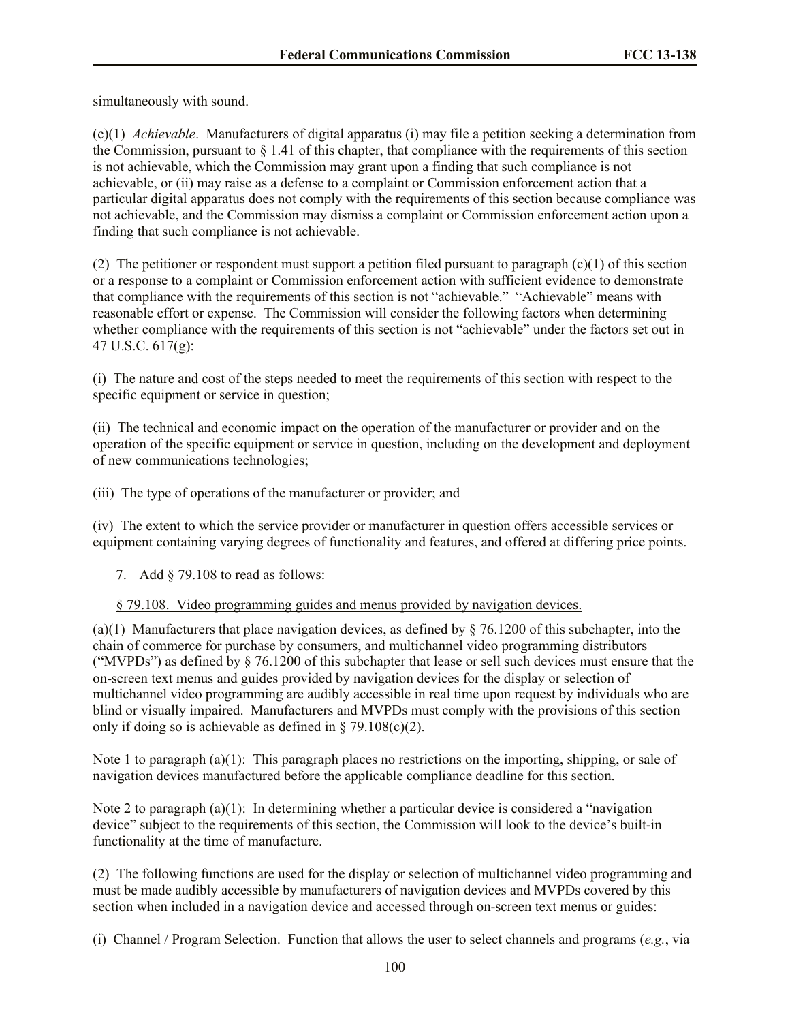simultaneously with sound.

(c)(1) *Achievable*. Manufacturers of digital apparatus (i) may file a petition seeking a determination from the Commission, pursuant to  $\S 1.41$  of this chapter, that compliance with the requirements of this section is not achievable, which the Commission may grant upon a finding that such compliance is not achievable, or (ii) may raise as a defense to a complaint or Commission enforcement action that a particular digital apparatus does not comply with the requirements of this section because compliance was not achievable, and the Commission may dismiss a complaint or Commission enforcement action upon a finding that such compliance is not achievable.

(2) The petitioner or respondent must support a petition filed pursuant to paragraph (c)(1) of this section or a response to a complaint or Commission enforcement action with sufficient evidence to demonstrate that compliance with the requirements of this section is not "achievable." "Achievable" means with reasonable effort or expense. The Commission will consider the following factors when determining whether compliance with the requirements of this section is not "achievable" under the factors set out in 47 U.S.C. 617(g):

(i) The nature and cost of the steps needed to meet the requirements of this section with respect to the specific equipment or service in question;

(ii) The technical and economic impact on the operation of the manufacturer or provider and on the operation of the specific equipment or service in question, including on the development and deployment of new communications technologies;

(iii) The type of operations of the manufacturer or provider; and

(iv) The extent to which the service provider or manufacturer in question offers accessible services or equipment containing varying degrees of functionality and features, and offered at differing price points.

7. Add § 79.108 to read as follows:

### § 79.108. Video programming guides and menus provided by navigation devices.

(a)(1) Manufacturers that place navigation devices, as defined by  $\S$  76.1200 of this subchapter, into the chain of commerce for purchase by consumers, and multichannel video programming distributors ("MVPDs") as defined by  $\S$  76.1200 of this subchapter that lease or sell such devices must ensure that the on-screen text menus and guides provided by navigation devices for the display or selection of multichannel video programming are audibly accessible in real time upon request by individuals who are blind or visually impaired. Manufacturers and MVPDs must comply with the provisions of this section only if doing so is achievable as defined in  $\S$  79.108(c)(2).

Note 1 to paragraph (a)(1): This paragraph places no restrictions on the importing, shipping, or sale of navigation devices manufactured before the applicable compliance deadline for this section.

Note 2 to paragraph (a)(1): In determining whether a particular device is considered a "navigation device" subject to the requirements of this section, the Commission will look to the device's built-in functionality at the time of manufacture.

(2) The following functions are used for the display or selection of multichannel video programming and must be made audibly accessible by manufacturers of navigation devices and MVPDs covered by this section when included in a navigation device and accessed through on-screen text menus or guides:

(i) Channel / Program Selection. Function that allows the user to select channels and programs (*e.g.*, via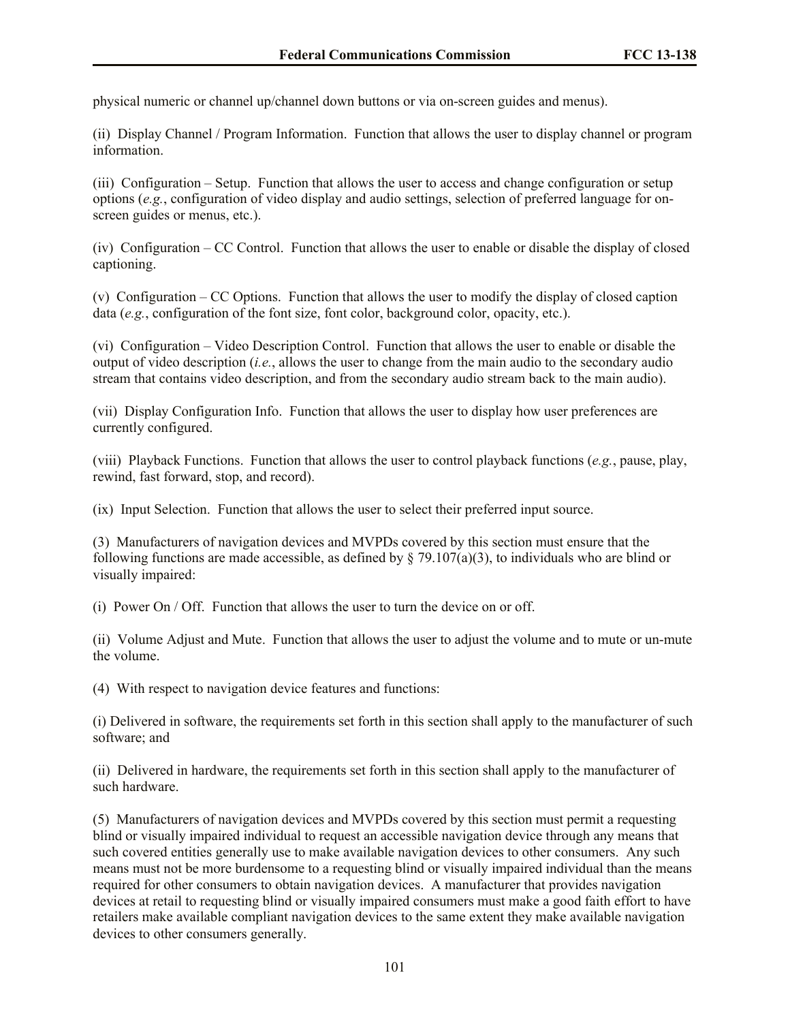physical numeric or channel up/channel down buttons or via on-screen guides and menus).

(ii) Display Channel / Program Information. Function that allows the user to display channel or program information.

(iii) Configuration – Setup. Function that allows the user to access and change configuration or setup options (*e.g.*, configuration of video display and audio settings, selection of preferred language for onscreen guides or menus, etc.).

(iv) Configuration – CC Control. Function that allows the user to enable or disable the display of closed captioning.

(v) Configuration – CC Options. Function that allows the user to modify the display of closed caption data (*e.g.*, configuration of the font size, font color, background color, opacity, etc.).

(vi) Configuration – Video Description Control. Function that allows the user to enable or disable the output of video description (*i.e.*, allows the user to change from the main audio to the secondary audio stream that contains video description, and from the secondary audio stream back to the main audio).

(vii) Display Configuration Info. Function that allows the user to display how user preferences are currently configured.

(viii) Playback Functions. Function that allows the user to control playback functions (*e.g.*, pause, play, rewind, fast forward, stop, and record).

(ix) Input Selection. Function that allows the user to select their preferred input source.

(3) Manufacturers of navigation devices and MVPDs covered by this section must ensure that the following functions are made accessible, as defined by  $\S$  79.107(a)(3), to individuals who are blind or visually impaired:

(i) Power On / Off. Function that allows the user to turn the device on or off.

(ii) Volume Adjust and Mute. Function that allows the user to adjust the volume and to mute or un-mute the volume.

(4) With respect to navigation device features and functions:

(i) Delivered in software, the requirements set forth in this section shall apply to the manufacturer of such software; and

(ii) Delivered in hardware, the requirements set forth in this section shall apply to the manufacturer of such hardware.

(5) Manufacturers of navigation devices and MVPDs covered by this section must permit a requesting blind or visually impaired individual to request an accessible navigation device through any means that such covered entities generally use to make available navigation devices to other consumers. Any such means must not be more burdensome to a requesting blind or visually impaired individual than the means required for other consumers to obtain navigation devices. A manufacturer that provides navigation devices at retail to requesting blind or visually impaired consumers must make a good faith effort to have retailers make available compliant navigation devices to the same extent they make available navigation devices to other consumers generally.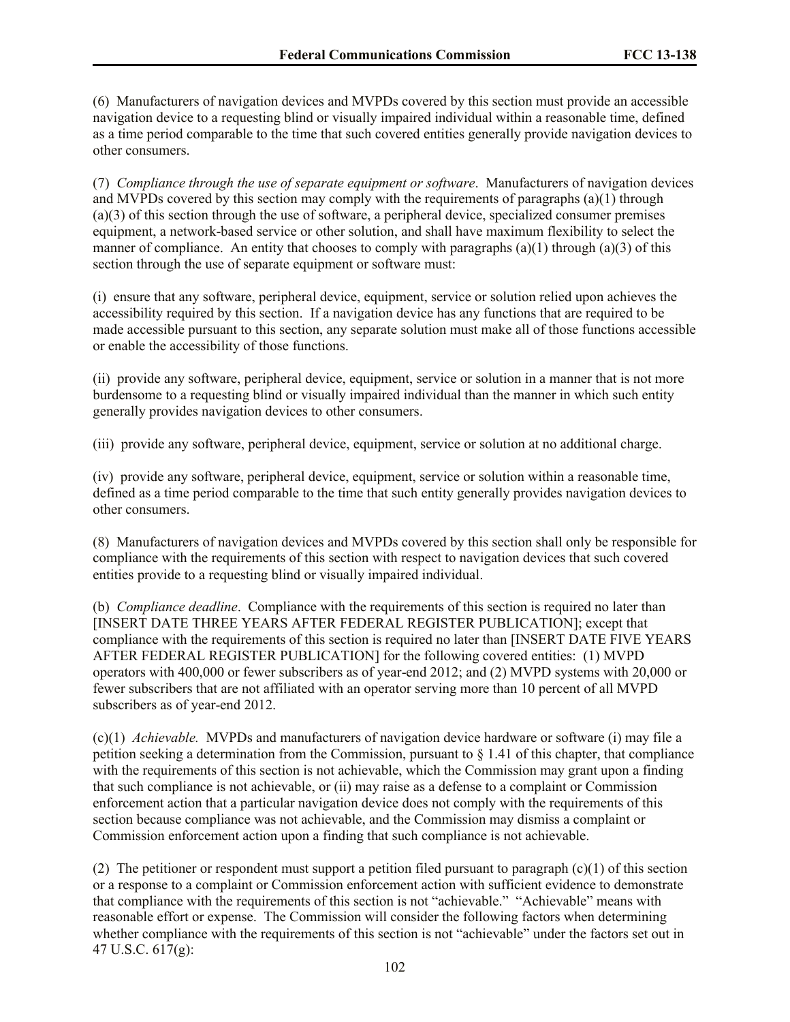(6) Manufacturers of navigation devices and MVPDs covered by this section must provide an accessible navigation device to a requesting blind or visually impaired individual within a reasonable time, defined as a time period comparable to the time that such covered entities generally provide navigation devices to other consumers.

(7) *Compliance through the use of separate equipment or software*. Manufacturers of navigation devices and MVPDs covered by this section may comply with the requirements of paragraphs (a)(1) through (a)(3) of this section through the use of software, a peripheral device, specialized consumer premises equipment, a network-based service or other solution, and shall have maximum flexibility to select the manner of compliance. An entity that chooses to comply with paragraphs  $(a)(1)$  through  $(a)(3)$  of this section through the use of separate equipment or software must:

(i) ensure that any software, peripheral device, equipment, service or solution relied upon achieves the accessibility required by this section. If a navigation device has any functions that are required to be made accessible pursuant to this section, any separate solution must make all of those functions accessible or enable the accessibility of those functions.

(ii) provide any software, peripheral device, equipment, service or solution in a manner that is not more burdensome to a requesting blind or visually impaired individual than the manner in which such entity generally provides navigation devices to other consumers.

(iii) provide any software, peripheral device, equipment, service or solution at no additional charge.

(iv) provide any software, peripheral device, equipment, service or solution within a reasonable time, defined as a time period comparable to the time that such entity generally provides navigation devices to other consumers.

(8) Manufacturers of navigation devices and MVPDs covered by this section shall only be responsible for compliance with the requirements of this section with respect to navigation devices that such covered entities provide to a requesting blind or visually impaired individual.

(b) *Compliance deadline*. Compliance with the requirements of this section is required no later than [INSERT DATE THREE YEARS AFTER FEDERAL REGISTER PUBLICATION]; except that compliance with the requirements of this section is required no later than [INSERT DATE FIVE YEARS AFTER FEDERAL REGISTER PUBLICATION] for the following covered entities: (1) MVPD operators with 400,000 or fewer subscribers as of year-end 2012; and (2) MVPD systems with 20,000 or fewer subscribers that are not affiliated with an operator serving more than 10 percent of all MVPD subscribers as of year-end 2012.

(c)(1) *Achievable.* MVPDs and manufacturers of navigation device hardware or software (i) may file a petition seeking a determination from the Commission, pursuant to  $\S 1.41$  of this chapter, that compliance with the requirements of this section is not achievable, which the Commission may grant upon a finding that such compliance is not achievable, or (ii) may raise as a defense to a complaint or Commission enforcement action that a particular navigation device does not comply with the requirements of this section because compliance was not achievable, and the Commission may dismiss a complaint or Commission enforcement action upon a finding that such compliance is not achievable.

(2) The petitioner or respondent must support a petition filed pursuant to paragraph (c)(1) of this section or a response to a complaint or Commission enforcement action with sufficient evidence to demonstrate that compliance with the requirements of this section is not "achievable." "Achievable" means with reasonable effort or expense. The Commission will consider the following factors when determining whether compliance with the requirements of this section is not "achievable" under the factors set out in 47 U.S.C. 617(g):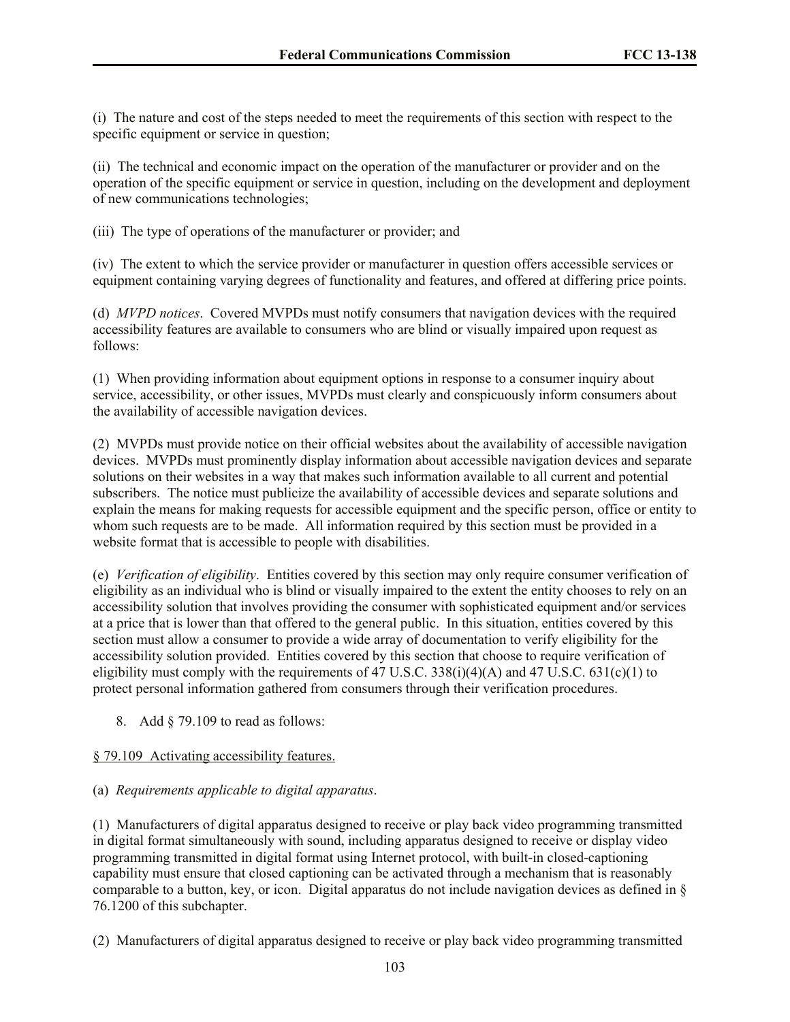(i) The nature and cost of the steps needed to meet the requirements of this section with respect to the specific equipment or service in question;

(ii) The technical and economic impact on the operation of the manufacturer or provider and on the operation of the specific equipment or service in question, including on the development and deployment of new communications technologies;

(iii) The type of operations of the manufacturer or provider; and

(iv) The extent to which the service provider or manufacturer in question offers accessible services or equipment containing varying degrees of functionality and features, and offered at differing price points.

(d) *MVPD notices*. Covered MVPDs must notify consumers that navigation devices with the required accessibility features are available to consumers who are blind or visually impaired upon request as follows:

(1) When providing information about equipment options in response to a consumer inquiry about service, accessibility, or other issues, MVPDs must clearly and conspicuously inform consumers about the availability of accessible navigation devices.

(2) MVPDs must provide notice on their official websites about the availability of accessible navigation devices. MVPDs must prominently display information about accessible navigation devices and separate solutions on their websites in a way that makes such information available to all current and potential subscribers. The notice must publicize the availability of accessible devices and separate solutions and explain the means for making requests for accessible equipment and the specific person, office or entity to whom such requests are to be made. All information required by this section must be provided in a website format that is accessible to people with disabilities.

(e) *Verification of eligibility*. Entities covered by this section may only require consumer verification of eligibility as an individual who is blind or visually impaired to the extent the entity chooses to rely on an accessibility solution that involves providing the consumer with sophisticated equipment and/or services at a price that is lower than that offered to the general public. In this situation, entities covered by this section must allow a consumer to provide a wide array of documentation to verify eligibility for the accessibility solution provided. Entities covered by this section that choose to require verification of eligibility must comply with the requirements of 47 U.S.C.  $338(i)(4)(A)$  and 47 U.S.C.  $631(c)(1)$  to protect personal information gathered from consumers through their verification procedures.

8. Add § 79.109 to read as follows:

### § 79.109 Activating accessibility features.

### (a) *Requirements applicable to digital apparatus*.

(1) Manufacturers of digital apparatus designed to receive or play back video programming transmitted in digital format simultaneously with sound, including apparatus designed to receive or display video programming transmitted in digital format using Internet protocol, with built-in closed-captioning capability must ensure that closed captioning can be activated through a mechanism that is reasonably comparable to a button, key, or icon. Digital apparatus do not include navigation devices as defined in § 76.1200 of this subchapter.

(2) Manufacturers of digital apparatus designed to receive or play back video programming transmitted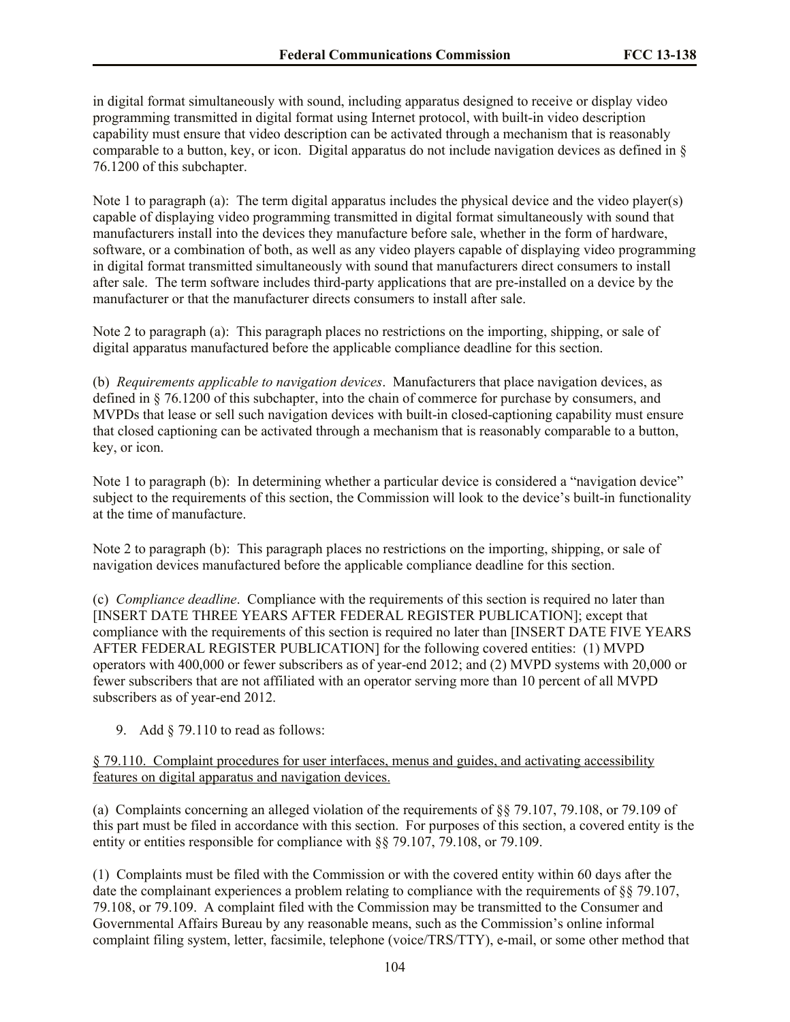in digital format simultaneously with sound, including apparatus designed to receive or display video programming transmitted in digital format using Internet protocol, with built-in video description capability must ensure that video description can be activated through a mechanism that is reasonably comparable to a button, key, or icon. Digital apparatus do not include navigation devices as defined in § 76.1200 of this subchapter.

Note 1 to paragraph (a): The term digital apparatus includes the physical device and the video player(s) capable of displaying video programming transmitted in digital format simultaneously with sound that manufacturers install into the devices they manufacture before sale, whether in the form of hardware, software, or a combination of both, as well as any video players capable of displaying video programming in digital format transmitted simultaneously with sound that manufacturers direct consumers to install after sale. The term software includes third-party applications that are pre-installed on a device by the manufacturer or that the manufacturer directs consumers to install after sale.

Note 2 to paragraph (a): This paragraph places no restrictions on the importing, shipping, or sale of digital apparatus manufactured before the applicable compliance deadline for this section.

(b) *Requirements applicable to navigation devices*. Manufacturers that place navigation devices, as defined in § 76.1200 of this subchapter, into the chain of commerce for purchase by consumers, and MVPDs that lease or sell such navigation devices with built-in closed-captioning capability must ensure that closed captioning can be activated through a mechanism that is reasonably comparable to a button, key, or icon.

Note 1 to paragraph (b): In determining whether a particular device is considered a "navigation device" subject to the requirements of this section, the Commission will look to the device's built-in functionality at the time of manufacture.

Note 2 to paragraph (b): This paragraph places no restrictions on the importing, shipping, or sale of navigation devices manufactured before the applicable compliance deadline for this section.

(c) *Compliance deadline*. Compliance with the requirements of this section is required no later than [INSERT DATE THREE YEARS AFTER FEDERAL REGISTER PUBLICATION]; except that compliance with the requirements of this section is required no later than [INSERT DATE FIVE YEARS AFTER FEDERAL REGISTER PUBLICATION] for the following covered entities: (1) MVPD operators with 400,000 or fewer subscribers as of year-end 2012; and (2) MVPD systems with 20,000 or fewer subscribers that are not affiliated with an operator serving more than 10 percent of all MVPD subscribers as of year-end 2012.

9. Add § 79.110 to read as follows:

### § 79.110. Complaint procedures for user interfaces, menus and guides, and activating accessibility features on digital apparatus and navigation devices.

(a) Complaints concerning an alleged violation of the requirements of §§ 79.107, 79.108, or 79.109 of this part must be filed in accordance with this section. For purposes of this section, a covered entity is the entity or entities responsible for compliance with §§ 79.107, 79.108, or 79.109.

(1) Complaints must be filed with the Commission or with the covered entity within 60 days after the date the complainant experiences a problem relating to compliance with the requirements of §§ 79.107, 79.108, or 79.109. A complaint filed with the Commission may be transmitted to the Consumer and Governmental Affairs Bureau by any reasonable means, such as the Commission's online informal complaint filing system, letter, facsimile, telephone (voice/TRS/TTY), e-mail, or some other method that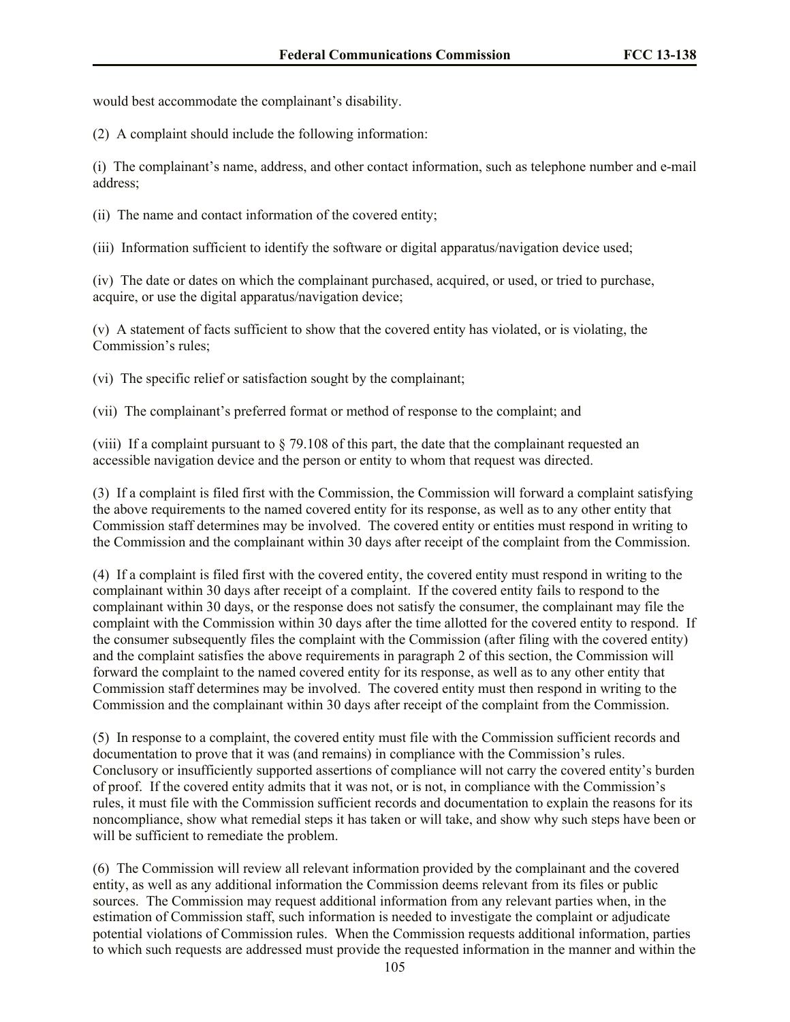would best accommodate the complainant's disability.

(2) A complaint should include the following information:

(i) The complainant's name, address, and other contact information, such as telephone number and e-mail address;

(ii) The name and contact information of the covered entity;

(iii) Information sufficient to identify the software or digital apparatus/navigation device used;

(iv) The date or dates on which the complainant purchased, acquired, or used, or tried to purchase, acquire, or use the digital apparatus/navigation device;

(v) A statement of facts sufficient to show that the covered entity has violated, or is violating, the Commission's rules;

(vi) The specific relief or satisfaction sought by the complainant;

(vii) The complainant's preferred format or method of response to the complaint; and

(viii) If a complaint pursuant to  $\S$  79.108 of this part, the date that the complainant requested an accessible navigation device and the person or entity to whom that request was directed.

(3) If a complaint is filed first with the Commission, the Commission will forward a complaint satisfying the above requirements to the named covered entity for its response, as well as to any other entity that Commission staff determines may be involved. The covered entity or entities must respond in writing to the Commission and the complainant within 30 days after receipt of the complaint from the Commission.

(4) If a complaint is filed first with the covered entity, the covered entity must respond in writing to the complainant within 30 days after receipt of a complaint. If the covered entity fails to respond to the complainant within 30 days, or the response does not satisfy the consumer, the complainant may file the complaint with the Commission within 30 days after the time allotted for the covered entity to respond. If the consumer subsequently files the complaint with the Commission (after filing with the covered entity) and the complaint satisfies the above requirements in paragraph 2 of this section, the Commission will forward the complaint to the named covered entity for its response, as well as to any other entity that Commission staff determines may be involved. The covered entity must then respond in writing to the Commission and the complainant within 30 days after receipt of the complaint from the Commission.

(5) In response to a complaint, the covered entity must file with the Commission sufficient records and documentation to prove that it was (and remains) in compliance with the Commission's rules. Conclusory or insufficiently supported assertions of compliance will not carry the covered entity's burden of proof. If the covered entity admits that it was not, or is not, in compliance with the Commission's rules, it must file with the Commission sufficient records and documentation to explain the reasons for its noncompliance, show what remedial steps it has taken or will take, and show why such steps have been or will be sufficient to remediate the problem.

(6) The Commission will review all relevant information provided by the complainant and the covered entity, as well as any additional information the Commission deems relevant from its files or public sources. The Commission may request additional information from any relevant parties when, in the estimation of Commission staff, such information is needed to investigate the complaint or adjudicate potential violations of Commission rules. When the Commission requests additional information, parties to which such requests are addressed must provide the requested information in the manner and within the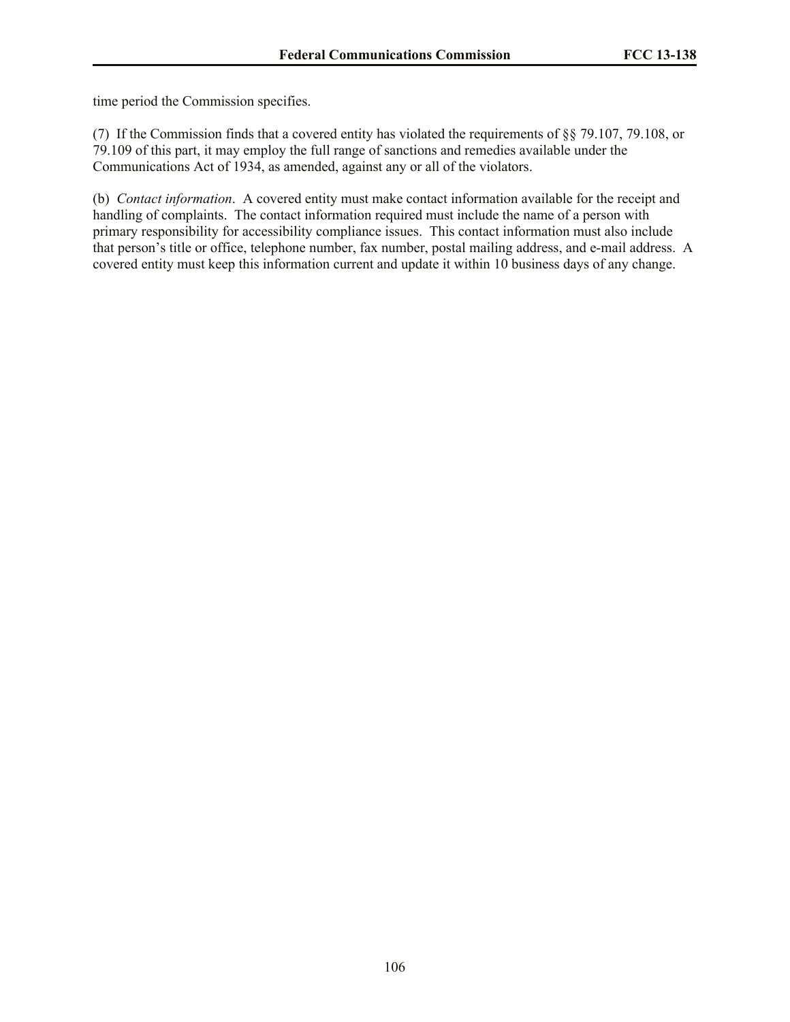time period the Commission specifies.

(7) If the Commission finds that a covered entity has violated the requirements of §§ 79.107, 79.108, or 79.109 of this part, it may employ the full range of sanctions and remedies available under the Communications Act of 1934, as amended, against any or all of the violators.

(b) *Contact information*. A covered entity must make contact information available for the receipt and handling of complaints. The contact information required must include the name of a person with primary responsibility for accessibility compliance issues. This contact information must also include that person's title or office, telephone number, fax number, postal mailing address, and e-mail address. A covered entity must keep this information current and update it within 10 business days of any change.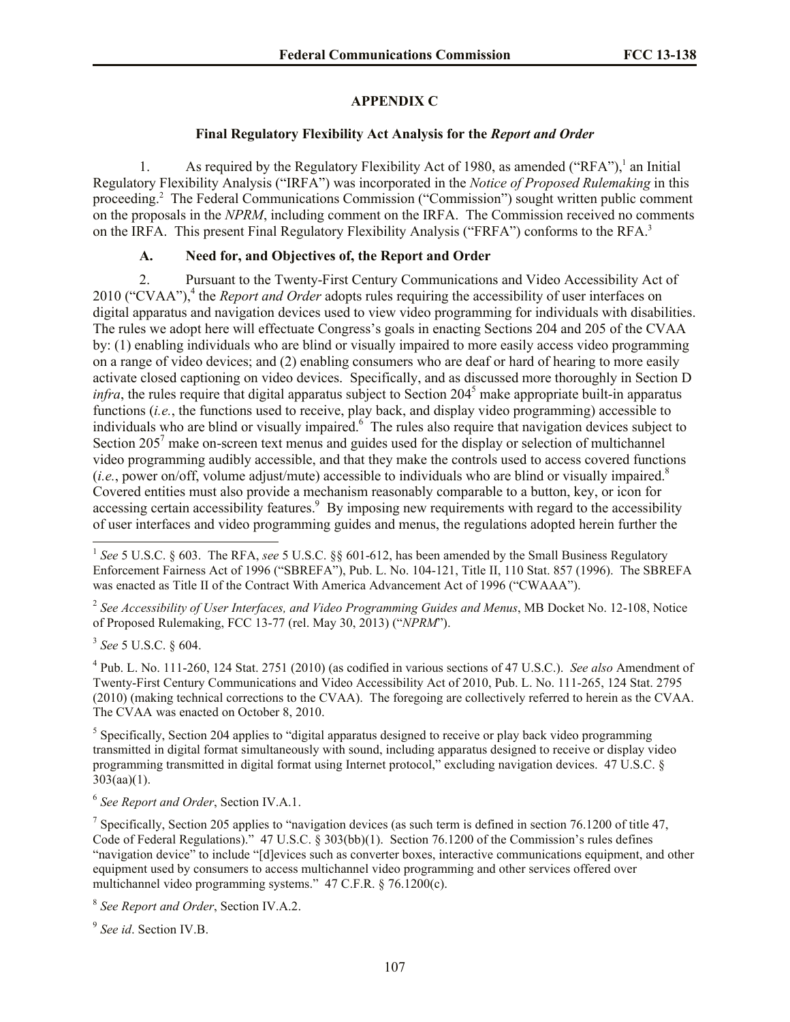### **APPENDIX C**

#### **Final Regulatory Flexibility Act Analysis for the** *Report and Order*

1. As required by the Regulatory Flexibility Act of 1980, as amended ("RFA"),<sup>1</sup> an Initial Regulatory Flexibility Analysis ("IRFA") was incorporated in the *Notice of Proposed Rulemaking* in this proceeding.<sup>2</sup> The Federal Communications Commission ("Commission") sought written public comment on the proposals in the *NPRM*, including comment on the IRFA. The Commission received no comments on the IRFA. This present Final Regulatory Flexibility Analysis ("FRFA") conforms to the RFA.<sup>3</sup>

### **A. Need for, and Objectives of, the Report and Order**

2. Pursuant to the Twenty-First Century Communications and Video Accessibility Act of 2010 ("CVAA"),<sup>4</sup> the *Report and Order* adopts rules requiring the accessibility of user interfaces on digital apparatus and navigation devices used to view video programming for individuals with disabilities. The rules we adopt here will effectuate Congress's goals in enacting Sections 204 and 205 of the CVAA by: (1) enabling individuals who are blind or visually impaired to more easily access video programming on a range of video devices; and (2) enabling consumers who are deaf or hard of hearing to more easily activate closed captioning on video devices. Specifically, and as discussed more thoroughly in Section D *infra*, the rules require that digital apparatus subject to Section 204<sup>5</sup> make appropriate built-in apparatus functions (*i.e.*, the functions used to receive, play back, and display video programming) accessible to individuals who are blind or visually impaired.<sup>6</sup> The rules also require that navigation devices subject to Section 205<sup>7</sup> make on-screen text menus and guides used for the display or selection of multichannel video programming audibly accessible, and that they make the controls used to access covered functions (*i.e.*, power on/off, volume adjust/mute) accessible to individuals who are blind or visually impaired.<sup>8</sup> Covered entities must also provide a mechanism reasonably comparable to a button, key, or icon for accessing certain accessibility features.<sup>9</sup> By imposing new requirements with regard to the accessibility of user interfaces and video programming guides and menus, the regulations adopted herein further the

2 *See Accessibility of User Interfaces, and Video Programming Guides and Menus*, MB Docket No. 12-108, Notice of Proposed Rulemaking, FCC 13-77 (rel. May 30, 2013) ("*NPRM*").

3 *See* 5 U.S.C. § 604.

4 Pub. L. No. 111-260, 124 Stat. 2751 (2010) (as codified in various sections of 47 U.S.C.). *See also* Amendment of Twenty-First Century Communications and Video Accessibility Act of 2010, Pub. L. No. 111-265, 124 Stat. 2795 (2010) (making technical corrections to the CVAA). The foregoing are collectively referred to herein as the CVAA. The CVAA was enacted on October 8, 2010.

<sup>5</sup> Specifically, Section 204 applies to "digital apparatus designed to receive or play back video programming transmitted in digital format simultaneously with sound, including apparatus designed to receive or display video programming transmitted in digital format using Internet protocol," excluding navigation devices. 47 U.S.C. §  $303(aa)(1)$ .

6 *See Report and Order*, Section IV.A.1.

<sup>7</sup> Specifically, Section 205 applies to "navigation devices (as such term is defined in section 76.1200 of title 47, Code of Federal Regulations)." 47 U.S.C. § 303(bb)(1). Section 76.1200 of the Commission's rules defines "navigation device" to include "[d]evices such as converter boxes, interactive communications equipment, and other equipment used by consumers to access multichannel video programming and other services offered over multichannel video programming systems." 47 C.F.R. § 76.1200(c).

8 *See Report and Order*, Section IV.A.2.

9 *See id*. Section IV.B.

<sup>&</sup>lt;sup>1</sup> See 5 U.S.C. § 603. The RFA, see 5 U.S.C. §§ 601-612, has been amended by the Small Business Regulatory Enforcement Fairness Act of 1996 ("SBREFA"), Pub. L. No. 104-121, Title II, 110 Stat. 857 (1996). The SBREFA was enacted as Title II of the Contract With America Advancement Act of 1996 ("CWAAA").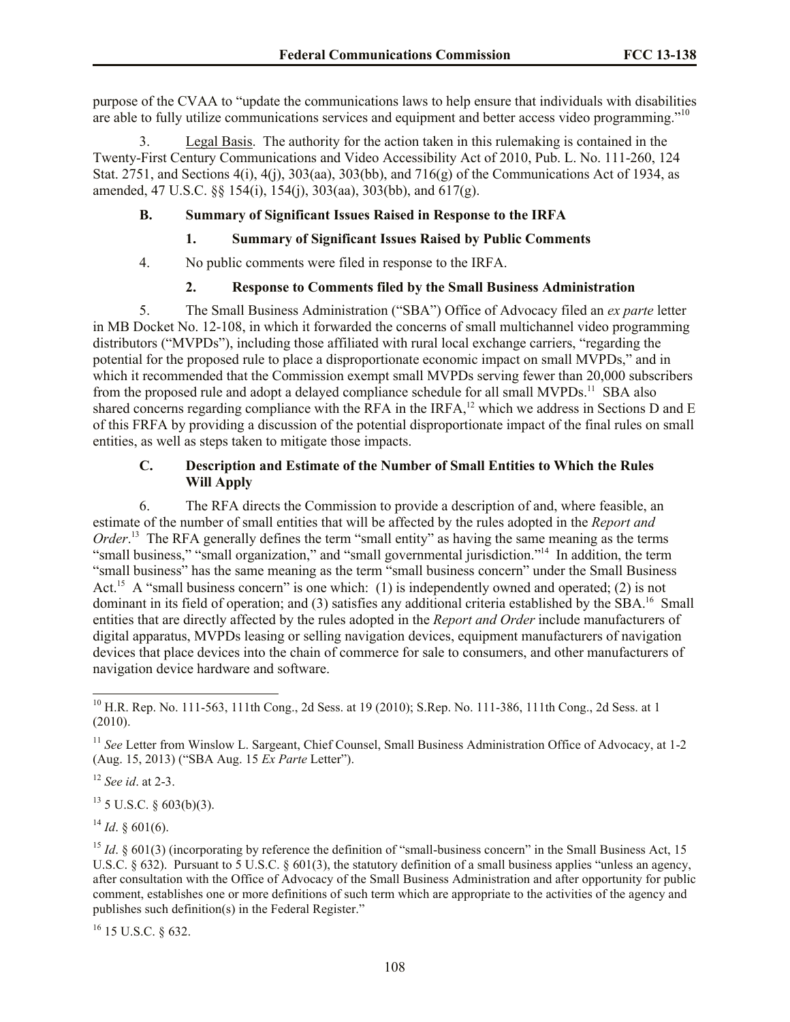purpose of the CVAA to "update the communications laws to help ensure that individuals with disabilities are able to fully utilize communications services and equipment and better access video programming."<sup>10</sup>

3. Legal Basis. The authority for the action taken in this rulemaking is contained in the Twenty-First Century Communications and Video Accessibility Act of 2010, Pub. L. No. 111-260, 124 Stat. 2751, and Sections 4(i), 4(j), 303(aa), 303(bb), and 716(g) of the Communications Act of 1934, as amended, 47 U.S.C. §§ 154(i), 154(j), 303(aa), 303(bb), and 617(g).

# **B. Summary of Significant Issues Raised in Response to the IRFA**

# **1. Summary of Significant Issues Raised by Public Comments**

4. No public comments were filed in response to the IRFA.

# **2. Response to Comments filed by the Small Business Administration**

5. The Small Business Administration ("SBA") Office of Advocacy filed an *ex parte* letter in MB Docket No. 12-108, in which it forwarded the concerns of small multichannel video programming distributors ("MVPDs"), including those affiliated with rural local exchange carriers, "regarding the potential for the proposed rule to place a disproportionate economic impact on small MVPDs," and in which it recommended that the Commission exempt small MVPDs serving fewer than 20,000 subscribers from the proposed rule and adopt a delayed compliance schedule for all small MVPDs.<sup>11</sup> SBA also shared concerns regarding compliance with the  $RFA$  in the IRFA,<sup>12</sup> which we address in Sections D and E of this FRFA by providing a discussion of the potential disproportionate impact of the final rules on small entities, as well as steps taken to mitigate those impacts.

## **C. Description and Estimate of the Number of Small Entities to Which the Rules Will Apply**

6. The RFA directs the Commission to provide a description of and, where feasible, an estimate of the number of small entities that will be affected by the rules adopted in the *Report and Order*.<sup>13</sup> The RFA generally defines the term "small entity" as having the same meaning as the terms "small business," "small organization," and "small governmental jurisdiction."<sup>14</sup> In addition, the term "small business" has the same meaning as the term "small business concern" under the Small Business Act.<sup>15</sup> A "small business concern" is one which: (1) is independently owned and operated; (2) is not dominant in its field of operation; and (3) satisfies any additional criteria established by the SBA.<sup>16</sup> Small entities that are directly affected by the rules adopted in the *Report and Order* include manufacturers of digital apparatus, MVPDs leasing or selling navigation devices, equipment manufacturers of navigation devices that place devices into the chain of commerce for sale to consumers, and other manufacturers of navigation device hardware and software.

<sup>12</sup> *See id*. at 2-3.

 $\overline{\phantom{a}}$ 

 $13$  5 U.S.C. § 603(b)(3).

 $^{14}$  *Id*. § 601(6).

<sup>16</sup> 15 U.S.C. § 632.

<sup>&</sup>lt;sup>10</sup> H.R. Rep. No. 111-563, 111th Cong., 2d Sess. at 19 (2010); S. Rep. No. 111-386, 111th Cong., 2d Sess. at 1 (2010).

<sup>&</sup>lt;sup>11</sup> *See* Letter from Winslow L. Sargeant, Chief Counsel, Small Business Administration Office of Advocacy, at 1-2 (Aug. 15, 2013) ("SBA Aug. 15 *Ex Parte* Letter").

<sup>&</sup>lt;sup>15</sup> *Id.*  $\&$  601(3) (incorporating by reference the definition of "small-business concern" in the Small Business Act, 15 U.S.C.  $\S 632$ ). Pursuant to 5 U.S.C.  $\S 601(3)$ , the statutory definition of a small business applies "unless an agency, after consultation with the Office of Advocacy of the Small Business Administration and after opportunity for public comment, establishes one or more definitions of such term which are appropriate to the activities of the agency and publishes such definition(s) in the Federal Register."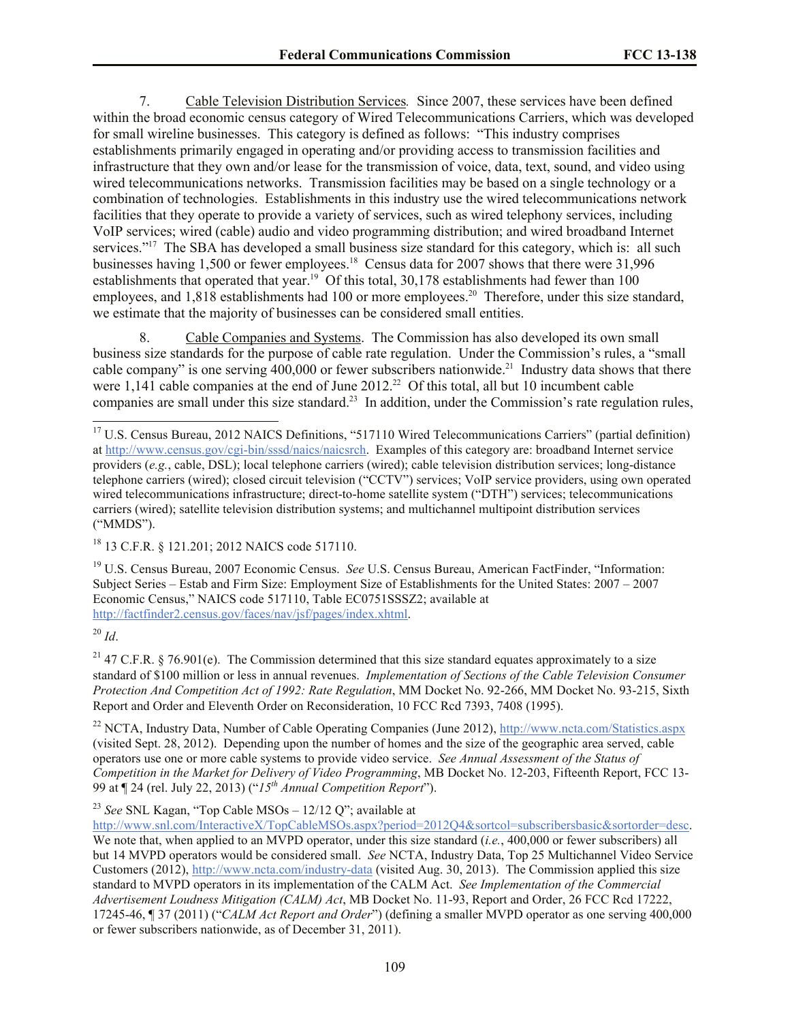7. Cable Television Distribution Services*.* Since 2007, these services have been defined within the broad economic census category of Wired Telecommunications Carriers, which was developed for small wireline businesses. This category is defined as follows: "This industry comprises establishments primarily engaged in operating and/or providing access to transmission facilities and infrastructure that they own and/or lease for the transmission of voice, data, text, sound, and video using wired telecommunications networks. Transmission facilities may be based on a single technology or a combination of technologies. Establishments in this industry use the wired telecommunications network facilities that they operate to provide a variety of services, such as wired telephony services, including VoIP services; wired (cable) audio and video programming distribution; and wired broadband Internet services."<sup>17</sup> The SBA has developed a small business size standard for this category, which is: all such businesses having 1,500 or fewer employees.<sup>18</sup> Census data for 2007 shows that there were 31,996 establishments that operated that year.<sup>19</sup> Of this total,  $30,178$  establishments had fewer than 100 employees, and 1,818 establishments had 100 or more employees.<sup>20</sup> Therefore, under this size standard, we estimate that the majority of businesses can be considered small entities.

8. Cable Companies and Systems. The Commission has also developed its own small business size standards for the purpose of cable rate regulation. Under the Commission's rules, a "small cable company" is one serving  $400,000$  or fewer subscribers nationwide.<sup>21</sup> Industry data shows that there were  $1,141$  cable companies at the end of June  $2012<sup>22</sup>$  Of this total, all but 10 incumbent cable companies are small under this size standard.<sup>23</sup> In addition, under the Commission's rate regulation rules,

<sup>19</sup> U.S. Census Bureau, 2007 Economic Census. *See* U.S. Census Bureau, American FactFinder, "Information: Subject Series – Estab and Firm Size: Employment Size of Establishments for the United States: 2007 – 2007 Economic Census," NAICS code 517110, Table EC0751SSSZ2; available at http://factfinder2.census.gov/faces/nav/jsf/pages/index.xhtml.

<sup>20</sup> *Id*.

<sup>21</sup> 47 C.F.R. § 76.901(e). The Commission determined that this size standard equates approximately to a size standard of \$100 million or less in annual revenues. *Implementation of Sections of the Cable Television Consumer Protection And Competition Act of 1992: Rate Regulation*, MM Docket No. 92-266, MM Docket No. 93-215, Sixth Report and Order and Eleventh Order on Reconsideration, 10 FCC Rcd 7393, 7408 (1995).

<sup>22</sup> NCTA, Industry Data, Number of Cable Operating Companies (June 2012), http://www.ncta.com/Statistics.aspx (visited Sept. 28, 2012). Depending upon the number of homes and the size of the geographic area served, cable operators use one or more cable systems to provide video service. *See Annual Assessment of the Status of Competition in the Market for Delivery of Video Programming*, MB Docket No. 12-203, Fifteenth Report, FCC 13- 99 at ¶ 24 (rel. July 22, 2013) ("*15th Annual Competition Report*").

<sup>23</sup> *See* SNL Kagan, "Top Cable MSOs – 12/12 Q"; available at

http://www.snl.com/InteractiveX/TopCableMSOs.aspx?period=2012Q4&sortcol=subscribersbasic&sortorder=desc. We note that, when applied to an MVPD operator, under this size standard *(i.e.*, 400,000 or fewer subscribers) all but 14 MVPD operators would be considered small. *See* NCTA, Industry Data, Top 25 Multichannel Video Service Customers (2012), http://www.ncta.com/industry-data (visited Aug. 30, 2013). The Commission applied this size standard to MVPD operators in its implementation of the CALM Act. *See Implementation of the Commercial Advertisement Loudness Mitigation (CALM) Act*, MB Docket No. 11-93, Report and Order, 26 FCC Rcd 17222, 17245-46, ¶ 37 (2011) ("*CALM Act Report and Order*") (defining a smaller MVPD operator as one serving 400,000 or fewer subscribers nationwide, as of December 31, 2011).

 $\overline{a}$ <sup>17</sup> U.S. Census Bureau, 2012 NAICS Definitions, "517110 Wired Telecommunications Carriers" (partial definition) at http://www.census.gov/cgi-bin/sssd/naics/naicsrch. Examples of this category are: broadband Internet service providers (*e.g.*, cable, DSL); local telephone carriers (wired); cable television distribution services; long-distance telephone carriers (wired); closed circuit television ("CCTV") services; VoIP service providers, using own operated wired telecommunications infrastructure; direct-to-home satellite system ("DTH") services; telecommunications carriers (wired); satellite television distribution systems; and multichannel multipoint distribution services ("MMDS").

<sup>18</sup> 13 C.F.R. § 121.201; 2012 NAICS code 517110.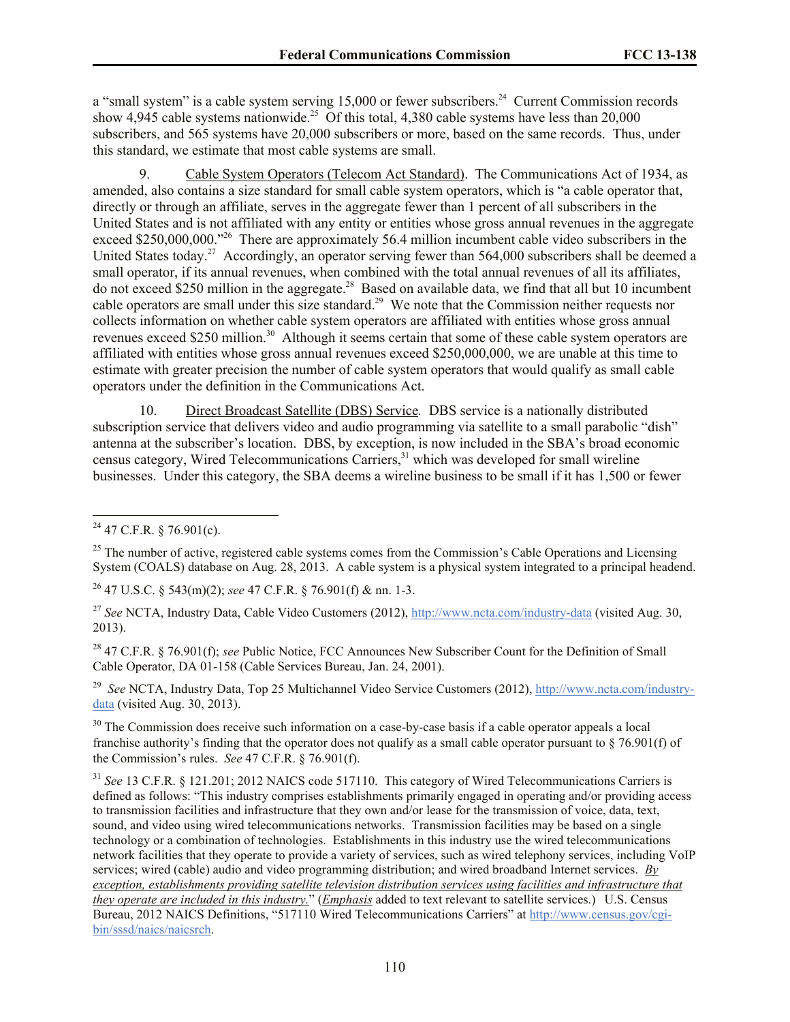a "small system" is a cable system serving 15,000 or fewer subscribers.<sup>24</sup> Current Commission records show 4,945 cable systems nationwide.<sup>25</sup> Of this total, 4,380 cable systems have less than 20,000 subscribers, and 565 systems have 20,000 subscribers or more, based on the same records. Thus, under this standard, we estimate that most cable systems are small.

9. Cable System Operators (Telecom Act Standard).The Communications Act of 1934, as amended, also contains a size standard for small cable system operators, which is "a cable operator that, directly or through an affiliate, serves in the aggregate fewer than 1 percent of all subscribers in the United States and is not affiliated with any entity or entities whose gross annual revenues in the aggregate exceed \$250,000,000."<sup>26</sup> There are approximately 56.4 million incumbent cable video subscribers in the United States today.<sup>27</sup> Accordingly, an operator serving fewer than 564,000 subscribers shall be deemed a small operator, if its annual revenues, when combined with the total annual revenues of all its affiliates, do not exceed \$250 million in the aggregate.<sup>28</sup> Based on available data, we find that all but 10 incumbent cable operators are small under this size standard.<sup>29</sup> We note that the Commission neither requests nor collects information on whether cable system operators are affiliated with entities whose gross annual revenues exceed \$250 million.<sup>30</sup> Although it seems certain that some of these cable system operators are affiliated with entities whose gross annual revenues exceed \$250,000,000, we are unable at this time to estimate with greater precision the number of cable system operators that would qualify as small cable operators under the definition in the Communications Act.

10. Direct Broadcast Satellite (DBS) Service*.* DBS service is a nationally distributed subscription service that delivers video and audio programming via satellite to a small parabolic "dish" antenna at the subscriber's location. DBS, by exception, is now included in the SBA's broad economic census category, Wired Telecommunications Carriers,<sup>31</sup> which was developed for small wireline businesses. Under this category, the SBA deems a wireline business to be small if it has 1,500 or fewer

l

<sup>26</sup> 47 U.S.C. § 543(m)(2); *see* 47 C.F.R. § 76.901(f) & nn. 1-3.

<sup>28</sup> 47 C.F.R. § 76.901(f); *see* Public Notice, FCC Announces New Subscriber Count for the Definition of Small Cable Operator, DA 01-158 (Cable Services Bureau, Jan. 24, 2001).

<sup>29</sup> *See* NCTA, Industry Data, Top 25 Multichannel Video Service Customers (2012), http://www.ncta.com/industrydata (visited Aug. 30, 2013).

<sup>30</sup> The Commission does receive such information on a case-by-case basis if a cable operator appeals a local franchise authority's finding that the operator does not qualify as a small cable operator pursuant to  $\S$  76.901(f) of the Commission's rules. *See* 47 C.F.R. § 76.901(f).

<sup>31</sup> See 13 C.F.R. § 121.201; 2012 NAICS code 517110. This category of Wired Telecommunications Carriers is defined as follows: "This industry comprises establishments primarily engaged in operating and/or providing access to transmission facilities and infrastructure that they own and/or lease for the transmission of voice, data, text, sound, and video using wired telecommunications networks. Transmission facilities may be based on a single technology or a combination of technologies. Establishments in this industry use the wired telecommunications network facilities that they operate to provide a variety of services, such as wired telephony services, including VoIP services; wired (cable) audio and video programming distribution; and wired broadband Internet services. *By exception, establishments providing satellite television distribution services using facilities and infrastructure that they operate are included in this industry.*" (*Emphasis* added to text relevant to satellite services.) U.S. Census Bureau, 2012 NAICS Definitions, "517110 Wired Telecommunications Carriers" at http://www.census.gov/cgibin/sssd/naics/naicsrch.

 $^{24}$  47 C.F.R. § 76.901(c).

<sup>&</sup>lt;sup>25</sup> The number of active, registered cable systems comes from the Commission's Cable Operations and Licensing System (COALS) database on Aug. 28, 2013. A cable system is a physical system integrated to a principal headend.

<sup>27</sup> *See* NCTA, Industry Data, Cable Video Customers (2012), http://www.ncta.com/industry-data (visited Aug. 30, 2013).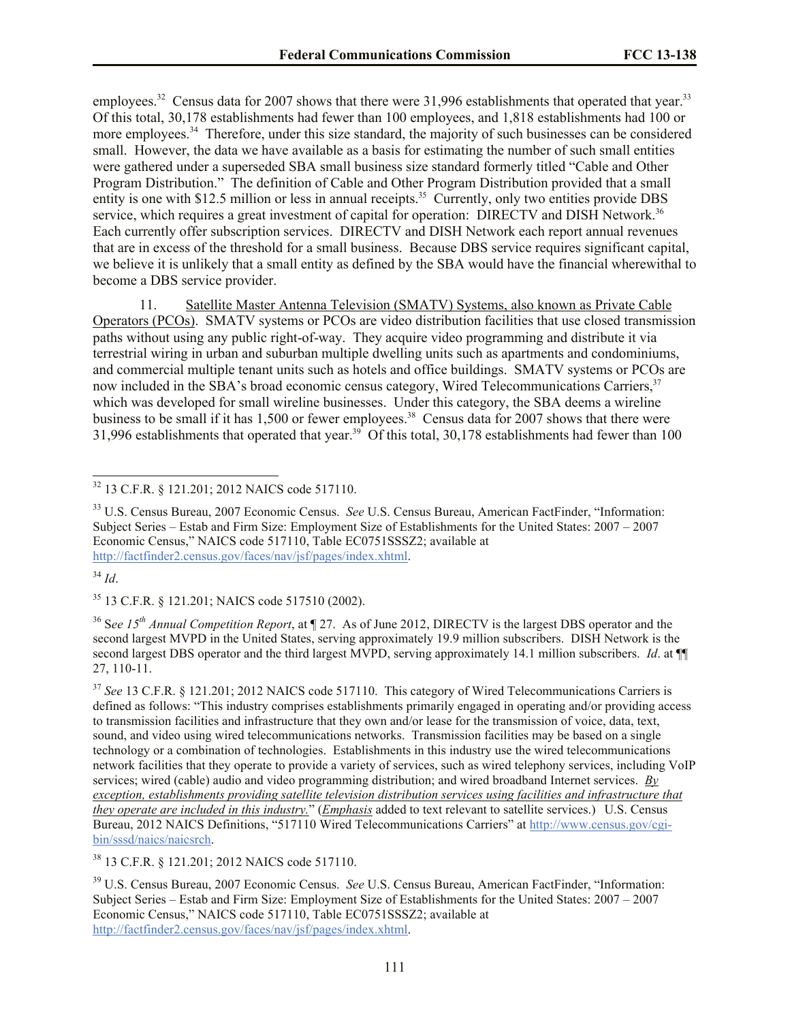employees.<sup>32</sup> Census data for 2007 shows that there were 31,996 establishments that operated that year.<sup>33</sup> Of this total, 30,178 establishments had fewer than 100 employees, and 1,818 establishments had 100 or more employees.<sup>34</sup> Therefore, under this size standard, the majority of such businesses can be considered small. However, the data we have available as a basis for estimating the number of such small entities were gathered under a superseded SBA small business size standard formerly titled "Cable and Other Program Distribution." The definition of Cable and Other Program Distribution provided that a small entity is one with \$12.5 million or less in annual receipts.<sup>35</sup> Currently, only two entities provide DBS service, which requires a great investment of capital for operation: DIRECTV and DISH Network.<sup>36</sup> Each currently offer subscription services. DIRECTV and DISH Network each report annual revenues that are in excess of the threshold for a small business. Because DBS service requires significant capital, we believe it is unlikely that a small entity as defined by the SBA would have the financial wherewithal to become a DBS service provider.

11. Satellite Master Antenna Television (SMATV) Systems, also known as Private Cable Operators (PCOs). SMATV systems or PCOs are video distribution facilities that use closed transmission paths without using any public right-of-way. They acquire video programming and distribute it via terrestrial wiring in urban and suburban multiple dwelling units such as apartments and condominiums, and commercial multiple tenant units such as hotels and office buildings. SMATV systems or PCOs are now included in the SBA's broad economic census category, Wired Telecommunications Carriers,<sup>37</sup> which was developed for small wireline businesses. Under this category, the SBA deems a wireline business to be small if it has  $1,500$  or fewer employees.<sup>38</sup> Census data for 2007 shows that there were 31,996 establishments that operated that year.<sup>39</sup> Of this total, 30,178 establishments had fewer than 100

 $\overline{a}$ 

<sup>35</sup> 13 C.F.R. § 121.201; NAICS code 517510 (2002).

<sup>36</sup> S*ee 15th Annual Competition Report*, at ¶ 27. As of June 2012, DIRECTV is the largest DBS operator and the second largest MVPD in the United States, serving approximately 19.9 million subscribers. DISH Network is the second largest DBS operator and the third largest MVPD, serving approximately 14.1 million subscribers. *Id.* at ¶ 27, 110-11.

<sup>37</sup> *See* 13 C.F.R. § 121.201; 2012 NAICS code 517110. This category of Wired Telecommunications Carriers is defined as follows: "This industry comprises establishments primarily engaged in operating and/or providing access to transmission facilities and infrastructure that they own and/or lease for the transmission of voice, data, text, sound, and video using wired telecommunications networks. Transmission facilities may be based on a single technology or a combination of technologies. Establishments in this industry use the wired telecommunications network facilities that they operate to provide a variety of services, such as wired telephony services, including VoIP services; wired (cable) audio and video programming distribution; and wired broadband Internet services. *By exception, establishments providing satellite television distribution services using facilities and infrastructure that they operate are included in this industry.*" (*Emphasis* added to text relevant to satellite services.) U.S. Census Bureau, 2012 NAICS Definitions, "517110 Wired Telecommunications Carriers" at http://www.census.gov/cgibin/sssd/naics/naicsrch.

<sup>38</sup> 13 C.F.R. § 121.201; 2012 NAICS code 517110.

<sup>39</sup> U.S. Census Bureau, 2007 Economic Census. *See* U.S. Census Bureau, American FactFinder, "Information: Subject Series – Estab and Firm Size: Employment Size of Establishments for the United States: 2007 – 2007 Economic Census," NAICS code 517110, Table EC0751SSSZ2; available at http://factfinder2.census.gov/faces/nav/jsf/pages/index.xhtml.

<sup>32</sup> 13 C.F.R. § 121.201; 2012 NAICS code 517110.

<sup>33</sup> U.S. Census Bureau, 2007 Economic Census. *See* U.S. Census Bureau, American FactFinder, "Information: Subject Series – Estab and Firm Size: Employment Size of Establishments for the United States: 2007 – 2007 Economic Census," NAICS code 517110, Table EC0751SSSZ2; available at http://factfinder2.census.gov/faces/nav/jsf/pages/index.xhtml.

<sup>34</sup> *Id*.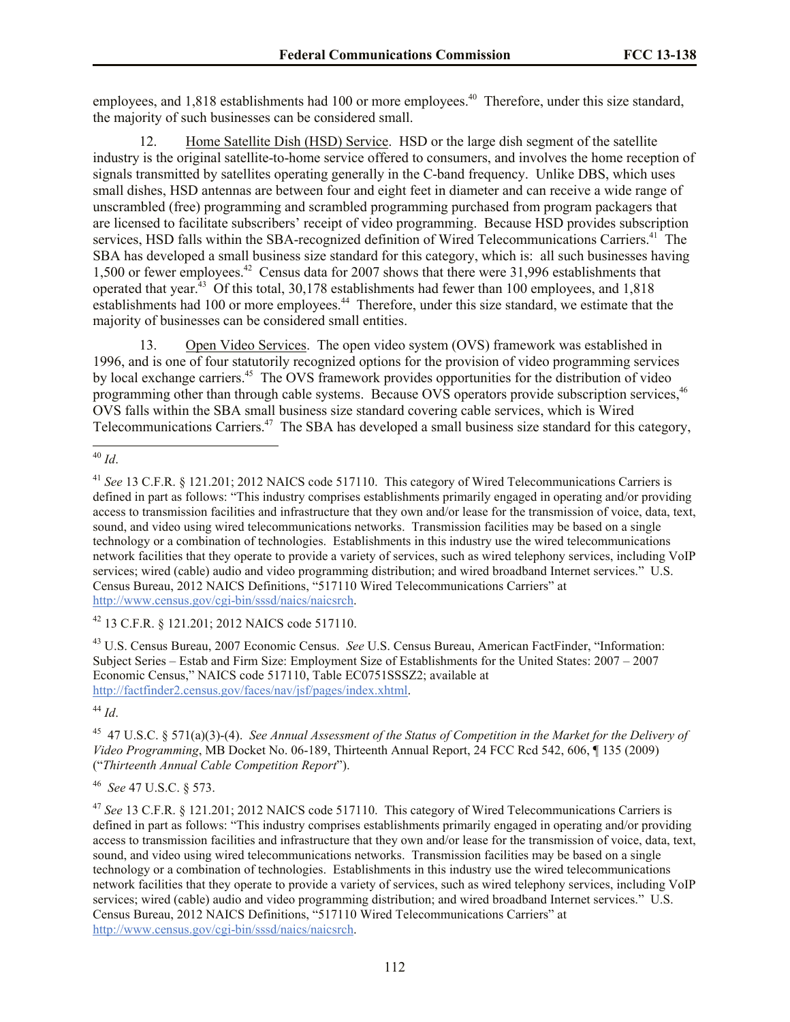employees, and 1,818 establishments had 100 or more employees.<sup>40</sup> Therefore, under this size standard, the majority of such businesses can be considered small.

12. Home Satellite Dish (HSD) Service. HSD or the large dish segment of the satellite industry is the original satellite-to-home service offered to consumers, and involves the home reception of signals transmitted by satellites operating generally in the C-band frequency. Unlike DBS, which uses small dishes, HSD antennas are between four and eight feet in diameter and can receive a wide range of unscrambled (free) programming and scrambled programming purchased from program packagers that are licensed to facilitate subscribers' receipt of video programming. Because HSD provides subscription services, HSD falls within the SBA-recognized definition of Wired Telecommunications Carriers.<sup>41</sup> The SBA has developed a small business size standard for this category, which is: all such businesses having 1,500 or fewer employees.<sup>42</sup> Census data for 2007 shows that there were 31,996 establishments that operated that year.<sup>43</sup> Of this total, 30,178 establishments had fewer than 100 employees, and 1,818 establishments had 100 or more employees.<sup>44</sup> Therefore, under this size standard, we estimate that the majority of businesses can be considered small entities.

13. Open Video Services. The open video system (OVS) framework was established in 1996, and is one of four statutorily recognized options for the provision of video programming services by local exchange carriers.<sup>45</sup> The OVS framework provides opportunities for the distribution of video programming other than through cable systems. Because OVS operators provide subscription services,<sup>46</sup> OVS falls within the SBA small business size standard covering cable services, which is Wired Telecommunications Carriers.<sup>47</sup> The SBA has developed a small business size standard for this category,

<sup>42</sup> 13 C.F.R. § 121.201; 2012 NAICS code 517110.

<sup>43</sup> U.S. Census Bureau, 2007 Economic Census. *See* U.S. Census Bureau, American FactFinder, "Information: Subject Series – Estab and Firm Size: Employment Size of Establishments for the United States: 2007 – 2007 Economic Census," NAICS code 517110, Table EC0751SSSZ2; available at http://factfinder2.census.gov/faces/nav/jsf/pages/index.xhtml.

<sup>44</sup> *Id*.

45 47 U.S.C. § 571(a)(3)-(4). *See Annual Assessment of the Status of Competition in the Market for the Delivery of Video Programming*, MB Docket No. 06-189, Thirteenth Annual Report, 24 FCC Rcd 542, 606, ¶ 135 (2009) ("*Thirteenth Annual Cable Competition Report*").

46 *See* 47 U.S.C. § 573.

<sup>47</sup> *See* 13 C.F.R. § 121.201; 2012 NAICS code 517110. This category of Wired Telecommunications Carriers is defined in part as follows: "This industry comprises establishments primarily engaged in operating and/or providing access to transmission facilities and infrastructure that they own and/or lease for the transmission of voice, data, text, sound, and video using wired telecommunications networks. Transmission facilities may be based on a single technology or a combination of technologies. Establishments in this industry use the wired telecommunications network facilities that they operate to provide a variety of services, such as wired telephony services, including VoIP services; wired (cable) audio and video programming distribution; and wired broadband Internet services." U.S. Census Bureau, 2012 NAICS Definitions, "517110 Wired Telecommunications Carriers" at http://www.census.gov/cgi-bin/sssd/naics/naicsrch.

l <sup>40</sup> *Id*.

<sup>&</sup>lt;sup>41</sup> See 13 C.F.R. § 121.201; 2012 NAICS code 517110. This category of Wired Telecommunications Carriers is defined in part as follows: "This industry comprises establishments primarily engaged in operating and/or providing access to transmission facilities and infrastructure that they own and/or lease for the transmission of voice, data, text, sound, and video using wired telecommunications networks. Transmission facilities may be based on a single technology or a combination of technologies. Establishments in this industry use the wired telecommunications network facilities that they operate to provide a variety of services, such as wired telephony services, including VoIP services; wired (cable) audio and video programming distribution; and wired broadband Internet services." U.S. Census Bureau, 2012 NAICS Definitions, "517110 Wired Telecommunications Carriers" at http://www.census.gov/cgi-bin/sssd/naics/naicsrch.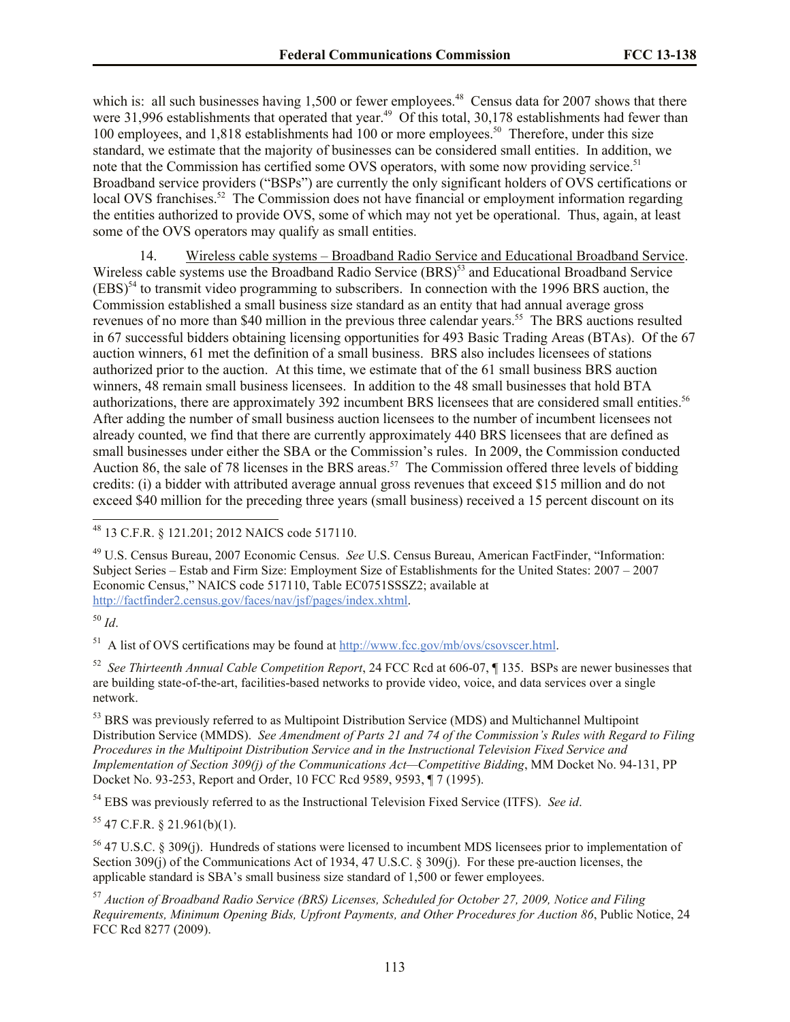which is: all such businesses having  $1,500$  or fewer employees.<sup>48</sup> Census data for 2007 shows that there were  $31,996$  establishments that operated that year.<sup>49</sup> Of this total,  $30,178$  establishments had fewer than 100 employees, and 1,818 establishments had 100 or more employees.<sup>50</sup> Therefore, under this size standard, we estimate that the majority of businesses can be considered small entities. In addition, we note that the Commission has certified some OVS operators, with some now providing service.<sup>51</sup> Broadband service providers ("BSPs") are currently the only significant holders of OVS certifications or local OVS franchises.<sup>52</sup> The Commission does not have financial or employment information regarding the entities authorized to provide OVS, some of which may not yet be operational. Thus, again, at least some of the OVS operators may qualify as small entities.

14. Wireless cable systems – Broadband Radio Service and Educational Broadband Service. Wireless cable systems use the Broadband Radio Service (BRS)<sup>53</sup> and Educational Broadband Service  $(EBS)^{54}$  to transmit video programming to subscribers. In connection with the 1996 BRS auction, the Commission established a small business size standard as an entity that had annual average gross revenues of no more than \$40 million in the previous three calendar years.<sup>55</sup> The BRS auctions resulted in 67 successful bidders obtaining licensing opportunities for 493 Basic Trading Areas (BTAs). Of the 67 auction winners, 61 met the definition of a small business. BRS also includes licensees of stations authorized prior to the auction. At this time, we estimate that of the 61 small business BRS auction winners, 48 remain small business licensees. In addition to the 48 small businesses that hold BTA authorizations, there are approximately 392 incumbent BRS licensees that are considered small entities.<sup>56</sup> After adding the number of small business auction licensees to the number of incumbent licensees not already counted, we find that there are currently approximately 440 BRS licensees that are defined as small businesses under either the SBA or the Commission's rules. In 2009, the Commission conducted Auction 86, the sale of 78 licenses in the BRS areas.<sup>57</sup> The Commission offered three levels of bidding credits: (i) a bidder with attributed average annual gross revenues that exceed \$15 million and do not exceed \$40 million for the preceding three years (small business) received a 15 percent discount on its

<sup>49</sup> U.S. Census Bureau, 2007 Economic Census. *See* U.S. Census Bureau, American FactFinder, "Information: Subject Series – Estab and Firm Size: Employment Size of Establishments for the United States: 2007 – 2007 Economic Census," NAICS code 517110, Table EC0751SSSZ2; available at http://factfinder2.census.gov/faces/nav/jsf/pages/index.xhtml.

l

 $^{51}$  A list of OVS certifications may be found at  $\frac{http://www.fcc.gov/mb/ovs/csovscer.html}{$ .

52 *See Thirteenth Annual Cable Competition Report*, 24 FCC Rcd at 606-07, ¶ 135. BSPs are newer businesses that are building state-of-the-art, facilities-based networks to provide video, voice, and data services over a single network.

<sup>53</sup> BRS was previously referred to as Multipoint Distribution Service (MDS) and Multichannel Multipoint Distribution Service (MMDS). *See Amendment of Parts 21 and 74 of the Commission's Rules with Regard to Filing Procedures in the Multipoint Distribution Service and in the Instructional Television Fixed Service and Implementation of Section 309(j) of the Communications Act—Competitive Bidding*, MM Docket No. 94-131, PP Docket No. 93-253, Report and Order, 10 FCC Rcd 9589, 9593, ¶ 7 (1995).

<sup>54</sup> EBS was previously referred to as the Instructional Television Fixed Service (ITFS). *See id*.

 $55$  47 C.F.R. § 21.961(b)(1).

<sup>56</sup> 47 U.S.C. § 309(j). Hundreds of stations were licensed to incumbent MDS licensees prior to implementation of Section 309(j) of the Communications Act of 1934, 47 U.S.C. § 309(j). For these pre-auction licenses, the applicable standard is SBA's small business size standard of 1,500 or fewer employees.

<sup>48</sup> 13 C.F.R. § 121.201; 2012 NAICS code 517110.

<sup>50</sup> *Id*.

<sup>57</sup> *Auction of Broadband Radio Service (BRS) Licenses, Scheduled for October 27, 2009, Notice and Filing Requirements, Minimum Opening Bids, Upfront Payments, and Other Procedures for Auction 86*, Public Notice, 24 FCC Rcd 8277 (2009).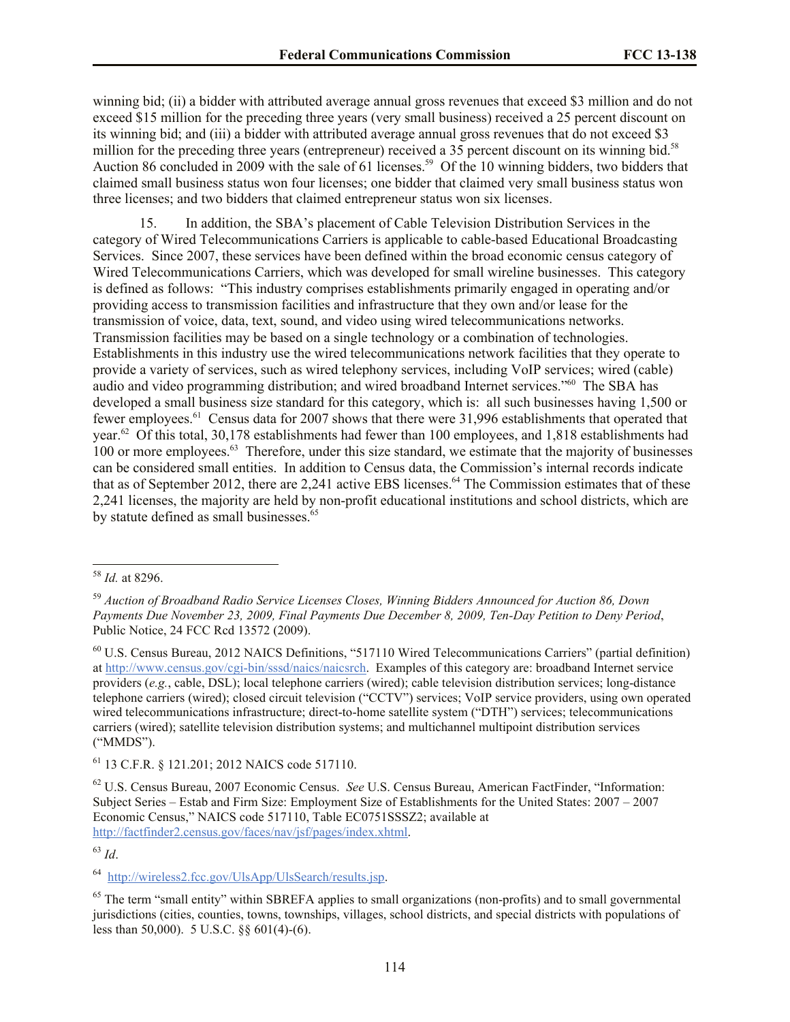winning bid; (ii) a bidder with attributed average annual gross revenues that exceed \$3 million and do not exceed \$15 million for the preceding three years (very small business) received a 25 percent discount on its winning bid; and (iii) a bidder with attributed average annual gross revenues that do not exceed \$3 million for the preceding three years (entrepreneur) received a 35 percent discount on its winning bid.<sup>58</sup> Auction 86 concluded in 2009 with the sale of 61 licenses.<sup>59</sup> Of the 10 winning bidders, two bidders that claimed small business status won four licenses; one bidder that claimed very small business status won three licenses; and two bidders that claimed entrepreneur status won six licenses.

15. In addition, the SBA's placement of Cable Television Distribution Services in the category of Wired Telecommunications Carriers is applicable to cable-based Educational Broadcasting Services. Since 2007, these services have been defined within the broad economic census category of Wired Telecommunications Carriers, which was developed for small wireline businesses. This category is defined as follows: "This industry comprises establishments primarily engaged in operating and/or providing access to transmission facilities and infrastructure that they own and/or lease for the transmission of voice, data, text, sound, and video using wired telecommunications networks. Transmission facilities may be based on a single technology or a combination of technologies. Establishments in this industry use the wired telecommunications network facilities that they operate to provide a variety of services, such as wired telephony services, including VoIP services; wired (cable) audio and video programming distribution; and wired broadband Internet services."<sup>60</sup> The SBA has developed a small business size standard for this category, which is: all such businesses having 1,500 or fewer employees.<sup>61</sup> Census data for 2007 shows that there were 31,996 establishments that operated that year.<sup>62</sup> Of this total, 30,178 establishments had fewer than 100 employees, and 1,818 establishments had 100 or more employees.<sup>63</sup> Therefore, under this size standard, we estimate that the majority of businesses can be considered small entities. In addition to Census data, the Commission's internal records indicate that as of September 2012, there are 2,241 active EBS licenses.<sup>64</sup> The Commission estimates that of these 2,241 licenses, the majority are held by non-profit educational institutions and school districts, which are by statute defined as small businesses.<sup>65</sup>

 $\overline{a}$ 

<sup>61</sup> 13 C.F.R. § 121.201; 2012 NAICS code 517110.

<sup>63</sup> *Id*.

64 http://wireless2.fcc.gov/UlsApp/UlsSearch/results.jsp.

<sup>58</sup> *Id.* at 8296.

<sup>59</sup> *Auction of Broadband Radio Service Licenses Closes, Winning Bidders Announced for Auction 86, Down Payments Due November 23, 2009, Final Payments Due December 8, 2009, Ten-Day Petition to Deny Period*, Public Notice, 24 FCC Rcd 13572 (2009).

<sup>60</sup> U.S. Census Bureau, 2012 NAICS Definitions, "517110 Wired Telecommunications Carriers" (partial definition) at http://www.census.gov/cgi-bin/sssd/naics/naicsrch. Examples of this category are: broadband Internet service providers (*e.g.*, cable, DSL); local telephone carriers (wired); cable television distribution services; long-distance telephone carriers (wired); closed circuit television ("CCTV") services; VoIP service providers, using own operated wired telecommunications infrastructure; direct-to-home satellite system ("DTH") services; telecommunications carriers (wired); satellite television distribution systems; and multichannel multipoint distribution services ("MMDS").

<sup>62</sup> U.S. Census Bureau, 2007 Economic Census. *See* U.S. Census Bureau, American FactFinder, "Information: Subject Series – Estab and Firm Size: Employment Size of Establishments for the United States: 2007 – 2007 Economic Census," NAICS code 517110, Table EC0751SSSZ2; available at http://factfinder2.census.gov/faces/nav/jsf/pages/index.xhtml.

 $65$  The term "small entity" within SBREFA applies to small organizations (non-profits) and to small governmental jurisdictions (cities, counties, towns, townships, villages, school districts, and special districts with populations of less than 50,000). 5 U.S.C. §§ 601(4)-(6).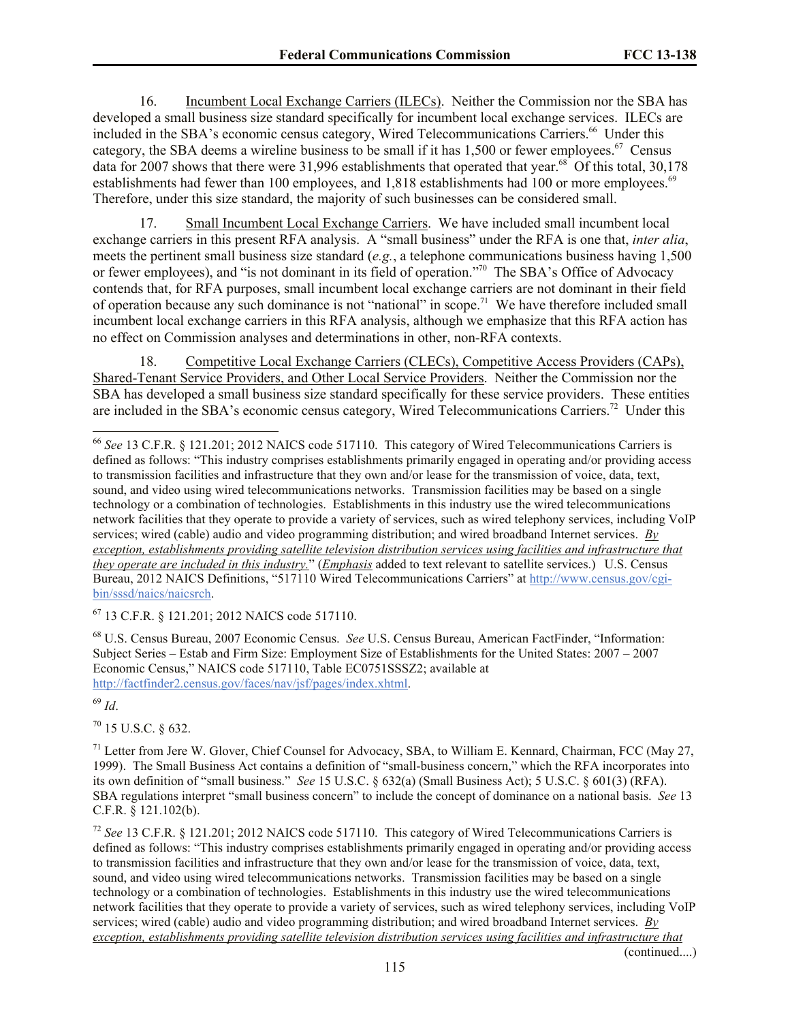16. Incumbent Local Exchange Carriers (ILECs). Neither the Commission nor the SBA has developed a small business size standard specifically for incumbent local exchange services. ILECs are included in the SBA's economic census category, Wired Telecommunications Carriers.<sup>66</sup> Under this category, the SBA deems a wireline business to be small if it has  $1,500$  or fewer employees.<sup>67</sup> Census data for 2007 shows that there were 31,996 establishments that operated that year.<sup>68</sup> Of this total, 30,178 establishments had fewer than 100 employees, and 1,818 establishments had 100 or more employees.<sup>69</sup> Therefore, under this size standard, the majority of such businesses can be considered small.

17. Small Incumbent Local Exchange Carriers. We have included small incumbent local exchange carriers in this present RFA analysis. A "small business" under the RFA is one that, *inter alia*, meets the pertinent small business size standard (*e.g.*, a telephone communications business having 1,500 or fewer employees), and "is not dominant in its field of operation."<sup>70</sup> The SBA's Office of Advocacy contends that, for RFA purposes, small incumbent local exchange carriers are not dominant in their field of operation because any such dominance is not "national" in scope.<sup>71</sup> We have therefore included small incumbent local exchange carriers in this RFA analysis, although we emphasize that this RFA action has no effect on Commission analyses and determinations in other, non-RFA contexts.

18. Competitive Local Exchange Carriers (CLECs), Competitive Access Providers (CAPs), Shared-Tenant Service Providers, and Other Local Service Providers. Neither the Commission nor the SBA has developed a small business size standard specifically for these service providers. These entities are included in the SBA's economic census category, Wired Telecommunications Carriers.<sup>72</sup> Under this

<sup>67</sup> 13 C.F.R. § 121.201; 2012 NAICS code 517110.

<sup>68</sup> U.S. Census Bureau, 2007 Economic Census. *See* U.S. Census Bureau, American FactFinder, "Information: Subject Series – Estab and Firm Size: Employment Size of Establishments for the United States: 2007 – 2007 Economic Census," NAICS code 517110, Table EC0751SSSZ2; available at http://factfinder2.census.gov/faces/nav/jsf/pages/index.xhtml.

<sup>69</sup> *Id*.

 $\overline{a}$ 

 $70$  15 U.S.C. § 632.

 $71$  Letter from Jere W. Glover, Chief Counsel for Advocacy, SBA, to William E. Kennard, Chairman, FCC (May 27, 1999). The Small Business Act contains a definition of "small-business concern," which the RFA incorporates into its own definition of "small business." *See* 15 U.S.C. § 632(a) (Small Business Act); 5 U.S.C. § 601(3) (RFA). SBA regulations interpret "small business concern" to include the concept of dominance on a national basis. *See* 13 C.F.R. § 121.102(b).

<sup>72</sup> *See* 13 C.F.R. § 121.201; 2012 NAICS code 517110. This category of Wired Telecommunications Carriers is defined as follows: "This industry comprises establishments primarily engaged in operating and/or providing access to transmission facilities and infrastructure that they own and/or lease for the transmission of voice, data, text, sound, and video using wired telecommunications networks. Transmission facilities may be based on a single technology or a combination of technologies. Establishments in this industry use the wired telecommunications network facilities that they operate to provide a variety of services, such as wired telephony services, including VoIP services; wired (cable) audio and video programming distribution; and wired broadband Internet services. *By exception, establishments providing satellite television distribution services using facilities and infrastructure that* 

(continued....)

<sup>66</sup> *See* 13 C.F.R. § 121.201; 2012 NAICS code 517110. This category of Wired Telecommunications Carriers is defined as follows: "This industry comprises establishments primarily engaged in operating and/or providing access to transmission facilities and infrastructure that they own and/or lease for the transmission of voice, data, text, sound, and video using wired telecommunications networks. Transmission facilities may be based on a single technology or a combination of technologies. Establishments in this industry use the wired telecommunications network facilities that they operate to provide a variety of services, such as wired telephony services, including VoIP services; wired (cable) audio and video programming distribution; and wired broadband Internet services. *By exception, establishments providing satellite television distribution services using facilities and infrastructure that they operate are included in this industry.*" (*Emphasis* added to text relevant to satellite services.) U.S. Census Bureau, 2012 NAICS Definitions, "517110 Wired Telecommunications Carriers" at http://www.census.gov/cgibin/sssd/naics/naicsrch.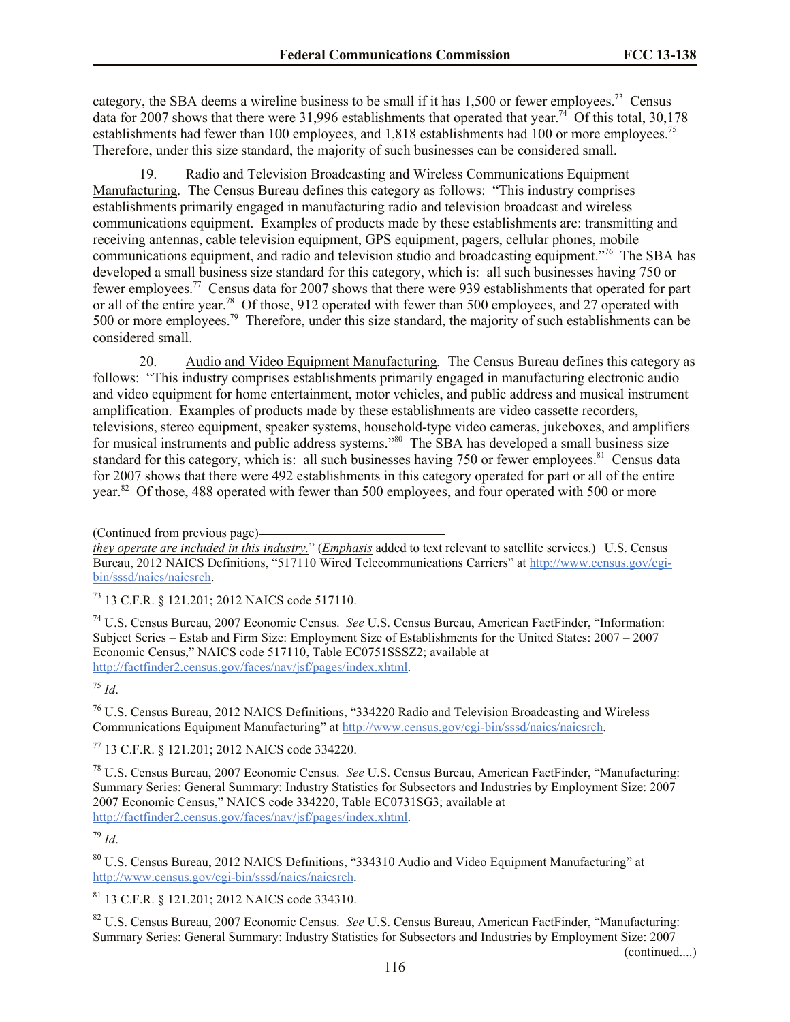category, the SBA deems a wireline business to be small if it has  $1,500$  or fewer employees.<sup>73</sup> Census data for 2007 shows that there were 31,996 establishments that operated that year.<sup>74</sup> Of this total, 30,178 establishments had fewer than 100 employees, and 1,818 establishments had 100 or more employees.<sup>75</sup> Therefore, under this size standard, the majority of such businesses can be considered small.

19. Radio and Television Broadcasting and Wireless Communications Equipment Manufacturing. The Census Bureau defines this category as follows: "This industry comprises establishments primarily engaged in manufacturing radio and television broadcast and wireless communications equipment. Examples of products made by these establishments are: transmitting and receiving antennas, cable television equipment, GPS equipment, pagers, cellular phones, mobile communications equipment, and radio and television studio and broadcasting equipment."<sup>76</sup> The SBA has developed a small business size standard for this category, which is: all such businesses having 750 or fewer employees.<sup>77</sup> Census data for 2007 shows that there were 939 establishments that operated for part or all of the entire year.<sup>78</sup> Of those, 912 operated with fewer than 500 employees, and 27 operated with 500 or more employees.<sup>79</sup> Therefore, under this size standard, the majority of such establishments can be considered small.

20. Audio and Video Equipment Manufacturing*.* The Census Bureau defines this category as follows: "This industry comprises establishments primarily engaged in manufacturing electronic audio and video equipment for home entertainment, motor vehicles, and public address and musical instrument amplification. Examples of products made by these establishments are video cassette recorders, televisions, stereo equipment, speaker systems, household-type video cameras, jukeboxes, and amplifiers for musical instruments and public address systems."<sup>80</sup> The SBA has developed a small business size standard for this category, which is: all such businesses having 750 or fewer employees.<sup>81</sup> Census data for 2007 shows that there were 492 establishments in this category operated for part or all of the entire year.<sup>82</sup> Of those, 488 operated with fewer than 500 employees, and four operated with 500 or more

*they operate are included in this industry.*" (*Emphasis* added to text relevant to satellite services.) U.S. Census Bureau, 2012 NAICS Definitions, "517110 Wired Telecommunications Carriers" at http://www.census.gov/cgibin/sssd/naics/naicsrch.

<sup>73</sup> 13 C.F.R. § 121.201; 2012 NAICS code 517110.

<sup>74</sup> U.S. Census Bureau, 2007 Economic Census. *See* U.S. Census Bureau, American FactFinder, "Information: Subject Series – Estab and Firm Size: Employment Size of Establishments for the United States: 2007 – 2007 Economic Census," NAICS code 517110, Table EC0751SSSZ2; available at http://factfinder2.census.gov/faces/nav/jsf/pages/index.xhtml.

<sup>75</sup> *Id*.

<sup>76</sup> U.S. Census Bureau, 2012 NAICS Definitions, "334220 Radio and Television Broadcasting and Wireless Communications Equipment Manufacturing" at http://www.census.gov/cgi-bin/sssd/naics/naicsrch.

<sup>77</sup> 13 C.F.R. § 121.201; 2012 NAICS code 334220.

<sup>78</sup> U.S. Census Bureau, 2007 Economic Census. *See* U.S. Census Bureau, American FactFinder, "Manufacturing: Summary Series: General Summary: Industry Statistics for Subsectors and Industries by Employment Size: 2007 – 2007 Economic Census," NAICS code 334220, Table EC0731SG3; available at http://factfinder2.census.gov/faces/nav/jsf/pages/index.xhtml.

<sup>79</sup> *Id*.

<sup>80</sup> U.S. Census Bureau, 2012 NAICS Definitions, "334310 Audio and Video Equipment Manufacturing" at http://www.census.gov/cgi-bin/sssd/naics/naicsrch.

<sup>81</sup> 13 C.F.R. § 121.201; 2012 NAICS code 334310.

<sup>82</sup> U.S. Census Bureau, 2007 Economic Census. *See* U.S. Census Bureau, American FactFinder, "Manufacturing: Summary Series: General Summary: Industry Statistics for Subsectors and Industries by Employment Size: 2007 –

(continued....)

<sup>(</sup>Continued from previous page)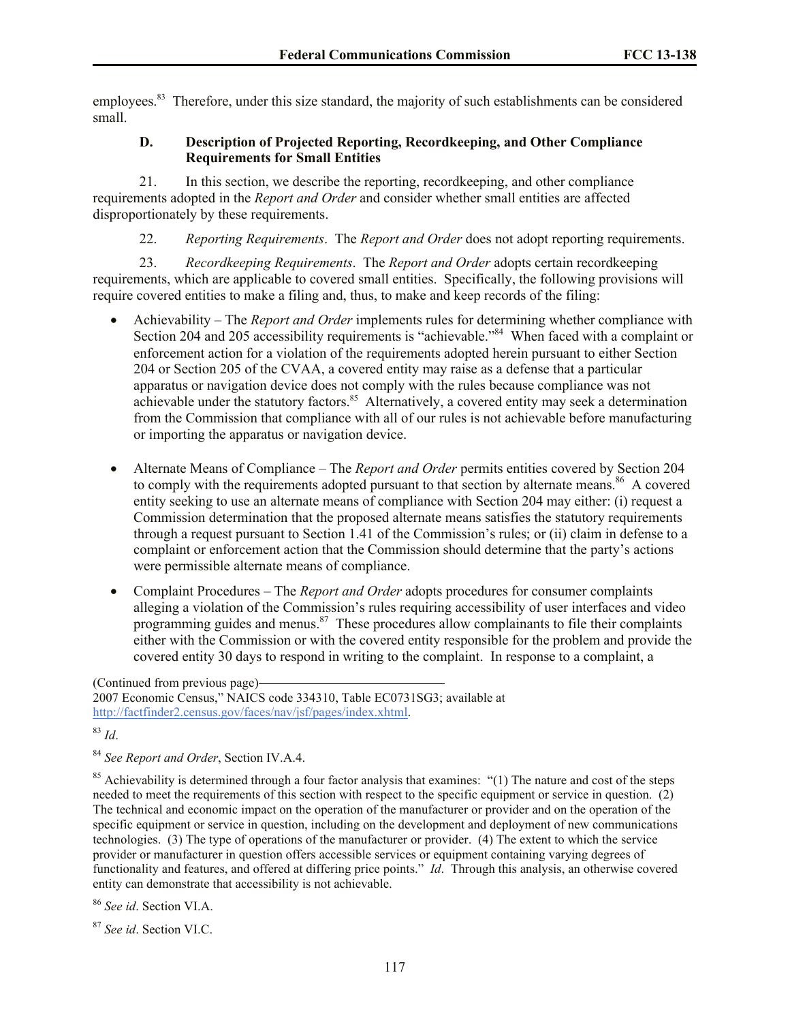employees.<sup>83</sup> Therefore, under this size standard, the majority of such establishments can be considered small.

## **D. Description of Projected Reporting, Recordkeeping, and Other Compliance Requirements for Small Entities**

21. In this section, we describe the reporting, recordkeeping, and other compliance requirements adopted in the *Report and Order* and consider whether small entities are affected disproportionately by these requirements.

22. *Reporting Requirements*. The *Report and Order* does not adopt reporting requirements.

23. *Recordkeeping Requirements*.The *Report and Order* adopts certain recordkeeping requirements, which are applicable to covered small entities. Specifically, the following provisions will require covered entities to make a filing and, thus, to make and keep records of the filing:

- Achievability The *Report and Order* implements rules for determining whether compliance with Section 204 and 205 accessibility requirements is "achievable."<sup>84</sup> When faced with a complaint or enforcement action for a violation of the requirements adopted herein pursuant to either Section 204 or Section 205 of the CVAA, a covered entity may raise as a defense that a particular apparatus or navigation device does not comply with the rules because compliance was not achievable under the statutory factors.<sup>85</sup> Alternatively, a covered entity may seek a determination from the Commission that compliance with all of our rules is not achievable before manufacturing or importing the apparatus or navigation device.
- Alternate Means of Compliance The *Report and Order* permits entities covered by Section 204 to comply with the requirements adopted pursuant to that section by alternate means.<sup>86</sup> A covered entity seeking to use an alternate means of compliance with Section 204 may either: (i) request a Commission determination that the proposed alternate means satisfies the statutory requirements through a request pursuant to Section 1.41 of the Commission's rules; or (ii) claim in defense to a complaint or enforcement action that the Commission should determine that the party's actions were permissible alternate means of compliance.
- Complaint Procedures The *Report and Order* adopts procedures for consumer complaints alleging a violation of the Commission's rules requiring accessibility of user interfaces and video programming guides and menus.<sup>87</sup> These procedures allow complainants to file their complaints either with the Commission or with the covered entity responsible for the problem and provide the covered entity 30 days to respond in writing to the complaint. In response to a complaint, a

<sup>83</sup> *Id*.

<sup>84</sup> *See Report and Order*, Section IV.A.4.

<sup>85</sup> Achievability is determined through a four factor analysis that examines: "(1) The nature and cost of the steps needed to meet the requirements of this section with respect to the specific equipment or service in question. (2) The technical and economic impact on the operation of the manufacturer or provider and on the operation of the specific equipment or service in question, including on the development and deployment of new communications technologies. (3) The type of operations of the manufacturer or provider. (4) The extent to which the service provider or manufacturer in question offers accessible services or equipment containing varying degrees of functionality and features, and offered at differing price points." *Id*. Through this analysis, an otherwise covered entity can demonstrate that accessibility is not achievable.

<sup>86</sup> *See id*. Section VI.A.

<sup>87</sup> *See id*. Section VI.C.

<sup>(</sup>Continued from previous page) 2007 Economic Census," NAICS code 334310, Table EC0731SG3; available at http://factfinder2.census.gov/faces/nav/jsf/pages/index.xhtml.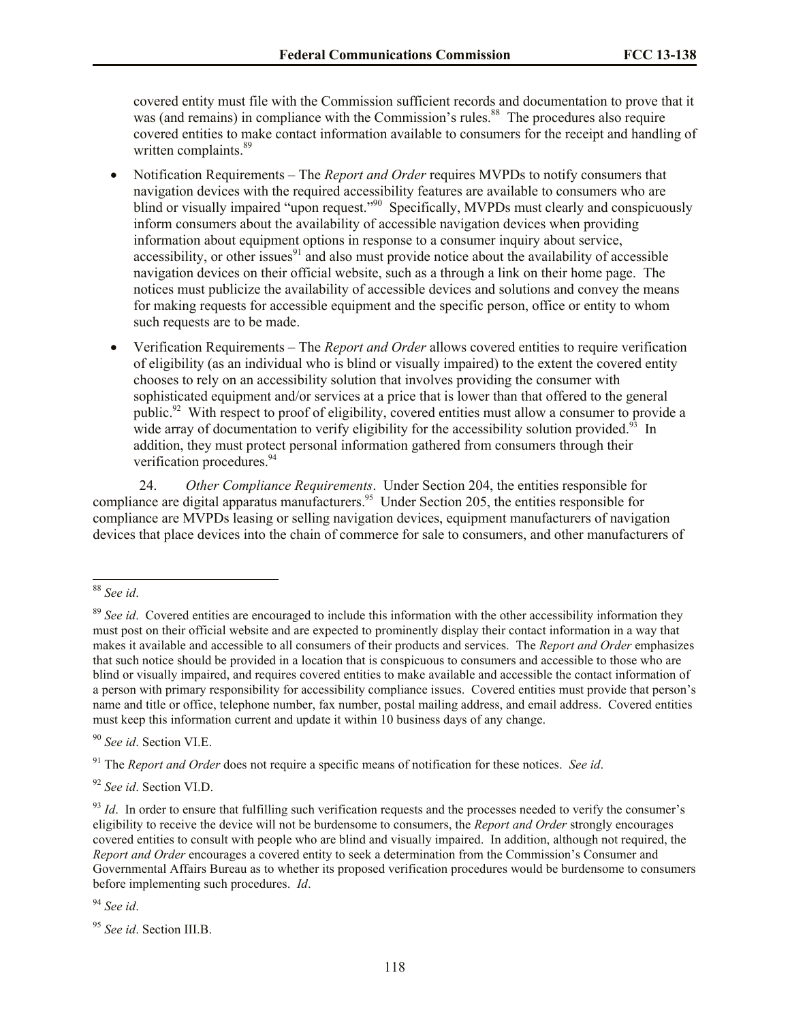covered entity must file with the Commission sufficient records and documentation to prove that it was (and remains) in compliance with the Commission's rules.<sup>88</sup> The procedures also require covered entities to make contact information available to consumers for the receipt and handling of written complaints.<sup>89</sup>

- Notification Requirements The *Report and Order* requires MVPDs to notify consumers that navigation devices with the required accessibility features are available to consumers who are blind or visually impaired "upon request."<sup>90</sup> Specifically, MVPDs must clearly and conspicuously inform consumers about the availability of accessible navigation devices when providing information about equipment options in response to a consumer inquiry about service, accessibility, or other issues $91$  and also must provide notice about the availability of accessible navigation devices on their official website, such as a through a link on their home page. The notices must publicize the availability of accessible devices and solutions and convey the means for making requests for accessible equipment and the specific person, office or entity to whom such requests are to be made.
- Verification Requirements The *Report and Order* allows covered entities to require verification of eligibility (as an individual who is blind or visually impaired) to the extent the covered entity chooses to rely on an accessibility solution that involves providing the consumer with sophisticated equipment and/or services at a price that is lower than that offered to the general public.<sup>92</sup> With respect to proof of eligibility, covered entities must allow a consumer to provide a wide array of documentation to verify eligibility for the accessibility solution provided.<sup>93</sup> In addition, they must protect personal information gathered from consumers through their verification procedures.<sup>94</sup>

24. *Other Compliance Requirements*. Under Section 204, the entities responsible for compliance are digital apparatus manufacturers.<sup>95</sup> Under Section 205, the entities responsible for compliance are MVPDs leasing or selling navigation devices, equipment manufacturers of navigation devices that place devices into the chain of commerce for sale to consumers, and other manufacturers of

<sup>90</sup> *See id*. Section VI.E.

<sup>91</sup> The *Report and Order* does not require a specific means of notification for these notices. *See id*.

<sup>92</sup> *See id*. Section VI.D.

<sup>94</sup> *See id*.

 $\overline{a}$ <sup>88</sup> *See id*.

<sup>89</sup> *See id*. Covered entities are encouraged to include this information with the other accessibility information they must post on their official website and are expected to prominently display their contact information in a way that makes it available and accessible to all consumers of their products and services. The *Report and Order* emphasizes that such notice should be provided in a location that is conspicuous to consumers and accessible to those who are blind or visually impaired, and requires covered entities to make available and accessible the contact information of a person with primary responsibility for accessibility compliance issues. Covered entities must provide that person's name and title or office, telephone number, fax number, postal mailing address, and email address. Covered entities must keep this information current and update it within 10 business days of any change.

 $^{93}$  *Id*. In order to ensure that fulfilling such verification requests and the processes needed to verify the consumer's eligibility to receive the device will not be burdensome to consumers, the *Report and Order* strongly encourages covered entities to consult with people who are blind and visually impaired. In addition, although not required, the *Report and Order* encourages a covered entity to seek a determination from the Commission's Consumer and Governmental Affairs Bureau as to whether its proposed verification procedures would be burdensome to consumers before implementing such procedures. *Id*.

<sup>95</sup> *See id*. Section III.B.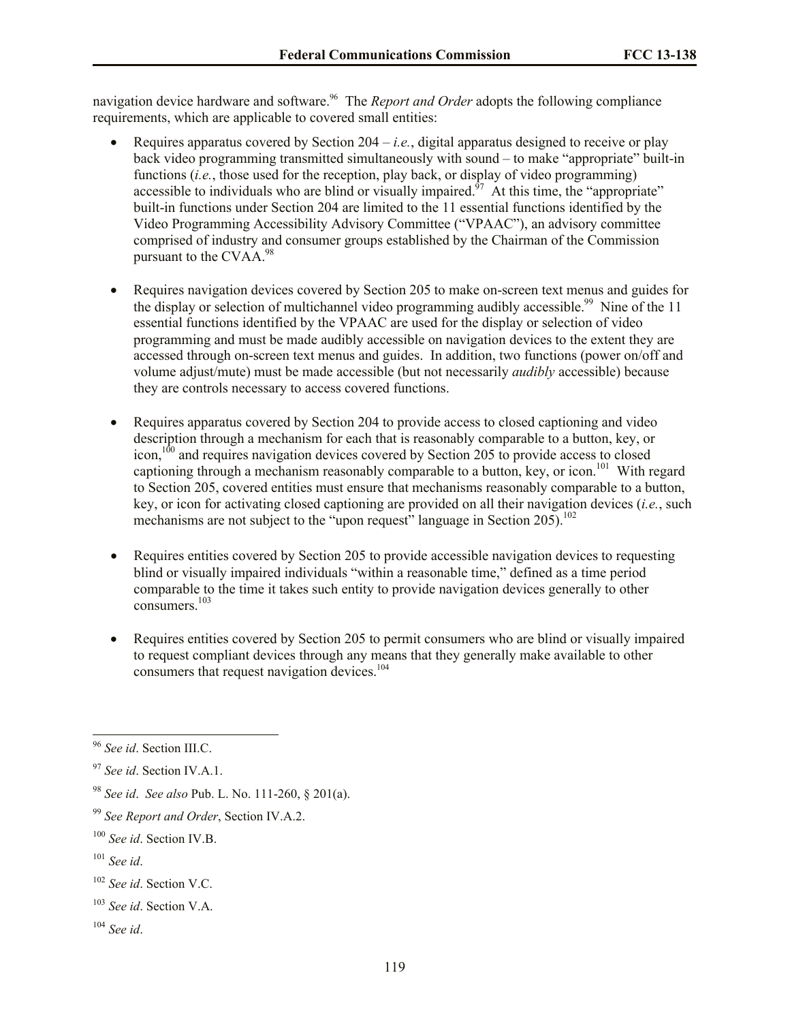navigation device hardware and software.<sup>96</sup> The *Report and Order* adopts the following compliance requirements, which are applicable to covered small entities:

- Requires apparatus covered by Section  $204 i.e.,$  digital apparatus designed to receive or play back video programming transmitted simultaneously with sound – to make "appropriate" built-in functions (*i.e.*, those used for the reception, play back, or display of video programming) accessible to individuals who are blind or visually impaired.<sup>97</sup> At this time, the "appropriate" built-in functions under Section 204 are limited to the 11 essential functions identified by the Video Programming Accessibility Advisory Committee ("VPAAC"), an advisory committee comprised of industry and consumer groups established by the Chairman of the Commission pursuant to the CVAA.<sup>98</sup>
- Requires navigation devices covered by Section 205 to make on-screen text menus and guides for the display or selection of multichannel video programming audibly accessible.<sup>99</sup> Nine of the 11 essential functions identified by the VPAAC are used for the display or selection of video programming and must be made audibly accessible on navigation devices to the extent they are accessed through on-screen text menus and guides. In addition, two functions (power on/off and volume adjust/mute) must be made accessible (but not necessarily *audibly* accessible) because they are controls necessary to access covered functions.
- Requires apparatus covered by Section 204 to provide access to closed captioning and video description through a mechanism for each that is reasonably comparable to a button, key, or icon, $100$  and requires navigation devices covered by Section 205 to provide access to closed captioning through a mechanism reasonably comparable to a button, key, or icon.<sup>101</sup> With regard to Section 205, covered entities must ensure that mechanisms reasonably comparable to a button, key, or icon for activating closed captioning are provided on all their navigation devices (*i.e.*, such mechanisms are not subject to the "upon request" language in Section  $205$ ).<sup>102</sup>
- Requires entities covered by Section 205 to provide accessible navigation devices to requesting blind or visually impaired individuals "within a reasonable time," defined as a time period comparable to the time it takes such entity to provide navigation devices generally to other consumers<sup>103</sup>
- Requires entities covered by Section 205 to permit consumers who are blind or visually impaired to request compliant devices through any means that they generally make available to other consumers that request navigation devices.<sup>104</sup>

 $\overline{a}$ 

<sup>96</sup> *See id*. Section III.C.

<sup>97</sup> *See id*. Section IV.A.1.

<sup>98</sup> *See id*. *See also* Pub. L. No. 111-260, § 201(a).

<sup>99</sup> *See Report and Order*, Section IV.A.2.

<sup>100</sup> *See id*. Section IV.B.

<sup>101</sup> *See id*.

<sup>102</sup> *See id*. Section V.C.

<sup>103</sup> *See id*. Section V.A.

<sup>104</sup> *See id*.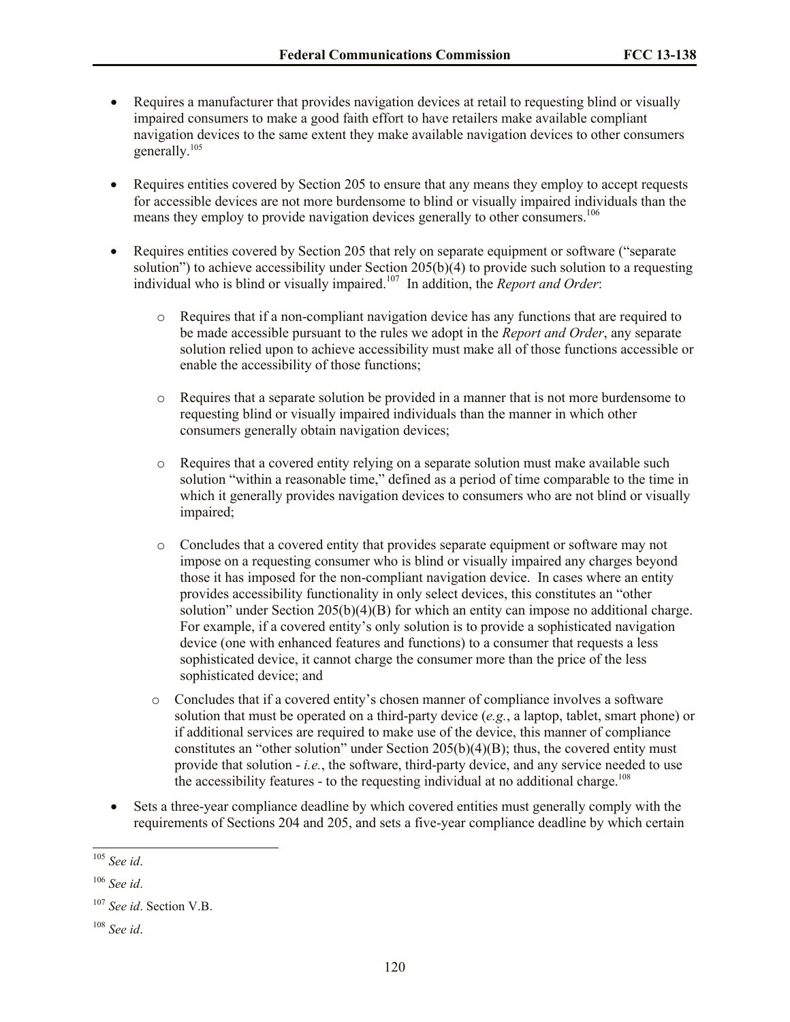- Requires a manufacturer that provides navigation devices at retail to requesting blind or visually impaired consumers to make a good faith effort to have retailers make available compliant navigation devices to the same extent they make available navigation devices to other consumers generally. 105
- Requires entities covered by Section 205 to ensure that any means they employ to accept requests for accessible devices are not more burdensome to blind or visually impaired individuals than the means they employ to provide navigation devices generally to other consumers.<sup>106</sup>
- Requires entities covered by Section 205 that rely on separate equipment or software ("separate") solution") to achieve accessibility under Section 205(b)(4) to provide such solution to a requesting individual who is blind or visually impaired. 107 In addition, the *Report and Order*:
	- $\circ$  Requires that if a non-compliant navigation device has any functions that are required to be made accessible pursuant to the rules we adopt in the *Report and Order*, any separate solution relied upon to achieve accessibility must make all of those functions accessible or enable the accessibility of those functions;
	- o Requires that a separate solution be provided in a manner that is not more burdensome to requesting blind or visually impaired individuals than the manner in which other consumers generally obtain navigation devices;
	- o Requires that a covered entity relying on a separate solution must make available such solution "within a reasonable time," defined as a period of time comparable to the time in which it generally provides navigation devices to consumers who are not blind or visually impaired;
	- o Concludes that a covered entity that provides separate equipment or software may not impose on a requesting consumer who is blind or visually impaired any charges beyond those it has imposed for the non-compliant navigation device. In cases where an entity provides accessibility functionality in only select devices, this constitutes an "other solution" under Section 205(b)(4)(B) for which an entity can impose no additional charge. For example, if a covered entity's only solution is to provide a sophisticated navigation device (one with enhanced features and functions) to a consumer that requests a less sophisticated device, it cannot charge the consumer more than the price of the less sophisticated device; and
	- o Concludes that if a covered entity's chosen manner of compliance involves a software solution that must be operated on a third-party device (*e.g.*, a laptop, tablet, smart phone) or if additional services are required to make use of the device, this manner of compliance constitutes an "other solution" under Section  $205(b)(4)(B)$ ; thus, the covered entity must provide that solution - *i.e.*, the software, third-party device, and any service needed to use the accessibility features - to the requesting individual at no additional charge.<sup>108</sup>
- Sets a three-year compliance deadline by which covered entities must generally comply with the requirements of Sections 204 and 205, and sets a five-year compliance deadline by which certain

 $\overline{a}$ 

<sup>105</sup> *See id*.

<sup>106</sup> *See id*.

<sup>107</sup> *See id*. Section V.B.

<sup>108</sup> *See id*.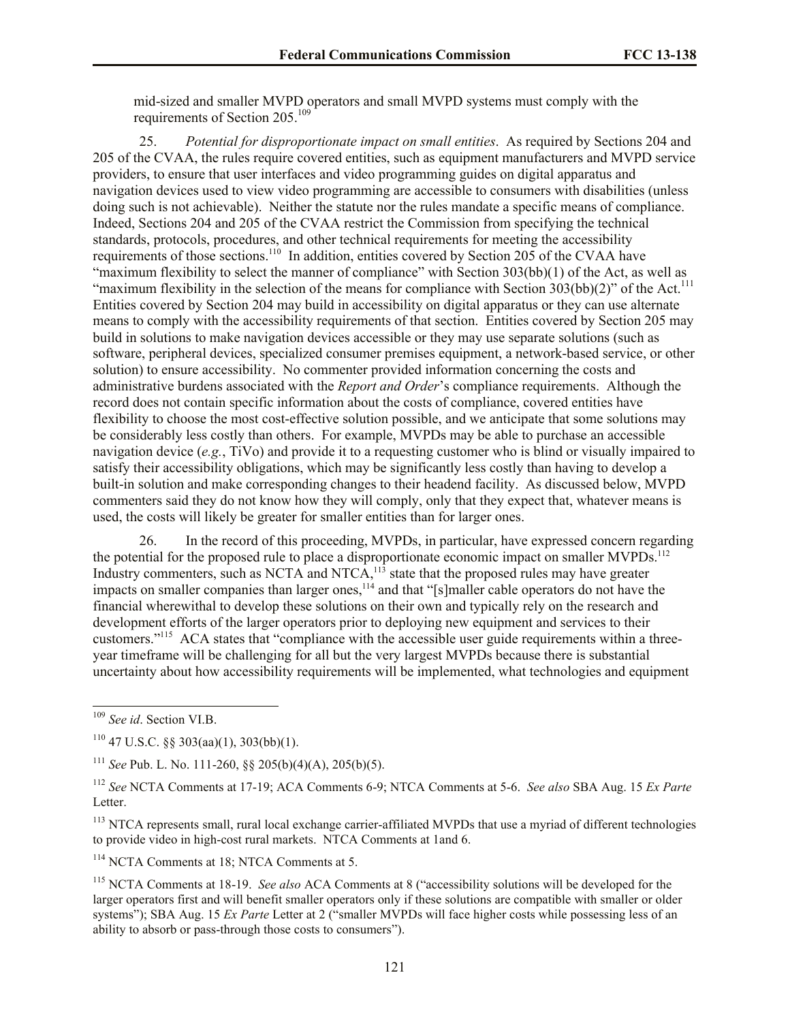mid-sized and smaller MVPD operators and small MVPD systems must comply with the requirements of Section 205.<sup>109</sup>

25. *Potential for disproportionate impact on small entities*. As required by Sections 204 and 205 of the CVAA, the rules require covered entities, such as equipment manufacturers and MVPD service providers, to ensure that user interfaces and video programming guides on digital apparatus and navigation devices used to view video programming are accessible to consumers with disabilities (unless doing such is not achievable). Neither the statute nor the rules mandate a specific means of compliance. Indeed, Sections 204 and 205 of the CVAA restrict the Commission from specifying the technical standards, protocols, procedures, and other technical requirements for meeting the accessibility requirements of those sections.<sup>110</sup> In addition, entities covered by Section 205 of the CVAA have "maximum flexibility to select the manner of compliance" with Section 303(bb)(1) of the Act, as well as "maximum flexibility in the selection of the means for compliance with Section  $303(bb)(2)$ " of the Act.<sup>111</sup> Entities covered by Section 204 may build in accessibility on digital apparatus or they can use alternate means to comply with the accessibility requirements of that section. Entities covered by Section 205 may build in solutions to make navigation devices accessible or they may use separate solutions (such as software, peripheral devices, specialized consumer premises equipment, a network-based service, or other solution) to ensure accessibility. No commenter provided information concerning the costs and administrative burdens associated with the *Report and Order*'s compliance requirements. Although the record does not contain specific information about the costs of compliance, covered entities have flexibility to choose the most cost-effective solution possible, and we anticipate that some solutions may be considerably less costly than others. For example, MVPDs may be able to purchase an accessible navigation device (*e.g.*, TiVo) and provide it to a requesting customer who is blind or visually impaired to satisfy their accessibility obligations, which may be significantly less costly than having to develop a built-in solution and make corresponding changes to their headend facility. As discussed below, MVPD commenters said they do not know how they will comply, only that they expect that, whatever means is used, the costs will likely be greater for smaller entities than for larger ones.

26. In the record of this proceeding, MVPDs, in particular, have expressed concern regarding the potential for the proposed rule to place a disproportionate economic impact on smaller MVPDs.<sup>112</sup> Industry commenters, such as NCTA and NTCA, $^{113}$  state that the proposed rules may have greater impacts on smaller companies than larger ones,<sup>114</sup> and that "[s]maller cable operators do not have the financial wherewithal to develop these solutions on their own and typically rely on the research and development efforts of the larger operators prior to deploying new equipment and services to their customers."<sup>115</sup> ACA states that "compliance with the accessible user guide requirements within a threeyear timeframe will be challenging for all but the very largest MVPDs because there is substantial uncertainty about how accessibility requirements will be implemented, what technologies and equipment

 $\overline{a}$ 

<sup>114</sup> NCTA Comments at 18: NTCA Comments at 5.

<sup>109</sup> *See id*. Section VI.B.

 $110$  47 U.S.C. §§ 303(aa)(1), 303(bb)(1).

<sup>111</sup> *See* Pub. L. No. 111-260, §§ 205(b)(4)(A), 205(b)(5).

<sup>112</sup> *See* NCTA Comments at 17-19; ACA Comments 6-9; NTCA Comments at 5-6. *See also* SBA Aug. 15 *Ex Parte* Letter.

<sup>&</sup>lt;sup>113</sup> NTCA represents small, rural local exchange carrier-affiliated MVPDs that use a myriad of different technologies to provide video in high-cost rural markets. NTCA Comments at 1and 6.

<sup>115</sup> NCTA Comments at 18-19. *See also* ACA Comments at 8 ("accessibility solutions will be developed for the larger operators first and will benefit smaller operators only if these solutions are compatible with smaller or older systems"); SBA Aug. 15 *Ex Parte* Letter at 2 ("smaller MVPDs will face higher costs while possessing less of an ability to absorb or pass-through those costs to consumers").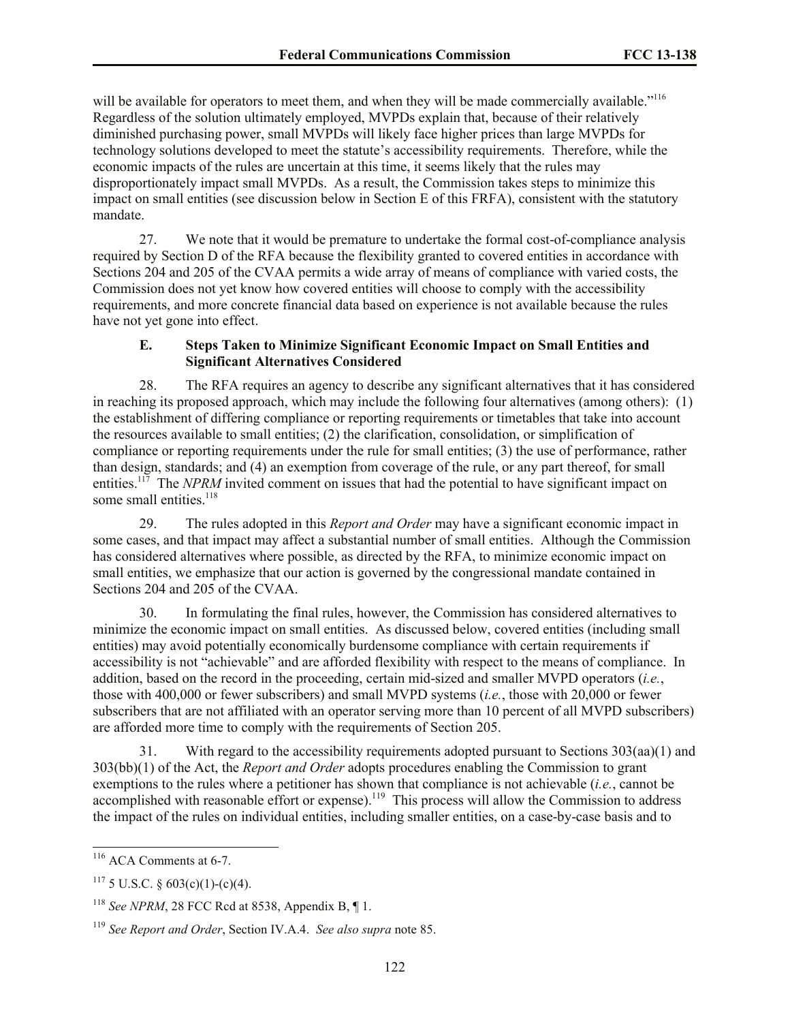will be available for operators to meet them, and when they will be made commercially available."<sup>116</sup> Regardless of the solution ultimately employed, MVPDs explain that, because of their relatively diminished purchasing power, small MVPDs will likely face higher prices than large MVPDs for technology solutions developed to meet the statute's accessibility requirements. Therefore, while the economic impacts of the rules are uncertain at this time, it seems likely that the rules may disproportionately impact small MVPDs. As a result, the Commission takes steps to minimize this impact on small entities (see discussion below in Section E of this FRFA), consistent with the statutory mandate.

27. We note that it would be premature to undertake the formal cost-of-compliance analysis required by Section D of the RFA because the flexibility granted to covered entities in accordance with Sections 204 and 205 of the CVAA permits a wide array of means of compliance with varied costs, the Commission does not yet know how covered entities will choose to comply with the accessibility requirements, and more concrete financial data based on experience is not available because the rules have not yet gone into effect.

## **E. Steps Taken to Minimize Significant Economic Impact on Small Entities and Significant Alternatives Considered**

28. The RFA requires an agency to describe any significant alternatives that it has considered in reaching its proposed approach, which may include the following four alternatives (among others): (1) the establishment of differing compliance or reporting requirements or timetables that take into account the resources available to small entities; (2) the clarification, consolidation, or simplification of compliance or reporting requirements under the rule for small entities; (3) the use of performance, rather than design, standards; and (4) an exemption from coverage of the rule, or any part thereof, for small entities.<sup>117</sup> The *NPRM* invited comment on issues that had the potential to have significant impact on some small entities.<sup>118</sup>

29. The rules adopted in this *Report and Order* may have a significant economic impact in some cases, and that impact may affect a substantial number of small entities. Although the Commission has considered alternatives where possible, as directed by the RFA, to minimize economic impact on small entities, we emphasize that our action is governed by the congressional mandate contained in Sections 204 and 205 of the CVAA.

30. In formulating the final rules, however, the Commission has considered alternatives to minimize the economic impact on small entities. As discussed below, covered entities (including small entities) may avoid potentially economically burdensome compliance with certain requirements if accessibility is not "achievable" and are afforded flexibility with respect to the means of compliance. In addition, based on the record in the proceeding, certain mid-sized and smaller MVPD operators (*i.e.*, those with 400,000 or fewer subscribers) and small MVPD systems (*i.e.*, those with 20,000 or fewer subscribers that are not affiliated with an operator serving more than 10 percent of all MVPD subscribers) are afforded more time to comply with the requirements of Section 205.

31. With regard to the accessibility requirements adopted pursuant to Sections 303(aa)(1) and 303(bb)(1) of the Act, the *Report and Order* adopts procedures enabling the Commission to grant exemptions to the rules where a petitioner has shown that compliance is not achievable (*i.e.*, cannot be accomplished with reasonable effort or expense).<sup>119</sup> This process will allow the Commission to address the impact of the rules on individual entities, including smaller entities, on a case-by-case basis and to

l

 $116$  ACA Comments at 6-7.

 $117$  5 U.S.C. § 603(c)(1)-(c)(4).

<sup>118</sup> *See NPRM*, 28 FCC Rcd at 8538, Appendix B, ¶ 1.

<sup>119</sup> *See Report and Order*, Section IV.A.4. *See also supra* note 85.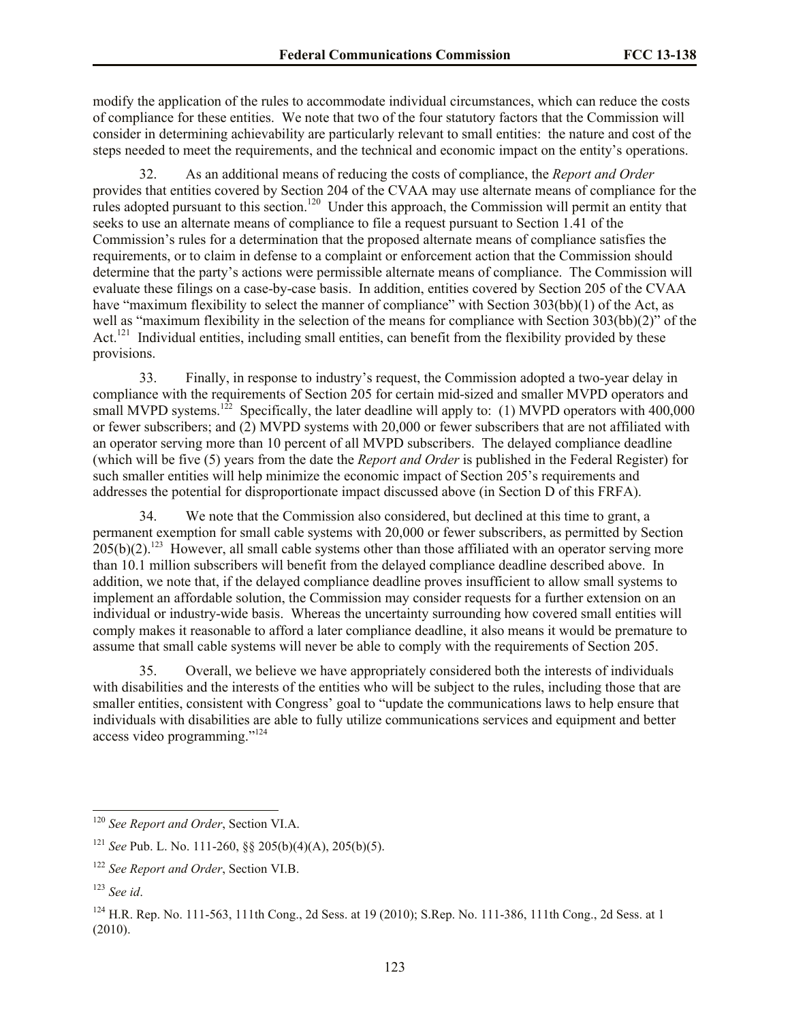modify the application of the rules to accommodate individual circumstances, which can reduce the costs of compliance for these entities. We note that two of the four statutory factors that the Commission will consider in determining achievability are particularly relevant to small entities: the nature and cost of the steps needed to meet the requirements, and the technical and economic impact on the entity's operations.

32. As an additional means of reducing the costs of compliance, the *Report and Order* provides that entities covered by Section 204 of the CVAA may use alternate means of compliance for the rules adopted pursuant to this section.<sup>120</sup> Under this approach, the Commission will permit an entity that seeks to use an alternate means of compliance to file a request pursuant to Section 1.41 of the Commission's rules for a determination that the proposed alternate means of compliance satisfies the requirements, or to claim in defense to a complaint or enforcement action that the Commission should determine that the party's actions were permissible alternate means of compliance. The Commission will evaluate these filings on a case-by-case basis. In addition, entities covered by Section 205 of the CVAA have "maximum flexibility to select the manner of compliance" with Section 303(bb)(1) of the Act, as well as "maximum flexibility in the selection of the means for compliance with Section 303(bb)(2)" of the Act.<sup>121</sup> Individual entities, including small entities, can benefit from the flexibility provided by these provisions.

33. Finally, in response to industry's request, the Commission adopted a two-year delay in compliance with the requirements of Section 205 for certain mid-sized and smaller MVPD operators and small MVPD systems.<sup>122</sup> Specifically, the later deadline will apply to: (1) MVPD operators with 400,000 or fewer subscribers; and (2) MVPD systems with 20,000 or fewer subscribers that are not affiliated with an operator serving more than 10 percent of all MVPD subscribers. The delayed compliance deadline (which will be five (5) years from the date the *Report and Order* is published in the Federal Register) for such smaller entities will help minimize the economic impact of Section 205's requirements and addresses the potential for disproportionate impact discussed above (in Section D of this FRFA).

34. We note that the Commission also considered, but declined at this time to grant, a permanent exemption for small cable systems with 20,000 or fewer subscribers, as permitted by Section  $205(b)(2)$ .<sup>123</sup> However, all small cable systems other than those affiliated with an operator serving more than 10.1 million subscribers will benefit from the delayed compliance deadline described above. In addition, we note that, if the delayed compliance deadline proves insufficient to allow small systems to implement an affordable solution, the Commission may consider requests for a further extension on an individual or industry-wide basis. Whereas the uncertainty surrounding how covered small entities will comply makes it reasonable to afford a later compliance deadline, it also means it would be premature to assume that small cable systems will never be able to comply with the requirements of Section 205.

35. Overall, we believe we have appropriately considered both the interests of individuals with disabilities and the interests of the entities who will be subject to the rules, including those that are smaller entities, consistent with Congress' goal to "update the communications laws to help ensure that individuals with disabilities are able to fully utilize communications services and equipment and better access video programming."<sup>124</sup>

 $\overline{a}$ 

<sup>120</sup> *See Report and Order*, Section VI.A.

<sup>121</sup> *See* Pub. L. No. 111-260, §§ 205(b)(4)(A), 205(b)(5).

<sup>122</sup> *See Report and Order*, Section VI.B.

<sup>123</sup> *See id*.

<sup>&</sup>lt;sup>124</sup> H.R. Rep. No. 111-563, 111th Cong., 2d Sess. at 19 (2010); S.Rep. No. 111-386, 111th Cong., 2d Sess. at 1 (2010).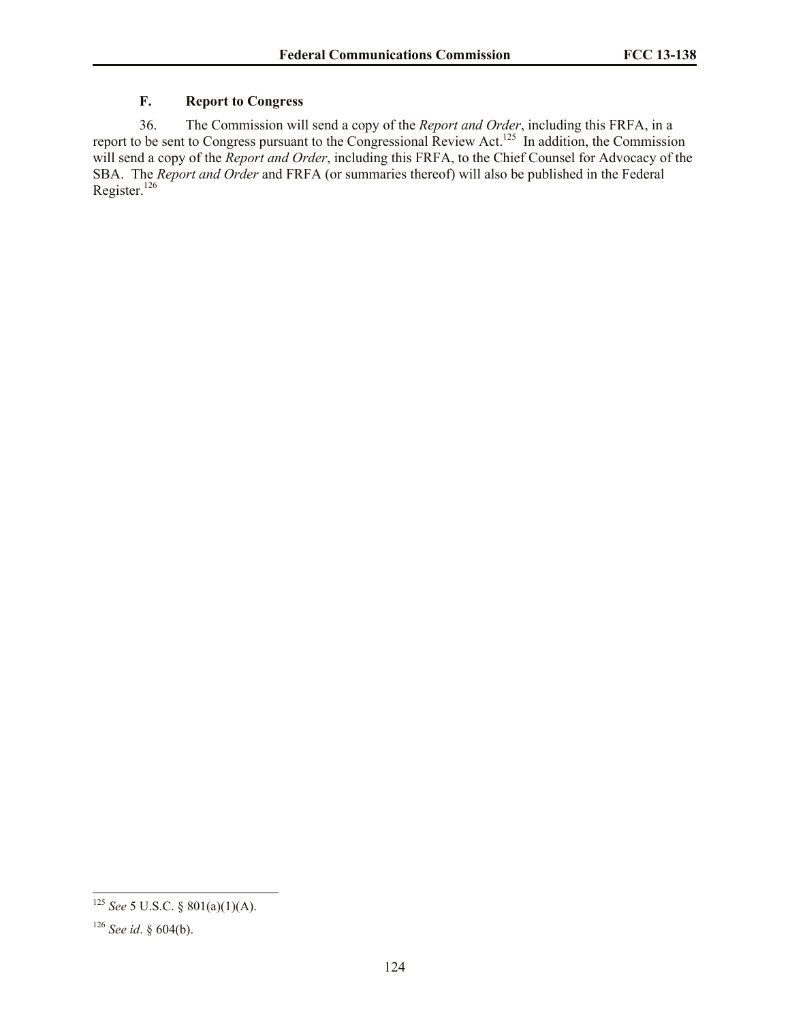# **F. Report to Congress**

36. The Commission will send a copy of the *Report and Order*, including this FRFA, in a report to be sent to Congress pursuant to the Congressional Review Act.<sup>125</sup> In addition, the Commission will send a copy of the *Report and Order*, including this FRFA, to the Chief Counsel for Advocacy of the SBA. The *Report and Order* and FRFA (or summaries thereof) will also be published in the Federal Register.<sup>126</sup>

 $\overline{a}$ 

<sup>125</sup> *See* 5 U.S.C. § 801(a)(1)(A).

<sup>126</sup> *See id*. § 604(b).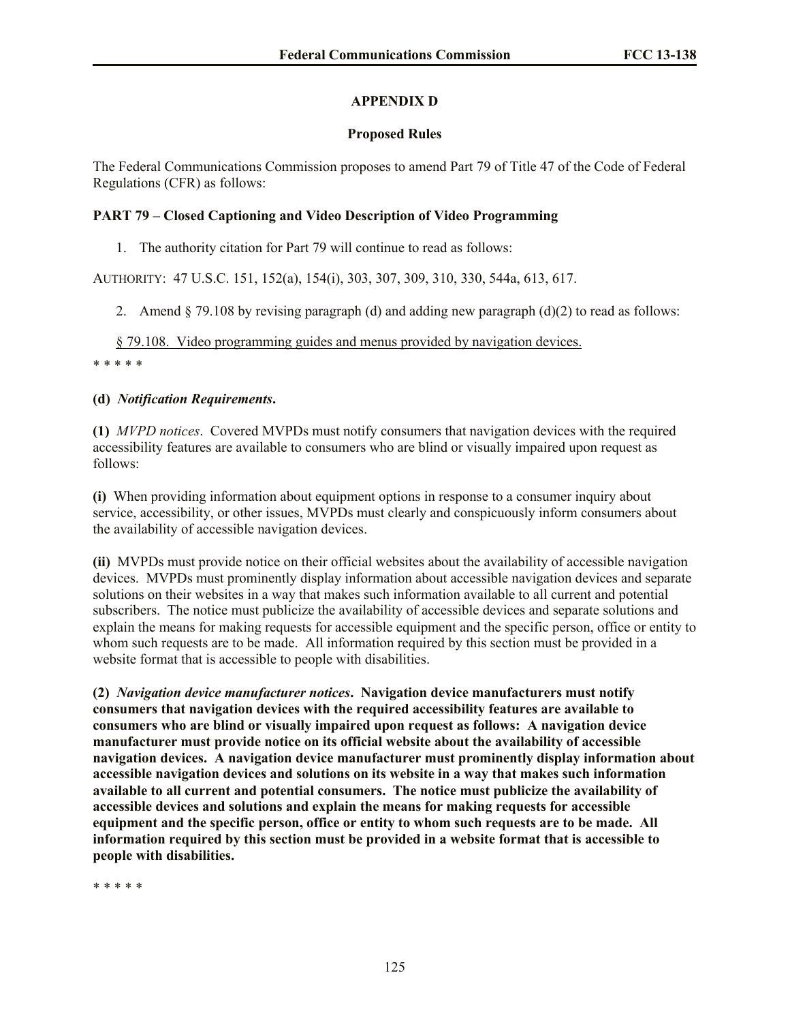# **APPENDIX D**

# **Proposed Rules**

The Federal Communications Commission proposes to amend Part 79 of Title 47 of the Code of Federal Regulations (CFR) as follows:

# **PART 79 – Closed Captioning and Video Description of Video Programming**

1. The authority citation for Part 79 will continue to read as follows:

AUTHORITY: 47 U.S.C. 151, 152(a), 154(i), 303, 307, 309, 310, 330, 544a, 613, 617.

2. Amend  $\S$  79.108 by revising paragraph (d) and adding new paragraph (d)(2) to read as follows:

## § 79.108. Video programming guides and menus provided by navigation devices.

\* \* \* \* \*

# **(d)** *Notification Requirements***.**

**(1)** *MVPD notices*. Covered MVPDs must notify consumers that navigation devices with the required accessibility features are available to consumers who are blind or visually impaired upon request as follows:

**(i)** When providing information about equipment options in response to a consumer inquiry about service, accessibility, or other issues, MVPDs must clearly and conspicuously inform consumers about the availability of accessible navigation devices.

**(ii)** MVPDs must provide notice on their official websites about the availability of accessible navigation devices. MVPDs must prominently display information about accessible navigation devices and separate solutions on their websites in a way that makes such information available to all current and potential subscribers. The notice must publicize the availability of accessible devices and separate solutions and explain the means for making requests for accessible equipment and the specific person, office or entity to whom such requests are to be made. All information required by this section must be provided in a website format that is accessible to people with disabilities.

**(2)** *Navigation device manufacturer notices***. Navigation device manufacturers must notify consumers that navigation devices with the required accessibility features are available to consumers who are blind or visually impaired upon request as follows: A navigation device manufacturer must provide notice on its official website about the availability of accessible navigation devices. A navigation device manufacturer must prominently display information about accessible navigation devices and solutions on its website in a way that makes such information available to all current and potential consumers. The notice must publicize the availability of accessible devices and solutions and explain the means for making requests for accessible equipment and the specific person, office or entity to whom such requests are to be made. All information required by this section must be provided in a website format that is accessible to people with disabilities.**

\* \* \* \* \*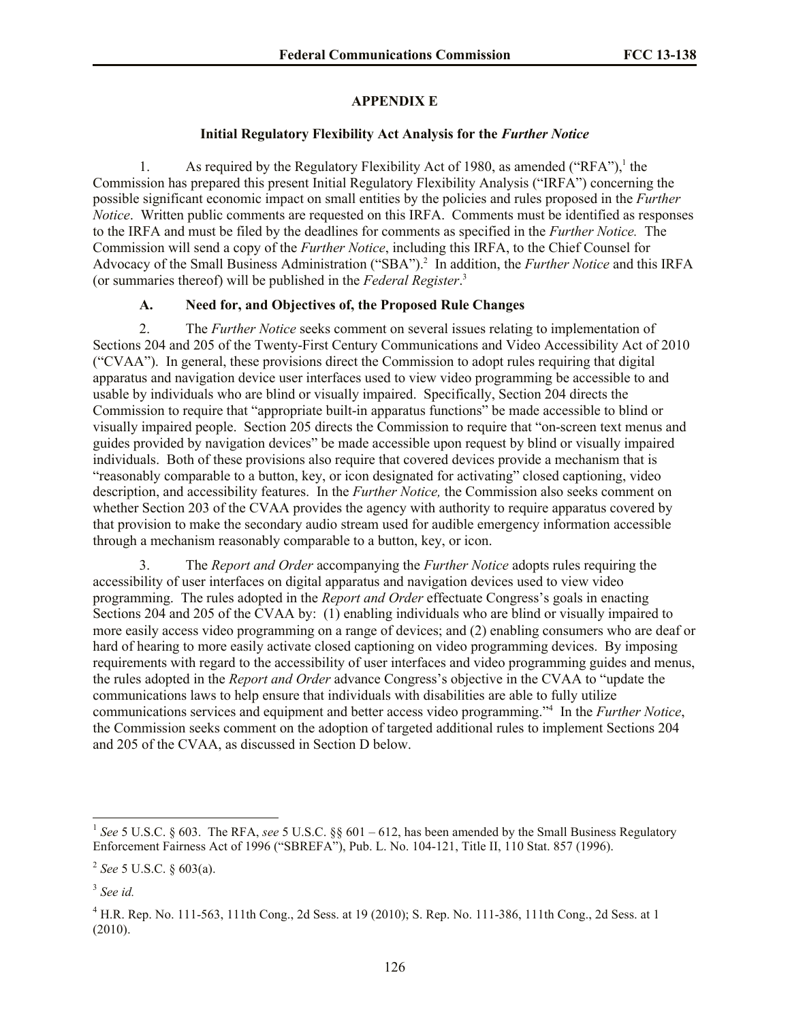### **APPENDIX E**

#### **Initial Regulatory Flexibility Act Analysis for the** *Further Notice*

1. As required by the Regulatory Flexibility Act of 1980, as amended ("RFA"),<sup>1</sup> the Commission has prepared this present Initial Regulatory Flexibility Analysis ("IRFA") concerning the possible significant economic impact on small entities by the policies and rules proposed in the *Further Notice*. Written public comments are requested on this IRFA. Comments must be identified as responses to the IRFA and must be filed by the deadlines for comments as specified in the *Further Notice.* The Commission will send a copy of the *Further Notice*, including this IRFA, to the Chief Counsel for Advocacy of the Small Business Administration ("SBA").<sup>2</sup> In addition, the *Further Notice* and this IRFA (or summaries thereof) will be published in the *Federal Register*. 3

# **A. Need for, and Objectives of, the Proposed Rule Changes**

2. The *Further Notice* seeks comment on several issues relating to implementation of Sections 204 and 205 of the Twenty-First Century Communications and Video Accessibility Act of 2010 ("CVAA"). In general, these provisions direct the Commission to adopt rules requiring that digital apparatus and navigation device user interfaces used to view video programming be accessible to and usable by individuals who are blind or visually impaired. Specifically, Section 204 directs the Commission to require that "appropriate built-in apparatus functions" be made accessible to blind or visually impaired people. Section 205 directs the Commission to require that "on-screen text menus and guides provided by navigation devices" be made accessible upon request by blind or visually impaired individuals. Both of these provisions also require that covered devices provide a mechanism that is "reasonably comparable to a button, key, or icon designated for activating" closed captioning, video description, and accessibility features. In the *Further Notice,* the Commission also seeks comment on whether Section 203 of the CVAA provides the agency with authority to require apparatus covered by that provision to make the secondary audio stream used for audible emergency information accessible through a mechanism reasonably comparable to a button, key, or icon.

3. The *Report and Order* accompanying the *Further Notice* adopts rules requiring the accessibility of user interfaces on digital apparatus and navigation devices used to view video programming. The rules adopted in the *Report and Order* effectuate Congress's goals in enacting Sections 204 and 205 of the CVAA by: (1) enabling individuals who are blind or visually impaired to more easily access video programming on a range of devices; and (2) enabling consumers who are deaf or hard of hearing to more easily activate closed captioning on video programming devices. By imposing requirements with regard to the accessibility of user interfaces and video programming guides and menus, the rules adopted in the *Report and Order* advance Congress's objective in the CVAA to "update the communications laws to help ensure that individuals with disabilities are able to fully utilize communications services and equipment and better access video programming."<sup>4</sup> In the *Further Notice*, the Commission seeks comment on the adoption of targeted additional rules to implement Sections 204 and 205 of the CVAA, as discussed in Section D below.

 1 *See* 5 U.S.C. § 603. The RFA, *see* 5 U.S.C. §§ 601 – 612, has been amended by the Small Business Regulatory Enforcement Fairness Act of 1996 ("SBREFA"), Pub. L. No. 104-121, Title II, 110 Stat. 857 (1996).

<sup>2</sup> *See* 5 U.S.C. § 603(a).

<sup>3</sup> *See id.*

<sup>4</sup> H.R. Rep. No. 111-563, 111th Cong., 2d Sess. at 19 (2010); S. Rep. No. 111-386, 111th Cong., 2d Sess. at 1 (2010).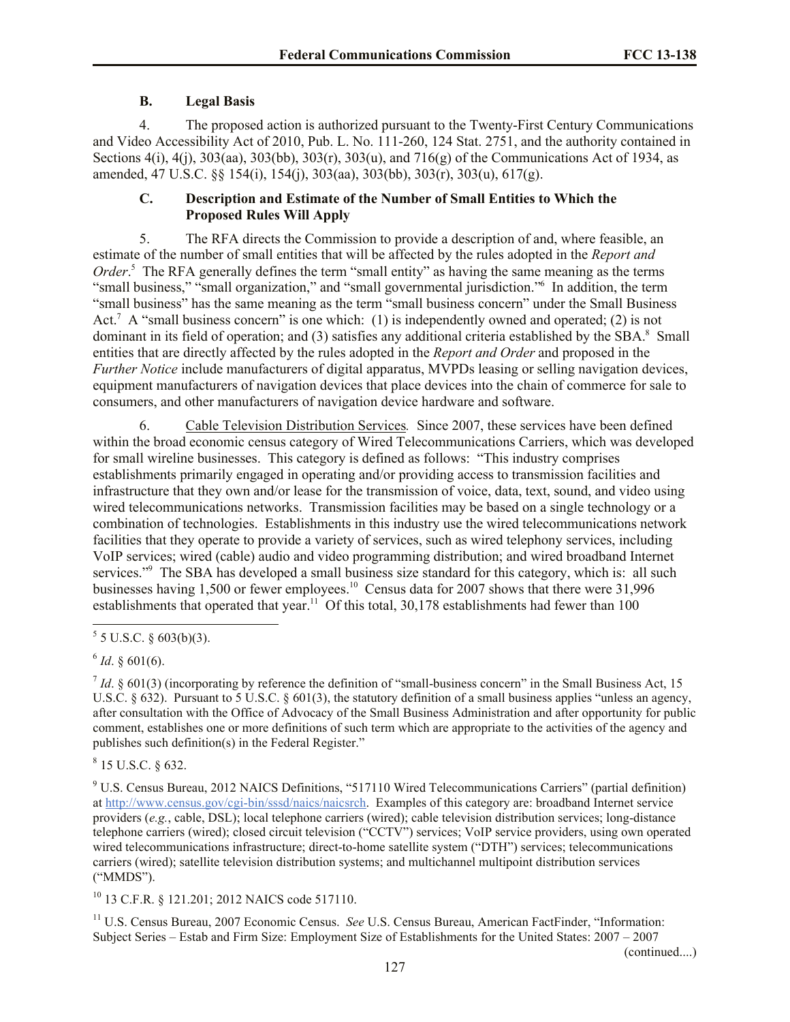# **B. Legal Basis**

4. The proposed action is authorized pursuant to the Twenty-First Century Communications and Video Accessibility Act of 2010, Pub. L. No. 111-260, 124 Stat. 2751, and the authority contained in Sections 4(i), 4(j), 303(aa), 303(bb), 303(r), 303(u), and 716(g) of the Communications Act of 1934, as amended, 47 U.S.C. §§ 154(i), 154(j), 303(aa), 303(bb), 303(r), 303(u), 617(g).

# **C. Description and Estimate of the Number of Small Entities to Which the Proposed Rules Will Apply**

5. The RFA directs the Commission to provide a description of and, where feasible, an estimate of the number of small entities that will be affected by the rules adopted in the *Report and Order*.<sup>5</sup> The RFA generally defines the term "small entity" as having the same meaning as the terms "small business," "small organization," and "small governmental jurisdiction." In addition, the term "small business" has the same meaning as the term "small business concern" under the Small Business Act.<sup>7</sup> A "small business concern" is one which: (1) is independently owned and operated; (2) is not dominant in its field of operation; and (3) satisfies any additional criteria established by the SBA.<sup>8</sup> Small entities that are directly affected by the rules adopted in the *Report and Order* and proposed in the *Further Notice* include manufacturers of digital apparatus, MVPDs leasing or selling navigation devices, equipment manufacturers of navigation devices that place devices into the chain of commerce for sale to consumers, and other manufacturers of navigation device hardware and software.

6. Cable Television Distribution Services*.* Since 2007, these services have been defined within the broad economic census category of Wired Telecommunications Carriers, which was developed for small wireline businesses. This category is defined as follows: "This industry comprises establishments primarily engaged in operating and/or providing access to transmission facilities and infrastructure that they own and/or lease for the transmission of voice, data, text, sound, and video using wired telecommunications networks. Transmission facilities may be based on a single technology or a combination of technologies. Establishments in this industry use the wired telecommunications network facilities that they operate to provide a variety of services, such as wired telephony services, including VoIP services; wired (cable) audio and video programming distribution; and wired broadband Internet services."<sup>9</sup> The SBA has developed a small business size standard for this category, which is: all such businesses having 1,500 or fewer employees.<sup>10</sup> Census data for 2007 shows that there were 31,996 establishments that operated that year.<sup>11</sup> Of this total,  $30,178$  establishments had fewer than 100

 $\overline{a}$ 

 $8$  15 U.S.C. § 632.

<sup>9</sup> U.S. Census Bureau, 2012 NAICS Definitions, "517110 Wired Telecommunications Carriers" (partial definition) at http://www.census.gov/cgi-bin/sssd/naics/naicsrch. Examples of this category are: broadband Internet service providers (*e.g.*, cable, DSL); local telephone carriers (wired); cable television distribution services; long-distance telephone carriers (wired); closed circuit television ("CCTV") services; VoIP service providers, using own operated wired telecommunications infrastructure; direct-to-home satellite system ("DTH") services; telecommunications carriers (wired); satellite television distribution systems; and multichannel multipoint distribution services ("MMDS").

<sup>10</sup> 13 C.F.R. § 121.201; 2012 NAICS code 517110.

<sup>11</sup> U.S. Census Bureau, 2007 Economic Census. *See* U.S. Census Bureau, American FactFinder, "Information: Subject Series – Estab and Firm Size: Employment Size of Establishments for the United States: 2007 – 2007

(continued....)

 $5$  5 U.S.C. § 603(b)(3).

 $6$  *Id*. § 601(6).

 $<sup>7</sup>$  *Id*. § 601(3) (incorporating by reference the definition of "small-business concern" in the Small Business Act, 15</sup> U.S.C. § 632). Pursuant to 5 U.S.C. § 601(3), the statutory definition of a small business applies "unless an agency, after consultation with the Office of Advocacy of the Small Business Administration and after opportunity for public comment, establishes one or more definitions of such term which are appropriate to the activities of the agency and publishes such definition(s) in the Federal Register."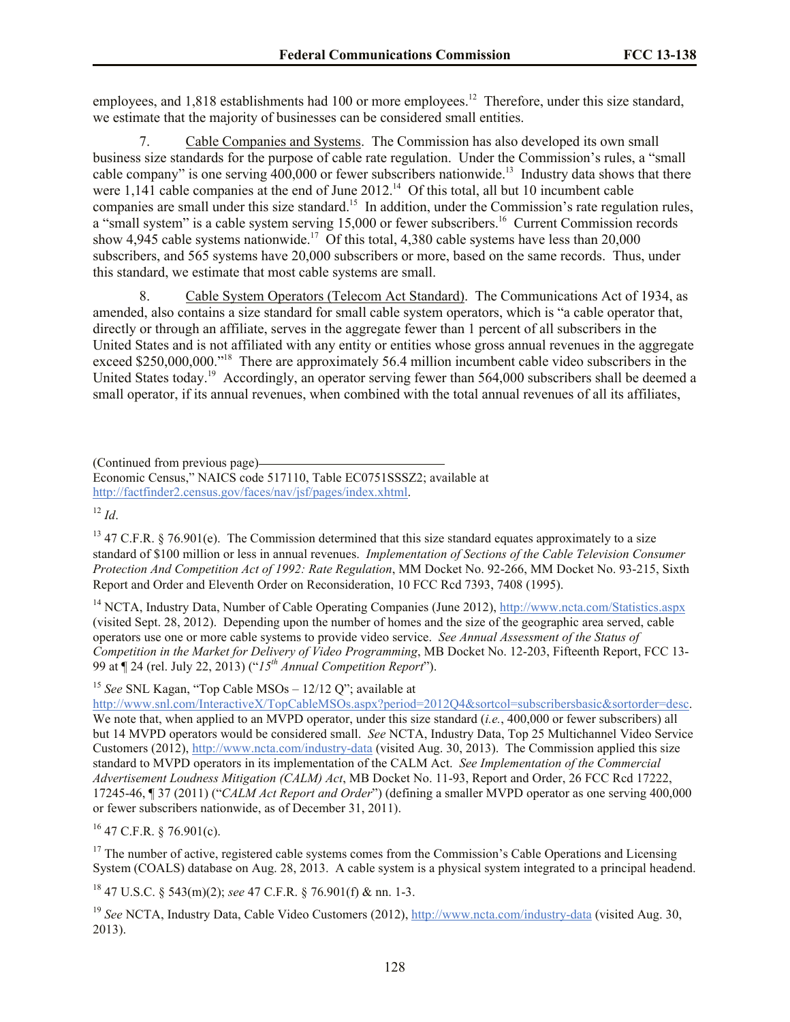employees, and  $1,818$  establishments had 100 or more employees.<sup>12</sup> Therefore, under this size standard, we estimate that the majority of businesses can be considered small entities.

7. Cable Companies and Systems. The Commission has also developed its own small business size standards for the purpose of cable rate regulation. Under the Commission's rules, a "small cable company" is one serving  $400,000$  or fewer subscribers nationwide.<sup>13</sup> Industry data shows that there were  $1,141$  cable companies at the end of June  $2012<sup>14</sup>$  Of this total, all but 10 incumbent cable companies are small under this size standard.<sup>15</sup> In addition, under the Commission's rate regulation rules, a "small system" is a cable system serving 15,000 or fewer subscribers.<sup>16</sup> Current Commission records show 4,945 cable systems nationwide.<sup>17</sup> Of this total, 4,380 cable systems have less than 20,000 subscribers, and 565 systems have 20,000 subscribers or more, based on the same records. Thus, under this standard, we estimate that most cable systems are small.

8. Cable System Operators (Telecom Act Standard).The Communications Act of 1934, as amended, also contains a size standard for small cable system operators, which is "a cable operator that, directly or through an affiliate, serves in the aggregate fewer than 1 percent of all subscribers in the United States and is not affiliated with any entity or entities whose gross annual revenues in the aggregate exceed \$250,000,000."<sup>18</sup> There are approximately 56.4 million incumbent cable video subscribers in the United States today.<sup>19</sup> Accordingly, an operator serving fewer than 564,000 subscribers shall be deemed a small operator, if its annual revenues, when combined with the total annual revenues of all its affiliates,

(Continued from previous page)

 $12 \, H$ 

 $13$  47 C.F.R. § 76.901(e). The Commission determined that this size standard equates approximately to a size standard of \$100 million or less in annual revenues. *Implementation of Sections of the Cable Television Consumer Protection And Competition Act of 1992: Rate Regulation*, MM Docket No. 92-266, MM Docket No. 93-215, Sixth Report and Order and Eleventh Order on Reconsideration, 10 FCC Rcd 7393, 7408 (1995).

<sup>14</sup> NCTA, Industry Data, Number of Cable Operating Companies (June 2012), http://www.ncta.com/Statistics.aspx (visited Sept. 28, 2012). Depending upon the number of homes and the size of the geographic area served, cable operators use one or more cable systems to provide video service. *See Annual Assessment of the Status of Competition in the Market for Delivery of Video Programming*, MB Docket No. 12-203, Fifteenth Report, FCC 13- 99 at ¶ 24 (rel. July 22, 2013) ("*15th Annual Competition Report*").

<sup>15</sup> *See* SNL Kagan, "Top Cable MSOs – 12/12 Q"; available at

http://www.snl.com/InteractiveX/TopCableMSOs.aspx?period=2012Q4&sortcol=subscribersbasic&sortorder=desc. We note that, when applied to an MVPD operator, under this size standard (*i.e.*, 400,000 or fewer subscribers) all but 14 MVPD operators would be considered small. *See* NCTA, Industry Data, Top 25 Multichannel Video Service Customers (2012), http://www.ncta.com/industry-data (visited Aug. 30, 2013). The Commission applied this size standard to MVPD operators in its implementation of the CALM Act. *See Implementation of the Commercial Advertisement Loudness Mitigation (CALM) Act*, MB Docket No. 11-93, Report and Order, 26 FCC Rcd 17222, 17245-46, ¶ 37 (2011) ("*CALM Act Report and Order*") (defining a smaller MVPD operator as one serving 400,000 or fewer subscribers nationwide, as of December 31, 2011).

 $16$  47 C.F.R. § 76.901(c).

 $17$  The number of active, registered cable systems comes from the Commission's Cable Operations and Licensing System (COALS) database on Aug. 28, 2013. A cable system is a physical system integrated to a principal headend.

<sup>18</sup> 47 U.S.C. § 543(m)(2); *see* 47 C.F.R. § 76.901(f) & nn. 1-3.

<sup>19</sup> *See* NCTA, Industry Data, Cable Video Customers (2012), http://www.ncta.com/industry-data (visited Aug. 30, 2013).

Economic Census," NAICS code 517110, Table EC0751SSSZ2; available at http://factfinder2.census.gov/faces/nav/jsf/pages/index.xhtml.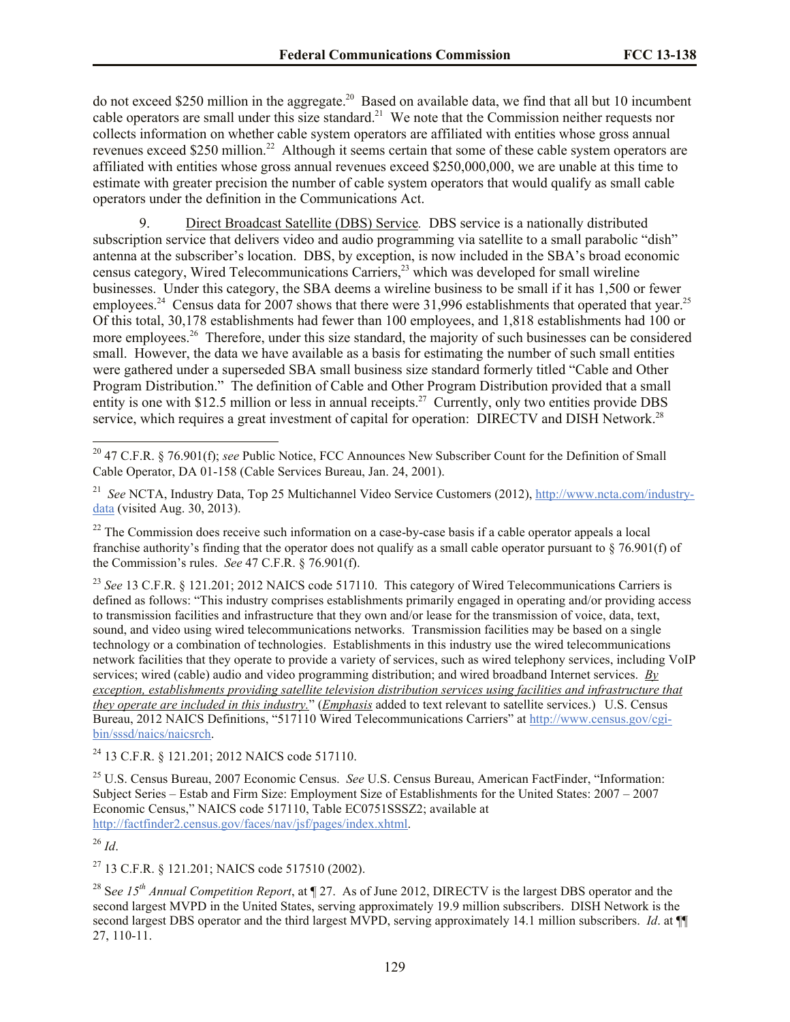do not exceed \$250 million in the aggregate.<sup>20</sup> Based on available data, we find that all but 10 incumbent cable operators are small under this size standard.<sup>21</sup> We note that the Commission neither requests nor collects information on whether cable system operators are affiliated with entities whose gross annual revenues exceed \$250 million.<sup>22</sup> Although it seems certain that some of these cable system operators are affiliated with entities whose gross annual revenues exceed \$250,000,000, we are unable at this time to estimate with greater precision the number of cable system operators that would qualify as small cable operators under the definition in the Communications Act.

9. Direct Broadcast Satellite (DBS) Service*.* DBS service is a nationally distributed subscription service that delivers video and audio programming via satellite to a small parabolic "dish" antenna at the subscriber's location. DBS, by exception, is now included in the SBA's broad economic census category, Wired Telecommunications Carriers,<sup>23</sup> which was developed for small wireline businesses. Under this category, the SBA deems a wireline business to be small if it has 1,500 or fewer employees.<sup>24</sup> Census data for 2007 shows that there were 31,996 establishments that operated that year.<sup>25</sup> Of this total, 30,178 establishments had fewer than 100 employees, and 1,818 establishments had 100 or more employees.<sup>26</sup> Therefore, under this size standard, the majority of such businesses can be considered small. However, the data we have available as a basis for estimating the number of such small entities were gathered under a superseded SBA small business size standard formerly titled "Cable and Other Program Distribution." The definition of Cable and Other Program Distribution provided that a small entity is one with \$12.5 million or less in annual receipts.<sup>27</sup> Currently, only two entities provide DBS service, which requires a great investment of capital for operation: DIRECTV and DISH Network.<sup>28</sup>

<sup>24</sup> 13 C.F.R. § 121.201; 2012 NAICS code 517110.

<sup>25</sup> U.S. Census Bureau, 2007 Economic Census. *See* U.S. Census Bureau, American FactFinder, "Information: Subject Series – Estab and Firm Size: Employment Size of Establishments for the United States: 2007 – 2007 Economic Census," NAICS code 517110, Table EC0751SSSZ2; available at http://factfinder2.census.gov/faces/nav/jsf/pages/index.xhtml.

<sup>26</sup> *Id*.

l

<sup>27</sup> 13 C.F.R. § 121.201; NAICS code 517510 (2002).

<sup>28</sup> S*ee 15th Annual Competition Report*, at ¶ 27. As of June 2012, DIRECTV is the largest DBS operator and the second largest MVPD in the United States, serving approximately 19.9 million subscribers. DISH Network is the second largest DBS operator and the third largest MVPD, serving approximately 14.1 million subscribers. *Id.* at ¶ 27, 110-11.

<sup>20</sup> 47 C.F.R. § 76.901(f); *see* Public Notice, FCC Announces New Subscriber Count for the Definition of Small Cable Operator, DA 01-158 (Cable Services Bureau, Jan. 24, 2001).

<sup>&</sup>lt;sup>21</sup> *See* NCTA, Industry Data, Top 25 Multichannel Video Service Customers (2012), http://www.ncta.com/industrydata (visited Aug. 30, 2013).

 $22$  The Commission does receive such information on a case-by-case basis if a cable operator appeals a local franchise authority's finding that the operator does not qualify as a small cable operator pursuant to § 76.901(f) of the Commission's rules. *See* 47 C.F.R. § 76.901(f).

<sup>&</sup>lt;sup>23</sup> See 13 C.F.R. § 121.201; 2012 NAICS code 517110. This category of Wired Telecommunications Carriers is defined as follows: "This industry comprises establishments primarily engaged in operating and/or providing access to transmission facilities and infrastructure that they own and/or lease for the transmission of voice, data, text, sound, and video using wired telecommunications networks. Transmission facilities may be based on a single technology or a combination of technologies. Establishments in this industry use the wired telecommunications network facilities that they operate to provide a variety of services, such as wired telephony services, including VoIP services; wired (cable) audio and video programming distribution; and wired broadband Internet services. *By exception, establishments providing satellite television distribution services using facilities and infrastructure that they operate are included in this industry.*" (*Emphasis* added to text relevant to satellite services.) U.S. Census Bureau, 2012 NAICS Definitions, "517110 Wired Telecommunications Carriers" at http://www.census.gov/cgibin/sssd/naics/naicsrch.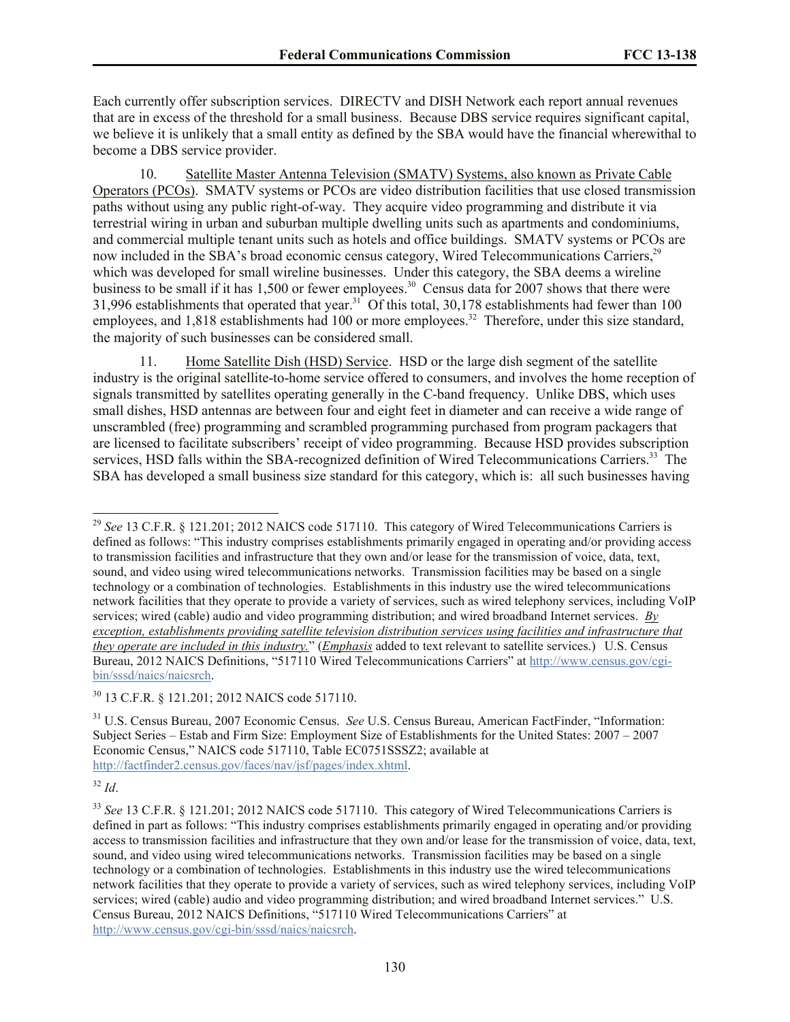Each currently offer subscription services. DIRECTV and DISH Network each report annual revenues that are in excess of the threshold for a small business. Because DBS service requires significant capital, we believe it is unlikely that a small entity as defined by the SBA would have the financial wherewithal to become a DBS service provider.

10. Satellite Master Antenna Television (SMATV) Systems, also known as Private Cable Operators (PCOs). SMATV systems or PCOs are video distribution facilities that use closed transmission paths without using any public right-of-way. They acquire video programming and distribute it via terrestrial wiring in urban and suburban multiple dwelling units such as apartments and condominiums, and commercial multiple tenant units such as hotels and office buildings. SMATV systems or PCOs are now included in the SBA's broad economic census category, Wired Telecommunications Carriers,<sup>29</sup> which was developed for small wireline businesses. Under this category, the SBA deems a wireline business to be small if it has  $1,500$  or fewer employees.<sup>30</sup> Census data for 2007 shows that there were 31,996 establishments that operated that year.<sup>31</sup> Of this total, 30,178 establishments had fewer than 100 employees, and 1,818 establishments had 100 or more employees.<sup>32</sup> Therefore, under this size standard, the majority of such businesses can be considered small.

11. Home Satellite Dish (HSD) Service. HSD or the large dish segment of the satellite industry is the original satellite-to-home service offered to consumers, and involves the home reception of signals transmitted by satellites operating generally in the C-band frequency. Unlike DBS, which uses small dishes, HSD antennas are between four and eight feet in diameter and can receive a wide range of unscrambled (free) programming and scrambled programming purchased from program packagers that are licensed to facilitate subscribers' receipt of video programming. Because HSD provides subscription services, HSD falls within the SBA-recognized definition of Wired Telecommunications Carriers.<sup>33</sup> The SBA has developed a small business size standard for this category, which is: all such businesses having

<sup>30</sup> 13 C.F.R. § 121.201; 2012 NAICS code 517110.

<sup>31</sup> U.S. Census Bureau, 2007 Economic Census. *See* U.S. Census Bureau, American FactFinder, "Information: Subject Series – Estab and Firm Size: Employment Size of Establishments for the United States: 2007 – 2007 Economic Census," NAICS code 517110, Table EC0751SSSZ2; available at http://factfinder2.census.gov/faces/nav/jsf/pages/index.xhtml.

<sup>32</sup> *Id*.

 $\overline{a}$ 

<sup>29</sup> *See* 13 C.F.R. § 121.201; 2012 NAICS code 517110. This category of Wired Telecommunications Carriers is defined as follows: "This industry comprises establishments primarily engaged in operating and/or providing access to transmission facilities and infrastructure that they own and/or lease for the transmission of voice, data, text, sound, and video using wired telecommunications networks. Transmission facilities may be based on a single technology or a combination of technologies. Establishments in this industry use the wired telecommunications network facilities that they operate to provide a variety of services, such as wired telephony services, including VoIP services; wired (cable) audio and video programming distribution; and wired broadband Internet services. *By exception, establishments providing satellite television distribution services using facilities and infrastructure that they operate are included in this industry.*" (*Emphasis* added to text relevant to satellite services.) U.S. Census Bureau, 2012 NAICS Definitions, "517110 Wired Telecommunications Carriers" at http://www.census.gov/cgibin/sssd/naics/naicsrch.

<sup>&</sup>lt;sup>33</sup> See 13 C.F.R. § 121.201; 2012 NAICS code 517110. This category of Wired Telecommunications Carriers is defined in part as follows: "This industry comprises establishments primarily engaged in operating and/or providing access to transmission facilities and infrastructure that they own and/or lease for the transmission of voice, data, text, sound, and video using wired telecommunications networks. Transmission facilities may be based on a single technology or a combination of technologies. Establishments in this industry use the wired telecommunications network facilities that they operate to provide a variety of services, such as wired telephony services, including VoIP services; wired (cable) audio and video programming distribution; and wired broadband Internet services." U.S. Census Bureau, 2012 NAICS Definitions, "517110 Wired Telecommunications Carriers" at http://www.census.gov/cgi-bin/sssd/naics/naicsrch.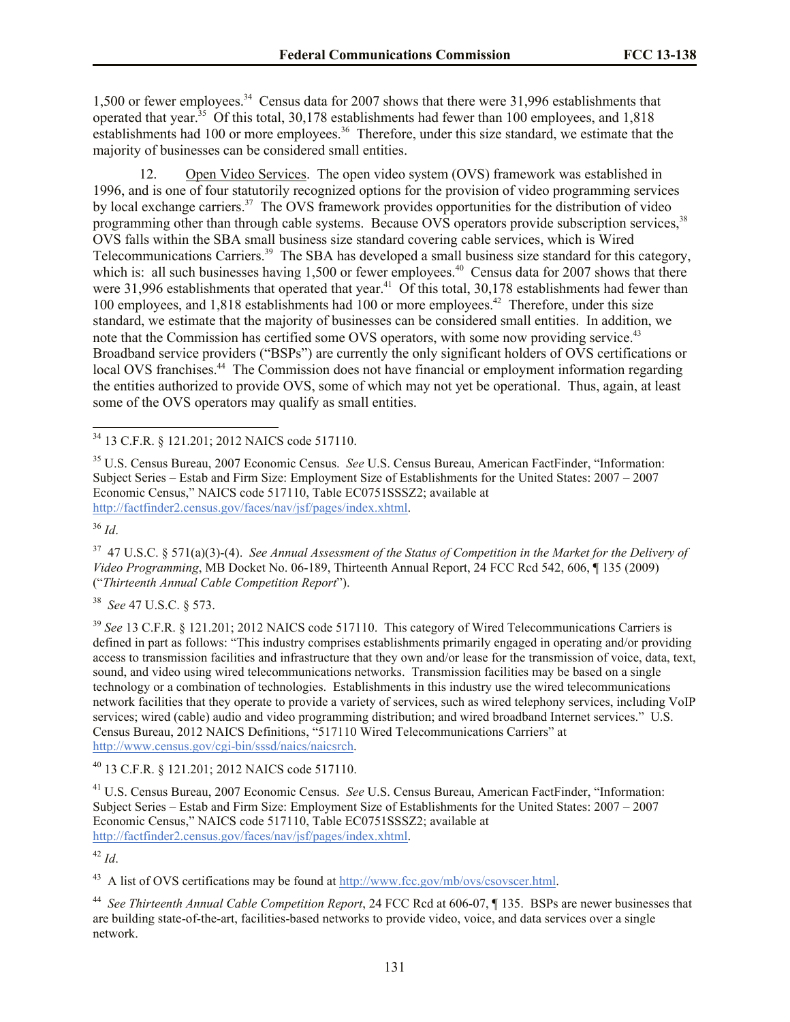1,500 or fewer employees.<sup>34</sup> Census data for 2007 shows that there were 31,996 establishments that operated that year.<sup>35</sup> Of this total, 30,178 establishments had fewer than 100 employees, and 1,818 establishments had 100 or more employees.<sup>36</sup> Therefore, under this size standard, we estimate that the majority of businesses can be considered small entities.

12. Open Video Services. The open video system (OVS) framework was established in 1996, and is one of four statutorily recognized options for the provision of video programming services by local exchange carriers.<sup>37</sup> The OVS framework provides opportunities for the distribution of video programming other than through cable systems. Because OVS operators provide subscription services.<sup>38</sup> OVS falls within the SBA small business size standard covering cable services, which is Wired Telecommunications Carriers.<sup>39</sup> The SBA has developed a small business size standard for this category, which is: all such businesses having  $1,500$  or fewer employees.<sup>40</sup> Census data for 2007 shows that there were  $31,996$  establishments that operated that year.<sup>41</sup> Of this total,  $30,178$  establishments had fewer than 100 employees, and 1,818 establishments had 100 or more employees.<sup>42</sup> Therefore, under this size standard, we estimate that the majority of businesses can be considered small entities. In addition, we note that the Commission has certified some OVS operators, with some now providing service.<sup>43</sup> Broadband service providers ("BSPs") are currently the only significant holders of OVS certifications or local OVS franchises.<sup>44</sup> The Commission does not have financial or employment information regarding the entities authorized to provide OVS, some of which may not yet be operational. Thus, again, at least some of the OVS operators may qualify as small entities.

<sup>36</sup> *Id*.

37 47 U.S.C. § 571(a)(3)-(4). *See Annual Assessment of the Status of Competition in the Market for the Delivery of Video Programming*, MB Docket No. 06-189, Thirteenth Annual Report, 24 FCC Rcd 542, 606, ¶ 135 (2009) ("*Thirteenth Annual Cable Competition Report*").

38 *See* 47 U.S.C. § 573.

<sup>39</sup> See 13 C.F.R. § 121.201; 2012 NAICS code 517110. This category of Wired Telecommunications Carriers is defined in part as follows: "This industry comprises establishments primarily engaged in operating and/or providing access to transmission facilities and infrastructure that they own and/or lease for the transmission of voice, data, text, sound, and video using wired telecommunications networks. Transmission facilities may be based on a single technology or a combination of technologies. Establishments in this industry use the wired telecommunications network facilities that they operate to provide a variety of services, such as wired telephony services, including VoIP services; wired (cable) audio and video programming distribution; and wired broadband Internet services." U.S. Census Bureau, 2012 NAICS Definitions, "517110 Wired Telecommunications Carriers" at http://www.census.gov/cgi-bin/sssd/naics/naicsrch.

<sup>40</sup> 13 C.F.R. § 121.201; 2012 NAICS code 517110.

<sup>41</sup> U.S. Census Bureau, 2007 Economic Census. *See* U.S. Census Bureau, American FactFinder, "Information: Subject Series – Estab and Firm Size: Employment Size of Establishments for the United States: 2007 – 2007 Economic Census," NAICS code 517110, Table EC0751SSSZ2; available at http://factfinder2.census.gov/faces/nav/jsf/pages/index.xhtml.

<sup>42</sup> *Id*.

 $^{43}$  A list of OVS certifications may be found at  $\frac{http://www.fcc.gov/mb/ovs/csovscer.html.}{http://www.fcc.gov/mb/ovs/csovscer.html.}$ 

44 *See Thirteenth Annual Cable Competition Report*, 24 FCC Rcd at 606-07, ¶ 135. BSPs are newer businesses that are building state-of-the-art, facilities-based networks to provide video, voice, and data services over a single network.

 $\overline{a}$ <sup>34</sup> 13 C.F.R. § 121.201; 2012 NAICS code 517110.

<sup>35</sup> U.S. Census Bureau, 2007 Economic Census. *See* U.S. Census Bureau, American FactFinder, "Information: Subject Series – Estab and Firm Size: Employment Size of Establishments for the United States: 2007 – 2007 Economic Census," NAICS code 517110, Table EC0751SSSZ2; available at http://factfinder2.census.gov/faces/nav/jsf/pages/index.xhtml.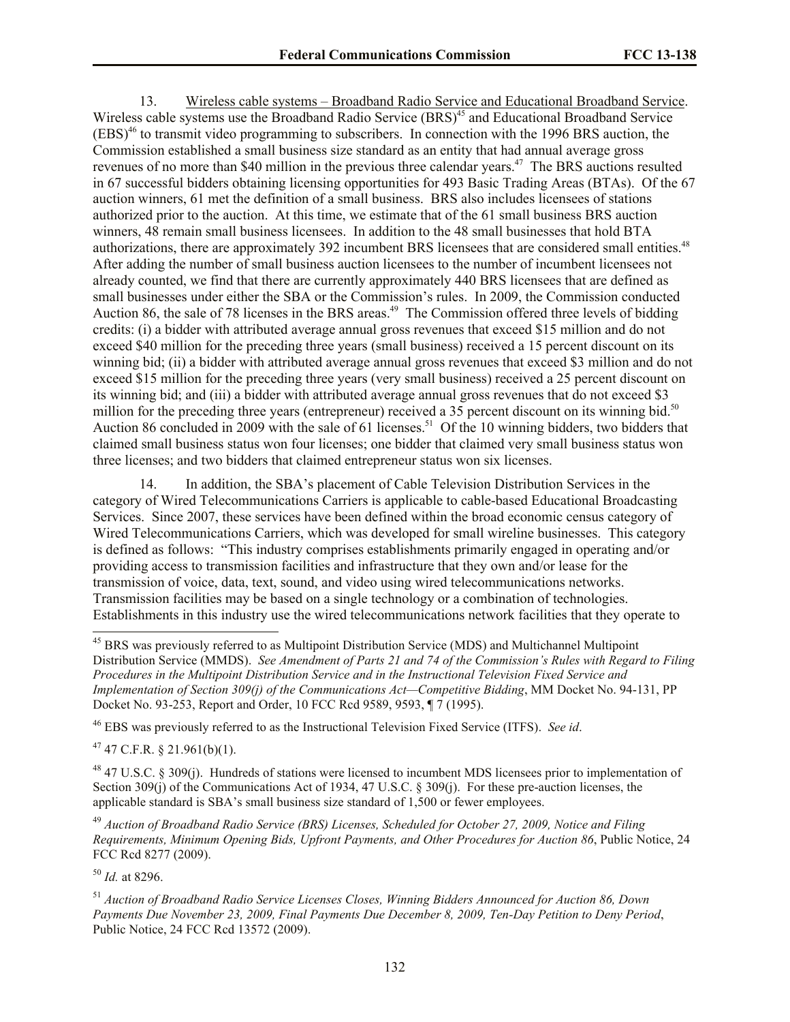13. Wireless cable systems – Broadband Radio Service and Educational Broadband Service. Wireless cable systems use the Broadband Radio Service (BRS)<sup>45</sup> and Educational Broadband Service (EBS)<sup>46</sup> to transmit video programming to subscribers. In connection with the 1996 BRS auction, the Commission established a small business size standard as an entity that had annual average gross revenues of no more than \$40 million in the previous three calendar years.<sup>47</sup> The BRS auctions resulted in 67 successful bidders obtaining licensing opportunities for 493 Basic Trading Areas (BTAs). Of the 67 auction winners, 61 met the definition of a small business. BRS also includes licensees of stations authorized prior to the auction. At this time, we estimate that of the 61 small business BRS auction winners, 48 remain small business licensees. In addition to the 48 small businesses that hold BTA authorizations, there are approximately 392 incumbent BRS licensees that are considered small entities.<sup>48</sup> After adding the number of small business auction licensees to the number of incumbent licensees not already counted, we find that there are currently approximately 440 BRS licensees that are defined as small businesses under either the SBA or the Commission's rules. In 2009, the Commission conducted Auction 86, the sale of 78 licenses in the BRS areas.<sup>49</sup> The Commission offered three levels of bidding credits: (i) a bidder with attributed average annual gross revenues that exceed \$15 million and do not exceed \$40 million for the preceding three years (small business) received a 15 percent discount on its winning bid; (ii) a bidder with attributed average annual gross revenues that exceed \$3 million and do not exceed \$15 million for the preceding three years (very small business) received a 25 percent discount on its winning bid; and (iii) a bidder with attributed average annual gross revenues that do not exceed \$3 million for the preceding three years (entrepreneur) received a 35 percent discount on its winning bid.<sup>50</sup> Auction 86 concluded in 2009 with the sale of 61 licenses.<sup>51</sup> Of the 10 winning bidders, two bidders that claimed small business status won four licenses; one bidder that claimed very small business status won three licenses; and two bidders that claimed entrepreneur status won six licenses.

14. In addition, the SBA's placement of Cable Television Distribution Services in the category of Wired Telecommunications Carriers is applicable to cable-based Educational Broadcasting Services. Since 2007, these services have been defined within the broad economic census category of Wired Telecommunications Carriers, which was developed for small wireline businesses. This category is defined as follows: "This industry comprises establishments primarily engaged in operating and/or providing access to transmission facilities and infrastructure that they own and/or lease for the transmission of voice, data, text, sound, and video using wired telecommunications networks. Transmission facilities may be based on a single technology or a combination of technologies. Establishments in this industry use the wired telecommunications network facilities that they operate to

<sup>46</sup> EBS was previously referred to as the Instructional Television Fixed Service (ITFS). *See id*.

 $47$  47 C.F.R. § 21.961(b)(1).

 $^{48}$  47 U.S.C. § 309(j). Hundreds of stations were licensed to incumbent MDS licensees prior to implementation of Section 309(j) of the Communications Act of 1934, 47 U.S.C. § 309(j). For these pre-auction licenses, the applicable standard is SBA's small business size standard of 1,500 or fewer employees.

<sup>49</sup> *Auction of Broadband Radio Service (BRS) Licenses, Scheduled for October 27, 2009, Notice and Filing Requirements, Minimum Opening Bids, Upfront Payments, and Other Procedures for Auction 86*, Public Notice, 24 FCC Rcd 8277 (2009).

<sup>50</sup> *Id.* at 8296.

l

<sup>&</sup>lt;sup>45</sup> BRS was previously referred to as Multipoint Distribution Service (MDS) and Multichannel Multipoint Distribution Service (MMDS). *See Amendment of Parts 21 and 74 of the Commission's Rules with Regard to Filing Procedures in the Multipoint Distribution Service and in the Instructional Television Fixed Service and Implementation of Section 309(j) of the Communications Act—Competitive Bidding*, MM Docket No. 94-131, PP Docket No. 93-253, Report and Order, 10 FCC Rcd 9589, 9593, ¶ 7 (1995).

<sup>51</sup> *Auction of Broadband Radio Service Licenses Closes, Winning Bidders Announced for Auction 86, Down Payments Due November 23, 2009, Final Payments Due December 8, 2009, Ten-Day Petition to Deny Period*, Public Notice, 24 FCC Rcd 13572 (2009).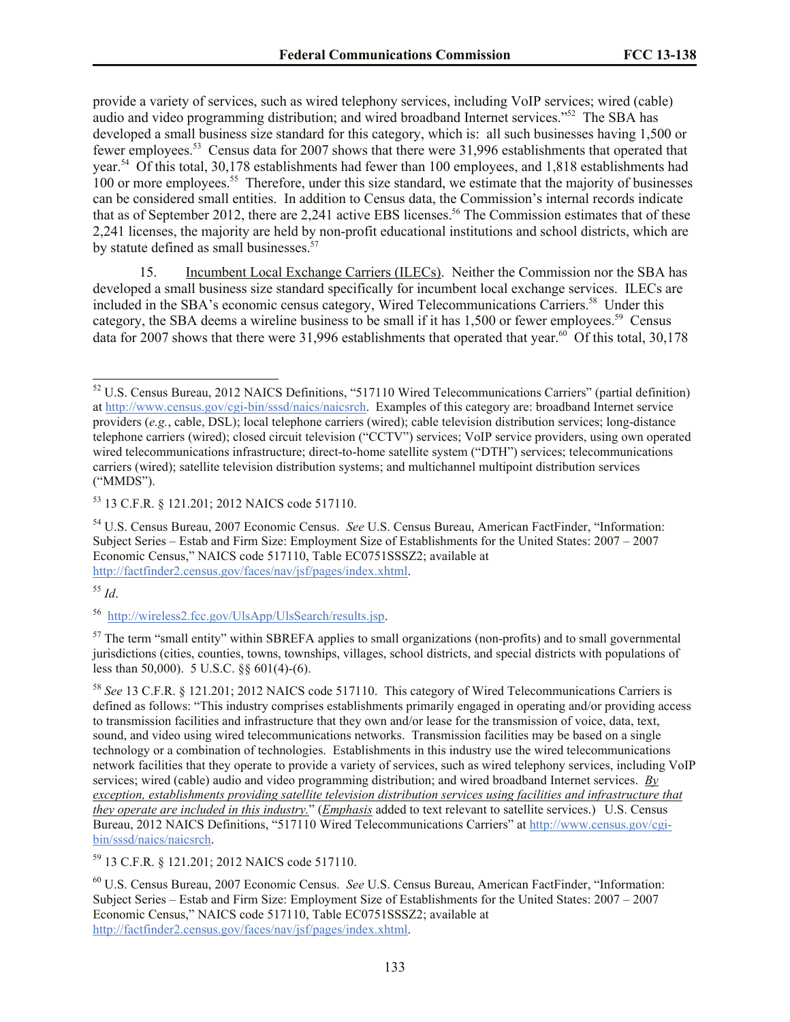provide a variety of services, such as wired telephony services, including VoIP services; wired (cable) audio and video programming distribution; and wired broadband Internet services."<sup>52</sup> The SBA has developed a small business size standard for this category, which is: all such businesses having 1,500 or fewer employees.<sup>53</sup> Census data for 2007 shows that there were 31,996 establishments that operated that year.<sup>54</sup> Of this total, 30,178 establishments had fewer than 100 employees, and 1,818 establishments had 100 or more employees.<sup>55</sup> Therefore, under this size standard, we estimate that the majority of businesses can be considered small entities. In addition to Census data, the Commission's internal records indicate that as of September 2012, there are  $2.241$  active EBS licenses.<sup>56</sup> The Commission estimates that of these 2,241 licenses, the majority are held by non-profit educational institutions and school districts, which are by statute defined as small businesses.<sup>57</sup>

15. Incumbent Local Exchange Carriers (ILECs). Neither the Commission nor the SBA has developed a small business size standard specifically for incumbent local exchange services. ILECs are included in the SBA's economic census category, Wired Telecommunications Carriers.<sup>58</sup> Under this category, the SBA deems a wireline business to be small if it has 1,500 or fewer employees.<sup>59</sup> Census data for 2007 shows that there were 31,996 establishments that operated that year.<sup>60</sup> Of this total, 30,178

<sup>55</sup> *Id*.

 $\overline{a}$ 

<sup>59</sup> 13 C.F.R. § 121.201; 2012 NAICS code 517110.

 $52$  U.S. Census Bureau, 2012 NAICS Definitions, "517110 Wired Telecommunications Carriers" (partial definition) at http://www.census.gov/cgi-bin/sssd/naics/naicsrch. Examples of this category are: broadband Internet service providers (*e.g.*, cable, DSL); local telephone carriers (wired); cable television distribution services; long-distance telephone carriers (wired); closed circuit television ("CCTV") services; VoIP service providers, using own operated wired telecommunications infrastructure; direct-to-home satellite system ("DTH") services; telecommunications carriers (wired); satellite television distribution systems; and multichannel multipoint distribution services ("MMDS").

<sup>53</sup> 13 C.F.R. § 121.201; 2012 NAICS code 517110.

<sup>54</sup> U.S. Census Bureau, 2007 Economic Census. *See* U.S. Census Bureau, American FactFinder, "Information: Subject Series – Estab and Firm Size: Employment Size of Establishments for the United States: 2007 – 2007 Economic Census," NAICS code 517110, Table EC0751SSSZ2; available at http://factfinder2.census.gov/faces/nav/jsf/pages/index.xhtml.

<sup>&</sup>lt;sup>56</sup> http://wireless2.fcc.gov/UlsApp/UlsSearch/results.jsp.

<sup>&</sup>lt;sup>57</sup> The term "small entity" within SBREFA applies to small organizations (non-profits) and to small governmental jurisdictions (cities, counties, towns, townships, villages, school districts, and special districts with populations of less than 50,000). 5 U.S.C. §§ 601(4)-(6).

<sup>58</sup> *See* 13 C.F.R. § 121.201; 2012 NAICS code 517110. This category of Wired Telecommunications Carriers is defined as follows: "This industry comprises establishments primarily engaged in operating and/or providing access to transmission facilities and infrastructure that they own and/or lease for the transmission of voice, data, text, sound, and video using wired telecommunications networks. Transmission facilities may be based on a single technology or a combination of technologies. Establishments in this industry use the wired telecommunications network facilities that they operate to provide a variety of services, such as wired telephony services, including VoIP services; wired (cable) audio and video programming distribution; and wired broadband Internet services. *By exception, establishments providing satellite television distribution services using facilities and infrastructure that they operate are included in this industry.*" (*Emphasis* added to text relevant to satellite services.) U.S. Census Bureau, 2012 NAICS Definitions, "517110 Wired Telecommunications Carriers" at http://www.census.gov/cgibin/sssd/naics/naicsrch.

<sup>60</sup> U.S. Census Bureau, 2007 Economic Census. *See* U.S. Census Bureau, American FactFinder, "Information: Subject Series – Estab and Firm Size: Employment Size of Establishments for the United States: 2007 – 2007 Economic Census," NAICS code 517110, Table EC0751SSSZ2; available at http://factfinder2.census.gov/faces/nav/jsf/pages/index.xhtml.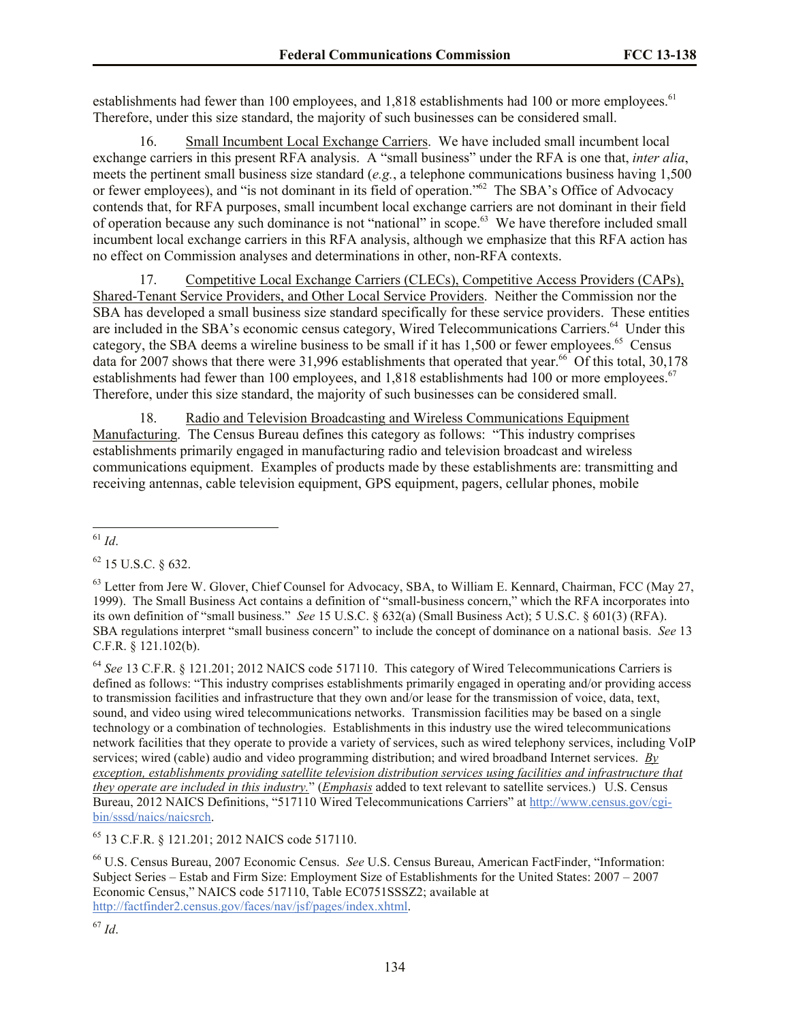establishments had fewer than 100 employees, and 1,818 establishments had 100 or more employees.<sup>61</sup> Therefore, under this size standard, the majority of such businesses can be considered small.

16. Small Incumbent Local Exchange Carriers. We have included small incumbent local exchange carriers in this present RFA analysis. A "small business" under the RFA is one that, *inter alia*, meets the pertinent small business size standard (*e.g.*, a telephone communications business having 1,500 or fewer employees), and "is not dominant in its field of operation."<sup>62</sup> The SBA's Office of Advocacy contends that, for RFA purposes, small incumbent local exchange carriers are not dominant in their field of operation because any such dominance is not "national" in scope.<sup>63</sup> We have therefore included small incumbent local exchange carriers in this RFA analysis, although we emphasize that this RFA action has no effect on Commission analyses and determinations in other, non-RFA contexts.

17. Competitive Local Exchange Carriers (CLECs), Competitive Access Providers (CAPs), Shared-Tenant Service Providers, and Other Local Service Providers. Neither the Commission nor the SBA has developed a small business size standard specifically for these service providers. These entities are included in the SBA's economic census category, Wired Telecommunications Carriers.<sup>64</sup> Under this category, the SBA deems a wireline business to be small if it has 1,500 or fewer employees.<sup>65</sup> Census data for 2007 shows that there were 31,996 establishments that operated that year.<sup>66</sup> Of this total, 30,178 establishments had fewer than 100 employees, and 1,818 establishments had 100 or more employees.<sup>67</sup> Therefore, under this size standard, the majority of such businesses can be considered small.

18. Radio and Television Broadcasting and Wireless Communications Equipment Manufacturing. The Census Bureau defines this category as follows: "This industry comprises establishments primarily engaged in manufacturing radio and television broadcast and wireless communications equipment. Examples of products made by these establishments are: transmitting and receiving antennas, cable television equipment, GPS equipment, pagers, cellular phones, mobile

<sup>64</sup> *See* 13 C.F.R. § 121.201; 2012 NAICS code 517110. This category of Wired Telecommunications Carriers is defined as follows: "This industry comprises establishments primarily engaged in operating and/or providing access to transmission facilities and infrastructure that they own and/or lease for the transmission of voice, data, text, sound, and video using wired telecommunications networks. Transmission facilities may be based on a single technology or a combination of technologies. Establishments in this industry use the wired telecommunications network facilities that they operate to provide a variety of services, such as wired telephony services, including VoIP services; wired (cable) audio and video programming distribution; and wired broadband Internet services. *By exception, establishments providing satellite television distribution services using facilities and infrastructure that they operate are included in this industry.*" (*Emphasis* added to text relevant to satellite services.) U.S. Census Bureau, 2012 NAICS Definitions, "517110 Wired Telecommunications Carriers" at http://www.census.gov/cgibin/sssd/naics/naicsrch.

<sup>65</sup> 13 C.F.R. § 121.201; 2012 NAICS code 517110.

<sup>66</sup> U.S. Census Bureau, 2007 Economic Census. *See* U.S. Census Bureau, American FactFinder, "Information: Subject Series – Estab and Firm Size: Employment Size of Establishments for the United States: 2007 – 2007 Economic Census," NAICS code 517110, Table EC0751SSSZ2; available at http://factfinder2.census.gov/faces/nav/jsf/pages/index.xhtml.

 $\overline{a}$ <sup>61</sup> *Id*.

 $62$  15 U.S.C.  $8632$ .

<sup>&</sup>lt;sup>63</sup> Letter from Jere W. Glover, Chief Counsel for Advocacy, SBA, to William E. Kennard, Chairman, FCC (May 27, 1999). The Small Business Act contains a definition of "small-business concern," which the RFA incorporates into its own definition of "small business." *See* 15 U.S.C. § 632(a) (Small Business Act); 5 U.S.C. § 601(3) (RFA). SBA regulations interpret "small business concern" to include the concept of dominance on a national basis. *See* 13 C.F.R. § 121.102(b).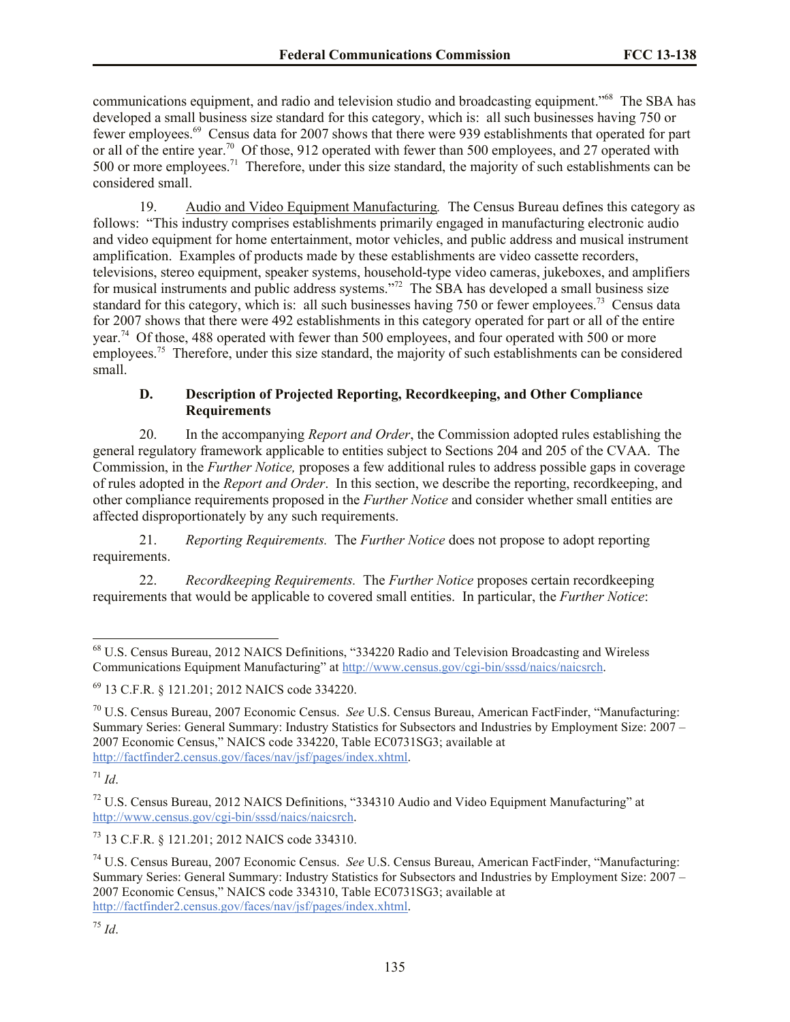communications equipment, and radio and television studio and broadcasting equipment."<sup>68</sup> The SBA has developed a small business size standard for this category, which is: all such businesses having 750 or fewer employees.<sup>69</sup> Census data for 2007 shows that there were 939 establishments that operated for part or all of the entire year.<sup>70</sup> Of those, 912 operated with fewer than 500 employees, and 27 operated with 500 or more employees.<sup>71</sup> Therefore, under this size standard, the majority of such establishments can be considered small.

19. Audio and Video Equipment Manufacturing*.* The Census Bureau defines this category as follows: "This industry comprises establishments primarily engaged in manufacturing electronic audio and video equipment for home entertainment, motor vehicles, and public address and musical instrument amplification. Examples of products made by these establishments are video cassette recorders, televisions, stereo equipment, speaker systems, household-type video cameras, jukeboxes, and amplifiers for musical instruments and public address systems."<sup>72</sup> The SBA has developed a small business size standard for this category, which is: all such businesses having 750 or fewer employees.<sup>73</sup> Census data for 2007 shows that there were 492 establishments in this category operated for part or all of the entire year.<sup>74</sup> Of those, 488 operated with fewer than 500 employees, and four operated with 500 or more employees.<sup>75</sup> Therefore, under this size standard, the majority of such establishments can be considered small.

# **D. Description of Projected Reporting, Recordkeeping, and Other Compliance Requirements**

20. In the accompanying *Report and Order*, the Commission adopted rules establishing the general regulatory framework applicable to entities subject to Sections 204 and 205 of the CVAA. The Commission, in the *Further Notice,* proposes a few additional rules to address possible gaps in coverage of rules adopted in the *Report and Order*. In this section, we describe the reporting, recordkeeping, and other compliance requirements proposed in the *Further Notice* and consider whether small entities are affected disproportionately by any such requirements.

21. *Reporting Requirements.* The *Further Notice* does not propose to adopt reporting requirements.

22. *Recordkeeping Requirements.* The *Further Notice* proposes certain recordkeeping requirements that would be applicable to covered small entities. In particular, the *Further Notice*:

 $\overline{a}$ 

<sup>73</sup> 13 C.F.R. § 121.201; 2012 NAICS code 334310.

<sup>68</sup> U.S. Census Bureau, 2012 NAICS Definitions, "334220 Radio and Television Broadcasting and Wireless Communications Equipment Manufacturing" at http://www.census.gov/cgi-bin/sssd/naics/naicsrch.

<sup>69</sup> 13 C.F.R. § 121.201; 2012 NAICS code 334220.

<sup>70</sup> U.S. Census Bureau, 2007 Economic Census. *See* U.S. Census Bureau, American FactFinder, "Manufacturing: Summary Series: General Summary: Industry Statistics for Subsectors and Industries by Employment Size: 2007 – 2007 Economic Census," NAICS code 334220, Table EC0731SG3; available at http://factfinder2.census.gov/faces/nav/jsf/pages/index.xhtml.

 $17^{1}$  *Id.* 

 $72$  U.S. Census Bureau, 2012 NAICS Definitions, "334310 Audio and Video Equipment Manufacturing" at http://www.census.gov/cgi-bin/sssd/naics/naicsrch.

<sup>74</sup> U.S. Census Bureau, 2007 Economic Census. *See* U.S. Census Bureau, American FactFinder, "Manufacturing: Summary Series: General Summary: Industry Statistics for Subsectors and Industries by Employment Size: 2007 – 2007 Economic Census," NAICS code 334310, Table EC0731SG3; available at http://factfinder2.census.gov/faces/nav/jsf/pages/index.xhtml.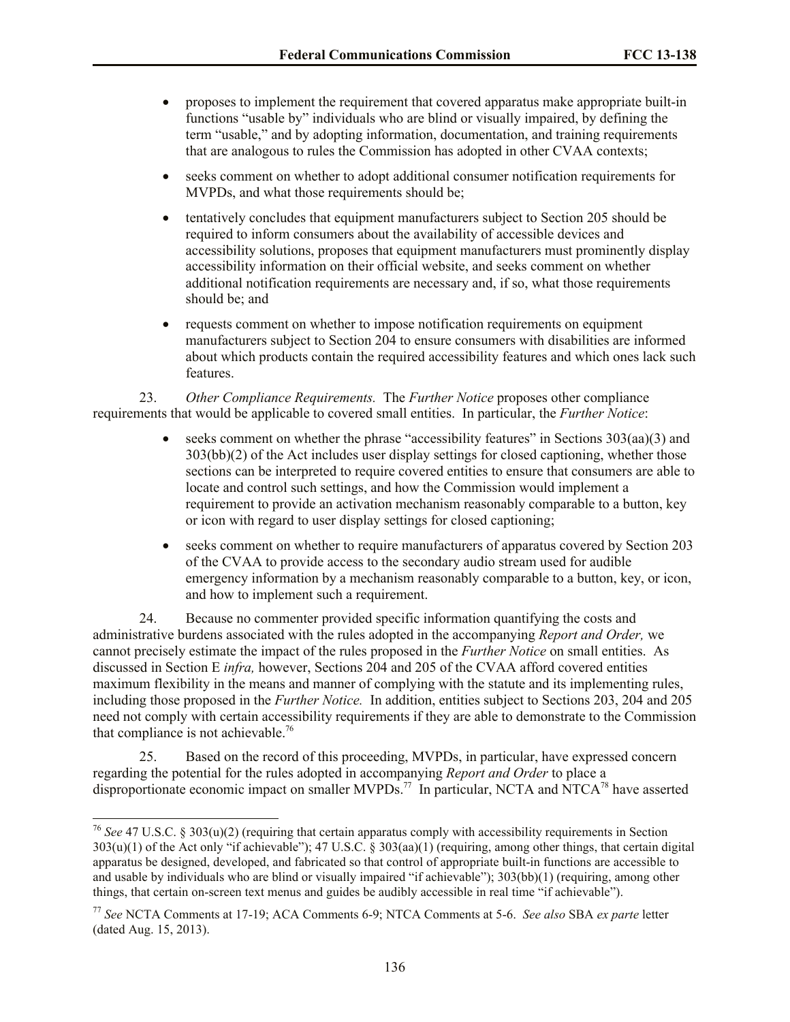- proposes to implement the requirement that covered apparatus make appropriate built-in functions "usable by" individuals who are blind or visually impaired, by defining the term "usable," and by adopting information, documentation, and training requirements that are analogous to rules the Commission has adopted in other CVAA contexts;
- seeks comment on whether to adopt additional consumer notification requirements for MVPDs, and what those requirements should be;
- tentatively concludes that equipment manufacturers subject to Section 205 should be required to inform consumers about the availability of accessible devices and accessibility solutions, proposes that equipment manufacturers must prominently display accessibility information on their official website, and seeks comment on whether additional notification requirements are necessary and, if so, what those requirements should be; and
- requests comment on whether to impose notification requirements on equipment manufacturers subject to Section 204 to ensure consumers with disabilities are informed about which products contain the required accessibility features and which ones lack such features.

23. *Other Compliance Requirements.* The *Further Notice* proposes other compliance requirements that would be applicable to covered small entities. In particular, the *Further Notice*:

- $\bullet$  seeks comment on whether the phrase "accessibility features" in Sections 303(aa)(3) and 303(bb)(2) of the Act includes user display settings for closed captioning, whether those sections can be interpreted to require covered entities to ensure that consumers are able to locate and control such settings, and how the Commission would implement a requirement to provide an activation mechanism reasonably comparable to a button, key or icon with regard to user display settings for closed captioning;
- seeks comment on whether to require manufacturers of apparatus covered by Section 203 of the CVAA to provide access to the secondary audio stream used for audible emergency information by a mechanism reasonably comparable to a button, key, or icon, and how to implement such a requirement.

24. Because no commenter provided specific information quantifying the costs and administrative burdens associated with the rules adopted in the accompanying *Report and Order,* we cannot precisely estimate the impact of the rules proposed in the *Further Notice* on small entities. As discussed in Section E *infra,* however, Sections 204 and 205 of the CVAA afford covered entities maximum flexibility in the means and manner of complying with the statute and its implementing rules, including those proposed in the *Further Notice.* In addition, entities subject to Sections 203, 204 and 205 need not comply with certain accessibility requirements if they are able to demonstrate to the Commission that compliance is not achievable.<sup>76</sup>

25. Based on the record of this proceeding, MVPDs, in particular, have expressed concern regarding the potential for the rules adopted in accompanying *Report and Order* to place a disproportionate economic impact on smaller MVPDs.<sup>77</sup> In particular, NCTA and NTCA<sup>78</sup> have asserted

 $\overline{a}$ 

<sup>76</sup> *See* 47 U.S.C. § 303(u)(2) (requiring that certain apparatus comply with accessibility requirements in Section 303(u)(1) of the Act only "if achievable"); 47 U.S.C. § 303(aa)(1) (requiring, among other things, that certain digital apparatus be designed, developed, and fabricated so that control of appropriate built-in functions are accessible to and usable by individuals who are blind or visually impaired "if achievable"); 303(bb)(1) (requiring, among other things, that certain on-screen text menus and guides be audibly accessible in real time "if achievable").

<sup>77</sup> *See* NCTA Comments at 17-19; ACA Comments 6-9; NTCA Comments at 5-6. *See also* SBA *ex parte* letter (dated Aug. 15, 2013).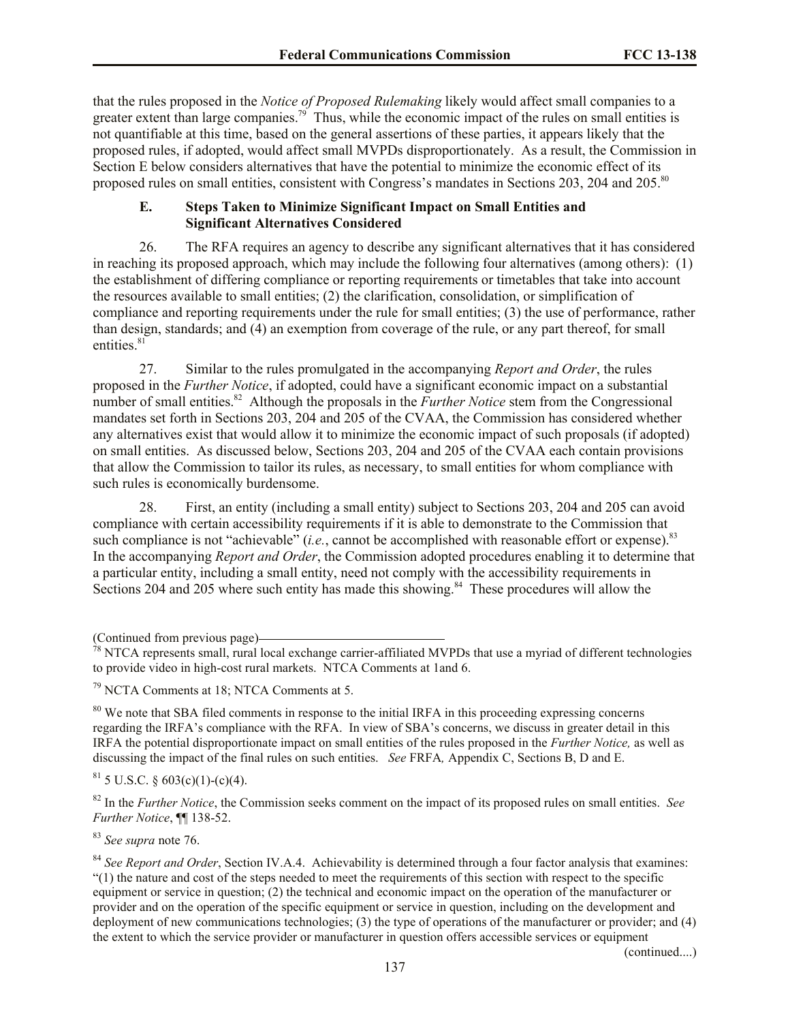that the rules proposed in the *Notice of Proposed Rulemaking* likely would affect small companies to a greater extent than large companies.<sup>79</sup> Thus, while the economic impact of the rules on small entities is not quantifiable at this time, based on the general assertions of these parties, it appears likely that the proposed rules, if adopted, would affect small MVPDs disproportionately. As a result, the Commission in Section E below considers alternatives that have the potential to minimize the economic effect of its proposed rules on small entities, consistent with Congress's mandates in Sections 203, 204 and 205.<sup>80</sup>

## **E. Steps Taken to Minimize Significant Impact on Small Entities and Significant Alternatives Considered**

26. The RFA requires an agency to describe any significant alternatives that it has considered in reaching its proposed approach, which may include the following four alternatives (among others): (1) the establishment of differing compliance or reporting requirements or timetables that take into account the resources available to small entities; (2) the clarification, consolidation, or simplification of compliance and reporting requirements under the rule for small entities; (3) the use of performance, rather than design, standards; and (4) an exemption from coverage of the rule, or any part thereof, for small entities.<sup>81</sup>

27. Similar to the rules promulgated in the accompanying *Report and Order*, the rules proposed in the *Further Notice*, if adopted, could have a significant economic impact on a substantial number of small entities. 82 Although the proposals in the *Further Notice* stem from the Congressional mandates set forth in Sections 203, 204 and 205 of the CVAA, the Commission has considered whether any alternatives exist that would allow it to minimize the economic impact of such proposals (if adopted) on small entities. As discussed below, Sections 203, 204 and 205 of the CVAA each contain provisions that allow the Commission to tailor its rules, as necessary, to small entities for whom compliance with such rules is economically burdensome.

28. First, an entity (including a small entity) subject to Sections 203, 204 and 205 can avoid compliance with certain accessibility requirements if it is able to demonstrate to the Commission that such compliance is not "achievable" (*i.e.*, cannot be accomplished with reasonable effort or expense).<sup>83</sup> In the accompanying *Report and Order*, the Commission adopted procedures enabling it to determine that a particular entity, including a small entity, need not comply with the accessibility requirements in Sections 204 and 205 where such entity has made this showing.<sup>84</sup> These procedures will allow the

<sup>80</sup> We note that SBA filed comments in response to the initial IRFA in this proceeding expressing concerns regarding the IRFA's compliance with the RFA. In view of SBA's concerns, we discuss in greater detail in this IRFA the potential disproportionate impact on small entities of the rules proposed in the *Further Notice,* as well as discussing the impact of the final rules on such entities. *See* FRFA*,* Appendix C, Sections B, D and E.

 $81$  5 U.S.C. § 603(c)(1)-(c)(4).

<sup>82</sup> In the *Further Notice*, the Commission seeks comment on the impact of its proposed rules on small entities. *See Further Notice*, ¶¶ 138-52.

<sup>83</sup> *See supra* note 76.

<sup>84</sup> *See Report and Order*, Section IV.A.4. Achievability is determined through a four factor analysis that examines: "(1) the nature and cost of the steps needed to meet the requirements of this section with respect to the specific equipment or service in question; (2) the technical and economic impact on the operation of the manufacturer or provider and on the operation of the specific equipment or service in question, including on the development and deployment of new communications technologies; (3) the type of operations of the manufacturer or provider; and (4) the extent to which the service provider or manufacturer in question offers accessible services or equipment

(continued....)

<sup>(</sup>Continued from previous page)

 $78$  NTCA represents small, rural local exchange carrier-affiliated MVPDs that use a myriad of different technologies to provide video in high-cost rural markets. NTCA Comments at 1and 6.

<sup>79</sup> NCTA Comments at 18; NTCA Comments at 5.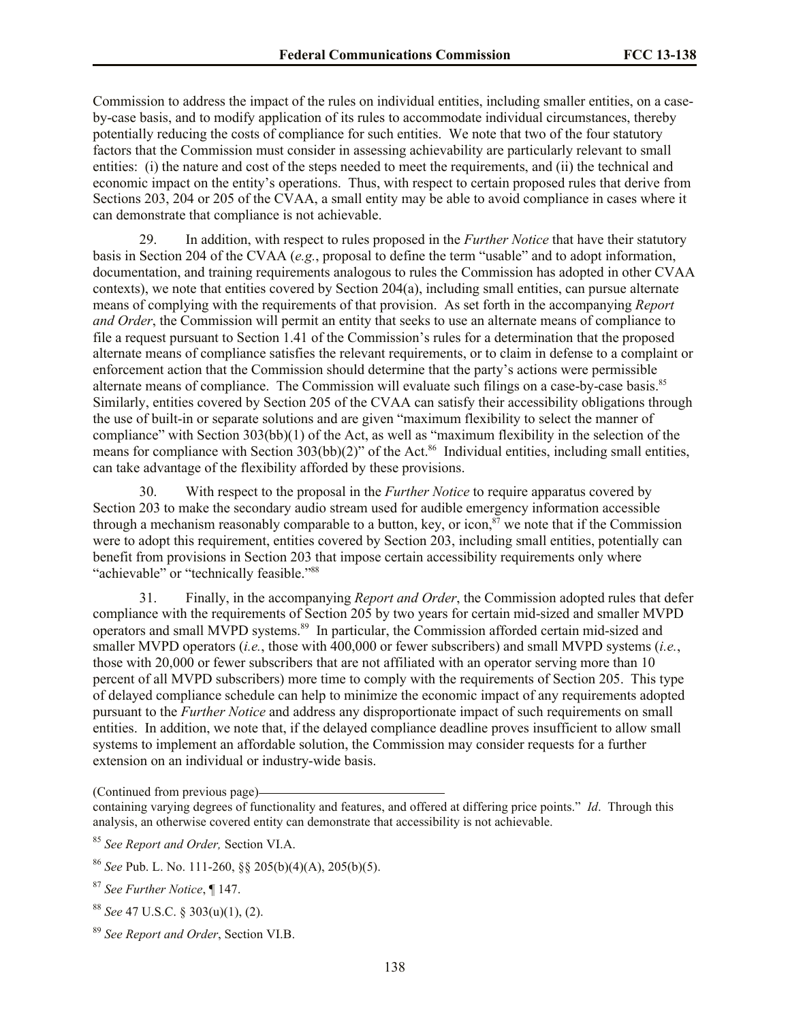Commission to address the impact of the rules on individual entities, including smaller entities, on a caseby-case basis, and to modify application of its rules to accommodate individual circumstances, thereby potentially reducing the costs of compliance for such entities. We note that two of the four statutory factors that the Commission must consider in assessing achievability are particularly relevant to small entities: (i) the nature and cost of the steps needed to meet the requirements, and (ii) the technical and economic impact on the entity's operations. Thus, with respect to certain proposed rules that derive from Sections 203, 204 or 205 of the CVAA, a small entity may be able to avoid compliance in cases where it can demonstrate that compliance is not achievable.

29. In addition, with respect to rules proposed in the *Further Notice* that have their statutory basis in Section 204 of the CVAA (*e.g.*, proposal to define the term "usable" and to adopt information, documentation, and training requirements analogous to rules the Commission has adopted in other CVAA contexts), we note that entities covered by Section 204(a), including small entities, can pursue alternate means of complying with the requirements of that provision. As set forth in the accompanying *Report and Order*, the Commission will permit an entity that seeks to use an alternate means of compliance to file a request pursuant to Section 1.41 of the Commission's rules for a determination that the proposed alternate means of compliance satisfies the relevant requirements, or to claim in defense to a complaint or enforcement action that the Commission should determine that the party's actions were permissible alternate means of compliance. The Commission will evaluate such filings on a case-by-case basis.<sup>85</sup> Similarly, entities covered by Section 205 of the CVAA can satisfy their accessibility obligations through the use of built-in or separate solutions and are given "maximum flexibility to select the manner of compliance" with Section 303(bb)(1) of the Act, as well as "maximum flexibility in the selection of the means for compliance with Section 303(bb)(2)" of the Act.<sup>86</sup> Individual entities, including small entities, can take advantage of the flexibility afforded by these provisions.

30. With respect to the proposal in the *Further Notice* to require apparatus covered by Section 203 to make the secondary audio stream used for audible emergency information accessible through a mechanism reasonably comparable to a button, key, or icon,<sup>87</sup> we note that if the Commission were to adopt this requirement, entities covered by Section 203, including small entities, potentially can benefit from provisions in Section 203 that impose certain accessibility requirements only where "achievable" or "technically feasible."<sup>88</sup>

31. Finally, in the accompanying *Report and Order*, the Commission adopted rules that defer compliance with the requirements of Section 205 by two years for certain mid-sized and smaller MVPD operators and small MVPD systems.<sup>89</sup> In particular, the Commission afforded certain mid-sized and smaller MVPD operators (*i.e.*, those with 400,000 or fewer subscribers) and small MVPD systems (*i.e.*, those with 20,000 or fewer subscribers that are not affiliated with an operator serving more than 10 percent of all MVPD subscribers) more time to comply with the requirements of Section 205. This type of delayed compliance schedule can help to minimize the economic impact of any requirements adopted pursuant to the *Further Notice* and address any disproportionate impact of such requirements on small entities. In addition, we note that, if the delayed compliance deadline proves insufficient to allow small systems to implement an affordable solution, the Commission may consider requests for a further extension on an individual or industry-wide basis.

(Continued from previous page)

<sup>87</sup> *See Further Notice*, ¶ 147.

<sup>88</sup> *See* 47 U.S.C. § 303(u)(1), (2).

containing varying degrees of functionality and features, and offered at differing price points." *Id*. Through this analysis, an otherwise covered entity can demonstrate that accessibility is not achievable.

<sup>85</sup> *See Report and Order,* Section VI.A.

<sup>86</sup> *See* Pub. L. No. 111-260, §§ 205(b)(4)(A), 205(b)(5).

<sup>89</sup> *See Report and Order*, Section VI.B.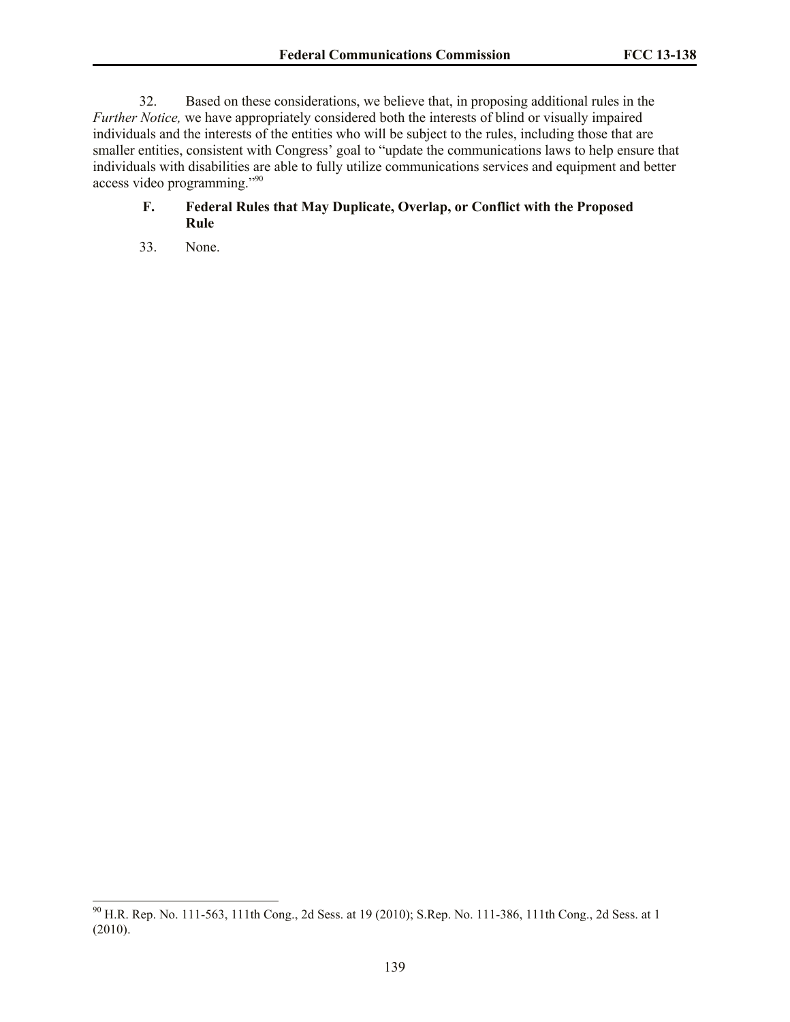32. Based on these considerations, we believe that, in proposing additional rules in the *Further Notice,* we have appropriately considered both the interests of blind or visually impaired individuals and the interests of the entities who will be subject to the rules, including those that are smaller entities, consistent with Congress' goal to "update the communications laws to help ensure that individuals with disabilities are able to fully utilize communications services and equipment and better access video programming."<sup>90</sup>

# **F. Federal Rules that May Duplicate, Overlap, or Conflict with the Proposed Rule**

33. None.

 $\overline{a}$ 

 $^{90}$  H.R. Rep. No. 111-563, 111th Cong., 2d Sess. at 19 (2010); S.Rep. No. 111-386, 111th Cong., 2d Sess. at 1 (2010).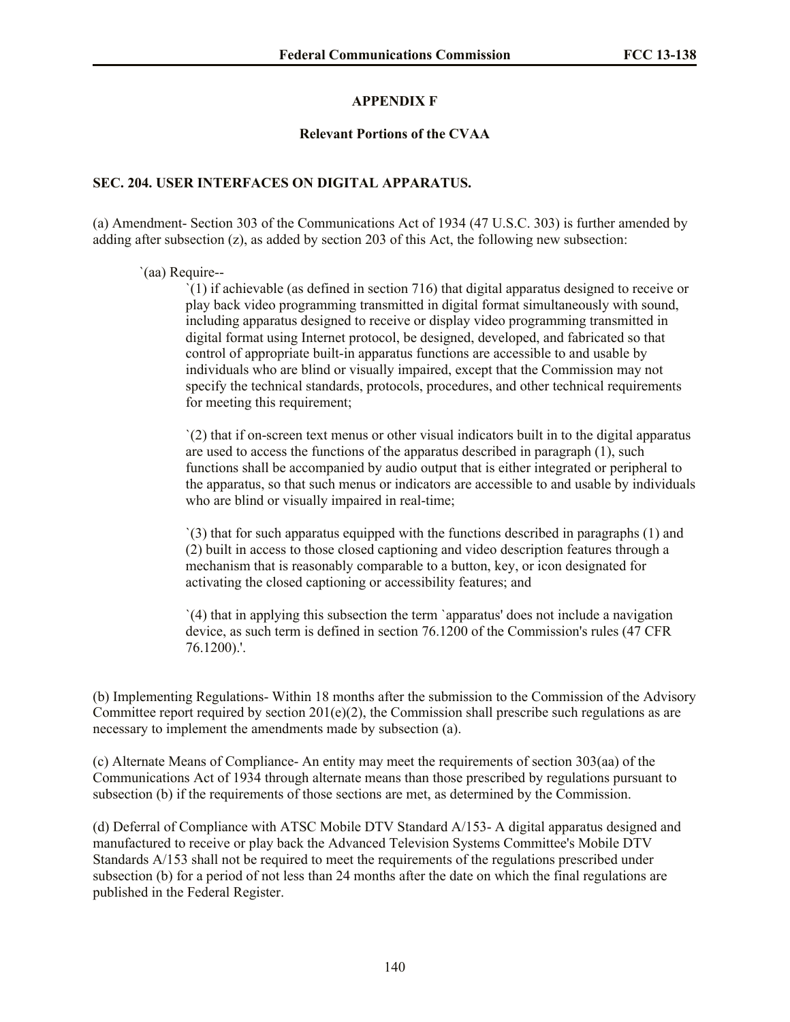## **APPENDIX F**

### **Relevant Portions of the CVAA**

## **SEC. 204. USER INTERFACES ON DIGITAL APPARATUS.**

(a) Amendment- Section 303 of the Communications Act of 1934 (47 U.S.C. 303) is further amended by adding after subsection  $(z)$ , as added by section 203 of this Act, the following new subsection:

### `(aa) Require--

 $\Gamma(1)$  if achievable (as defined in section 716) that digital apparatus designed to receive or play back video programming transmitted in digital format simultaneously with sound, including apparatus designed to receive or display video programming transmitted in digital format using Internet protocol, be designed, developed, and fabricated so that control of appropriate built-in apparatus functions are accessible to and usable by individuals who are blind or visually impaired, except that the Commission may not specify the technical standards, protocols, procedures, and other technical requirements for meeting this requirement;

`(2) that if on-screen text menus or other visual indicators built in to the digital apparatus are used to access the functions of the apparatus described in paragraph (1), such functions shall be accompanied by audio output that is either integrated or peripheral to the apparatus, so that such menus or indicators are accessible to and usable by individuals who are blind or visually impaired in real-time;

`(3) that for such apparatus equipped with the functions described in paragraphs (1) and (2) built in access to those closed captioning and video description features through a mechanism that is reasonably comparable to a button, key, or icon designated for activating the closed captioning or accessibility features; and

`(4) that in applying this subsection the term `apparatus' does not include a navigation device, as such term is defined in section 76.1200 of the Commission's rules (47 CFR 76.1200).'.

(b) Implementing Regulations- Within 18 months after the submission to the Commission of the Advisory Committee report required by section  $201(e)(2)$ , the Commission shall prescribe such regulations as are necessary to implement the amendments made by subsection (a).

(c) Alternate Means of Compliance- An entity may meet the requirements of section 303(aa) of the Communications Act of 1934 through alternate means than those prescribed by regulations pursuant to subsection (b) if the requirements of those sections are met, as determined by the Commission.

(d) Deferral of Compliance with ATSC Mobile DTV Standard A/153- A digital apparatus designed and manufactured to receive or play back the Advanced Television Systems Committee's Mobile DTV Standards A/153 shall not be required to meet the requirements of the regulations prescribed under subsection (b) for a period of not less than 24 months after the date on which the final regulations are published in the Federal Register.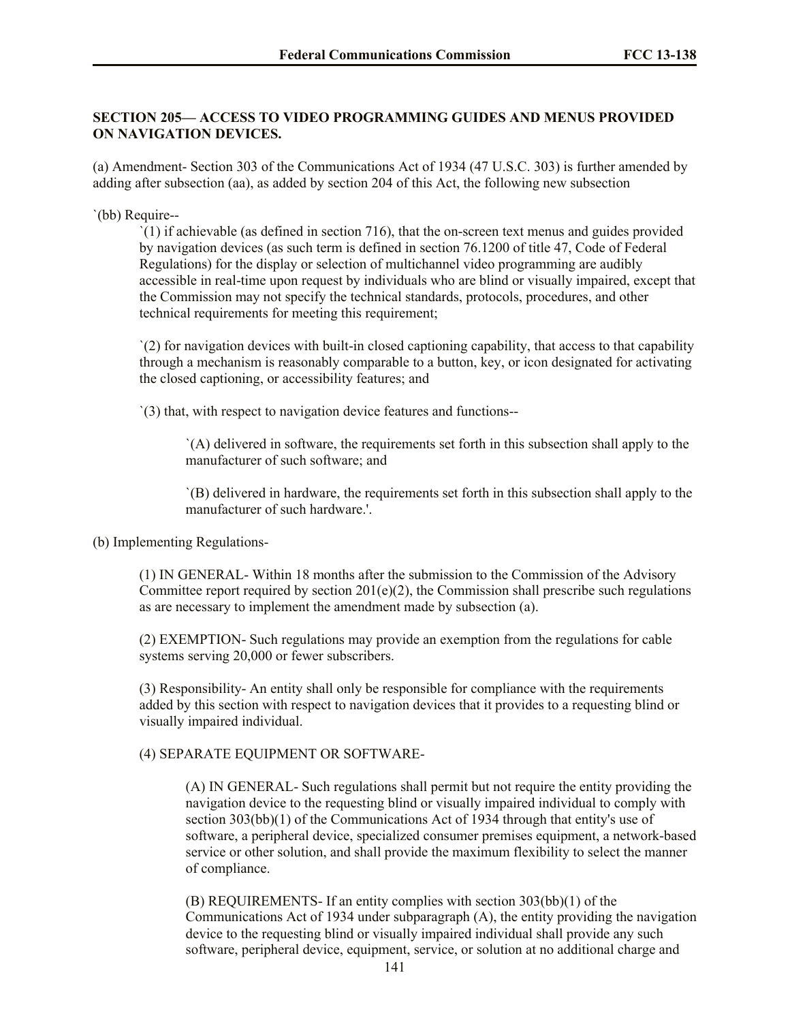# **SECTION 205— ACCESS TO VIDEO PROGRAMMING GUIDES AND MENUS PROVIDED ON NAVIGATION DEVICES.**

(a) Amendment- Section 303 of the Communications Act of 1934 (47 U.S.C. 303) is further amended by adding after subsection (aa), as added by section 204 of this Act, the following new subsection

#### `(bb) Require--

`(1) if achievable (as defined in section 716), that the on-screen text menus and guides provided by navigation devices (as such term is defined in section 76.1200 of title 47, Code of Federal Regulations) for the display or selection of multichannel video programming are audibly accessible in real-time upon request by individuals who are blind or visually impaired, except that the Commission may not specify the technical standards, protocols, procedures, and other technical requirements for meeting this requirement;

`(2) for navigation devices with built-in closed captioning capability, that access to that capability through a mechanism is reasonably comparable to a button, key, or icon designated for activating the closed captioning, or accessibility features; and

`(3) that, with respect to navigation device features and functions--

`(A) delivered in software, the requirements set forth in this subsection shall apply to the manufacturer of such software; and

`(B) delivered in hardware, the requirements set forth in this subsection shall apply to the manufacturer of such hardware.'.

(b) Implementing Regulations-

(1) IN GENERAL- Within 18 months after the submission to the Commission of the Advisory Committee report required by section  $201(e)(2)$ , the Commission shall prescribe such regulations as are necessary to implement the amendment made by subsection (a).

(2) EXEMPTION- Such regulations may provide an exemption from the regulations for cable systems serving 20,000 or fewer subscribers.

(3) Responsibility- An entity shall only be responsible for compliance with the requirements added by this section with respect to navigation devices that it provides to a requesting blind or visually impaired individual.

(4) SEPARATE EQUIPMENT OR SOFTWARE-

(A) IN GENERAL- Such regulations shall permit but not require the entity providing the navigation device to the requesting blind or visually impaired individual to comply with section 303(bb)(1) of the Communications Act of 1934 through that entity's use of software, a peripheral device, specialized consumer premises equipment, a network-based service or other solution, and shall provide the maximum flexibility to select the manner of compliance.

(B) REQUIREMENTS- If an entity complies with section 303(bb)(1) of the Communications Act of 1934 under subparagraph (A), the entity providing the navigation device to the requesting blind or visually impaired individual shall provide any such software, peripheral device, equipment, service, or solution at no additional charge and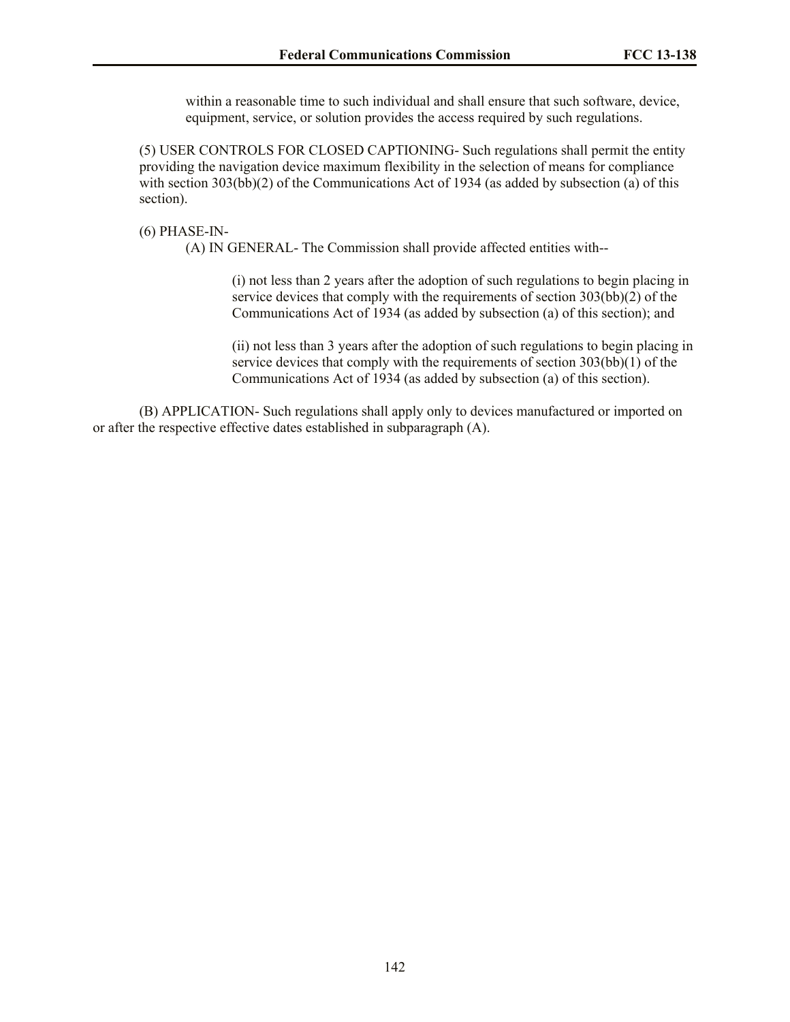within a reasonable time to such individual and shall ensure that such software, device, equipment, service, or solution provides the access required by such regulations.

(5) USER CONTROLS FOR CLOSED CAPTIONING- Such regulations shall permit the entity providing the navigation device maximum flexibility in the selection of means for compliance with section 303(bb)(2) of the Communications Act of 1934 (as added by subsection (a) of this section).

#### (6) PHASE-IN-

(A) IN GENERAL- The Commission shall provide affected entities with--

(i) not less than 2 years after the adoption of such regulations to begin placing in service devices that comply with the requirements of section 303(bb)(2) of the Communications Act of 1934 (as added by subsection (a) of this section); and

(ii) not less than 3 years after the adoption of such regulations to begin placing in service devices that comply with the requirements of section 303(bb)(1) of the Communications Act of 1934 (as added by subsection (a) of this section).

(B) APPLICATION- Such regulations shall apply only to devices manufactured or imported on or after the respective effective dates established in subparagraph (A).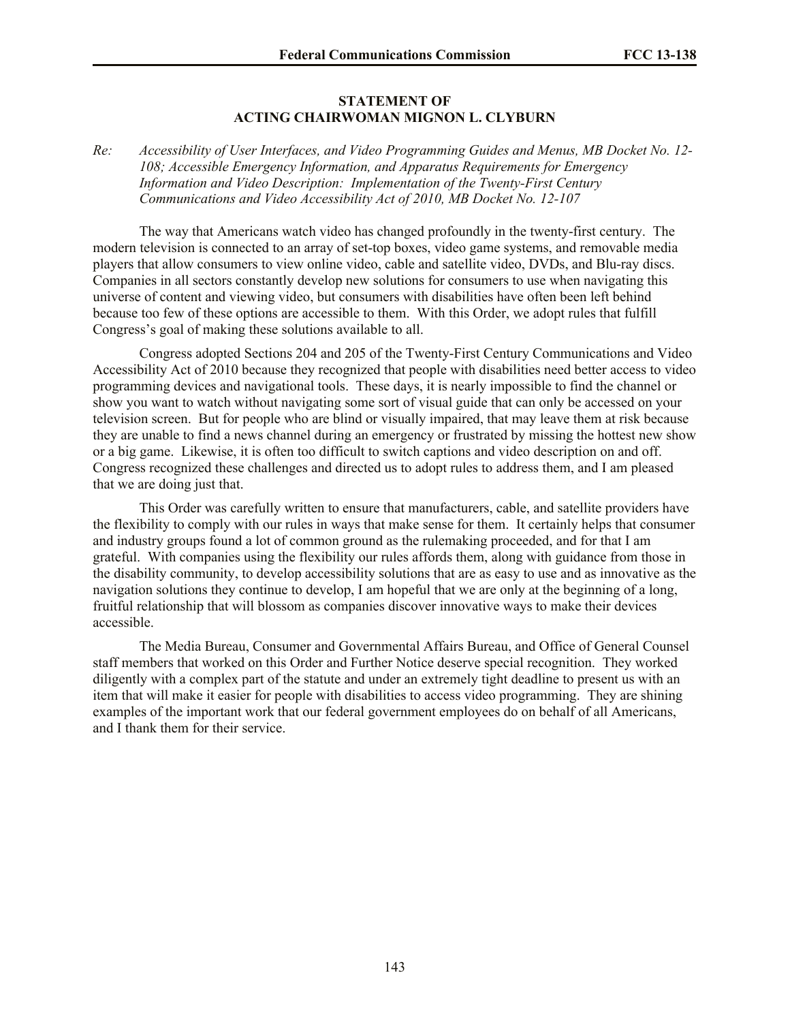#### **STATEMENT OF ACTING CHAIRWOMAN MIGNON L. CLYBURN**

*Re: Accessibility of User Interfaces, and Video Programming Guides and Menus, MB Docket No. 12- 108; Accessible Emergency Information, and Apparatus Requirements for Emergency Information and Video Description: Implementation of the Twenty-First Century Communications and Video Accessibility Act of 2010, MB Docket No. 12-107*

The way that Americans watch video has changed profoundly in the twenty-first century. The modern television is connected to an array of set-top boxes, video game systems, and removable media players that allow consumers to view online video, cable and satellite video, DVDs, and Blu-ray discs. Companies in all sectors constantly develop new solutions for consumers to use when navigating this universe of content and viewing video, but consumers with disabilities have often been left behind because too few of these options are accessible to them. With this Order, we adopt rules that fulfill Congress's goal of making these solutions available to all.

Congress adopted Sections 204 and 205 of the Twenty-First Century Communications and Video Accessibility Act of 2010 because they recognized that people with disabilities need better access to video programming devices and navigational tools. These days, it is nearly impossible to find the channel or show you want to watch without navigating some sort of visual guide that can only be accessed on your television screen. But for people who are blind or visually impaired, that may leave them at risk because they are unable to find a news channel during an emergency or frustrated by missing the hottest new show or a big game. Likewise, it is often too difficult to switch captions and video description on and off. Congress recognized these challenges and directed us to adopt rules to address them, and I am pleased that we are doing just that.

This Order was carefully written to ensure that manufacturers, cable, and satellite providers have the flexibility to comply with our rules in ways that make sense for them. It certainly helps that consumer and industry groups found a lot of common ground as the rulemaking proceeded, and for that I am grateful. With companies using the flexibility our rules affords them, along with guidance from those in the disability community, to develop accessibility solutions that are as easy to use and as innovative as the navigation solutions they continue to develop, I am hopeful that we are only at the beginning of a long, fruitful relationship that will blossom as companies discover innovative ways to make their devices accessible.

The Media Bureau, Consumer and Governmental Affairs Bureau, and Office of General Counsel staff members that worked on this Order and Further Notice deserve special recognition. They worked diligently with a complex part of the statute and under an extremely tight deadline to present us with an item that will make it easier for people with disabilities to access video programming. They are shining examples of the important work that our federal government employees do on behalf of all Americans, and I thank them for their service.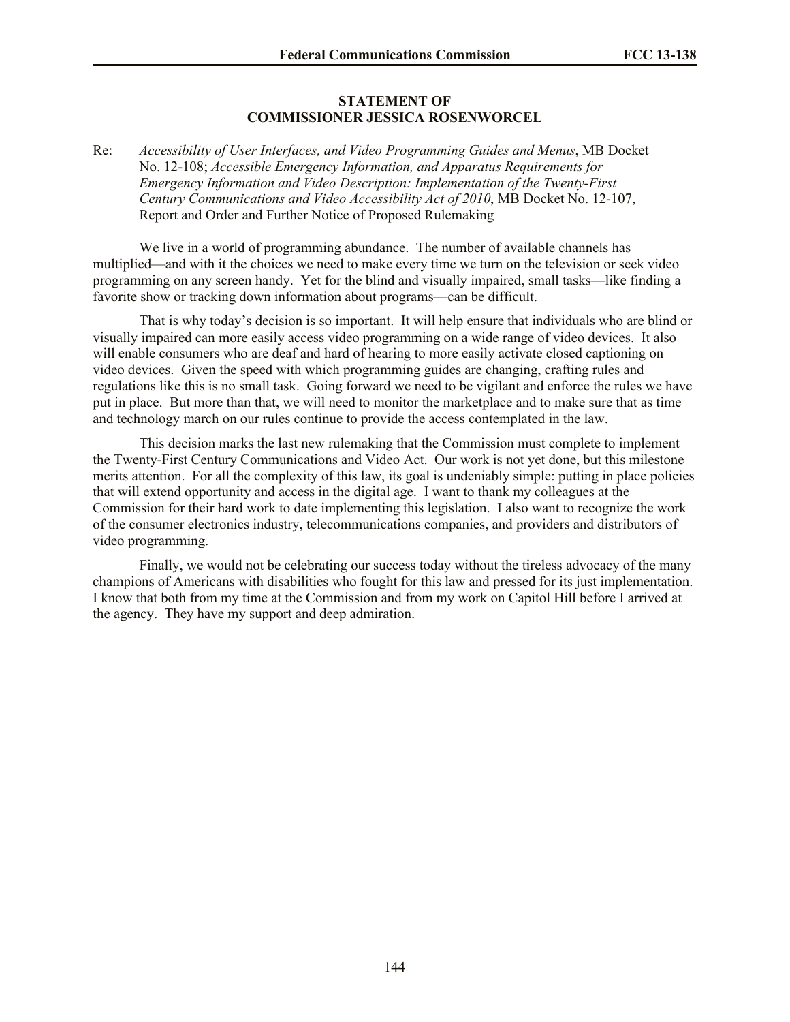#### **STATEMENT OF COMMISSIONER JESSICA ROSENWORCEL**

Re: *Accessibility of User Interfaces, and Video Programming Guides and Menus*, MB Docket No. 12-108; *Accessible Emergency Information, and Apparatus Requirements for Emergency Information and Video Description: Implementation of the Twenty-First Century Communications and Video Accessibility Act of 2010*, MB Docket No. 12-107, Report and Order and Further Notice of Proposed Rulemaking

We live in a world of programming abundance. The number of available channels has multiplied—and with it the choices we need to make every time we turn on the television or seek video programming on any screen handy. Yet for the blind and visually impaired, small tasks—like finding a favorite show or tracking down information about programs—can be difficult.

That is why today's decision is so important. It will help ensure that individuals who are blind or visually impaired can more easily access video programming on a wide range of video devices. It also will enable consumers who are deaf and hard of hearing to more easily activate closed captioning on video devices. Given the speed with which programming guides are changing, crafting rules and regulations like this is no small task. Going forward we need to be vigilant and enforce the rules we have put in place. But more than that, we will need to monitor the marketplace and to make sure that as time and technology march on our rules continue to provide the access contemplated in the law.

This decision marks the last new rulemaking that the Commission must complete to implement the Twenty-First Century Communications and Video Act. Our work is not yet done, but this milestone merits attention. For all the complexity of this law, its goal is undeniably simple: putting in place policies that will extend opportunity and access in the digital age. I want to thank my colleagues at the Commission for their hard work to date implementing this legislation. I also want to recognize the work of the consumer electronics industry, telecommunications companies, and providers and distributors of video programming.

Finally, we would not be celebrating our success today without the tireless advocacy of the many champions of Americans with disabilities who fought for this law and pressed for its just implementation. I know that both from my time at the Commission and from my work on Capitol Hill before I arrived at the agency. They have my support and deep admiration.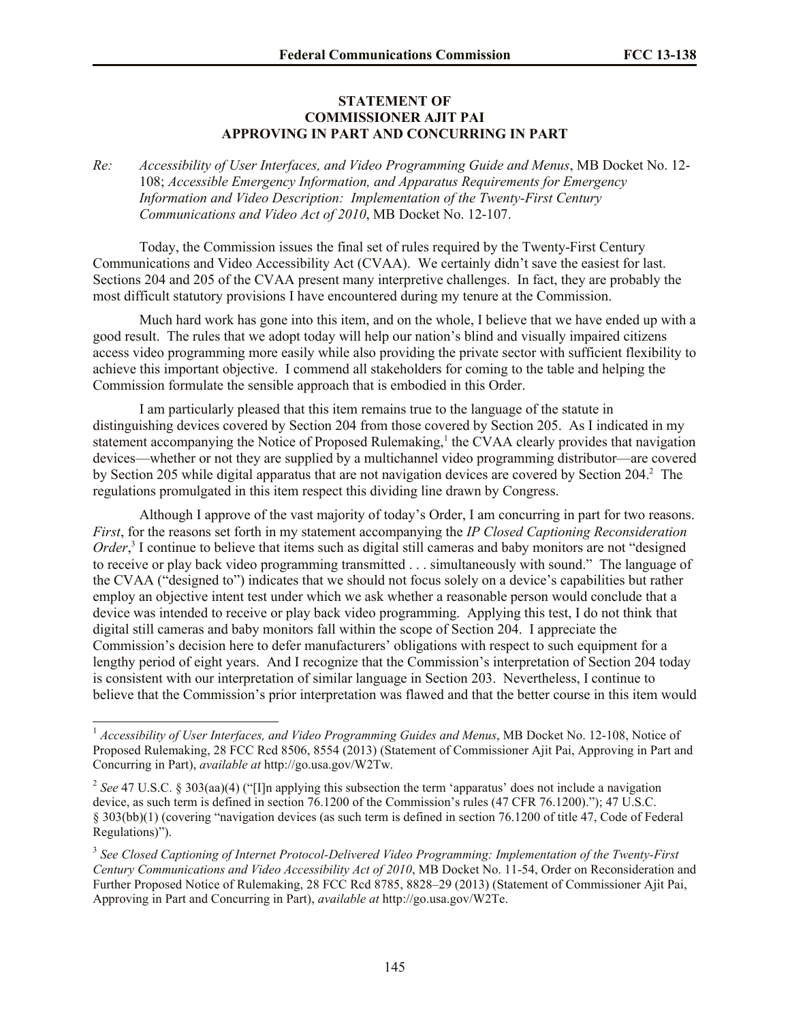## **STATEMENT OF COMMISSIONER AJIT PAI APPROVING IN PART AND CONCURRING IN PART**

*Re: Accessibility of User Interfaces, and Video Programming Guide and Menus*, MB Docket No. 12- 108; *Accessible Emergency Information, and Apparatus Requirements for Emergency Information and Video Description: Implementation of the Twenty-First Century Communications and Video Act of 2010*, MB Docket No. 12-107.

Today, the Commission issues the final set of rules required by the Twenty-First Century Communications and Video Accessibility Act (CVAA). We certainly didn't save the easiest for last. Sections 204 and 205 of the CVAA present many interpretive challenges. In fact, they are probably the most difficult statutory provisions I have encountered during my tenure at the Commission.

Much hard work has gone into this item, and on the whole, I believe that we have ended up with a good result. The rules that we adopt today will help our nation's blind and visually impaired citizens access video programming more easily while also providing the private sector with sufficient flexibility to achieve this important objective. I commend all stakeholders for coming to the table and helping the Commission formulate the sensible approach that is embodied in this Order.

I am particularly pleased that this item remains true to the language of the statute in distinguishing devices covered by Section 204 from those covered by Section 205. As I indicated in my statement accompanying the Notice of Proposed Rulemaking,<sup>1</sup> the CVAA clearly provides that navigation devices—whether or not they are supplied by a multichannel video programming distributor—are covered by Section 205 while digital apparatus that are not navigation devices are covered by Section 204.<sup>2</sup> The regulations promulgated in this item respect this dividing line drawn by Congress.

Although I approve of the vast majority of today's Order, I am concurring in part for two reasons. *First*, for the reasons set forth in my statement accompanying the *IP Closed Captioning Reconsideration*  Order,<sup>3</sup> I continue to believe that items such as digital still cameras and baby monitors are not "designed" to receive or play back video programming transmitted . . . simultaneously with sound." The language of the CVAA ("designed to") indicates that we should not focus solely on a device's capabilities but rather employ an objective intent test under which we ask whether a reasonable person would conclude that a device was intended to receive or play back video programming. Applying this test, I do not think that digital still cameras and baby monitors fall within the scope of Section 204. I appreciate the Commission's decision here to defer manufacturers' obligations with respect to such equipment for a lengthy period of eight years. And I recognize that the Commission's interpretation of Section 204 today is consistent with our interpretation of similar language in Section 203. Nevertheless, I continue to believe that the Commission's prior interpretation was flawed and that the better course in this item would

 $\overline{a}$ 

<sup>1</sup> *Accessibility of User Interfaces, and Video Programming Guides and Menus*, MB Docket No. 12-108, Notice of Proposed Rulemaking, 28 FCC Rcd 8506, 8554 (2013) (Statement of Commissioner Ajit Pai, Approving in Part and Concurring in Part), *available at* http://go.usa.gov/W2Tw.

<sup>&</sup>lt;sup>2</sup> See 47 U.S.C. § 303(aa)(4) ("[I]n applying this subsection the term 'apparatus' does not include a navigation device, as such term is defined in section 76.1200 of the Commission's rules (47 CFR 76.1200)."); 47 U.S.C. § 303(bb)(1) (covering "navigation devices (as such term is defined in section 76.1200 of title 47, Code of Federal Regulations)").

<sup>3</sup> *See Closed Captioning of Internet Protocol-Delivered Video Programming: Implementation of the Twenty-First Century Communications and Video Accessibility Act of 2010*, MB Docket No. 11-54, Order on Reconsideration and Further Proposed Notice of Rulemaking, 28 FCC Rcd 8785, 8828–29 (2013) (Statement of Commissioner Ajit Pai, Approving in Part and Concurring in Part), *available at* http://go.usa.gov/W2Te.